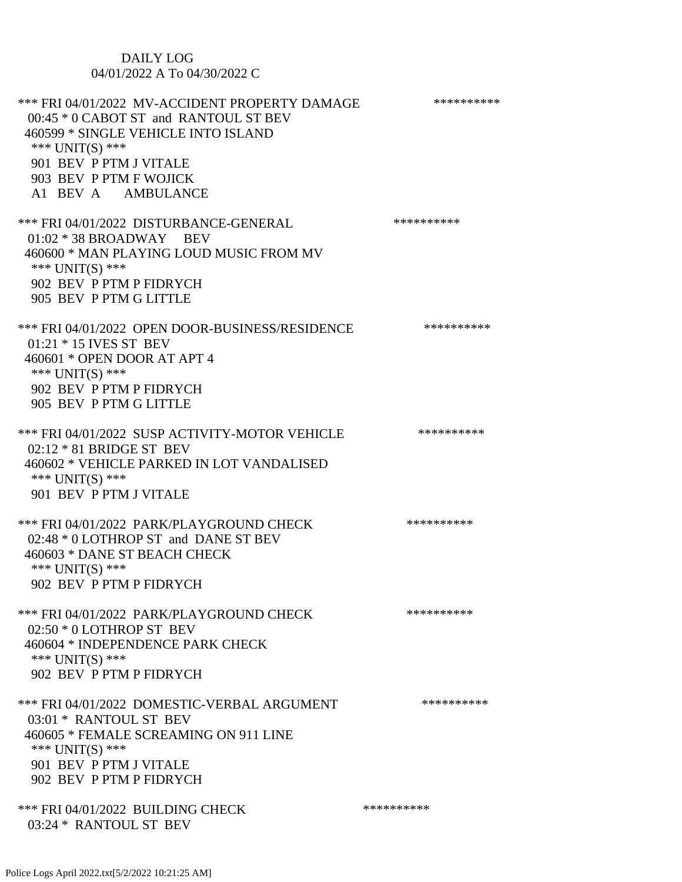## DAILY LOG 04/01/2022 A To 04/30/2022 C

| *** FRI 04/01/2022 MV-ACCIDENT PROPERTY DAMAGE<br>00:45 * 0 CABOT ST and RANTOUL ST BEV<br>460599 * SINGLE VEHICLE INTO ISLAND<br>*** $UNIT(S)$ ***<br>901 BEV P PTM J VITALE<br>903 BEV P PTM F WOJICK<br>A1 BEV A AMBULANCE | ********** |
|-------------------------------------------------------------------------------------------------------------------------------------------------------------------------------------------------------------------------------|------------|
| *** FRI 04/01/2022 DISTURBANCE-GENERAL<br>$01:02 * 38$ BROADWAY BEV<br>460600 * MAN PLAYING LOUD MUSIC FROM MV<br>*** UNIT(S) ***<br>902 BEV P PTM P FIDRYCH<br>905 BEV P PTM G LITTLE                                        | ********** |
| *** FRI 04/01/2022 OPEN DOOR-BUSINESS/RESIDENCE<br>01:21 * 15 IVES ST BEV<br>460601 * OPEN DOOR AT APT 4<br>*** UNIT(S) ***<br>902 BEV P PTM P FIDRYCH<br>905 BEV P PTM G LITTLE                                              | ********** |
| *** FRI 04/01/2022 SUSP ACTIVITY-MOTOR VEHICLE<br>$02:12 * 81$ BRIDGE ST BEV<br>460602 * VEHICLE PARKED IN LOT VANDALISED<br>*** $UNIT(S)$ ***<br>901 BEV P PTM J VITALE                                                      | ********** |
| *** FRI 04/01/2022 PARK/PLAYGROUND CHECK<br>02:48 * 0 LOTHROP ST and DANE ST BEV<br>460603 * DANE ST BEACH CHECK<br>*** $UNIT(S)$ ***<br>902 BEV P PTM P FIDRYCH                                                              | ********** |
| *** FRI 04/01/2022 PARK/PLAYGROUND CHECK<br>$02:50 * 0$ LOTHROP ST BEV<br>460604 * INDEPENDENCE PARK CHECK<br>*** UNIT(S) ***<br>902 BEV P PTM P FIDRYCH                                                                      | ********** |
| *** FRI 04/01/2022 DOMESTIC-VERBAL ARGUMENT<br>03:01 * RANTOUL ST BEV<br>460605 * FEMALE SCREAMING ON 911 LINE<br>*** $UNIT(S)$ ***<br>901 BEV P PTM J VITALE<br>902 BEV P PTM P FIDRYCH                                      | ********** |
| *** FRI 04/01/2022 BUILDING CHECK<br>03:24 * RANTOUL ST BEV                                                                                                                                                                   | ********** |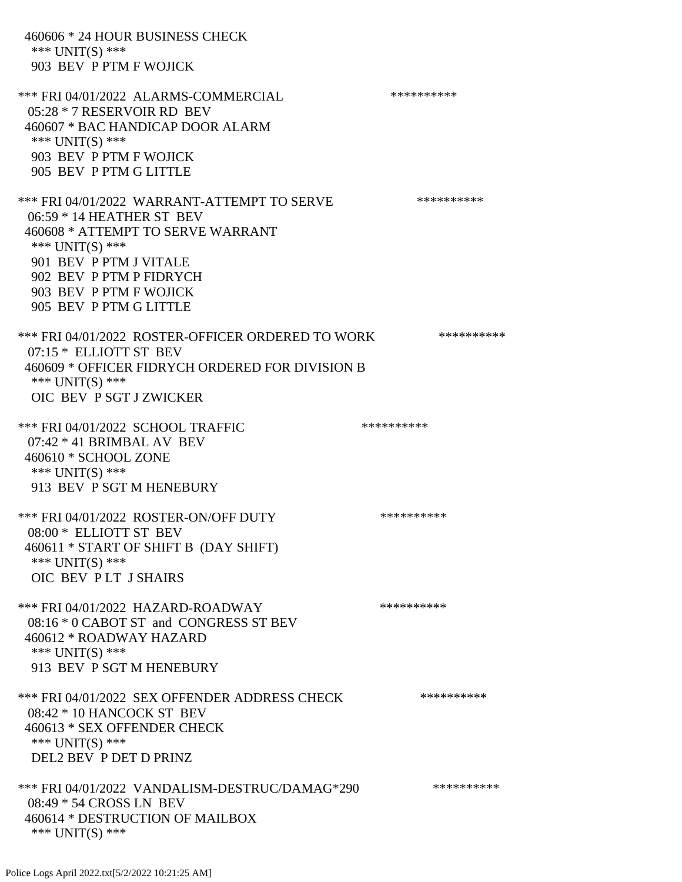460606 \* 24 HOUR BUSINESS CHECK \*\*\* UNIT(S) \*\*\* 903 BEV P PTM F WOJICK \*\*\* FRI 04/01/2022 ALARMS-COMMERCIAL \*\*\*\*\*\*\*\*\*\* 05:28 \* 7 RESERVOIR RD BEV 460607 \* BAC HANDICAP DOOR ALARM \*\*\* UNIT(S) \*\*\* 903 BEV P PTM F WOJICK 905 BEV P PTM G LITTLE \*\*\* FRI 04/01/2022 WARRANT-ATTEMPT TO SERVE \*\*\*\*\*\*\*\*\*\* 06:59 \* 14 HEATHER ST BEV 460608 \* ATTEMPT TO SERVE WARRANT \*\*\* UNIT(S) \*\*\* 901 BEV P PTM J VITALE 902 BEV P PTM P FIDRYCH 903 BEV P PTM F WOJICK 905 BEV P PTM G LITTLE \*\*\* FRI 04/01/2022 ROSTER-OFFICER ORDERED TO WORK \*\*\*\*\*\*\*\*\*\*\* 07:15 \* ELLIOTT ST BEV 460609 \* OFFICER FIDRYCH ORDERED FOR DIVISION B \*\*\* UNIT(S) \*\*\* OIC BEV P SGT J ZWICKER \*\*\* FRI 04/01/2022 SCHOOL TRAFFIC \*\*\*\*\*\*\*\*\*\*\*\*\* 07:42 \* 41 BRIMBAL AV BEV 460610 \* SCHOOL ZONE \*\*\* UNIT(S) \*\*\* 913 BEV P SGT M HENEBURY \*\*\* FRI 04/01/2022 ROSTER-ON/OFF DUTY \*\*\*\*\*\*\*\*\*\*\*\*\* 08:00 \* ELLIOTT ST BEV 460611 \* START OF SHIFT B (DAY SHIFT) \*\*\* UNIT(S) \*\*\* OIC BEV P LT J SHAIRS \*\*\* FRI 04/01/2022 HAZARD-ROADWAY \*\*\*\*\*\*\*\*\*\* 08:16 \* 0 CABOT ST and CONGRESS ST BEV 460612 \* ROADWAY HAZARD \*\*\* UNIT(S) \*\*\* 913 BEV P SGT M HENEBURY \*\*\* FRI 04/01/2022 SEX OFFENDER ADDRESS CHECK \*\*\*\*\*\*\*\*\*\* 08:42 \* 10 HANCOCK ST BEV 460613 \* SEX OFFENDER CHECK \*\*\* UNIT(S) \*\*\* DEL2 BEV P DET D PRINZ \*\*\* FRI 04/01/2022 VANDALISM-DESTRUC/DAMAG\*290 \*\*\*\*\*\*\*\*\*\*\*\* 08:49 \* 54 CROSS LN BEV 460614 \* DESTRUCTION OF MAILBOX \*\*\* UNIT(S) \*\*\*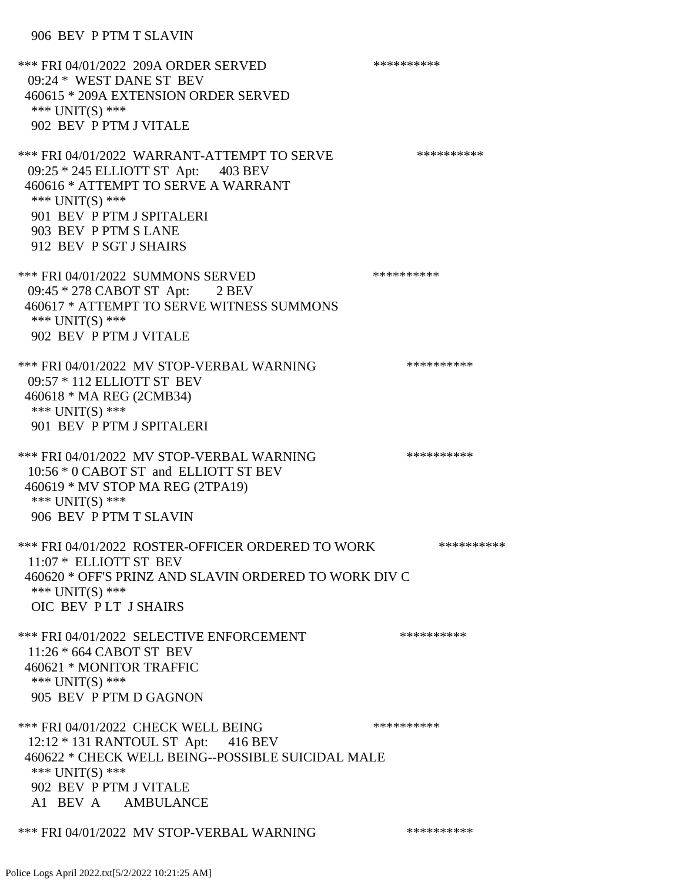906 BEV P PTM T SLAVIN

\*\*\* FRI 04/01/2022 209A ORDER SERVED \*\*\*\*\*\*\*\*\*\* 09:24 \* WEST DANE ST BEV 460615 \* 209A EXTENSION ORDER SERVED \*\*\* UNIT(S) \*\*\* 902 BEV P PTM J VITALE \*\*\* FRI 04/01/2022 WARRANT-ATTEMPT TO SERVE \*\*\*\*\*\*\*\*\*\*\*\*\*\*\* 09:25 \* 245 ELLIOTT ST Apt: 403 BEV 460616 \* ATTEMPT TO SERVE A WARRANT \*\*\* UNIT(S) \*\*\* 901 BEV P PTM J SPITALERI 903 BEV P PTM S LANE 912 BEV P SGT J SHAIRS \*\*\* FRI 04/01/2022 SUMMONS SERVED \*\*\*\*\*\*\*\*\*\* 09:45 \* 278 CABOT ST Apt: 2 BEV 460617 \* ATTEMPT TO SERVE WITNESS SUMMONS \*\*\* UNIT(S) \*\*\* 902 BEV P PTM J VITALE \*\*\* FRI 04/01/2022 MV STOP-VERBAL WARNING \*\*\*\*\*\*\*\*\*\*\*\* 09:57 \* 112 ELLIOTT ST BEV 460618 \* MA REG (2CMB34) \*\*\* UNIT(S) \*\*\* 901 BEV P PTM J SPITALERI \*\*\* FRI 04/01/2022 MV STOP-VERBAL WARNING \*\*\*\*\*\*\*\*\*\*\*\*\* 10:56 \* 0 CABOT ST and ELLIOTT ST BEV 460619 \* MV STOP MA REG (2TPA19) \*\*\* UNIT(S) \*\*\* 906 BEV P PTM T SLAVIN \*\*\* FRI 04/01/2022 ROSTER-OFFICER ORDERED TO WORK \*\*\*\*\*\*\*\*\*\*\* 11:07 \* ELLIOTT ST BEV 460620 \* OFF'S PRINZ AND SLAVIN ORDERED TO WORK DIV C \*\*\* UNIT(S) \*\*\* OIC BEV P LT J SHAIRS \*\*\* FRI 04/01/2022 SELECTIVE ENFORCEMENT \*\*\*\*\*\*\*\*\*\*\*\*\* 11:26 \* 664 CABOT ST BEV 460621 \* MONITOR TRAFFIC \*\*\* UNIT(S) \*\*\* 905 BEV P PTM D GAGNON \*\*\* FRI 04/01/2022 CHECK WELL BEING \*\*\*\*\*\*\*\*\*\* 12:12 \* 131 RANTOUL ST Apt: 416 BEV 460622 \* CHECK WELL BEING--POSSIBLE SUICIDAL MALE \*\*\* UNIT(S) \*\*\* 902 BEV P PTM J VITALE A1 BEV A AMBULANCE \*\*\* FRI 04/01/2022 MV STOP-VERBAL WARNING \*\*\*\*\*\*\*\*\*\*\*\*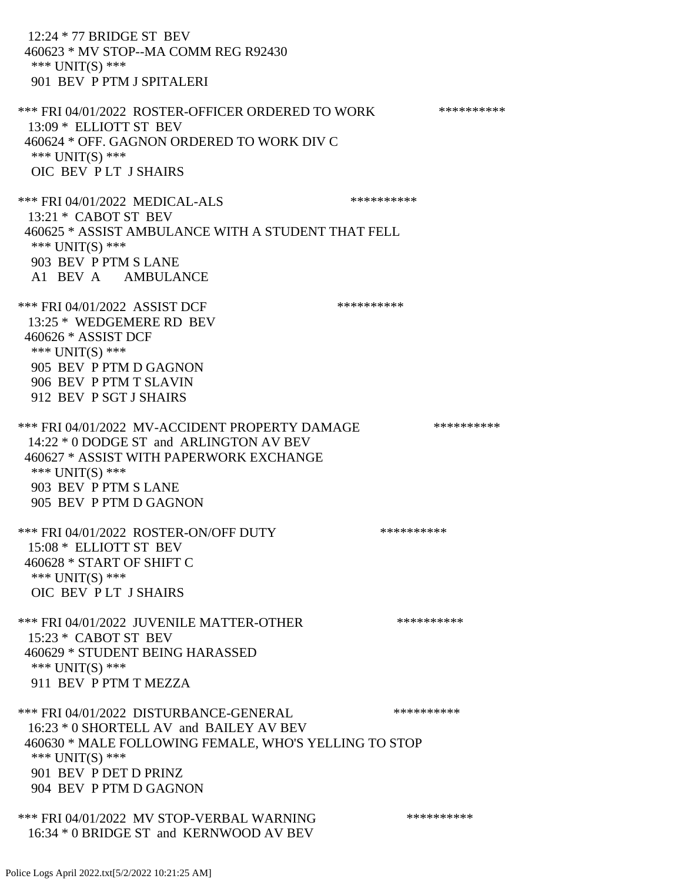12:24 \* 77 BRIDGE ST BEV 460623 \* MV STOP--MA COMM REG R92430 \*\*\* UNIT(S) \*\*\* 901 BEV P PTM J SPITALERI \*\*\* FRI 04/01/2022 ROSTER-OFFICER ORDERED TO WORK \*\*\*\*\*\*\*\*\*\*\*\* 13:09 \* ELLIOTT ST BEV 460624 \* OFF. GAGNON ORDERED TO WORK DIV C \*\*\* UNIT(S) \*\*\* OIC BEV P LT J SHAIRS \*\*\* FRI 04/01/2022 MEDICAL-ALS \*\*\*\*\*\*\*\*\*\*\*\*\* 13:21 \* CABOT ST BEV 460625 \* ASSIST AMBULANCE WITH A STUDENT THAT FELL \*\*\* UNIT(S) \*\*\* 903 BEV P PTM S LANE A1 BEV A AMBULANCE \*\*\* FRI 04/01/2022 ASSIST DCF \*\*\*\*\*\*\*\*\*\*\*\* 13:25 \* WEDGEMERE RD BEV 460626 \* ASSIST DCF \*\*\* UNIT(S) \*\*\* 905 BEV P PTM D GAGNON 906 BEV P PTM T SLAVIN 912 BEV P SGT J SHAIRS \*\*\* FRI 04/01/2022 MV-ACCIDENT PROPERTY DAMAGE \*\*\*\*\*\*\*\*\*\* 14:22 \* 0 DODGE ST and ARLINGTON AV BEV 460627 \* ASSIST WITH PAPERWORK EXCHANGE \*\*\* UNIT(S) \*\*\* 903 BEV P PTM S LANE 905 BEV P PTM D GAGNON \*\*\* FRI 04/01/2022 ROSTER-ON/OFF DUTY \*\*\*\*\*\*\*\*\*\* 15:08 \* ELLIOTT ST BEV 460628 \* START OF SHIFT C \*\*\* UNIT(S) \*\*\* OIC BEV P LT J SHAIRS \*\*\* FRI 04/01/2022 JUVENILE MATTER-OTHER \*\*\*\*\*\*\*\*\*\* 15:23 \* CABOT ST BEV 460629 \* STUDENT BEING HARASSED \*\*\* UNIT(S) \*\*\* 911 BEV P PTM T MEZZA \*\*\* FRI 04/01/2022 DISTURBANCE-GENERAL \*\*\*\*\*\*\*\*\*\* 16:23 \* 0 SHORTELL AV and BAILEY AV BEV 460630 \* MALE FOLLOWING FEMALE, WHO'S YELLING TO STOP \*\*\* UNIT(S) \*\*\* 901 BEV P DET D PRINZ 904 BEV P PTM D GAGNON \*\*\* FRI 04/01/2022 MV STOP-VERBAL WARNING \*\*\*\*\*\*\*\*\*\*\*\*

16:34 \* 0 BRIDGE ST and KERNWOOD AV BEV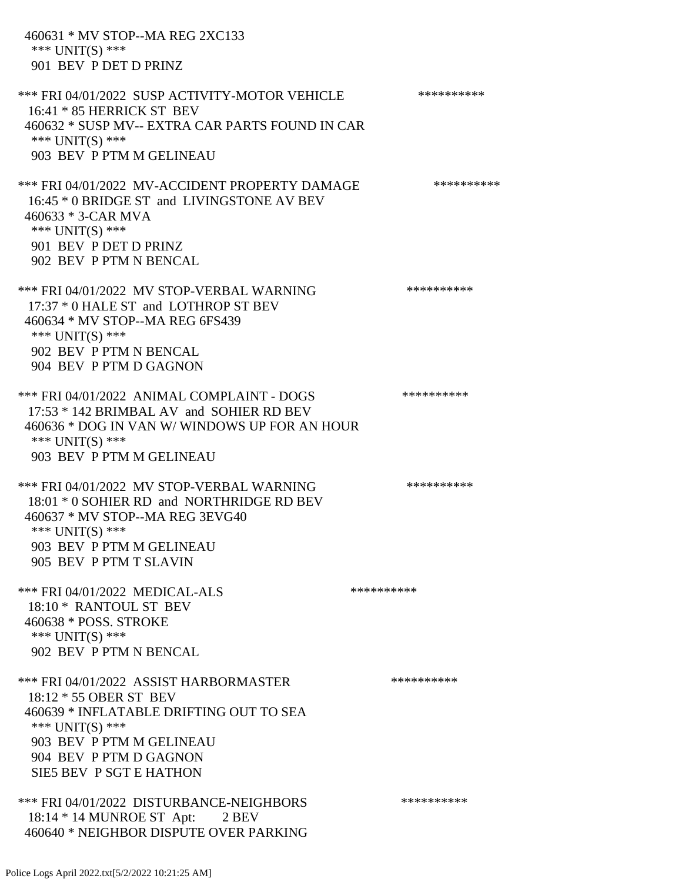460631 \* MV STOP--MA REG 2XC133 \*\*\* UNIT(S) \*\*\* 901 BEV P DET D PRINZ \*\*\* FRI 04/01/2022 SUSP ACTIVITY-MOTOR VEHICLE \*\*\*\*\*\*\*\*\*\* 16:41 \* 85 HERRICK ST BEV 460632 \* SUSP MV-- EXTRA CAR PARTS FOUND IN CAR \*\*\* UNIT(S) \*\*\* 903 BEV P PTM M GELINEAU \*\*\* FRI 04/01/2022 MV-ACCIDENT PROPERTY DAMAGE \*\*\*\*\*\*\*\*\*\* 16:45 \* 0 BRIDGE ST and LIVINGSTONE AV BEV 460633 \* 3-CAR MVA \*\*\* UNIT(S) \*\*\* 901 BEV P DET D PRINZ 902 BEV P PTM N BENCAL \*\*\* FRI 04/01/2022 MV STOP-VERBAL WARNING \*\*\*\*\*\*\*\*\*\*\*\*\* 17:37 \* 0 HALE ST and LOTHROP ST BEV 460634 \* MV STOP--MA REG 6FS439 \*\*\* UNIT(S) \*\*\* 902 BEV P PTM N BENCAL 904 BEV P PTM D GAGNON \*\*\* FRI 04/01/2022 ANIMAL COMPLAINT - DOGS \*\*\*\*\*\*\*\*\*\*\*\* 17:53 \* 142 BRIMBAL AV and SOHIER RD BEV 460636 \* DOG IN VAN W/ WINDOWS UP FOR AN HOUR \*\*\* UNIT(S) \*\*\* 903 BEV P PTM M GELINEAU \*\*\* FRI 04/01/2022 MV STOP-VERBAL WARNING \*\*\*\*\*\*\*\*\*\*\*\* 18:01 \* 0 SOHIER RD and NORTHRIDGE RD BEV 460637 \* MV STOP--MA REG 3EVG40 \*\*\* UNIT(S) \*\*\* 903 BEV P PTM M GELINEAU 905 BEV P PTM T SLAVIN \*\*\* FRI 04/01/2022 MEDICAL-ALS \*\*\*\*\*\*\*\*\*\*\*\*\*\* 18:10 \* RANTOUL ST BEV 460638 \* POSS. STROKE \*\*\* UNIT(S) \*\*\* 902 BEV P PTM N BENCAL \*\*\* FRI 04/01/2022 ASSIST HARBORMASTER \*\*\*\*\*\*\*\*\*\* 18:12 \* 55 OBER ST BEV 460639 \* INFLATABLE DRIFTING OUT TO SEA \*\*\* UNIT(S) \*\*\* 903 BEV P PTM M GELINEAU 904 BEV P PTM D GAGNON SIE5 BEV P SGT E HATHON \*\*\* FRI 04/01/2022 DISTURBANCE-NEIGHBORS \*\*\*\*\*\*\*\*\*\*\*\* 18:14 \* 14 MUNROE ST Apt: 2 BEV 460640 \* NEIGHBOR DISPUTE OVER PARKING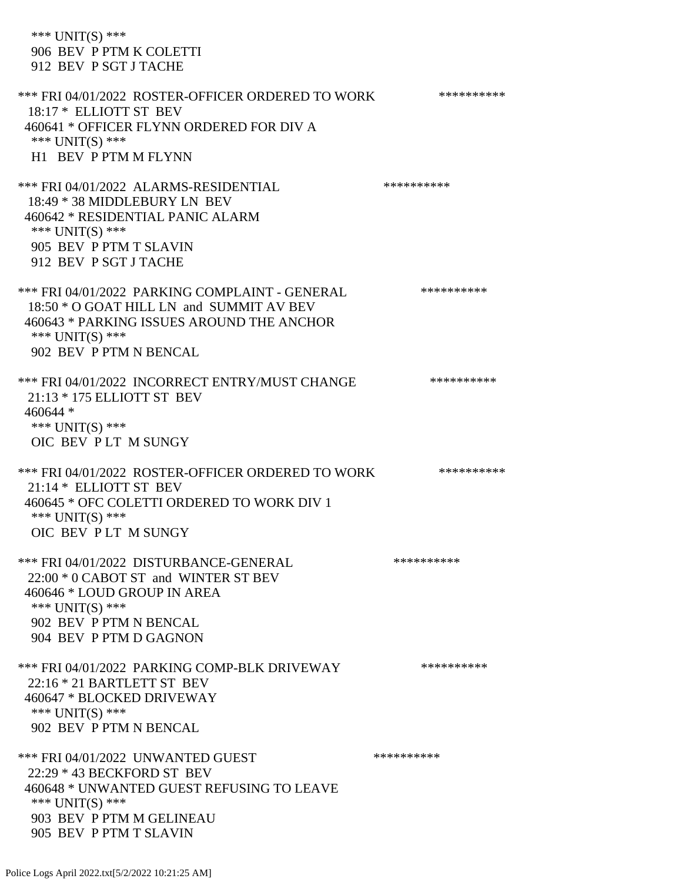\*\*\* UNIT(S) \*\*\* 906 BEV P PTM K COLETTI 912 BEV P SGT J TACHE \*\*\* FRI 04/01/2022 ROSTER-OFFICER ORDERED TO WORK \*\*\*\*\*\*\*\*\*\*\* 18:17 \* ELLIOTT ST BEV 460641 \* OFFICER FLYNN ORDERED FOR DIV A \*\*\* UNIT(S) \*\*\* H1 BEV P PTM M FLYNN \*\*\* FRI 04/01/2022 ALARMS-RESIDENTIAL \*\*\*\*\*\*\*\*\*\* 18:49 \* 38 MIDDLEBURY LN BEV 460642 \* RESIDENTIAL PANIC ALARM \*\*\* UNIT(S) \*\*\* 905 BEV P PTM T SLAVIN 912 BEV P SGT J TACHE \*\*\* FRI 04/01/2022 PARKING COMPLAINT - GENERAL \*\*\*\*\*\*\*\*\*\* 18:50 \* O GOAT HILL LN and SUMMIT AV BEV 460643 \* PARKING ISSUES AROUND THE ANCHOR \*\*\* UNIT(S) \*\*\* 902 BEV P PTM N BENCAL \*\*\* FRI 04/01/2022 INCORRECT ENTRY/MUST CHANGE \*\*\*\*\*\*\*\*\*\* 21:13 \* 175 ELLIOTT ST BEV 460644 \* \*\*\* UNIT(S) \*\*\* OIC BEV P LT M SUNGY \*\*\* FRI 04/01/2022 ROSTER-OFFICER ORDERED TO WORK \*\*\*\*\*\*\*\*\*\*\* 21:14 \* ELLIOTT ST BEV 460645 \* OFC COLETTI ORDERED TO WORK DIV 1 \*\*\* UNIT(S) \*\*\* OIC BEV P LT M SUNGY \*\*\* FRI 04/01/2022 DISTURBANCE-GENERAL \*\*\*\*\*\*\*\*\*\* 22:00 \* 0 CABOT ST and WINTER ST BEV 460646 \* LOUD GROUP IN AREA \*\*\* UNIT(S) \*\*\* 902 BEV P PTM N BENCAL 904 BEV P PTM D GAGNON \*\*\* FRI 04/01/2022 PARKING COMP-BLK DRIVEWAY \*\*\*\*\*\*\*\*\*\* 22:16 \* 21 BARTLETT ST BEV 460647 \* BLOCKED DRIVEWAY \*\*\* UNIT(S) \*\*\* 902 BEV P PTM N BENCAL \*\*\* FRI 04/01/2022 UNWANTED GUEST \*\*\*\*\*\*\*\*\*\*\*\*\*\* 22:29 \* 43 BECKFORD ST BEV 460648 \* UNWANTED GUEST REFUSING TO LEAVE \*\*\* UNIT(S) \*\*\* 903 BEV P PTM M GELINEAU 905 BEV P PTM T SLAVIN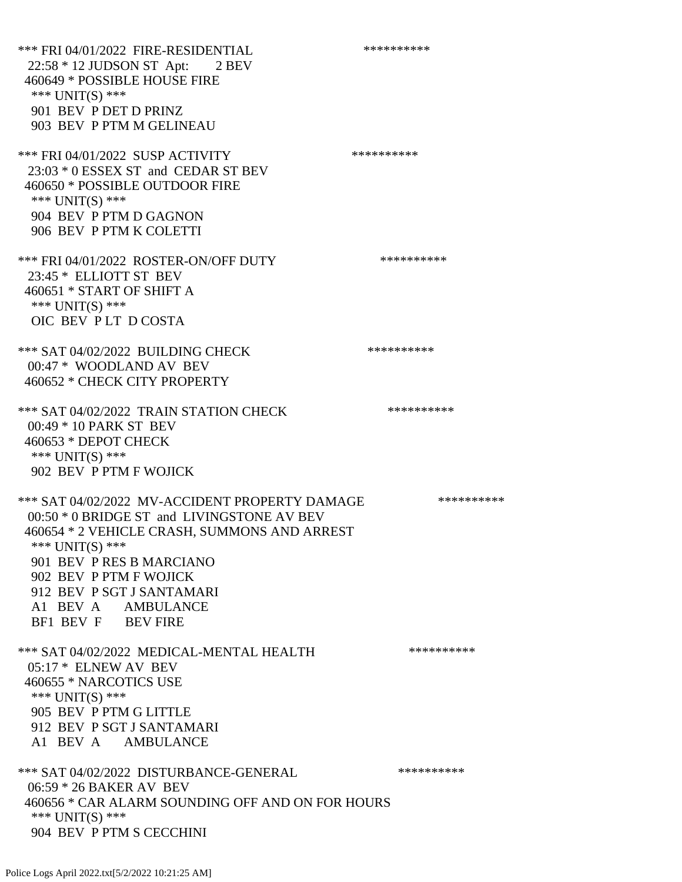\*\*\* FRI 04/01/2022 FIRE-RESIDENTIAL \*\*\*\*\*\*\*\*\*\* 22:58 \* 12 JUDSON ST Apt: 2 BEV 460649 \* POSSIBLE HOUSE FIRE \*\*\* UNIT(S) \*\*\* 901 BEV P DET D PRINZ 903 BEV P PTM M GELINEAU \*\*\* FRI 04/01/2022 SUSP ACTIVITY \*\*\*\*\*\*\*\*\*\*\*\*\*\* 23:03 \* 0 ESSEX ST and CEDAR ST BEV 460650 \* POSSIBLE OUTDOOR FIRE \*\*\* UNIT(S) \*\*\* 904 BEV P PTM D GAGNON 906 BEV P PTM K COLETTI \*\*\* FRI 04/01/2022 ROSTER-ON/OFF DUTY \*\*\*\*\*\*\*\*\*\* 23:45 \* ELLIOTT ST BEV 460651 \* START OF SHIFT A \*\*\* UNIT(S) \*\*\* OIC BEV P LT D COSTA \*\*\* SAT 04/02/2022 BUILDING CHECK \*\*\*\*\*\*\*\*\*\* 00:47 \* WOODLAND AV BEV 460652 \* CHECK CITY PROPERTY \*\*\* SAT 04/02/2022 TRAIN STATION CHECK \*\*\*\*\*\*\*\*\*\* 00:49 \* 10 PARK ST BEV 460653 \* DEPOT CHECK \*\*\* UNIT(S) \*\*\* 902 BEV P PTM F WOJICK \*\*\* SAT 04/02/2022 MV-ACCIDENT PROPERTY DAMAGE \*\*\*\*\*\*\*\*\*\*\*\* 00:50 \* 0 BRIDGE ST and LIVINGSTONE AV BEV 460654 \* 2 VEHICLE CRASH, SUMMONS AND ARREST \*\*\* UNIT(S) \*\*\* 901 BEV P RES B MARCIANO 902 BEV P PTM F WOJICK 912 BEV P SGT J SANTAMARI A1 BEV A AMBULANCE BF1 BEV F BEV FIRE \*\*\* SAT 04/02/2022 MEDICAL-MENTAL HEALTH \*\*\*\*\*\*\*\*\*\* 05:17 \* ELNEW AV BEV 460655 \* NARCOTICS USE \*\*\* UNIT(S) \*\*\* 905 BEV P PTM G LITTLE 912 BEV P SGT J SANTAMARI A1 BEV A AMBULANCE \*\*\* SAT 04/02/2022 DISTURBANCE-GENERAL \*\*\*\*\*\*\*\*\*\*\*\* 06:59 \* 26 BAKER AV BEV 460656 \* CAR ALARM SOUNDING OFF AND ON FOR HOURS \*\*\* UNIT(S) \*\*\* 904 BEV P PTM S CECCHINI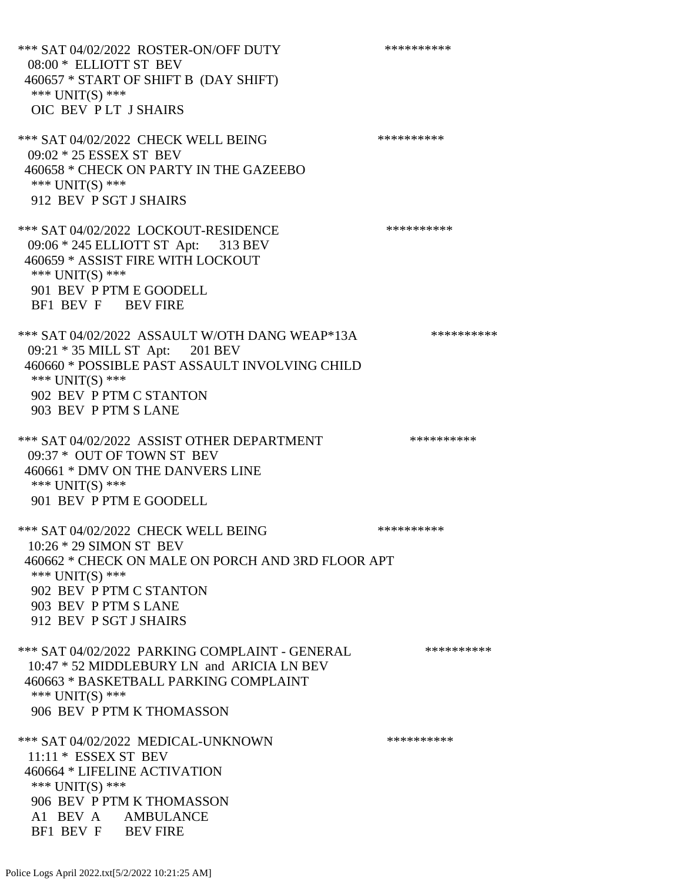\*\*\* SAT 04/02/2022 ROSTER-ON/OFF DUTY \*\*\*\*\*\*\*\*\*\* 08:00 \* ELLIOTT ST BEV 460657 \* START OF SHIFT B (DAY SHIFT) \*\*\* UNIT(S) \*\*\* OIC BEV P LT J SHAIRS \*\*\* SAT 04/02/2022 CHECK WELL BEING \*\*\*\*\*\*\*\*\*\* 09:02 \* 25 ESSEX ST BEV 460658 \* CHECK ON PARTY IN THE GAZEEBO \*\*\* UNIT(S) \*\*\* 912 BEV P SGT J SHAIRS \*\*\* SAT 04/02/2022 LOCKOUT-RESIDENCE \*\*\*\*\*\*\*\*\*\* 09:06 \* 245 ELLIOTT ST Apt: 313 BEV 460659 \* ASSIST FIRE WITH LOCKOUT \*\*\* UNIT(S) \*\*\* 901 BEV P PTM E GOODELL BF1 BEV F BEV FIRE \*\*\* SAT 04/02/2022 ASSAULT W/OTH DANG WEAP\*13A \*\*\*\*\*\*\*\*\*\* 09:21 \* 35 MILL ST Apt: 201 BEV 460660 \* POSSIBLE PAST ASSAULT INVOLVING CHILD \*\*\* UNIT(S) \*\*\* 902 BEV P PTM C STANTON 903 BEV P PTM S LANE \*\*\* SAT 04/02/2022 ASSIST OTHER DEPARTMENT \*\*\*\*\*\*\*\*\*\*\*\*\* 09:37 \* OUT OF TOWN ST BEV 460661 \* DMV ON THE DANVERS LINE \*\*\* UNIT(S) \*\*\* 901 BEV P PTM E GOODELL \*\*\* SAT 04/02/2022 CHECK WELL BEING \*\*\*\*\*\*\*\*\*\* 10:26 \* 29 SIMON ST BEV 460662 \* CHECK ON MALE ON PORCH AND 3RD FLOOR APT \*\*\* UNIT(S) \*\*\* 902 BEV P PTM C STANTON 903 BEV P PTM S LANE 912 BEV P SGT J SHAIRS \*\*\* SAT 04/02/2022 PARKING COMPLAINT - GENERAL \*\*\*\*\*\*\*\*\*\*\*\* 10:47 \* 52 MIDDLEBURY LN and ARICIA LN BEV 460663 \* BASKETBALL PARKING COMPLAINT \*\*\* UNIT(S) \*\*\* 906 BEV P PTM K THOMASSON \*\*\* SAT 04/02/2022 MEDICAL-UNKNOWN \*\*\*\*\*\*\*\*\*\* 11:11 \* ESSEX ST BEV 460664 \* LIFELINE ACTIVATION \*\*\* UNIT(S) \*\*\* 906 BEV P PTM K THOMASSON A1 BEV A AMBULANCE BF1 BEV F BEV FIRE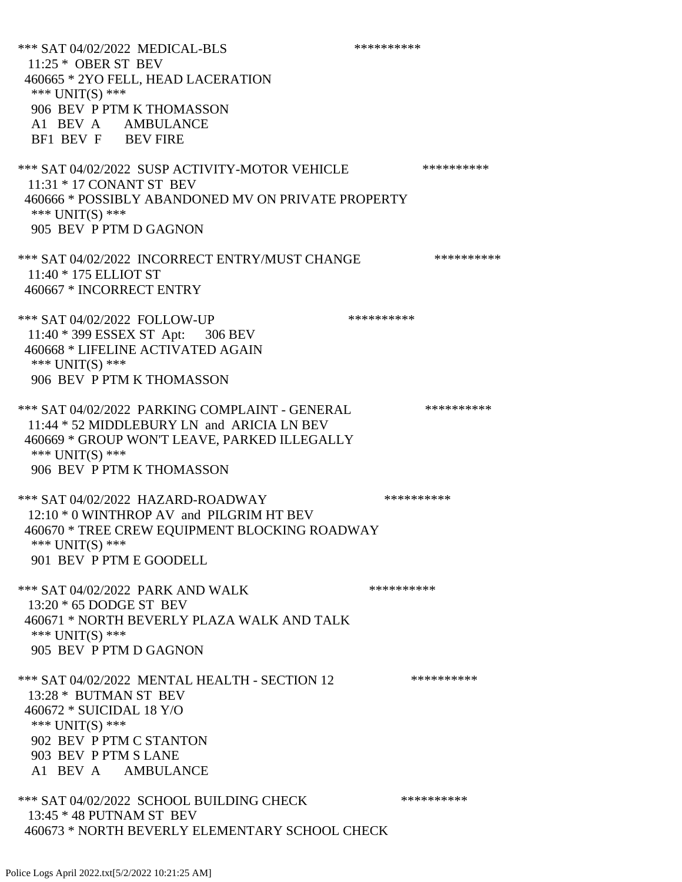\*\*\* SAT 04/02/2022 MEDICAL-BLS \*\*\*\*\*\*\*\*\*\*\*\*\*\* 11:25 \* OBER ST BEV 460665 \* 2YO FELL, HEAD LACERATION \*\*\* UNIT(S) \*\*\* 906 BEV P PTM K THOMASSON A1 BEV A AMBULANCE BF1 BEV F BEV FIRE \*\*\* SAT 04/02/2022 SUSP ACTIVITY-MOTOR VEHICLE \*\*\*\*\*\*\*\*\*\*\*\* 11:31 \* 17 CONANT ST BEV 460666 \* POSSIBLY ABANDONED MV ON PRIVATE PROPERTY \*\*\* UNIT(S) \*\*\* 905 BEV P PTM D GAGNON \*\*\* SAT 04/02/2022 INCORRECT ENTRY/MUST CHANGE \*\*\*\*\*\*\*\*\*\* 11:40 \* 175 ELLIOT ST 460667 \* INCORRECT ENTRY \*\*\* SAT 04/02/2022 FOLLOW-UP \*\*\*\*\*\*\*\*\*\*\*\* 11:40 \* 399 ESSEX ST Apt: 306 BEV 460668 \* LIFELINE ACTIVATED AGAIN \*\*\* UNIT(S) \*\*\* 906 BEV P PTM K THOMASSON \*\*\* SAT 04/02/2022 PARKING COMPLAINT - GENERAL \*\*\*\*\*\*\*\*\*\* 11:44 \* 52 MIDDLEBURY LN and ARICIA LN BEV 460669 \* GROUP WON'T LEAVE, PARKED ILLEGALLY \*\*\* UNIT(S) \*\*\* 906 BEV P PTM K THOMASSON \*\*\* SAT 04/02/2022 HAZARD-ROADWAY \*\*\*\*\*\*\*\*\*\* 12:10 \* 0 WINTHROP AV and PILGRIM HT BEV 460670 \* TREE CREW EQUIPMENT BLOCKING ROADWAY \*\*\* UNIT(S) \*\*\* 901 BEV P PTM E GOODELL \*\*\* SAT 04/02/2022 PARK AND WALK \*\*\*\*\*\*\*\*\*\* 13:20 \* 65 DODGE ST BEV 460671 \* NORTH BEVERLY PLAZA WALK AND TALK \*\*\* UNIT(S) \*\*\* 905 BEV P PTM D GAGNON \*\*\* SAT 04/02/2022 MENTAL HEALTH - SECTION 12 \*\*\*\*\*\*\*\*\*\*\* 13:28 \* BUTMAN ST BEV 460672 \* SUICIDAL 18 Y/O \*\*\* UNIT(S) \*\*\* 902 BEV P PTM C STANTON 903 BEV P PTM S LANE A1 BEV A AMBULANCE \*\*\* SAT 04/02/2022 SCHOOL BUILDING CHECK \*\*\*\*\*\*\*\*\*\*\* 13:45 \* 48 PUTNAM ST BEV 460673 \* NORTH BEVERLY ELEMENTARY SCHOOL CHECK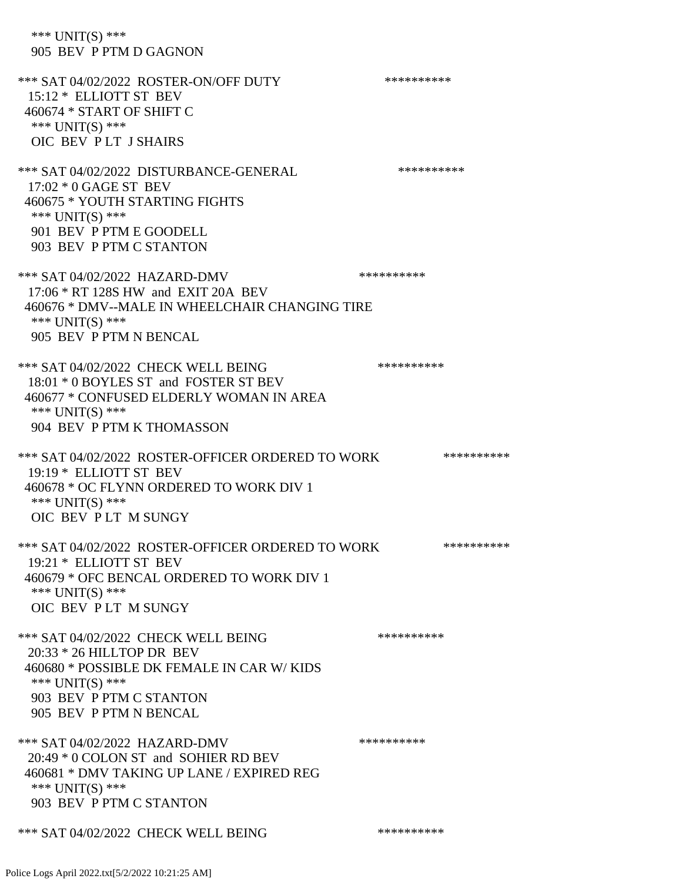\*\*\* UNIT(S) \*\*\* 905 BEV P PTM D GAGNON \*\*\* SAT 04/02/2022 ROSTER-ON/OFF DUTY \*\*\*\*\*\*\*\*\*\* 15:12 \* ELLIOTT ST BEV 460674 \* START OF SHIFT C \*\*\* UNIT(S) \*\*\* OIC BEV P LT J SHAIRS \*\*\* SAT 04/02/2022 DISTURBANCE-GENERAL \*\*\*\*\*\*\*\*\*\* 17:02 \* 0 GAGE ST BEV 460675 \* YOUTH STARTING FIGHTS \*\*\* UNIT(S) \*\*\* 901 BEV P PTM E GOODELL 903 BEV P PTM C STANTON \*\*\* SAT 04/02/2022 HAZARD-DMV \*\*\*\*\*\*\*\*\*\* 17:06 \* RT 128S HW and EXIT 20A BEV 460676 \* DMV--MALE IN WHEELCHAIR CHANGING TIRE \*\*\* UNIT(S) \*\*\* 905 BEV P PTM N BENCAL \*\*\* SAT 04/02/2022 CHECK WELL BEING \*\*\*\*\*\*\*\*\*\*\*\*\* 18:01 \* 0 BOYLES ST and FOSTER ST BEV 460677 \* CONFUSED ELDERLY WOMAN IN AREA \*\*\* UNIT(S) \*\*\* 904 BEV P PTM K THOMASSON \*\*\* SAT 04/02/2022 ROSTER-OFFICER ORDERED TO WORK \*\*\*\*\*\*\*\*\*\*\*\* 19:19 \* ELLIOTT ST BEV 460678 \* OC FLYNN ORDERED TO WORK DIV 1 \*\*\* UNIT(S) \*\*\* OIC BEV P LT M SUNGY \*\*\* SAT 04/02/2022 ROSTER-OFFICER ORDERED TO WORK \*\*\*\*\*\*\*\*\*\*\*\* 19:21 \* ELLIOTT ST BEV 460679 \* OFC BENCAL ORDERED TO WORK DIV 1 \*\*\* UNIT(S) \*\*\* OIC BEV P LT M SUNGY \*\*\* SAT 04/02/2022 CHECK WELL BEING \*\*\*\*\*\*\*\*\*\*\*\*\*\* 20:33 \* 26 HILLTOP DR BEV 460680 \* POSSIBLE DK FEMALE IN CAR W/ KIDS \*\*\* UNIT(S) \*\*\* 903 BEV P PTM C STANTON 905 BEV P PTM N BENCAL \*\*\* SAT 04/02/2022 HAZARD-DMV \*\*\*\*\*\*\*\*\*\* 20:49 \* 0 COLON ST and SOHIER RD BEV 460681 \* DMV TAKING UP LANE / EXPIRED REG \*\*\* UNIT(S) \*\*\* 903 BEV P PTM C STANTON \*\*\* SAT 04/02/2022 CHECK WELL BEING \*\*\*\*\*\*\*\*\*\*\*\*\*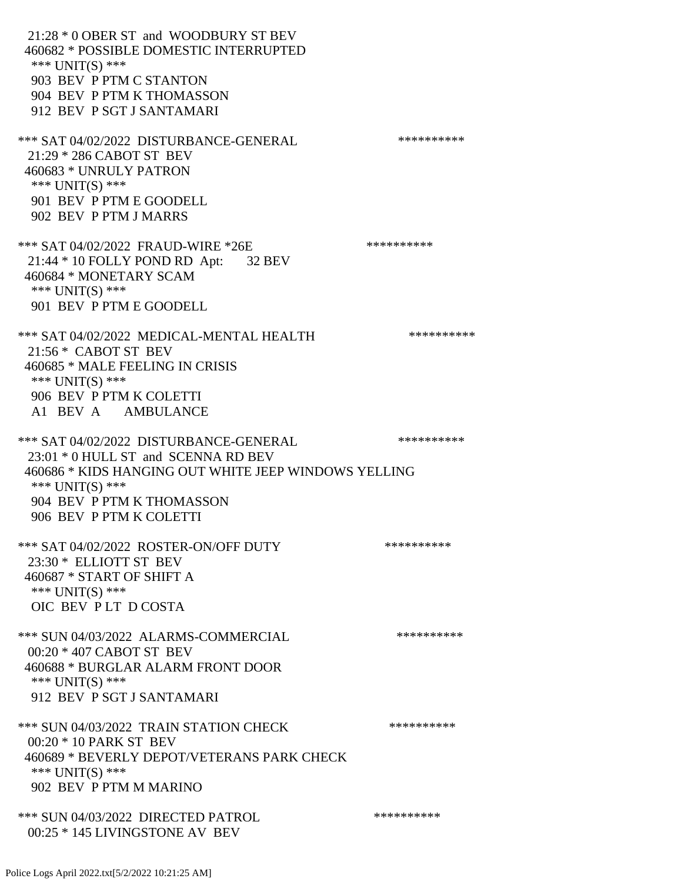21:28 \* 0 OBER ST and WOODBURY ST BEV 460682 \* POSSIBLE DOMESTIC INTERRUPTED \*\*\* UNIT(S) \*\*\* 903 BEV P PTM C STANTON 904 BEV P PTM K THOMASSON 912 BEV P SGT J SANTAMARI \*\*\* SAT 04/02/2022 DISTURBANCE-GENERAL \*\*\*\*\*\*\*\*\*\* 21:29 \* 286 CABOT ST BEV 460683 \* UNRULY PATRON \*\*\* UNIT(S) \*\*\* 901 BEV P PTM E GOODELL 902 BEV P PTM J MARRS \*\*\* SAT 04/02/2022 FRAUD-WIRE \*26E \*\*\*\*\*\*\*\*\*\* 21:44 \* 10 FOLLY POND RD Apt: 32 BEV 460684 \* MONETARY SCAM \*\*\* UNIT(S) \*\*\* 901 BEV P PTM E GOODELL \*\*\* SAT 04/02/2022 MEDICAL-MENTAL HEALTH \*\*\*\*\*\*\*\*\*\* 21:56 \* CABOT ST BEV 460685 \* MALE FEELING IN CRISIS \*\*\* UNIT(S) \*\*\* 906 BEV P PTM K COLETTI A1 BEV A AMBULANCE \*\*\* SAT 04/02/2022 DISTURBANCE-GENERAL \*\*\*\*\*\*\*\*\*\* 23:01 \* 0 HULL ST and SCENNA RD BEV 460686 \* KIDS HANGING OUT WHITE JEEP WINDOWS YELLING \*\*\* UNIT(S) \*\*\* 904 BEV P PTM K THOMASSON 906 BEV P PTM K COLETTI \*\*\* SAT 04/02/2022 ROSTER-ON/OFF DUTY \*\*\*\*\*\*\*\*\*\* 23:30 \* ELLIOTT ST BEV 460687 \* START OF SHIFT A \*\*\* UNIT(S) \*\*\* OIC BEV P LT D COSTA \*\*\* SUN 04/03/2022 ALARMS-COMMERCIAL \*\*\*\*\*\*\*\*\*\* 00:20 \* 407 CABOT ST BEV 460688 \* BURGLAR ALARM FRONT DOOR \*\*\* UNIT(S) \*\*\* 912 BEV P SGT J SANTAMARI \*\*\* SUN 04/03/2022 TRAIN STATION CHECK \*\*\*\*\*\*\*\*\*\* 00:20 \* 10 PARK ST BEV 460689 \* BEVERLY DEPOT/VETERANS PARK CHECK \*\*\* UNIT(S) \*\*\* 902 BEV P PTM M MARINO \*\*\* SUN 04/03/2022 DIRECTED PATROL \*\*\*\*\*\*\*\*\*\* 00:25 \* 145 LIVINGSTONE AV BEV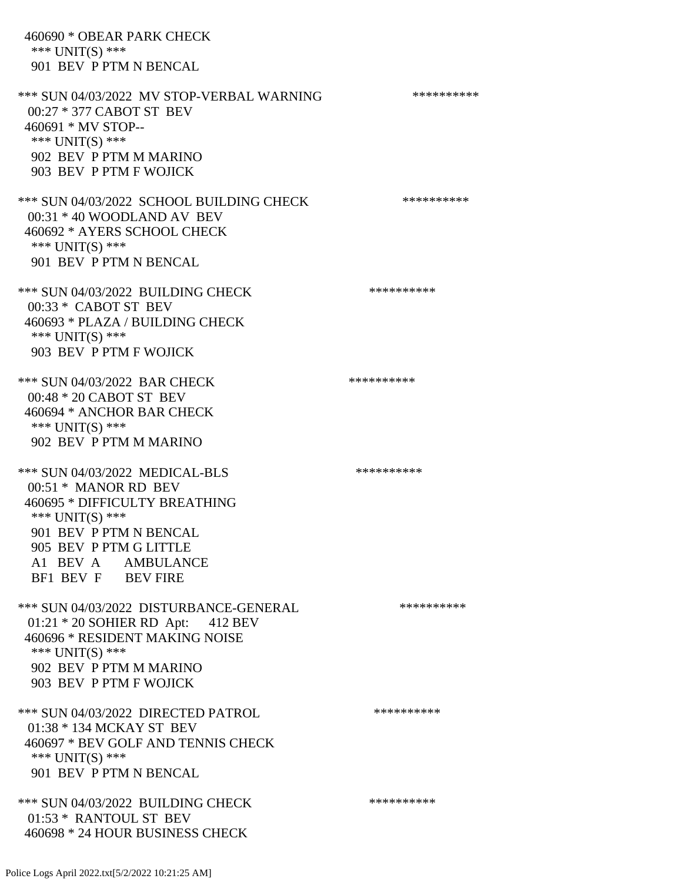460690 \* OBEAR PARK CHECK \*\*\* UNIT(S) \*\*\* 901 BEV P PTM N BENCAL \*\*\* SUN 04/03/2022 MV STOP-VERBAL WARNING \*\*\*\*\*\*\*\*\*\*\*\* 00:27 \* 377 CABOT ST BEV 460691 \* MV STOP-- \*\*\* UNIT(S) \*\*\* 902 BEV P PTM M MARINO 903 BEV P PTM F WOJICK \*\*\* SUN 04/03/2022 SCHOOL BUILDING CHECK \*\*\*\*\*\*\*\*\*\*\* 00:31 \* 40 WOODLAND AV BEV 460692 \* AYERS SCHOOL CHECK \*\*\* UNIT(S) \*\*\* 901 BEV P PTM N BENCAL \*\*\* SUN 04/03/2022 BUILDING CHECK \*\*\*\*\*\*\*\*\*\*\*\* 00:33 \* CABOT ST BEV 460693 \* PLAZA / BUILDING CHECK \*\*\* UNIT(S) \*\*\* 903 BEV P PTM F WOJICK \*\*\* SUN 04/03/2022 BAR CHECK \*\*\*\*\*\*\*\*\*\*\*\* 00:48 \* 20 CABOT ST BEV 460694 \* ANCHOR BAR CHECK \*\*\* UNIT(S) \*\*\* 902 BEV P PTM M MARINO \*\*\* SUN 04/03/2022 MEDICAL-BLS \*\*\*\*\*\*\*\*\*\*\*\*\* 00:51 \* MANOR RD BEV 460695 \* DIFFICULTY BREATHING \*\*\* UNIT(S) \*\*\* 901 BEV P PTM N BENCAL 905 BEV P PTM G LITTLE A1 BEV A AMBULANCE BF1 BEV F BEV FIRE \*\*\* SUN 04/03/2022 DISTURBANCE-GENERAL \*\*\*\*\*\*\*\*\*\*\*\* 01:21 \* 20 SOHIER RD Apt: 412 BEV 460696 \* RESIDENT MAKING NOISE \*\*\* UNIT(S) \*\*\* 902 BEV P PTM M MARINO 903 BEV P PTM F WOJICK \*\*\* SUN 04/03/2022 DIRECTED PATROL \*\*\*\*\*\*\*\*\*\* 01:38 \* 134 MCKAY ST BEV 460697 \* BEV GOLF AND TENNIS CHECK \*\*\* UNIT(S) \*\*\* 901 BEV P PTM N BENCAL \*\*\* SUN 04/03/2022 BUILDING CHECK \*\*\*\*\*\*\*\*\*\* 01:53 \* RANTOUL ST BEV 460698 \* 24 HOUR BUSINESS CHECK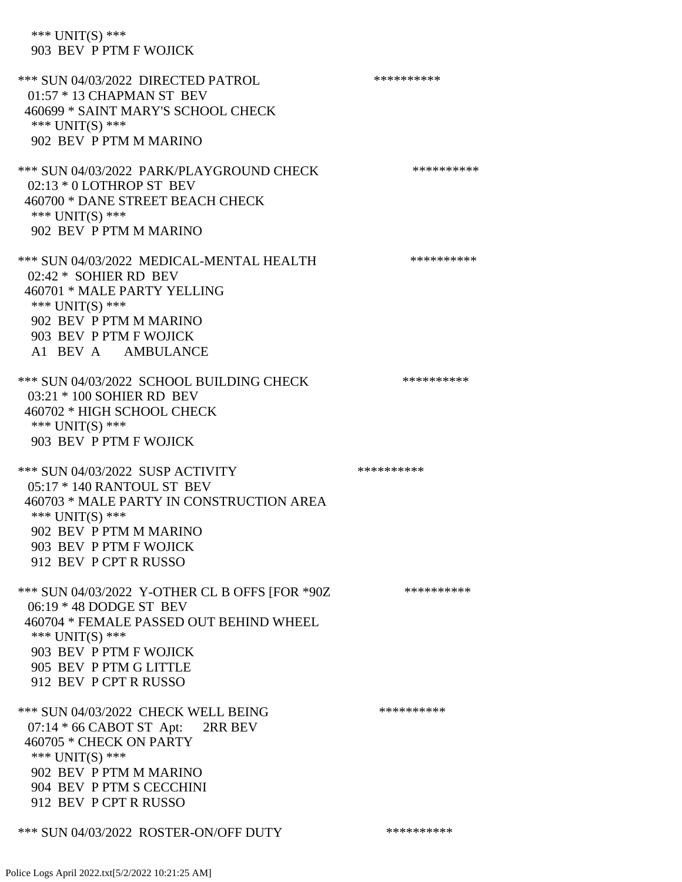\*\*\* UNIT(S) \*\*\* 903 BEV P PTM F WOJICK

\*\*\* SUN 04/03/2022 DIRECTED PATROL \*\*\*\*\*\*\*\*\*\* 01:57 \* 13 CHAPMAN ST BEV 460699 \* SAINT MARY'S SCHOOL CHECK \*\*\* UNIT(S) \*\*\* 902 BEV P PTM M MARINO \*\*\* SUN 04/03/2022 PARK/PLAYGROUND CHECK \*\*\*\*\*\*\*\*\*\*\*\* 02:13 \* 0 LOTHROP ST BEV 460700 \* DANE STREET BEACH CHECK \*\*\* UNIT(S) \*\*\* 902 BEV P PTM M MARINO \*\*\* SUN 04/03/2022 MEDICAL-MENTAL HEALTH \*\*\*\*\*\*\*\*\*\*\* 02:42 \* SOHIER RD BEV 460701 \* MALE PARTY YELLING \*\*\* UNIT(S) \*\*\* 902 BEV P PTM M MARINO 903 BEV P PTM F WOJICK A1 BEV A AMBULANCE \*\*\* SUN 04/03/2022 SCHOOL BUILDING CHECK \*\*\*\*\*\*\*\*\*\*\*\* 03:21 \* 100 SOHIER RD BEV 460702 \* HIGH SCHOOL CHECK \*\*\* UNIT(S) \*\*\* 903 BEV P PTM F WOJICK \*\*\* SUN 04/03/2022 SUSP ACTIVITY \*\*\*\*\*\*\*\*\*\*\*\* 05:17 \* 140 RANTOUL ST BEV 460703 \* MALE PARTY IN CONSTRUCTION AREA \*\*\* UNIT(S) \*\*\* 902 BEV P PTM M MARINO 903 BEV P PTM F WOJICK 912 BEV P CPT R RUSSO \*\*\* SUN 04/03/2022 Y-OTHER CL B OFFS [FOR \*90Z \*\*\*\*\*\*\*\*\*\* 06:19 \* 48 DODGE ST BEV 460704 \* FEMALE PASSED OUT BEHIND WHEEL \*\*\* UNIT(S) \*\*\* 903 BEV P PTM F WOJICK 905 BEV P PTM G LITTLE 912 BEV P CPT R RUSSO \*\*\* SUN 04/03/2022 CHECK WELL BEING \*\*\*\*\*\*\*\*\*\*\*\*\* 07:14 \* 66 CABOT ST Apt: 2RR BEV 460705 \* CHECK ON PARTY \*\*\* UNIT(S) \*\*\* 902 BEV P PTM M MARINO 904 BEV P PTM S CECCHINI 912 BEV P CPT R RUSSO \*\*\* SUN 04/03/2022 ROSTER-ON/OFF DUTY \*\*\*\*\*\*\*\*\*\*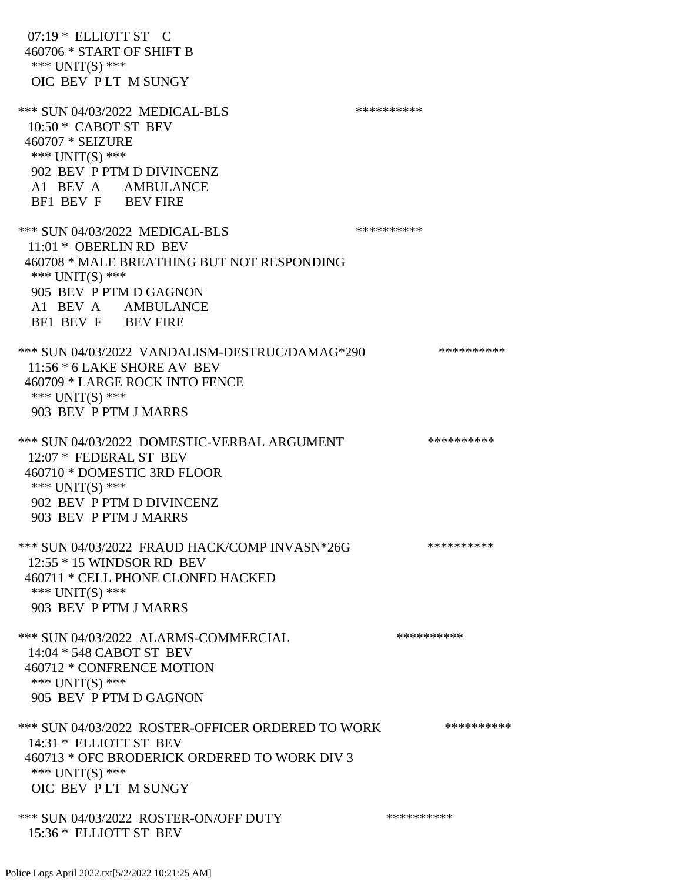| $07:19*$ ELLIOTT ST C<br>460706 * START OF SHIFT B<br>*** UNIT(S) ***<br>OIC BEV PLT M SUNGY                                                                                                    |            |
|-------------------------------------------------------------------------------------------------------------------------------------------------------------------------------------------------|------------|
| *** SUN 04/03/2022 MEDICAL-BLS<br>$10:50 *$ CABOT ST BEV<br>460707 * SEIZURE<br>*** UNIT(S) ***<br>902 BEV P PTM D DIVINCENZ<br>A1 BEV A AMBULANCE<br>BF1 BEV F BEV FIRE                        | ********** |
| *** SUN 04/03/2022 MEDICAL-BLS<br>11:01 * OBERLIN RD BEV<br>460708 * MALE BREATHING BUT NOT RESPONDING<br>*** UNIT(S) ***<br>905 BEV P PTM D GAGNON<br>A1 BEV A AMBULANCE<br>BF1 BEV F BEV FIRE | ********** |
| *** SUN 04/03/2022 VANDALISM-DESTRUC/DAMAG*290<br>11:56 * 6 LAKE SHORE AV BEV<br>460709 * LARGE ROCK INTO FENCE<br>*** $UNIT(S)$ ***<br>903 BEV P PTM J MARRS                                   | ********** |
| *** SUN 04/03/2022 DOMESTIC-VERBAL ARGUMENT<br>12:07 * FEDERAL ST BEV<br>460710 * DOMESTIC 3RD FLOOR<br>*** UNIT(S) ***<br>902 BEV P PTM D DIVINCENZ<br>903 BEV P PTM J MARRS                   | ********** |
| *** SUN 04/03/2022 FRAUD HACK/COMP INVASN*26G<br>12:55 * 15 WINDSOR RD BEV<br>460711 * CELL PHONE CLONED HACKED<br>*** $UNIT(S)$ ***<br>903 BEV P PTM J MARRS                                   | ********** |
| *** SUN 04/03/2022 ALARMS-COMMERCIAL<br>14:04 * 548 CABOT ST BEV<br>460712 * CONFRENCE MOTION<br>*** UNIT(S) ***<br>905 BEV P PTM D GAGNON                                                      | ********** |
| *** SUN 04/03/2022 ROSTER-OFFICER ORDERED TO WORK<br>14:31 * ELLIOTT ST BEV<br>460713 * OFC BRODERICK ORDERED TO WORK DIV 3<br>*** $UNIT(S)$ ***<br>OIC BEV PLT M SUNGY                         | ********** |
| *** SUN 04/03/2022 ROSTER-ON/OFF DUTY<br>15:36 * ELLIOTT ST BEV                                                                                                                                 | ********** |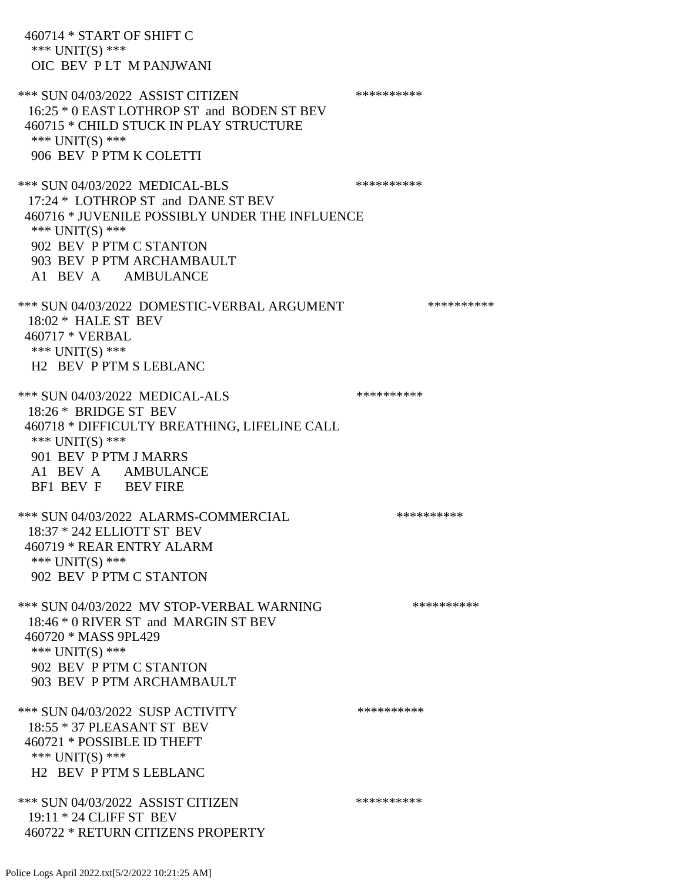460714 \* START OF SHIFT C \*\*\* UNIT(S) \*\*\* OIC BEV P LT M PANJWANI \*\*\* SUN 04/03/2022 ASSIST CITIZEN \*\*\*\*\*\*\*\*\*\* 16:25 \* 0 EAST LOTHROP ST and BODEN ST BEV 460715 \* CHILD STUCK IN PLAY STRUCTURE \*\*\* UNIT(S) \*\*\* 906 BEV P PTM K COLETTI \*\*\* SUN 04/03/2022 MEDICAL-BLS \*\*\*\*\*\*\*\*\*\* 17:24 \* LOTHROP ST and DANE ST BEV 460716 \* JUVENILE POSSIBLY UNDER THE INFLUENCE \*\*\* UNIT(S) \*\*\* 902 BEV P PTM C STANTON 903 BEV P PTM ARCHAMBAULT A1 BEV A AMBULANCE \*\*\* SUN 04/03/2022 DOMESTIC-VERBAL ARGUMENT \*\*\*\*\*\*\*\*\*\*\*\*\* 18:02 \* HALE ST BEV 460717 \* VERBAL \*\*\* UNIT(S) \*\*\* H2 BEV P PTM S LEBLANC \*\*\* SUN 04/03/2022 MEDICAL-ALS \*\*\*\*\*\*\*\*\*\* 18:26 \* BRIDGE ST BEV 460718 \* DIFFICULTY BREATHING, LIFELINE CALL \*\*\* UNIT(S) \*\*\* 901 BEV P PTM J MARRS A1 BEV A AMBULANCE BF1 BEV F BEV FIRE \*\*\* SUN 04/03/2022 ALARMS-COMMERCIAL \*\*\*\*\*\*\*\*\*\* 18:37 \* 242 ELLIOTT ST BEV 460719 \* REAR ENTRY ALARM \*\*\*  $UNIT(S)$  \*\*\* 902 BEV P PTM C STANTON \*\*\* SUN 04/03/2022 MV STOP-VERBAL WARNING \*\*\*\*\*\*\*\*\*\*\*\* 18:46 \* 0 RIVER ST and MARGIN ST BEV 460720 \* MASS 9PL429 \*\*\* UNIT(S) \*\*\* 902 BEV P PTM C STANTON 903 BEV P PTM ARCHAMBAULT \*\*\* SUN 04/03/2022 SUSP ACTIVITY \*\*\*\*\*\*\*\*\*\*\*\* 18:55 \* 37 PLEASANT ST BEV 460721 \* POSSIBLE ID THEFT \*\*\* UNIT(S) \*\*\* H2 BEV P PTM S LEBLANC \*\*\* SUN 04/03/2022 ASSIST CITIZEN \*\*\*\*\*\*\*\*\*\*\*\* 19:11 \* 24 CLIFF ST BEV 460722 \* RETURN CITIZENS PROPERTY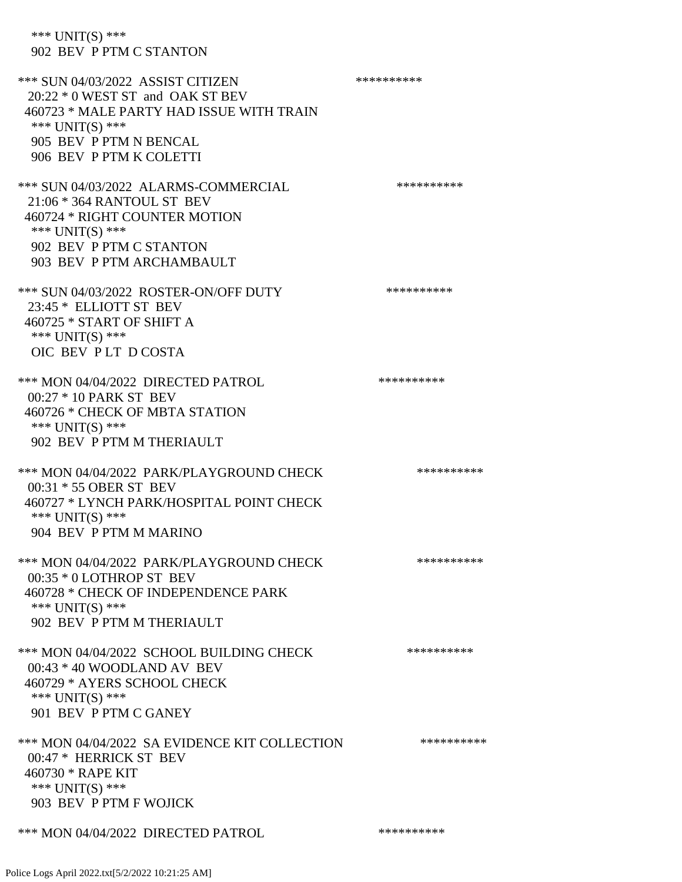\*\*\* UNIT(S) \*\*\* 902 BEV P PTM C STANTON \*\*\* SUN 04/03/2022 ASSIST CITIZEN \*\*\*\*\*\*\*\*\*\*\*\* 20:22 \* 0 WEST ST and OAK ST BEV 460723 \* MALE PARTY HAD ISSUE WITH TRAIN \*\*\* UNIT(S) \*\*\* 905 BEV P PTM N BENCAL 906 BEV P PTM K COLETTI \*\*\* SUN 04/03/2022 ALARMS-COMMERCIAL \*\*\*\*\*\*\*\*\*\* 21:06 \* 364 RANTOUL ST BEV 460724 \* RIGHT COUNTER MOTION \*\*\* UNIT(S) \*\*\* 902 BEV P PTM C STANTON 903 BEV P PTM ARCHAMBAULT \*\*\* SUN 04/03/2022 ROSTER-ON/OFF DUTY \*\*\*\*\*\*\*\*\*\* 23:45 \* ELLIOTT ST BEV 460725 \* START OF SHIFT A \*\*\* UNIT(S) \*\*\* OIC BEV P LT D COSTA \*\*\* MON 04/04/2022 DIRECTED PATROL \*\*\*\*\*\*\*\*\*\* 00:27 \* 10 PARK ST BEV 460726 \* CHECK OF MBTA STATION \*\*\* UNIT(S) \*\*\* 902 BEV P PTM M THERIAULT \*\*\* MON 04/04/2022 PARK/PLAYGROUND CHECK \*\*\*\*\*\*\*\*\*\*\*\* 00:31 \* 55 OBER ST BEV 460727 \* LYNCH PARK/HOSPITAL POINT CHECK \*\*\* UNIT(S) \*\*\* 904 BEV P PTM M MARINO \*\*\* MON 04/04/2022 PARK/PLAYGROUND CHECK \*\*\*\*\*\*\*\*\*\*\* 00:35 \* 0 LOTHROP ST BEV 460728 \* CHECK OF INDEPENDENCE PARK \*\*\* UNIT(S) \*\*\* 902 BEV P PTM M THERIAULT \*\*\* MON 04/04/2022 SCHOOL BUILDING CHECK \*\*\*\*\*\*\*\*\*\*\* 00:43 \* 40 WOODLAND AV BEV 460729 \* AYERS SCHOOL CHECK \*\*\* UNIT(S) \*\*\* 901 BEV P PTM C GANEY \*\*\* MON 04/04/2022 SA EVIDENCE KIT COLLECTION \*\*\*\*\*\*\*\*\*\* 00:47 \* HERRICK ST BEV 460730 \* RAPE KIT \*\*\* UNIT(S) \*\*\* 903 BEV P PTM F WOJICK

\*\*\* MON 04/04/2022 DIRECTED PATROL \*\*\*\*\*\*\*\*\*\*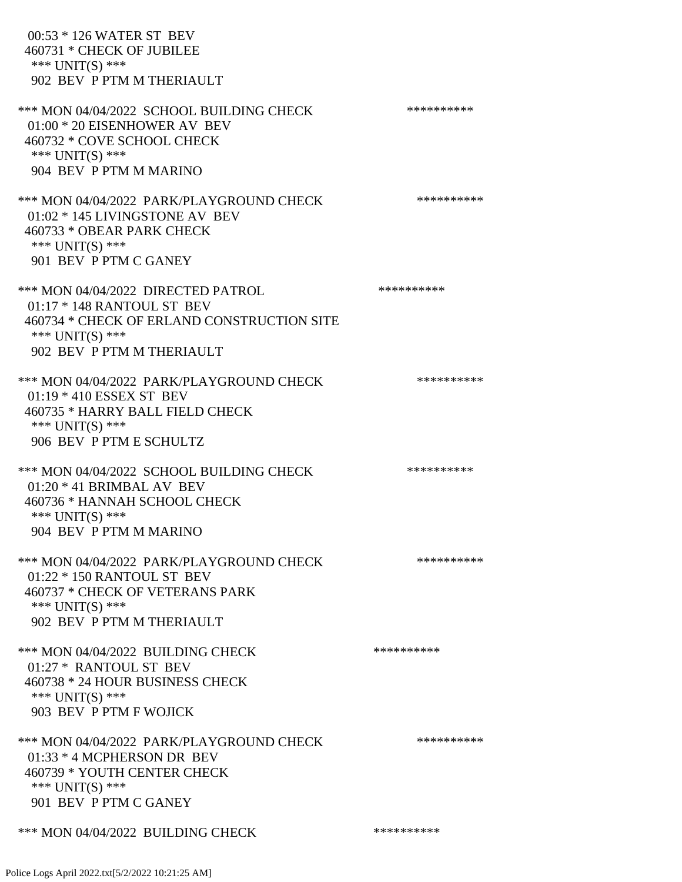| 00:53 * 126 WATER ST BEV<br>460731 * CHECK OF JUBILEE<br>*** UNIT(S) ***<br>902 BEV P PTM M THERIAULT                                                          |            |
|----------------------------------------------------------------------------------------------------------------------------------------------------------------|------------|
| *** MON 04/04/2022 SCHOOL BUILDING CHECK<br>01:00 * 20 EISENHOWER AV BEV<br>460732 * COVE SCHOOL CHECK<br>*** UNIT(S) ***<br>904 BEV P PTM M MARINO            | ********** |
| *** MON 04/04/2022 PARK/PLAYGROUND CHECK<br>01:02 * 145 LIVINGSTONE AV BEV<br>460733 * OBEAR PARK CHECK<br>*** $UNIT(S)$ ***<br>901 BEV P PTM C GANEY          | ********** |
| *** MON 04/04/2022 DIRECTED PATROL<br>01:17 * 148 RANTOUL ST BEV<br>460734 * CHECK OF ERLAND CONSTRUCTION SITE<br>*** UNIT(S) ***<br>902 BEV P PTM M THERIAULT | ********** |
| *** MON 04/04/2022 PARK/PLAYGROUND CHECK<br>01:19 * 410 ESSEX ST BEV<br>460735 * HARRY BALL FIELD CHECK<br>*** $UNIT(S)$ ***<br>906 BEV P PTM E SCHULTZ        | ********** |
| *** MON 04/04/2022 SCHOOL BUILDING CHECK<br>$01:20 * 41$ BRIMBAL AV BEV<br>460736 * HANNAH SCHOOL CHECK<br>*** UNIT(S) ***<br>904 BEV P PTM M MARINO           | ********** |
| *** MON 04/04/2022 PARK/PLAYGROUND CHECK<br>01:22 * 150 RANTOUL ST BEV<br>460737 * CHECK OF VETERANS PARK<br>*** UNIT(S) ***<br>902 BEV P PTM M THERIAULT      | ********** |
| *** MON 04/04/2022 BUILDING CHECK<br>01:27 * RANTOUL ST BEV<br>460738 * 24 HOUR BUSINESS CHECK<br>*** UNIT(S) ***<br>903 BEV P PTM F WOJICK                    | ********** |
| *** MON 04/04/2022 PARK/PLAYGROUND CHECK<br>01:33 * 4 MCPHERSON DR BEV<br>460739 * YOUTH CENTER CHECK<br>*** UNIT(S) ***<br>901 BEV P PTM C GANEY              | ********** |
| *** MON 04/04/2022 BUILDING CHECK                                                                                                                              | ********** |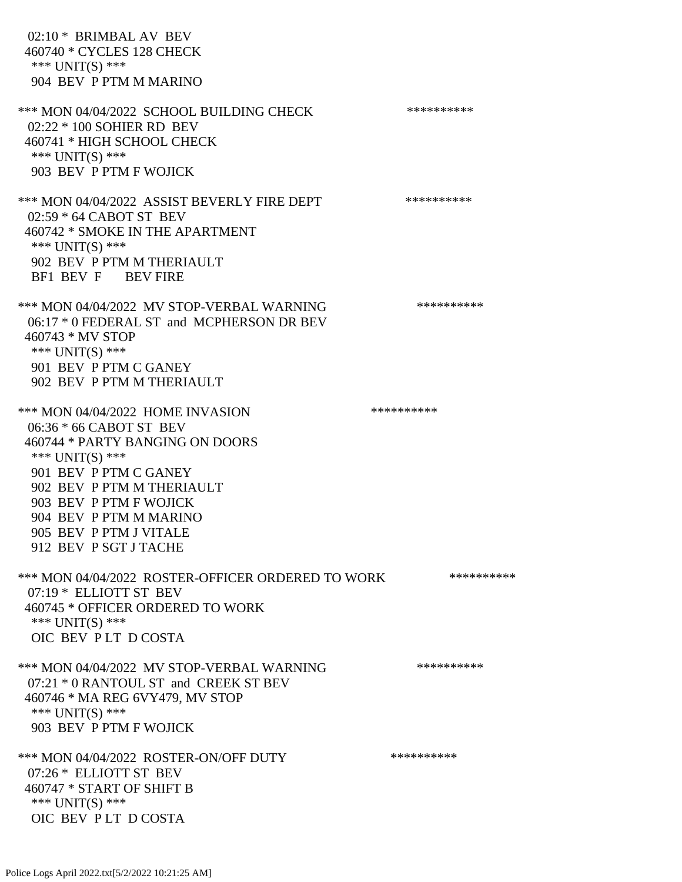02:10 \* BRIMBAL AV BEV 460740 \* CYCLES 128 CHECK \*\*\* UNIT(S) \*\*\* 904 BEV P PTM M MARINO \*\*\* MON 04/04/2022 SCHOOL BUILDING CHECK \*\*\*\*\*\*\*\*\*\*\*\* 02:22 \* 100 SOHIER RD BEV 460741 \* HIGH SCHOOL CHECK \*\*\* UNIT(S) \*\*\* 903 BEV P PTM F WOJICK \*\*\* MON 04/04/2022 ASSIST BEVERLY FIRE DEPT \*\*\*\*\*\*\*\*\*\*\*\* 02:59 \* 64 CABOT ST BEV 460742 \* SMOKE IN THE APARTMENT \*\*\* UNIT(S) \*\*\* 902 BEV P PTM M THERIAULT BF1 BEV F BEV FIRE \*\*\* MON 04/04/2022 MV STOP-VERBAL WARNING \*\*\*\*\*\*\*\*\*\*\*\* 06:17 \* 0 FEDERAL ST and MCPHERSON DR BEV 460743 \* MV STOP \*\*\* UNIT(S) \*\*\* 901 BEV P PTM C GANEY 902 BEV P PTM M THERIAULT \*\*\* MON 04/04/2022 HOME INVASION \*\*\*\*\*\*\*\*\*\* 06:36 \* 66 CABOT ST BEV 460744 \* PARTY BANGING ON DOORS \*\*\* UNIT(S) \*\*\* 901 BEV P PTM C GANEY 902 BEV P PTM M THERIAULT 903 BEV P PTM F WOJICK 904 BEV P PTM M MARINO 905 BEV P PTM J VITALE 912 BEV P SGT J TACHE \*\*\* MON 04/04/2022 ROSTER-OFFICER ORDERED TO WORK \*\*\*\*\*\*\*\*\*\*\* 07:19 \* ELLIOTT ST BEV 460745 \* OFFICER ORDERED TO WORK \*\*\* UNIT(S) \*\*\* OIC BEV P LT D COSTA \*\*\* MON 04/04/2022 MV STOP-VERBAL WARNING \*\*\*\*\*\*\*\*\*\*\*\* 07:21 \* 0 RANTOUL ST and CREEK ST BEV 460746 \* MA REG 6VY479, MV STOP \*\*\* UNIT(S) \*\*\* 903 BEV P PTM F WOJICK \*\*\* MON 04/04/2022 ROSTER-ON/OFF DUTY \*\*\*\*\*\*\*\*\*\* 07:26 \* ELLIOTT ST BEV 460747 \* START OF SHIFT B \*\*\* UNIT(S) \*\*\* OIC BEV P LT D COSTA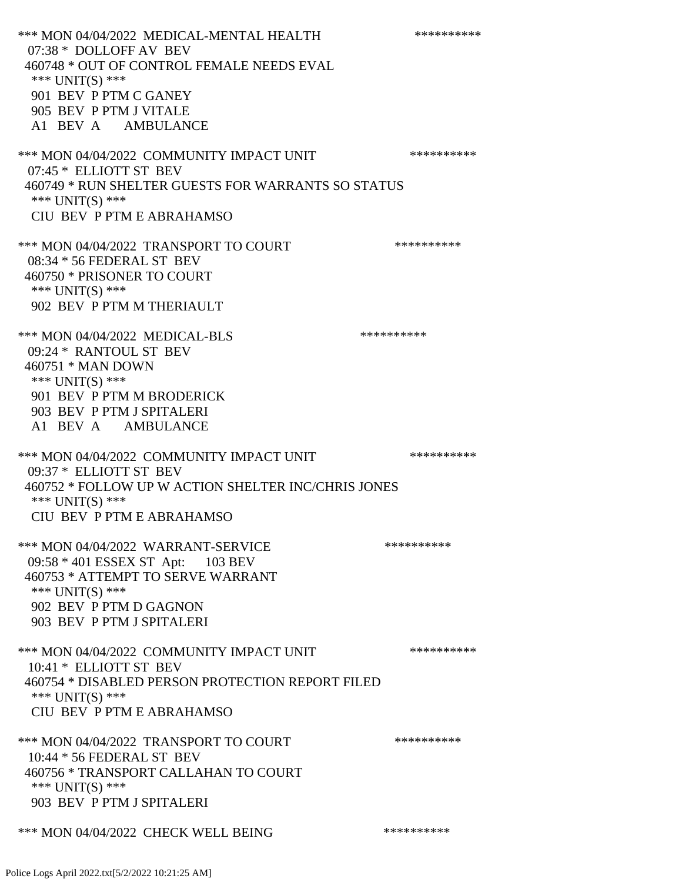\*\*\* MON 04/04/2022 MEDICAL-MENTAL HEALTH \*\*\*\*\*\*\*\*\*\* 07:38 \* DOLLOFF AV BEV 460748 \* OUT OF CONTROL FEMALE NEEDS EVAL \*\*\* UNIT(S) \*\*\* 901 BEV P PTM C GANEY 905 BEV P PTM J VITALE A1 BEV A AMBULANCE \*\*\* MON 04/04/2022 COMMUNITY IMPACT UNIT \*\*\*\*\*\*\*\*\*\*\*\* 07:45 \* ELLIOTT ST BEV 460749 \* RUN SHELTER GUESTS FOR WARRANTS SO STATUS \*\*\* UNIT(S) \*\*\* CIU BEV P PTM E ABRAHAMSO \*\*\* MON 04/04/2022 TRANSPORT TO COURT \*\*\*\*\*\*\*\*\*\*\*\* 08:34 \* 56 FEDERAL ST BEV 460750 \* PRISONER TO COURT \*\*\* UNIT(S) \*\*\* 902 BEV P PTM M THERIAULT \*\*\* MON 04/04/2022 MEDICAL-BLS \*\*\*\*\*\*\*\*\*\*\*\* 09:24 \* RANTOUL ST BEV 460751 \* MAN DOWN \*\*\* UNIT(S) \*\*\* 901 BEV P PTM M BRODERICK 903 BEV P PTM J SPITALERI A1 BEV A AMBULANCE \*\*\* MON 04/04/2022 COMMUNITY IMPACT UNIT \*\*\*\*\*\*\*\*\*\*\*\* 09:37 \* ELLIOTT ST BEV 460752 \* FOLLOW UP W ACTION SHELTER INC/CHRIS JONES \*\*\* UNIT(S) \*\*\* CIU BEV P PTM E ABRAHAMSO \*\*\* MON 04/04/2022 WARRANT-SERVICE \*\*\*\*\*\*\*\*\*\* 09:58 \* 401 ESSEX ST Apt: 103 BEV 460753 \* ATTEMPT TO SERVE WARRANT \*\*\* UNIT(S) \*\*\* 902 BEV P PTM D GAGNON 903 BEV P PTM J SPITALERI \*\*\* MON 04/04/2022 COMMUNITY IMPACT UNIT \*\*\*\*\*\*\*\*\*\*\*\* 10:41 \* ELLIOTT ST BEV 460754 \* DISABLED PERSON PROTECTION REPORT FILED \*\*\* UNIT(S) \*\*\* CIU BEV P PTM E ABRAHAMSO \*\*\* MON 04/04/2022 TRANSPORT TO COURT \*\*\*\*\*\*\*\*\*\*\*\* 10:44 \* 56 FEDERAL ST BEV 460756 \* TRANSPORT CALLAHAN TO COURT \*\*\* UNIT(S) \*\*\* 903 BEV P PTM J SPITALERI \*\*\* MON 04/04/2022 CHECK WELL BEING \*\*\*\*\*\*\*\*\*\*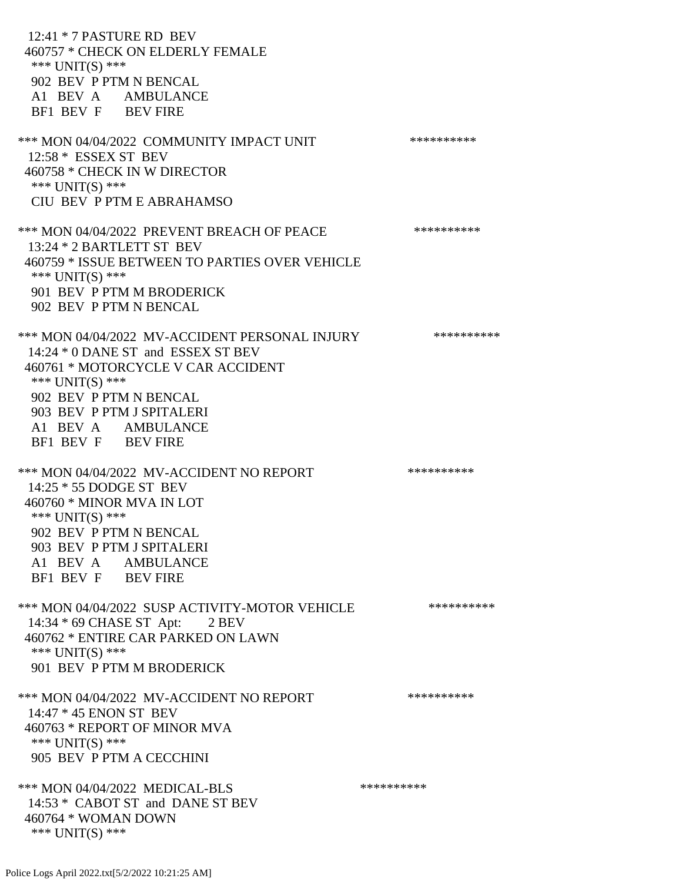12:41 \* 7 PASTURE RD BEV 460757 \* CHECK ON ELDERLY FEMALE \*\*\* UNIT(S) \*\*\* 902 BEV P PTM N BENCAL A1 BEV A AMBULANCE BF1 BEV F BEV FIRE \*\*\* MON 04/04/2022 COMMUNITY IMPACT UNIT \*\*\*\*\*\*\*\*\*\*\*\* 12:58 \* ESSEX ST BEV 460758 \* CHECK IN W DIRECTOR \*\*\* UNIT(S) \*\*\* CIU BEV P PTM E ABRAHAMSO \*\*\* MON 04/04/2022 PREVENT BREACH OF PEACE \*\*\*\*\*\*\*\*\*\* 13:24 \* 2 BARTLETT ST BEV 460759 \* ISSUE BETWEEN TO PARTIES OVER VEHICLE \*\*\* UNIT(S) \*\*\* 901 BEV P PTM M BRODERICK 902 BEV P PTM N BENCAL \*\*\* MON 04/04/2022 MV-ACCIDENT PERSONAL INJURY \*\*\*\*\*\*\*\*\*\* 14:24 \* 0 DANE ST and ESSEX ST BEV 460761 \* MOTORCYCLE V CAR ACCIDENT \*\*\* UNIT(S) \*\*\* 902 BEV P PTM N BENCAL 903 BEV P PTM J SPITALERI A1 BEV A AMBULANCE BF1 BEV F BEV FIRE \*\*\* MON 04/04/2022 MV-ACCIDENT NO REPORT \*\*\*\*\*\*\*\*\*\*\*\* 14:25 \* 55 DODGE ST BEV 460760 \* MINOR MVA IN LOT \*\*\* UNIT(S) \*\*\* 902 BEV P PTM N BENCAL 903 BEV P PTM J SPITALERI A1 BEV A AMBULANCE BF1 BEV F BEV FIRE \*\*\* MON 04/04/2022 SUSP ACTIVITY-MOTOR VEHICLE \*\*\*\*\*\*\*\*\*\*\* 14:34 \* 69 CHASE ST Apt: 2 BEV 460762 \* ENTIRE CAR PARKED ON LAWN \*\*\* UNIT(S) \*\*\* 901 BEV P PTM M BRODERICK \*\*\* MON 04/04/2022 MV-ACCIDENT NO REPORT \*\*\*\*\*\*\*\*\*\*\*\* 14:47 \* 45 ENON ST BEV 460763 \* REPORT OF MINOR MVA \*\*\* UNIT(S) \*\*\* 905 BEV P PTM A CECCHINI \*\*\* MON 04/04/2022 MEDICAL-BLS \*\*\*\*\*\*\*\*\*\* 14:53 \* CABOT ST and DANE ST BEV 460764 \* WOMAN DOWN \*\*\* UNIT(S) \*\*\*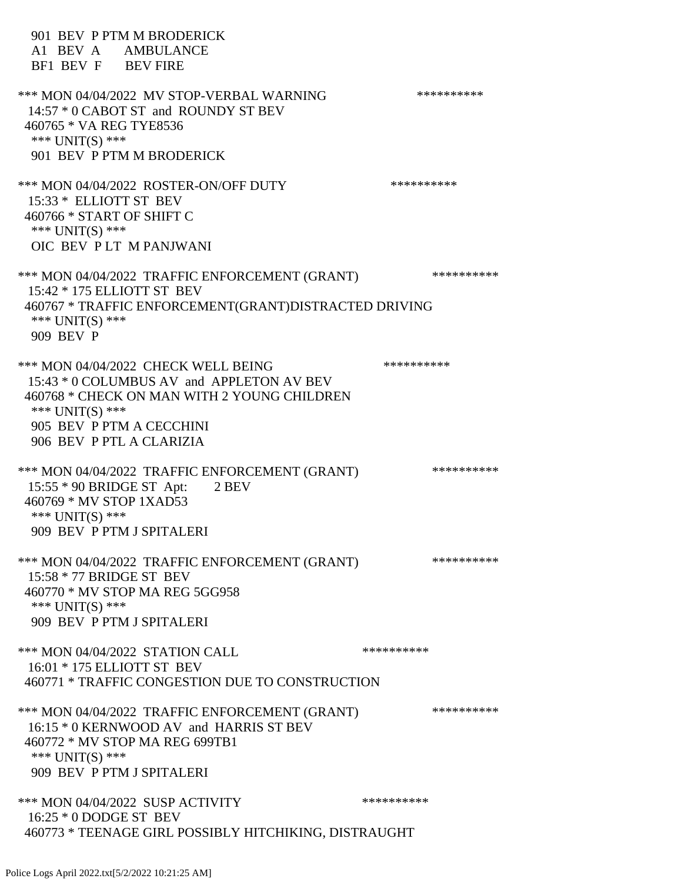901 BEV P PTM M BRODERICK A1 BEV A AMBULANCE BF1 BEV F BEV FIRE \*\*\* MON 04/04/2022 MV STOP-VERBAL WARNING \*\*\*\*\*\*\*\*\*\*\*\* 14:57 \* 0 CABOT ST and ROUNDY ST BEV 460765 \* VA REG TYE8536 \*\*\* UNIT(S) \*\*\* 901 BEV P PTM M BRODERICK \*\*\* MON 04/04/2022 ROSTER-ON/OFF DUTY \*\*\*\*\*\*\*\*\*\*\*\* 15:33 \* ELLIOTT ST BEV 460766 \* START OF SHIFT C \*\*\* UNIT(S) \*\*\* OIC BEV P LT M PANJWANI \*\*\* MON 04/04/2022 TRAFFIC ENFORCEMENT (GRANT) \*\*\*\*\*\*\*\*\*\* 15:42 \* 175 ELLIOTT ST BEV 460767 \* TRAFFIC ENFORCEMENT(GRANT)DISTRACTED DRIVING \*\*\* UNIT(S) \*\*\* 909 BEV P \*\*\* MON 04/04/2022 CHECK WELL BEING \*\*\*\*\*\*\*\*\*\* 15:43 \* 0 COLUMBUS AV and APPLETON AV BEV 460768 \* CHECK ON MAN WITH 2 YOUNG CHILDREN \*\*\* UNIT(S) \*\*\* 905 BEV P PTM A CECCHINI 906 BEV P PTL A CLARIZIA \*\*\* MON 04/04/2022 TRAFFIC ENFORCEMENT (GRANT) \*\*\*\*\*\*\*\*\*\* 15:55 \* 90 BRIDGE ST Apt: 2 BEV 460769 \* MV STOP 1XAD53 \*\*\* UNIT(S) \*\*\* 909 BEV P PTM J SPITALERI \*\*\* MON 04/04/2022 TRAFFIC ENFORCEMENT (GRANT) \*\*\*\*\*\*\*\*\*\* 15:58 \* 77 BRIDGE ST BEV 460770 \* MV STOP MA REG 5GG958 \*\*\* UNIT(S) \*\*\* 909 BEV P PTM J SPITALERI \*\*\* MON 04/04/2022 STATION CALL \*\*\*\*\*\*\*\*\*\*\*\* 16:01 \* 175 ELLIOTT ST BEV 460771 \* TRAFFIC CONGESTION DUE TO CONSTRUCTION \*\*\* MON 04/04/2022 TRAFFIC ENFORCEMENT (GRANT) \*\*\*\*\*\*\*\*\*\* 16:15 \* 0 KERNWOOD AV and HARRIS ST BEV 460772 \* MV STOP MA REG 699TB1 \*\*\* UNIT(S) \*\*\* 909 BEV P PTM J SPITALERI \*\*\* MON 04/04/2022 SUSP ACTIVITY \*\*\*\*\*\*\*\*\*\*\*\*\* 16:25 \* 0 DODGE ST BEV 460773 \* TEENAGE GIRL POSSIBLY HITCHIKING, DISTRAUGHT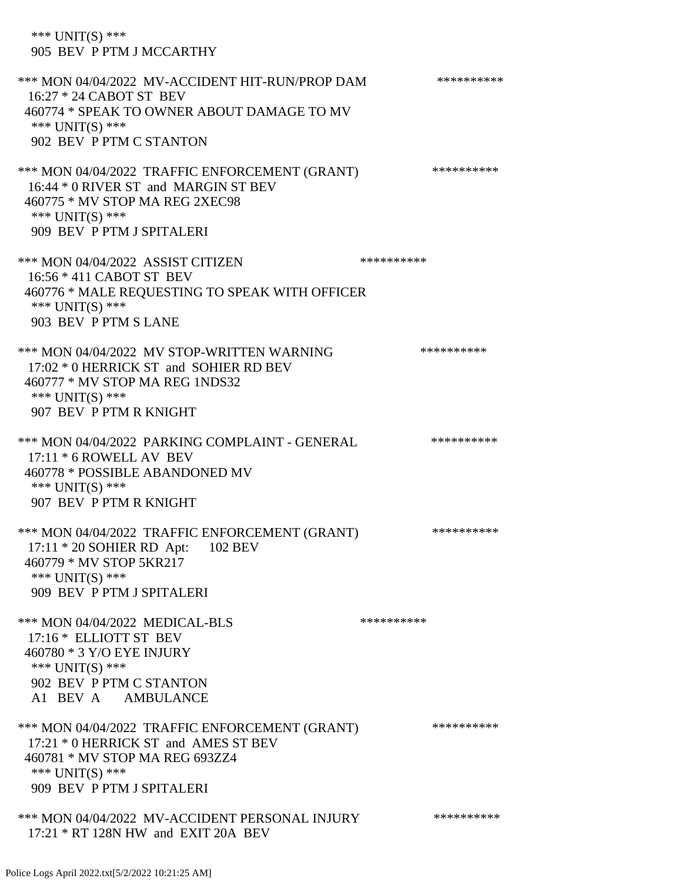\*\*\* UNIT(S) \*\*\* 905 BEV P PTM J MCCARTHY

\*\*\* MON 04/04/2022 MV-ACCIDENT HIT-RUN/PROP DAM \*\*\*\*\*\*\*\*\*\* 16:27 \* 24 CABOT ST BEV 460774 \* SPEAK TO OWNER ABOUT DAMAGE TO MV \*\*\* UNIT(S) \*\*\* 902 BEV P PTM C STANTON \*\*\* MON 04/04/2022 TRAFFIC ENFORCEMENT (GRANT) \*\*\*\*\*\*\*\*\*\* 16:44 \* 0 RIVER ST and MARGIN ST BEV 460775 \* MV STOP MA REG 2XEC98 \*\*\* UNIT(S) \*\*\* 909 BEV P PTM J SPITALERI \*\*\* MON 04/04/2022 ASSIST CITIZEN \*\*\*\*\*\*\*\*\*\*\*\*\* 16:56 \* 411 CABOT ST BEV 460776 \* MALE REQUESTING TO SPEAK WITH OFFICER \*\*\* UNIT(S) \*\*\* 903 BEV P PTM S LANE \*\*\* MON 04/04/2022 MV STOP-WRITTEN WARNING \*\*\*\*\*\*\*\*\*\*\*\* 17:02 \* 0 HERRICK ST and SOHIER RD BEV 460777 \* MV STOP MA REG 1NDS32 \*\*\* UNIT(S) \*\*\* 907 BEV P PTM R KNIGHT \*\*\* MON 04/04/2022 PARKING COMPLAINT - GENERAL \*\*\*\*\*\*\*\*\*\* 17:11 \* 6 ROWELL AV BEV 460778 \* POSSIBLE ABANDONED MV \*\*\* UNIT(S) \*\*\* 907 BEV P PTM R KNIGHT \*\*\* MON 04/04/2022 TRAFFIC ENFORCEMENT (GRANT) \*\*\*\*\*\*\*\*\*\* 17:11 \* 20 SOHIER RD Apt: 102 BEV 460779 \* MV STOP 5KR217 \*\*\* UNIT(S) \*\*\* 909 BEV P PTM J SPITALERI \*\*\* MON 04/04/2022 MEDICAL-BLS \*\*\*\*\*\*\*\*\*\* 17:16 \* ELLIOTT ST BEV 460780 \* 3 Y/O EYE INJURY \*\*\* UNIT(S) \*\*\* 902 BEV P PTM C STANTON A1 BEV A AMBULANCE \*\*\* MON 04/04/2022 TRAFFIC ENFORCEMENT (GRANT) \*\*\*\*\*\*\*\*\*\* 17:21 \* 0 HERRICK ST and AMES ST BEV 460781 \* MV STOP MA REG 693ZZ4 \*\*\* UNIT(S) \*\*\* 909 BEV P PTM J SPITALERI \*\*\* MON 04/04/2022 MV-ACCIDENT PERSONAL INJURY \*\*\*\*\*\*\*\*\*\* 17:21 \* RT 128N HW and EXIT 20A BEV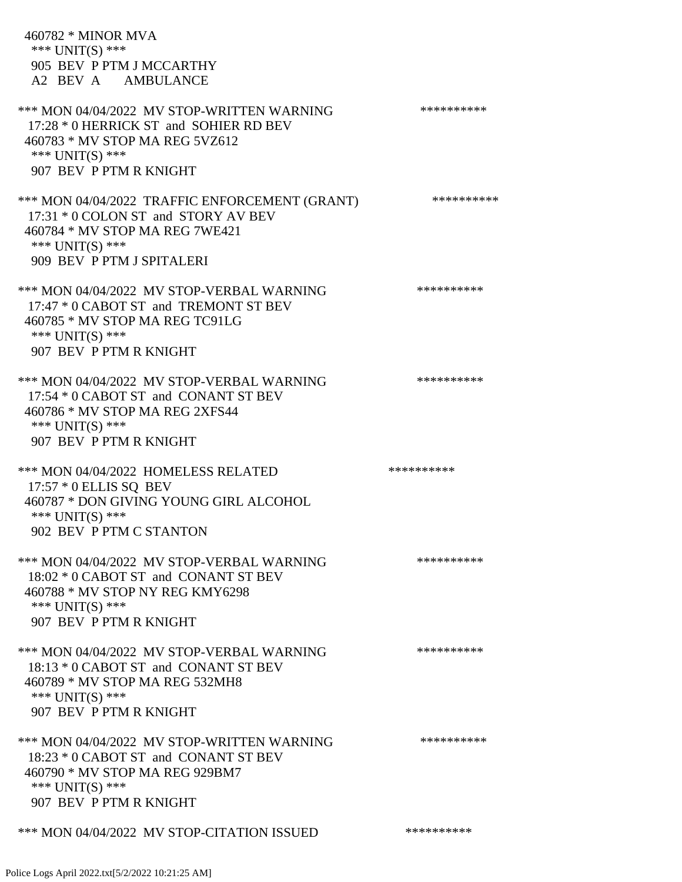| 460782 * MINOR MVA<br>*** $UNIT(S)$ ***<br>905 BEV P PTM J MCCARTHY<br>A2 BEV A AMBULANCE                                                                                 |            |
|---------------------------------------------------------------------------------------------------------------------------------------------------------------------------|------------|
| *** MON 04/04/2022 MV STOP-WRITTEN WARNING<br>17:28 * 0 HERRICK ST and SOHIER RD BEV<br>460783 * MV STOP MA REG 5VZ612<br>*** UNIT(S) ***<br>907 BEV P PTM R KNIGHT       | ********** |
| *** MON 04/04/2022 TRAFFIC ENFORCEMENT (GRANT)<br>17:31 * 0 COLON ST and STORY AV BEV<br>460784 * MV STOP MA REG 7WE421<br>*** $UNIT(S)$ ***<br>909 BEV P PTM J SPITALERI | ********** |
| *** MON 04/04/2022 MV STOP-VERBAL WARNING<br>17:47 * 0 CABOT ST and TREMONT ST BEV<br>460785 * MV STOP MA REG TC91LG<br>*** $UNIT(S)$ ***<br>907 BEV P PTM R KNIGHT       | ********** |
| *** MON 04/04/2022 MV STOP-VERBAL WARNING<br>17:54 * 0 CABOT ST and CONANT ST BEV<br>460786 * MV STOP MA REG 2XFS44<br>*** UNIT(S) ***<br>907 BEV P PTM R KNIGHT          | ********** |
| *** MON 04/04/2022 HOMELESS RELATED<br>17:57 * 0 ELLIS SQ BEV<br>460787 * DON GIVING YOUNG GIRL ALCOHOL<br>*** $UNIT(S)$ ***<br>902 BEV P PTM C STANTON                   | ********** |
| *** MON 04/04/2022 MV STOP-VERBAL WARNING<br>18:02 * 0 CABOT ST and CONANT ST BEV<br>460788 * MV STOP NY REG KMY6298<br>*** UNIT(S) ***<br>907 BEV P PTM R KNIGHT         | ********** |
| *** MON 04/04/2022 MV STOP-VERBAL WARNING<br>18:13 * 0 CABOT ST and CONANT ST BEV<br>460789 * MV STOP MA REG 532MH8<br>*** $UNIT(S)$ ***<br>907 BEV P PTM R KNIGHT        | ********** |
| *** MON 04/04/2022 MV STOP-WRITTEN WARNING<br>18:23 * 0 CABOT ST and CONANT ST BEV<br>460790 * MV STOP MA REG 929BM7<br>*** $UNIT(S)$ ***<br>907 BEV P PTM R KNIGHT       | ********** |
| *** MON 04/04/2022 MV STOP-CITATION ISSUED                                                                                                                                | ********** |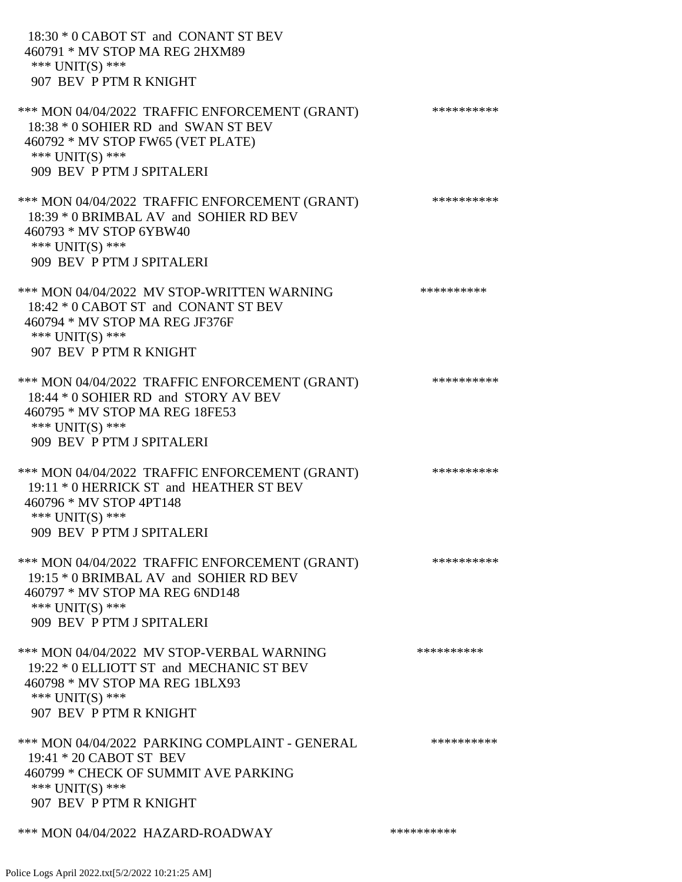| 18:30 * 0 CABOT ST and CONANT ST BEV<br>460791 * MV STOP MA REG 2HXM89<br>*** $UNIT(S)$ ***<br>907 BEV P PTM R KNIGHT                                                      |            |
|----------------------------------------------------------------------------------------------------------------------------------------------------------------------------|------------|
| *** MON 04/04/2022 TRAFFIC ENFORCEMENT (GRANT)<br>18:38 * 0 SOHIER RD and SWAN ST BEV<br>460792 * MV STOP FW65 (VET PLATE)<br>*** UNIT(S) ***<br>909 BEV P PTM J SPITALERI | ********** |
| *** MON 04/04/2022 TRAFFIC ENFORCEMENT (GRANT)<br>18:39 * 0 BRIMBAL AV and SOHIER RD BEV<br>460793 * MV STOP 6YBW40<br>*** UNIT(S) ***<br>909 BEV P PTM J SPITALERI        | ********** |
| *** MON 04/04/2022 MV STOP-WRITTEN WARNING<br>18:42 * 0 CABOT ST and CONANT ST BEV<br>460794 * MV STOP MA REG JF376F<br>*** UNIT(S) ***<br>907 BEV P PTM R KNIGHT          | ********** |
| *** MON 04/04/2022 TRAFFIC ENFORCEMENT (GRANT)<br>18:44 * 0 SOHIER RD and STORY AV BEV<br>460795 * MV STOP MA REG 18FE53<br>*** $UNIT(S)$ ***<br>909 BEV P PTM J SPITALERI | ********** |
| *** MON 04/04/2022 TRAFFIC ENFORCEMENT (GRANT)<br>19:11 * 0 HERRICK ST and HEATHER ST BEV<br>460796 * MV STOP 4PT148<br>*** $UNIT(S)$ ***<br>909 BEV P PTM J SPITALERI     | ********** |
| *** MON 04/04/2022 TRAFFIC ENFORCEMENT (GRANT)<br>19:15 * 0 BRIMBAL AV and SOHIER RD BEV<br>460797 * MV STOP MA REG 6ND148<br>*** UNIT(S) ***<br>909 BEV P PTM J SPITALERI | ********** |
| *** MON 04/04/2022 MV STOP-VERBAL WARNING<br>19:22 * 0 ELLIOTT ST and MECHANIC ST BEV<br>460798 * MV STOP MA REG 1BLX93<br>*** $UNIT(S)$ ***<br>907 BEV P PTM R KNIGHT     | ********** |
| *** MON 04/04/2022 PARKING COMPLAINT - GENERAL<br>19:41 * 20 CABOT ST BEV<br>460799 * CHECK OF SUMMIT AVE PARKING<br>*** $UNIT(S)$ ***<br>907 BEV P PTM R KNIGHT           | ********** |
| *** MON 04/04/2022 HAZARD-ROADWAY                                                                                                                                          | ********** |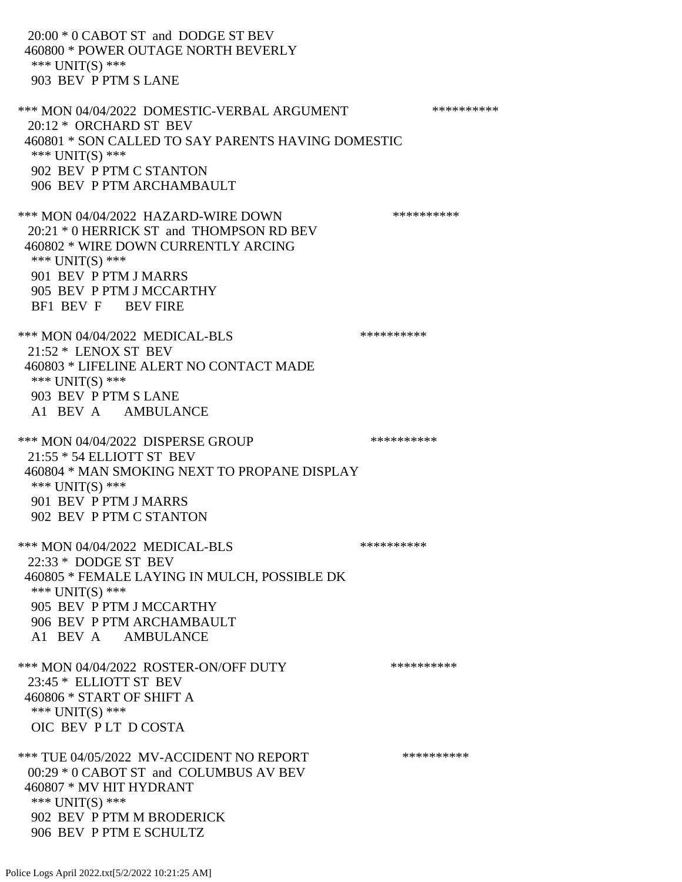20:00 \* 0 CABOT ST and DODGE ST BEV 460800 \* POWER OUTAGE NORTH BEVERLY \*\*\* UNIT(S) \*\*\* 903 BEV P PTM S LANE \*\*\* MON 04/04/2022 DOMESTIC-VERBAL ARGUMENT \*\*\*\*\*\*\*\*\*\*\*\*\* 20:12 \* ORCHARD ST BEV 460801 \* SON CALLED TO SAY PARENTS HAVING DOMESTIC \*\*\* UNIT(S) \*\*\* 902 BEV P PTM C STANTON 906 BEV P PTM ARCHAMBAULT \*\*\* MON 04/04/2022 HAZARD-WIRE DOWN \*\*\*\*\*\*\*\*\*\* 20:21 \* 0 HERRICK ST and THOMPSON RD BEV 460802 \* WIRE DOWN CURRENTLY ARCING \*\*\* UNIT(S) \*\*\* 901 BEV P PTM J MARRS 905 BEV P PTM J MCCARTHY BF1 BEV F BEV FIRE \*\*\* MON 04/04/2022 MEDICAL-BLS \*\*\*\*\*\*\*\*\*\*\*\* 21:52 \* LENOX ST BEV 460803 \* LIFELINE ALERT NO CONTACT MADE \*\*\* UNIT(S) \*\*\* 903 BEV P PTM S LANE A1 BEV A AMBULANCE \*\*\* MON 04/04/2022 DISPERSE GROUP \*\*\*\*\*\*\*\*\*\* 21:55 \* 54 ELLIOTT ST BEV 460804 \* MAN SMOKING NEXT TO PROPANE DISPLAY \*\*\* UNIT(S) \*\*\* 901 BEV P PTM J MARRS 902 BEV P PTM C STANTON \*\*\* MON 04/04/2022 MEDICAL-BLS \*\*\*\*\*\*\*\*\*\*\*\*\* 22:33 \* DODGE ST BEV 460805 \* FEMALE LAYING IN MULCH, POSSIBLE DK \*\*\* UNIT(S) \*\*\* 905 BEV P PTM J MCCARTHY 906 BEV P PTM ARCHAMBAULT A1 BEV A AMBULANCE \*\*\* MON 04/04/2022 ROSTER-ON/OFF DUTY \*\*\*\*\*\*\*\*\*\* 23:45 \* ELLIOTT ST BEV 460806 \* START OF SHIFT A \*\*\* UNIT(S) \*\*\* OIC BEV P LT D COSTA \*\*\* TUE 04/05/2022 MV-ACCIDENT NO REPORT \*\*\*\*\*\*\*\*\*\*\*\*\* 00:29 \* 0 CABOT ST and COLUMBUS AV BEV 460807 \* MV HIT HYDRANT \*\*\* UNIT(S) \*\*\* 902 BEV P PTM M BRODERICK 906 BEV P PTM E SCHULTZ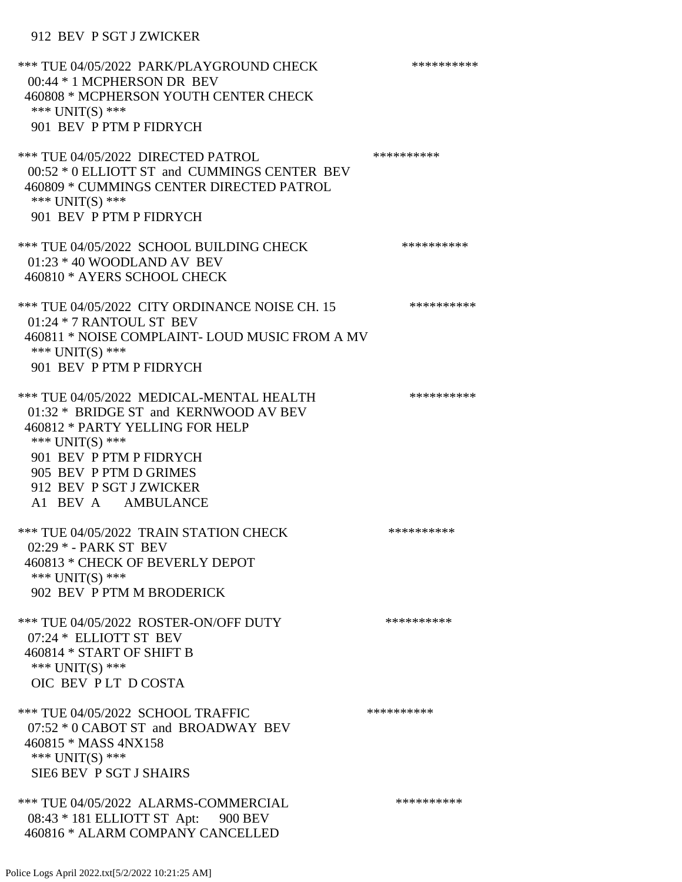## 912 BEV P SGT J ZWICKER

| *** TUE 04/05/2022 PARK/PLAYGROUND CHECK<br>00:44 * 1 MCPHERSON DR BEV<br>460808 * MCPHERSON YOUTH CENTER CHECK<br>*** $UNIT(S)$ ***<br>901 BEV P PTM P FIDRYCH                                                                               | ********** |
|-----------------------------------------------------------------------------------------------------------------------------------------------------------------------------------------------------------------------------------------------|------------|
| *** TUE 04/05/2022 DIRECTED PATROL<br>00:52 * 0 ELLIOTT ST and CUMMINGS CENTER BEV<br>460809 * CUMMINGS CENTER DIRECTED PATROL<br>*** UNIT(S) ***<br>901 BEV P PTM P FIDRYCH                                                                  | ********** |
| *** TUE 04/05/2022 SCHOOL BUILDING CHECK<br>$01:23 * 40$ WOODLAND AV BEV<br>460810 * AYERS SCHOOL CHECK                                                                                                                                       | ********** |
| *** TUE 04/05/2022 CITY ORDINANCE NOISE CH. 15<br>01:24 * 7 RANTOUL ST BEV<br>460811 * NOISE COMPLAINT- LOUD MUSIC FROM A MV<br>*** UNIT(S) ***<br>901 BEV P PTM P FIDRYCH                                                                    | ********** |
| *** TUE 04/05/2022 MEDICAL-MENTAL HEALTH<br>01:32 * BRIDGE ST and KERNWOOD AV BEV<br>460812 * PARTY YELLING FOR HELP<br>*** UNIT(S) ***<br>901 BEV P PTM P FIDRYCH<br>905 BEV P PTM D GRIMES<br>912 BEV P SGT J ZWICKER<br>A1 BEV A AMBULANCE | ********** |
| *** TUE 04/05/2022 TRAIN STATION CHECK<br>02:29 * - PARK ST BEV<br>460813 * CHECK OF BEVERLY DEPOT<br>*** $UNIT(S)$ ***<br>902 BEV P PTM M BRODERICK                                                                                          | ********** |
| *** TUE 04/05/2022 ROSTER-ON/OFF DUTY<br>07:24 * ELLIOTT ST BEV<br>460814 * START OF SHIFT B<br>*** UNIT(S) ***<br>OIC BEV PLT DCOSTA                                                                                                         | ********** |
| *** TUE 04/05/2022 SCHOOL TRAFFIC<br>07:52 * 0 CABOT ST and BROADWAY BEV<br>460815 * MASS 4NX158<br>*** UNIT(S) ***<br>SIE6 BEV P SGT J SHAIRS                                                                                                | ********** |
| *** TUE 04/05/2022 ALARMS-COMMERCIAL<br>08:43 * 181 ELLIOTT ST Apt: 900 BEV<br>460816 * ALARM COMPANY CANCELLED                                                                                                                               | ********** |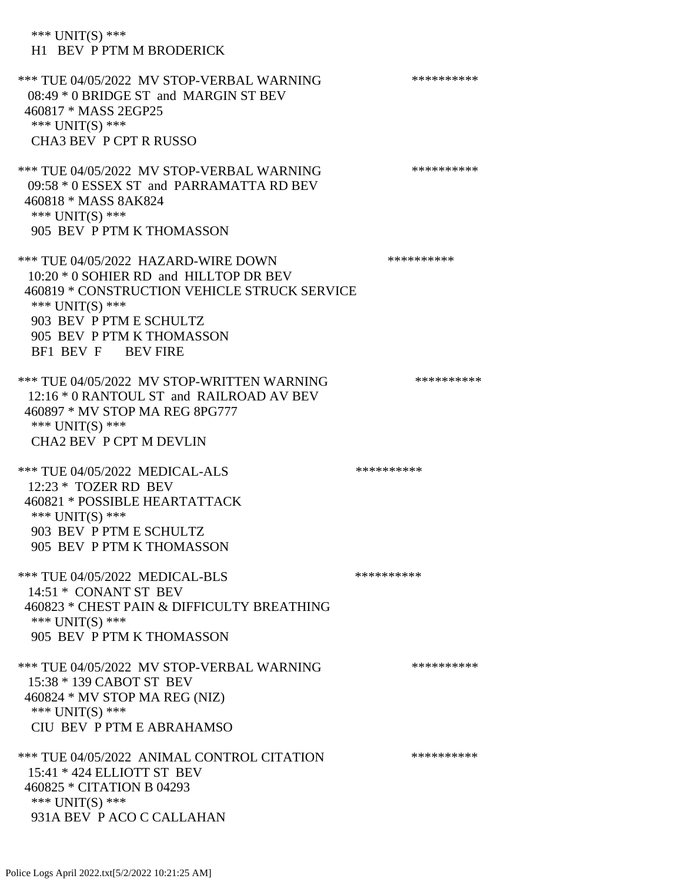| *** $UNIT(S)$ ***<br>H1 BEV P PTM M BRODERICK                                                                                                                                                                                  |            |
|--------------------------------------------------------------------------------------------------------------------------------------------------------------------------------------------------------------------------------|------------|
| *** TUE 04/05/2022 MV STOP-VERBAL WARNING<br>08:49 * 0 BRIDGE ST and MARGIN ST BEV<br>460817 * MASS 2EGP25<br>*** UNIT(S) ***<br>CHA3 BEV P CPT R RUSSO                                                                        | ********** |
| *** TUE 04/05/2022 MV STOP-VERBAL WARNING<br>09:58 * 0 ESSEX ST and PARRAMATTA RD BEV<br>460818 * MASS 8AK824<br>*** UNIT(S) ***<br>905 BEV P PTM K THOMASSON                                                                  | ********** |
| *** TUE 04/05/2022 HAZARD-WIRE DOWN<br>10:20 * 0 SOHIER RD and HILLTOP DR BEV<br>460819 * CONSTRUCTION VEHICLE STRUCK SERVICE<br>*** UNIT(S) ***<br>903 BEV P PTM E SCHULTZ<br>905 BEV P PTM K THOMASSON<br>BF1 BEV F BEV FIRE | ********** |
| *** TUE 04/05/2022 MV STOP-WRITTEN WARNING<br>12:16 * 0 RANTOUL ST and RAILROAD AV BEV<br>460897 * MV STOP MA REG 8PG777<br>*** UNIT(S) ***<br><b>CHA2 BEV P CPT M DEVLIN</b>                                                  | ********** |
| *** TUE 04/05/2022 MEDICAL-ALS<br>12:23 * TOZER RD BEV<br>460821 * POSSIBLE HEARTATTACK<br>*** UNIT(S) ***<br>903 BEV P PTM E SCHULTZ<br>905 BEV P PTM K THOMASSON                                                             | ********** |
| *** TUE 04/05/2022 MEDICAL-BLS<br>14:51 * CONANT ST BEV<br>460823 * CHEST PAIN & DIFFICULTY BREATHING<br>*** UNIT(S) ***<br>905 BEV P PTM K THOMASSON                                                                          | ********** |
| *** TUE 04/05/2022 MV STOP-VERBAL WARNING<br>15:38 * 139 CABOT ST BEV<br>460824 * MV STOP MA REG (NIZ)<br>*** UNIT(S) ***<br>CIU BEV P PTM E ABRAHAMSO                                                                         | ********** |
| *** TUE 04/05/2022 ANIMAL CONTROL CITATION<br>15:41 * 424 ELLIOTT ST BEV<br>460825 * CITATION B 04293<br>*** UNIT(S) ***<br>931A BEV P ACO C CALLAHAN                                                                          | ********** |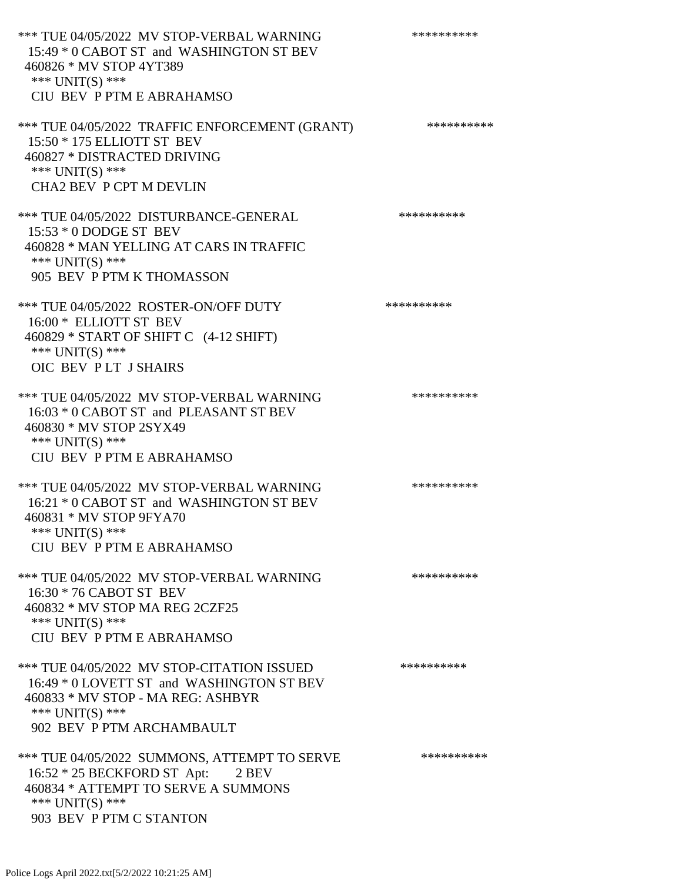\*\*\* TUE 04/05/2022 MV STOP-VERBAL WARNING \*\*\*\*\*\*\*\*\*\*\*\*\* 15:49 \* 0 CABOT ST and WASHINGTON ST BEV 460826 \* MV STOP 4YT389 \*\*\* UNIT(S) \*\*\* CIU BEV P PTM E ABRAHAMSO \*\*\* TUE 04/05/2022 TRAFFIC ENFORCEMENT (GRANT) \*\*\*\*\*\*\*\*\*\* 15:50 \* 175 ELLIOTT ST BEV 460827 \* DISTRACTED DRIVING \*\*\* UNIT(S) \*\*\* CHA2 BEV P CPT M DEVLIN \*\*\* TUE 04/05/2022 DISTURBANCE-GENERAL \*\*\*\*\*\*\*\*\*\* 15:53 \* 0 DODGE ST BEV 460828 \* MAN YELLING AT CARS IN TRAFFIC \*\*\* UNIT(S) \*\*\* 905 BEV P PTM K THOMASSON \*\*\* TUE 04/05/2022 ROSTER-ON/OFF DUTY \*\*\*\*\*\*\*\*\*\*\*\* 16:00 \* ELLIOTT ST BEV 460829 \* START OF SHIFT C (4-12 SHIFT) \*\*\* UNIT(S) \*\*\* OIC BEV P LT J SHAIRS \*\*\* TUE 04/05/2022 MV STOP-VERBAL WARNING \*\*\*\*\*\*\*\*\*\*\*\*\* 16:03 \* 0 CABOT ST and PLEASANT ST BEV 460830 \* MV STOP 2SYX49 \*\*\* UNIT(S) \*\*\* CIU BEV P PTM E ABRAHAMSO \*\*\* TUE 04/05/2022 MV STOP-VERBAL WARNING \*\*\*\*\*\*\*\*\*\*\*\*\* 16:21 \* 0 CABOT ST and WASHINGTON ST BEV 460831 \* MV STOP 9FYA70 \*\*\* UNIT(S) \*\*\* CIU BEV P PTM E ABRAHAMSO \*\*\* TUE 04/05/2022 MV STOP-VERBAL WARNING \*\*\*\*\*\*\*\*\*\*\*\* 16:30 \* 76 CABOT ST BEV 460832 \* MV STOP MA REG 2CZF25 \*\*\* UNIT(S) \*\*\* CIU BEV P PTM E ABRAHAMSO \*\*\* TUE 04/05/2022 MV STOP-CITATION ISSUED \*\*\*\*\*\*\*\*\*\* 16:49 \* 0 LOVETT ST and WASHINGTON ST BEV 460833 \* MV STOP - MA REG: ASHBYR \*\*\* UNIT(S) \*\*\* 902 BEV P PTM ARCHAMBAULT \*\*\* TUE 04/05/2022 SUMMONS, ATTEMPT TO SERVE \*\*\*\*\*\*\*\*\*\* 16:52 \* 25 BECKFORD ST Apt: 2 BEV 460834 \* ATTEMPT TO SERVE A SUMMONS \*\*\* UNIT(S) \*\*\*

903 BEV P PTM C STANTON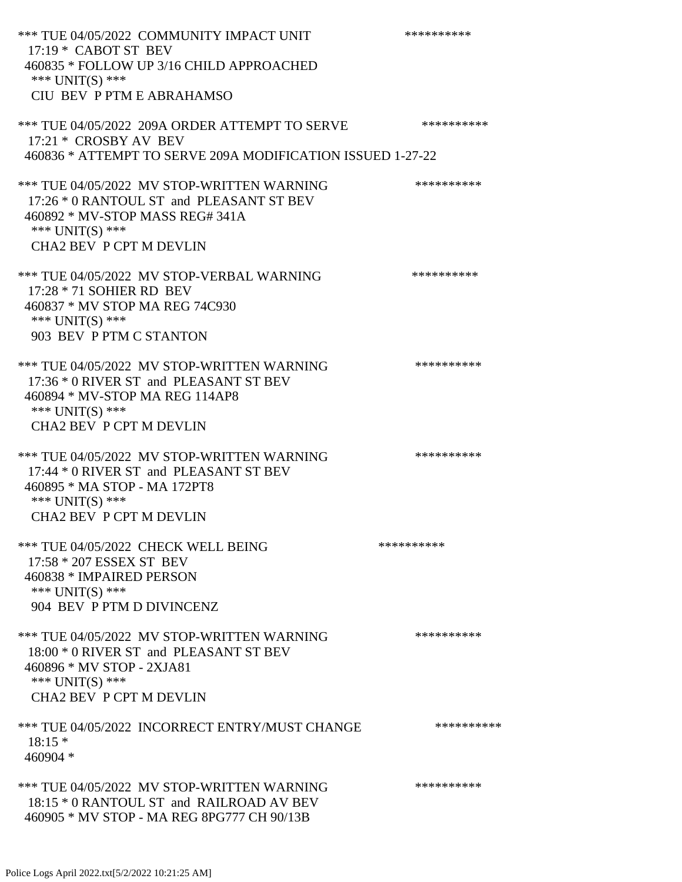\*\*\* TUE 04/05/2022 COMMUNITY IMPACT UNIT \*\*\*\*\*\*\*\*\*\*\*\*\* 17:19 \* CABOT ST BEV 460835 \* FOLLOW UP 3/16 CHILD APPROACHED \*\*\* UNIT(S) \*\*\* CIU BEV P PTM E ABRAHAMSO \*\*\* TUE 04/05/2022 209A ORDER ATTEMPT TO SERVE \*\*\*\*\*\*\*\*\*\* 17:21 \* CROSBY AV BEV 460836 \* ATTEMPT TO SERVE 209A MODIFICATION ISSUED 1-27-22 \*\*\* TUE 04/05/2022 MV STOP-WRITTEN WARNING \*\*\*\*\*\*\*\*\*\*\*\*\* 17:26 \* 0 RANTOUL ST and PLEASANT ST BEV 460892 \* MV-STOP MASS REG# 341A \*\*\* UNIT(S) \*\*\* CHA2 BEV P CPT M DEVLIN \*\*\* TUE 04/05/2022 MV STOP-VERBAL WARNING \*\*\*\*\*\*\*\*\*\*\*\*\* 17:28 \* 71 SOHIER RD BEV 460837 \* MV STOP MA REG 74C930 \*\*\* UNIT(S) \*\*\* 903 BEV P PTM C STANTON \*\*\* TUE 04/05/2022 MV STOP-WRITTEN WARNING \*\*\*\*\*\*\*\*\*\*\*\*\* 17:36 \* 0 RIVER ST and PLEASANT ST BEV 460894 \* MV-STOP MA REG 114AP8 \*\*\* UNIT(S) \*\*\* CHA2 BEV P CPT M DEVLIN \*\*\* TUE 04/05/2022 MV STOP-WRITTEN WARNING \*\*\*\*\*\*\*\*\*\*\*\*\* 17:44 \* 0 RIVER ST and PLEASANT ST BEV 460895 \* MA STOP - MA 172PT8 \*\*\* UNIT(S) \*\*\* CHA2 BEV P CPT M DEVLIN \*\*\* TUE 04/05/2022 CHECK WELL BEING \*\*\*\*\*\*\*\*\*\*\*\*\* 17:58 \* 207 ESSEX ST BEV 460838 \* IMPAIRED PERSON \*\*\* UNIT(S) \*\*\* 904 BEV P PTM D DIVINCENZ \*\*\* TUE 04/05/2022 MV STOP-WRITTEN WARNING \*\*\*\*\*\*\*\*\*\*\*\*\* 18:00 \* 0 RIVER ST and PLEASANT ST BEV 460896 \* MV STOP - 2XJA81 \*\*\* UNIT(S) \*\*\* CHA2 BEV P CPT M DEVLIN \*\*\* TUE 04/05/2022 INCORRECT ENTRY/MUST CHANGE \*\*\*\*\*\*\*\*\*\* 18:15 \* 460904 \* \*\*\* TUE 04/05/2022 MV STOP-WRITTEN WARNING \*\*\*\*\*\*\*\*\*\*\*\*\* 18:15 \* 0 RANTOUL ST and RAILROAD AV BEV 460905 \* MV STOP - MA REG 8PG777 CH 90/13B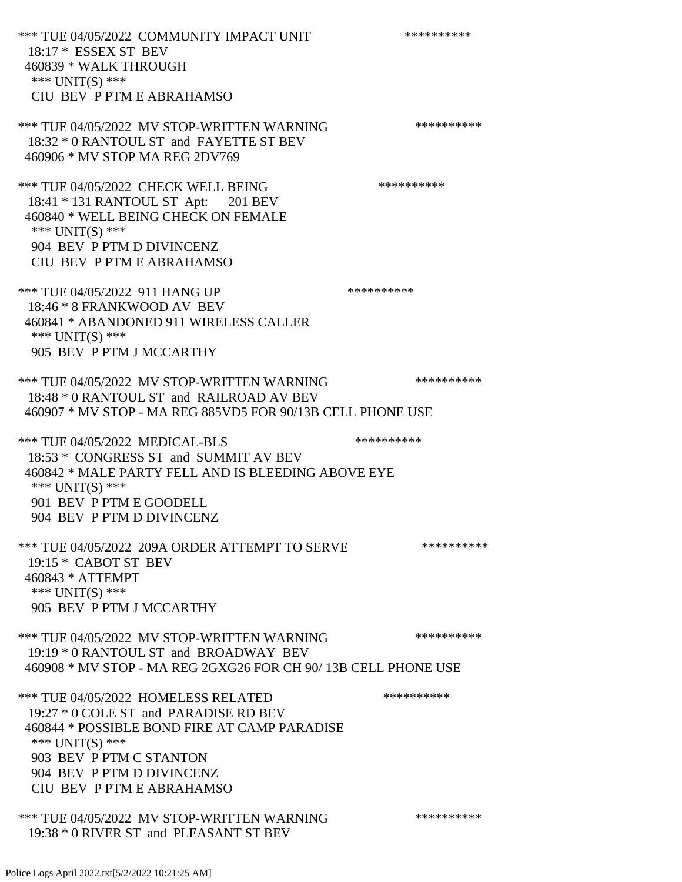\*\*\* TUE 04/05/2022 COMMUNITY IMPACT UNIT \*\*\*\*\*\*\*\*\*\*\*\*\* 18:17 \* ESSEX ST BEV 460839 \* WALK THROUGH \*\*\* UNIT(S) \*\*\* CIU BEV P PTM E ABRAHAMSO \*\*\* TUE 04/05/2022 MV STOP-WRITTEN WARNING \*\*\*\*\*\*\*\*\*\*\*\*\* 18:32 \* 0 RANTOUL ST and FAYETTE ST BEV 460906 \* MV STOP MA REG 2DV769 \*\*\* TUE 04/05/2022 CHECK WELL BEING \*\*\*\*\*\*\*\*\*\* 18:41 \* 131 RANTOUL ST Apt: 201 BEV 460840 \* WELL BEING CHECK ON FEMALE \*\*\* UNIT(S) \*\*\* 904 BEV P PTM D DIVINCENZ CIU BEV P PTM E ABRAHAMSO \*\*\* TUE 04/05/2022 911 HANG UP \*\*\*\*\*\*\*\*\*\*\*\*\* 18:46 \* 8 FRANKWOOD AV BEV 460841 \* ABANDONED 911 WIRELESS CALLER \*\*\* UNIT(S) \*\*\* 905 BEV P PTM J MCCARTHY \*\*\* TUE 04/05/2022 MV STOP-WRITTEN WARNING \*\*\*\*\*\*\*\*\*\*\*\*\*\* 18:48 \* 0 RANTOUL ST and RAILROAD AV BEV 460907 \* MV STOP - MA REG 885VD5 FOR 90/13B CELL PHONE USE \*\*\* TUE 04/05/2022 MEDICAL-BLS \*\*\*\*\*\*\*\*\*\*\*\*\* 18:53 \* CONGRESS ST and SUMMIT AV BEV 460842 \* MALE PARTY FELL AND IS BLEEDING ABOVE EYE \*\*\* UNIT(S) \*\*\* 901 BEV P PTM E GOODELL 904 BEV P PTM D DIVINCENZ \*\*\* TUE 04/05/2022 209A ORDER ATTEMPT TO SERVE \*\*\*\*\*\*\*\*\*\* 19:15 \* CABOT ST BEV 460843 \* ATTEMPT \*\*\* UNIT(S) \*\*\* 905 BEV P PTM J MCCARTHY \*\*\* TUE 04/05/2022 MV STOP-WRITTEN WARNING \*\*\*\*\*\*\*\*\*\*\*\*\* 19:19 \* 0 RANTOUL ST and BROADWAY BEV 460908 \* MV STOP - MA REG 2GXG26 FOR CH 90/ 13B CELL PHONE USE \*\*\* TUE 04/05/2022 HOMELESS RELATED \*\*\*\*\*\*\*\*\*\* 19:27 \* 0 COLE ST and PARADISE RD BEV 460844 \* POSSIBLE BOND FIRE AT CAMP PARADISE \*\*\* UNIT(S) \*\*\* 903 BEV P PTM C STANTON 904 BEV P PTM D DIVINCENZ CIU BEV P PTM E ABRAHAMSO \*\*\* TUE 04/05/2022 MV STOP-WRITTEN WARNING \*\*\*\*\*\*\*\*\*\*\*\*\*

Police Logs April 2022.txt[5/2/2022 10:21:25 AM]

19:38 \* 0 RIVER ST and PLEASANT ST BEV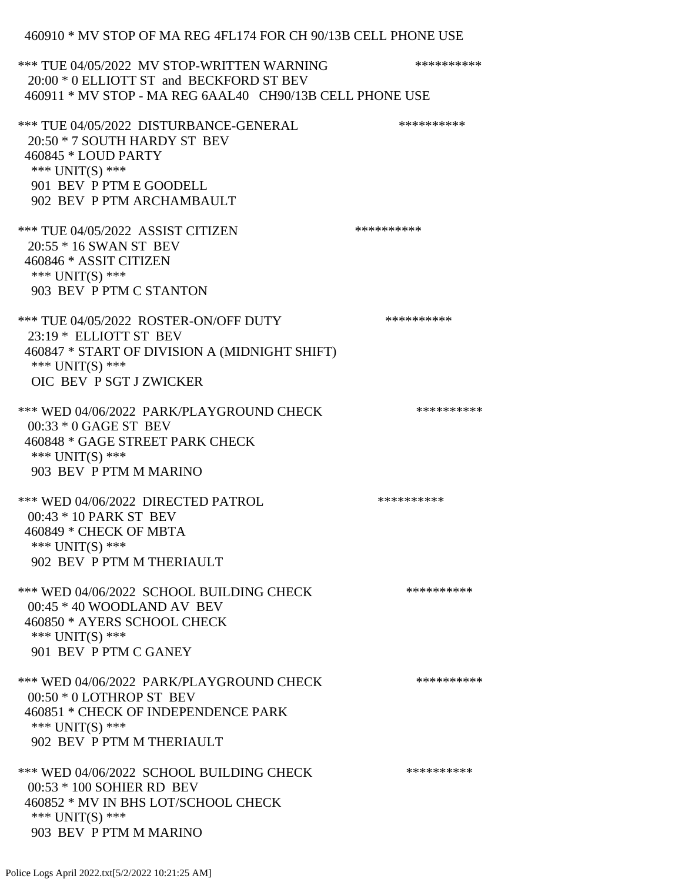## 460910 \* MV STOP OF MA REG 4FL174 FOR CH 90/13B CELL PHONE USE

| *** TUE 04/05/2022 MV STOP-WRITTEN WARNING<br>20:00 * 0 ELLIOTT ST and BECKFORD ST BEV<br>460911 * MV STOP - MA REG 6AAL40 CH90/13B CELL PHONE USE                         | ********** |
|----------------------------------------------------------------------------------------------------------------------------------------------------------------------------|------------|
| *** TUE 04/05/2022 DISTURBANCE-GENERAL<br>20:50 * 7 SOUTH HARDY ST BEV<br>460845 * LOUD PARTY<br>*** $UNIT(S)$ ***<br>901 BEV P PTM E GOODELL<br>902 BEV P PTM ARCHAMBAULT | ********** |
| *** TUE 04/05/2022 ASSIST CITIZEN<br>20:55 * 16 SWAN ST BEV<br>460846 * ASSIT CITIZEN<br>*** UNIT(S) ***<br>903 BEV P PTM C STANTON                                        | ********** |
| *** TUE 04/05/2022 ROSTER-ON/OFF DUTY<br>23:19 * ELLIOTT ST BEV<br>460847 * START OF DIVISION A (MIDNIGHT SHIFT)<br>*** UNIT(S) ***<br>OIC BEV P SGT J ZWICKER             | ********** |
| *** WED 04/06/2022 PARK/PLAYGROUND CHECK<br>00:33 * 0 GAGE ST BEV<br>460848 * GAGE STREET PARK CHECK<br>*** $UNIT(S)$ ***<br>903 BEV P PTM M MARINO                        | ********** |
| *** WED 04/06/2022 DIRECTED PATROL<br>00:43 * 10 PARK ST BEV<br>460849 * CHECK OF MBTA<br>*** UNIT(S) ***<br>902 BEV P PTM M THERIAULT                                     | ********** |
| *** WED 04/06/2022 SCHOOL BUILDING CHECK<br>$00:45 * 40$ WOODLAND AV BEV<br>460850 * AYERS SCHOOL CHECK<br>*** UNIT(S) ***<br>901 BEV P PTM C GANEY                        | ********** |
| *** WED 04/06/2022 PARK/PLAYGROUND CHECK<br>$00:50 * 0$ LOTHROP ST BEV<br>460851 * CHECK OF INDEPENDENCE PARK<br>*** UNIT(S) ***<br>902 BEV P PTM M THERIAULT              | ********** |
| *** WED 04/06/2022 SCHOOL BUILDING CHECK<br>00:53 * 100 SOHIER RD BEV<br>460852 * MV IN BHS LOT/SCHOOL CHECK<br>*** $UNIT(S)$ ***<br>903 BEV P PTM M MARINO                | ********** |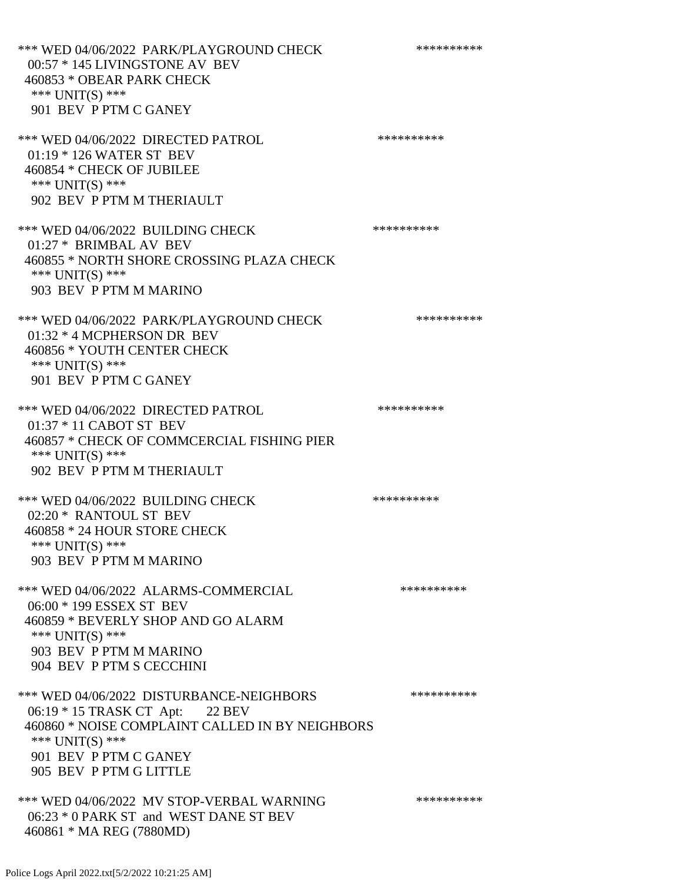\*\*\* WED 04/06/2022 PARK/PLAYGROUND CHECK \*\*\*\*\*\*\*\*\*\*\*\* 00:57 \* 145 LIVINGSTONE AV BEV 460853 \* OBEAR PARK CHECK \*\*\* UNIT(S) \*\*\* 901 BEV P PTM C GANEY \*\*\* WED 04/06/2022 DIRECTED PATROL \*\*\*\*\*\*\*\*\*\* 01:19 \* 126 WATER ST BEV 460854 \* CHECK OF JUBILEE \*\*\* UNIT(S) \*\*\* 902 BEV P PTM M THERIAULT \*\*\* WED 04/06/2022 BUILDING CHECK \*\*\*\*\*\*\*\*\*\*\*\* 01:27 \* BRIMBAL AV BEV 460855 \* NORTH SHORE CROSSING PLAZA CHECK \*\*\* UNIT(S) \*\*\* 903 BEV P PTM M MARINO \*\*\* WED 04/06/2022 PARK/PLAYGROUND CHECK \*\*\*\*\*\*\*\*\*\* 01:32 \* 4 MCPHERSON DR BEV 460856 \* YOUTH CENTER CHECK \*\*\* UNIT(S) \*\*\* 901 BEV P PTM C GANEY \*\*\* WED 04/06/2022 DIRECTED PATROL \*\*\*\*\*\*\*\*\*\* 01:37 \* 11 CABOT ST BEV 460857 \* CHECK OF COMMCERCIAL FISHING PIER \*\*\* UNIT(S) \*\*\* 902 BEV P PTM M THERIAULT \*\*\* WED 04/06/2022 BUILDING CHECK \*\*\*\*\*\*\*\*\*\*\*\* 02:20 \* RANTOUL ST BEV 460858 \* 24 HOUR STORE CHECK \*\*\* UNIT(S) \*\*\* 903 BEV P PTM M MARINO \*\*\* WED 04/06/2022 ALARMS-COMMERCIAL \*\*\*\*\*\*\*\*\*\* 06:00 \* 199 ESSEX ST BEV 460859 \* BEVERLY SHOP AND GO ALARM \*\*\* UNIT(S) \*\*\* 903 BEV P PTM M MARINO 904 BEV P PTM S CECCHINI \*\*\* WED 04/06/2022 DISTURBANCE-NEIGHBORS \*\*\*\*\*\*\*\*\*\*\*\* 06:19 \* 15 TRASK CT Apt: 22 BEV 460860 \* NOISE COMPLAINT CALLED IN BY NEIGHBORS \*\*\* UNIT(S) \*\*\* 901 BEV P PTM C GANEY 905 BEV P PTM G LITTLE \*\*\* WED 04/06/2022 MV STOP-VERBAL WARNING \*\*\*\*\*\*\*\*\*\*\*\* 06:23 \* 0 PARK ST and WEST DANE ST BEV 460861 \* MA REG (7880MD)

Police Logs April 2022.txt[5/2/2022 10:21:25 AM]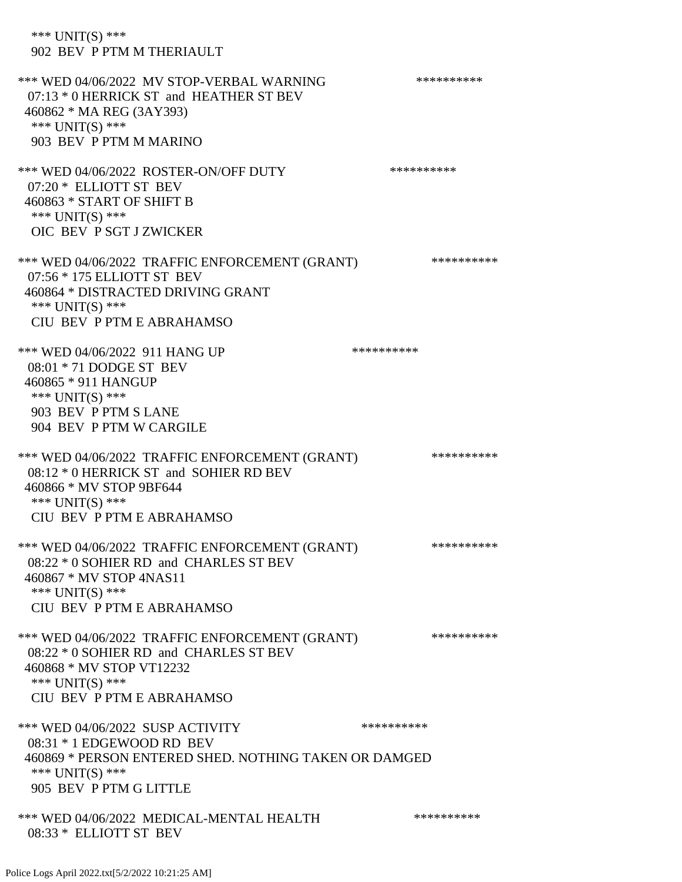\*\*\* UNIT(S) \*\*\* 902 BEV P PTM M THERIAULT \*\*\* WED 04/06/2022 MV STOP-VERBAL WARNING \*\*\*\*\*\*\*\*\*\*\*\* 07:13 \* 0 HERRICK ST and HEATHER ST BEV 460862 \* MA REG (3AY393) \*\*\* UNIT(S) \*\*\* 903 BEV P PTM M MARINO \*\*\* WED 04/06/2022 ROSTER-ON/OFF DUTY \*\*\*\*\*\*\*\*\*\* 07:20 \* ELLIOTT ST BEV 460863 \* START OF SHIFT B \*\*\* UNIT(S) \*\*\* OIC BEV P SGT J ZWICKER \*\*\* WED 04/06/2022 TRAFFIC ENFORCEMENT (GRANT) \*\*\*\*\*\*\*\*\*\* 07:56 \* 175 ELLIOTT ST BEV 460864 \* DISTRACTED DRIVING GRANT \*\*\* UNIT(S) \*\*\* CIU BEV P PTM E ABRAHAMSO \*\*\* WED 04/06/2022 911 HANG UP \*\*\*\*\*\*\*\*\*\*\*\* 08:01 \* 71 DODGE ST BEV 460865 \* 911 HANGUP \*\*\* UNIT(S) \*\*\* 903 BEV P PTM S LANE 904 BEV P PTM W CARGILE \*\*\* WED 04/06/2022 TRAFFIC ENFORCEMENT (GRANT) \*\*\*\*\*\*\*\*\*\* 08:12 \* 0 HERRICK ST and SOHIER RD BEV 460866 \* MV STOP 9BF644 \*\*\* UNIT(S) \*\*\* CIU BEV P PTM E ABRAHAMSO \*\*\* WED 04/06/2022 TRAFFIC ENFORCEMENT (GRANT) \*\*\*\*\*\*\*\*\*\* 08:22 \* 0 SOHIER RD and CHARLES ST BEV 460867 \* MV STOP 4NAS11 \*\*\* UNIT(S) \*\*\* CIU BEV P PTM E ABRAHAMSO \*\*\* WED 04/06/2022 TRAFFIC ENFORCEMENT (GRANT) \*\*\*\*\*\*\*\*\*\* 08:22 \* 0 SOHIER RD and CHARLES ST BEV 460868 \* MV STOP VT12232 \*\*\* UNIT(S) \*\*\* CIU BEV P PTM E ABRAHAMSO \*\*\* WED 04/06/2022 SUSP ACTIVITY \*\*\*\*\*\*\*\*\*\*\*\* 08:31 \* 1 EDGEWOOD RD BEV 460869 \* PERSON ENTERED SHED. NOTHING TAKEN OR DAMGED \*\*\* UNIT(S) \*\*\* 905 BEV P PTM G LITTLE \*\*\* WED 04/06/2022 MEDICAL-MENTAL HEALTH \*\*\*\*\*\*\*\*\*\* 08:33 \* ELLIOTT ST BEV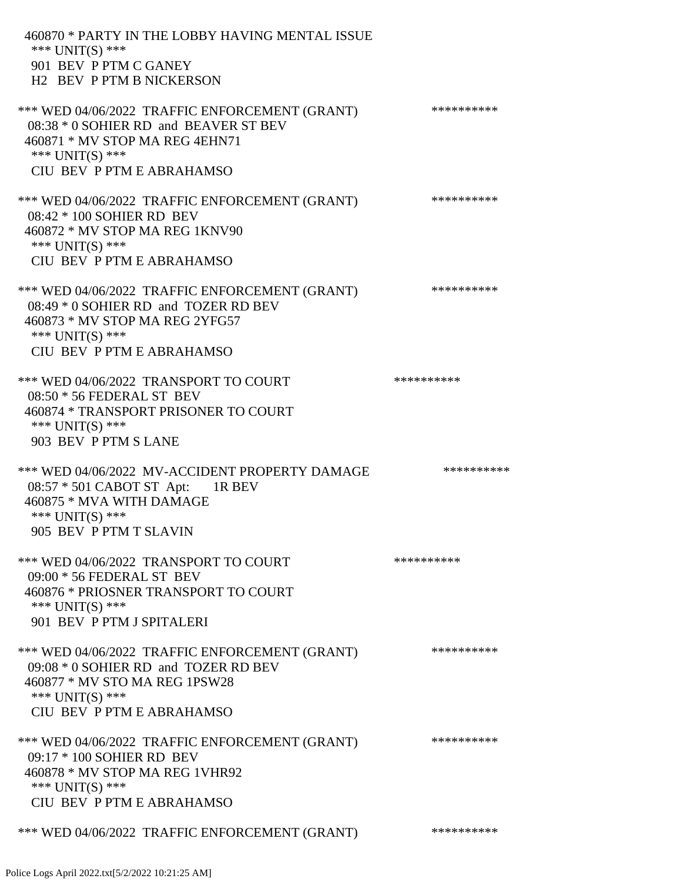460870 \* PARTY IN THE LOBBY HAVING MENTAL ISSUE \*\*\* UNIT(S) \*\*\* 901 BEV P PTM C GANEY H2 BEV P PTM B NICKERSON \*\*\* WED 04/06/2022 TRAFFIC ENFORCEMENT (GRANT) \*\*\*\*\*\*\*\*\*\* 08:38 \* 0 SOHIER RD and BEAVER ST BEV 460871 \* MV STOP MA REG 4EHN71 \*\*\* UNIT(S) \*\*\* CIU BEV P PTM E ABRAHAMSO \*\*\* WED 04/06/2022 TRAFFIC ENFORCEMENT (GRANT) \*\*\*\*\*\*\*\*\*\* 08:42 \* 100 SOHIER RD BEV 460872 \* MV STOP MA REG 1KNV90 \*\*\* UNIT(S) \*\*\* CIU BEV P PTM E ABRAHAMSO \*\*\* WED 04/06/2022 TRAFFIC ENFORCEMENT (GRANT) \*\*\*\*\*\*\*\*\*\* 08:49 \* 0 SOHIER RD and TOZER RD BEV 460873 \* MV STOP MA REG 2YFG57 \*\*\* UNIT(S) \*\*\* CIU BEV P PTM E ABRAHAMSO \*\*\* WED 04/06/2022 TRANSPORT TO COURT \*\*\*\*\*\*\*\*\*\*\*\*\* 08:50 \* 56 FEDERAL ST BEV 460874 \* TRANSPORT PRISONER TO COURT \*\*\* UNIT(S) \*\*\* 903 BEV P PTM S LANE \*\*\* WED 04/06/2022 MV-ACCIDENT PROPERTY DAMAGE \*\*\*\*\*\*\*\*\*\*\* 08:57 \* 501 CABOT ST Apt: 1R BEV 460875 \* MVA WITH DAMAGE \*\*\* UNIT(S) \*\*\* 905 BEV P PTM T SLAVIN \*\*\* WED 04/06/2022 TRANSPORT TO COURT \*\*\*\*\*\*\*\*\*\*\*\*\* 09:00 \* 56 FEDERAL ST BEV 460876 \* PRIOSNER TRANSPORT TO COURT \*\*\* UNIT(S) \*\*\* 901 BEV P PTM J SPITALERI \*\*\* WED 04/06/2022 TRAFFIC ENFORCEMENT (GRANT) \*\*\*\*\*\*\*\*\*\* 09:08 \* 0 SOHIER RD and TOZER RD BEV 460877 \* MV STO MA REG 1PSW28 \*\*\* UNIT(S) \*\*\* CIU BEV P PTM E ABRAHAMSO \*\*\* WED 04/06/2022 TRAFFIC ENFORCEMENT (GRANT) \*\*\*\*\*\*\*\*\*\* 09:17 \* 100 SOHIER RD BEV 460878 \* MV STOP MA REG 1VHR92 \*\*\* UNIT(S) \*\*\* CIU BEV P PTM E ABRAHAMSO \*\*\* WED 04/06/2022 TRAFFIC ENFORCEMENT (GRANT) \*\*\*\*\*\*\*\*\*\*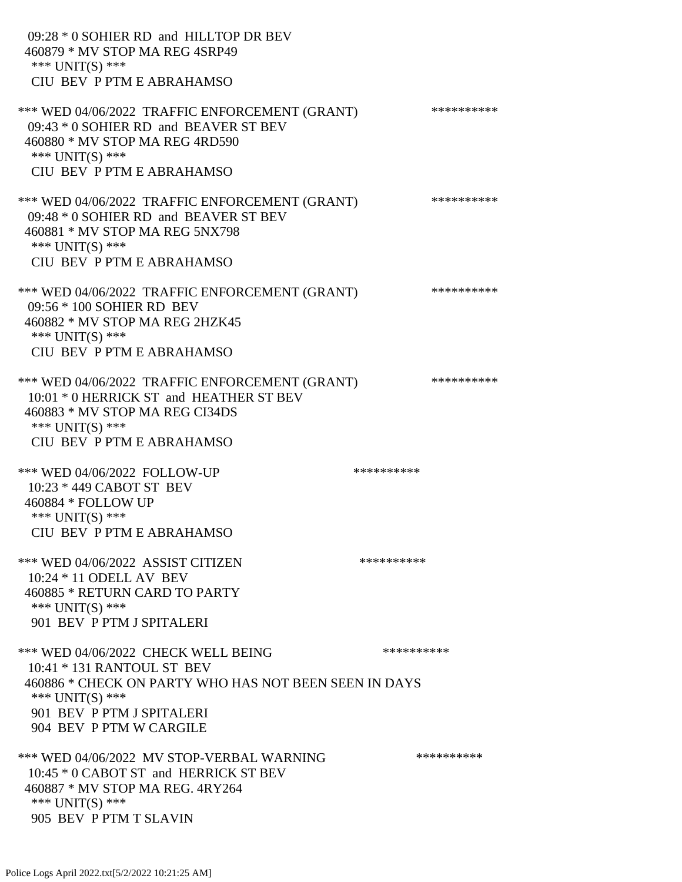| 09:28 * 0 SOHIER RD and HILLTOP DR BEV<br>460879 * MV STOP MA REG 4SRP49<br>*** $UNIT(S)$ ***<br>CIU BEV P PTM E ABRAHAMSO                                                                            |            |
|-------------------------------------------------------------------------------------------------------------------------------------------------------------------------------------------------------|------------|
| *** WED 04/06/2022 TRAFFIC ENFORCEMENT (GRANT)<br>09:43 * 0 SOHIER RD and BEAVER ST BEV<br>460880 * MV STOP MA REG 4RD590<br>*** UNIT(S) ***<br>CIU BEV P PTM E ABRAHAMSO                             | ********** |
| *** WED 04/06/2022 TRAFFIC ENFORCEMENT (GRANT)<br>09:48 * 0 SOHIER RD and BEAVER ST BEV<br>460881 * MV STOP MA REG 5NX798<br>*** $UNIT(S)$ ***<br>CIU BEV P PTM E ABRAHAMSO                           | ********** |
| *** WED 04/06/2022 TRAFFIC ENFORCEMENT (GRANT)<br>09:56 * 100 SOHIER RD BEV<br>460882 * MV STOP MA REG 2HZK45<br>*** $UNIT(S)$ ***<br>CIU BEV P PTM E ABRAHAMSO                                       | ********** |
| *** WED 04/06/2022 TRAFFIC ENFORCEMENT (GRANT)<br>10:01 * 0 HERRICK ST and HEATHER ST BEV<br>460883 * MV STOP MA REG CI34DS<br>*** $UNIT(S)$ ***<br>CIU BEV P PTM E ABRAHAMSO                         | ********** |
| *** WED 04/06/2022 FOLLOW-UP<br>10:23 * 449 CABOT ST BEV<br>460884 * FOLLOW UP<br>*** $UNIT(S)$ ***<br>CIU BEV P PTM E ABRAHAMSO                                                                      | ********** |
| *** WED 04/06/2022 ASSIST CITIZEN<br>10:24 * 11 ODELL AV BEV<br>460885 * RETURN CARD TO PARTY<br>*** UNIT(S) ***<br>901 BEV P PTM J SPITALERI                                                         | ********** |
| *** WED 04/06/2022 CHECK WELL BEING<br>10:41 * 131 RANTOUL ST BEV<br>460886 * CHECK ON PARTY WHO HAS NOT BEEN SEEN IN DAYS<br>*** UNIT(S) ***<br>901 BEV P PTM J SPITALERI<br>904 BEV P PTM W CARGILE | ********** |
| *** WED 04/06/2022 MV STOP-VERBAL WARNING<br>10:45 * 0 CABOT ST and HERRICK ST BEV<br>460887 * MV STOP MA REG. 4RY264<br>*** UNIT(S) ***<br>905 BEV P PTM T SLAVIN                                    | ********** |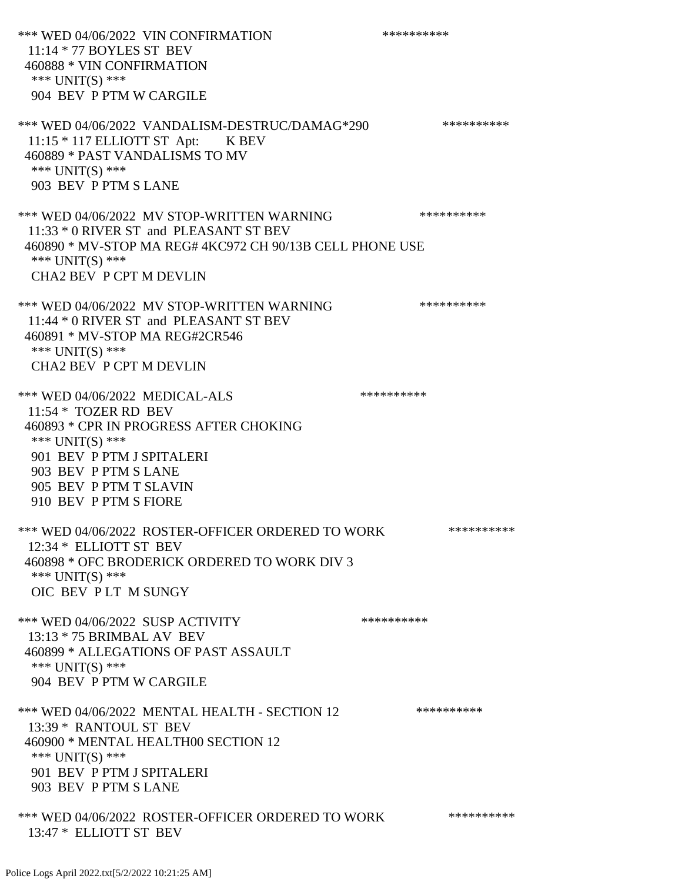\*\*\* WED 04/06/2022 VIN CONFIRMATION \*\*\*\*\*\*\*\*\*\* 11:14 \* 77 BOYLES ST BEV 460888 \* VIN CONFIRMATION \*\*\* UNIT(S) \*\*\* 904 BEV P PTM W CARGILE \*\*\* WED 04/06/2022 VANDALISM-DESTRUC/DAMAG\*290 \*\*\*\*\*\*\*\*\*\* 11:15 \* 117 ELLIOTT ST Apt: K BEV 460889 \* PAST VANDALISMS TO MV \*\*\* UNIT(S) \*\*\* 903 BEV P PTM S LANE \*\*\* WED 04/06/2022 MV STOP-WRITTEN WARNING \*\*\*\*\*\*\*\*\*\*\*\* 11:33 \* 0 RIVER ST and PLEASANT ST BEV 460890 \* MV-STOP MA REG# 4KC972 CH 90/13B CELL PHONE USE \*\*\* UNIT(S) \*\*\* CHA2 BEV P CPT M DEVLIN \*\*\* WED 04/06/2022 MV STOP-WRITTEN WARNING \*\*\*\*\*\*\*\*\*\*\*\* 11:44 \* 0 RIVER ST and PLEASANT ST BEV 460891 \* MV-STOP MA REG#2CR546 \*\*\* UNIT(S) \*\*\* CHA2 BEV P CPT M DEVLIN \*\*\* WED 04/06/2022 MEDICAL-ALS \*\*\*\*\*\*\*\*\*\* 11:54 \* TOZER RD BEV 460893 \* CPR IN PROGRESS AFTER CHOKING \*\*\* UNIT(S) \*\*\* 901 BEV P PTM J SPITALERI 903 BEV P PTM S LANE 905 BEV P PTM T SLAVIN 910 BEV P PTM S FIORE \*\*\* WED 04/06/2022 ROSTER-OFFICER ORDERED TO WORK \*\*\*\*\*\*\*\*\*\*\* 12:34 \* ELLIOTT ST BEV 460898 \* OFC BRODERICK ORDERED TO WORK DIV 3 \*\*\* UNIT(S) \*\*\* OIC BEV P LT M SUNGY \*\*\* WED 04/06/2022 SUSP ACTIVITY \*\*\*\*\*\*\*\*\*\*\*\*\* 13:13 \* 75 BRIMBAL AV BEV 460899 \* ALLEGATIONS OF PAST ASSAULT \*\*\* UNIT(S) \*\*\* 904 BEV P PTM W CARGILE \*\*\* WED 04/06/2022 MENTAL HEALTH - SECTION 12 \*\*\*\*\*\*\*\*\*\*\* 13:39 \* RANTOUL ST BEV 460900 \* MENTAL HEALTH00 SECTION 12 \*\*\* UNIT(S) \*\*\* 901 BEV P PTM J SPITALERI 903 BEV P PTM S LANE \*\*\* WED 04/06/2022 ROSTER-OFFICER ORDERED TO WORK \*\*\*\*\*\*\*\*\*\*\*\* 13:47 \* ELLIOTT ST BEV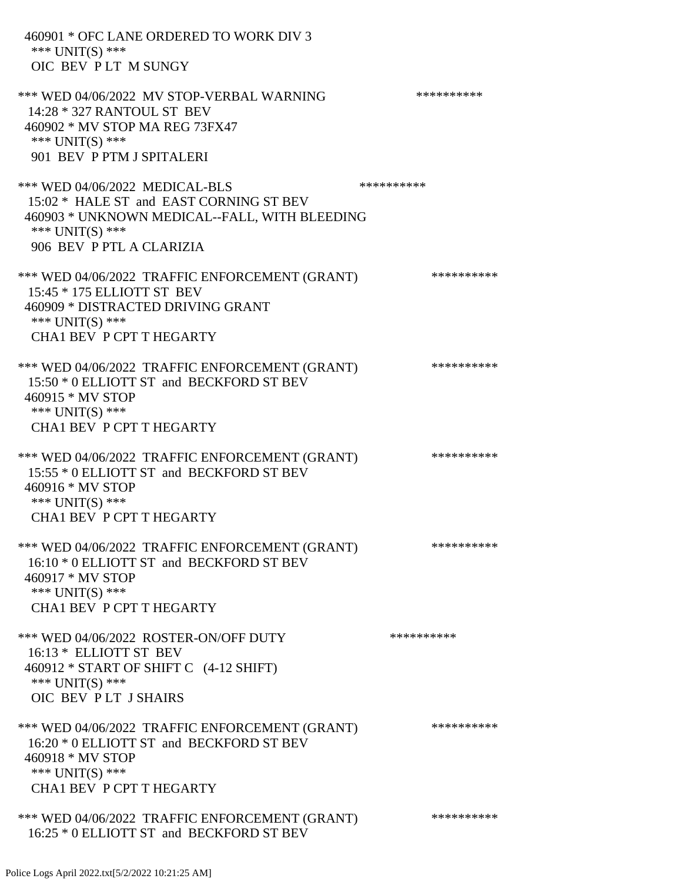| 460901 * OFC LANE ORDERED TO WORK DIV 3<br>*** UNIT(S) ***<br>OIC BEV PLT M SUNGY                                                                                         |            |
|---------------------------------------------------------------------------------------------------------------------------------------------------------------------------|------------|
| *** WED 04/06/2022 MV STOP-VERBAL WARNING<br>14:28 * 327 RANTOUL ST BEV<br>460902 * MV STOP MA REG 73FX47<br>*** UNIT(S) ***<br>901 BEV P PTM J SPITALERI                 | ********** |
| *** WED 04/06/2022 MEDICAL-BLS<br>15:02 * HALE ST and EAST CORNING ST BEV<br>460903 * UNKNOWN MEDICAL--FALL, WITH BLEEDING<br>*** UNIT(S) ***<br>906 BEV P PTL A CLARIZIA | ********** |
| *** WED 04/06/2022 TRAFFIC ENFORCEMENT (GRANT)<br>15:45 * 175 ELLIOTT ST BEV<br>460909 * DISTRACTED DRIVING GRANT<br>*** UNIT(S) ***<br><b>CHA1 BEV P CPT T HEGARTY</b>   | ********** |
| *** WED 04/06/2022 TRAFFIC ENFORCEMENT (GRANT)<br>15:50 * 0 ELLIOTT ST and BECKFORD ST BEV<br>460915 * MV STOP<br>*** $UNIT(S)$ ***<br><b>CHA1 BEV P CPT T HEGARTY</b>    | ********** |
| *** WED 04/06/2022 TRAFFIC ENFORCEMENT (GRANT)<br>15:55 * 0 ELLIOTT ST and BECKFORD ST BEV<br>460916 * MV STOP<br>*** UNIT(S) ***<br><b>CHA1 BEV P CPT T HEGARTY</b>      | ********** |
| *** WED 04/06/2022 TRAFFIC ENFORCEMENT (GRANT)<br>16:10 * 0 ELLIOTT ST and BECKFORD ST BEV<br>460917 * MV STOP<br>*** UNIT(S) ***<br><b>CHA1 BEV P CPT T HEGARTY</b>      | ********** |
| *** WED 04/06/2022 ROSTER-ON/OFF DUTY<br>16:13 * ELLIOTT ST BEV<br>460912 * START OF SHIFT C (4-12 SHIFT)<br>*** UNIT(S) ***<br>OIC BEV PLT J SHAIRS                      | ********** |
| *** WED 04/06/2022 TRAFFIC ENFORCEMENT (GRANT)<br>16:20 * 0 ELLIOTT ST and BECKFORD ST BEV<br>460918 * MV STOP<br>*** UNIT(S) ***<br><b>CHA1 BEV P CPT T HEGARTY</b>      | ********** |
| *** WED 04/06/2022 TRAFFIC ENFORCEMENT (GRANT)<br>16:25 * 0 ELLIOTT ST and BECKFORD ST BEV                                                                                | ********** |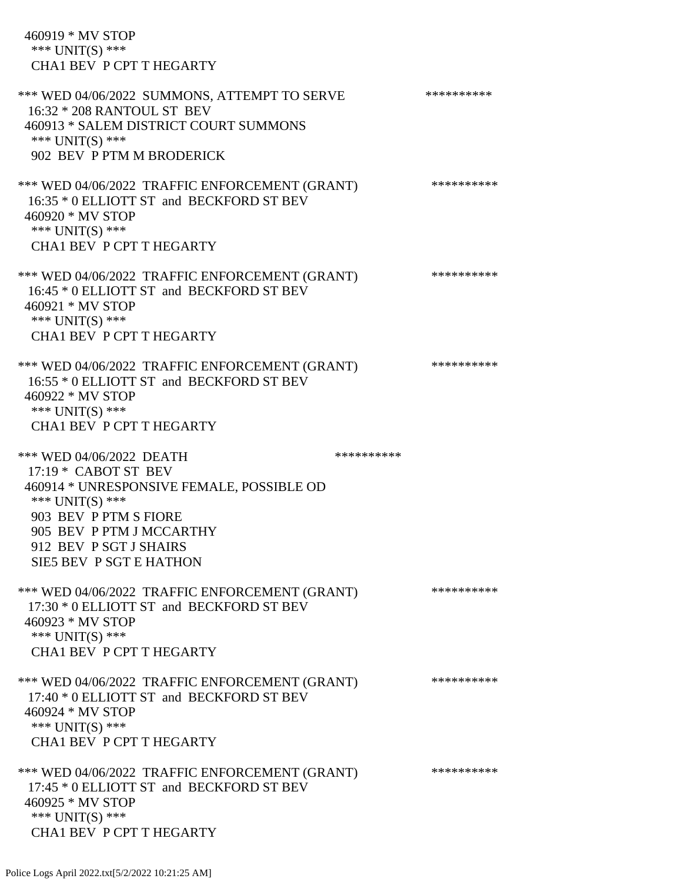460919 \* MV STOP \*\*\* UNIT(S) \*\*\* CHA1 BEV P CPT T HEGARTY \*\*\* WED 04/06/2022 SUMMONS, ATTEMPT TO SERVE \*\*\*\*\*\*\*\*\*\*\*\* 16:32 \* 208 RANTOUL ST BEV 460913 \* SALEM DISTRICT COURT SUMMONS \*\*\* UNIT(S) \*\*\* 902 BEV P PTM M BRODERICK \*\*\* WED 04/06/2022 TRAFFIC ENFORCEMENT (GRANT) \*\*\*\*\*\*\*\*\*\* 16:35 \* 0 ELLIOTT ST and BECKFORD ST BEV 460920 \* MV STOP \*\*\* UNIT(S) \*\*\* CHA1 BEV P CPT T HEGARTY \*\*\* WED 04/06/2022 TRAFFIC ENFORCEMENT (GRANT) \*\*\*\*\*\*\*\*\*\* 16:45 \* 0 ELLIOTT ST and BECKFORD ST BEV 460921 \* MV STOP \*\*\* UNIT(S) \*\*\* CHA1 BEV P CPT T HEGARTY \*\*\* WED 04/06/2022 TRAFFIC ENFORCEMENT (GRANT) \*\*\*\*\*\*\*\*\*\* 16:55 \* 0 ELLIOTT ST and BECKFORD ST BEV 460922 \* MV STOP \*\*\* UNIT(S) \*\*\* CHA1 BEV P CPT T HEGARTY \*\*\* WED 04/06/2022 DEATH 17:19 \* CABOT ST BEV 460914 \* UNRESPONSIVE FEMALE, POSSIBLE OD \*\*\* UNIT(S) \*\*\* 903 BEV P PTM S FIORE 905 BEV P PTM J MCCARTHY 912 BEV P SGT J SHAIRS SIE5 BEV P SGT E HATHON \*\*\* WED 04/06/2022 TRAFFIC ENFORCEMENT (GRANT) \*\*\*\*\*\*\*\*\*\* 17:30 \* 0 ELLIOTT ST and BECKFORD ST BEV 460923 \* MV STOP \*\*\* UNIT(S) \*\*\* CHA1 BEV P CPT T HEGARTY \*\*\* WED 04/06/2022 TRAFFIC ENFORCEMENT (GRANT) \*\*\*\*\*\*\*\*\*\* 17:40 \* 0 ELLIOTT ST and BECKFORD ST BEV 460924 \* MV STOP \*\*\* UNIT(S) \*\*\* CHA1 BEV P CPT T HEGARTY \*\*\* WED 04/06/2022 TRAFFIC ENFORCEMENT (GRANT) \*\*\*\*\*\*\*\*\*\* 17:45 \* 0 ELLIOTT ST and BECKFORD ST BEV 460925 \* MV STOP \*\*\* UNIT(S) \*\*\* CHA1 BEV P CPT T HEGARTY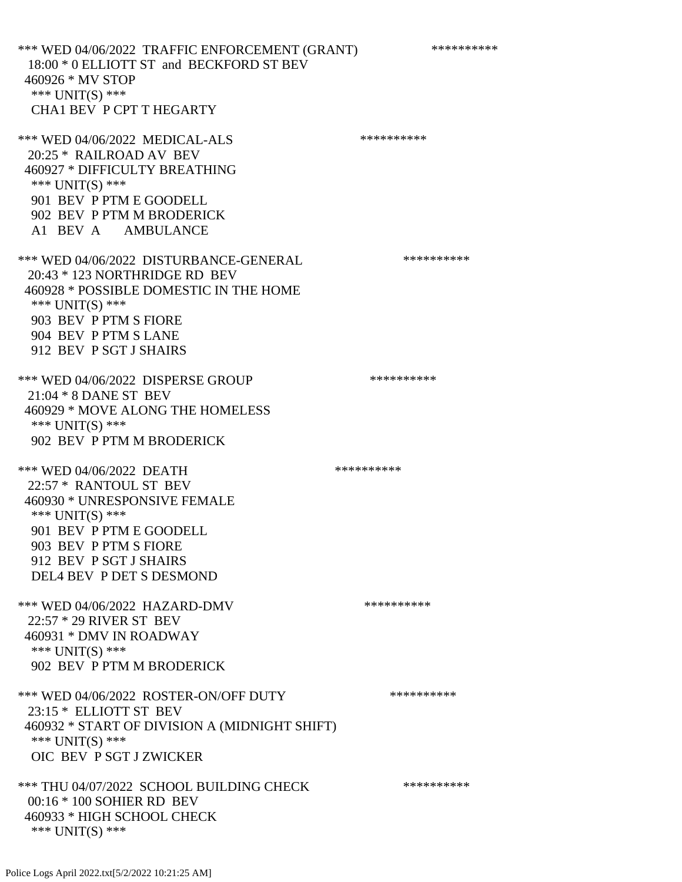\*\*\* WED 04/06/2022 TRAFFIC ENFORCEMENT (GRANT) \*\*\*\*\*\*\*\*\*\* 18:00 \* 0 ELLIOTT ST and BECKFORD ST BEV 460926 \* MV STOP \*\*\* UNIT(S) \*\*\* CHA1 BEV P CPT T HEGARTY \*\*\* WED 04/06/2022 MEDICAL-ALS \*\*\*\*\*\*\*\*\*\* 20:25 \* RAILROAD AV BEV 460927 \* DIFFICULTY BREATHING \*\*\* UNIT(S) \*\*\* 901 BEV P PTM E GOODELL 902 BEV P PTM M BRODERICK A1 BEV A AMBULANCE \*\*\* WED 04/06/2022 DISTURBANCE-GENERAL \*\*\*\*\*\*\*\*\*\* 20:43 \* 123 NORTHRIDGE RD BEV 460928 \* POSSIBLE DOMESTIC IN THE HOME \*\*\* UNIT(S) \*\*\* 903 BEV P PTM S FIORE 904 BEV P PTM S LANE 912 BEV P SGT J SHAIRS \*\*\* WED 04/06/2022 DISPERSE GROUP \*\*\*\*\*\*\*\*\*\*\*\* 21:04 \* 8 DANE ST BEV 460929 \* MOVE ALONG THE HOMELESS \*\*\* UNIT(S) \*\*\* 902 BEV P PTM M BRODERICK \*\*\* WED 04/06/2022 DEATH 22:57 \* RANTOUL ST BEV 460930 \* UNRESPONSIVE FEMALE \*\*\* UNIT(S) \*\*\* 901 BEV P PTM E GOODELL 903 BEV P PTM S FIORE 912 BEV P SGT J SHAIRS DEL4 BEV P DET S DESMOND \*\*\* WED 04/06/2022 HAZARD-DMV \*\*\*\*\*\*\*\*\*\*\*\* 22:57 \* 29 RIVER ST BEV 460931 \* DMV IN ROADWAY \*\*\* UNIT(S) \*\*\* 902 BEV P PTM M BRODERICK \*\*\* WED 04/06/2022 ROSTER-ON/OFF DUTY \*\*\*\*\*\*\*\*\*\* 23:15 \* ELLIOTT ST BEV 460932 \* START OF DIVISION A (MIDNIGHT SHIFT) \*\*\* UNIT(S) \*\*\* OIC BEV P SGT J ZWICKER

\*\*\* THU 04/07/2022 SCHOOL BUILDING CHECK \*\*\*\*\*\*\*\*\*\*\*\* 00:16 \* 100 SOHIER RD BEV 460933 \* HIGH SCHOOL CHECK \*\*\* UNIT(S) \*\*\*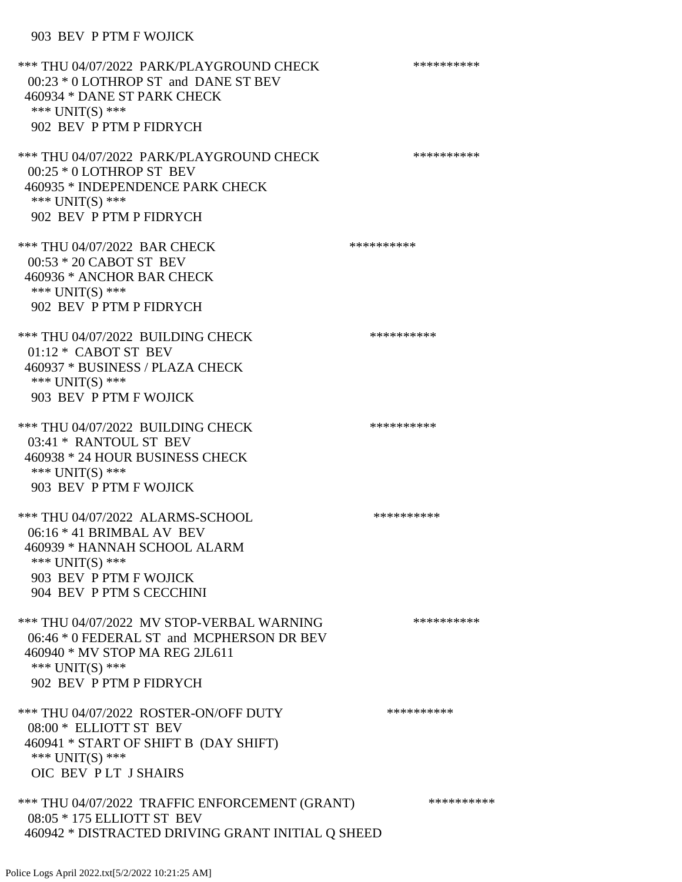## 903 BEV P PTM F WOJICK

| *** THU 04/07/2022 PARK/PLAYGROUND CHECK<br>00:23 * 0 LOTHROP ST and DANE ST BEV<br>460934 * DANE ST PARK CHECK<br>*** $UNIT(S)$ ***<br>902 BEV P PTM P FIDRYCH          | ********** |
|--------------------------------------------------------------------------------------------------------------------------------------------------------------------------|------------|
| *** THU 04/07/2022 PARK/PLAYGROUND CHECK<br>$00:25 * 0$ LOTHROP ST BEV<br>460935 * INDEPENDENCE PARK CHECK<br>*** UNIT(S) ***<br>902 BEV P PTM P FIDRYCH                 | ********** |
| *** THU 04/07/2022 BAR CHECK<br>00:53 * 20 CABOT ST BEV<br>460936 * ANCHOR BAR CHECK<br>*** UNIT(S) ***<br>902 BEV P PTM P FIDRYCH                                       | ********** |
| *** THU 04/07/2022 BUILDING CHECK<br>$01:12 * CABOTST BEV$<br>460937 * BUSINESS / PLAZA CHECK<br>*** $UNIT(S)$ ***<br>903 BEV P PTM F WOJICK                             | ********** |
| *** THU 04/07/2022 BUILDING CHECK<br>03:41 * RANTOUL ST BEV<br>460938 * 24 HOUR BUSINESS CHECK<br>*** UNIT(S) ***<br>903 BEV P PTM F WOJICK                              | ********** |
| *** THU 04/07/2022 ALARMS-SCHOOL<br>$06:16 * 41$ BRIMBAL AV BEV<br>460939 * HANNAH SCHOOL ALARM<br>*** UNIT(S) ***<br>903 BEV P PTM F WOJICK<br>904 BEV P PTM S CECCHINI | ********** |
| *** THU 04/07/2022 MV STOP-VERBAL WARNING<br>06:46 * 0 FEDERAL ST and MCPHERSON DR BEV<br>460940 * MV STOP MA REG 2JL611<br>*** $UNIT(S)$ ***<br>902 BEV P PTM P FIDRYCH | ********** |
| *** THU 04/07/2022 ROSTER-ON/OFF DUTY<br>08:00 * ELLIOTT ST BEV<br>460941 * START OF SHIFT B (DAY SHIFT)<br>*** UNIT(S) ***<br>OIC BEV PLT J SHAIRS                      | ********** |
| *** THU 04/07/2022 TRAFFIC ENFORCEMENT (GRANT)<br>08:05 * 175 ELLIOTT ST BEV<br>460942 * DISTRACTED DRIVING GRANT INITIAL Q SHEED                                        | ********** |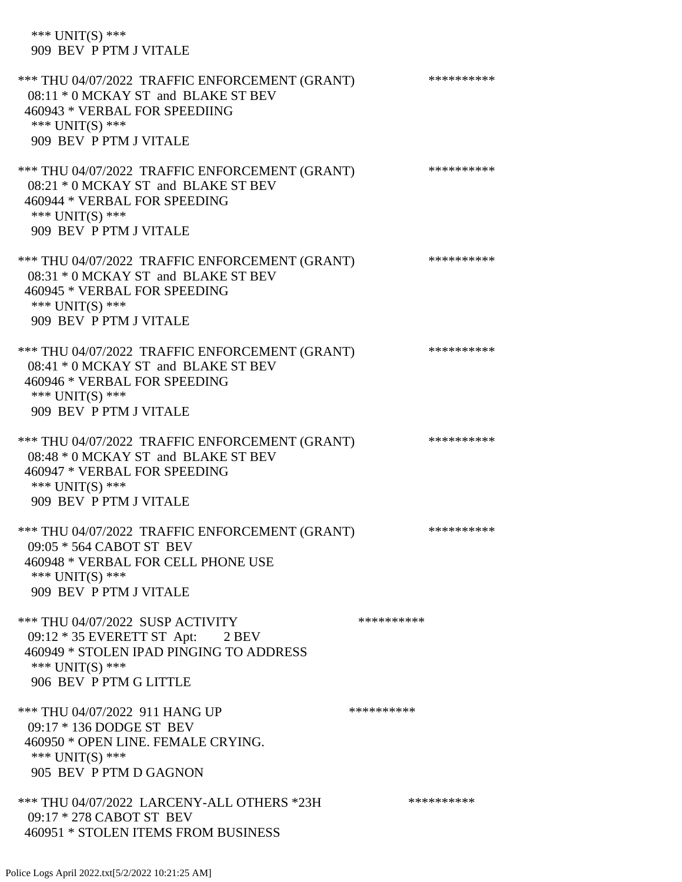| *** $UNIT(S)$ ***<br>909 BEV P PTM J VITALE                                                                                                                           |            |
|-----------------------------------------------------------------------------------------------------------------------------------------------------------------------|------------|
| *** THU 04/07/2022 TRAFFIC ENFORCEMENT (GRANT)<br>08:11 * 0 MCKAY ST and BLAKE ST BEV<br>460943 * VERBAL FOR SPEEDIING<br>*** $UNIT(S)$ ***<br>909 BEV P PTM J VITALE | ********** |
| *** THU 04/07/2022 TRAFFIC ENFORCEMENT (GRANT)<br>08:21 * 0 MCKAY ST and BLAKE ST BEV<br>460944 * VERBAL FOR SPEEDING<br>*** UNIT(S) ***<br>909 BEV P PTM J VITALE    | ********** |
| *** THU 04/07/2022 TRAFFIC ENFORCEMENT (GRANT)<br>08:31 * 0 MCKAY ST and BLAKE ST BEV<br>460945 * VERBAL FOR SPEEDING<br>*** UNIT(S) ***<br>909 BEV P PTM J VITALE    | ********** |
| *** THU 04/07/2022 TRAFFIC ENFORCEMENT (GRANT)<br>08:41 * 0 MCKAY ST and BLAKE ST BEV<br>460946 * VERBAL FOR SPEEDING<br>*** UNIT(S) ***<br>909 BEV P PTM J VITALE    | ********** |
| *** THU 04/07/2022 TRAFFIC ENFORCEMENT (GRANT)<br>08:48 * 0 MCKAY ST and BLAKE ST BEV<br>460947 * VERBAL FOR SPEEDING<br>*** $UNIT(S)$ ***<br>909 BEV P PTM J VITALE  | ********** |
| *** THU 04/07/2022 TRAFFIC ENFORCEMENT (GRANT)<br>09:05 * 564 CABOT ST BEV<br>460948 * VERBAL FOR CELL PHONE USE<br>*** UNIT(S) ***<br>909 BEV P PTM J VITALE         | ********** |
| *** THU 04/07/2022 SUSP ACTIVITY<br>09:12 * 35 EVERETT ST Apt: 2 BEV<br>460949 * STOLEN IPAD PINGING TO ADDRESS<br>*** $UNIT(S)$ ***<br>906 BEV P PTM G LITTLE        | ********** |
| *** THU 04/07/2022 911 HANG UP<br>09:17 * 136 DODGE ST BEV<br>460950 * OPEN LINE. FEMALE CRYING.<br>*** $UNIT(S)$ ***<br>905 BEV P PTM D GAGNON                       | ********** |
| *** THU 04/07/2022 LARCENY-ALL OTHERS *23H<br>09:17 * 278 CABOT ST BEV<br>460951 * STOLEN ITEMS FROM BUSINESS                                                         | ********** |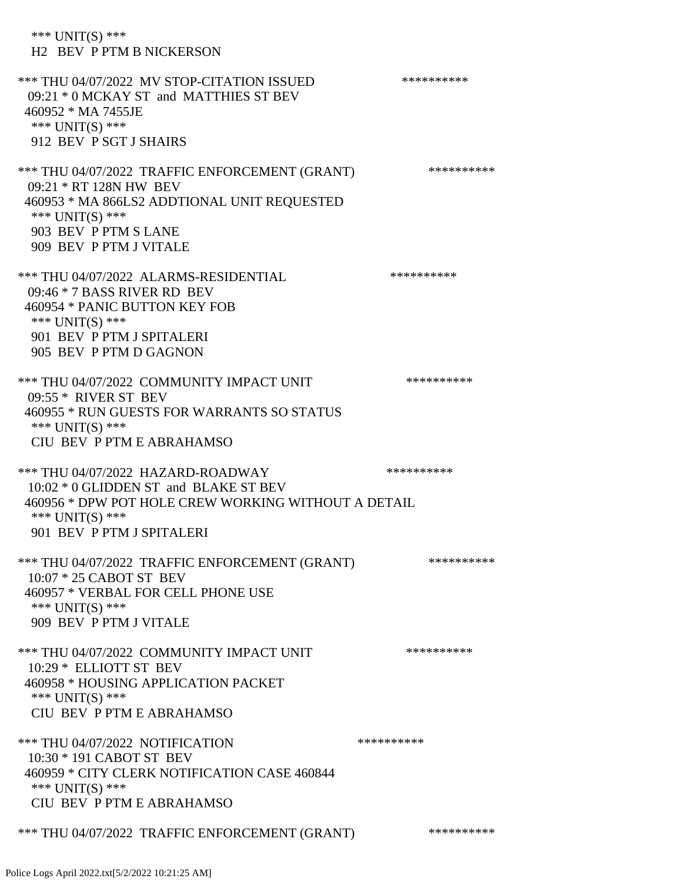\*\*\* UNIT(S) \*\*\* H2 BEV P PTM B NICKERSON \*\*\* THU 04/07/2022 MV STOP-CITATION ISSUED \*\*\*\*\*\*\*\*\*\* 09:21 \* 0 MCKAY ST and MATTHIES ST BEV 460952 \* MA 7455JE \*\*\* UNIT(S) \*\*\* 912 BEV P SGT J SHAIRS \*\*\* THU 04/07/2022 TRAFFIC ENFORCEMENT (GRANT) \*\*\*\*\*\*\*\*\*\*\*\* 09:21 \* RT 128N HW BEV 460953 \* MA 866LS2 ADDTIONAL UNIT REQUESTED \*\*\* UNIT(S) \*\*\* 903 BEV P PTM S LANE 909 BEV P PTM J VITALE \*\*\* THU 04/07/2022 ALARMS-RESIDENTIAL \*\*\*\*\*\*\*\*\*\* 09:46 \* 7 BASS RIVER RD BEV 460954 \* PANIC BUTTON KEY FOB \*\*\* UNIT(S) \*\*\* 901 BEV P PTM J SPITALERI 905 BEV P PTM D GAGNON \*\*\* THU 04/07/2022 COMMUNITY IMPACT UNIT \*\*\*\*\*\*\*\*\*\*\*\*\* 09:55 \* RIVER ST BEV 460955 \* RUN GUESTS FOR WARRANTS SO STATUS \*\*\* UNIT(S) \*\*\* CIU BEV P PTM E ABRAHAMSO \*\*\* THU 04/07/2022 HAZARD-ROADWAY \*\*\*\*\*\*\*\*\*\* 10:02 \* 0 GLIDDEN ST and BLAKE ST BEV 460956 \* DPW POT HOLE CREW WORKING WITHOUT A DETAIL \*\*\* UNIT(S) \*\*\* 901 BEV P PTM J SPITALERI \*\*\* THU 04/07/2022 TRAFFIC ENFORCEMENT (GRANT) \*\*\*\*\*\*\*\*\*\* 10:07 \* 25 CABOT ST BEV 460957 \* VERBAL FOR CELL PHONE USE \*\*\* UNIT(S) \*\*\* 909 BEV P PTM J VITALE \*\*\* THU 04/07/2022 COMMUNITY IMPACT UNIT \*\*\*\*\*\*\*\*\*\*\*\*\* 10:29 \* ELLIOTT ST BEV 460958 \* HOUSING APPLICATION PACKET \*\*\* UNIT(S) \*\*\* CIU BEV P PTM E ABRAHAMSO \*\*\* THU 04/07/2022 NOTIFICATION \*\*\*\*\*\*\*\*\*\* 10:30 \* 191 CABOT ST BEV 460959 \* CITY CLERK NOTIFICATION CASE 460844 \*\*\* UNIT(S) \*\*\* CIU BEV P PTM E ABRAHAMSO \*\*\* THU 04/07/2022 TRAFFIC ENFORCEMENT (GRANT) \*\*\*\*\*\*\*\*\*\*\*\*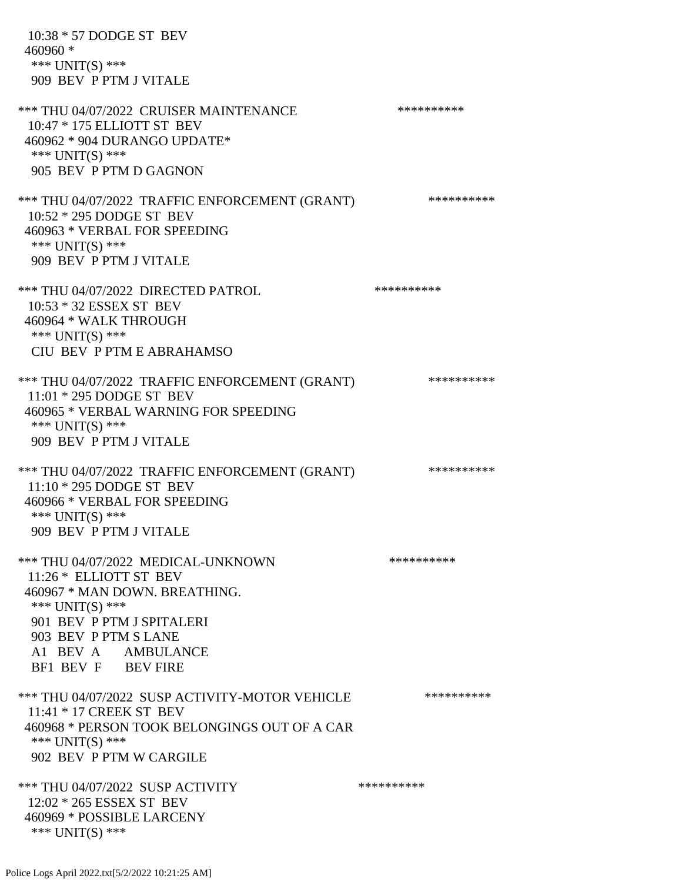10:38 \* 57 DODGE ST BEV 460960 \* \*\*\* UNIT(S) \*\*\* 909 BEV P PTM J VITALE \*\*\* THU 04/07/2022 CRUISER MAINTENANCE \*\*\*\*\*\*\*\*\*\*\*\*\* 10:47 \* 175 ELLIOTT ST BEV 460962 \* 904 DURANGO UPDATE\* \*\*\* UNIT(S) \*\*\* 905 BEV P PTM D GAGNON \*\*\* THU 04/07/2022 TRAFFIC ENFORCEMENT (GRANT) \*\*\*\*\*\*\*\*\*\*\*\* 10:52 \* 295 DODGE ST BEV 460963 \* VERBAL FOR SPEEDING \*\*\* UNIT(S) \*\*\* 909 BEV P PTM J VITALE \*\*\* THU 04/07/2022 DIRECTED PATROL \*\*\*\*\*\*\*\*\*\* 10:53 \* 32 ESSEX ST BEV 460964 \* WALK THROUGH \*\*\* UNIT(S) \*\*\* CIU BEV P PTM E ABRAHAMSO \*\*\* THU 04/07/2022 TRAFFIC ENFORCEMENT (GRANT) \*\*\*\*\*\*\*\*\*\* 11:01 \* 295 DODGE ST BEV 460965 \* VERBAL WARNING FOR SPEEDING \*\*\* UNIT(S) \*\*\* 909 BEV P PTM J VITALE \*\*\* THU 04/07/2022 TRAFFIC ENFORCEMENT (GRANT) \*\*\*\*\*\*\*\*\*\*\*\* 11:10 \* 295 DODGE ST BEV 460966 \* VERBAL FOR SPEEDING \*\*\* UNIT(S) \*\*\* 909 BEV P PTM J VITALE \*\*\* THU 04/07/2022 MEDICAL-UNKNOWN \*\*\*\*\*\*\*\*\*\* 11:26 \* ELLIOTT ST BEV 460967 \* MAN DOWN. BREATHING. \*\*\* UNIT(S) \*\*\* 901 BEV P PTM J SPITALERI 903 BEV P PTM S LANE A1 BEV A AMBULANCE BF1 BEV F BEV FIRE \*\*\* THU 04/07/2022 SUSP ACTIVITY-MOTOR VEHICLE \*\*\*\*\*\*\*\*\*\* 11:41 \* 17 CREEK ST BEV 460968 \* PERSON TOOK BELONGINGS OUT OF A CAR \*\*\* UNIT(S) \*\*\* 902 BEV P PTM W CARGILE \*\*\* THU 04/07/2022 SUSP ACTIVITY \*\*\*\*\*\*\*\*\*\* 12:02 \* 265 ESSEX ST BEV 460969 \* POSSIBLE LARCENY \*\*\* UNIT(S) \*\*\*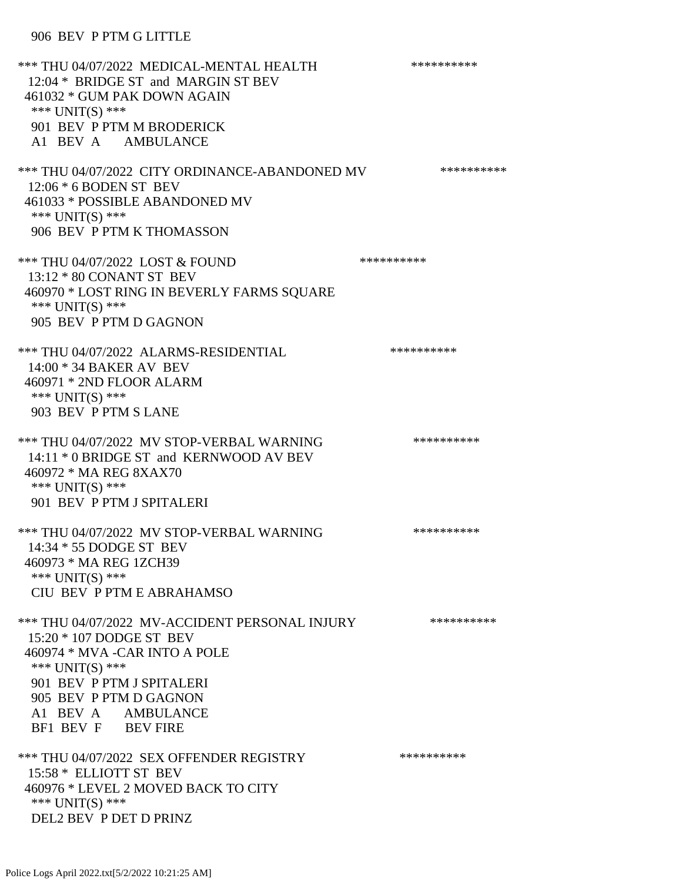## 906 BEV P PTM G LITTLE

\*\*\* THU 04/07/2022 MEDICAL-MENTAL HEALTH \*\*\*\*\*\*\*\*\*\* 12:04 \* BRIDGE ST and MARGIN ST BEV 461032 \* GUM PAK DOWN AGAIN \*\*\* UNIT(S) \*\*\* 901 BEV P PTM M BRODERICK A1 BEV A AMBULANCE \*\*\* THU 04/07/2022 CITY ORDINANCE-ABANDONED MV \*\*\*\*\*\*\*\*\*\* 12:06 \* 6 BODEN ST BEV 461033 \* POSSIBLE ABANDONED MV \*\*\* UNIT(S) \*\*\* 906 BEV P PTM K THOMASSON \*\*\* THU 04/07/2022 LOST & FOUND \*\*\*\*\*\*\*\*\*\* 13:12 \* 80 CONANT ST BEV 460970 \* LOST RING IN BEVERLY FARMS SQUARE \*\*\* UNIT(S) \*\*\* 905 BEV P PTM D GAGNON \*\*\* THU 04/07/2022 ALARMS-RESIDENTIAL \*\*\*\*\*\*\*\*\*\* 14:00 \* 34 BAKER AV BEV 460971 \* 2ND FLOOR ALARM \*\*\* UNIT(S) \*\*\* 903 BEV P PTM S LANE \*\*\* THU 04/07/2022 MV STOP-VERBAL WARNING \*\*\*\*\*\*\*\*\*\*\*\*\* 14:11 \* 0 BRIDGE ST and KERNWOOD AV BEV 460972 \* MA REG 8XAX70 \*\*\* UNIT(S) \*\*\* 901 BEV P PTM J SPITALERI \*\*\* THU 04/07/2022 MV STOP-VERBAL WARNING \*\*\*\*\*\*\*\*\*\*\*\*\*\* 14:34 \* 55 DODGE ST BEV 460973 \* MA REG 1ZCH39 \*\*\* UNIT(S) \*\*\* CIU BEV P PTM E ABRAHAMSO \*\*\* THU 04/07/2022 MV-ACCIDENT PERSONAL INJURY \*\*\*\*\*\*\*\*\*\* 15:20 \* 107 DODGE ST BEV 460974 \* MVA -CAR INTO A POLE \*\*\* UNIT(S) \*\*\* 901 BEV P PTM J SPITALERI 905 BEV P PTM D GAGNON A1 BEV A AMBULANCE BF1 BEV F BEV FIRE \*\*\* THU 04/07/2022 SEX OFFENDER REGISTRY \*\*\*\*\*\*\*\*\*\*\*\* 15:58 \* ELLIOTT ST BEV 460976 \* LEVEL 2 MOVED BACK TO CITY \*\*\* UNIT(S) \*\*\* DEL2 BEV P DET D PRINZ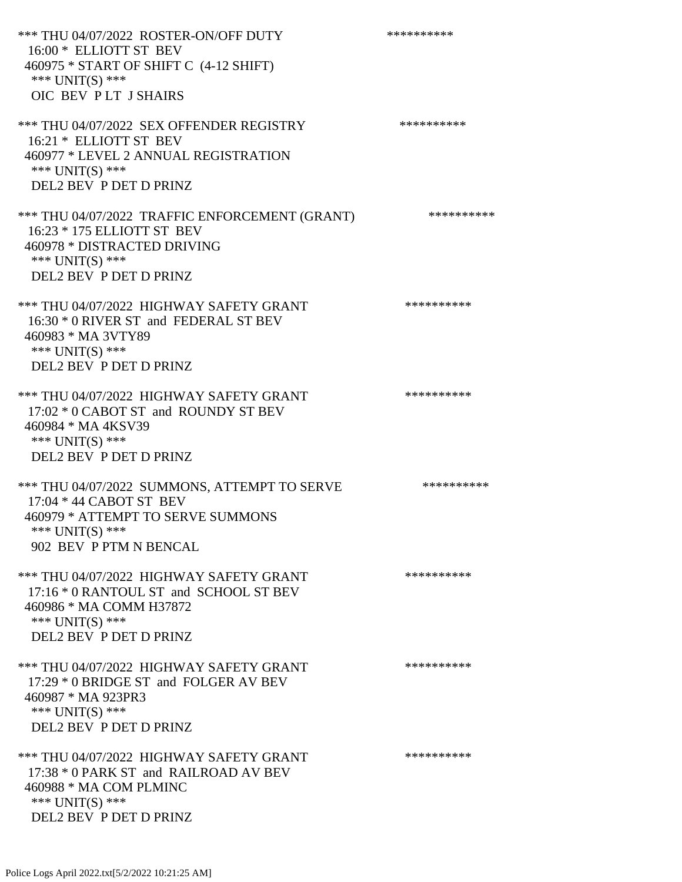\*\*\* THU 04/07/2022 ROSTER-ON/OFF DUTY \*\*\*\*\*\*\*\*\*\* 16:00 \* ELLIOTT ST BEV 460975 \* START OF SHIFT C (4-12 SHIFT) \*\*\* UNIT(S) \*\*\* OIC BEV P LT J SHAIRS \*\*\* THU 04/07/2022 SEX OFFENDER REGISTRY \*\*\*\*\*\*\*\*\*\*\*\* 16:21 \* ELLIOTT ST BEV 460977 \* LEVEL 2 ANNUAL REGISTRATION \*\*\* UNIT(S) \*\*\* DEL2 BEV P DET D PRINZ \*\*\* THU 04/07/2022 TRAFFIC ENFORCEMENT (GRANT) \*\*\*\*\*\*\*\*\*\* 16:23 \* 175 ELLIOTT ST BEV 460978 \* DISTRACTED DRIVING \*\*\* UNIT(S) \*\*\* DEL2 BEV P DET D PRINZ \*\*\* THU 04/07/2022 HIGHWAY SAFETY GRANT \*\*\*\*\*\*\*\*\*\* 16:30 \* 0 RIVER ST and FEDERAL ST BEV 460983 \* MA 3VTY89 \*\*\* UNIT(S) \*\*\* DEL2 BEV P DET D PRINZ \*\*\* THU 04/07/2022 HIGHWAY SAFETY GRANT \*\*\*\*\*\*\*\*\*\*\*\*\* 17:02 \* 0 CABOT ST and ROUNDY ST BEV 460984 \* MA 4KSV39 \*\*\* UNIT(S) \*\*\* DEL2 BEV P DET D PRINZ \*\*\* THU 04/07/2022 SUMMONS, ATTEMPT TO SERVE \*\*\*\*\*\*\*\*\*\*\*\* 17:04 \* 44 CABOT ST BEV 460979 \* ATTEMPT TO SERVE SUMMONS \*\*\* UNIT(S) \*\*\* 902 BEV P PTM N BENCAL \*\*\* THU 04/07/2022 HIGHWAY SAFETY GRANT \*\*\*\*\*\*\*\*\*\*\*\*\* 17:16 \* 0 RANTOUL ST and SCHOOL ST BEV 460986 \* MA COMM H37872 \*\*\* UNIT(S) \*\*\* DEL2 BEV P DET D PRINZ \*\*\* THU 04/07/2022 HIGHWAY SAFETY GRANT \*\*\*\*\*\*\*\*\*\*\*\*\* 17:29 \* 0 BRIDGE ST and FOLGER AV BEV 460987 \* MA 923PR3 \*\*\* UNIT(S) \*\*\* DEL2 BEV P DET D PRINZ \*\*\* THU 04/07/2022 HIGHWAY SAFETY GRANT \*\*\*\*\*\*\*\*\*\*\*\*\* 17:38 \* 0 PARK ST and RAILROAD AV BEV 460988 \* MA COM PLMINC \*\*\* UNIT(S) \*\*\* DEL2 BEV P DET D PRINZ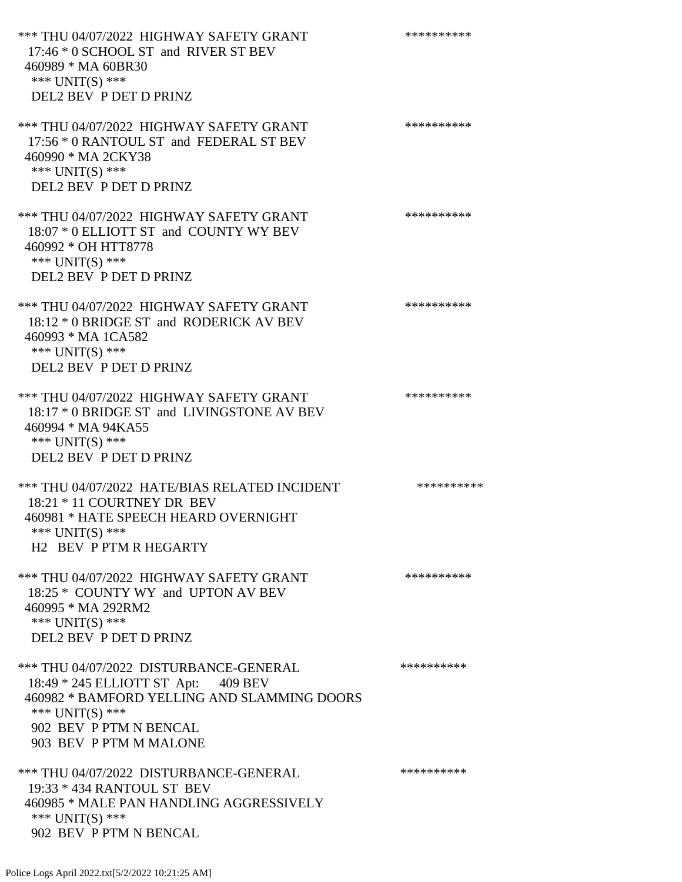\*\*\* THU 04/07/2022 HIGHWAY SAFETY GRANT \*\*\*\*\*\*\*\*\*\*\*\*\* 17:46 \* 0 SCHOOL ST and RIVER ST BEV 460989 \* MA 60BR30 \*\*\* UNIT(S) \*\*\* DEL2 BEV P DET D PRINZ \*\*\* THU 04/07/2022 HIGHWAY SAFETY GRANT \*\*\*\*\*\*\*\*\*\*\*\*\* 17:56 \* 0 RANTOUL ST and FEDERAL ST BEV 460990 \* MA 2CKY38 \*\*\* UNIT(S) \*\*\* DEL2 BEV P DET D PRINZ \*\*\* THU 04/07/2022 HIGHWAY SAFETY GRANT \*\*\*\*\*\*\*\*\*\* 18:07 \* 0 ELLIOTT ST and COUNTY WY BEV 460992 \* OH HTT8778 \*\*\* UNIT(S) \*\*\* DEL2 BEV P DET D PRINZ \*\*\* THU 04/07/2022 HIGHWAY SAFETY GRANT \*\*\*\*\*\*\*\*\*\*\*\*\* 18:12 \* 0 BRIDGE ST and RODERICK AV BEV 460993 \* MA 1CA582 \*\*\* UNIT(S) \*\*\* DEL2 BEV P DET D PRINZ \*\*\* THU 04/07/2022 HIGHWAY SAFETY GRANT \*\*\*\*\*\*\*\*\*\*\*\*\* 18:17 \* 0 BRIDGE ST and LIVINGSTONE AV BEV 460994 \* MA 94KA55 \*\*\* UNIT(S) \*\*\* DEL2 BEV P DET D PRINZ \*\*\* THU 04/07/2022 HATE/BIAS RELATED INCIDENT \*\*\*\*\*\*\*\*\*\* 18:21 \* 11 COURTNEY DR BEV 460981 \* HATE SPEECH HEARD OVERNIGHT \*\*\* UNIT(S) \*\*\* H2 BEV P PTM R HEGARTY \*\*\* THU 04/07/2022 HIGHWAY SAFETY GRANT \*\*\*\*\*\*\*\*\*\*\*\*\* 18:25 \* COUNTY WY and UPTON AV BEV 460995 \* MA 292RM2 \*\*\* UNIT(S) \*\*\* DEL2 BEV P DET D PRINZ \*\*\* THU 04/07/2022 DISTURBANCE-GENERAL \*\*\*\*\*\*\*\*\*\* 18:49 \* 245 ELLIOTT ST Apt: 409 BEV 460982 \* BAMFORD YELLING AND SLAMMING DOORS \*\*\* UNIT(S) \*\*\* 902 BEV P PTM N BENCAL 903 BEV P PTM M MALONE \*\*\* THU 04/07/2022 DISTURBANCE-GENERAL \*\*\*\*\*\*\*\*\*\* 19:33 \* 434 RANTOUL ST BEV 460985 \* MALE PAN HANDLING AGGRESSIVELY \*\*\* UNIT(S) \*\*\* 902 BEV P PTM N BENCAL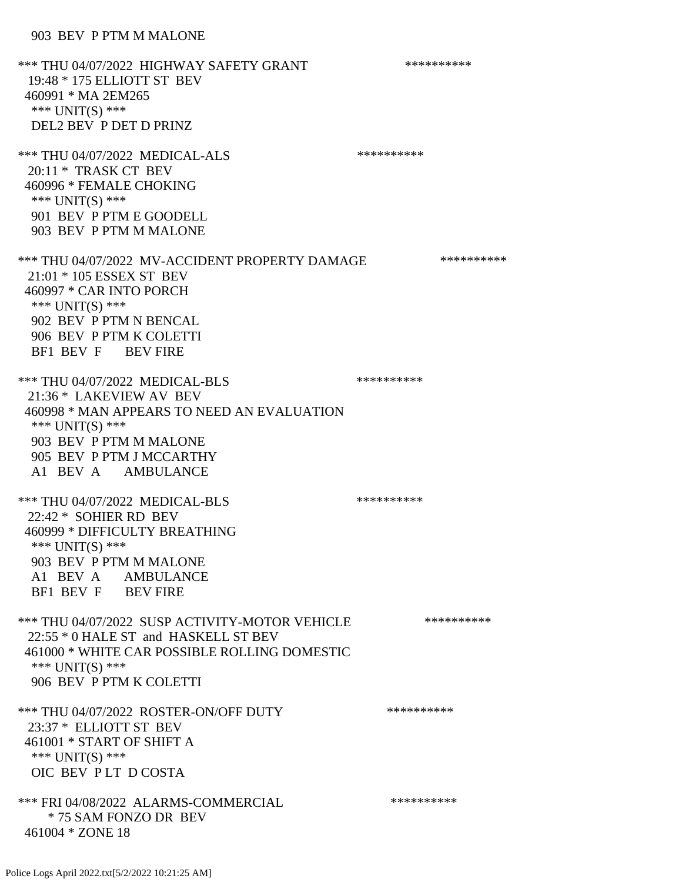## 903 BEV P PTM M MALONE

\*\*\* THU 04/07/2022 HIGHWAY SAFETY GRANT \*\*\*\*\*\*\*\*\*\*\*\*\* 19:48 \* 175 ELLIOTT ST BEV 460991 \* MA 2EM265 \*\*\* UNIT(S) \*\*\* DEL2 BEV P DET D PRINZ \*\*\* THU 04/07/2022 MEDICAL-ALS \*\*\*\*\*\*\*\*\*\*\*\*\*\* 20:11 \* TRASK CT BEV 460996 \* FEMALE CHOKING \*\*\* UNIT(S) \*\*\* 901 BEV P PTM E GOODELL 903 BEV P PTM M MALONE \*\*\* THU 04/07/2022 MV-ACCIDENT PROPERTY DAMAGE \*\*\*\*\*\*\*\*\*\*\*\* 21:01 \* 105 ESSEX ST BEV 460997 \* CAR INTO PORCH \*\*\* UNIT(S) \*\*\* 902 BEV P PTM N BENCAL 906 BEV P PTM K COLETTI BF1 BEV F BEV FIRE \*\*\* THU 04/07/2022 MEDICAL-BLS \*\*\*\*\*\*\*\*\*\*\*\*\* 21:36 \* LAKEVIEW AV BEV 460998 \* MAN APPEARS TO NEED AN EVALUATION \*\*\* UNIT(S) \*\*\* 903 BEV P PTM M MALONE 905 BEV P PTM J MCCARTHY A1 BEV A AMBULANCE \*\*\* THU 04/07/2022 MEDICAL-BLS \*\*\*\*\*\*\*\*\*\* 22:42 \* SOHIER RD BEV 460999 \* DIFFICULTY BREATHING \*\*\* UNIT(S) \*\*\* 903 BEV P PTM M MALONE A1 BEV A AMBULANCE BF1 BEV F BEV FIRE \*\*\* THU 04/07/2022 SUSP ACTIVITY-MOTOR VEHICLE \*\*\*\*\*\*\*\*\*\*\*\* 22:55 \* 0 HALE ST and HASKELL ST BEV 461000 \* WHITE CAR POSSIBLE ROLLING DOMESTIC \*\*\* UNIT(S) \*\*\* 906 BEV P PTM K COLETTI \*\*\* THU 04/07/2022 ROSTER-ON/OFF DUTY \*\*\*\*\*\*\*\*\*\* 23:37 \* ELLIOTT ST BEV 461001 \* START OF SHIFT A \*\*\* UNIT(S) \*\*\* OIC BEV P LT D COSTA \*\*\* FRI 04/08/2022 ALARMS-COMMERCIAL \*\*\*\*\*\*\*\*\*\* \* 75 SAM FONZO DR BEV 461004 \* ZONE 18

```
Police Logs April 2022.txt[5/2/2022 10:21:25 AM]
```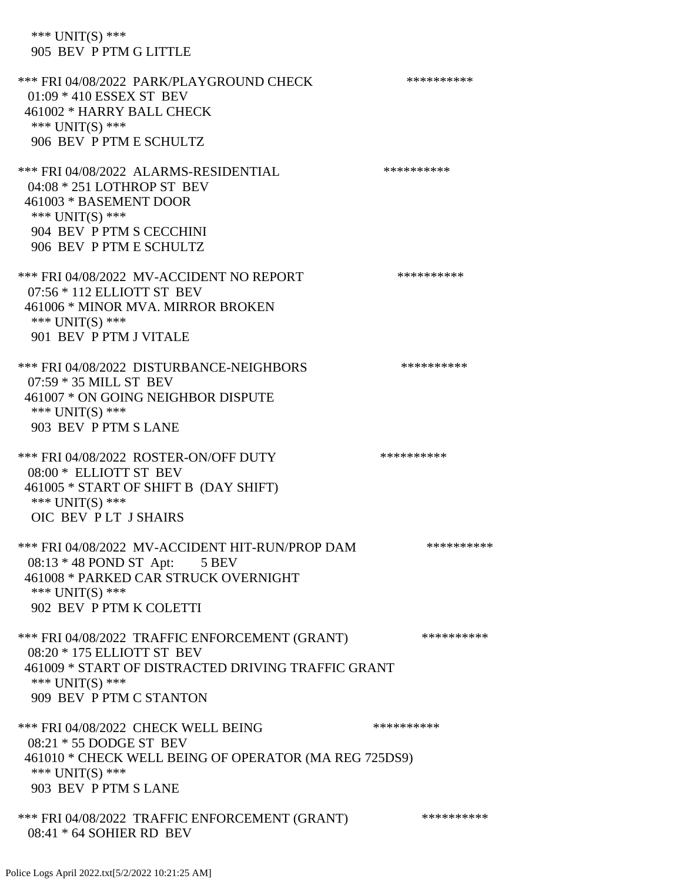\*\*\* UNIT(S) \*\*\* 905 BEV P PTM G LITTLE

\*\*\* FRI 04/08/2022 PARK/PLAYGROUND CHECK \*\*\*\*\*\*\*\*\*\*\*\* 01:09 \* 410 ESSEX ST BEV 461002 \* HARRY BALL CHECK \*\*\* UNIT(S) \*\*\* 906 BEV P PTM E SCHULTZ \*\*\* FRI 04/08/2022 ALARMS-RESIDENTIAL \*\*\*\*\*\*\*\*\*\*\*\* 04:08 \* 251 LOTHROP ST BEV 461003 \* BASEMENT DOOR \*\*\* UNIT(S) \*\*\* 904 BEV P PTM S CECCHINI 906 BEV P PTM E SCHULTZ \*\*\* FRI 04/08/2022 MV-ACCIDENT NO REPORT \*\*\*\*\*\*\*\*\*\*\*\* 07:56 \* 112 ELLIOTT ST BEV 461006 \* MINOR MVA. MIRROR BROKEN \*\*\* UNIT(S) \*\*\* 901 BEV P PTM J VITALE \*\*\* FRI 04/08/2022 DISTURBANCE-NEIGHBORS \*\*\*\*\*\*\*\*\*\*\*\* 07:59 \* 35 MILL ST BEV 461007 \* ON GOING NEIGHBOR DISPUTE \*\*\* UNIT(S) \*\*\* 903 BEV P PTM S LANE \*\*\* FRI 04/08/2022 ROSTER-ON/OFF DUTY \*\*\*\*\*\*\*\*\*\* 08:00 \* ELLIOTT ST BEV 461005 \* START OF SHIFT B (DAY SHIFT) \*\*\* UNIT(S) \*\*\* OIC BEV P LT J SHAIRS \*\*\* FRI 04/08/2022 MV-ACCIDENT HIT-RUN/PROP DAM \*\*\*\*\*\*\*\*\*\* 08:13 \* 48 POND ST Apt: 5 BEV 461008 \* PARKED CAR STRUCK OVERNIGHT \*\*\* UNIT(S) \*\*\* 902 BEV P PTM K COLETTI \*\*\* FRI 04/08/2022 TRAFFIC ENFORCEMENT (GRANT) \*\*\*\*\*\*\*\*\*\* 08:20 \* 175 ELLIOTT ST BEV 461009 \* START OF DISTRACTED DRIVING TRAFFIC GRANT \*\*\* UNIT(S) \*\*\* 909 BEV P PTM C STANTON \*\*\* FRI 04/08/2022 CHECK WELL BEING \*\*\*\*\*\*\*\*\*\* 08:21 \* 55 DODGE ST BEV 461010 \* CHECK WELL BEING OF OPERATOR (MA REG 725DS9) \*\*\* UNIT(S) \*\*\* 903 BEV P PTM S LANE \*\*\* FRI 04/08/2022 TRAFFIC ENFORCEMENT (GRANT) \*\*\*\*\*\*\*\*\*\* 08:41 \* 64 SOHIER RD BEV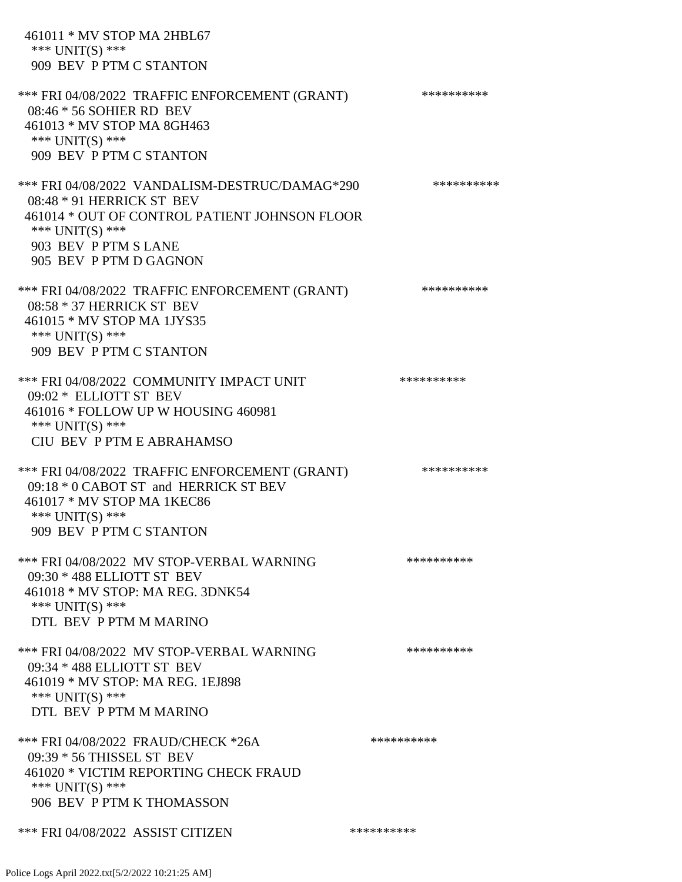461011 \* MV STOP MA 2HBL67 \*\*\* UNIT(S) \*\*\* 909 BEV P PTM C STANTON \*\*\* FRI 04/08/2022 TRAFFIC ENFORCEMENT (GRANT) \*\*\*\*\*\*\*\*\*\* 08:46 \* 56 SOHIER RD BEV 461013 \* MV STOP MA 8GH463 \*\*\* UNIT(S) \*\*\* 909 BEV P PTM C STANTON \*\*\* FRI 04/08/2022 VANDALISM-DESTRUC/DAMAG\*290 \*\*\*\*\*\*\*\*\*\* 08:48 \* 91 HERRICK ST BEV 461014 \* OUT OF CONTROL PATIENT JOHNSON FLOOR \*\*\* UNIT(S) \*\*\* 903 BEV P PTM S LANE 905 BEV P PTM D GAGNON \*\*\* FRI 04/08/2022 TRAFFIC ENFORCEMENT (GRANT) \*\*\*\*\*\*\*\*\*\* 08:58 \* 37 HERRICK ST BEV 461015 \* MV STOP MA 1JYS35 \*\*\* UNIT(S) \*\*\* 909 BEV P PTM C STANTON \*\*\* FRI 04/08/2022 COMMUNITY IMPACT UNIT \*\*\*\*\*\*\*\*\*\*\*\* 09:02 \* ELLIOTT ST BEV 461016 \* FOLLOW UP W HOUSING 460981 \*\*\* UNIT(S) \*\*\* CIU BEV P PTM E ABRAHAMSO \*\*\* FRI 04/08/2022 TRAFFIC ENFORCEMENT (GRANT) \*\*\*\*\*\*\*\*\*\*\*\* 09:18 \* 0 CABOT ST and HERRICK ST BEV 461017 \* MV STOP MA 1KEC86 \*\*\* UNIT(S) \*\*\* 909 BEV P PTM C STANTON \*\*\* FRI 04/08/2022 MV STOP-VERBAL WARNING \*\*\*\*\*\*\*\*\*\*\*\*\* 09:30 \* 488 ELLIOTT ST BEV 461018 \* MV STOP: MA REG. 3DNK54 \*\*\* UNIT(S) \*\*\* DTL BEV P PTM M MARINO \*\*\* FRI 04/08/2022 MV STOP-VERBAL WARNING \*\*\*\*\*\*\*\*\*\*\*\* 09:34 \* 488 ELLIOTT ST BEV 461019 \* MV STOP: MA REG. 1EJ898 \*\*\* UNIT(S) \*\*\* DTL BEV P PTM M MARINO \*\*\* FRI 04/08/2022 FRAUD/CHECK \*26A \*\*\*\*\*\*\*\*\*\*\*\*\*\*\*\*\*\* 09:39 \* 56 THISSEL ST BEV 461020 \* VICTIM REPORTING CHECK FRAUD \*\*\* UNIT(S) \*\*\* 906 BEV P PTM K THOMASSON \*\*\* FRI 04/08/2022 ASSIST CITIZEN \*\*\*\*\*\*\*\*\*\*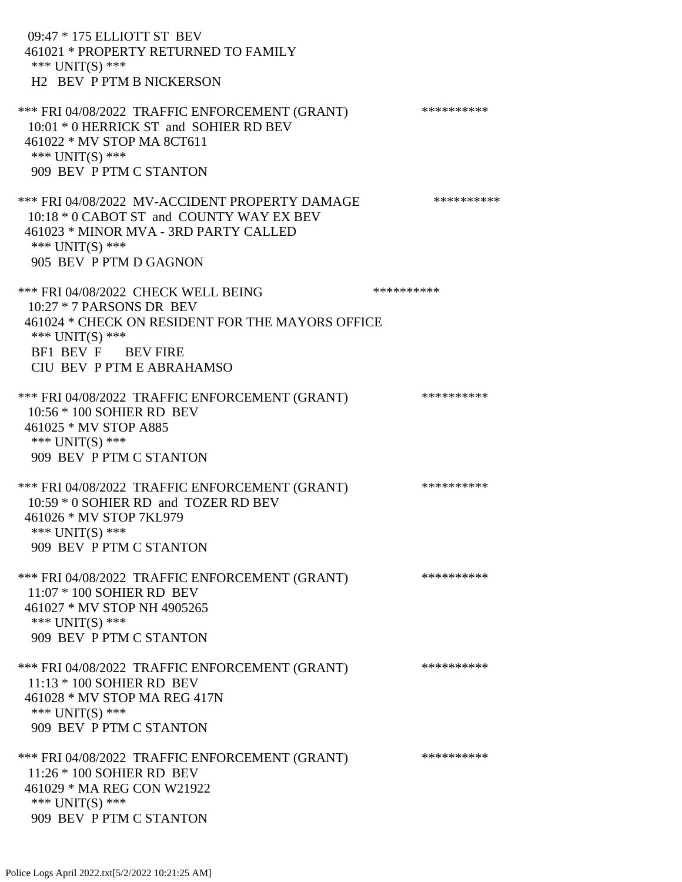09:47 \* 175 ELLIOTT ST BEV 461021 \* PROPERTY RETURNED TO FAMILY \*\*\* UNIT(S) \*\*\* H2 BEV P PTM B NICKERSON \*\*\* FRI 04/08/2022 TRAFFIC ENFORCEMENT (GRANT) \*\*\*\*\*\*\*\*\*\* 10:01 \* 0 HERRICK ST and SOHIER RD BEV 461022 \* MV STOP MA 8CT611 \*\*\* UNIT(S) \*\*\* 909 BEV P PTM C STANTON \*\*\* FRI 04/08/2022 MV-ACCIDENT PROPERTY DAMAGE \*\*\*\*\*\*\*\*\*\* 10:18 \* 0 CABOT ST and COUNTY WAY EX BEV 461023 \* MINOR MVA - 3RD PARTY CALLED \*\*\* UNIT(S) \*\*\* 905 BEV P PTM D GAGNON \*\*\* FRI 04/08/2022 CHECK WELL BEING \*\*\*\*\*\*\*\*\*\* 10:27 \* 7 PARSONS DR BEV 461024 \* CHECK ON RESIDENT FOR THE MAYORS OFFICE \*\*\* UNIT(S) \*\*\* BF1 BEV F BEV FIRE CIU BEV P PTM E ABRAHAMSO \*\*\* FRI 04/08/2022 TRAFFIC ENFORCEMENT (GRANT) \*\*\*\*\*\*\*\*\*\* 10:56 \* 100 SOHIER RD BEV 461025 \* MV STOP A885 \*\*\* UNIT(S) \*\*\* 909 BEV P PTM C STANTON \*\*\* FRI 04/08/2022 TRAFFIC ENFORCEMENT (GRANT) \*\*\*\*\*\*\*\*\*\* 10:59 \* 0 SOHIER RD and TOZER RD BEV 461026 \* MV STOP 7KL979 \*\*\* UNIT(S) \*\*\* 909 BEV P PTM C STANTON \*\*\* FRI 04/08/2022 TRAFFIC ENFORCEMENT (GRANT) \*\*\*\*\*\*\*\*\*\* 11:07 \* 100 SOHIER RD BEV 461027 \* MV STOP NH 4905265 \*\*\* UNIT(S) \*\*\* 909 BEV P PTM C STANTON \*\*\* FRI 04/08/2022 TRAFFIC ENFORCEMENT (GRANT) \*\*\*\*\*\*\*\*\*\* 11:13 \* 100 SOHIER RD BEV 461028 \* MV STOP MA REG 417N \*\*\* UNIT(S) \*\*\* 909 BEV P PTM C STANTON \*\*\* FRI 04/08/2022 TRAFFIC ENFORCEMENT (GRANT) \*\*\*\*\*\*\*\*\*\* 11:26 \* 100 SOHIER RD BEV 461029 \* MA REG CON W21922 \*\*\* UNIT(S) \*\*\* 909 BEV P PTM C STANTON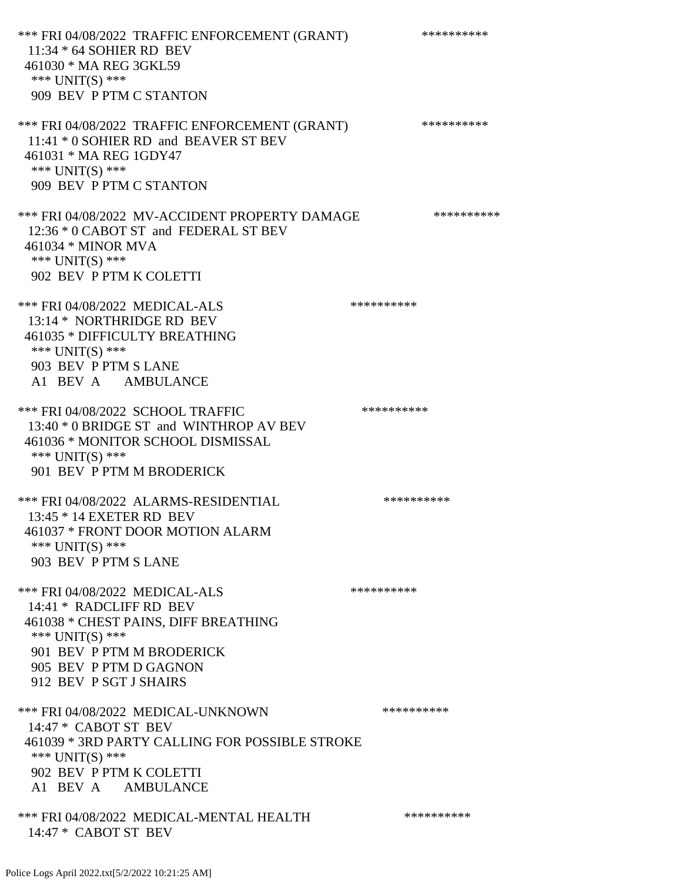\*\*\* FRI 04/08/2022 TRAFFIC ENFORCEMENT (GRANT) \*\*\*\*\*\*\*\*\*\* 11:34 \* 64 SOHIER RD BEV 461030 \* MA REG 3GKL59 \*\*\* UNIT(S) \*\*\* 909 BEV P PTM C STANTON \*\*\* FRI 04/08/2022 TRAFFIC ENFORCEMENT (GRANT) \*\*\*\*\*\*\*\*\*\* 11:41 \* 0 SOHIER RD and BEAVER ST BEV 461031 \* MA REG 1GDY47 \*\*\* UNIT(S) \*\*\* 909 BEV P PTM C STANTON \*\*\* FRI 04/08/2022 MV-ACCIDENT PROPERTY DAMAGE \*\*\*\*\*\*\*\*\*\* 12:36 \* 0 CABOT ST and FEDERAL ST BEV 461034 \* MINOR MVA \*\*\* UNIT(S) \*\*\* 902 BEV P PTM K COLETTI \*\*\* FRI 04/08/2022 MEDICAL-ALS \*\*\*\*\*\*\*\*\*\*\*\*\*\* 13:14 \* NORTHRIDGE RD BEV 461035 \* DIFFICULTY BREATHING \*\*\* UNIT(S) \*\*\* 903 BEV P PTM S LANE A1 BEV A AMBULANCE \*\*\* FRI 04/08/2022 SCHOOL TRAFFIC \*\*\*\*\*\*\*\*\*\*\*\*\*\* 13:40 \* 0 BRIDGE ST and WINTHROP AV BEV 461036 \* MONITOR SCHOOL DISMISSAL \*\*\* UNIT(S) \*\*\* 901 BEV P PTM M BRODERICK \*\*\* FRI 04/08/2022 ALARMS-RESIDENTIAL \*\*\*\*\*\*\*\*\*\* 13:45 \* 14 EXETER RD BEV 461037 \* FRONT DOOR MOTION ALARM \*\*\* UNIT(S) \*\*\* 903 BEV P PTM S LANE \*\*\* FRI 04/08/2022 MEDICAL-ALS \*\*\*\*\*\*\*\*\*\*\*\*\*\* 14:41 \* RADCLIFF RD BEV 461038 \* CHEST PAINS, DIFF BREATHING \*\*\* UNIT(S) \*\*\* 901 BEV P PTM M BRODERICK 905 BEV P PTM D GAGNON 912 BEV P SGT J SHAIRS \*\*\* FRI 04/08/2022 MEDICAL-UNKNOWN \*\*\*\*\*\*\*\*\*\* 14:47 \* CABOT ST BEV 461039 \* 3RD PARTY CALLING FOR POSSIBLE STROKE \*\*\* UNIT(S) \*\*\* 902 BEV P PTM K COLETTI A1 BEV A AMBULANCE \*\*\* FRI 04/08/2022 MEDICAL-MENTAL HEALTH \*\*\*\*\*\*\*\*\*\* 14:47 \* CABOT ST BEV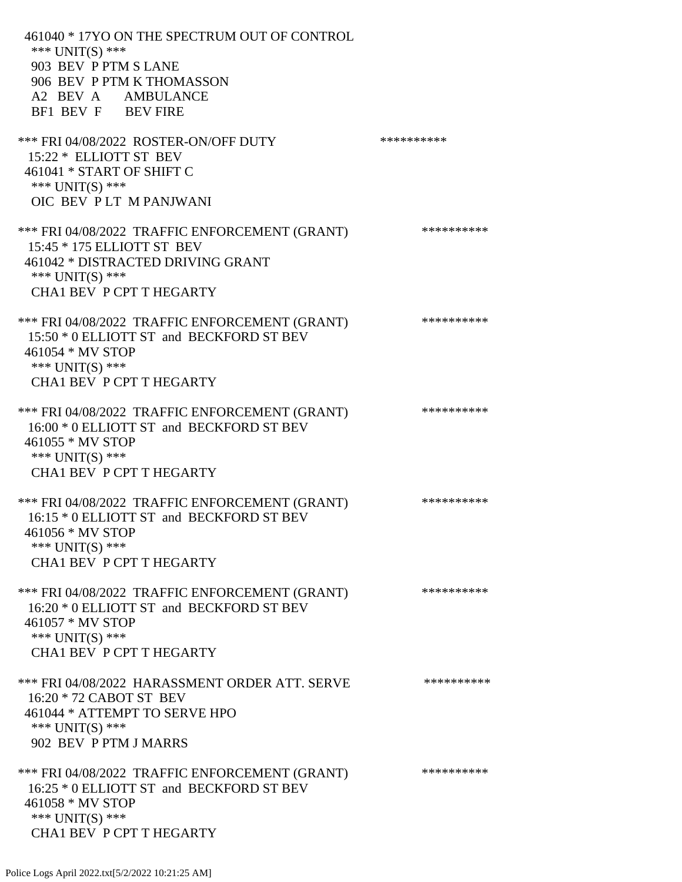461040 \* 17YO ON THE SPECTRUM OUT OF CONTROL \*\*\* UNIT(S) \*\*\* 903 BEV P PTM S LANE 906 BEV P PTM K THOMASSON A2 BEV A AMBULANCE BF1 BEV F BEV FIRE \*\*\* FRI 04/08/2022 ROSTER-ON/OFF DUTY \*\*\*\*\*\*\*\*\*\* 15:22 \* ELLIOTT ST BEV 461041 \* START OF SHIFT C \*\*\* UNIT(S) \*\*\* OIC BEV P LT M PANJWANI \*\*\* FRI 04/08/2022 TRAFFIC ENFORCEMENT (GRANT) \*\*\*\*\*\*\*\*\*\* 15:45 \* 175 ELLIOTT ST BEV 461042 \* DISTRACTED DRIVING GRANT \*\*\* UNIT(S) \*\*\* CHA1 BEV P CPT T HEGARTY \*\*\* FRI 04/08/2022 TRAFFIC ENFORCEMENT (GRANT) \*\*\*\*\*\*\*\*\*\*\*\* 15:50 \* 0 ELLIOTT ST and BECKFORD ST BEV 461054 \* MV STOP \*\*\* UNIT(S) \*\*\* CHA1 BEV P CPT T HEGARTY \*\*\* FRI 04/08/2022 TRAFFIC ENFORCEMENT (GRANT) \*\*\*\*\*\*\*\*\*\* 16:00 \* 0 ELLIOTT ST and BECKFORD ST BEV 461055 \* MV STOP \*\*\* UNIT(S) \*\*\* CHA1 BEV P CPT T HEGARTY \*\*\* FRI 04/08/2022 TRAFFIC ENFORCEMENT (GRANT) \*\*\*\*\*\*\*\*\*\* 16:15 \* 0 ELLIOTT ST and BECKFORD ST BEV 461056 \* MV STOP \*\*\* UNIT(S) \*\*\* CHA1 BEV P CPT T HEGARTY \*\*\* FRI 04/08/2022 TRAFFIC ENFORCEMENT (GRANT) \*\*\*\*\*\*\*\*\*\* 16:20 \* 0 ELLIOTT ST and BECKFORD ST BEV 461057 \* MV STOP \*\*\* UNIT(S) \*\*\* CHA1 BEV P CPT T HEGARTY \*\*\* FRI 04/08/2022 HARASSMENT ORDER ATT. SERVE \*\*\*\*\*\*\*\*\*\* 16:20 \* 72 CABOT ST BEV 461044 \* ATTEMPT TO SERVE HPO \*\*\* UNIT(S) \*\*\* 902 BEV P PTM J MARRS \*\*\* FRI 04/08/2022 TRAFFIC ENFORCEMENT (GRANT) \*\*\*\*\*\*\*\*\*\* 16:25 \* 0 ELLIOTT ST and BECKFORD ST BEV 461058 \* MV STOP \*\*\* UNIT(S) \*\*\* CHA1 BEV P CPT T HEGARTY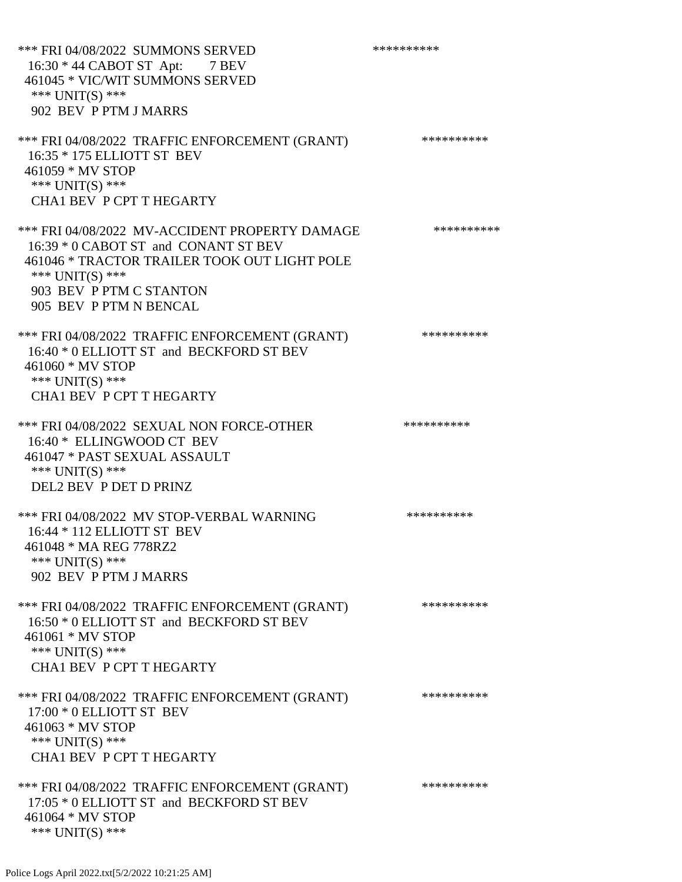\*\*\* FRI 04/08/2022 SUMMONS SERVED \*\*\*\*\*\*\*\*\*\* 16:30 \* 44 CABOT ST Apt: 7 BEV 461045 \* VIC/WIT SUMMONS SERVED \*\*\* UNIT(S) \*\*\* 902 BEV P PTM J MARRS \*\*\* FRI 04/08/2022 TRAFFIC ENFORCEMENT (GRANT) \*\*\*\*\*\*\*\*\*\*\*\* 16:35 \* 175 ELLIOTT ST BEV 461059 \* MV STOP \*\*\* UNIT(S) \*\*\* CHA1 BEV P CPT T HEGARTY \*\*\* FRI 04/08/2022 MV-ACCIDENT PROPERTY DAMAGE \*\*\*\*\*\*\*\*\*\* 16:39 \* 0 CABOT ST and CONANT ST BEV 461046 \* TRACTOR TRAILER TOOK OUT LIGHT POLE \*\*\* UNIT(S) \*\*\* 903 BEV P PTM C STANTON 905 BEV P PTM N BENCAL \*\*\* FRI 04/08/2022 TRAFFIC ENFORCEMENT (GRANT) \*\*\*\*\*\*\*\*\*\* 16:40 \* 0 ELLIOTT ST and BECKFORD ST BEV 461060 \* MV STOP \*\*\* UNIT(S) \*\*\* CHA1 BEV P CPT T HEGARTY \*\*\* FRI 04/08/2022 SEXUAL NON FORCE-OTHER \*\*\*\*\*\*\*\*\*\*\*\*\* 16:40 \* ELLINGWOOD CT BEV 461047 \* PAST SEXUAL ASSAULT \*\*\* UNIT(S) \*\*\* DEL2 BEV P DET D PRINZ \*\*\* FRI 04/08/2022 MV STOP-VERBAL WARNING \*\*\*\*\*\*\*\*\*\*\*\* 16:44 \* 112 ELLIOTT ST BEV 461048 \* MA REG 778RZ2 \*\*\* UNIT(S) \*\*\* 902 BEV P PTM J MARRS \*\*\* FRI 04/08/2022 TRAFFIC ENFORCEMENT (GRANT) \*\*\*\*\*\*\*\*\*\*\*\* 16:50 \* 0 ELLIOTT ST and BECKFORD ST BEV 461061 \* MV STOP \*\*\* UNIT(S) \*\*\* CHA1 BEV P CPT T HEGARTY \*\*\* FRI 04/08/2022 TRAFFIC ENFORCEMENT (GRANT) \*\*\*\*\*\*\*\*\*\* 17:00 \* 0 ELLIOTT ST BEV 461063 \* MV STOP \*\*\* UNIT(S) \*\*\* CHA1 BEV P CPT T HEGARTY \*\*\* FRI 04/08/2022 TRAFFIC ENFORCEMENT (GRANT) \*\*\*\*\*\*\*\*\*\* 17:05 \* 0 ELLIOTT ST and BECKFORD ST BEV 461064 \* MV STOP

\*\*\* UNIT(S) \*\*\*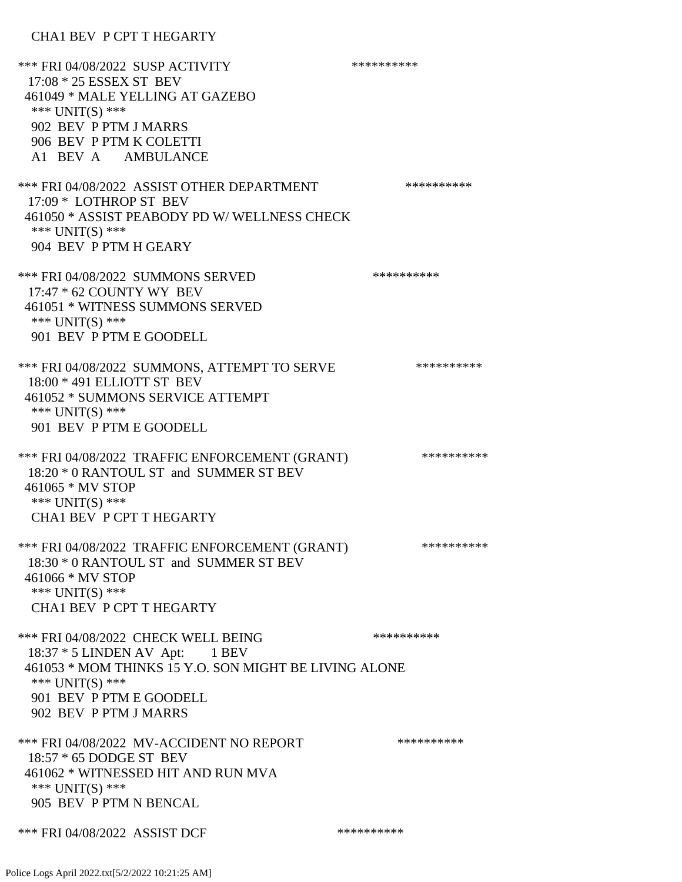CHA1 BEV P CPT T HEGARTY

\*\*\* FRI 04/08/2022 SUSP ACTIVITY \*\*\*\*\*\*\*\*\*\*\*\* 17:08 \* 25 ESSEX ST BEV 461049 \* MALE YELLING AT GAZEBO \*\*\* UNIT(S) \*\*\* 902 BEV P PTM J MARRS 906 BEV P PTM K COLETTI A1 BEV A AMBULANCE \*\*\* FRI 04/08/2022 ASSIST OTHER DEPARTMENT \*\*\*\*\*\*\*\*\*\*\*\*\* 17:09 \* LOTHROP ST BEV 461050 \* ASSIST PEABODY PD W/ WELLNESS CHECK \*\*\* UNIT(S) \*\*\* 904 BEV P PTM H GEARY \*\*\* FRI 04/08/2022 SUMMONS SERVED \*\*\*\*\*\*\*\*\*\* 17:47 \* 62 COUNTY WY BEV 461051 \* WITNESS SUMMONS SERVED \*\*\* UNIT(S) \*\*\* 901 BEV P PTM E GOODELL \*\*\* FRI 04/08/2022 SUMMONS, ATTEMPT TO SERVE \*\*\*\*\*\*\*\*\*\* 18:00 \* 491 ELLIOTT ST BEV 461052 \* SUMMONS SERVICE ATTEMPT \*\*\* UNIT(S) \*\*\* 901 BEV P PTM E GOODELL \*\*\* FRI 04/08/2022 TRAFFIC ENFORCEMENT (GRANT) \*\*\*\*\*\*\*\*\*\* 18:20 \* 0 RANTOUL ST and SUMMER ST BEV 461065 \* MV STOP \*\*\* UNIT(S) \*\*\* CHA1 BEV P CPT T HEGARTY \*\*\* FRI 04/08/2022 TRAFFIC ENFORCEMENT (GRANT) \*\*\*\*\*\*\*\*\*\* 18:30 \* 0 RANTOUL ST and SUMMER ST BEV 461066 \* MV STOP \*\*\* UNIT(S) \*\*\* CHA1 BEV P CPT T HEGARTY \*\*\* FRI 04/08/2022 CHECK WELL BEING \*\*\*\*\*\*\*\*\*\*\*\* 18:37 \* 5 LINDEN AV Apt: 1 BEV 461053 \* MOM THINKS 15 Y.O. SON MIGHT BE LIVING ALONE \*\*\* UNIT(S) \*\*\* 901 BEV P PTM E GOODELL 902 BEV P PTM J MARRS \*\*\* FRI 04/08/2022 MV-ACCIDENT NO REPORT \*\*\*\*\*\*\*\*\*\*\*\* 18:57 \* 65 DODGE ST BEV 461062 \* WITNESSED HIT AND RUN MVA \*\*\* UNIT(S) \*\*\* 905 BEV P PTM N BENCAL \*\*\* FRI 04/08/2022 ASSIST DCF \*\*\*\*\*\*\*\*\*\*\*\*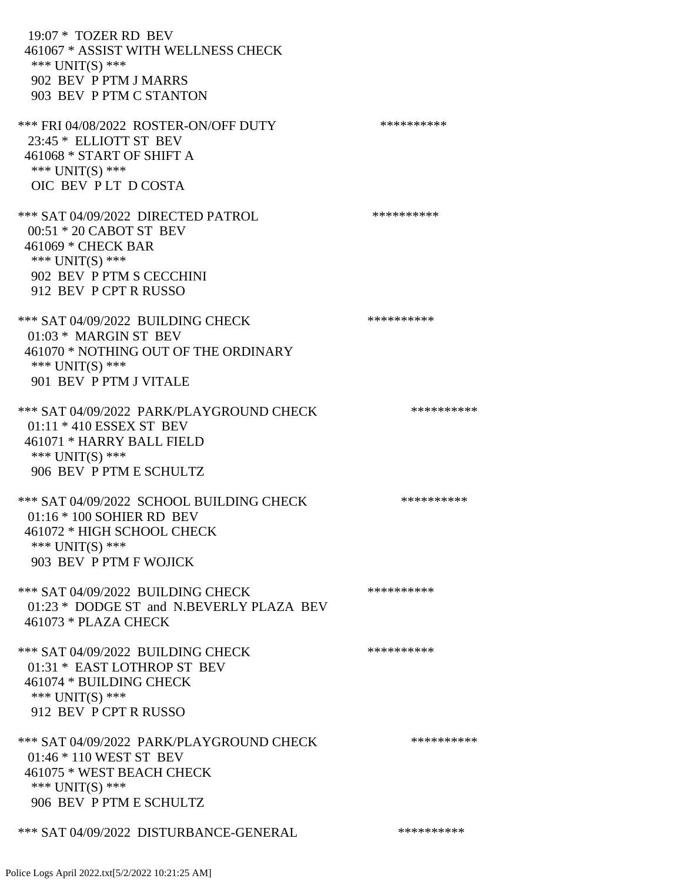19:07 \* TOZER RD BEV 461067 \* ASSIST WITH WELLNESS CHECK \*\*\* UNIT(S) \*\*\* 902 BEV P PTM J MARRS 903 BEV P PTM C STANTON \*\*\* FRI 04/08/2022 ROSTER-ON/OFF DUTY \*\*\*\*\*\*\*\*\*\* 23:45 \* ELLIOTT ST BEV 461068 \* START OF SHIFT A \*\*\* UNIT(S) \*\*\* OIC BEV P LT D COSTA \*\*\* SAT 04/09/2022 DIRECTED PATROL \*\*\*\*\*\*\*\*\*\* 00:51 \* 20 CABOT ST BEV 461069 \* CHECK BAR \*\*\* UNIT(S) \*\*\* 902 BEV P PTM S CECCHINI 912 BEV P CPT R RUSSO \*\*\* SAT 04/09/2022 BUILDING CHECK \*\*\*\*\*\*\*\*\*\*\*\*\*\* 01:03 \* MARGIN ST BEV 461070 \* NOTHING OUT OF THE ORDINARY \*\*\* UNIT(S) \*\*\* 901 BEV P PTM J VITALE \*\*\* SAT 04/09/2022 PARK/PLAYGROUND CHECK \*\*\*\*\*\*\*\*\*\*\*\* 01:11 \* 410 ESSEX ST BEV 461071 \* HARRY BALL FIELD \*\*\* UNIT(S) \*\*\* 906 BEV P PTM E SCHULTZ \*\*\* SAT 04/09/2022 SCHOOL BUILDING CHECK \*\*\*\*\*\*\*\*\*\*\*\* 01:16 \* 100 SOHIER RD BEV 461072 \* HIGH SCHOOL CHECK \*\*\* UNIT(S) \*\*\* 903 BEV P PTM F WOJICK \*\*\* SAT 04/09/2022 BUILDING CHECK \*\*\*\*\*\*\*\*\*\*\*\*\*\* 01:23 \* DODGE ST and N.BEVERLY PLAZA BEV 461073 \* PLAZA CHECK \*\*\* SAT 04/09/2022 BUILDING CHECK \*\*\*\*\*\*\*\*\*\*\*\*\* 01:31 \* EAST LOTHROP ST BEV 461074 \* BUILDING CHECK \*\*\* UNIT(S) \*\*\* 912 BEV P CPT R RUSSO \*\*\* SAT 04/09/2022 PARK/PLAYGROUND CHECK \*\*\*\*\*\*\*\*\*\*\*\* 01:46 \* 110 WEST ST BEV 461075 \* WEST BEACH CHECK \*\*\* UNIT(S) \*\*\* 906 BEV P PTM E SCHULTZ \*\*\* SAT 04/09/2022 DISTURBANCE-GENERAL \*\*\*\*\*\*\*\*\*\*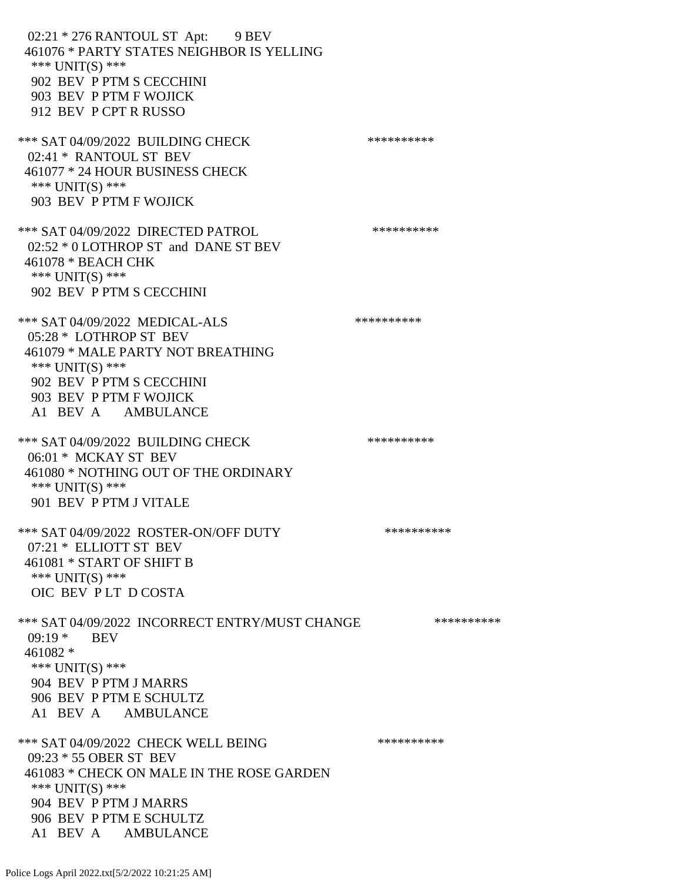02:21 \* 276 RANTOUL ST Apt: 9 BEV 461076 \* PARTY STATES NEIGHBOR IS YELLING \*\*\* UNIT(S) \*\*\* 902 BEV P PTM S CECCHINI 903 BEV P PTM F WOJICK 912 BEV P CPT R RUSSO \*\*\* SAT 04/09/2022 BUILDING CHECK \*\*\*\*\*\*\*\*\*\*\*\* 02:41 \* RANTOUL ST BEV 461077 \* 24 HOUR BUSINESS CHECK \*\*\* UNIT(S) \*\*\* 903 BEV P PTM F WOJICK \*\*\* SAT 04/09/2022 DIRECTED PATROL \*\*\*\*\*\*\*\*\*\* 02:52 \* 0 LOTHROP ST and DANE ST BEV 461078 \* BEACH CHK \*\*\* UNIT(S) \*\*\* 902 BEV P PTM S CECCHINI \*\*\* SAT 04/09/2022 MEDICAL-ALS \*\*\*\*\*\*\*\*\*\*\*\*\* 05:28 \* LOTHROP ST BEV 461079 \* MALE PARTY NOT BREATHING \*\*\* UNIT(S) \*\*\* 902 BEV P PTM S CECCHINI 903 BEV P PTM F WOJICK A1 BEV A AMBULANCE \*\*\* SAT 04/09/2022 BUILDING CHECK \*\*\*\*\*\*\*\*\*\*\*\* 06:01 \* MCKAY ST BEV 461080 \* NOTHING OUT OF THE ORDINARY \*\*\* UNIT(S) \*\*\* 901 BEV P PTM J VITALE \*\*\* SAT 04/09/2022 ROSTER-ON/OFF DUTY \*\*\*\*\*\*\*\*\*\* 07:21 \* ELLIOTT ST BEV 461081 \* START OF SHIFT B \*\*\* UNIT(S) \*\*\* OIC BEV P LT D COSTA \*\*\* SAT 04/09/2022 INCORRECT ENTRY/MUST CHANGE \*\*\*\*\*\*\*\*\*\* 09:19 **\*** BEV 461082 \* \*\*\* UNIT(S) \*\*\* 904 BEV P PTM J MARRS 906 BEV P PTM E SCHULTZ A1 BEV A AMBULANCE \*\*\* SAT 04/09/2022 CHECK WELL BEING \*\*\*\*\*\*\*\*\*\*\*\* 09:23 \* 55 OBER ST BEV 461083 \* CHECK ON MALE IN THE ROSE GARDEN \*\*\*  $UNIT(S)$  \*\*\* 904 BEV P PTM J MARRS 906 BEV P PTM E SCHULTZ A1 BEV A AMBULANCE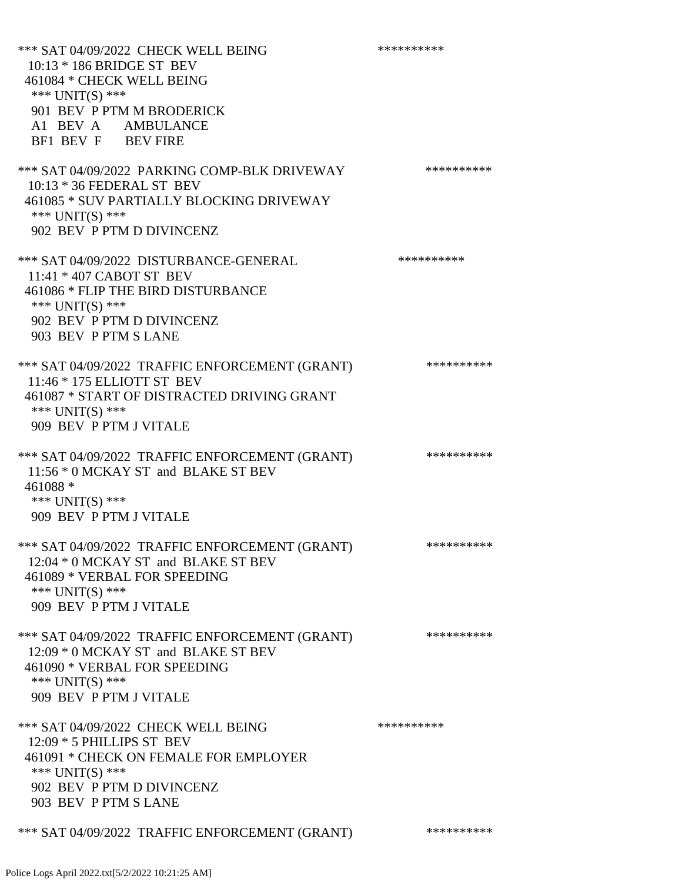| *** SAT 04/09/2022 CHECK WELL BEING<br>10:13 * 186 BRIDGE ST BEV<br>461084 * CHECK WELL BEING<br>*** UNIT(S) ***<br>901 BEV P PTM M BRODERICK<br>A1 BEV A AMBULANCE<br>BF1 BEV F BEV FIRE | ********** |
|-------------------------------------------------------------------------------------------------------------------------------------------------------------------------------------------|------------|
| *** SAT 04/09/2022 PARKING COMP-BLK DRIVEWAY<br>10:13 * 36 FEDERAL ST BEV<br>461085 * SUV PARTIALLY BLOCKING DRIVEWAY<br>*** UNIT(S) ***<br>902 BEV P PTM D DIVINCENZ                     | ********** |
| *** SAT 04/09/2022 DISTURBANCE-GENERAL<br>11:41 * 407 CABOT ST BEV<br>461086 * FLIP THE BIRD DISTURBANCE<br>*** UNIT(S) ***<br>902 BEV P PTM D DIVINCENZ<br>903 BEV P PTM S LANE          | ********** |
| *** SAT 04/09/2022 TRAFFIC ENFORCEMENT (GRANT)<br>11:46 * 175 ELLIOTT ST BEV<br>461087 * START OF DISTRACTED DRIVING GRANT<br>*** $UNIT(S)$ ***<br>909 BEV P PTM J VITALE                 | ********** |
| *** SAT 04/09/2022 TRAFFIC ENFORCEMENT (GRANT)<br>11:56 * 0 MCKAY ST and BLAKE ST BEV<br>461088 *<br>*** $UNIT(S)$ ***<br>909 BEV P PTM J VITALE                                          | ********** |
| *** SAT 04/09/2022 TRAFFIC ENFORCEMENT (GRANT)<br>12:04 * 0 MCKAY ST and BLAKE ST BEV<br>461089 * VERBAL FOR SPEEDING<br>*** $UNIT(S)$ ***<br>909 BEV P PTM J VITALE                      | ********** |
| *** SAT 04/09/2022 TRAFFIC ENFORCEMENT (GRANT)<br>12:09 * 0 MCKAY ST and BLAKE ST BEV<br>461090 * VERBAL FOR SPEEDING<br>*** UNIT(S) ***<br>909 BEV P PTM J VITALE                        | ********** |
| *** SAT 04/09/2022 CHECK WELL BEING<br>12:09 * 5 PHILLIPS ST BEV<br>461091 * CHECK ON FEMALE FOR EMPLOYER<br>*** $UNIT(S)$ ***<br>902 BEV P PTM D DIVINCENZ<br>903 BEV P PTM S LANE       | ********** |
| *** SAT 04/09/2022 TRAFFIC ENFORCEMENT (GRANT)                                                                                                                                            | ********** |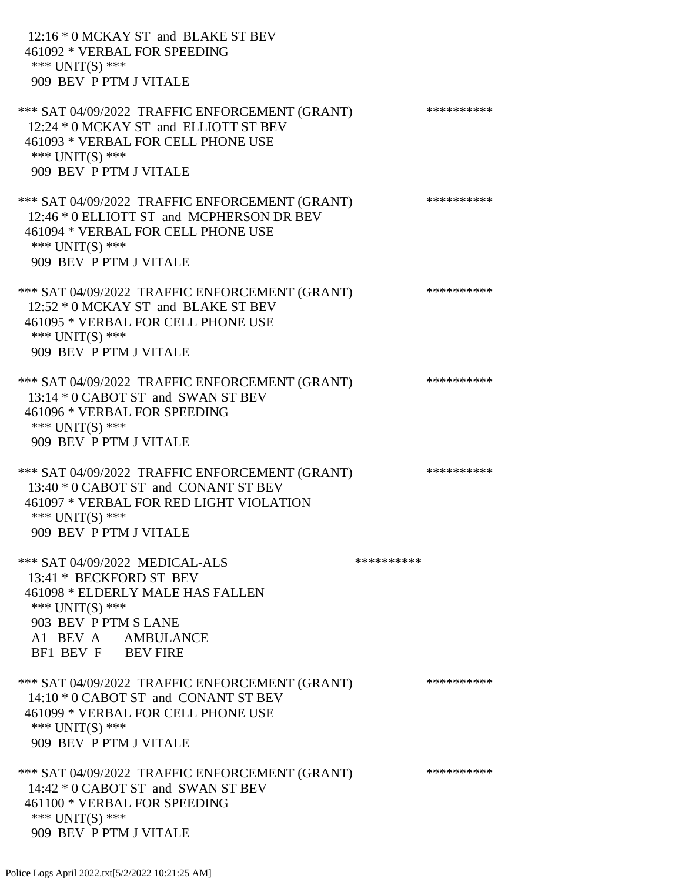| 12:16 * 0 MCKAY ST and BLAKE ST BEV<br>461092 * VERBAL FOR SPEEDING<br>*** $UNIT(S)$ ***<br>909 BEV P PTM J VITALE                                                                     |            |            |
|----------------------------------------------------------------------------------------------------------------------------------------------------------------------------------------|------------|------------|
| *** SAT 04/09/2022 TRAFFIC ENFORCEMENT (GRANT)<br>12:24 * 0 MCKAY ST and ELLIOTT ST BEV<br>461093 * VERBAL FOR CELL PHONE USE<br>*** $UNIT(S)$ ***<br>909 BEV P PTM J VITALE           |            | ********** |
| *** SAT 04/09/2022 TRAFFIC ENFORCEMENT (GRANT)<br>12:46 * 0 ELLIOTT ST and MCPHERSON DR BEV<br>461094 * VERBAL FOR CELL PHONE USE<br>*** $UNIT(S)$ ***<br>909 BEV P PTM J VITALE       |            | ********** |
| *** SAT 04/09/2022 TRAFFIC ENFORCEMENT (GRANT)<br>12:52 * 0 MCKAY ST and BLAKE ST BEV<br>461095 * VERBAL FOR CELL PHONE USE<br>*** UNIT(S) ***<br>909 BEV P PTM J VITALE               |            | ********** |
| *** SAT 04/09/2022 TRAFFIC ENFORCEMENT (GRANT)<br>13:14 * 0 CABOT ST and SWAN ST BEV<br>461096 * VERBAL FOR SPEEDING<br>*** UNIT(S) ***<br>909 BEV P PTM J VITALE                      |            | ********** |
| *** SAT 04/09/2022 TRAFFIC ENFORCEMENT (GRANT)<br>13:40 * 0 CABOT ST and CONANT ST BEV<br>461097 * VERBAL FOR RED LIGHT VIOLATION<br>*** UNIT(S) ***<br>909 BEV P PTM J VITALE         |            | ********** |
| *** SAT 04/09/2022 MEDICAL-ALS<br>13:41 * BECKFORD ST BEV<br>461098 * ELDERLY MALE HAS FALLEN<br>*** $UNIT(S)$ ***<br>903 BEV P PTM S LANE<br>A1 BEV A AMBULANCE<br>BF1 BEV F BEV FIRE | ********** |            |
| *** SAT 04/09/2022 TRAFFIC ENFORCEMENT (GRANT)<br>14:10 * 0 CABOT ST and CONANT ST BEV<br>461099 * VERBAL FOR CELL PHONE USE<br>*** $UNIT(S)$ ***<br>909 BEV P PTM J VITALE            |            | ********** |
| *** SAT 04/09/2022 TRAFFIC ENFORCEMENT (GRANT)<br>14:42 * 0 CABOT ST and SWAN ST BEV<br>461100 * VERBAL FOR SPEEDING<br>*** UNIT(S) ***<br>909 BEV P PTM J VITALE                      |            | ********** |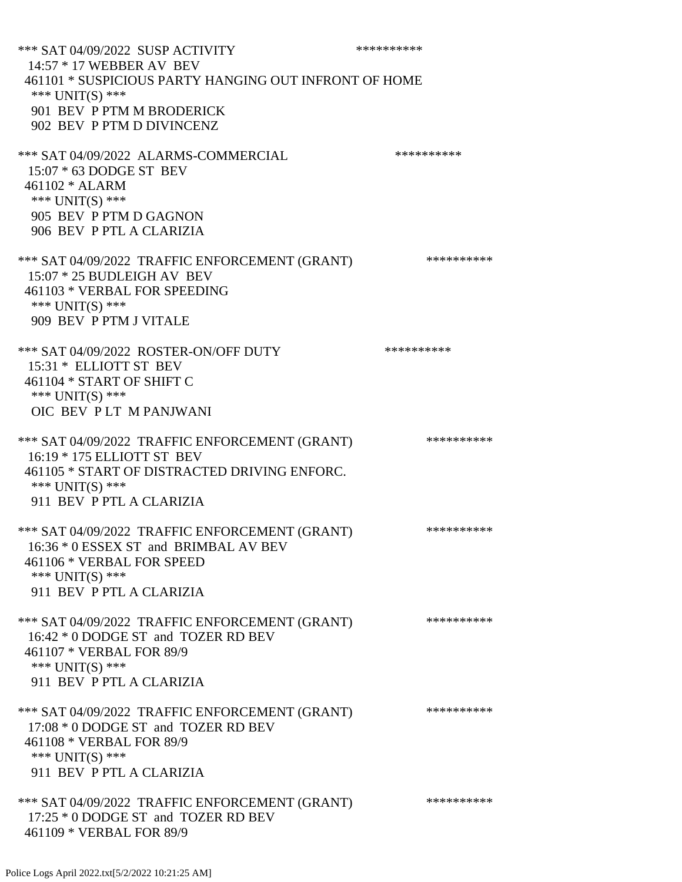| *** SAT 04/09/2022 SUSP ACTIVITY                                | ********** |
|-----------------------------------------------------------------|------------|
| 14:57 * 17 WEBBER AV BEV                                        |            |
| 461101 * SUSPICIOUS PARTY HANGING OUT INFRONT OF HOME           |            |
| *** UNIT(S) ***                                                 |            |
| 901 BEV P PTM M BRODERICK                                       |            |
| 902 BEV P PTM D DIVINCENZ                                       |            |
| *** SAT 04/09/2022 ALARMS-COMMERCIAL                            | ********** |
| $15:07 * 63$ DODGE ST BEV                                       |            |
| 461102 * ALARM                                                  |            |
| *** UNIT(S) ***                                                 |            |
| 905 BEV P PTM D GAGNON                                          |            |
| 906 BEV P PTL A CLARIZIA                                        |            |
| *** SAT 04/09/2022 TRAFFIC ENFORCEMENT (GRANT)                  | ********** |
| 15:07 * 25 BUDLEIGH AV BEV                                      |            |
| 461103 * VERBAL FOR SPEEDING                                    |            |
| *** UNIT(S) ***                                                 |            |
| 909 BEV P PTM J VITALE                                          |            |
|                                                                 | ********** |
| *** SAT 04/09/2022 ROSTER-ON/OFF DUTY<br>15:31 * ELLIOTT ST BEV |            |
| 461104 * START OF SHIFT C                                       |            |
| *** UNIT(S) ***                                                 |            |
| OIC BEV PLT M PANJWANI                                          |            |
|                                                                 |            |
| *** SAT 04/09/2022 TRAFFIC ENFORCEMENT (GRANT)                  | ********** |
| 16:19 * 175 ELLIOTT ST BEV                                      |            |
| 461105 * START OF DISTRACTED DRIVING ENFORC.                    |            |
| *** UNIT(S) ***<br>911 BEV P PTL A CLARIZIA                     |            |
|                                                                 |            |
| *** SAT 04/09/2022 TRAFFIC ENFORCEMENT (GRANT)                  | ********** |
| 16:36 * 0 ESSEX ST and BRIMBAL AV BEV                           |            |
| 461106 * VERBAL FOR SPEED                                       |            |
| *** $UNIT(S)$ ***                                               |            |
| 911 BEV P PTL A CLARIZIA                                        |            |
| *** SAT 04/09/2022 TRAFFIC ENFORCEMENT (GRANT)                  | ********** |
| 16:42 * 0 DODGE ST and TOZER RD BEV                             |            |
| 461107 * VERBAL FOR 89/9                                        |            |
| *** UNIT(S) ***                                                 |            |
| 911 BEV P PTL A CLARIZIA                                        |            |
| *** SAT 04/09/2022 TRAFFIC ENFORCEMENT (GRANT)                  | ********** |
| 17:08 * 0 DODGE ST and TOZER RD BEV                             |            |
| 461108 * VERBAL FOR 89/9                                        |            |
| *** $UNIT(S)$ ***                                               |            |
| 911 BEV P PTL A CLARIZIA                                        |            |
| *** SAT 04/09/2022 TRAFFIC ENFORCEMENT (GRANT)                  | ********** |
| 17:25 * 0 DODGE ST and TOZER RD BEV                             |            |
| 461109 * VERBAL FOR 89/9                                        |            |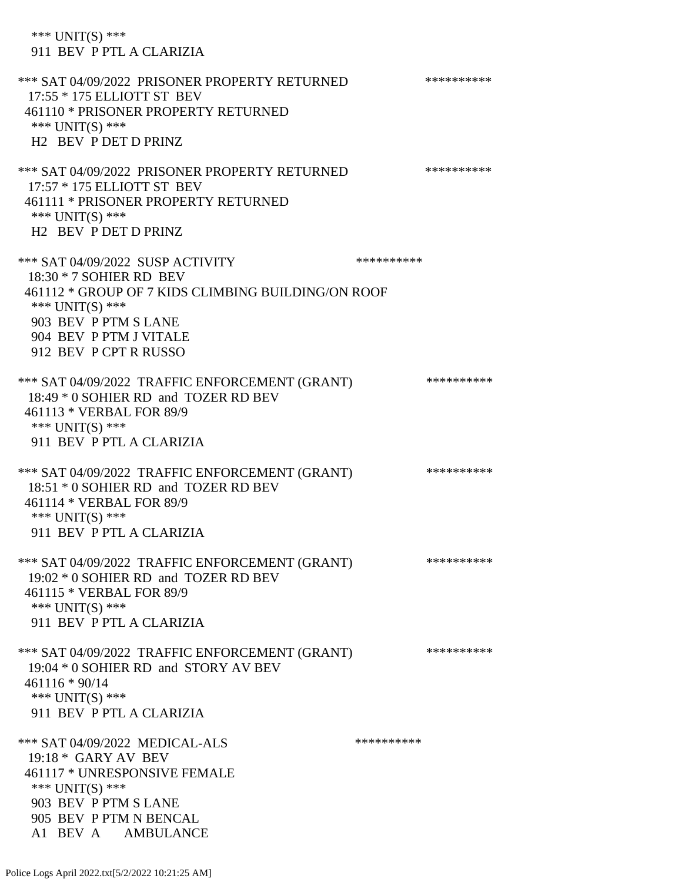\*\*\* UNIT(S) \*\*\* 911 BEV P PTL A CLARIZIA \*\*\* SAT 04/09/2022 PRISONER PROPERTY RETURNED \*\*\*\*\*\*\*\*\*\* 17:55 \* 175 ELLIOTT ST BEV 461110 \* PRISONER PROPERTY RETURNED \*\*\* UNIT(S) \*\*\* H2 BEV P DET D PRINZ \*\*\* SAT 04/09/2022 PRISONER PROPERTY RETURNED \*\*\*\*\*\*\*\*\*\* 17:57 \* 175 ELLIOTT ST BEV 461111 \* PRISONER PROPERTY RETURNED \*\*\* UNIT(S) \*\*\* H2 BEV P DET D PRINZ \*\*\* SAT 04/09/2022 SUSP ACTIVITY \*\*\*\*\*\*\*\*\*\*\*\*\*\*\* 18:30 \* 7 SOHIER RD BEV 461112 \* GROUP OF 7 KIDS CLIMBING BUILDING/ON ROOF \*\*\* UNIT(S) \*\*\* 903 BEV P PTM S LANE 904 BEV P PTM J VITALE 912 BEV P CPT R RUSSO \*\*\* SAT 04/09/2022 TRAFFIC ENFORCEMENT (GRANT) \*\*\*\*\*\*\*\*\*\*\*\* 18:49 \* 0 SOHIER RD and TOZER RD BEV 461113 \* VERBAL FOR 89/9 \*\*\* UNIT(S) \*\*\* 911 BEV P PTL A CLARIZIA \*\*\* SAT 04/09/2022 TRAFFIC ENFORCEMENT (GRANT) \*\*\*\*\*\*\*\*\*\* 18:51 \* 0 SOHIER RD and TOZER RD BEV 461114 \* VERBAL FOR 89/9 \*\*\* UNIT(S) \*\*\* 911 BEV P PTL A CLARIZIA \*\*\* SAT 04/09/2022 TRAFFIC ENFORCEMENT (GRANT) \*\*\*\*\*\*\*\*\*\* 19:02 \* 0 SOHIER RD and TOZER RD BEV 461115 \* VERBAL FOR 89/9 \*\*\* UNIT(S) \*\*\* 911 BEV P PTL A CLARIZIA \*\*\* SAT 04/09/2022 TRAFFIC ENFORCEMENT (GRANT) \*\*\*\*\*\*\*\*\*\*\*\* 19:04 \* 0 SOHIER RD and STORY AV BEV 461116 \* 90/14 \*\*\* UNIT(S) \*\*\* 911 BEV P PTL A CLARIZIA \*\*\* SAT 04/09/2022 MEDICAL-ALS \*\*\*\*\*\*\*\*\*\* 19:18 \* GARY AV BEV 461117 \* UNRESPONSIVE FEMALE \*\*\*  $UNIT(S)$  \*\*\* 903 BEV P PTM S LANE 905 BEV P PTM N BENCAL A1 BEV A AMBULANCE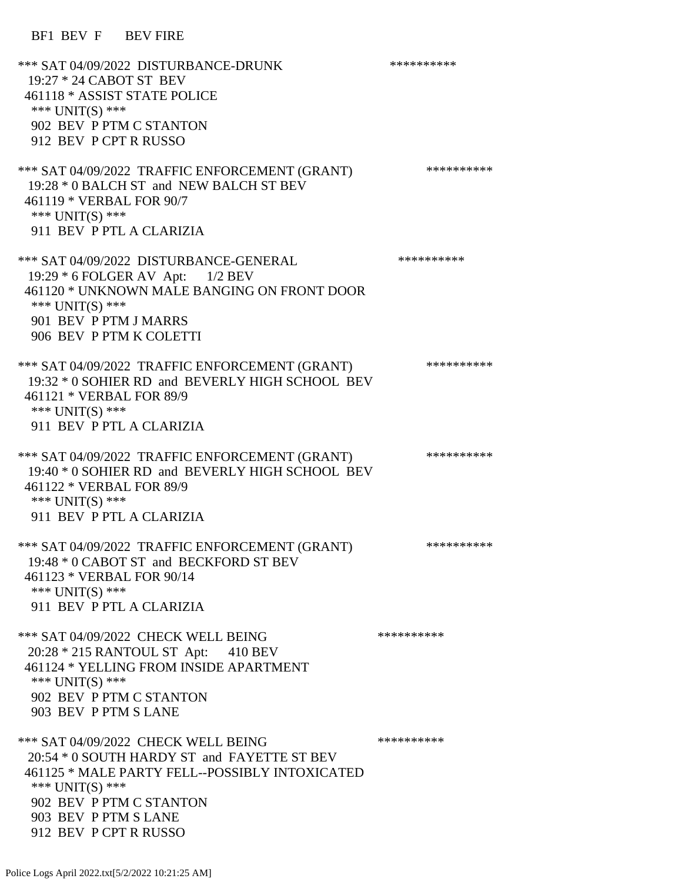BF1 BEV F BEV FIRE

\*\*\* SAT 04/09/2022 DISTURBANCE-DRUNK \*\*\*\*\*\*\*\*\*\* 19:27 \* 24 CABOT ST BEV 461118 \* ASSIST STATE POLICE \*\*\* UNIT(S) \*\*\* 902 BEV P PTM C STANTON 912 BEV P CPT R RUSSO \*\*\* SAT 04/09/2022 TRAFFIC ENFORCEMENT (GRANT) \*\*\*\*\*\*\*\*\*\* 19:28 \* 0 BALCH ST and NEW BALCH ST BEV 461119 \* VERBAL FOR 90/7 \*\*\* UNIT(S) \*\*\* 911 BEV P PTL A CLARIZIA \*\*\* SAT 04/09/2022 DISTURBANCE-GENERAL \*\*\*\*\*\*\*\*\*\* 19:29 \* 6 FOLGER AV Apt: 1/2 BEV 461120 \* UNKNOWN MALE BANGING ON FRONT DOOR \*\*\* UNIT(S) \*\*\* 901 BEV P PTM J MARRS 906 BEV P PTM K COLETTI \*\*\* SAT 04/09/2022 TRAFFIC ENFORCEMENT (GRANT) \*\*\*\*\*\*\*\*\*\*\*\* 19:32 \* 0 SOHIER RD and BEVERLY HIGH SCHOOL BEV 461121 \* VERBAL FOR 89/9 \*\*\* UNIT(S) \*\*\* 911 BEV P PTL A CLARIZIA \*\*\* SAT 04/09/2022 TRAFFIC ENFORCEMENT (GRANT) \*\*\*\*\*\*\*\*\*\* 19:40 \* 0 SOHIER RD and BEVERLY HIGH SCHOOL BEV 461122 \* VERBAL FOR 89/9 \*\*\* UNIT(S) \*\*\* 911 BEV P PTL A CLARIZIA \*\*\* SAT 04/09/2022 TRAFFIC ENFORCEMENT (GRANT) \*\*\*\*\*\*\*\*\*\* 19:48 \* 0 CABOT ST and BECKFORD ST BEV 461123 \* VERBAL FOR 90/14 \*\*\* UNIT(S) \*\*\* 911 BEV P PTL A CLARIZIA \*\*\* SAT 04/09/2022 CHECK WELL BEING \*\*\*\*\*\*\*\*\*\*\*\* 20:28 \* 215 RANTOUL ST Apt: 410 BEV 461124 \* YELLING FROM INSIDE APARTMENT \*\*\* UNIT(S) \*\*\* 902 BEV P PTM C STANTON 903 BEV P PTM S LANE \*\*\* SAT 04/09/2022 CHECK WELL BEING \*\*\*\*\*\*\*\*\*\*\*\*\* 20:54 \* 0 SOUTH HARDY ST and FAYETTE ST BEV 461125 \* MALE PARTY FELL--POSSIBLY INTOXICATED \*\*\* UNIT(S) \*\*\* 902 BEV P PTM C STANTON 903 BEV P PTM S LANE 912 BEV P CPT R RUSSO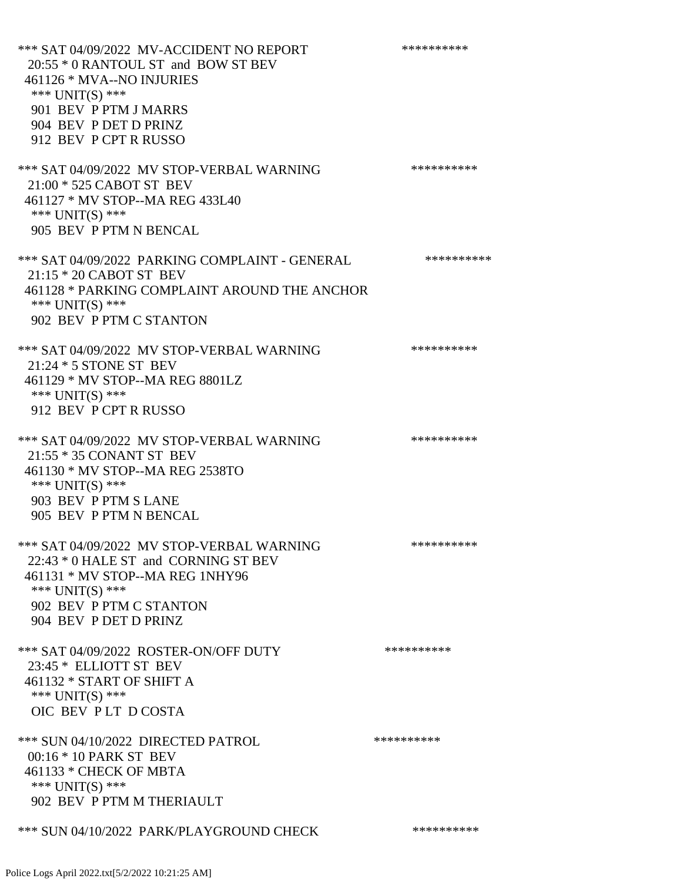\*\*\* SAT 04/09/2022 MV-ACCIDENT NO REPORT \*\*\*\*\*\*\*\*\*\*\*\* 20:55 \* 0 RANTOUL ST and BOW ST BEV 461126 \* MVA--NO INJURIES \*\*\* UNIT(S) \*\*\* 901 BEV P PTM J MARRS 904 BEV P DET D PRINZ 912 BEV P CPT R RUSSO \*\*\* SAT 04/09/2022 MV STOP-VERBAL WARNING \*\*\*\*\*\*\*\*\*\*\*\*\* 21:00 \* 525 CABOT ST BEV 461127 \* MV STOP--MA REG 433L40 \*\*\* UNIT(S) \*\*\* 905 BEV P PTM N BENCAL \*\*\* SAT 04/09/2022 PARKING COMPLAINT - GENERAL \*\*\*\*\*\*\*\*\*\* 21:15 \* 20 CABOT ST BEV 461128 \* PARKING COMPLAINT AROUND THE ANCHOR \*\*\* UNIT(S) \*\*\* 902 BEV P PTM C STANTON \*\*\* SAT 04/09/2022 MV STOP-VERBAL WARNING \*\*\*\*\*\*\*\*\*\* 21:24 \* 5 STONE ST BEV 461129 \* MV STOP--MA REG 8801LZ \*\*\* UNIT(S) \*\*\* 912 BEV P CPT R RUSSO \*\*\* SAT 04/09/2022 MV STOP-VERBAL WARNING \*\*\*\*\*\*\*\*\*\*\*\*\* 21:55 \* 35 CONANT ST BEV 461130 \* MV STOP--MA REG 2538TO \*\*\* UNIT(S) \*\*\* 903 BEV P PTM S LANE 905 BEV P PTM N BENCAL \*\*\* SAT 04/09/2022 MV STOP-VERBAL WARNING \*\*\*\*\*\*\*\*\*\*\*\*\* 22:43 \* 0 HALE ST and CORNING ST BEV 461131 \* MV STOP--MA REG 1NHY96 \*\*\* UNIT(S) \*\*\* 902 BEV P PTM C STANTON 904 BEV P DET D PRINZ \*\*\* SAT 04/09/2022 ROSTER-ON/OFF DUTY \*\*\*\*\*\*\*\*\*\*\*\* 23:45 \* ELLIOTT ST BEV 461132 \* START OF SHIFT A \*\*\* UNIT(S) \*\*\* OIC BEV P LT D COSTA \*\*\* SUN 04/10/2022 DIRECTED PATROL \*\*\*\*\*\*\*\*\*\* 00:16 \* 10 PARK ST BEV 461133 \* CHECK OF MBTA \*\*\* UNIT(S) \*\*\* 902 BEV P PTM M THERIAULT \*\*\* SUN 04/10/2022 PARK/PLAYGROUND CHECK \*\*\*\*\*\*\*\*\*\*\*\*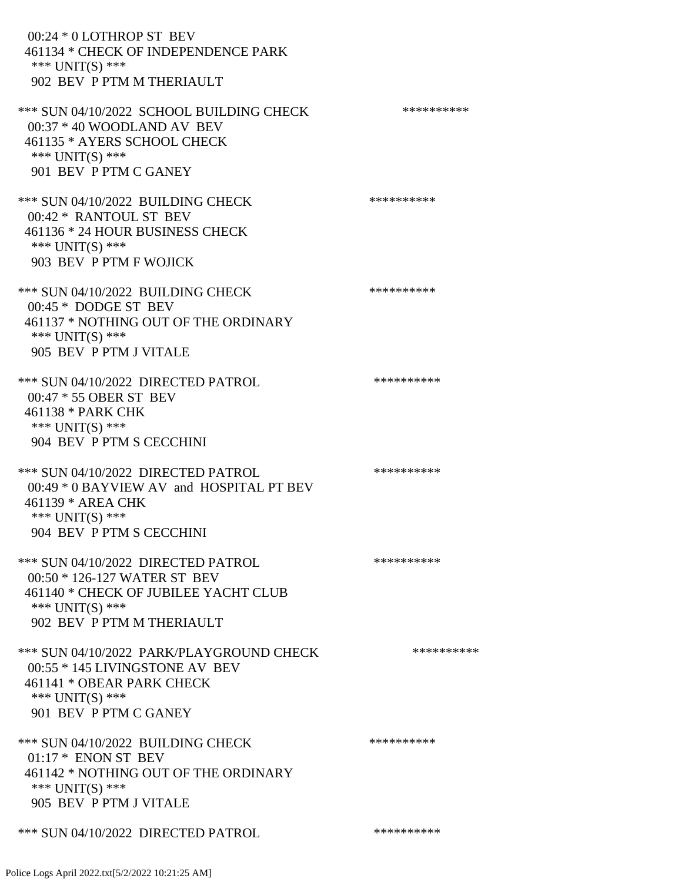00:24 \* 0 LOTHROP ST BEV 461134 \* CHECK OF INDEPENDENCE PARK \*\*\* UNIT(S) \*\*\* 902 BEV P PTM M THERIAULT \*\*\* SUN 04/10/2022 SCHOOL BUILDING CHECK \*\*\*\*\*\*\*\*\*\*\* 00:37 \* 40 WOODLAND AV BEV 461135 \* AYERS SCHOOL CHECK \*\*\* UNIT(S) \*\*\* 901 BEV P PTM C GANEY \*\*\* SUN 04/10/2022 BUILDING CHECK \*\*\*\*\*\*\*\*\*\*\* 00:42 \* RANTOUL ST BEV 461136 \* 24 HOUR BUSINESS CHECK \*\*\* UNIT(S) \*\*\* 903 BEV P PTM F WOJICK \*\*\* SUN 04/10/2022 BUILDING CHECK \*\*\*\*\*\*\*\*\*\*\*\* 00:45 \* DODGE ST BEV 461137 \* NOTHING OUT OF THE ORDINARY \*\*\* UNIT(S) \*\*\* 905 BEV P PTM J VITALE \*\*\* SUN 04/10/2022 DIRECTED PATROL \*\*\*\*\*\*\*\*\*\* 00:47 \* 55 OBER ST BEV 461138 \* PARK CHK \*\*\* UNIT(S) \*\*\* 904 BEV P PTM S CECCHINI \*\*\* SUN 04/10/2022 DIRECTED PATROL \*\*\*\*\*\*\*\*\*\* 00:49 \* 0 BAYVIEW AV and HOSPITAL PT BEV 461139 \* AREA CHK \*\*\* UNIT(S) \*\*\* 904 BEV P PTM S CECCHINI \*\*\* SUN 04/10/2022 DIRECTED PATROL \*\*\*\*\*\*\*\*\*\* 00:50 \* 126-127 WATER ST BEV 461140 \* CHECK OF JUBILEE YACHT CLUB \*\*\* UNIT(S) \*\*\* 902 BEV P PTM M THERIAULT \*\*\* SUN 04/10/2022 PARK/PLAYGROUND CHECK \*\*\*\*\*\*\*\*\*\*\*\* 00:55 \* 145 LIVINGSTONE AV BEV 461141 \* OBEAR PARK CHECK \*\*\* UNIT(S) \*\*\* 901 BEV P PTM C GANEY \*\*\* SUN 04/10/2022 BUILDING CHECK \*\*\*\*\*\*\*\*\*\*\* 01:17 \* ENON ST BEV 461142 \* NOTHING OUT OF THE ORDINARY \*\*\* UNIT(S) \*\*\* 905 BEV P PTM J VITALE \*\*\* SUN 04/10/2022 DIRECTED PATROL \*\*\*\*\*\*\*\*\*\*\*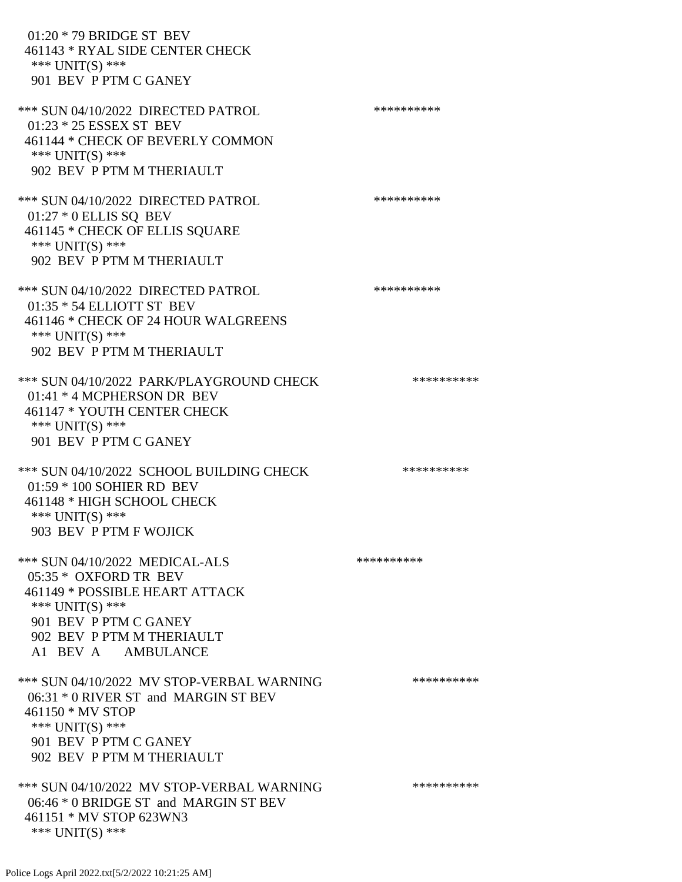01:20 \* 79 BRIDGE ST BEV 461143 \* RYAL SIDE CENTER CHECK \*\*\* UNIT(S) \*\*\* 901 BEV P PTM C GANEY \*\*\* SUN 04/10/2022 DIRECTED PATROL \*\*\*\*\*\*\*\*\*\* 01:23 \* 25 ESSEX ST BEV 461144 \* CHECK OF BEVERLY COMMON \*\*\* UNIT(S) \*\*\* 902 BEV P PTM M THERIAULT \*\*\* SUN 04/10/2022 DIRECTED PATROL \*\*\*\*\*\*\*\*\*\* 01:27 \* 0 ELLIS SQ BEV 461145 \* CHECK OF ELLIS SQUARE \*\*\* UNIT(S) \*\*\* 902 BEV P PTM M THERIAULT \*\*\* SUN 04/10/2022 DIRECTED PATROL \*\*\*\*\*\*\*\*\*\* 01:35 \* 54 ELLIOTT ST BEV 461146 \* CHECK OF 24 HOUR WALGREENS \*\*\* UNIT(S) \*\*\* 902 BEV P PTM M THERIAULT \*\*\* SUN 04/10/2022 PARK/PLAYGROUND CHECK \*\*\*\*\*\*\*\*\*\*\*\* 01:41 \* 4 MCPHERSON DR BEV 461147 \* YOUTH CENTER CHECK \*\*\* UNIT(S) \*\*\* 901 BEV P PTM C GANEY \*\*\* SUN 04/10/2022 SCHOOL BUILDING CHECK \*\*\*\*\*\*\*\*\*\*\* 01:59 \* 100 SOHIER RD BEV 461148 \* HIGH SCHOOL CHECK \*\*\* UNIT(S) \*\*\* 903 BEV P PTM F WOJICK \*\*\* SUN 04/10/2022 MEDICAL-ALS \*\*\*\*\*\*\*\*\*\*\*\*\*\*\* 05:35 \* OXFORD TR BEV 461149 \* POSSIBLE HEART ATTACK \*\*\* UNIT(S) \*\*\* 901 BEV P PTM C GANEY 902 BEV P PTM M THERIAULT A1 BEV A AMBULANCE \*\*\* SUN 04/10/2022 MV STOP-VERBAL WARNING \*\*\*\*\*\*\*\*\*\* 06:31 \* 0 RIVER ST and MARGIN ST BEV 461150 \* MV STOP \*\*\* UNIT(S) \*\*\* 901 BEV P PTM C GANEY 902 BEV P PTM M THERIAULT \*\*\* SUN 04/10/2022 MV STOP-VERBAL WARNING \*\*\*\*\*\*\*\*\*\*\*\*\* 06:46 \* 0 BRIDGE ST and MARGIN ST BEV 461151 \* MV STOP 623WN3 \*\*\* UNIT(S) \*\*\*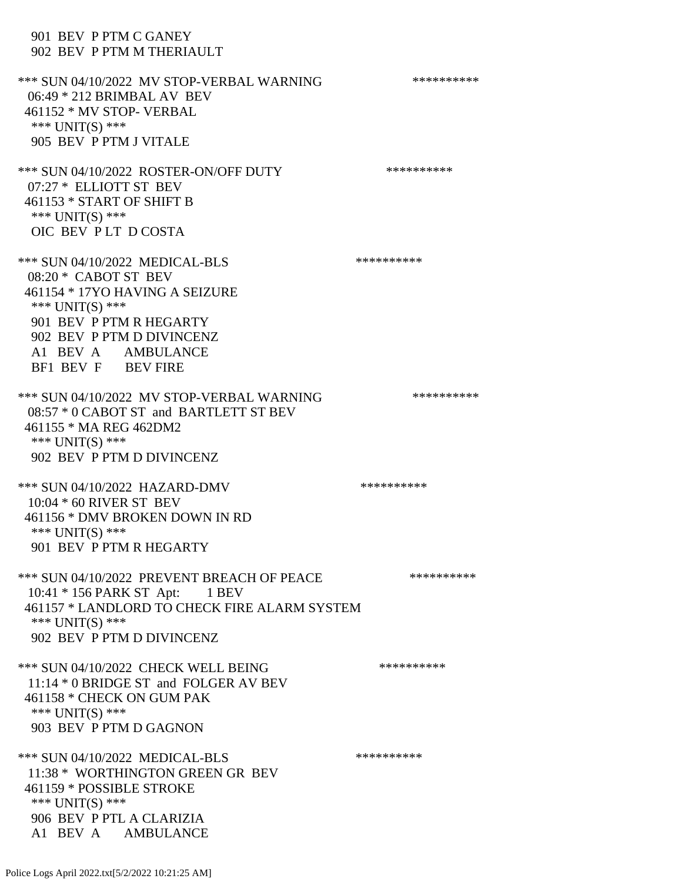901 BEV P PTM C GANEY 902 BEV P PTM M THERIAULT \*\*\* SUN 04/10/2022 MV STOP-VERBAL WARNING \*\*\*\*\*\*\*\*\*\*\*\*\* 06:49 \* 212 BRIMBAL AV BEV 461152 \* MV STOP- VERBAL \*\*\* UNIT(S) \*\*\* 905 BEV P PTM J VITALE \*\*\* SUN 04/10/2022 ROSTER-ON/OFF DUTY \*\*\*\*\*\*\*\*\*\* 07:27 \* ELLIOTT ST BEV 461153 \* START OF SHIFT B \*\*\* UNIT(S) \*\*\* OIC BEV P LT D COSTA \*\*\* SUN 04/10/2022 MEDICAL-BLS \*\*\*\*\*\*\*\*\*\*\*\*\*\* 08:20 \* CABOT ST BEV 461154 \* 17YO HAVING A SEIZURE \*\*\* UNIT(S) \*\*\* 901 BEV P PTM R HEGARTY 902 BEV P PTM D DIVINCENZ A1 BEV A AMBULANCE BF1 BEV F BEV FIRE \*\*\* SUN 04/10/2022 MV STOP-VERBAL WARNING \*\*\*\*\*\*\*\*\*\*\*\*\* 08:57 \* 0 CABOT ST and BARTLETT ST BEV 461155 \* MA REG 462DM2 \*\*\* UNIT(S) \*\*\* 902 BEV P PTM D DIVINCENZ \*\*\* SUN 04/10/2022 HAZARD-DMV \*\*\*\*\*\*\*\*\*\*\*\* 10:04 \* 60 RIVER ST BEV 461156 \* DMV BROKEN DOWN IN RD \*\*\* UNIT(S) \*\*\* 901 BEV P PTM R HEGARTY \*\*\* SUN 04/10/2022 PREVENT BREACH OF PEACE \*\*\*\*\*\*\*\*\*\*\*\* 10:41 \* 156 PARK ST Apt: 1 BEV 461157 \* LANDLORD TO CHECK FIRE ALARM SYSTEM \*\*\* UNIT(S) \*\*\* 902 BEV P PTM D DIVINCENZ \*\*\* SUN 04/10/2022 CHECK WELL BEING \*\*\*\*\*\*\*\*\*\* 11:14 \* 0 BRIDGE ST and FOLGER AV BEV 461158 \* CHECK ON GUM PAK \*\*\* UNIT(S) \*\*\* 903 BEV P PTM D GAGNON \*\*\* SUN 04/10/2022 MEDICAL-BLS \*\*\*\*\*\*\*\*\*\* 11:38 \* WORTHINGTON GREEN GR BEV 461159 \* POSSIBLE STROKE \*\*\* UNIT(S) \*\*\* 906 BEV P PTL A CLARIZIA A1 BEV A AMBULANCE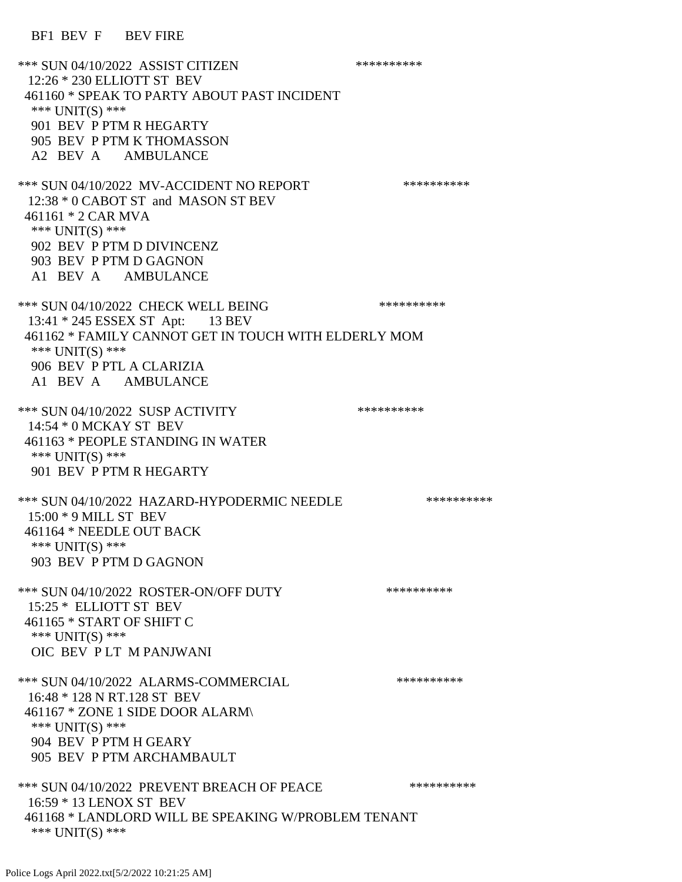\*\*\* SUN 04/10/2022 ASSIST CITIZEN \*\*\*\*\*\*\*\*\*\* 12:26 \* 230 ELLIOTT ST BEV 461160 \* SPEAK TO PARTY ABOUT PAST INCIDENT \*\*\* UNIT(S) \*\*\* 901 BEV P PTM R HEGARTY 905 BEV P PTM K THOMASSON A2 BEV A AMBULANCE \*\*\* SUN 04/10/2022 MV-ACCIDENT NO REPORT \*\*\*\*\*\*\*\*\*\*\*\* 12:38 \* 0 CABOT ST and MASON ST BEV 461161 \* 2 CAR MVA \*\*\* UNIT(S) \*\*\* 902 BEV P PTM D DIVINCENZ 903 BEV P PTM D GAGNON A1 BEV A AMBULANCE \*\*\* SUN 04/10/2022 CHECK WELL BEING \*\*\*\*\*\*\*\*\*\*\*\*\* 13:41 \* 245 ESSEX ST Apt: 13 BEV 461162 \* FAMILY CANNOT GET IN TOUCH WITH ELDERLY MOM \*\*\* UNIT(S) \*\*\* 906 BEV P PTL A CLARIZIA A1 BEV A AMBULANCE \*\*\* SUN 04/10/2022 SUSP ACTIVITY \*\*\*\*\*\*\*\*\*\*\*\* 14:54 \* 0 MCKAY ST BEV 461163 \* PEOPLE STANDING IN WATER \*\*\* UNIT(S) \*\*\* 901 BEV P PTM R HEGARTY \*\*\* SUN 04/10/2022 HAZARD-HYPODERMIC NEEDLE \*\*\*\*\*\*\*\*\*\* 15:00 \* 9 MILL ST BEV 461164 \* NEEDLE OUT BACK \*\*\* UNIT(S) \*\*\* 903 BEV P PTM D GAGNON \*\*\* SUN 04/10/2022 ROSTER-ON/OFF DUTY \*\*\*\*\*\*\*\*\*\*\*\* 15:25 \* ELLIOTT ST BEV 461165 \* START OF SHIFT C \*\*\* UNIT(S) \*\*\* OIC BEV P LT M PANJWANI \*\*\* SUN 04/10/2022 ALARMS-COMMERCIAL \*\*\*\*\*\*\*\*\*\* 16:48 \* 128 N RT.128 ST BEV 461167 \* ZONE 1 SIDE DOOR ALARM\ \*\*\* UNIT(S) \*\*\* 904 BEV P PTM H GEARY 905 BEV P PTM ARCHAMBAULT \*\*\* SUN 04/10/2022 PREVENT BREACH OF PEACE \*\*\*\*\*\*\*\*\*\*\*\* 16:59 \* 13 LENOX ST BEV 461168 \* LANDLORD WILL BE SPEAKING W/PROBLEM TENANT \*\*\* UNIT(S) \*\*\*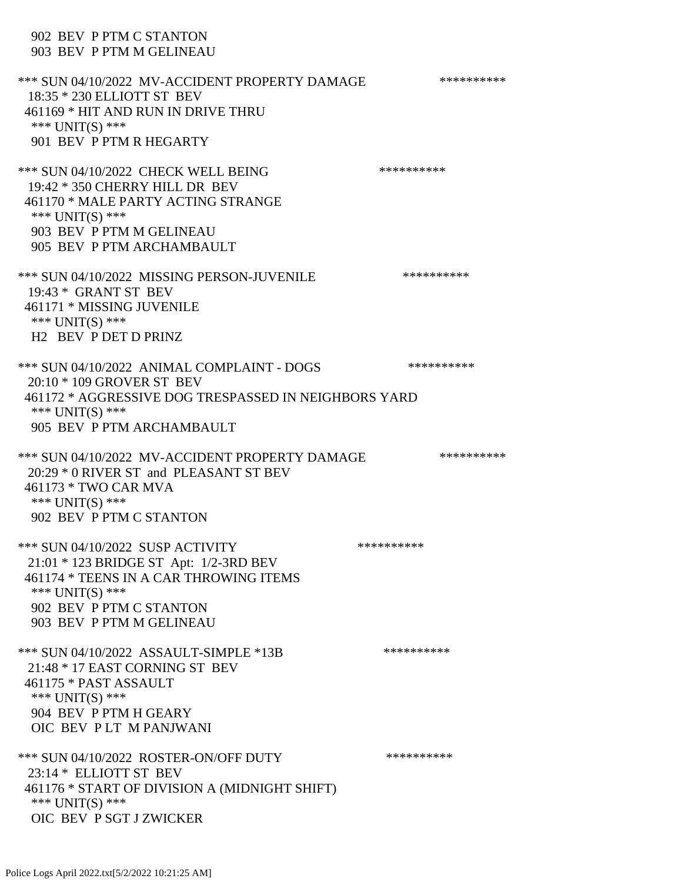902 BEV P PTM C STANTON 903 BEV P PTM M GELINEAU \*\*\* SUN 04/10/2022 MV-ACCIDENT PROPERTY DAMAGE \*\*\*\*\*\*\*\*\*\*\*\* 18:35 \* 230 ELLIOTT ST BEV 461169 \* HIT AND RUN IN DRIVE THRU \*\*\* UNIT(S) \*\*\* 901 BEV P PTM R HEGARTY \*\*\* SUN 04/10/2022 CHECK WELL BEING \*\*\*\*\*\*\*\*\*\*\*\*\* 19:42 \* 350 CHERRY HILL DR BEV 461170 \* MALE PARTY ACTING STRANGE \*\*\* UNIT(S) \*\*\* 903 BEV P PTM M GELINEAU 905 BEV P PTM ARCHAMBAULT \*\*\* SUN 04/10/2022 MISSING PERSON-JUVENILE \*\*\*\*\*\*\*\*\*\* 19:43 \* GRANT ST BEV 461171 \* MISSING JUVENILE \*\*\* UNIT(S) \*\*\* H2 BEV P DET D PRINZ \*\*\* SUN 04/10/2022 ANIMAL COMPLAINT - DOGS \*\*\*\*\*\*\*\*\*\*\*\* 20:10 \* 109 GROVER ST BEV 461172 \* AGGRESSIVE DOG TRESPASSED IN NEIGHBORS YARD \*\*\* UNIT(S) \*\*\* 905 BEV P PTM ARCHAMBAULT \*\*\* SUN 04/10/2022 MV-ACCIDENT PROPERTY DAMAGE \*\*\*\*\*\*\*\*\*\*\*\* 20:29 \* 0 RIVER ST and PLEASANT ST BEV 461173 \* TWO CAR MVA \*\*\* UNIT(S) \*\*\* 902 BEV P PTM C STANTON \*\*\* SUN 04/10/2022 SUSP ACTIVITY \*\*\*\*\*\*\*\*\*\*\*\* 21:01 \* 123 BRIDGE ST Apt: 1/2-3RD BEV 461174 \* TEENS IN A CAR THROWING ITEMS \*\*\* UNIT(S) \*\*\* 902 BEV P PTM C STANTON 903 BEV P PTM M GELINEAU \*\*\* SUN 04/10/2022 ASSAULT-SIMPLE \*13B \*\*\*\*\*\*\*\*\*\*\*\* 21:48 \* 17 EAST CORNING ST BEV 461175 \* PAST ASSAULT \*\*\* UNIT(S) \*\*\* 904 BEV P PTM H GEARY OIC BEV P LT M PANJWANI \*\*\* SUN 04/10/2022 ROSTER-ON/OFF DUTY \*\*\*\*\*\*\*\*\*\* 23:14 \* ELLIOTT ST BEV 461176 \* START OF DIVISION A (MIDNIGHT SHIFT) \*\*\* UNIT(S) \*\*\* OIC BEV P SGT J ZWICKER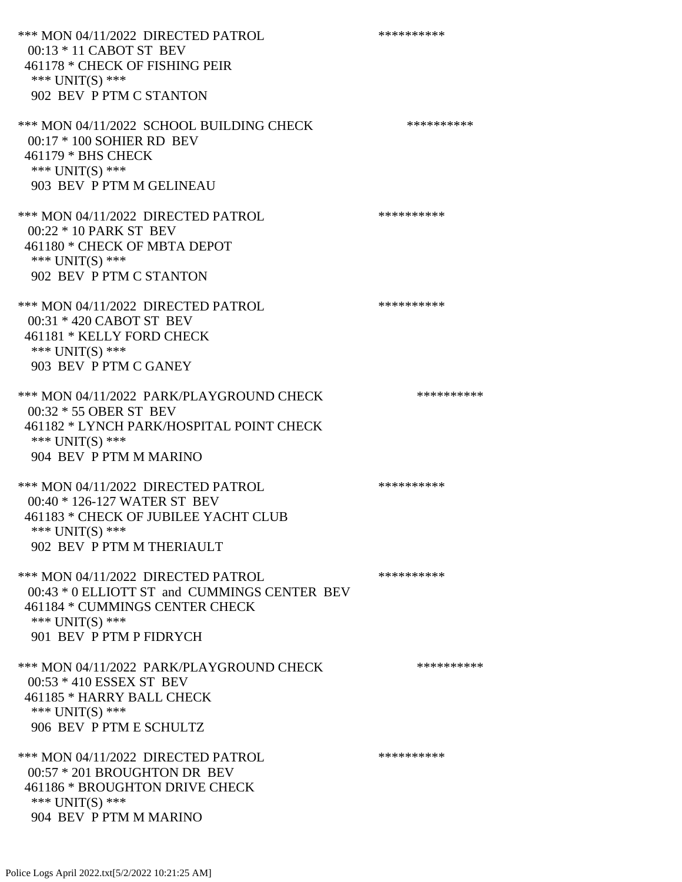\*\*\* MON 04/11/2022 DIRECTED PATROL \*\*\*\*\*\*\*\*\*\* 00:13 \* 11 CABOT ST BEV 461178 \* CHECK OF FISHING PEIR \*\*\* UNIT(S) \*\*\* 902 BEV P PTM C STANTON \*\*\* MON 04/11/2022 SCHOOL BUILDING CHECK \*\*\*\*\*\*\*\*\*\*\* 00:17 \* 100 SOHIER RD BEV 461179 \* BHS CHECK \*\*\* UNIT(S) \*\*\* 903 BEV P PTM M GELINEAU \*\*\* MON 04/11/2022 DIRECTED PATROL \*\*\*\*\*\*\*\*\*\* 00:22 \* 10 PARK ST BEV 461180 \* CHECK OF MBTA DEPOT \*\*\* UNIT(S) \*\*\* 902 BEV P PTM C STANTON \*\*\* MON 04/11/2022 DIRECTED PATROL \*\*\*\*\*\*\*\*\*\* 00:31 \* 420 CABOT ST BEV 461181 \* KELLY FORD CHECK \*\*\* UNIT(S) \*\*\* 903 BEV P PTM C GANEY \*\*\* MON 04/11/2022 PARK/PLAYGROUND CHECK \*\*\*\*\*\*\*\*\*\*\* 00:32 \* 55 OBER ST BEV 461182 \* LYNCH PARK/HOSPITAL POINT CHECK \*\*\* UNIT(S) \*\*\* 904 BEV P PTM M MARINO \*\*\* MON 04/11/2022 DIRECTED PATROL \*\*\*\*\*\*\*\*\*\* 00:40 \* 126-127 WATER ST BEV 461183 \* CHECK OF JUBILEE YACHT CLUB \*\*\* UNIT(S) \*\*\* 902 BEV P PTM M THERIAULT \*\*\* MON 04/11/2022 DIRECTED PATROL \*\*\*\*\*\*\*\*\*\* 00:43 \* 0 ELLIOTT ST and CUMMINGS CENTER BEV 461184 \* CUMMINGS CENTER CHECK \*\*\* UNIT(S) \*\*\* 901 BEV P PTM P FIDRYCH \*\*\* MON 04/11/2022 PARK/PLAYGROUND CHECK \*\*\*\*\*\*\*\*\*\*\*\* 00:53 \* 410 ESSEX ST BEV 461185 \* HARRY BALL CHECK \*\*\* UNIT(S) \*\*\* 906 BEV P PTM E SCHULTZ \*\*\* MON 04/11/2022 DIRECTED PATROL \*\*\*\*\*\*\*\*\*\* 00:57 \* 201 BROUGHTON DR BEV 461186 \* BROUGHTON DRIVE CHECK \*\*\* UNIT(S) \*\*\* 904 BEV P PTM M MARINO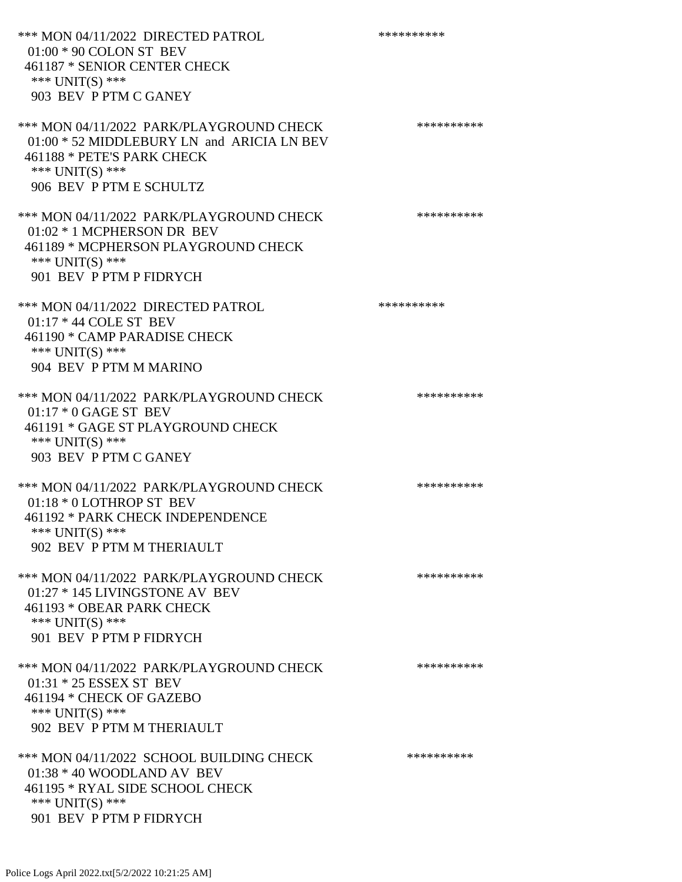\*\*\* MON 04/11/2022 DIRECTED PATROL \*\*\*\*\*\*\*\*\*\* 01:00 \* 90 COLON ST BEV 461187 \* SENIOR CENTER CHECK \*\*\* UNIT(S) \*\*\* 903 BEV P PTM C GANEY \*\*\* MON 04/11/2022 PARK/PLAYGROUND CHECK \*\*\*\*\*\*\*\*\*\* 01:00 \* 52 MIDDLEBURY LN and ARICIA LN BEV 461188 \* PETE'S PARK CHECK \*\*\* UNIT(S) \*\*\* 906 BEV P PTM E SCHULTZ \*\*\* MON 04/11/2022 PARK/PLAYGROUND CHECK \*\*\*\*\*\*\*\*\*\*\*\* 01:02 \* 1 MCPHERSON DR BEV 461189 \* MCPHERSON PLAYGROUND CHECK \*\*\* UNIT(S) \*\*\* 901 BEV P PTM P FIDRYCH \*\*\* MON 04/11/2022 DIRECTED PATROL \*\*\*\*\*\*\*\*\*\*\* 01:17 \* 44 COLE ST BEV 461190 \* CAMP PARADISE CHECK \*\*\* UNIT(S) \*\*\* 904 BEV P PTM M MARINO \*\*\* MON 04/11/2022 PARK/PLAYGROUND CHECK \*\*\*\*\*\*\*\*\*\*\* 01:17 \* 0 GAGE ST BEV 461191 \* GAGE ST PLAYGROUND CHECK \*\*\* UNIT(S) \*\*\* 903 BEV P PTM C GANEY \*\*\* MON 04/11/2022 PARK/PLAYGROUND CHECK \*\*\*\*\*\*\*\*\*\*\*\* 01:18 \* 0 LOTHROP ST BEV 461192 \* PARK CHECK INDEPENDENCE \*\*\* UNIT(S) \*\*\* 902 BEV P PTM M THERIAULT \*\*\* MON 04/11/2022 PARK/PLAYGROUND CHECK \*\*\*\*\*\*\*\*\*\*\*\* 01:27 \* 145 LIVINGSTONE AV BEV 461193 \* OBEAR PARK CHECK \*\*\* UNIT(S) \*\*\* 901 BEV P PTM P FIDRYCH \*\*\* MON 04/11/2022 PARK/PLAYGROUND CHECK \*\*\*\*\*\*\*\*\*\*\*\* 01:31 \* 25 ESSEX ST BEV 461194 \* CHECK OF GAZEBO \*\*\* UNIT(S) \*\*\* 902 BEV P PTM M THERIAULT \*\*\* MON 04/11/2022 SCHOOL BUILDING CHECK \*\*\*\*\*\*\*\*\*\*\*\* 01:38 \* 40 WOODLAND AV BEV 461195 \* RYAL SIDE SCHOOL CHECK \*\*\* UNIT(S) \*\*\* 901 BEV P PTM P FIDRYCH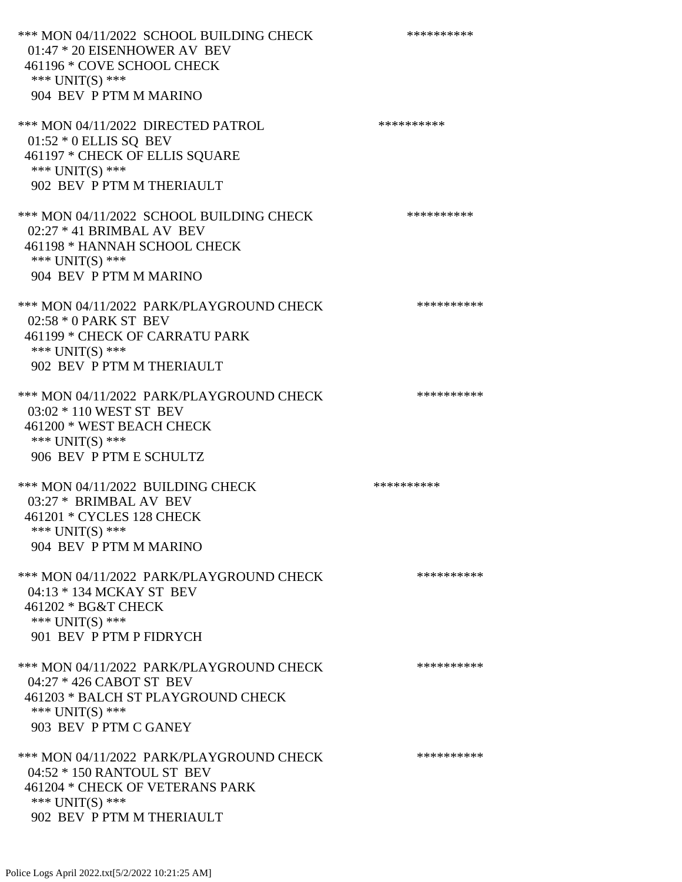\*\*\* MON 04/11/2022 SCHOOL BUILDING CHECK \*\*\*\*\*\*\*\*\*\*\*\* 01:47 \* 20 EISENHOWER AV BEV 461196 \* COVE SCHOOL CHECK \*\*\* UNIT(S) \*\*\* 904 BEV P PTM M MARINO \*\*\* MON 04/11/2022 DIRECTED PATROL \*\*\*\*\*\*\*\*\*\* 01:52 \* 0 ELLIS SQ BEV 461197 \* CHECK OF ELLIS SQUARE \*\*\* UNIT(S) \*\*\* 902 BEV P PTM M THERIAULT \*\*\* MON 04/11/2022 SCHOOL BUILDING CHECK \*\*\*\*\*\*\*\*\*\*\* 02:27 \* 41 BRIMBAL AV BEV 461198 \* HANNAH SCHOOL CHECK \*\*\* UNIT(S) \*\*\* 904 BEV P PTM M MARINO \*\*\* MON 04/11/2022 PARK/PLAYGROUND CHECK \*\*\*\*\*\*\*\*\*\*\*\* 02:58 \* 0 PARK ST BEV 461199 \* CHECK OF CARRATU PARK \*\*\* UNIT(S) \*\*\* 902 BEV P PTM M THERIAULT \*\*\* MON 04/11/2022 PARK/PLAYGROUND CHECK \*\*\*\*\*\*\*\*\*\*\* 03:02 \* 110 WEST ST BEV 461200 \* WEST BEACH CHECK \*\*\* UNIT(S) \*\*\* 906 BEV P PTM E SCHULTZ \*\*\* MON 04/11/2022 BUILDING CHECK \*\*\*\*\*\*\*\*\*\*\*\* 03:27 \* BRIMBAL AV BEV 461201 \* CYCLES 128 CHECK \*\*\* UNIT(S) \*\*\* 904 BEV P PTM M MARINO \*\*\* MON 04/11/2022 PARK/PLAYGROUND CHECK \*\*\*\*\*\*\*\*\*\*\* 04:13 \* 134 MCKAY ST BEV 461202 \* BG&T CHECK \*\*\* UNIT(S) \*\*\* 901 BEV P PTM P FIDRYCH \*\*\* MON 04/11/2022 PARK/PLAYGROUND CHECK \*\*\*\*\*\*\*\*\*\*\*\* 04:27 \* 426 CABOT ST BEV 461203 \* BALCH ST PLAYGROUND CHECK \*\*\* UNIT(S) \*\*\* 903 BEV P PTM C GANEY \*\*\* MON 04/11/2022 PARK/PLAYGROUND CHECK \*\*\*\*\*\*\*\*\*\*\*\* 04:52 \* 150 RANTOUL ST BEV 461204 \* CHECK OF VETERANS PARK \*\*\* UNIT(S) \*\*\* 902 BEV P PTM M THERIAULT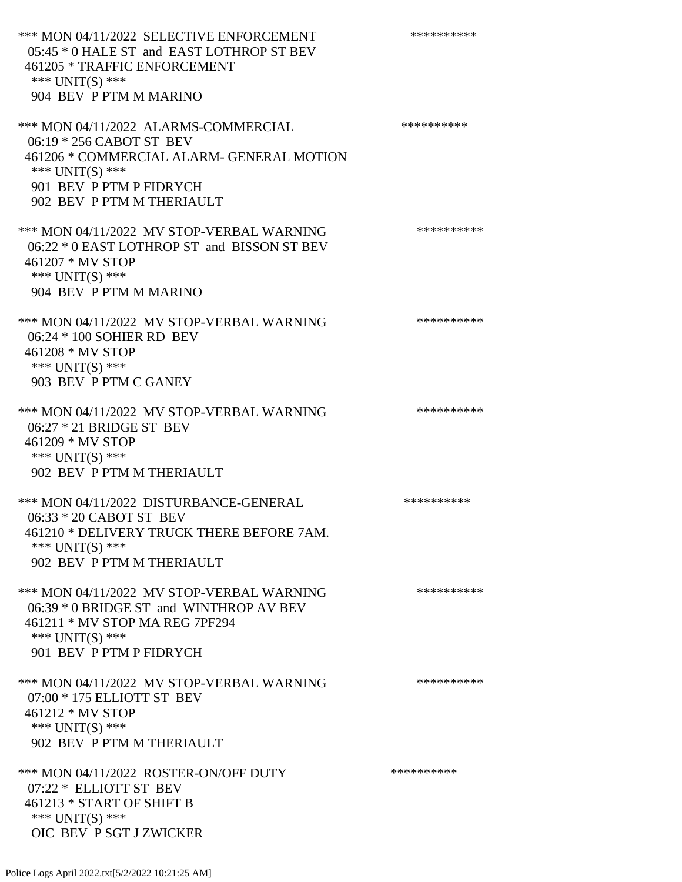\*\*\* MON 04/11/2022 SELECTIVE ENFORCEMENT \*\*\*\*\*\*\*\*\*\*\*\* 05:45 \* 0 HALE ST and EAST LOTHROP ST BEV 461205 \* TRAFFIC ENFORCEMENT \*\*\* UNIT(S) \*\*\* 904 BEV P PTM M MARINO \*\*\* MON 04/11/2022 ALARMS-COMMERCIAL \*\*\*\*\*\*\*\*\*\* 06:19 \* 256 CABOT ST BEV 461206 \* COMMERCIAL ALARM- GENERAL MOTION \*\*\* UNIT(S) \*\*\* 901 BEV P PTM P FIDRYCH 902 BEV P PTM M THERIAULT \*\*\* MON 04/11/2022 MV STOP-VERBAL WARNING \*\*\*\*\*\*\*\*\*\*\*\* 06:22 \* 0 EAST LOTHROP ST and BISSON ST BEV 461207 \* MV STOP \*\*\* UNIT(S) \*\*\* 904 BEV P PTM M MARINO \*\*\* MON 04/11/2022 MV STOP-VERBAL WARNING \*\*\*\*\*\*\*\*\*\*\*\*\* 06:24 \* 100 SOHIER RD BEV 461208 \* MV STOP \*\*\* UNIT(S) \*\*\* 903 BEV P PTM C GANEY \*\*\* MON 04/11/2022 MV STOP-VERBAL WARNING \*\*\*\*\*\*\*\*\*\*\*\* 06:27 \* 21 BRIDGE ST BEV 461209 \* MV STOP \*\*\* UNIT(S) \*\*\* 902 BEV P PTM M THERIAULT \*\*\* MON 04/11/2022 DISTURBANCE-GENERAL \*\*\*\*\*\*\*\*\*\* 06:33 \* 20 CABOT ST BEV 461210 \* DELIVERY TRUCK THERE BEFORE 7AM. \*\*\* UNIT(S) \*\*\* 902 BEV P PTM M THERIAULT \*\*\* MON 04/11/2022 MV STOP-VERBAL WARNING \*\*\*\*\*\*\*\*\*\*\*\*\* 06:39 \* 0 BRIDGE ST and WINTHROP AV BEV 461211 \* MV STOP MA REG 7PF294 \*\*\* UNIT(S) \*\*\* 901 BEV P PTM P FIDRYCH \*\*\* MON 04/11/2022 MV STOP-VERBAL WARNING \*\*\*\*\*\*\*\*\*\*\*\* 07:00 \* 175 ELLIOTT ST BEV 461212 \* MV STOP \*\*\* UNIT(S) \*\*\* 902 BEV P PTM M THERIAULT \*\*\* MON 04/11/2022 ROSTER-ON/OFF DUTY \*\*\*\*\*\*\*\*\*\* 07:22 \* ELLIOTT ST BEV 461213 \* START OF SHIFT B \*\*\* UNIT(S) \*\*\* OIC BEV P SGT J ZWICKER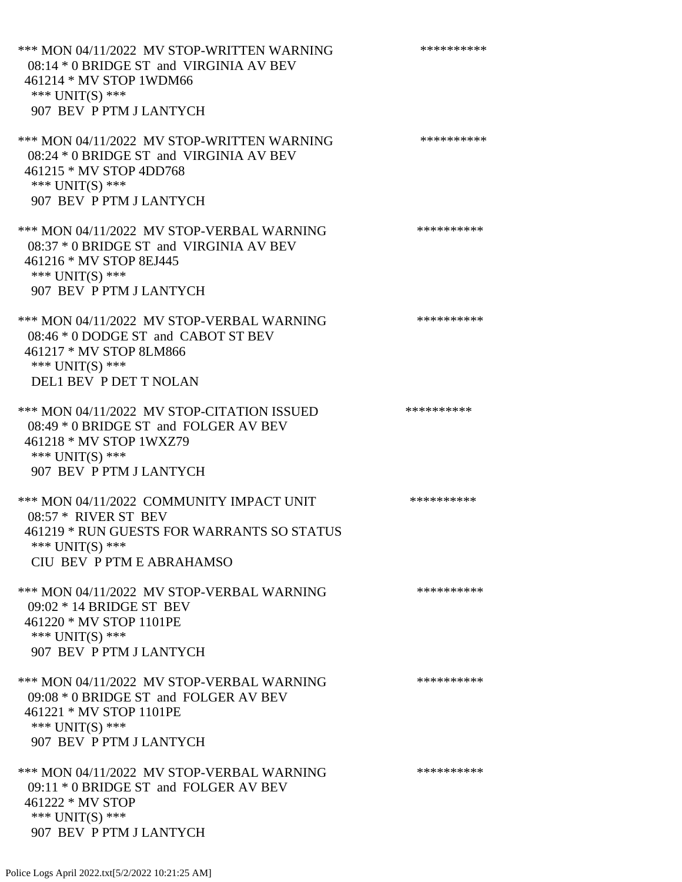\*\*\* MON 04/11/2022 MV STOP-WRITTEN WARNING \*\*\*\*\*\*\*\*\*\*\*\* 08:14 \* 0 BRIDGE ST and VIRGINIA AV BEV 461214 \* MV STOP 1WDM66 \*\*\* UNIT(S) \*\*\* 907 BEV P PTM J LANTYCH \*\*\* MON 04/11/2022 MV STOP-WRITTEN WARNING \*\*\*\*\*\*\*\*\*\*\*\* 08:24 \* 0 BRIDGE ST and VIRGINIA AV BEV 461215 \* MV STOP 4DD768 \*\*\* UNIT(S) \*\*\* 907 BEV P PTM J LANTYCH \*\*\* MON 04/11/2022 MV STOP-VERBAL WARNING \*\*\*\*\*\*\*\*\*\*\*\* 08:37 \* 0 BRIDGE ST and VIRGINIA AV BEV 461216 \* MV STOP 8EJ445 \*\*\* UNIT(S) \*\*\* 907 BEV P PTM J LANTYCH \*\*\* MON 04/11/2022 MV STOP-VERBAL WARNING \*\*\*\*\*\*\*\*\*\*\*\* 08:46 \* 0 DODGE ST and CABOT ST BEV 461217 \* MV STOP 8LM866 \*\*\* UNIT(S) \*\*\* DEL1 BEV P DET T NOLAN \*\*\* MON 04/11/2022 MV STOP-CITATION ISSUED \*\*\*\*\*\*\*\*\*\* 08:49 \* 0 BRIDGE ST and FOLGER AV BEV 461218 \* MV STOP 1WXZ79 \*\*\* UNIT(S) \*\*\* 907 BEV P PTM J LANTYCH \*\*\* MON 04/11/2022 COMMUNITY IMPACT UNIT \*\*\*\*\*\*\*\*\*\*\*\* 08:57 \* RIVER ST BEV 461219 \* RUN GUESTS FOR WARRANTS SO STATUS \*\*\* UNIT(S) \*\*\* CIU BEV P PTM E ABRAHAMSO \*\*\* MON 04/11/2022 MV STOP-VERBAL WARNING \*\*\*\*\*\*\*\*\*\*\*\* 09:02 \* 14 BRIDGE ST BEV 461220 \* MV STOP 1101PE \*\*\* UNIT(S) \*\*\* 907 BEV P PTM J LANTYCH \*\*\* MON 04/11/2022 MV STOP-VERBAL WARNING \*\*\*\*\*\*\*\*\*\*\*\* 09:08 \* 0 BRIDGE ST and FOLGER AV BEV 461221 \* MV STOP 1101PE \*\*\* UNIT(S) \*\*\* 907 BEV P PTM J LANTYCH \*\*\* MON 04/11/2022 MV STOP-VERBAL WARNING \*\*\*\*\*\*\*\*\*\*\*\* 09:11 \* 0 BRIDGE ST and FOLGER AV BEV 461222 \* MV STOP \*\*\* UNIT(S) \*\*\* 907 BEV P PTM J LANTYCH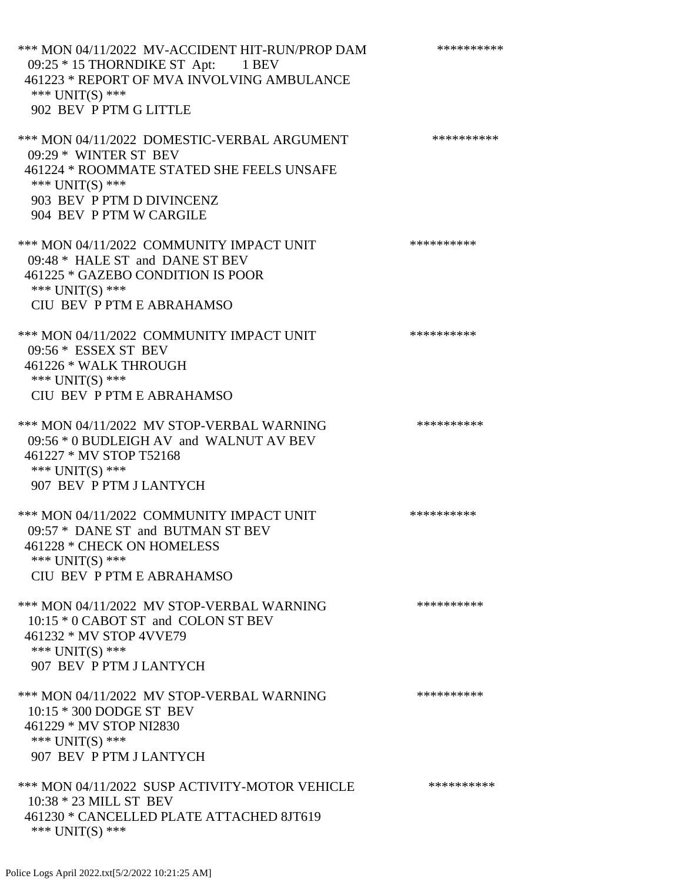\*\*\* MON 04/11/2022 MV-ACCIDENT HIT-RUN/PROP DAM \*\*\*\*\*\*\*\*\*\* 09:25 \* 15 THORNDIKE ST Apt: 1 BEV 461223 \* REPORT OF MVA INVOLVING AMBULANCE \*\*\* UNIT(S) \*\*\* 902 BEV P PTM G LITTLE \*\*\* MON 04/11/2022 DOMESTIC-VERBAL ARGUMENT \*\*\*\*\*\*\*\*\*\*\*\*\* 09:29 \* WINTER ST BEV 461224 \* ROOMMATE STATED SHE FEELS UNSAFE \*\*\* UNIT(S) \*\*\* 903 BEV P PTM D DIVINCENZ 904 BEV P PTM W CARGILE \*\*\* MON 04/11/2022 COMMUNITY IMPACT UNIT \*\*\*\*\*\*\*\*\*\*\*\* 09:48 \* HALE ST and DANE ST BEV 461225 \* GAZEBO CONDITION IS POOR \*\*\* UNIT(S) \*\*\* CIU BEV P PTM E ABRAHAMSO \*\*\* MON 04/11/2022 COMMUNITY IMPACT UNIT \*\*\*\*\*\*\*\*\*\*\*\* 09:56 \* ESSEX ST BEV 461226 \* WALK THROUGH \*\*\* UNIT(S) \*\*\* CIU BEV P PTM E ABRAHAMSO \*\*\* MON 04/11/2022 MV STOP-VERBAL WARNING \*\*\*\*\*\*\*\*\*\*\*\* 09:56 \* 0 BUDLEIGH AV and WALNUT AV BEV 461227 \* MV STOP T52168 \*\*\* UNIT(S) \*\*\* 907 BEV P PTM J LANTYCH \*\*\* MON 04/11/2022 COMMUNITY IMPACT UNIT \*\*\*\*\*\*\*\*\*\*\*\* 09:57 \* DANE ST and BUTMAN ST BEV 461228 \* CHECK ON HOMELESS \*\*\* UNIT(S) \*\*\* CIU BEV P PTM E ABRAHAMSO \*\*\* MON 04/11/2022 MV STOP-VERBAL WARNING \*\*\*\*\*\*\*\*\*\*\*\* 10:15 \* 0 CABOT ST and COLON ST BEV 461232 \* MV STOP 4VVE79 \*\*\* UNIT(S) \*\*\* 907 BEV P PTM J LANTYCH \*\*\* MON 04/11/2022 MV STOP-VERBAL WARNING \*\*\*\*\*\*\*\*\*\*\*\* 10:15 \* 300 DODGE ST BEV 461229 \* MV STOP NI2830 \*\*\* UNIT(S) \*\*\* 907 BEV P PTM J LANTYCH \*\*\* MON 04/11/2022 SUSP ACTIVITY-MOTOR VEHICLE \*\*\*\*\*\*\*\*\*\*\*\* 10:38 \* 23 MILL ST BEV 461230 \* CANCELLED PLATE ATTACHED 8JT619 \*\*\* UNIT(S) \*\*\*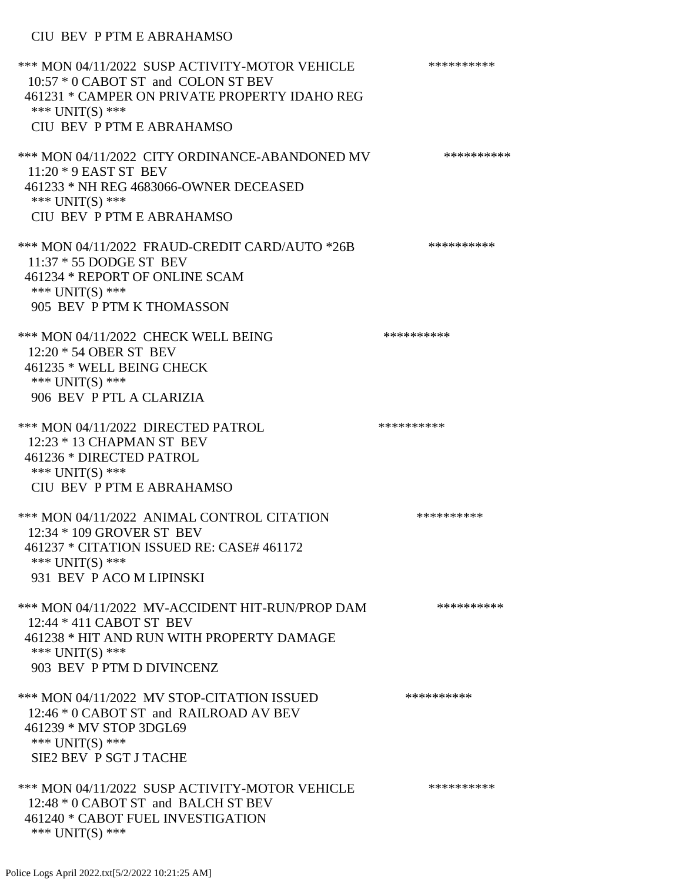# CIU BEV P PTM E ABRAHAMSO

| *** MON 04/11/2022 SUSP ACTIVITY-MOTOR VEHICLE<br>10:57 * 0 CABOT ST and COLON ST BEV<br>461231 * CAMPER ON PRIVATE PROPERTY IDAHO REG<br>*** UNIT(S) ***<br>CIU BEV P PTM E ABRAHAMSO | ********** |
|----------------------------------------------------------------------------------------------------------------------------------------------------------------------------------------|------------|
| *** MON 04/11/2022 CITY ORDINANCE-ABANDONED MV<br>11:20 * 9 EAST ST BEV<br>461233 * NH REG 4683066-OWNER DECEASED<br>*** UNIT(S) ***<br>CIU BEV P PTM E ABRAHAMSO                      | ********** |
| *** MON 04/11/2022 FRAUD-CREDIT CARD/AUTO *26B<br>11:37 * 55 DODGE ST BEV<br>461234 * REPORT OF ONLINE SCAM<br>*** UNIT(S) ***<br>905 BEV P PTM K THOMASSON                            | ********** |
| *** MON 04/11/2022 CHECK WELL BEING<br>12:20 * 54 OBER ST BEV<br>461235 * WELL BEING CHECK<br>*** UNIT(S) ***<br>906 BEV P PTL A CLARIZIA                                              | ********** |
| *** MON 04/11/2022 DIRECTED PATROL<br>12:23 * 13 CHAPMAN ST BEV<br>461236 * DIRECTED PATROL<br>*** UNIT(S) ***<br>CIU BEV P PTM E ABRAHAMSO                                            | ********** |
| *** MON 04/11/2022 ANIMAL CONTROL CITATION<br>12:34 * 109 GROVER ST BEV<br>461237 * CITATION ISSUED RE: CASE# 461172<br>*** $UNIT(S)$ ***<br>931 BEV P ACO M LIPINSKI                  | ********** |
| *** MON 04/11/2022 MV-ACCIDENT HIT-RUN/PROP DAM<br>12:44 * 411 CABOT ST BEV<br>461238 * HIT AND RUN WITH PROPERTY DAMAGE<br>*** $UNIT(S)$ ***<br>903 BEV P PTM D DIVINCENZ             | ********** |
| *** MON 04/11/2022 MV STOP-CITATION ISSUED<br>12:46 * 0 CABOT ST and RAILROAD AV BEV<br>461239 * MV STOP 3DGL69<br>*** $UNIT(S)$ ***<br>SIE2 BEV P SGT J TACHE                         | ********** |
| *** MON 04/11/2022 SUSP ACTIVITY-MOTOR VEHICLE<br>12:48 * 0 CABOT ST and BALCH ST BEV<br>461240 * CABOT FUEL INVESTIGATION<br>*** $UNIT(S)$ ***                                        | ********** |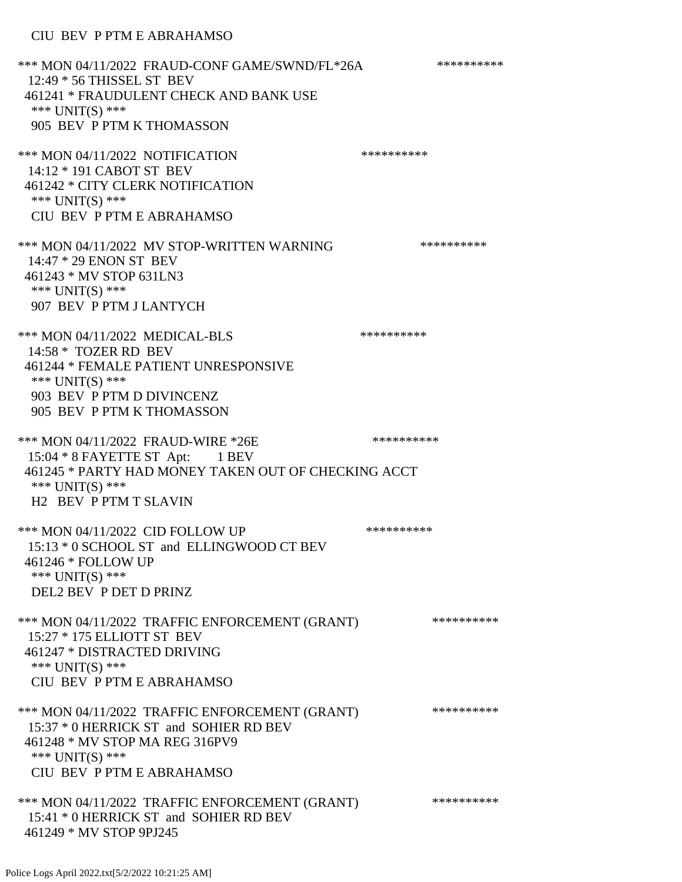\*\*\* MON 04/11/2022 FRAUD-CONF GAME/SWND/FL\*26A \*\*\*\*\*\*\*\*\*\* 12:49 \* 56 THISSEL ST BEV 461241 \* FRAUDULENT CHECK AND BANK USE \*\*\* UNIT(S) \*\*\* 905 BEV P PTM K THOMASSON \*\*\* MON 04/11/2022 NOTIFICATION \*\*\*\*\*\*\*\*\*\*\*\*\* 14:12 \* 191 CABOT ST BEV 461242 \* CITY CLERK NOTIFICATION \*\*\* UNIT(S) \*\*\* CIU BEV P PTM E ABRAHAMSO \*\*\* MON 04/11/2022 MV STOP-WRITTEN WARNING \*\*\*\*\*\*\*\*\*\*\*\* 14:47 \* 29 ENON ST BEV 461243 \* MV STOP 631LN3 \*\*\* UNIT(S) \*\*\* 907 BEV P PTM J LANTYCH \*\*\* MON 04/11/2022 MEDICAL-BLS \*\*\*\*\*\*\*\*\*\*\*\* 14:58 \* TOZER RD BEV 461244 \* FEMALE PATIENT UNRESPONSIVE \*\*\* UNIT(S) \*\*\* 903 BEV P PTM D DIVINCENZ 905 BEV P PTM K THOMASSON \*\*\* MON 04/11/2022 FRAUD-WIRE \*26E \*\*\*\*\*\*\*\*\*\*\*\*\*\*\* 15:04 \* 8 FAYETTE ST Apt: 1 BEV 461245 \* PARTY HAD MONEY TAKEN OUT OF CHECKING ACCT \*\*\* UNIT(S) \*\*\* H2 BEV P PTM T SLAVIN \*\*\* MON 04/11/2022 CID FOLLOW UP \*\*\*\*\*\*\*\*\*\* 15:13 \* 0 SCHOOL ST and ELLINGWOOD CT BEV 461246 \* FOLLOW UP \*\*\* UNIT(S) \*\*\* DEL2 BEV P DET D PRINZ \*\*\* MON 04/11/2022 TRAFFIC ENFORCEMENT (GRANT) \*\*\*\*\*\*\*\*\*\* 15:27 \* 175 ELLIOTT ST BEV 461247 \* DISTRACTED DRIVING \*\*\* UNIT(S) \*\*\* CIU BEV P PTM E ABRAHAMSO \*\*\* MON 04/11/2022 TRAFFIC ENFORCEMENT (GRANT) \*\*\*\*\*\*\*\*\*\* 15:37 \* 0 HERRICK ST and SOHIER RD BEV 461248 \* MV STOP MA REG 316PV9 \*\*\* UNIT(S) \*\*\* CIU BEV P PTM E ABRAHAMSO \*\*\* MON 04/11/2022 TRAFFIC ENFORCEMENT (GRANT) \*\*\*\*\*\*\*\*\*\* 15:41 \* 0 HERRICK ST and SOHIER RD BEV 461249 \* MV STOP 9PJ245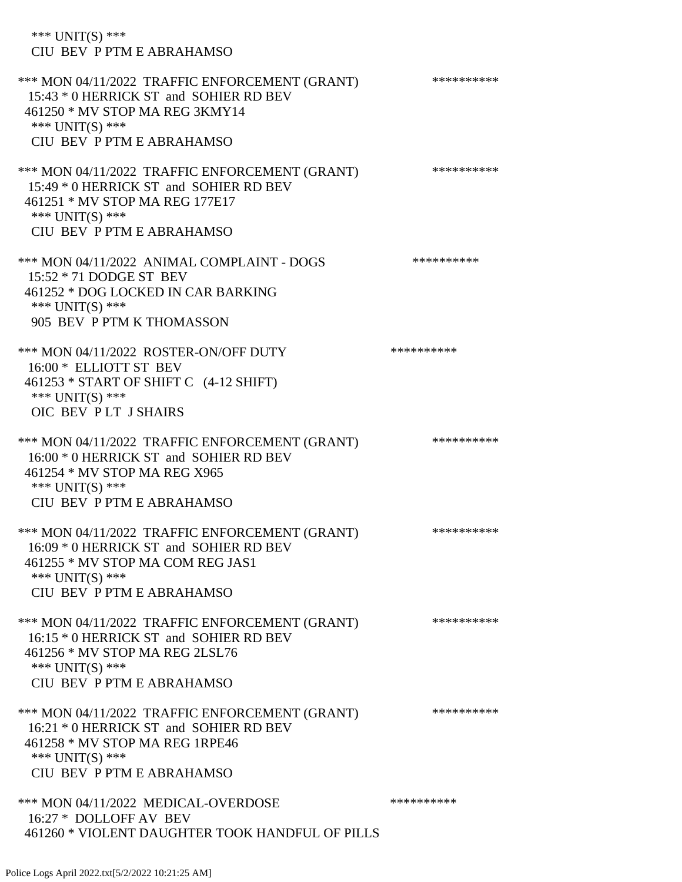| *** $UNIT(S)$ ***<br>CIU BEV P PTM E ABRAHAMSO                                                                                                                               |            |
|------------------------------------------------------------------------------------------------------------------------------------------------------------------------------|------------|
| *** MON 04/11/2022 TRAFFIC ENFORCEMENT (GRANT)<br>15:43 * 0 HERRICK ST and SOHIER RD BEV<br>461250 * MV STOP MA REG 3KMY14<br>*** $UNIT(S)$ ***<br>CIU BEV P PTM E ABRAHAMSO | ********** |
| *** MON 04/11/2022 TRAFFIC ENFORCEMENT (GRANT)<br>15:49 * 0 HERRICK ST and SOHIER RD BEV<br>461251 * MV STOP MA REG 177E17<br>*** $UNIT(S)$ ***<br>CIU BEV P PTM E ABRAHAMSO | ********** |
| *** MON 04/11/2022 ANIMAL COMPLAINT - DOGS<br>15:52 * 71 DODGE ST BEV<br>461252 * DOG LOCKED IN CAR BARKING<br>*** UNIT(S) ***<br>905 BEV P PTM K THOMASSON                  | ********** |
| *** MON 04/11/2022 ROSTER-ON/OFF DUTY<br>16:00 * ELLIOTT ST BEV<br>461253 * START OF SHIFT C (4-12 SHIFT)<br>*** UNIT(S) ***<br>OIC BEV PLT J SHAIRS                         | ********** |
| *** MON 04/11/2022 TRAFFIC ENFORCEMENT (GRANT)<br>16:00 * 0 HERRICK ST and SOHIER RD BEV<br>461254 * MV STOP MA REG X965<br>*** $UNIT(S)$ ***<br>CIU BEV P PTM E ABRAHAMSO   | ********** |
| *** MON 04/11/2022 TRAFFIC ENFORCEMENT (GRANT)<br>16:09 * 0 HERRICK ST and SOHIER RD BEV<br>461255 * MV STOP MA COM REG JAS1<br>*** UNIT(S) ***<br>CIU BEV P PTM E ABRAHAMSO | ********** |
| *** MON 04/11/2022 TRAFFIC ENFORCEMENT (GRANT)<br>16:15 * 0 HERRICK ST and SOHIER RD BEV<br>461256 * MV STOP MA REG 2LSL76<br>*** UNIT(S) ***<br>CIU BEV P PTM E ABRAHAMSO   | ********** |
| *** MON 04/11/2022 TRAFFIC ENFORCEMENT (GRANT)<br>16:21 * 0 HERRICK ST and SOHIER RD BEV<br>461258 * MV STOP MA REG 1RPE46<br>*** $UNIT(S)$ ***<br>CIU BEV P PTM E ABRAHAMSO | ********** |
| *** MON 04/11/2022 MEDICAL-OVERDOSE<br>16:27 * DOLLOFF AV BEV<br>461260 * VIOLENT DAUGHTER TOOK HANDFUL OF PILLS                                                             | ********** |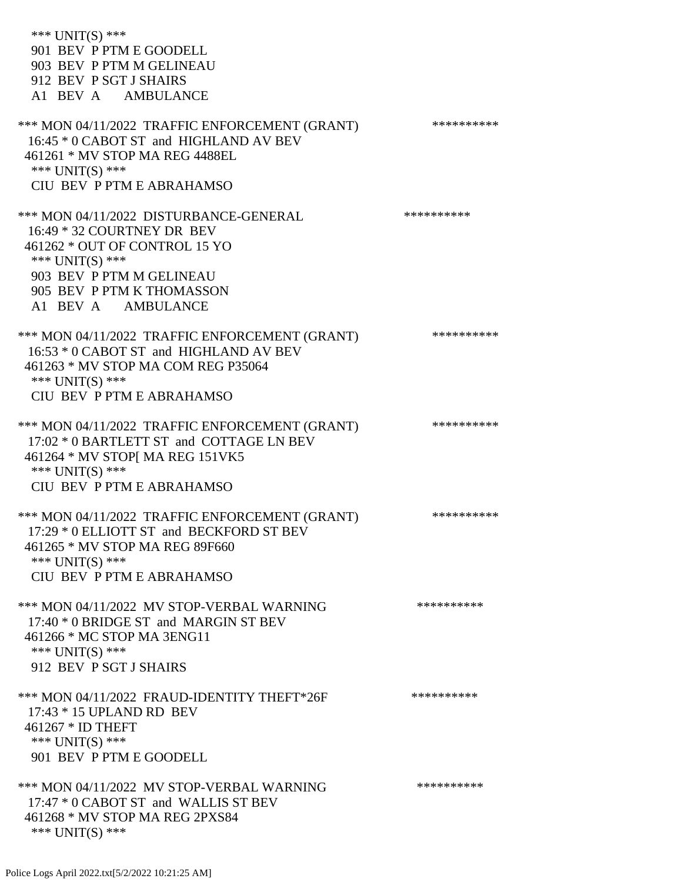\*\*\* UNIT(S) \*\*\* 901 BEV P PTM E GOODELL 903 BEV P PTM M GELINEAU 912 BEV P SGT J SHAIRS A1 BEV A AMBULANCE \*\*\* MON 04/11/2022 TRAFFIC ENFORCEMENT (GRANT) \*\*\*\*\*\*\*\*\*\* 16:45 \* 0 CABOT ST and HIGHLAND AV BEV 461261 \* MV STOP MA REG 4488EL \*\*\* UNIT(S) \*\*\* CIU BEV P PTM E ABRAHAMSO \*\*\* MON 04/11/2022 DISTURBANCE-GENERAL \*\*\*\*\*\*\*\*\*\*\*\* 16:49 \* 32 COURTNEY DR BEV 461262 \* OUT OF CONTROL 15 YO \*\*\* UNIT(S) \*\*\* 903 BEV P PTM M GELINEAU 905 BEV P PTM K THOMASSON A1 BEV A AMBULANCE \*\*\* MON 04/11/2022 TRAFFIC ENFORCEMENT (GRANT) \*\*\*\*\*\*\*\*\*\* 16:53 \* 0 CABOT ST and HIGHLAND AV BEV 461263 \* MV STOP MA COM REG P35064 \*\*\* UNIT(S) \*\*\* CIU BEV P PTM E ABRAHAMSO \*\*\* MON 04/11/2022 TRAFFIC ENFORCEMENT (GRANT) \*\*\*\*\*\*\*\*\*\* 17:02 \* 0 BARTLETT ST and COTTAGE LN BEV 461264 \* MV STOP[ MA REG 151VK5 \*\*\* UNIT(S) \*\*\* CIU BEV P PTM E ABRAHAMSO \*\*\* MON 04/11/2022 TRAFFIC ENFORCEMENT (GRANT) \*\*\*\*\*\*\*\*\*\* 17:29 \* 0 ELLIOTT ST and BECKFORD ST BEV 461265 \* MV STOP MA REG 89F660 \*\*\* UNIT(S) \*\*\* CIU BEV P PTM E ABRAHAMSO \*\*\* MON 04/11/2022 MV STOP-VERBAL WARNING \*\*\*\*\*\*\*\*\*\*\*\* 17:40 \* 0 BRIDGE ST and MARGIN ST BEV 461266 \* MC STOP MA 3ENG11 \*\*\* UNIT(S) \*\*\* 912 BEV P SGT J SHAIRS \*\*\* MON 04/11/2022 FRAUD-IDENTITY THEFT\*26F \*\*\*\*\*\*\*\*\*\*\*\* 17:43 \* 15 UPLAND RD BEV 461267 \* ID THEFT \*\*\* UNIT(S) \*\*\* 901 BEV P PTM E GOODELL \*\*\* MON 04/11/2022 MV STOP-VERBAL WARNING \*\*\*\*\*\*\*\*\*\*\*\* 17:47 \* 0 CABOT ST and WALLIS ST BEV 461268 \* MV STOP MA REG 2PXS84 \*\*\* UNIT(S) \*\*\*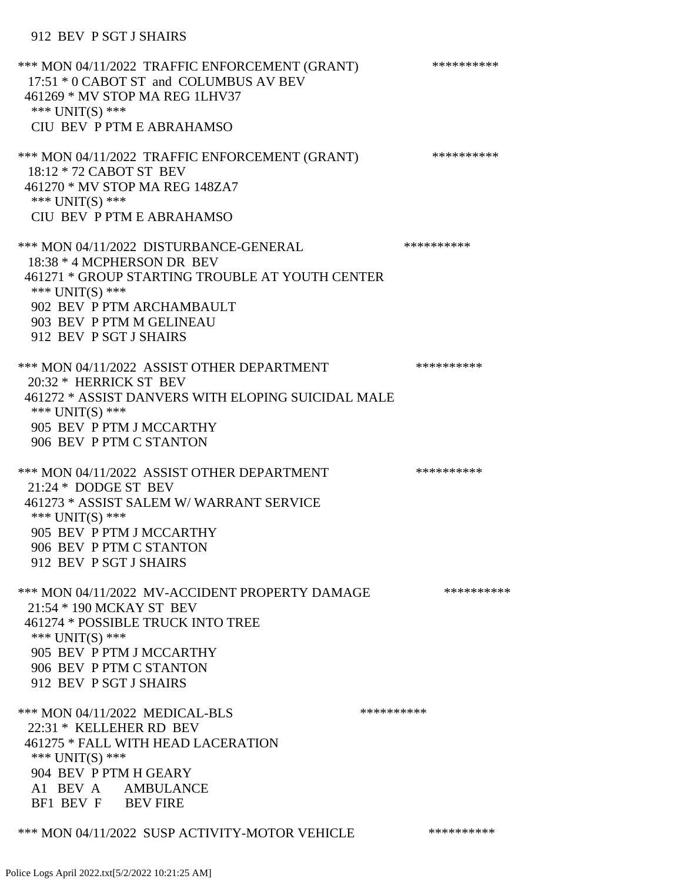### 912 BEV P SGT J SHAIRS

\*\*\* MON 04/11/2022 TRAFFIC ENFORCEMENT (GRANT) \*\*\*\*\*\*\*\*\*\* 17:51 \* 0 CABOT ST and COLUMBUS AV BEV 461269 \* MV STOP MA REG 1LHV37 \*\*\* UNIT(S) \*\*\* CIU BEV P PTM E ABRAHAMSO \*\*\* MON 04/11/2022 TRAFFIC ENFORCEMENT (GRANT) \*\*\*\*\*\*\*\*\*\* 18:12 \* 72 CABOT ST BEV 461270 \* MV STOP MA REG 148ZA7 \*\*\* UNIT(S) \*\*\* CIU BEV P PTM E ABRAHAMSO \*\*\* MON 04/11/2022 DISTURBANCE-GENERAL \*\*\*\*\*\*\*\*\*\* 18:38 \* 4 MCPHERSON DR BEV 461271 \* GROUP STARTING TROUBLE AT YOUTH CENTER \*\*\* UNIT(S) \*\*\* 902 BEV P PTM ARCHAMBAULT 903 BEV P PTM M GELINEAU 912 BEV P SGT J SHAIRS \*\*\* MON 04/11/2022 ASSIST OTHER DEPARTMENT \*\*\*\*\*\*\*\*\*\*\*\*\* 20:32 \* HERRICK ST BEV 461272 \* ASSIST DANVERS WITH ELOPING SUICIDAL MALE \*\*\* UNIT(S) \*\*\* 905 BEV P PTM J MCCARTHY 906 BEV P PTM C STANTON \*\*\* MON 04/11/2022 ASSIST OTHER DEPARTMENT \*\*\*\*\*\*\*\*\*\*\*\* 21:24 \* DODGE ST BEV 461273 \* ASSIST SALEM W/ WARRANT SERVICE \*\*\* UNIT(S) \*\*\* 905 BEV P PTM J MCCARTHY 906 BEV P PTM C STANTON 912 BEV P SGT J SHAIRS \*\*\* MON 04/11/2022 MV-ACCIDENT PROPERTY DAMAGE \*\*\*\*\*\*\*\*\*\*\*\* 21:54 \* 190 MCKAY ST BEV 461274 \* POSSIBLE TRUCK INTO TREE \*\*\* UNIT(S) \*\*\* 905 BEV P PTM J MCCARTHY 906 BEV P PTM C STANTON 912 BEV P SGT J SHAIRS \*\*\* MON 04/11/2022 MEDICAL-BLS \*\*\*\*\*\*\*\*\*\*\*\* 22:31 \* KELLEHER RD BEV 461275 \* FALL WITH HEAD LACERATION \*\*\* UNIT(S) \*\*\* 904 BEV P PTM H GEARY A1 BEV A AMBULANCE BF1 BEV F BEV FIRE

\*\*\* MON 04/11/2022 SUSP ACTIVITY-MOTOR VEHICLE \*\*\*\*\*\*\*\*\*\*\*\*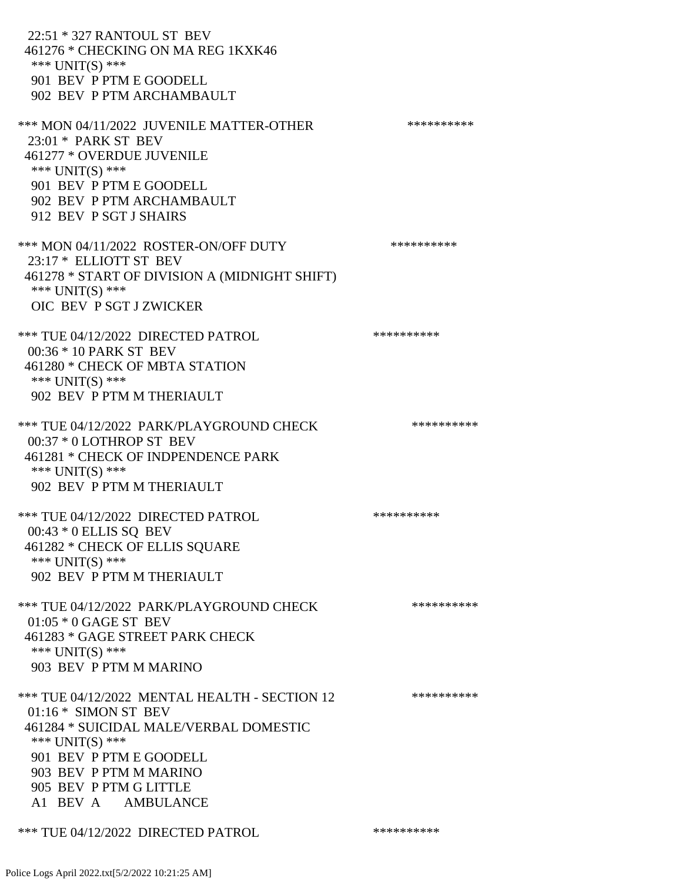22:51 \* 327 RANTOUL ST BEV 461276 \* CHECKING ON MA REG 1KXK46 \*\*\* UNIT(S) \*\*\* 901 BEV P PTM E GOODELL 902 BEV P PTM ARCHAMBAULT \*\*\* MON 04/11/2022 JUVENILE MATTER-OTHER \*\*\*\*\*\*\*\*\*\*\*\* 23:01 \* PARK ST BEV 461277 \* OVERDUE JUVENILE \*\*\* UNIT(S) \*\*\* 901 BEV P PTM E GOODELL 902 BEV P PTM ARCHAMBAULT 912 BEV P SGT J SHAIRS \*\*\* MON 04/11/2022 ROSTER-ON/OFF DUTY \*\*\*\*\*\*\*\*\*\* 23:17 \* ELLIOTT ST BEV 461278 \* START OF DIVISION A (MIDNIGHT SHIFT) \*\*\* UNIT(S) \*\*\* OIC BEV P SGT J ZWICKER \*\*\* TUE 04/12/2022 DIRECTED PATROL \*\*\*\*\*\*\*\*\*\* 00:36 \* 10 PARK ST BEV 461280 \* CHECK OF MBTA STATION \*\*\* UNIT(S) \*\*\* 902 BEV P PTM M THERIAULT \*\*\* TUE 04/12/2022 PARK/PLAYGROUND CHECK \*\*\*\*\*\*\*\*\*\*\*\* 00:37 \* 0 LOTHROP ST BEV 461281 \* CHECK OF INDPENDENCE PARK \*\*\* UNIT(S) \*\*\* 902 BEV P PTM M THERIAULT \*\*\* TUE 04/12/2022 DIRECTED PATROL \*\*\*\*\*\*\*\*\*\* 00:43 \* 0 ELLIS SQ BEV 461282 \* CHECK OF ELLIS SQUARE \*\*\* UNIT(S) \*\*\* 902 BEV P PTM M THERIAULT \*\*\* TUE 04/12/2022 PARK/PLAYGROUND CHECK \*\*\*\*\*\*\*\*\*\*\*\* 01:05 \* 0 GAGE ST BEV 461283 \* GAGE STREET PARK CHECK \*\*\* UNIT(S) \*\*\* 903 BEV P PTM M MARINO \*\*\* TUE 04/12/2022 MENTAL HEALTH - SECTION 12 \*\*\*\*\*\*\*\*\*\*\* 01:16 \* SIMON ST BEV 461284 \* SUICIDAL MALE/VERBAL DOMESTIC \*\*\* UNIT(S) \*\*\* 901 BEV P PTM E GOODELL 903 BEV P PTM M MARINO 905 BEV P PTM G LITTLE A1 BEV A AMBULANCE \*\*\* TUE 04/12/2022 DIRECTED PATROL \*\*\*\*\*\*\*\*\*\*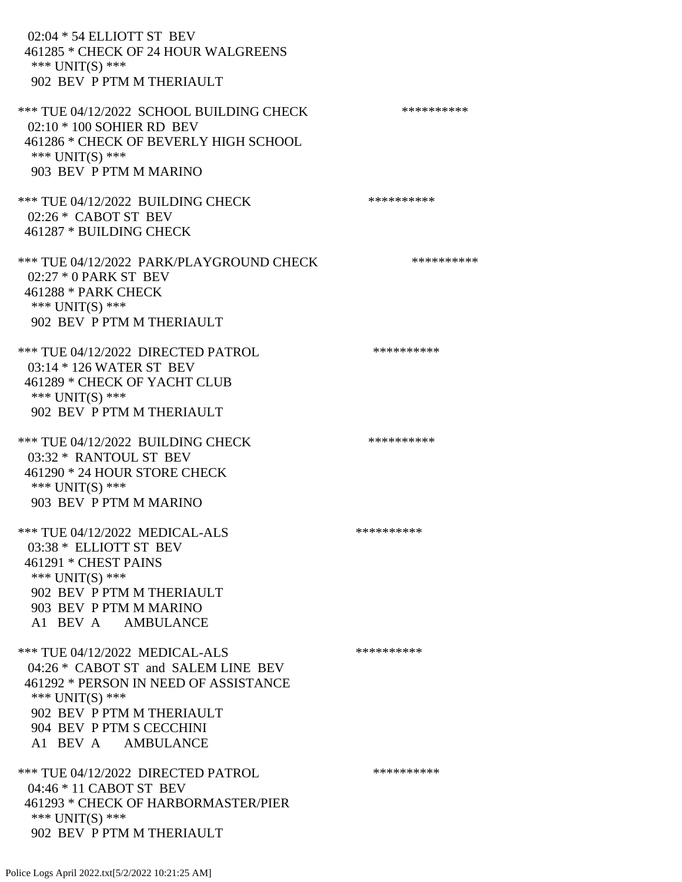02:04 \* 54 ELLIOTT ST BEV 461285 \* CHECK OF 24 HOUR WALGREENS \*\*\* UNIT(S) \*\*\* 902 BEV P PTM M THERIAULT \*\*\* TUE 04/12/2022 SCHOOL BUILDING CHECK \*\*\*\*\*\*\*\*\*\*\*\* 02:10 \* 100 SOHIER RD BEV 461286 \* CHECK OF BEVERLY HIGH SCHOOL \*\*\* UNIT(S) \*\*\* 903 BEV P PTM M MARINO \*\*\* TUE 04/12/2022 BUILDING CHECK \*\*\*\*\*\*\*\*\*\*\*\* 02:26 \* CABOT ST BEV 461287 \* BUILDING CHECK \*\*\* TUE 04/12/2022 PARK/PLAYGROUND CHECK \*\*\*\*\*\*\*\*\*\* 02:27 \* 0 PARK ST BEV 461288 \* PARK CHECK \*\*\* UNIT(S) \*\*\* 902 BEV P PTM M THERIAULT \*\*\* TUE 04/12/2022 DIRECTED PATROL \*\*\*\*\*\*\*\*\*\* 03:14 \* 126 WATER ST BEV 461289 \* CHECK OF YACHT CLUB \*\*\* UNIT(S) \*\*\* 902 BEV P PTM M THERIAULT \*\*\* TUE 04/12/2022 BUILDING CHECK \*\*\*\*\*\*\*\*\*\*\*\* 03:32 \* RANTOUL ST BEV 461290 \* 24 HOUR STORE CHECK \*\*\* UNIT(S) \*\*\* 903 BEV P PTM M MARINO \*\*\* TUE 04/12/2022 MEDICAL-ALS \*\*\*\*\*\*\*\*\*\* 03:38 \* ELLIOTT ST BEV 461291 \* CHEST PAINS \*\*\* UNIT(S) \*\*\* 902 BEV P PTM M THERIAULT 903 BEV P PTM M MARINO A1 BEV A AMBULANCE \*\*\* TUE 04/12/2022 MEDICAL-ALS \*\*\*\*\*\*\*\*\*\* 04:26 \* CABOT ST and SALEM LINE BEV 461292 \* PERSON IN NEED OF ASSISTANCE \*\*\* UNIT(S) \*\*\* 902 BEV P PTM M THERIAULT 904 BEV P PTM S CECCHINI A1 BEV A AMBULANCE \*\*\* TUE 04/12/2022 DIRECTED PATROL \*\*\*\*\*\*\*\*\*\* 04:46 \* 11 CABOT ST BEV 461293 \* CHECK OF HARBORMASTER/PIER \*\*\* UNIT(S) \*\*\* 902 BEV P PTM M THERIAULT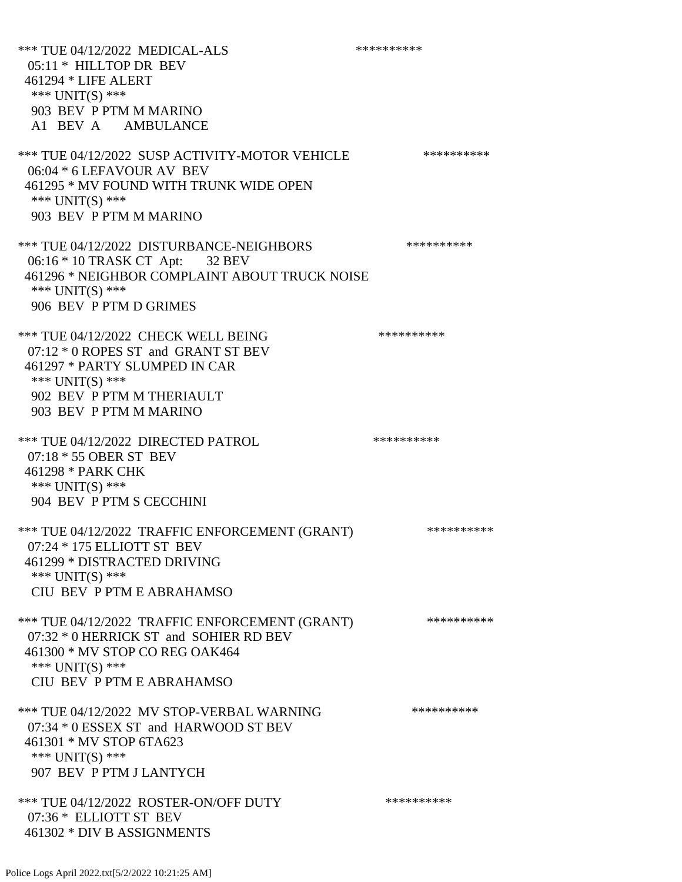\*\*\* TUE 04/12/2022 MEDICAL-ALS \*\*\*\*\*\*\*\*\*\*\*\*\* 05:11 \* HILLTOP DR BEV 461294 \* LIFE ALERT \*\*\* UNIT(S) \*\*\* 903 BEV P PTM M MARINO A1 BEV A AMBULANCE \*\*\* TUE 04/12/2022 SUSP ACTIVITY-MOTOR VEHICLE \*\*\*\*\*\*\*\*\*\* 06:04 \* 6 LEFAVOUR AV BEV 461295 \* MV FOUND WITH TRUNK WIDE OPEN \*\*\* UNIT(S) \*\*\* 903 BEV P PTM M MARINO \*\*\* TUE 04/12/2022 DISTURBANCE-NEIGHBORS \*\*\*\*\*\*\*\*\*\*\*\*\* 06:16 \* 10 TRASK CT Apt: 32 BEV 461296 \* NEIGHBOR COMPLAINT ABOUT TRUCK NOISE \*\*\* UNIT(S) \*\*\* 906 BEV P PTM D GRIMES \*\*\* TUE 04/12/2022 CHECK WELL BEING \*\*\*\*\*\*\*\*\*\* 07:12 \* 0 ROPES ST and GRANT ST BEV 461297 \* PARTY SLUMPED IN CAR \*\*\* UNIT(S) \*\*\* 902 BEV P PTM M THERIAULT 903 BEV P PTM M MARINO \*\*\* TUE 04/12/2022 DIRECTED PATROL \*\*\*\*\*\*\*\*\*\* 07:18 \* 55 OBER ST BEV 461298 \* PARK CHK \*\*\* UNIT(S) \*\*\* 904 BEV P PTM S CECCHINI \*\*\* TUE 04/12/2022 TRAFFIC ENFORCEMENT (GRANT) \*\*\*\*\*\*\*\*\*\* 07:24 \* 175 ELLIOTT ST BEV 461299 \* DISTRACTED DRIVING \*\*\* UNIT(S) \*\*\* CIU BEV P PTM E ABRAHAMSO \*\*\* TUE 04/12/2022 TRAFFIC ENFORCEMENT (GRANT) \*\*\*\*\*\*\*\*\*\* 07:32 \* 0 HERRICK ST and SOHIER RD BEV 461300 \* MV STOP CO REG OAK464 \*\*\* UNIT(S) \*\*\* CIU BEV P PTM E ABRAHAMSO \*\*\* TUE 04/12/2022 MV STOP-VERBAL WARNING \*\*\*\*\*\*\*\*\*\*\*\*\* 07:34 \* 0 ESSEX ST and HARWOOD ST BEV 461301 \* MV STOP 6TA623 \*\*\* UNIT(S) \*\*\* 907 BEV P PTM J LANTYCH \*\*\* TUE 04/12/2022 ROSTER-ON/OFF DUTY \*\*\*\*\*\*\*\*\*\* 07:36 \* ELLIOTT ST BEV 461302 \* DIV B ASSIGNMENTS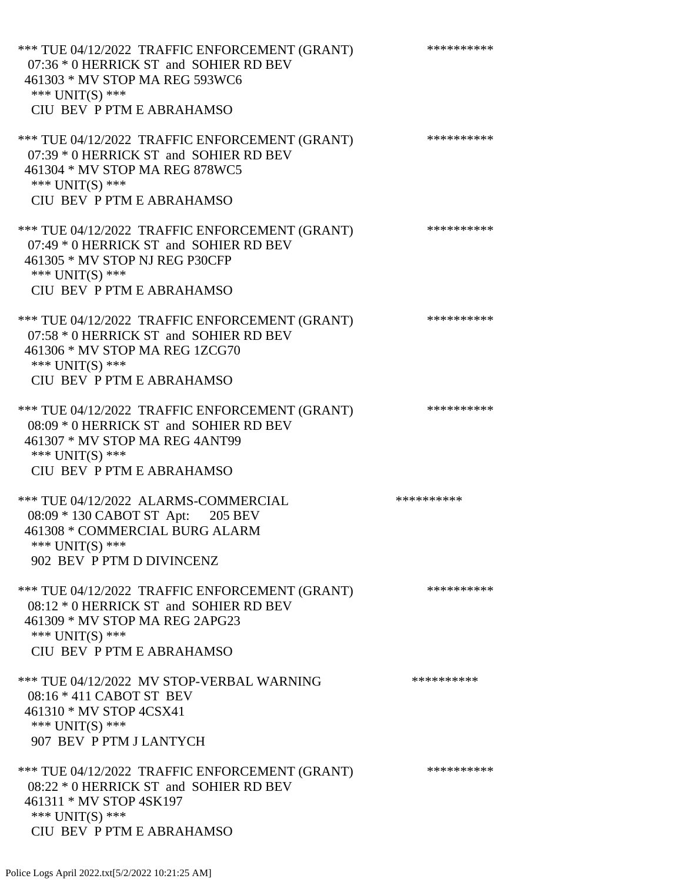| *** TUE 04/12/2022 TRAFFIC ENFORCEMENT (GRANT)<br>07:36 * 0 HERRICK ST and SOHIER RD BEV<br>461303 * MV STOP MA REG 593WC6<br>*** $UNIT(S)$ ***<br>CIU BEV P PTM E ABRAHAMSO | ********** |
|------------------------------------------------------------------------------------------------------------------------------------------------------------------------------|------------|
| *** TUE 04/12/2022 TRAFFIC ENFORCEMENT (GRANT)<br>07:39 * 0 HERRICK ST and SOHIER RD BEV<br>461304 * MV STOP MA REG 878WC5<br>*** $UNIT(S)$ ***<br>CIU BEV P PTM E ABRAHAMSO | ********** |
| *** TUE 04/12/2022 TRAFFIC ENFORCEMENT (GRANT)<br>07:49 * 0 HERRICK ST and SOHIER RD BEV<br>461305 * MV STOP NJ REG P30CFP<br>*** UNIT(S) ***<br>CIU BEV P PTM E ABRAHAMSO   | ********** |
| *** TUE 04/12/2022 TRAFFIC ENFORCEMENT (GRANT)<br>07:58 * 0 HERRICK ST and SOHIER RD BEV<br>461306 * MV STOP MA REG 1ZCG70<br>*** $UNIT(S)$ ***<br>CIU BEV P PTM E ABRAHAMSO | ********** |
| *** TUE 04/12/2022 TRAFFIC ENFORCEMENT (GRANT)<br>08:09 * 0 HERRICK ST and SOHIER RD BEV<br>461307 * MV STOP MA REG 4ANT99<br>*** UNIT(S) ***<br>CIU BEV P PTM E ABRAHAMSO   | ********** |
| *** TUE 04/12/2022 ALARMS-COMMERCIAL<br>08:09 * 130 CABOT ST Apt: 205 BEV<br>461308 * COMMERCIAL BURG ALARM<br>*** UNIT(S) ***<br>902 BEV P PTM D DIVINCENZ                  | ********** |
| *** TUE 04/12/2022 TRAFFIC ENFORCEMENT (GRANT)<br>08:12 * 0 HERRICK ST and SOHIER RD BEV<br>461309 * MV STOP MA REG 2APG23<br>*** $UNIT(S)$ ***<br>CIU BEV P PTM E ABRAHAMSO | ********** |
| *** TUE 04/12/2022 MV STOP-VERBAL WARNING<br>08:16 * 411 CABOT ST BEV<br>461310 * MV STOP 4CSX41<br>*** $UNIT(S)$ ***<br>907 BEV P PTM J LANTYCH                             | ********** |
| *** TUE 04/12/2022 TRAFFIC ENFORCEMENT (GRANT)<br>08:22 * 0 HERRICK ST and SOHIER RD BEV<br>461311 * MV STOP 4SK197<br>*** $UNIT(S)$ ***<br>CIU BEV P PTM E ABRAHAMSO        | ********** |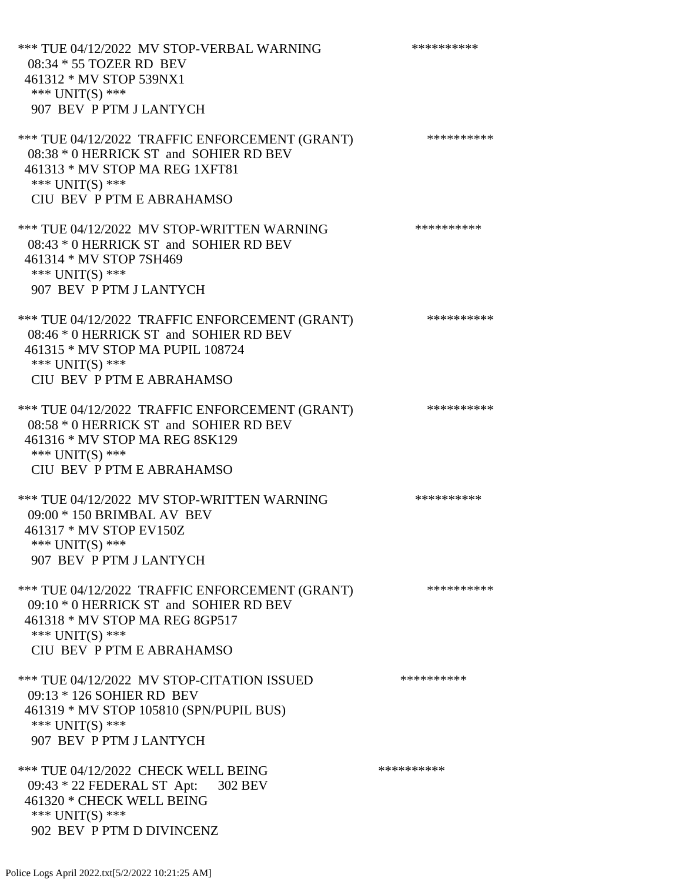\*\*\* TUE 04/12/2022 MV STOP-VERBAL WARNING \*\*\*\*\*\*\*\*\*\*\*\*\* 08:34 \* 55 TOZER RD BEV 461312 \* MV STOP 539NX1 \*\*\* UNIT(S) \*\*\* 907 BEV P PTM J LANTYCH \*\*\* TUE 04/12/2022 TRAFFIC ENFORCEMENT (GRANT) \*\*\*\*\*\*\*\*\*\* 08:38 \* 0 HERRICK ST and SOHIER RD BEV 461313 \* MV STOP MA REG 1XFT81 \*\*\* UNIT(S) \*\*\* CIU BEV P PTM E ABRAHAMSO \*\*\* TUE 04/12/2022 MV STOP-WRITTEN WARNING \*\*\*\*\*\*\*\*\*\*\*\*\* 08:43 \* 0 HERRICK ST and SOHIER RD BEV 461314 \* MV STOP 7SH469 \*\*\* UNIT(S) \*\*\* 907 BEV P PTM J LANTYCH \*\*\* TUE 04/12/2022 TRAFFIC ENFORCEMENT (GRANT) \*\*\*\*\*\*\*\*\*\* 08:46 \* 0 HERRICK ST and SOHIER RD BEV 461315 \* MV STOP MA PUPIL 108724 \*\*\* UNIT(S) \*\*\* CIU BEV P PTM E ABRAHAMSO \*\*\* TUE 04/12/2022 TRAFFIC ENFORCEMENT (GRANT) \*\*\*\*\*\*\*\*\*\* 08:58 \* 0 HERRICK ST and SOHIER RD BEV 461316 \* MV STOP MA REG 8SK129 \*\*\* UNIT(S) \*\*\* CIU BEV P PTM E ABRAHAMSO \*\*\* TUE 04/12/2022 MV STOP-WRITTEN WARNING \*\*\*\*\*\*\*\*\*\*\*\*\* 09:00 \* 150 BRIMBAL AV BEV 461317 \* MV STOP EV150Z \*\*\* UNIT(S) \*\*\* 907 BEV P PTM J LANTYCH \*\*\* TUE 04/12/2022 TRAFFIC ENFORCEMENT (GRANT) \*\*\*\*\*\*\*\*\*\* 09:10 \* 0 HERRICK ST and SOHIER RD BEV 461318 \* MV STOP MA REG 8GP517 \*\*\* UNIT(S) \*\*\* CIU BEV P PTM E ABRAHAMSO \*\*\* TUE 04/12/2022 MV STOP-CITATION ISSUED \*\*\*\*\*\*\*\*\*\*\* 09:13 \* 126 SOHIER RD BEV 461319 \* MV STOP 105810 (SPN/PUPIL BUS) \*\*\* UNIT(S) \*\*\* 907 BEV P PTM J LANTYCH \*\*\* TUE 04/12/2022 CHECK WELL BEING \*\*\*\*\*\*\*\*\*\* 09:43 \* 22 FEDERAL ST Apt: 302 BEV 461320 \* CHECK WELL BEING \*\*\* UNIT(S) \*\*\* 902 BEV P PTM D DIVINCENZ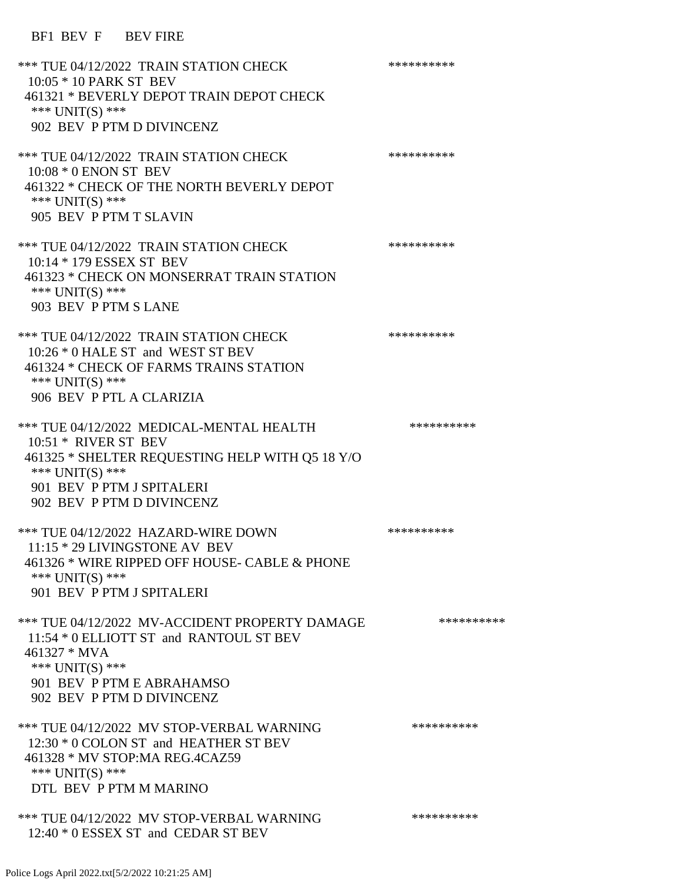BF1 BEV F BEV FIRE

| *** TUE 04/12/2022 TRAIN STATION CHECK<br>10:05 * 10 PARK ST BEV<br>461321 * BEVERLY DEPOT TRAIN DEPOT CHECK<br>*** $UNIT(S)$ ***<br>902 BEV P PTM D DIVINCENZ                                       | ********** |
|------------------------------------------------------------------------------------------------------------------------------------------------------------------------------------------------------|------------|
| *** TUE 04/12/2022 TRAIN STATION CHECK<br>$10:08 * 0$ ENON ST BEV<br>461322 * CHECK OF THE NORTH BEVERLY DEPOT<br>*** UNIT(S) ***                                                                    | ********** |
| 905 BEV P PTM T SLAVIN<br>*** TUE 04/12/2022 TRAIN STATION CHECK<br>10:14 * 179 ESSEX ST BEV<br>461323 * CHECK ON MONSERRAT TRAIN STATION                                                            | ********** |
| *** UNIT(S) ***<br>903 BEV P PTM S LANE<br>*** TUE 04/12/2022 TRAIN STATION CHECK                                                                                                                    | ********** |
| 10:26 * 0 HALE ST and WEST ST BEV<br>461324 * CHECK OF FARMS TRAINS STATION<br>*** UNIT(S) ***<br>906 BEV P PTL A CLARIZIA                                                                           |            |
| *** TUE 04/12/2022 MEDICAL-MENTAL HEALTH<br>$10:51$ * RIVER ST BEV<br>461325 * SHELTER REQUESTING HELP WITH Q5 18 Y/O<br>*** $UNIT(S)$ ***<br>901 BEV P PTM J SPITALERI<br>902 BEV P PTM D DIVINCENZ | ********** |
| *** TUE 04/12/2022 HAZARD-WIRE DOWN<br>11:15 * 29 LIVINGSTONE AV BEV<br>461326 * WIRE RIPPED OFF HOUSE- CABLE & PHONE<br>*** UNIT(S) ***<br>901 BEV P PTM J SPITALERI                                | ********** |
| *** TUE 04/12/2022 MV-ACCIDENT PROPERTY DAMAGE<br>11:54 * 0 ELLIOTT ST and RANTOUL ST BEV<br>461327 * MVA<br>*** UNIT(S) ***<br>901 BEV P PTM E ABRAHAMSO<br>902 BEV P PTM D DIVINCENZ               | ********** |
| *** TUE 04/12/2022 MV STOP-VERBAL WARNING<br>12:30 * 0 COLON ST and HEATHER ST BEV<br>461328 * MV STOP:MA REG.4CAZ59<br>*** UNIT(S) ***<br>DTL BEV P PTM M MARINO                                    | ********** |
| *** TUE 04/12/2022 MV STOP-VERBAL WARNING<br>12:40 * 0 ESSEX ST and CEDAR ST BEV                                                                                                                     | ********** |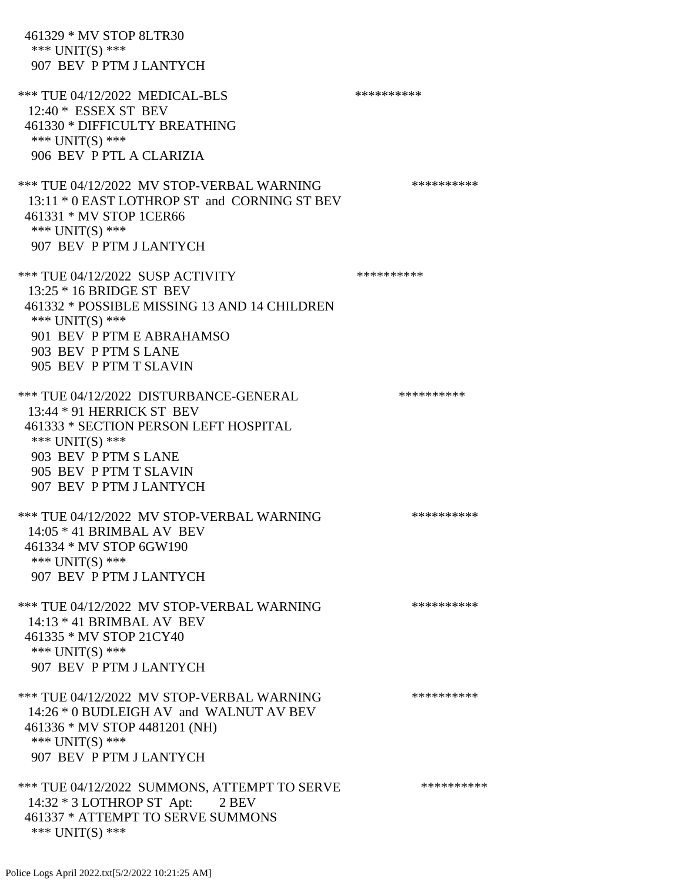461329 \* MV STOP 8LTR30 \*\*\* UNIT(S) \*\*\* 907 BEV P PTM J LANTYCH \*\*\* TUE 04/12/2022 MEDICAL-BLS \*\*\*\*\*\*\*\*\*\* 12:40 \* ESSEX ST BEV 461330 \* DIFFICULTY BREATHING \*\*\* UNIT(S) \*\*\* 906 BEV P PTL A CLARIZIA \*\*\* TUE 04/12/2022 MV STOP-VERBAL WARNING \*\*\*\*\*\*\*\*\*\*\*\*\* 13:11 \* 0 EAST LOTHROP ST and CORNING ST BEV 461331 \* MV STOP 1CER66 \*\*\* UNIT(S) \*\*\* 907 BEV P PTM J LANTYCH \*\*\* TUE 04/12/2022 SUSP ACTIVITY \*\*\*\*\*\*\*\*\*\*\*\* 13:25 \* 16 BRIDGE ST BEV 461332 \* POSSIBLE MISSING 13 AND 14 CHILDREN \*\*\* UNIT(S) \*\*\* 901 BEV P PTM E ABRAHAMSO 903 BEV P PTM S LANE 905 BEV P PTM T SLAVIN \*\*\* TUE 04/12/2022 DISTURBANCE-GENERAL \*\*\*\*\*\*\*\*\*\* 13:44 \* 91 HERRICK ST BEV 461333 \* SECTION PERSON LEFT HOSPITAL \*\*\* UNIT(S) \*\*\* 903 BEV P PTM S LANE 905 BEV P PTM T SLAVIN 907 BEV P PTM J LANTYCH \*\*\* TUE 04/12/2022 MV STOP-VERBAL WARNING \*\*\*\*\*\*\*\*\*\*\*\*\* 14:05 \* 41 BRIMBAL AV BEV 461334 \* MV STOP 6GW190 \*\*\* UNIT(S) \*\*\* 907 BEV P PTM J LANTYCH \*\*\* TUE 04/12/2022 MV STOP-VERBAL WARNING \*\*\*\*\*\*\*\*\*\*\*\* 14:13 \* 41 BRIMBAL AV BEV 461335 \* MV STOP 21CY40 \*\*\* UNIT(S) \*\*\* 907 BEV P PTM J LANTYCH \*\*\* TUE 04/12/2022 MV STOP-VERBAL WARNING \*\*\*\*\*\*\*\*\*\*\*\*\* 14:26 \* 0 BUDLEIGH AV and WALNUT AV BEV 461336 \* MV STOP 4481201 (NH) \*\*\* UNIT(S) \*\*\* 907 BEV P PTM J LANTYCH \*\*\* TUE 04/12/2022 SUMMONS, ATTEMPT TO SERVE \*\*\*\*\*\*\*\*\*\* 14:32 \* 3 LOTHROP ST Apt: 2 BEV 461337 \* ATTEMPT TO SERVE SUMMONS \*\*\* UNIT(S) \*\*\*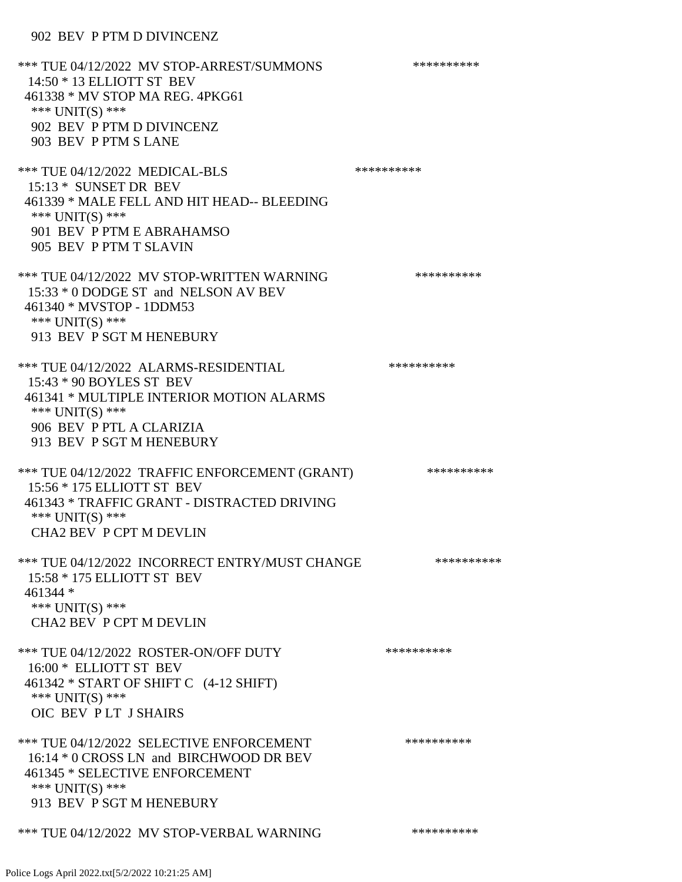## 902 BEV P PTM D DIVINCENZ

\*\*\* TUE 04/12/2022 MV STOP-ARREST/SUMMONS \*\*\*\*\*\*\*\*\*\*\*\*\*\* 14:50 \* 13 ELLIOTT ST BEV 461338 \* MV STOP MA REG. 4PKG61 \*\*\* UNIT(S) \*\*\* 902 BEV P PTM D DIVINCENZ 903 BEV P PTM S LANE \*\*\* TUE 04/12/2022 MEDICAL-BLS \*\*\*\*\*\*\*\*\*\*\*\* 15:13 \* SUNSET DR BEV 461339 \* MALE FELL AND HIT HEAD-- BLEEDING \*\*\* UNIT(S) \*\*\* 901 BEV P PTM E ABRAHAMSO 905 BEV P PTM T SLAVIN \*\*\* TUE 04/12/2022 MV STOP-WRITTEN WARNING \*\*\*\*\*\*\*\*\*\*\*\*\* 15:33 \* 0 DODGE ST and NELSON AV BEV 461340 \* MVSTOP - 1DDM53 \*\*\* UNIT(S) \*\*\* 913 BEV P SGT M HENEBURY \*\*\* TUE 04/12/2022 ALARMS-RESIDENTIAL \*\*\*\*\*\*\*\*\*\* 15:43 \* 90 BOYLES ST BEV 461341 \* MULTIPLE INTERIOR MOTION ALARMS \*\*\* UNIT(S) \*\*\* 906 BEV P PTL A CLARIZIA 913 BEV P SGT M HENEBURY \*\*\* TUE 04/12/2022 TRAFFIC ENFORCEMENT (GRANT) \*\*\*\*\*\*\*\*\*\* 15:56 \* 175 ELLIOTT ST BEV 461343 \* TRAFFIC GRANT - DISTRACTED DRIVING \*\*\* UNIT(S) \*\*\* CHA2 BEV P CPT M DEVLIN \*\*\* TUE 04/12/2022 INCORRECT ENTRY/MUST CHANGE \*\*\*\*\*\*\*\*\*\* 15:58 \* 175 ELLIOTT ST BEV 461344 \* \*\*\* UNIT(S) \*\*\* CHA2 BEV P CPT M DEVLIN \*\*\* TUE 04/12/2022 ROSTER-ON/OFF DUTY \*\*\*\*\*\*\*\*\*\*\*\* 16:00 \* ELLIOTT ST BEV 461342 \* START OF SHIFT C (4-12 SHIFT) \*\*\* UNIT(S) \*\*\* OIC BEV P LT J SHAIRS \*\*\* TUE 04/12/2022 SELECTIVE ENFORCEMENT \*\*\*\*\*\*\*\*\*\*\*\* 16:14 \* 0 CROSS LN and BIRCHWOOD DR BEV 461345 \* SELECTIVE ENFORCEMENT \*\*\* UNIT(S) \*\*\* 913 BEV P SGT M HENEBURY \*\*\* TUE 04/12/2022 MV STOP-VERBAL WARNING \*\*\*\*\*\*\*\*\*\*\*\*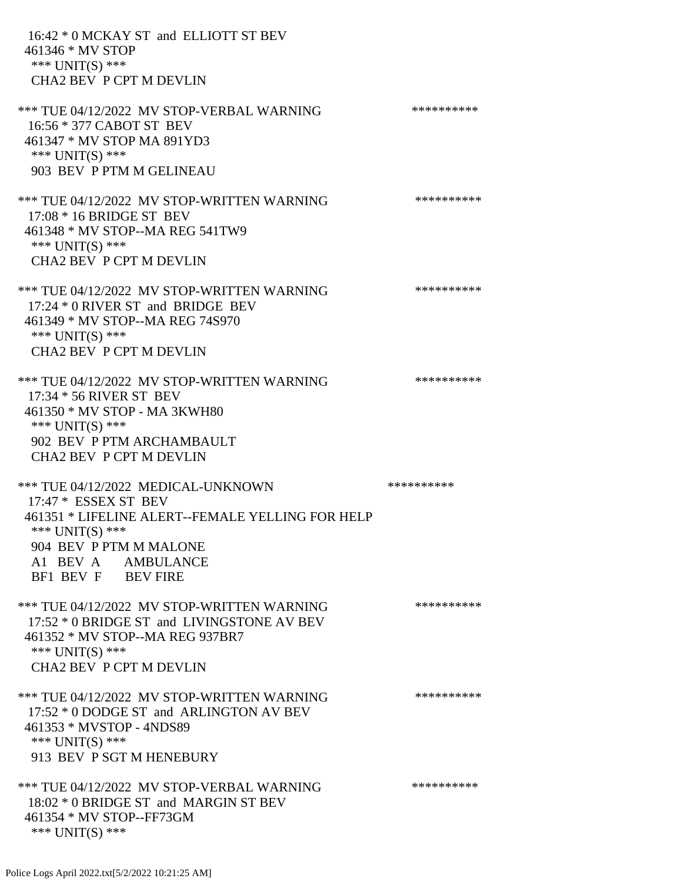16:42 \* 0 MCKAY ST and ELLIOTT ST BEV 461346 \* MV STOP \*\*\* UNIT(S) \*\*\* CHA2 BEV P CPT M DEVLIN \*\*\* TUE 04/12/2022 MV STOP-VERBAL WARNING \*\*\*\*\*\*\*\*\*\*\*\*\* 16:56 \* 377 CABOT ST BEV 461347 \* MV STOP MA 891YD3 \*\*\* UNIT(S) \*\*\* 903 BEV P PTM M GELINEAU \*\*\* TUE 04/12/2022 MV STOP-WRITTEN WARNING \*\*\*\*\*\*\*\*\*\*\*\* 17:08 \* 16 BRIDGE ST BEV 461348 \* MV STOP--MA REG 541TW9 \*\*\* UNIT(S) \*\*\* CHA2 BEV P CPT M DEVLIN \*\*\* TUE 04/12/2022 MV STOP-WRITTEN WARNING \*\*\*\*\*\*\*\*\*\*\*\*\* 17:24 \* 0 RIVER ST and BRIDGE BEV 461349 \* MV STOP--MA REG 74S970 \*\*\* UNIT(S) \*\*\* CHA2 BEV P CPT M DEVLIN \*\*\* TUE 04/12/2022 MV STOP-WRITTEN WARNING \*\*\*\*\*\*\*\*\*\*\*\*\* 17:34 \* 56 RIVER ST BEV 461350 \* MV STOP - MA 3KWH80 \*\*\* UNIT(S) \*\*\* 902 BEV P PTM ARCHAMBAULT CHA2 BEV P CPT M DEVLIN \*\*\* TUE 04/12/2022 MEDICAL-UNKNOWN \*\*\*\*\*\*\*\*\*\* 17:47 \* ESSEX ST BEV 461351 \* LIFELINE ALERT--FEMALE YELLING FOR HELP \*\*\* UNIT(S) \*\*\* 904 BEV P PTM M MALONE A1 BEV A AMBULANCE BF1 BEV F BEV FIRE \*\*\* TUE 04/12/2022 MV STOP-WRITTEN WARNING \*\*\*\*\*\*\*\*\*\*\*\*\* 17:52 \* 0 BRIDGE ST and LIVINGSTONE AV BEV 461352 \* MV STOP--MA REG 937BR7 \*\*\* UNIT(S) \*\*\* CHA2 BEV P CPT M DEVLIN \*\*\* TUE 04/12/2022 MV STOP-WRITTEN WARNING \*\*\*\*\*\*\*\*\*\*\*\*\* 17:52 \* 0 DODGE ST and ARLINGTON AV BEV 461353 \* MVSTOP - 4NDS89 \*\*\* UNIT(S) \*\*\* 913 BEV P SGT M HENEBURY \*\*\* TUE 04/12/2022 MV STOP-VERBAL WARNING \*\*\*\*\*\*\*\*\*\*\*\*\* 18:02 \* 0 BRIDGE ST and MARGIN ST BEV 461354 \* MV STOP--FF73GM

\*\*\* UNIT(S) \*\*\*

Police Logs April 2022.txt[5/2/2022 10:21:25 AM]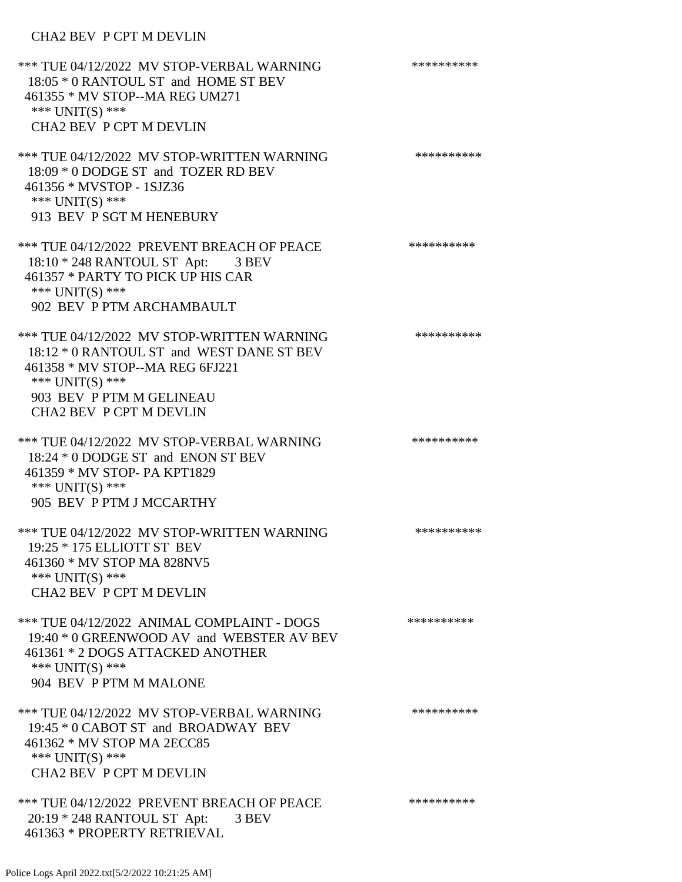# CHA2 BEV P CPT M DEVLIN

| *** TUE 04/12/2022 MV STOP-VERBAL WARNING<br>18:05 * 0 RANTOUL ST and HOME ST BEV<br>461355 * MV STOP--MA REG UM271<br>*** $UNIT(S)$ ***<br><b>CHA2 BEV P CPT M DEVLIN</b>                                    | ********** |
|---------------------------------------------------------------------------------------------------------------------------------------------------------------------------------------------------------------|------------|
| *** TUE 04/12/2022 MV STOP-WRITTEN WARNING<br>18:09 * 0 DODGE ST and TOZER RD BEV<br>461356 * MVSTOP - 1SJZ36<br>*** UNIT(S) ***<br>913 BEV P SGT M HENEBURY                                                  | ********** |
| *** TUE 04/12/2022 PREVENT BREACH OF PEACE<br>18:10 * 248 RANTOUL ST Apt: 3 BEV<br>461357 * PARTY TO PICK UP HIS CAR<br>*** UNIT(S) ***<br>902 BEV P PTM ARCHAMBAULT                                          | ********** |
| *** TUE 04/12/2022 MV STOP-WRITTEN WARNING<br>18:12 * 0 RANTOUL ST and WEST DANE ST BEV<br>461358 * MV STOP--MA REG 6FJ221<br>*** $UNIT(S)$ ***<br>903 BEV P PTM M GELINEAU<br><b>CHA2 BEV P CPT M DEVLIN</b> | ********** |
| *** TUE 04/12/2022 MV STOP-VERBAL WARNING<br>18:24 * 0 DODGE ST and ENON ST BEV<br>461359 * MV STOP- PA KPT1829<br>*** $UNIT(S)$ ***<br>905 BEV P PTM J MCCARTHY                                              | ********** |
| *** TUE 04/12/2022 MV STOP-WRITTEN WARNING<br>19:25 * 175 ELLIOTT ST BEV<br>461360 * MV STOP MA 828NV5<br>*** $UNIT(S)$ ***<br>CHA2 BEV P CPT M DEVLIN                                                        | ********** |
| *** TUE 04/12/2022 ANIMAL COMPLAINT - DOGS<br>19:40 * 0 GREENWOOD AV and WEBSTER AV BEV<br>461361 * 2 DOGS ATTACKED ANOTHER<br>*** $UNIT(S)$ ***<br>904 BEV P PTM M MALONE                                    | ********** |
| *** TUE 04/12/2022 MV STOP-VERBAL WARNING<br>19:45 * 0 CABOT ST and BROADWAY BEV<br>461362 * MV STOP MA 2ECC85<br>*** UNIT(S) ***<br>CHA2 BEV P CPT M DEVLIN                                                  | ********** |
| *** TUE 04/12/2022 PREVENT BREACH OF PEACE<br>20:19 * 248 RANTOUL ST Apt: 3 BEV<br>461363 * PROPERTY RETRIEVAL                                                                                                | ********** |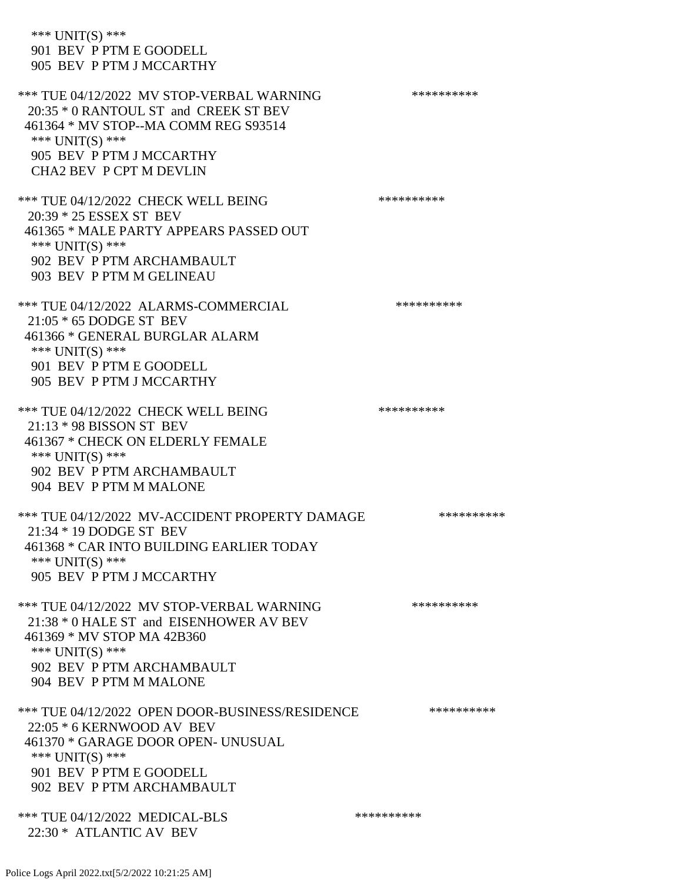| *** $UNIT(S)$ ***<br>901 BEV P PTM E GOODELL<br>905 BEV P PTM J MCCARTHY                                                                                                                        |            |
|-------------------------------------------------------------------------------------------------------------------------------------------------------------------------------------------------|------------|
| *** TUE 04/12/2022 MV STOP-VERBAL WARNING<br>20:35 * 0 RANTOUL ST and CREEK ST BEV<br>461364 * MV STOP--MA COMM REG S93514<br>*** UNIT(S) ***<br>905 BEV P PTM J MCCARTHY                       | ********** |
| <b>CHA2 BEV P CPT M DEVLIN</b>                                                                                                                                                                  |            |
| *** TUE 04/12/2022 CHECK WELL BEING<br>20:39 * 25 ESSEX ST BEV<br>461365 * MALE PARTY APPEARS PASSED OUT<br>*** $UNIT(S)$ ***<br>902 BEV P PTM ARCHAMBAULT<br>903 BEV P PTM M GELINEAU          | ********** |
| *** TUE 04/12/2022 ALARMS-COMMERCIAL<br>21:05 * 65 DODGE ST BEV<br>461366 * GENERAL BURGLAR ALARM<br>*** $UNIT(S)$ ***<br>901 BEV P PTM E GOODELL<br>905 BEV P PTM J MCCARTHY                   | ********** |
| *** TUE 04/12/2022 CHECK WELL BEING<br>$21:13 * 98$ BISSON ST BEV<br>461367 * CHECK ON ELDERLY FEMALE<br>*** UNIT(S) ***<br>902 BEV P PTM ARCHAMBAULT<br>904 BEV P PTM M MALONE                 | ********** |
| *** TUE 04/12/2022 MV-ACCIDENT PROPERTY DAMAGE<br>21:34 * 19 DODGE ST BEV<br>461368 * CAR INTO BUILDING EARLIER TODAY<br>*** UNIT(S) ***<br>905 BEV P PTM J MCCARTHY                            | ********** |
| *** TUE 04/12/2022 MV STOP-VERBAL WARNING<br>21:38 * 0 HALE ST and EISENHOWER AV BEV<br>461369 * MV STOP MA 42B360<br>*** UNIT(S) ***<br>902 BEV P PTM ARCHAMBAULT<br>904 BEV P PTM M MALONE    | ********** |
| *** TUE 04/12/2022 OPEN DOOR-BUSINESS/RESIDENCE<br>22:05 * 6 KERNWOOD AV BEV<br>461370 * GARAGE DOOR OPEN- UNUSUAL<br>*** $UNIT(S)$ ***<br>901 BEV P PTM E GOODELL<br>902 BEV P PTM ARCHAMBAULT | ********** |
| *** TUE 04/12/2022 MEDICAL-BLS<br>22:30 * ATLANTIC AV BEV                                                                                                                                       | ********** |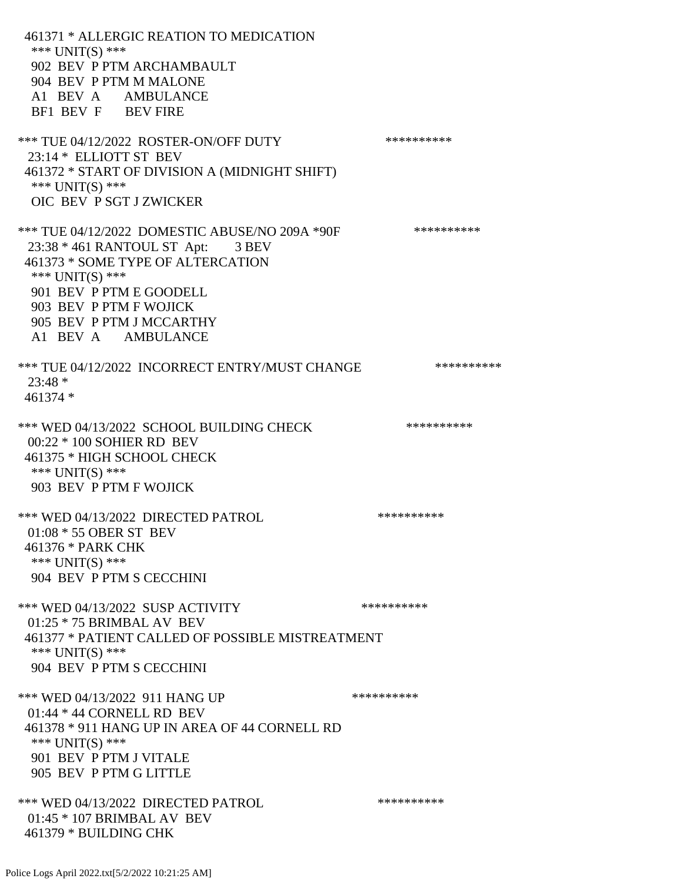461371 \* ALLERGIC REATION TO MEDICATION \*\*\* UNIT(S) \*\*\* 902 BEV P PTM ARCHAMBAULT 904 BEV P PTM M MALONE A1 BEV A AMBULANCE BF1 BEV F BEV FIRE \*\*\* TUE 04/12/2022 ROSTER-ON/OFF DUTY \*\*\*\*\*\*\*\*\*\* 23:14 \* ELLIOTT ST BEV 461372 \* START OF DIVISION A (MIDNIGHT SHIFT) \*\*\* UNIT(S) \*\*\* OIC BEV P SGT J ZWICKER \*\*\* TUE 04/12/2022 DOMESTIC ABUSE/NO 209A \*90F \*\*\*\*\*\*\*\*\*\*\*\* 23:38 \* 461 RANTOUL ST Apt: 3 BEV 461373 \* SOME TYPE OF ALTERCATION \*\*\* UNIT(S) \*\*\* 901 BEV P PTM E GOODELL 903 BEV P PTM F WOJICK 905 BEV P PTM J MCCARTHY A1 BEV A AMBULANCE \*\*\* TUE 04/12/2022 INCORRECT ENTRY/MUST CHANGE \*\*\*\*\*\*\*\*\*\* 23:48 \* 461374 \* \*\*\* WED 04/13/2022 SCHOOL BUILDING CHECK \*\*\*\*\*\*\*\*\*\*\* 00:22 \* 100 SOHIER RD BEV 461375 \* HIGH SCHOOL CHECK \*\*\* UNIT(S) \*\*\* 903 BEV P PTM F WOJICK \*\*\* WED 04/13/2022 DIRECTED PATROL \*\*\*\*\*\*\*\*\*\* 01:08 \* 55 OBER ST BEV 461376 \* PARK CHK \*\*\* UNIT(S) \*\*\* 904 BEV P PTM S CECCHINI \*\*\* WED 04/13/2022 SUSP ACTIVITY \*\*\*\*\*\*\*\*\*\*\*\* 01:25 \* 75 BRIMBAL AV BEV 461377 \* PATIENT CALLED OF POSSIBLE MISTREATMENT \*\*\* UNIT(S) \*\*\* 904 BEV P PTM S CECCHINI \*\*\* WED 04/13/2022 911 HANG UP \*\*\*\*\*\*\*\*\*\*\*\* 01:44 \* 44 CORNELL RD BEV 461378 \* 911 HANG UP IN AREA OF 44 CORNELL RD \*\*\* UNIT(S) \*\*\* 901 BEV P PTM J VITALE 905 BEV P PTM G LITTLE \*\*\* WED 04/13/2022 DIRECTED PATROL \*\*\*\*\*\*\*\*\*\* 01:45 \* 107 BRIMBAL AV BEV 461379 \* BUILDING CHK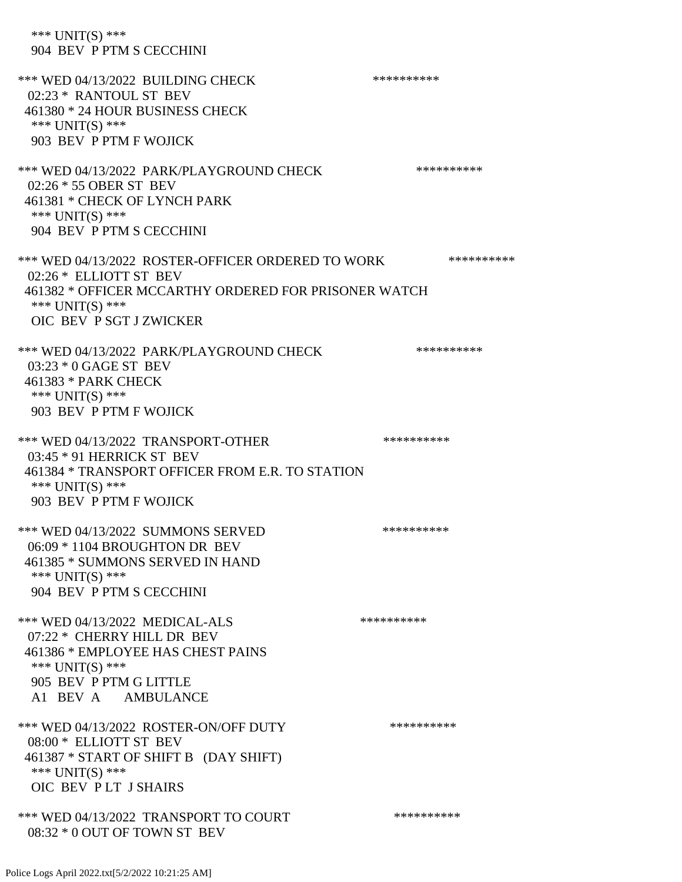\*\*\* UNIT(S) \*\*\* 904 BEV P PTM S CECCHINI \*\*\* WED 04/13/2022 BUILDING CHECK \*\*\*\*\*\*\*\*\*\*\* 02:23 \* RANTOUL ST BEV 461380 \* 24 HOUR BUSINESS CHECK \*\*\* UNIT(S) \*\*\* 903 BEV P PTM F WOJICK \*\*\* WED 04/13/2022 PARK/PLAYGROUND CHECK \*\*\*\*\*\*\*\*\*\*\*\* 02:26 \* 55 OBER ST BEV 461381 \* CHECK OF LYNCH PARK \*\*\* UNIT(S) \*\*\* 904 BEV P PTM S CECCHINI \*\*\* WED 04/13/2022 ROSTER-OFFICER ORDERED TO WORK \*\*\*\*\*\*\*\*\*\*\* 02:26 \* ELLIOTT ST BEV 461382 \* OFFICER MCCARTHY ORDERED FOR PRISONER WATCH \*\*\* UNIT(S) \*\*\* OIC BEV P SGT J ZWICKER \*\*\* WED 04/13/2022 PARK/PLAYGROUND CHECK \*\*\*\*\*\*\*\*\*\*\*\* 03:23 \* 0 GAGE ST BEV 461383 \* PARK CHECK \*\*\* UNIT(S) \*\*\* 903 BEV P PTM F WOJICK \*\*\* WED 04/13/2022 TRANSPORT-OTHER \*\*\*\*\*\*\*\*\*\*\*\* 03:45 \* 91 HERRICK ST BEV 461384 \* TRANSPORT OFFICER FROM E.R. TO STATION \*\*\* UNIT(S) \*\*\* 903 BEV P PTM F WOJICK \*\*\* WED 04/13/2022 SUMMONS SERVED \*\*\*\*\*\*\*\*\*\* 06:09 \* 1104 BROUGHTON DR BEV 461385 \* SUMMONS SERVED IN HAND \*\*\* UNIT(S) \*\*\* 904 BEV P PTM S CECCHINI \*\*\* WED 04/13/2022 MEDICAL-ALS \*\*\*\*\*\*\*\*\*\*\*\*\* 07:22 \* CHERRY HILL DR BEV 461386 \* EMPLOYEE HAS CHEST PAINS \*\*\* UNIT(S) \*\*\* 905 BEV P PTM G LITTLE A1 BEV A AMBULANCE \*\*\* WED 04/13/2022 ROSTER-ON/OFF DUTY \*\*\*\*\*\*\*\*\*\* 08:00 \* ELLIOTT ST BEV 461387 \* START OF SHIFT B (DAY SHIFT) \*\*\* UNIT(S) \*\*\* OIC BEV P LT J SHAIRS \*\*\* WED 04/13/2022 TRANSPORT TO COURT \*\*\*\*\*\*\*\*\*\*\*\*\*\* 08:32 \* 0 OUT OF TOWN ST BEV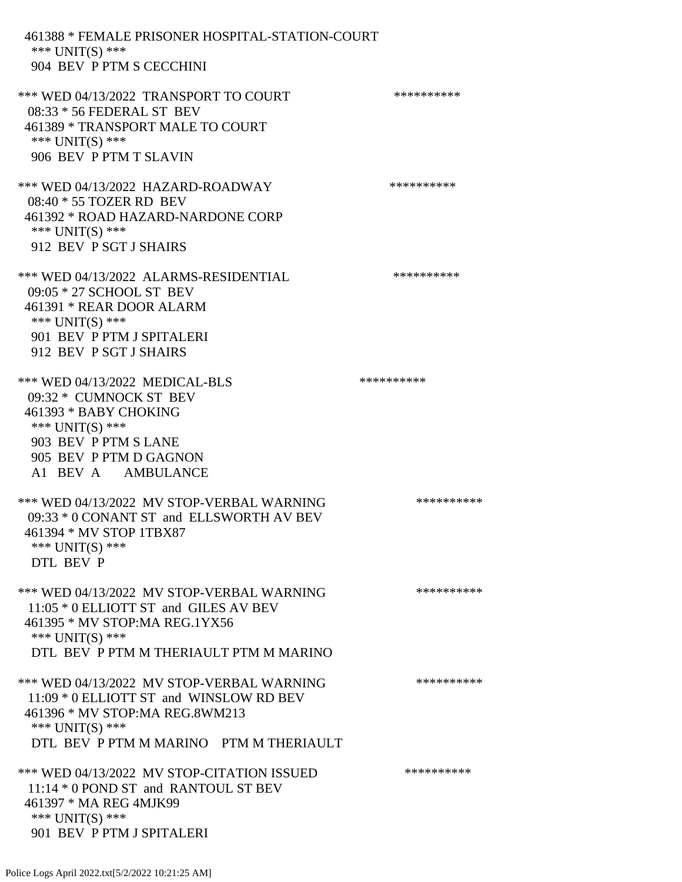461388 \* FEMALE PRISONER HOSPITAL-STATION-COURT \*\*\* UNIT(S) \*\*\* 904 BEV P PTM S CECCHINI \*\*\* WED 04/13/2022 TRANSPORT TO COURT \*\*\*\*\*\*\*\*\*\*\*\* 08:33 \* 56 FEDERAL ST BEV 461389 \* TRANSPORT MALE TO COURT \*\*\* UNIT(S) \*\*\* 906 BEV P PTM T SLAVIN \*\*\* WED 04/13/2022 HAZARD-ROADWAY \*\*\*\*\*\*\*\*\*\* 08:40 \* 55 TOZER RD BEV 461392 \* ROAD HAZARD-NARDONE CORP \*\*\* UNIT(S) \*\*\* 912 BEV P SGT J SHAIRS \*\*\* WED 04/13/2022 ALARMS-RESIDENTIAL \*\*\*\*\*\*\*\*\*\* 09:05 \* 27 SCHOOL ST BEV 461391 \* REAR DOOR ALARM \*\*\* UNIT(S) \*\*\* 901 BEV P PTM J SPITALERI 912 BEV P SGT J SHAIRS \*\*\* WED 04/13/2022 MEDICAL-BLS \*\*\*\*\*\*\*\*\*\* 09:32 \* CUMNOCK ST BEV 461393 \* BABY CHOKING \*\*\* UNIT(S) \*\*\* 903 BEV P PTM S LANE 905 BEV P PTM D GAGNON A1 BEV A AMBULANCE \*\*\* WED 04/13/2022 MV STOP-VERBAL WARNING \*\*\*\*\*\*\*\*\*\*\*\* 09:33 \* 0 CONANT ST and ELLSWORTH AV BEV 461394 \* MV STOP 1TBX87 \*\*\* UNIT(S) \*\*\* DTL BEV P \*\*\* WED 04/13/2022 MV STOP-VERBAL WARNING \*\*\*\*\*\*\*\*\*\*\*\*\* 11:05 \* 0 ELLIOTT ST and GILES AV BEV 461395 \* MV STOP:MA REG.1YX56 \*\*\* UNIT(S) \*\*\* DTL BEV P PTM M THERIAULT PTM M MARINO \*\*\* WED 04/13/2022 MV STOP-VERBAL WARNING \*\*\*\*\*\*\*\*\*\*\*\* 11:09 \* 0 ELLIOTT ST and WINSLOW RD BEV 461396 \* MV STOP:MA REG.8WM213 \*\*\* UNIT(S) \*\*\* DTL BEV P PTM M MARINO PTM M THERIAULT \*\*\* WED 04/13/2022 MV STOP-CITATION ISSUED \*\*\*\*\*\*\*\*\*\* 11:14 \* 0 POND ST and RANTOUL ST BEV 461397 \* MA REG 4MJK99 \*\*\* UNIT(S) \*\*\* 901 BEV P PTM J SPITALERI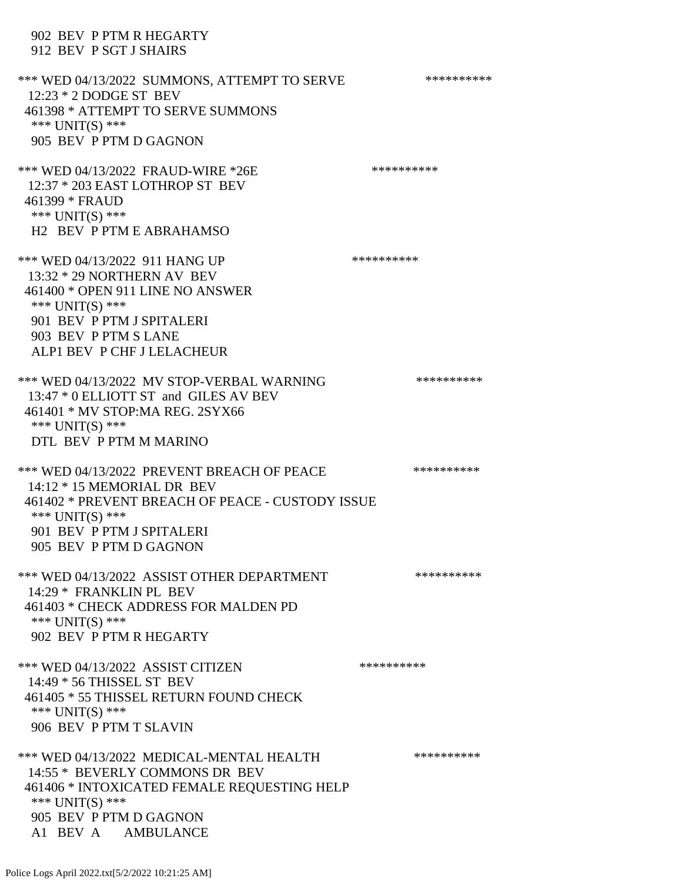# 902 BEV P PTM R HEGARTY 912 BEV P SGT J SHAIRS \*\*\* WED 04/13/2022 SUMMONS, ATTEMPT TO SERVE \*\*\*\*\*\*\*\*\*\*\*\* 12:23 \* 2 DODGE ST BEV 461398 \* ATTEMPT TO SERVE SUMMONS \*\*\* UNIT(S) \*\*\* 905 BEV P PTM D GAGNON \*\*\* WED 04/13/2022 FRAUD-WIRE \*26E \*\*\*\*\*\*\*\*\*\* 12:37 \* 203 EAST LOTHROP ST BEV 461399 \* FRAUD \*\*\* UNIT(S) \*\*\* H2 BEV P PTM E ABRAHAMSO \*\*\* WED 04/13/2022 911 HANG UP \*\*\*\*\*\*\*\*\*\*\*\* 13:32 \* 29 NORTHERN AV BEV 461400 \* OPEN 911 LINE NO ANSWER \*\*\* UNIT(S) \*\*\* 901 BEV P PTM J SPITALERI 903 BEV P PTM S LANE ALP1 BEV P CHF J LELACHEUR \*\*\* WED 04/13/2022 MV STOP-VERBAL WARNING \*\*\*\*\*\*\*\*\*\*\*\* 13:47 \* 0 ELLIOTT ST and GILES AV BEV 461401 \* MV STOP:MA REG. 2SYX66 \*\*\* UNIT(S) \*\*\* DTL BEV P PTM M MARINO \*\*\* WED 04/13/2022 PREVENT BREACH OF PEACE \*\*\*\*\*\*\*\*\*\*\*\* 14:12 \* 15 MEMORIAL DR BEV 461402 \* PREVENT BREACH OF PEACE - CUSTODY ISSUE \*\*\* UNIT(S) \*\*\* 901 BEV P PTM J SPITALERI 905 BEV P PTM D GAGNON \*\*\* WED 04/13/2022 ASSIST OTHER DEPARTMENT \*\*\*\*\*\*\*\*\*\*\*\*\* 14:29 \* FRANKLIN PL BEV 461403 \* CHECK ADDRESS FOR MALDEN PD \*\*\* UNIT(S) \*\*\* 902 BEV P PTM R HEGARTY \*\*\* WED 04/13/2022 ASSIST CITIZEN \*\*\*\*\*\*\*\*\*\* 14:49 \* 56 THISSEL ST BEV 461405 \* 55 THISSEL RETURN FOUND CHECK \*\*\* UNIT(S) \*\*\* 906 BEV P PTM T SLAVIN

\*\*\* WED 04/13/2022 MEDICAL-MENTAL HEALTH \*\*\*\*\*\*\*\*\*\* 14:55 \* BEVERLY COMMONS DR BEV 461406 \* INTOXICATED FEMALE REQUESTING HELP \*\*\* UNIT(S) \*\*\* 905 BEV P PTM D GAGNON A1 BEV A AMBULANCE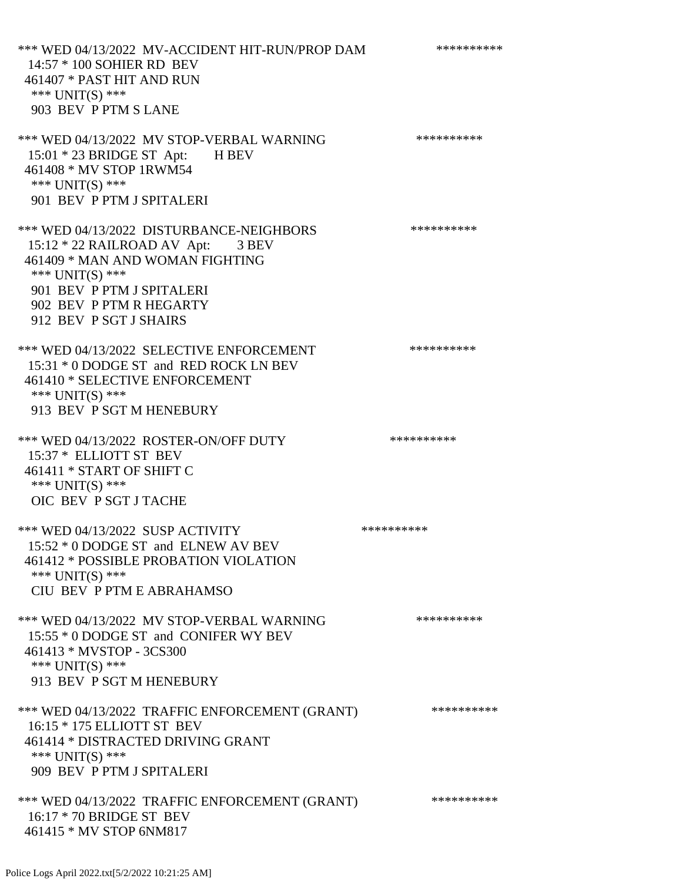\*\*\* WED 04/13/2022 MV-ACCIDENT HIT-RUN/PROP DAM \*\*\*\*\*\*\*\*\*\* 14:57 \* 100 SOHIER RD BEV 461407 \* PAST HIT AND RUN \*\*\* UNIT(S) \*\*\* 903 BEV P PTM S LANE \*\*\* WED 04/13/2022 MV STOP-VERBAL WARNING \*\*\*\*\*\*\*\*\*\*\*\* 15:01 \* 23 BRIDGE ST Apt: H BEV 461408 \* MV STOP 1RWM54 \*\*\* UNIT(S) \*\*\* 901 BEV P PTM J SPITALERI \*\*\* WED 04/13/2022 DISTURBANCE-NEIGHBORS \*\*\*\*\*\*\*\*\*\*\*\* 15:12 \* 22 RAILROAD AV Apt: 3 BEV 461409 \* MAN AND WOMAN FIGHTING \*\*\* UNIT(S) \*\*\* 901 BEV P PTM J SPITALERI 902 BEV P PTM R HEGARTY 912 BEV P SGT J SHAIRS \*\*\* WED 04/13/2022 SELECTIVE ENFORCEMENT \*\*\*\*\*\*\*\*\*\*\*\* 15:31 \* 0 DODGE ST and RED ROCK LN BEV 461410 \* SELECTIVE ENFORCEMENT \*\*\* UNIT(S) \*\*\* 913 BEV P SGT M HENEBURY \*\*\* WED 04/13/2022 ROSTER-ON/OFF DUTY \*\*\*\*\*\*\*\*\*\* 15:37 \* ELLIOTT ST BEV 461411 \* START OF SHIFT C \*\*\* UNIT(S) \*\*\* OIC BEV P SGT J TACHE \*\*\* WED 04/13/2022 SUSP ACTIVITY \*\*\*\*\*\*\*\*\*\*\*\* 15:52 \* 0 DODGE ST and ELNEW AV BEV 461412 \* POSSIBLE PROBATION VIOLATION \*\*\* UNIT(S) \*\*\* CIU BEV P PTM E ABRAHAMSO \*\*\* WED 04/13/2022 MV STOP-VERBAL WARNING \*\*\*\*\*\*\*\*\*\*\*\*\* 15:55 \* 0 DODGE ST and CONIFER WY BEV 461413 \* MVSTOP - 3CS300 \*\*\* UNIT(S) \*\*\* 913 BEV P SGT M HENEBURY \*\*\* WED 04/13/2022 TRAFFIC ENFORCEMENT (GRANT) \*\*\*\*\*\*\*\*\*\* 16:15 \* 175 ELLIOTT ST BEV 461414 \* DISTRACTED DRIVING GRANT \*\*\* UNIT(S) \*\*\* 909 BEV P PTM J SPITALERI \*\*\* WED 04/13/2022 TRAFFIC ENFORCEMENT (GRANT) \*\*\*\*\*\*\*\*\*\*

Police Logs April 2022.txt[5/2/2022 10:21:25 AM]

 16:17 \* 70 BRIDGE ST BEV 461415 \* MV STOP 6NM817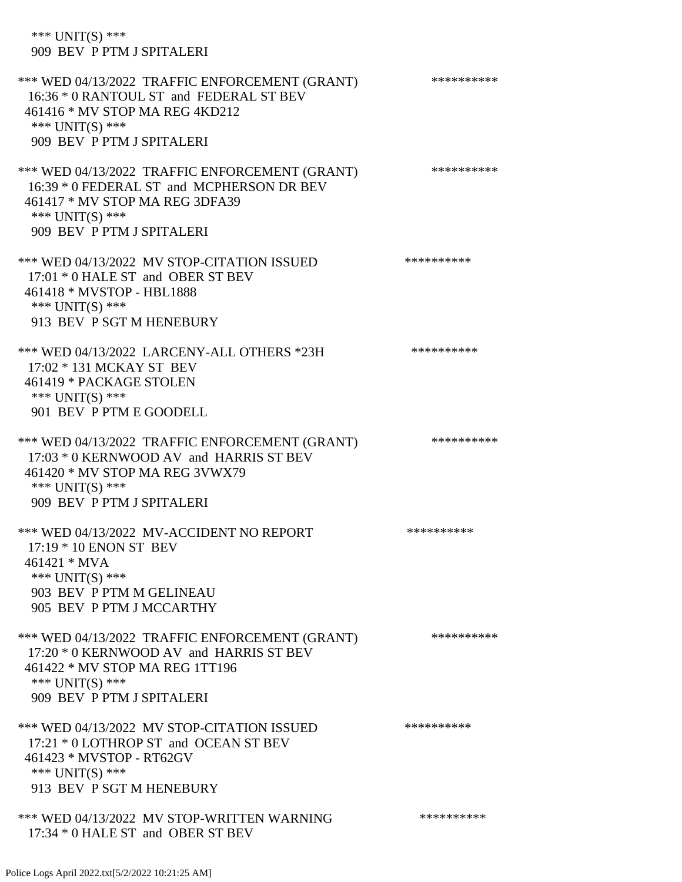\*\*\* UNIT(S) \*\*\* 909 BEV P PTM J SPITALERI \*\*\* WED 04/13/2022 TRAFFIC ENFORCEMENT (GRANT) \*\*\*\*\*\*\*\*\*\* 16:36 \* 0 RANTOUL ST and FEDERAL ST BEV 461416 \* MV STOP MA REG 4KD212 \*\*\* UNIT(S) \*\*\* 909 BEV P PTM J SPITALERI \*\*\* WED 04/13/2022 TRAFFIC ENFORCEMENT (GRANT) \*\*\*\*\*\*\*\*\*\*\*\* 16:39 \* 0 FEDERAL ST and MCPHERSON DR BEV 461417 \* MV STOP MA REG 3DFA39 \*\*\* UNIT(S) \*\*\* 909 BEV P PTM J SPITALERI \*\*\* WED 04/13/2022 MV STOP-CITATION ISSUED \*\*\*\*\*\*\*\*\*\* 17:01 \* 0 HALE ST and OBER ST BEV 461418 \* MVSTOP - HBL1888 \*\*\* UNIT(S) \*\*\* 913 BEV P SGT M HENEBURY \*\*\* WED 04/13/2022 LARCENY-ALL OTHERS \*23H \*\*\*\*\*\*\*\*\*\*\*\* 17:02 \* 131 MCKAY ST BEV 461419 \* PACKAGE STOLEN \*\*\* UNIT(S) \*\*\* 901 BEV P PTM E GOODELL \*\*\* WED 04/13/2022 TRAFFIC ENFORCEMENT (GRANT) \*\*\*\*\*\*\*\*\*\* 17:03 \* 0 KERNWOOD AV and HARRIS ST BEV 461420 \* MV STOP MA REG 3VWX79 \*\*\* UNIT(S) \*\*\* 909 BEV P PTM J SPITALERI \*\*\* WED 04/13/2022 MV-ACCIDENT NO REPORT \*\*\*\*\*\*\*\*\*\*\*\* 17:19 \* 10 ENON ST BEV 461421 \* MVA \*\*\* UNIT(S) \*\*\* 903 BEV P PTM M GELINEAU 905 BEV P PTM J MCCARTHY \*\*\* WED 04/13/2022 TRAFFIC ENFORCEMENT (GRANT) \*\*\*\*\*\*\*\*\*\* 17:20 \* 0 KERNWOOD AV and HARRIS ST BEV 461422 \* MV STOP MA REG 1TT196 \*\*\* UNIT(S) \*\*\* 909 BEV P PTM J SPITALERI \*\*\* WED 04/13/2022 MV STOP-CITATION ISSUED \*\*\*\*\*\*\*\*\*\* 17:21 \* 0 LOTHROP ST and OCEAN ST BEV 461423 \* MVSTOP - RT62GV \*\*\* UNIT(S) \*\*\* 913 BEV P SGT M HENEBURY \*\*\* WED 04/13/2022 MV STOP-WRITTEN WARNING \*\*\*\*\*\*\*\*\*\*\*\* 17:34 \* 0 HALE ST and OBER ST BEV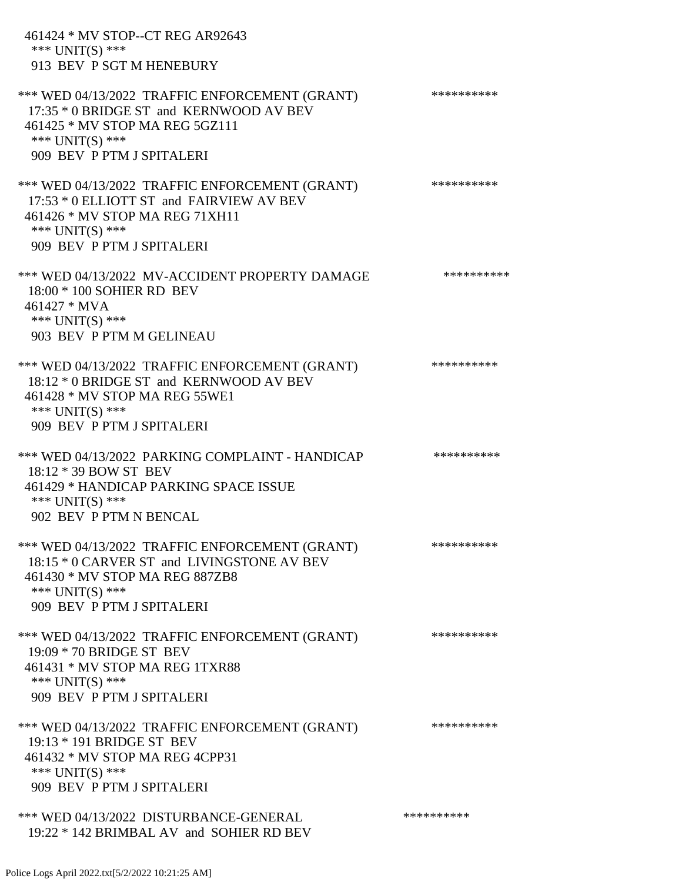| 461424 * MV STOP--CT REG AR92643<br>*** $UNIT(S)$ ***<br>913 BEV P SGT M HENEBURY                                                                                                |            |
|----------------------------------------------------------------------------------------------------------------------------------------------------------------------------------|------------|
| *** WED 04/13/2022 TRAFFIC ENFORCEMENT (GRANT)<br>17:35 * 0 BRIDGE ST and KERNWOOD AV BEV<br>461425 * MV STOP MA REG 5GZ111<br>*** UNIT(S) ***<br>909 BEV P PTM J SPITALERI      | ********** |
| *** WED 04/13/2022 TRAFFIC ENFORCEMENT (GRANT)<br>17:53 * 0 ELLIOTT ST and FAIRVIEW AV BEV<br>461426 * MV STOP MA REG 71XH11<br>*** UNIT(S) ***<br>909 BEV P PTM J SPITALERI     | ********** |
| *** WED 04/13/2022 MV-ACCIDENT PROPERTY DAMAGE<br>18:00 * 100 SOHIER RD BEV<br>461427 * MVA<br>*** UNIT(S) ***<br>903 BEV P PTM M GELINEAU                                       | ********** |
| *** WED 04/13/2022 TRAFFIC ENFORCEMENT (GRANT)<br>18:12 * 0 BRIDGE ST and KERNWOOD AV BEV<br>461428 * MV STOP MA REG 55WE1<br>*** $UNIT(S)$ ***<br>909 BEV P PTM J SPITALERI     | ********** |
| *** WED 04/13/2022 PARKING COMPLAINT - HANDICAP<br>18:12 * 39 BOW ST BEV<br>461429 * HANDICAP PARKING SPACE ISSUE<br>*** UNIT(S) ***<br>902 BEV P PTM N BENCAL                   | ********** |
| *** WED 04/13/2022 TRAFFIC ENFORCEMENT (GRANT)<br>18:15 * 0 CARVER ST and LIVINGSTONE AV BEV<br>461430 * MV STOP MA REG 887ZB8<br>*** $UNIT(S)$ ***<br>909 BEV P PTM J SPITALERI | ********** |
| *** WED 04/13/2022 TRAFFIC ENFORCEMENT (GRANT)<br>19:09 * 70 BRIDGE ST BEV<br>461431 * MV STOP MA REG 1TXR88<br>*** UNIT(S) ***<br>909 BEV P PTM J SPITALERI                     | ********** |
| *** WED 04/13/2022 TRAFFIC ENFORCEMENT (GRANT)<br>19:13 * 191 BRIDGE ST BEV<br>461432 * MV STOP MA REG 4CPP31<br>*** UNIT(S) ***<br>909 BEV P PTM J SPITALERI                    | ********** |
| *** WED 04/13/2022 DISTURBANCE-GENERAL<br>19:22 * 142 BRIMBAL AV and SOHIER RD BEV                                                                                               | ********** |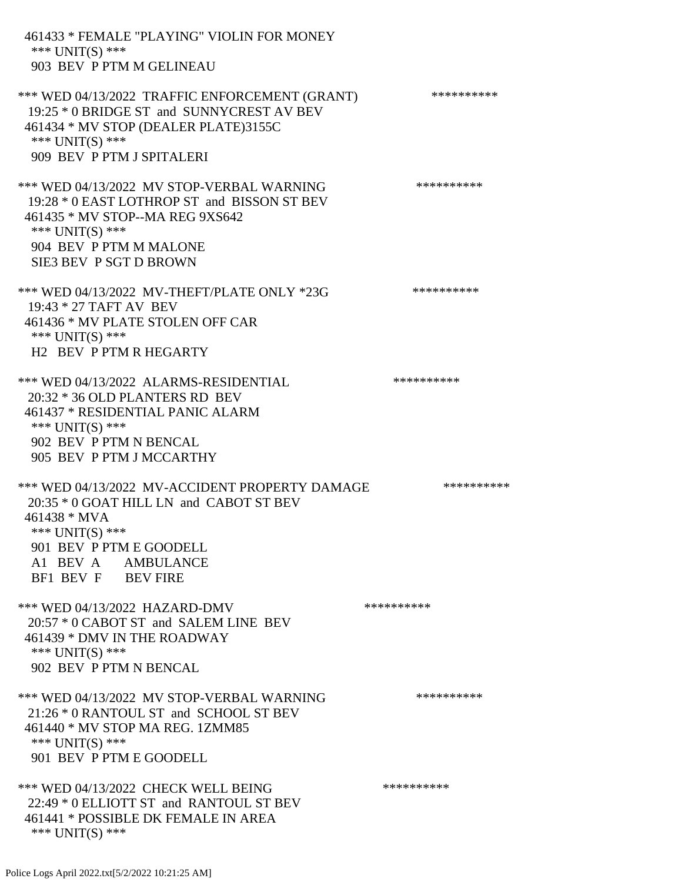461433 \* FEMALE "PLAYING" VIOLIN FOR MONEY \*\*\* UNIT(S) \*\*\* 903 BEV P PTM M GELINEAU \*\*\* WED 04/13/2022 TRAFFIC ENFORCEMENT (GRANT) \*\*\*\*\*\*\*\*\*\* 19:25 \* 0 BRIDGE ST and SUNNYCREST AV BEV 461434 \* MV STOP (DEALER PLATE)3155C \*\*\* UNIT(S) \*\*\* 909 BEV P PTM J SPITALERI \*\*\* WED 04/13/2022 MV STOP-VERBAL WARNING \*\*\*\*\*\*\*\*\*\*\*\* 19:28 \* 0 EAST LOTHROP ST and BISSON ST BEV 461435 \* MV STOP--MA REG 9XS642 \*\*\* UNIT(S) \*\*\* 904 BEV P PTM M MALONE SIE3 BEV P SGT D BROWN \*\*\* WED 04/13/2022 MV-THEFT/PLATE ONLY \*23G \*\*\*\*\*\*\*\*\*\*\*\* 19:43 \* 27 TAFT AV BEV 461436 \* MV PLATE STOLEN OFF CAR \*\*\* UNIT(S) \*\*\* H2 BEV P PTM R HEGARTY \*\*\* WED 04/13/2022 ALARMS-RESIDENTIAL \*\*\*\*\*\*\*\*\*\* 20:32 \* 36 OLD PLANTERS RD BEV 461437 \* RESIDENTIAL PANIC ALARM \*\*\* UNIT(S) \*\*\* 902 BEV P PTM N BENCAL 905 BEV P PTM J MCCARTHY \*\*\* WED 04/13/2022 MV-ACCIDENT PROPERTY DAMAGE \*\*\*\*\*\*\*\*\*\*\*\* 20:35 \* 0 GOAT HILL LN and CABOT ST BEV 461438 \* MVA \*\*\* UNIT(S) \*\*\* 901 BEV P PTM E GOODELL A1 BEV A AMBULANCE BF1 BEV F BEV FIRE \*\*\* WED 04/13/2022 HAZARD-DMV \*\*\*\*\*\*\*\*\*\*\*\* 20:57 \* 0 CABOT ST and SALEM LINE BEV 461439 \* DMV IN THE ROADWAY \*\*\* UNIT(S) \*\*\* 902 BEV P PTM N BENCAL \*\*\* WED 04/13/2022 MV STOP-VERBAL WARNING \*\*\*\*\*\*\*\*\*\*\*\* 21:26 \* 0 RANTOUL ST and SCHOOL ST BEV 461440 \* MV STOP MA REG. 1ZMM85 \*\*\* UNIT(S) \*\*\* 901 BEV P PTM E GOODELL \*\*\* WED 04/13/2022 CHECK WELL BEING \*\*\*\*\*\*\*\*\*\* 22:49 \* 0 ELLIOTT ST and RANTOUL ST BEV 461441 \* POSSIBLE DK FEMALE IN AREA \*\*\* UNIT(S) \*\*\*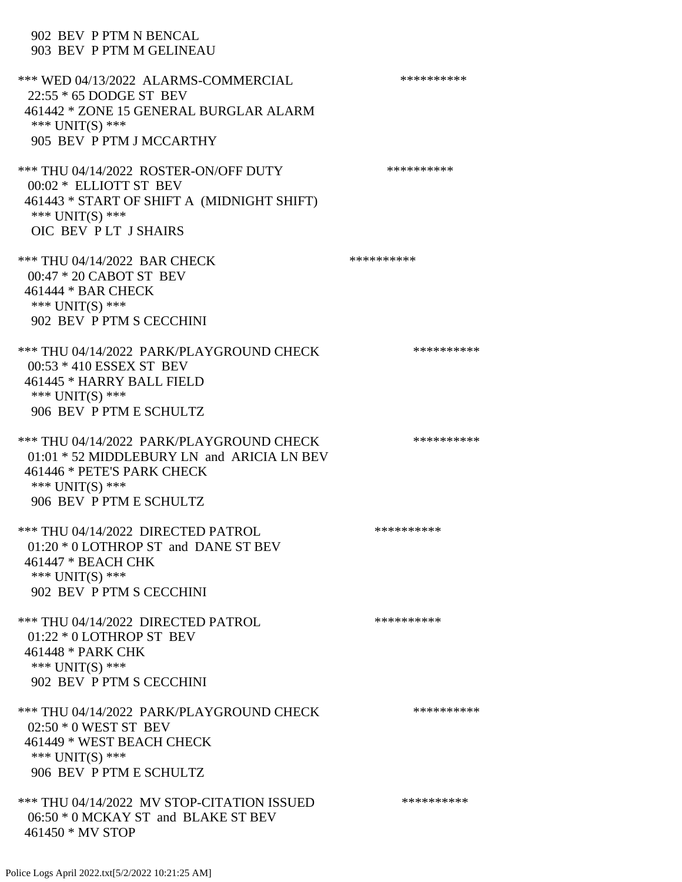#### 902 BEV P PTM N BENCAL 903 BEV P PTM M GELINEAU

\*\*\* WED 04/13/2022 ALARMS-COMMERCIAL \*\*\*\*\*\*\*\*\*\* 22:55 \* 65 DODGE ST BEV 461442 \* ZONE 15 GENERAL BURGLAR ALARM \*\*\* UNIT(S) \*\*\* 905 BEV P PTM J MCCARTHY \*\*\* THU 04/14/2022 ROSTER-ON/OFF DUTY \*\*\*\*\*\*\*\*\*\*\*\* 00:02 \* ELLIOTT ST BEV 461443 \* START OF SHIFT A (MIDNIGHT SHIFT) \*\*\* UNIT(S) \*\*\* OIC BEV P LT J SHAIRS \*\*\* THU 04/14/2022 BAR CHECK \*\*\*\*\*\*\*\*\*\*\*\* 00:47 \* 20 CABOT ST BEV 461444 \* BAR CHECK \*\*\* UNIT(S) \*\*\* 902 BEV P PTM S CECCHINI \*\*\* THU 04/14/2022 PARK/PLAYGROUND CHECK \*\*\*\*\*\*\*\*\*\*\*\* 00:53 \* 410 ESSEX ST BEV 461445 \* HARRY BALL FIELD \*\*\* UNIT(S) \*\*\* 906 BEV P PTM E SCHULTZ \*\*\* THU 04/14/2022 PARK/PLAYGROUND CHECK \*\*\*\*\*\*\*\*\*\*\*\* 01:01 \* 52 MIDDLEBURY LN and ARICIA LN BEV 461446 \* PETE'S PARK CHECK \*\*\* UNIT(S) \*\*\* 906 BEV P PTM E SCHULTZ \*\*\* THU 04/14/2022 DIRECTED PATROL \*\*\*\*\*\*\*\*\*\* 01:20 \* 0 LOTHROP ST and DANE ST BEV 461447 \* BEACH CHK \*\*\* UNIT(S) \*\*\* 902 BEV P PTM S CECCHINI \*\*\* THU 04/14/2022 DIRECTED PATROL \*\*\*\*\*\*\*\*\*\* 01:22 \* 0 LOTHROP ST BEV 461448 \* PARK CHK \*\*\* UNIT(S) \*\*\* 902 BEV P PTM S CECCHINI \*\*\* THU 04/14/2022 PARK/PLAYGROUND CHECK \*\*\*\*\*\*\*\*\*\*\*\* 02:50 \* 0 WEST ST BEV 461449 \* WEST BEACH CHECK \*\*\* UNIT(S) \*\*\* 906 BEV P PTM E SCHULTZ \*\*\* THU 04/14/2022 MV STOP-CITATION ISSUED \*\*\*\*\*\*\*\*\*\* 06:50 \* 0 MCKAY ST and BLAKE ST BEV 461450 \* MV STOP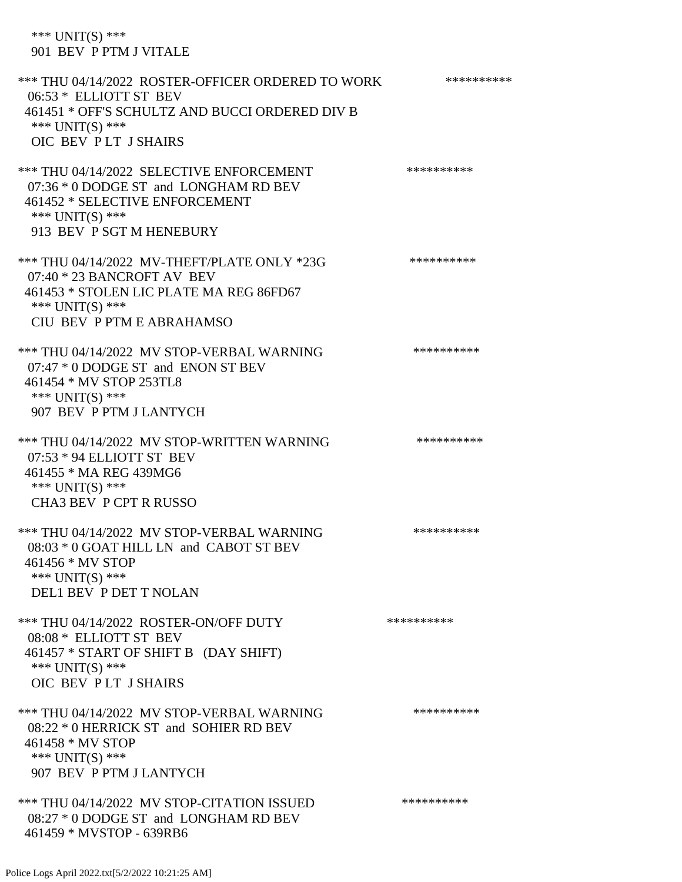\*\*\* UNIT(S) \*\*\* 901 BEV P PTM J VITALE

\*\*\* THU 04/14/2022 ROSTER-OFFICER ORDERED TO WORK \*\*\*\*\*\*\*\*\*\*\* 06:53 \* ELLIOTT ST BEV 461451 \* OFF'S SCHULTZ AND BUCCI ORDERED DIV B \*\*\* UNIT(S) \*\*\* OIC BEV P LT J SHAIRS \*\*\* THU 04/14/2022 SELECTIVE ENFORCEMENT \*\*\*\*\*\*\*\*\*\*\*\*\* 07:36 \* 0 DODGE ST and LONGHAM RD BEV 461452 \* SELECTIVE ENFORCEMENT \*\*\* UNIT(S) \*\*\* 913 BEV P SGT M HENEBURY \*\*\* THU 04/14/2022 MV-THEFT/PLATE ONLY \*23G \*\*\*\*\*\*\*\*\*\*\*\* 07:40 \* 23 BANCROFT AV BEV 461453 \* STOLEN LIC PLATE MA REG 86FD67 \*\*\* UNIT(S) \*\*\* CIU BEV P PTM E ABRAHAMSO \*\*\* THU 04/14/2022 MV STOP-VERBAL WARNING \*\*\*\*\*\*\*\*\*\*\*\*\* 07:47 \* 0 DODGE ST and ENON ST BEV 461454 \* MV STOP 253TL8 \*\*\* UNIT(S) \*\*\* 907 BEV P PTM J LANTYCH \*\*\* THU 04/14/2022 MV STOP-WRITTEN WARNING \*\*\*\*\*\*\*\*\*\*\*\*\* 07:53 \* 94 ELLIOTT ST BEV 461455 \* MA REG 439MG6 \*\*\* UNIT(S) \*\*\* CHA3 BEV P CPT R RUSSO \*\*\* THU 04/14/2022 MV STOP-VERBAL WARNING \*\*\*\*\*\*\*\*\*\*\*\*\*\* 08:03 \* 0 GOAT HILL LN and CABOT ST BEV 461456 \* MV STOP \*\*\* UNIT(S) \*\*\* DEL1 BEV P DET T NOLAN \*\*\* THU 04/14/2022 ROSTER-ON/OFF DUTY \*\*\*\*\*\*\*\*\*\* 08:08 \* ELLIOTT ST BEV 461457 \* START OF SHIFT B (DAY SHIFT) \*\*\* UNIT(S) \*\*\* OIC BEV P LT J SHAIRS \*\*\* THU 04/14/2022 MV STOP-VERBAL WARNING \*\*\*\*\*\*\*\*\*\*\*\*\* 08:22 \* 0 HERRICK ST and SOHIER RD BEV 461458 \* MV STOP \*\*\* UNIT(S) \*\*\* 907 BEV P PTM J LANTYCH \*\*\* THU 04/14/2022 MV STOP-CITATION ISSUED \*\*\*\*\*\*\*\*\*\* 08:27 \* 0 DODGE ST and LONGHAM RD BEV 461459 \* MVSTOP - 639RB6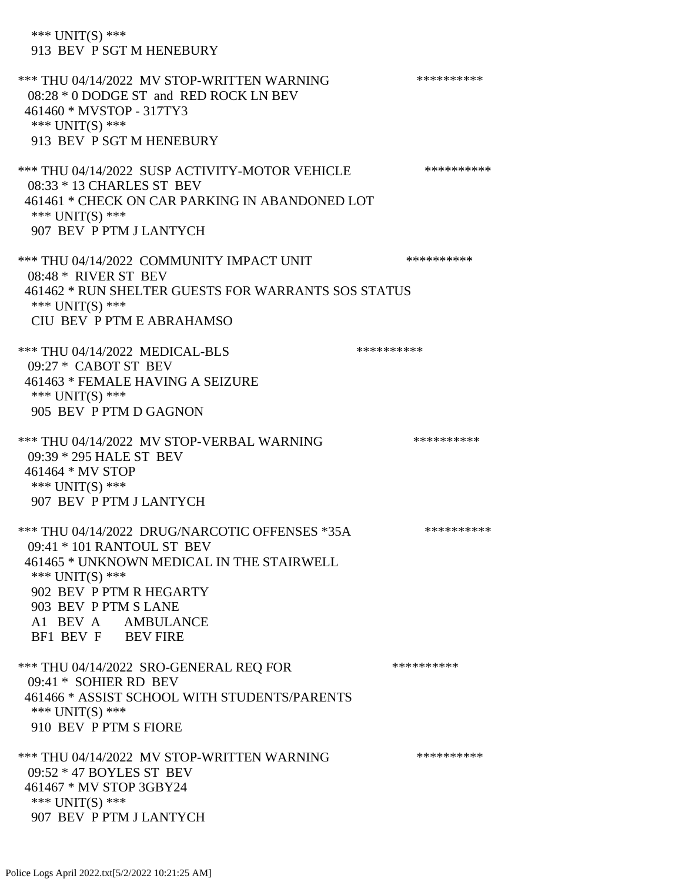\*\*\* UNIT(S) \*\*\* 913 BEV P SGT M HENEBURY \*\*\* THU 04/14/2022 MV STOP-WRITTEN WARNING \*\*\*\*\*\*\*\*\*\*\*\*\* 08:28 \* 0 DODGE ST and RED ROCK LN BEV 461460 \* MVSTOP - 317TY3 \*\*\* UNIT(S) \*\*\* 913 BEV P SGT M HENEBURY \*\*\* THU 04/14/2022 SUSP ACTIVITY-MOTOR VEHICLE \*\*\*\*\*\*\*\*\*\* 08:33 \* 13 CHARLES ST BEV 461461 \* CHECK ON CAR PARKING IN ABANDONED LOT \*\*\* UNIT(S) \*\*\* 907 BEV P PTM J LANTYCH \*\*\* THU 04/14/2022 COMMUNITY IMPACT UNIT \*\*\*\*\*\*\*\*\*\*\*\*\* 08:48 \* RIVER ST BEV 461462 \* RUN SHELTER GUESTS FOR WARRANTS SOS STATUS \*\*\* UNIT(S) \*\*\* CIU BEV P PTM E ABRAHAMSO \*\*\* THU 04/14/2022 MEDICAL-BLS \*\*\*\*\*\*\*\*\*\* 09:27 \* CABOT ST BEV 461463 \* FEMALE HAVING A SEIZURE \*\*\* UNIT(S) \*\*\* 905 BEV P PTM D GAGNON \*\*\* THU 04/14/2022 MV STOP-VERBAL WARNING \*\*\*\*\*\*\*\*\*\*\*\* 09:39 \* 295 HALE ST BEV 461464 \* MV STOP \*\*\* UNIT(S) \*\*\* 907 BEV P PTM J LANTYCH \*\*\* THU 04/14/2022 DRUG/NARCOTIC OFFENSES \*35A \*\*\*\*\*\*\*\*\*\* 09:41 \* 101 RANTOUL ST BEV 461465 \* UNKNOWN MEDICAL IN THE STAIRWELL \*\*\* UNIT(S) \*\*\* 902 BEV P PTM R HEGARTY 903 BEV P PTM S LANE A1 BEV A AMBULANCE BF1 BEV F BEV FIRE \*\*\* THU 04/14/2022 SRO-GENERAL REQ FOR \*\*\*\*\*\*\*\*\*\* 09:41 \* SOHIER RD BEV 461466 \* ASSIST SCHOOL WITH STUDENTS/PARENTS \*\*\* UNIT(S) \*\*\* 910 BEV P PTM S FIORE \*\*\* THU 04/14/2022 MV STOP-WRITTEN WARNING \*\*\*\*\*\*\*\*\*\*\*\*\*\* 09:52 \* 47 BOYLES ST BEV 461467 \* MV STOP 3GBY24 \*\*\* UNIT(S) \*\*\* 907 BEV P PTM J LANTYCH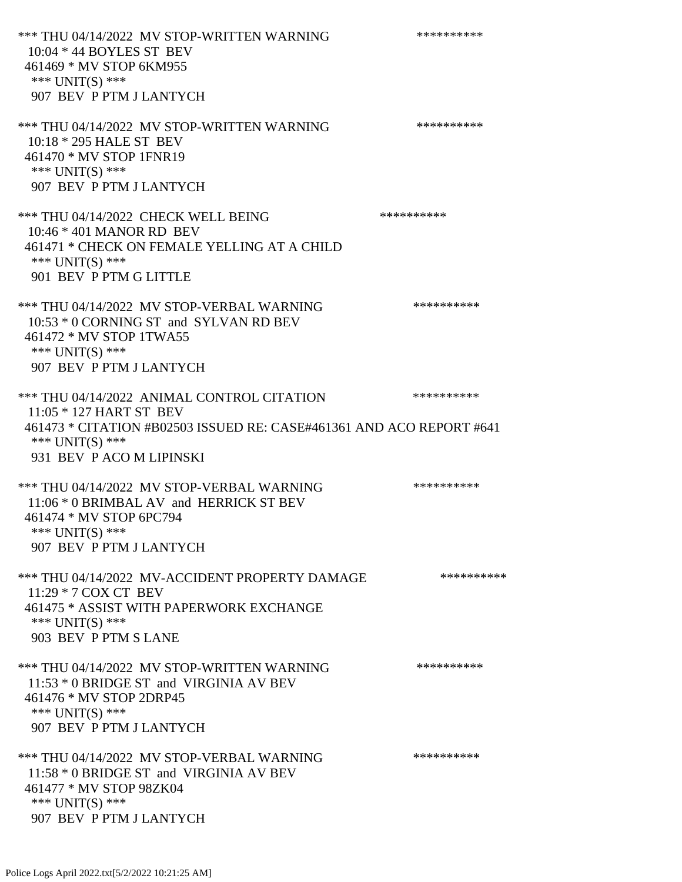\*\*\* THU 04/14/2022 MV STOP-WRITTEN WARNING \*\*\*\*\*\*\*\*\*\*\*\* 10:04 \* 44 BOYLES ST BEV 461469 \* MV STOP 6KM955 \*\*\* UNIT(S) \*\*\* 907 BEV P PTM J LANTYCH \*\*\* THU 04/14/2022 MV STOP-WRITTEN WARNING \*\*\*\*\*\*\*\*\*\*\*\*\* 10:18 \* 295 HALE ST BEV 461470 \* MV STOP 1FNR19 \*\*\* UNIT(S) \*\*\* 907 BEV P PTM J LANTYCH \*\*\* THU 04/14/2022 CHECK WELL BEING \*\*\*\*\*\*\*\*\*\*\*\*\* 10:46 \* 401 MANOR RD BEV 461471 \* CHECK ON FEMALE YELLING AT A CHILD \*\*\* UNIT(S) \*\*\* 901 BEV P PTM G LITTLE \*\*\* THU 04/14/2022 MV STOP-VERBAL WARNING \*\*\*\*\*\*\*\*\*\*\*\*\* 10:53 \* 0 CORNING ST and SYLVAN RD BEV 461472 \* MV STOP 1TWA55 \*\*\* UNIT(S) \*\*\* 907 BEV P PTM J LANTYCH \*\*\* THU 04/14/2022 ANIMAL CONTROL CITATION \*\*\*\*\*\*\*\*\*\* 11:05 \* 127 HART ST BEV 461473 \* CITATION #B02503 ISSUED RE: CASE#461361 AND ACO REPORT #641 \*\*\* UNIT(S) \*\*\* 931 BEV P ACO M LIPINSKI \*\*\* THU 04/14/2022 MV STOP-VERBAL WARNING \*\*\*\*\*\*\*\*\*\*\*\*\* 11:06 \* 0 BRIMBAL AV and HERRICK ST BEV 461474 \* MV STOP 6PC794 \*\*\* UNIT(S) \*\*\* 907 BEV P PTM J LANTYCH \*\*\* THU 04/14/2022 MV-ACCIDENT PROPERTY DAMAGE \*\*\*\*\*\*\*\*\*\*\*\* 11:29 \* 7 COX CT BEV 461475 \* ASSIST WITH PAPERWORK EXCHANGE \*\*\* UNIT(S) \*\*\* 903 BEV P PTM S LANE \*\*\* THU 04/14/2022 MV STOP-WRITTEN WARNING \*\*\*\*\*\*\*\*\*\*\*\*\* 11:53 \* 0 BRIDGE ST and VIRGINIA AV BEV 461476 \* MV STOP 2DRP45 \*\*\* UNIT(S) \*\*\* 907 BEV P PTM J LANTYCH \*\*\* THU 04/14/2022 MV STOP-VERBAL WARNING \*\*\*\*\*\*\*\*\*\*\*\*\* 11:58 \* 0 BRIDGE ST and VIRGINIA AV BEV 461477 \* MV STOP 98ZK04 \*\*\* UNIT(S) \*\*\* 907 BEV P PTM J LANTYCH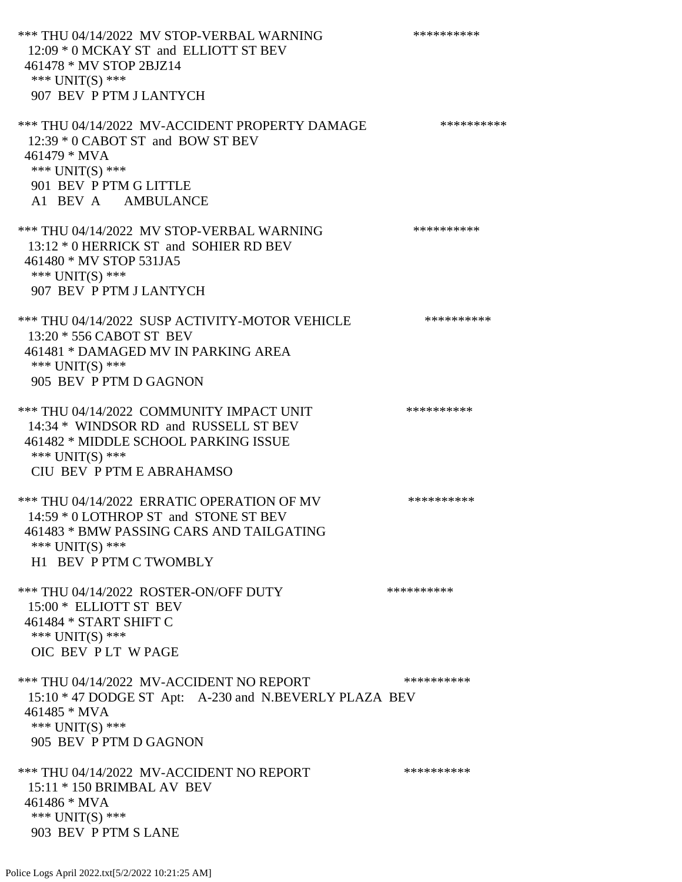\*\*\* THU 04/14/2022 MV STOP-VERBAL WARNING \*\*\*\*\*\*\*\*\*\*\*\* 12:09 \* 0 MCKAY ST and ELLIOTT ST BEV 461478 \* MV STOP 2BJZ14 \*\*\* UNIT(S) \*\*\* 907 BEV P PTM J LANTYCH \*\*\* THU 04/14/2022 MV-ACCIDENT PROPERTY DAMAGE \*\*\*\*\*\*\*\*\*\*\*\* 12:39 \* 0 CABOT ST and BOW ST BEV 461479 \* MVA \*\*\* UNIT(S) \*\*\* 901 BEV P PTM G LITTLE A1 BEV A AMBULANCE \*\*\* THU 04/14/2022 MV STOP-VERBAL WARNING \*\*\*\*\*\*\*\*\*\*\*\*\* 13:12 \* 0 HERRICK ST and SOHIER RD BEV 461480 \* MV STOP 531JA5 \*\*\* UNIT(S) \*\*\* 907 BEV P PTM J LANTYCH \*\*\* THU 04/14/2022 SUSP ACTIVITY-MOTOR VEHICLE \*\*\*\*\*\*\*\*\*\* 13:20 \* 556 CABOT ST BEV 461481 \* DAMAGED MV IN PARKING AREA \*\*\* UNIT(S) \*\*\* 905 BEV P PTM D GAGNON \*\*\* THU 04/14/2022 COMMUNITY IMPACT UNIT \*\*\*\*\*\*\*\*\*\*\*\*\* 14:34 \* WINDSOR RD and RUSSELL ST BEV 461482 \* MIDDLE SCHOOL PARKING ISSUE \*\*\* UNIT(S) \*\*\* CIU BEV P PTM E ABRAHAMSO \*\*\* THU 04/14/2022 ERRATIC OPERATION OF MV \*\*\*\*\*\*\*\*\*\* 14:59 \* 0 LOTHROP ST and STONE ST BEV 461483 \* BMW PASSING CARS AND TAILGATING \*\*\* UNIT(S) \*\*\* H1 BEV P PTM C TWOMBLY \*\*\* THU 04/14/2022 ROSTER-ON/OFF DUTY \*\*\*\*\*\*\*\*\*\*\*\* 15:00 \* ELLIOTT ST BEV 461484 \* START SHIFT C \*\*\* UNIT(S) \*\*\* OIC BEV P LT W PAGE \*\*\* THU 04/14/2022 MV-ACCIDENT NO REPORT \*\*\*\*\*\*\*\*\*\*\*\* 15:10 \* 47 DODGE ST Apt: A-230 and N.BEVERLY PLAZA BEV 461485 \* MVA \*\*\* UNIT(S) \*\*\* 905 BEV P PTM D GAGNON \*\*\* THU 04/14/2022 MV-ACCIDENT NO REPORT \*\*\*\*\*\*\*\*\*\*\*\* 15:11 \* 150 BRIMBAL AV BEV 461486 \* MVA \*\*\* UNIT(S) \*\*\* 903 BEV P PTM S LANE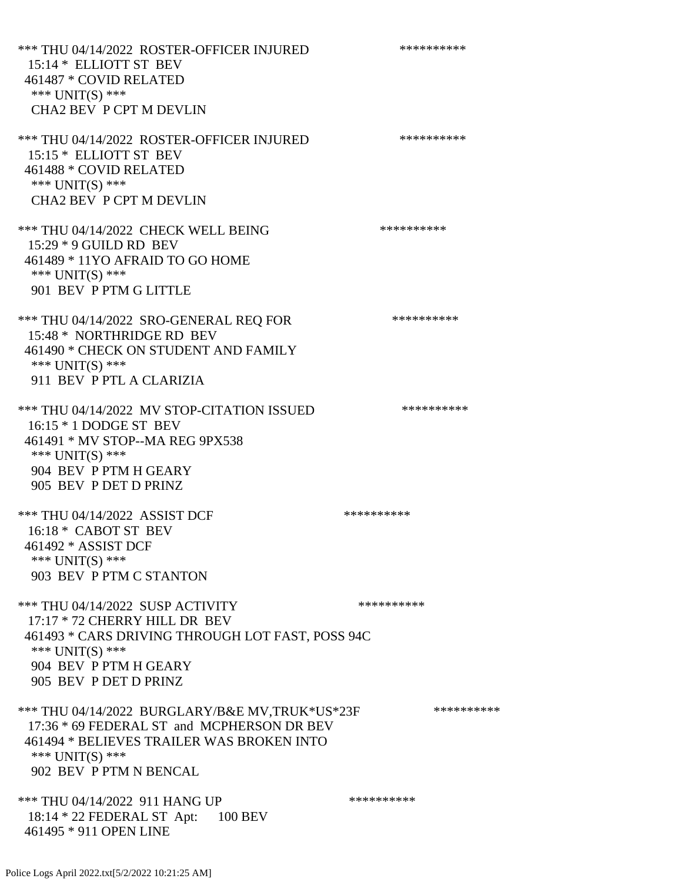\*\*\* THU 04/14/2022 ROSTER-OFFICER INJURED \*\*\*\*\*\*\*\*\*\* 15:14 \* ELLIOTT ST BEV 461487 \* COVID RELATED \*\*\* UNIT(S) \*\*\* CHA2 BEV P CPT M DEVLIN \*\*\* THU 04/14/2022 ROSTER-OFFICER INJURED \*\*\*\*\*\*\*\*\*\* 15:15 \* ELLIOTT ST BEV 461488 \* COVID RELATED \*\*\* UNIT(S) \*\*\* CHA2 BEV P CPT M DEVLIN \*\*\* THU 04/14/2022 CHECK WELL BEING \*\*\*\*\*\*\*\*\*\* 15:29 \* 9 GUILD RD BEV 461489 \* 11YO AFRAID TO GO HOME \*\*\* UNIT(S) \*\*\* 901 BEV P PTM G LITTLE \*\*\* THU 04/14/2022 SRO-GENERAL REO FOR \*\*\*\*\*\*\*\*\*\*\*\* 15:48 \* NORTHRIDGE RD BEV 461490 \* CHECK ON STUDENT AND FAMILY \*\*\* UNIT(S) \*\*\* 911 BEV P PTL A CLARIZIA \*\*\* THU 04/14/2022 MV STOP-CITATION ISSUED \*\*\*\*\*\*\*\*\*\* 16:15 \* 1 DODGE ST BEV 461491 \* MV STOP--MA REG 9PX538 \*\*\* UNIT(S) \*\*\* 904 BEV P PTM H GEARY 905 BEV P DET D PRINZ \*\*\* THU 04/14/2022 ASSIST DCF \*\*\*\*\*\*\*\*\*\*\*\*\*\* 16:18 \* CABOT ST BEV 461492 \* ASSIST DCF \*\*\* UNIT(S) \*\*\* 903 BEV P PTM C STANTON \*\*\* THU 04/14/2022 SUSP ACTIVITY \*\*\*\*\*\*\*\*\*\*\*\* 17:17 \* 72 CHERRY HILL DR BEV 461493 \* CARS DRIVING THROUGH LOT FAST, POSS 94C \*\*\* UNIT(S) \*\*\* 904 BEV P PTM H GEARY 905 BEV P DET D PRINZ \*\*\* THU 04/14/2022 BURGLARY/B&E MV.TRUK\*US\*23F \*\*\*\*\*\*\*\*\*\*\*\* 17:36 \* 69 FEDERAL ST and MCPHERSON DR BEV 461494 \* BELIEVES TRAILER WAS BROKEN INTO \*\*\* UNIT(S) \*\*\* 902 BEV P PTM N BENCAL \*\*\* THU 04/14/2022 911 HANG UP \*\*\*\*\*\*\*\*\*\*\*\*\* 18:14 \* 22 FEDERAL ST Apt: 100 BEV 461495 \* 911 OPEN LINE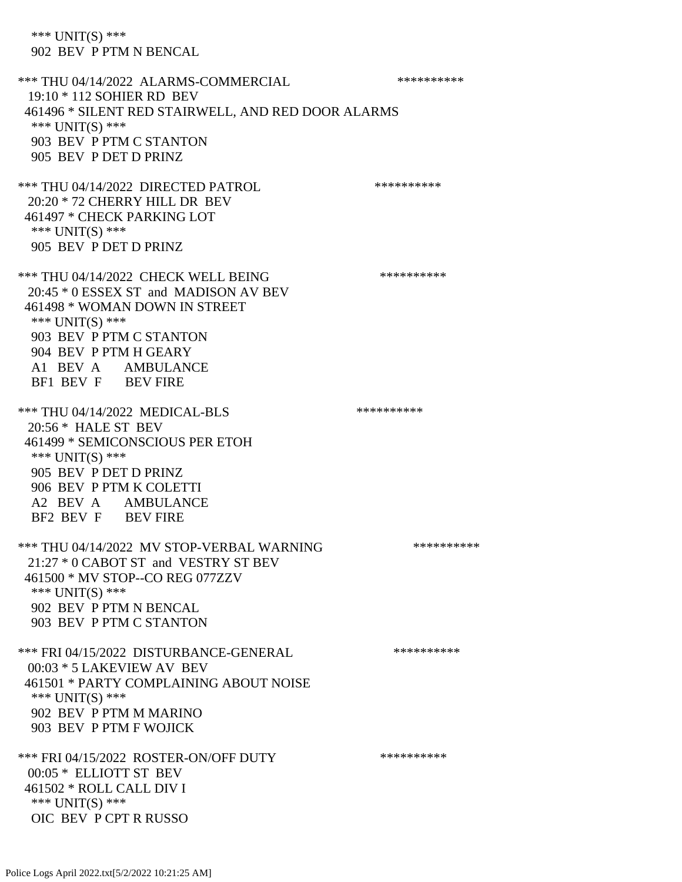\*\*\* UNIT(S) \*\*\* 902 BEV P PTM N BENCAL

\*\*\* THU 04/14/2022 ALARMS-COMMERCIAL \*\*\*\*\*\*\*\*\*\* 19:10 \* 112 SOHIER RD BEV 461496 \* SILENT RED STAIRWELL, AND RED DOOR ALARMS \*\*\* UNIT(S) \*\*\* 903 BEV P PTM C STANTON 905 BEV P DET D PRINZ \*\*\* THU 04/14/2022 DIRECTED PATROL \*\*\*\*\*\*\*\*\*\* 20:20 \* 72 CHERRY HILL DR BEV 461497 \* CHECK PARKING LOT \*\*\* UNIT(S) \*\*\* 905 BEV P DET D PRINZ \*\*\* THU 04/14/2022 CHECK WELL BEING \*\*\*\*\*\*\*\*\*\* 20:45 \* 0 ESSEX ST and MADISON AV BEV 461498 \* WOMAN DOWN IN STREET \*\*\* UNIT(S) \*\*\* 903 BEV P PTM C STANTON 904 BEV P PTM H GEARY A1 BEV A AMBULANCE BF1 BEV F BEV FIRE \*\*\* THU 04/14/2022 MEDICAL-BLS \*\*\*\*\*\*\*\*\*\* 20:56 \* HALE ST BEV 461499 \* SEMICONSCIOUS PER ETOH \*\*\* UNIT(S) \*\*\* 905 BEV P DET D PRINZ 906 BEV P PTM K COLETTI A2 BEV A AMBULANCE BF2 BEV F BEV FIRE \*\*\* THU 04/14/2022 MV STOP-VERBAL WARNING \*\*\*\*\*\*\*\*\*\*\*\*\*\*\* 21:27 \* 0 CABOT ST and VESTRY ST BEV 461500 \* MV STOP--CO REG 077ZZV \*\*\* UNIT(S) \*\*\* 902 BEV P PTM N BENCAL 903 BEV P PTM C STANTON \*\*\* FRI 04/15/2022 DISTURBANCE-GENERAL \*\*\*\*\*\*\*\*\*\* 00:03 \* 5 LAKEVIEW AV BEV 461501 \* PARTY COMPLAINING ABOUT NOISE \*\*\* UNIT(S) \*\*\* 902 BEV P PTM M MARINO 903 BEV P PTM F WOJICK \*\*\* FRI 04/15/2022 ROSTER-ON/OFF DUTY \*\*\*\*\*\*\*\*\*\* 00:05 \* ELLIOTT ST BEV 461502 \* ROLL CALL DIV I \*\*\* UNIT(S) \*\*\* OIC BEV P CPT R RUSSO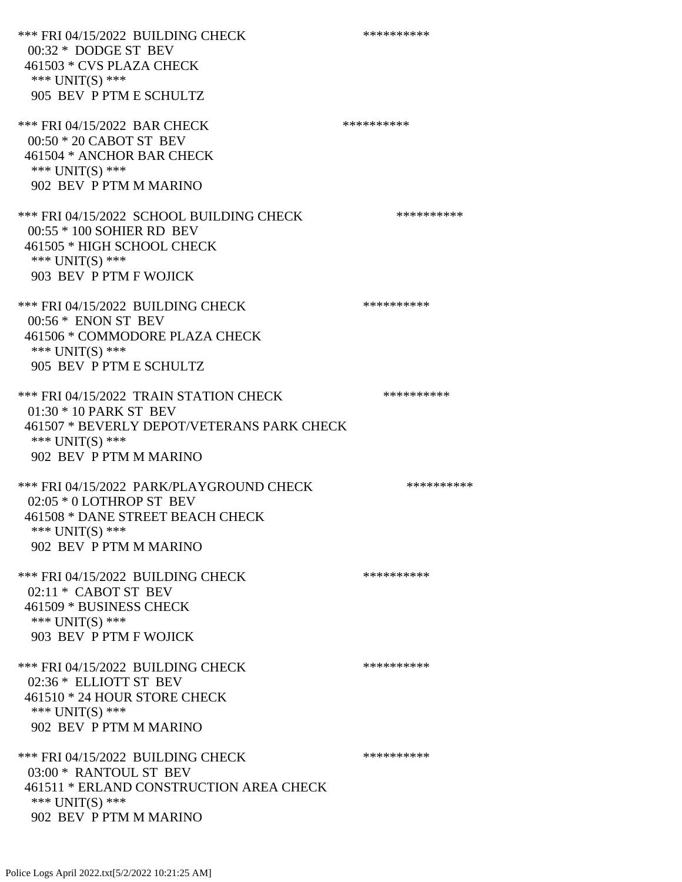\*\*\* FRI 04/15/2022 BUILDING CHECK \*\*\*\*\*\*\*\*\*\* 00:32 \* DODGE ST BEV 461503 \* CVS PLAZA CHECK \*\*\* UNIT(S) \*\*\* 905 BEV P PTM E SCHULTZ \*\*\* FRI 04/15/2022 BAR CHECK \*\*\*\*\*\*\*\*\*\*\*\* 00:50 \* 20 CABOT ST BEV 461504 \* ANCHOR BAR CHECK \*\*\* UNIT(S) \*\*\* 902 BEV P PTM M MARINO \*\*\* FRI 04/15/2022 SCHOOL BUILDING CHECK \*\*\*\*\*\*\*\*\*\*\*\* 00:55 \* 100 SOHIER RD BEV 461505 \* HIGH SCHOOL CHECK \*\*\* UNIT(S) \*\*\* 903 BEV P PTM F WOJICK \*\*\* FRI 04/15/2022 BUILDING CHECK \*\*\*\*\*\*\*\*\*\*\*\* 00:56 \* ENON ST BEV 461506 \* COMMODORE PLAZA CHECK \*\*\* UNIT(S) \*\*\* 905 BEV P PTM E SCHULTZ \*\*\* FRI 04/15/2022 TRAIN STATION CHECK \*\*\*\*\*\*\*\*\*\* 01:30 \* 10 PARK ST BEV 461507 \* BEVERLY DEPOT/VETERANS PARK CHECK \*\*\* UNIT(S) \*\*\* 902 BEV P PTM M MARINO \*\*\* FRI 04/15/2022 PARK/PLAYGROUND CHECK \*\*\*\*\*\*\*\*\*\*\*\* 02:05 \* 0 LOTHROP ST BEV 461508 \* DANE STREET BEACH CHECK \*\*\* UNIT(S) \*\*\* 902 BEV P PTM M MARINO \*\*\* FRI 04/15/2022 BUILDING CHECK \*\*\*\*\*\*\*\*\*\* 02:11 \* CABOT ST BEV 461509 \* BUSINESS CHECK \*\*\* UNIT(S) \*\*\* 903 BEV P PTM F WOJICK \*\*\* FRI 04/15/2022 BUILDING CHECK \*\*\*\*\*\*\*\*\*\* 02:36 \* ELLIOTT ST BEV 461510 \* 24 HOUR STORE CHECK \*\*\* UNIT(S) \*\*\* 902 BEV P PTM M MARINO \*\*\* FRI 04/15/2022 BUILDING CHECK \*\*\*\*\*\*\*\*\*\* 03:00 \* RANTOUL ST BEV 461511 \* ERLAND CONSTRUCTION AREA CHECK \*\*\* UNIT(S) \*\*\* 902 BEV P PTM M MARINO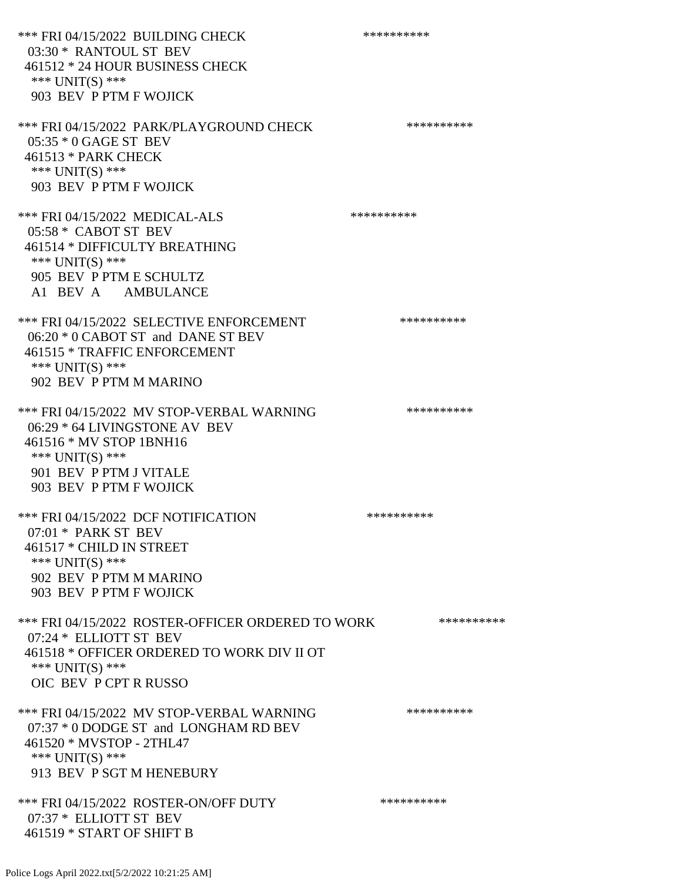\*\*\* FRI 04/15/2022 BUILDING CHECK \*\*\*\*\*\*\*\*\*\*\*\* 03:30 \* RANTOUL ST BEV 461512 \* 24 HOUR BUSINESS CHECK \*\*\* UNIT(S) \*\*\* 903 BEV P PTM F WOJICK \*\*\* FRI 04/15/2022 PARK/PLAYGROUND CHECK \*\*\*\*\*\*\*\*\*\* 05:35 \* 0 GAGE ST BEV 461513 \* PARK CHECK \*\*\* UNIT(S) \*\*\* 903 BEV P PTM F WOJICK \*\*\* FRI 04/15/2022 MEDICAL-ALS \*\*\*\*\*\*\*\*\*\*\*\*\* 05:58 \* CABOT ST BEV 461514 \* DIFFICULTY BREATHING \*\*\* UNIT(S) \*\*\* 905 BEV P PTM E SCHULTZ A1 BEV A AMBULANCE \*\*\* FRI 04/15/2022 SELECTIVE ENFORCEMENT \*\*\*\*\*\*\*\*\*\*\*\*\* 06:20 \* 0 CABOT ST and DANE ST BEV 461515 \* TRAFFIC ENFORCEMENT \*\*\* UNIT(S) \*\*\* 902 BEV P PTM M MARINO \*\*\* FRI 04/15/2022 MV STOP-VERBAL WARNING \*\*\*\*\*\*\*\*\*\*\*\*\* 06:29 \* 64 LIVINGSTONE AV BEV 461516 \* MV STOP 1BNH16 \*\*\* UNIT(S) \*\*\* 901 BEV P PTM J VITALE 903 BEV P PTM F WOJICK \*\*\* FRI 04/15/2022 DCF NOTIFICATION \*\*\*\*\*\*\*\*\*\* 07:01 \* PARK ST BEV 461517 \* CHILD IN STREET \*\*\* UNIT(S) \*\*\* 902 BEV P PTM M MARINO 903 BEV P PTM F WOJICK \*\*\* FRI 04/15/2022 ROSTER-OFFICER ORDERED TO WORK \*\*\*\*\*\*\*\*\*\*\* 07:24 \* ELLIOTT ST BEV 461518 \* OFFICER ORDERED TO WORK DIV II OT \*\*\* UNIT(S) \*\*\* OIC BEV P CPT R RUSSO \*\*\* FRI 04/15/2022 MV STOP-VERBAL WARNING \*\*\*\*\*\*\*\*\*\*\*\* 07:37 \* 0 DODGE ST and LONGHAM RD BEV 461520 \* MVSTOP - 2THL47 \*\*\* UNIT(S) \*\*\* 913 BEV P SGT M HENEBURY \*\*\* FRI 04/15/2022 ROSTER-ON/OFF DUTY \*\*\*\*\*\*\*\*\*\*\*\* 07:37 \* ELLIOTT ST BEV 461519 \* START OF SHIFT B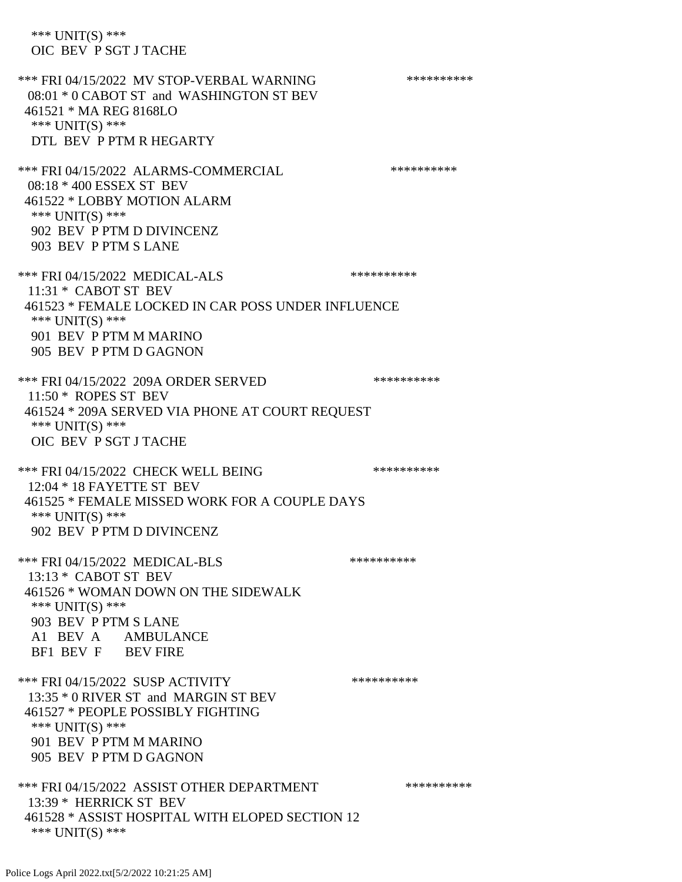\*\*\* UNIT(S) \*\*\* OIC BEV P SGT J TACHE \*\*\* FRI 04/15/2022 MV STOP-VERBAL WARNING \*\*\*\*\*\*\*\*\*\*\*\* 08:01 \* 0 CABOT ST and WASHINGTON ST BEV 461521 \* MA REG 8168LO \*\*\* UNIT(S) \*\*\* DTL BEV P PTM R HEGARTY \*\*\* FRI 04/15/2022 ALARMS-COMMERCIAL \*\*\*\*\*\*\*\*\*\* 08:18 \* 400 ESSEX ST BEV 461522 \* LOBBY MOTION ALARM \*\*\* UNIT(S) \*\*\* 902 BEV P PTM D DIVINCENZ 903 BEV P PTM S LANE \*\*\* FRI 04/15/2022 MEDICAL-ALS \*\*\*\*\*\*\*\*\*\*\*\*\* 11:31 \* CABOT ST BEV 461523 \* FEMALE LOCKED IN CAR POSS UNDER INFLUENCE \*\*\* UNIT(S) \*\*\* 901 BEV P PTM M MARINO 905 BEV P PTM D GAGNON \*\*\* FRI 04/15/2022 209A ORDER SERVED \*\*\*\*\*\*\*\*\*\* 11:50 \* ROPES ST BEV 461524 \* 209A SERVED VIA PHONE AT COURT REQUEST \*\*\* UNIT(S) \*\*\* OIC BEV P SGT J TACHE \*\*\* FRI 04/15/2022 CHECK WELL BEING \*\*\*\*\*\*\*\*\*\* 12:04 \* 18 FAYETTE ST BEV 461525 \* FEMALE MISSED WORK FOR A COUPLE DAYS \*\*\* UNIT(S) \*\*\* 902 BEV P PTM D DIVINCENZ \*\*\* FRI 04/15/2022 MEDICAL-BLS \*\*\*\*\*\*\*\*\*\*\*\*\* 13:13 \* CABOT ST BEV 461526 \* WOMAN DOWN ON THE SIDEWALK \*\*\* UNIT(S) \*\*\* 903 BEV P PTM S LANE A1 BEV A AMBULANCE BF1 BEV F BEV FIRE \*\*\* FRI 04/15/2022 SUSP ACTIVITY \*\*\*\*\*\*\*\*\*\*\*\*\*\* 13:35 \* 0 RIVER ST and MARGIN ST BEV 461527 \* PEOPLE POSSIBLY FIGHTING \*\*\* UNIT(S) \*\*\* 901 BEV P PTM M MARINO 905 BEV P PTM D GAGNON \*\*\* FRI 04/15/2022 ASSIST OTHER DEPARTMENT \*\*\*\*\*\*\*\*\*\*\*\*\* 13:39 \* HERRICK ST BEV 461528 \* ASSIST HOSPITAL WITH ELOPED SECTION 12 \*\*\* UNIT(S) \*\*\*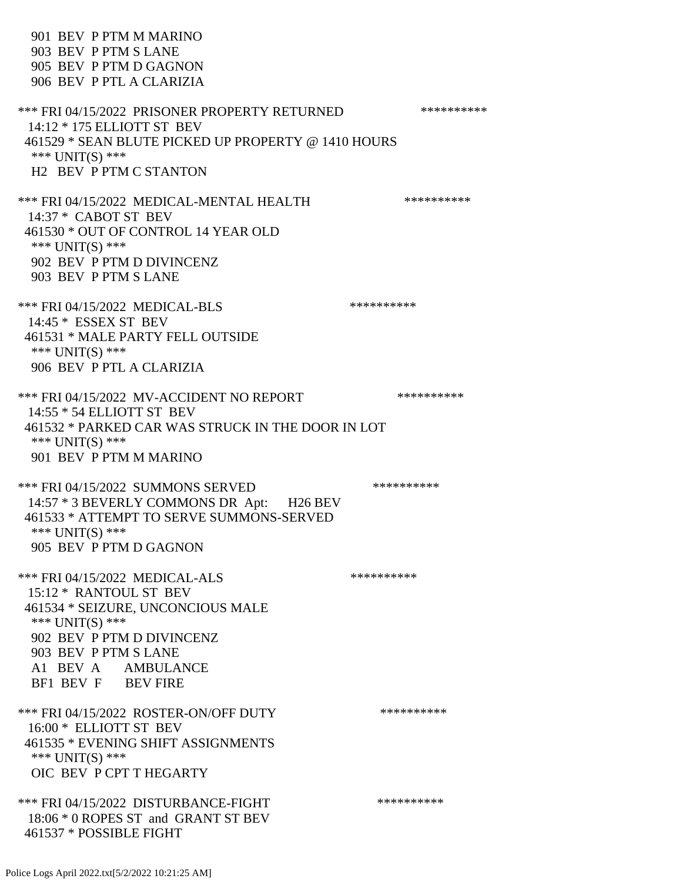901 BEV P PTM M MARINO 903 BEV P PTM S LANE 905 BEV P PTM D GAGNON 906 BEV P PTL A CLARIZIA \*\*\* FRI 04/15/2022 PRISONER PROPERTY RETURNED \*\*\*\*\*\*\*\*\*\* 14:12 \* 175 ELLIOTT ST BEV 461529 \* SEAN BLUTE PICKED UP PROPERTY @ 1410 HOURS \*\*\* UNIT(S) \*\*\* H2 BEV P PTM C STANTON \*\*\* FRI 04/15/2022 MEDICAL-MENTAL HEALTH \*\*\*\*\*\*\*\*\*\* 14:37 \* CABOT ST BEV 461530 \* OUT OF CONTROL 14 YEAR OLD \*\*\* UNIT(S) \*\*\* 902 BEV P PTM D DIVINCENZ 903 BEV P PTM S LANE \*\*\* FRI 04/15/2022 MEDICAL-BLS \*\*\*\*\*\*\*\*\*\*\*\* 14:45 \* ESSEX ST BEV 461531 \* MALE PARTY FELL OUTSIDE \*\*\* UNIT(S) \*\*\* 906 BEV P PTL A CLARIZIA \*\*\* FRI 04/15/2022 MV-ACCIDENT NO REPORT \*\*\*\*\*\*\*\*\*\*\*\*\* 14:55 \* 54 ELLIOTT ST BEV 461532 \* PARKED CAR WAS STRUCK IN THE DOOR IN LOT \*\*\* UNIT(S) \*\*\* 901 BEV P PTM M MARINO \*\*\* FRI 04/15/2022 SUMMONS SERVED \*\*\*\*\*\*\*\*\*\* 14:57 \* 3 BEVERLY COMMONS DR Apt: H26 BEV 461533 \* ATTEMPT TO SERVE SUMMONS-SERVED \*\*\* UNIT(S) \*\*\* 905 BEV P PTM D GAGNON \*\*\* FRI 04/15/2022 MEDICAL-ALS \*\*\*\*\*\*\*\*\*\*\*\*\*\*\* 15:12 \* RANTOUL ST BEV 461534 \* SEIZURE, UNCONCIOUS MALE \*\*\* UNIT(S) \*\*\* 902 BEV P PTM D DIVINCENZ 903 BEV P PTM S LANE A1 BEV A AMBULANCE BF1 BEV F BEV FIRE \*\*\* FRI 04/15/2022 ROSTER-ON/OFF DUTY \*\*\*\*\*\*\*\*\*\*\*\* 16:00 \* ELLIOTT ST BEV 461535 \* EVENING SHIFT ASSIGNMENTS \*\*\* UNIT(S) \*\*\* OIC BEV P CPT T HEGARTY \*\*\* FRI 04/15/2022 DISTURBANCE-FIGHT \*\*\*\*\*\*\*\*\*\*\*\*\*\* 18:06 \* 0 ROPES ST and GRANT ST BEV

461537 \* POSSIBLE FIGHT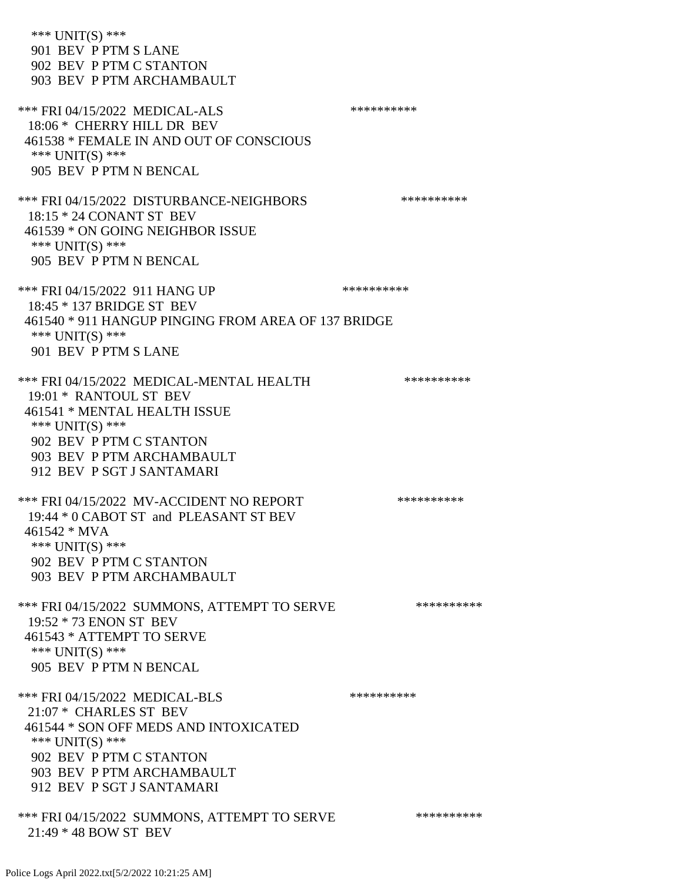\*\*\* UNIT(S) \*\*\* 901 BEV P PTM S LANE 902 BEV P PTM C STANTON 903 BEV P PTM ARCHAMBAULT \*\*\* FRI 04/15/2022 MEDICAL-ALS \*\*\*\*\*\*\*\*\*\*\*\*\* 18:06 \* CHERRY HILL DR BEV 461538 \* FEMALE IN AND OUT OF CONSCIOUS \*\*\* UNIT(S) \*\*\* 905 BEV P PTM N BENCAL \*\*\* FRI 04/15/2022 DISTURBANCE-NEIGHBORS \*\*\*\*\*\*\*\*\*\* 18:15 \* 24 CONANT ST BEV 461539 \* ON GOING NEIGHBOR ISSUE \*\*\* UNIT(S) \*\*\* 905 BEV P PTM N BENCAL \*\*\* FRI 04/15/2022 911 HANG UP \*\*\*\*\*\*\*\*\*\*\*\*\* 18:45 \* 137 BRIDGE ST BEV 461540 \* 911 HANGUP PINGING FROM AREA OF 137 BRIDGE \*\*\* UNIT(S) \*\*\* 901 BEV P PTM S LANE \*\*\* FRI 04/15/2022 MEDICAL-MENTAL HEALTH \*\*\*\*\*\*\*\*\*\* 19:01 \* RANTOUL ST BEV 461541 \* MENTAL HEALTH ISSUE \*\*\* UNIT(S) \*\*\* 902 BEV P PTM C STANTON 903 BEV P PTM ARCHAMBAULT 912 BEV P SGT J SANTAMARI \*\*\* FRI 04/15/2022 MV-ACCIDENT NO REPORT \*\*\*\*\*\*\*\*\*\*\*\*\* 19:44 \* 0 CABOT ST and PLEASANT ST BEV 461542 \* MVA \*\*\* UNIT(S) \*\*\* 902 BEV P PTM C STANTON 903 BEV P PTM ARCHAMBAULT \*\*\* FRI 04/15/2022 SUMMONS, ATTEMPT TO SERVE \*\*\*\*\*\*\*\*\*\*\*\* 19:52 \* 73 ENON ST BEV 461543 \* ATTEMPT TO SERVE \*\*\* UNIT(S) \*\*\* 905 BEV P PTM N BENCAL \*\*\* FRI 04/15/2022 MEDICAL-BLS \*\*\*\*\*\*\*\*\*\*\*\*\* 21:07 \* CHARLES ST BEV 461544 \* SON OFF MEDS AND INTOXICATED \*\*\* UNIT(S) \*\*\* 902 BEV P PTM C STANTON 903 BEV P PTM ARCHAMBAULT 912 BEV P SGT J SANTAMARI \*\*\* FRI 04/15/2022 SUMMONS, ATTEMPT TO SERVE \*\*\*\*\*\*\*\*\*\* 21:49 \* 48 BOW ST BEV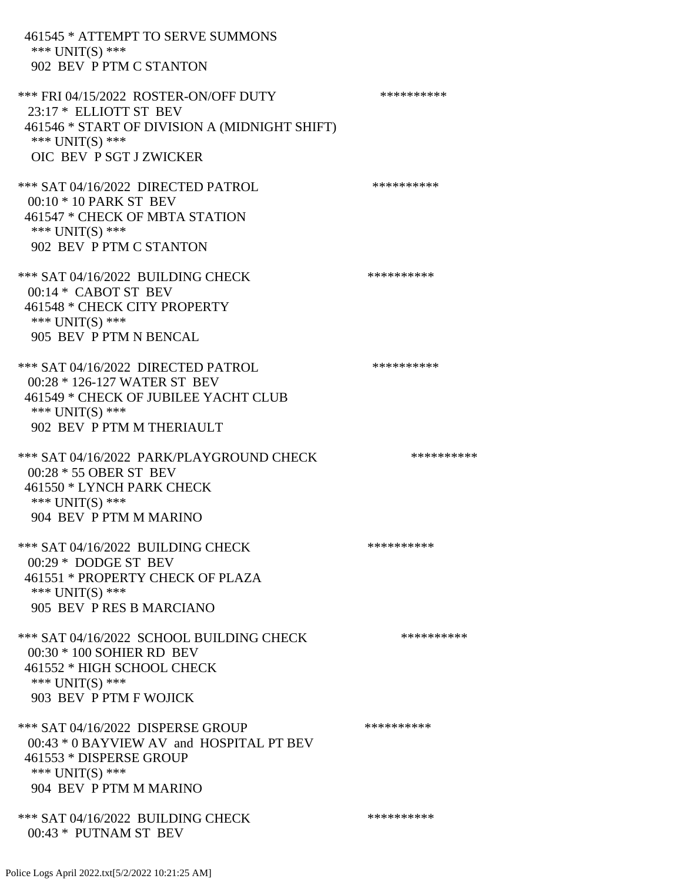| 461545 * ATTEMPT TO SERVE SUMMONS<br>*** UNIT(S) ***<br>902 BEV P PTM C STANTON                                                                                  |            |
|------------------------------------------------------------------------------------------------------------------------------------------------------------------|------------|
| *** FRI 04/15/2022 ROSTER-ON/OFF DUTY<br>23:17 * ELLIOTT ST BEV<br>461546 * START OF DIVISION A (MIDNIGHT SHIFT)<br>*** $UNIT(S)$ ***<br>OIC BEV P SGT J ZWICKER | ********** |
| *** SAT 04/16/2022 DIRECTED PATROL<br>00:10 * 10 PARK ST BEV<br>461547 * CHECK OF MBTA STATION<br>*** UNIT(S) ***<br>902 BEV P PTM C STANTON                     | ********** |
| *** SAT 04/16/2022 BUILDING CHECK<br>$00:14*$ CABOT ST BEV<br>461548 * CHECK CITY PROPERTY<br>*** UNIT(S) ***<br>905 BEV P PTM N BENCAL                          | ********** |
| *** SAT 04/16/2022 DIRECTED PATROL<br>00:28 * 126-127 WATER ST BEV<br>461549 * CHECK OF JUBILEE YACHT CLUB<br>*** UNIT(S) ***<br>902 BEV P PTM M THERIAULT       | ********** |
| *** SAT 04/16/2022 PARK/PLAYGROUND CHECK<br>00:28 * 55 OBER ST BEV<br>461550 * LYNCH PARK CHECK<br>*** UNIT(S) ***<br>904 BEV P PTM M MARINO                     | ********** |
| *** SAT 04/16/2022 BUILDING CHECK<br>$00:29 * DODGE$ ST BEV<br>461551 * PROPERTY CHECK OF PLAZA<br>*** $UNIT(S)$ ***<br>905 BEV PRES B MARCIANO                  | ********** |
| *** SAT 04/16/2022 SCHOOL BUILDING CHECK<br>$00:30 * 100$ SOHIER RD BEV<br>461552 * HIGH SCHOOL CHECK<br>*** UNIT(S) ***<br>903 BEV P PTM F WOJICK               | ********** |
| *** SAT 04/16/2022 DISPERSE GROUP<br>00:43 * 0 BAYVIEW AV and HOSPITAL PT BEV<br>461553 * DISPERSE GROUP<br>*** UNIT(S) ***<br>904 BEV P PTM M MARINO            | ********** |
| *** SAT 04/16/2022 BUILDING CHECK<br>00:43 * PUTNAM ST BEV                                                                                                       | ********** |

Police Logs April 2022.txt[5/2/2022 10:21:25 AM]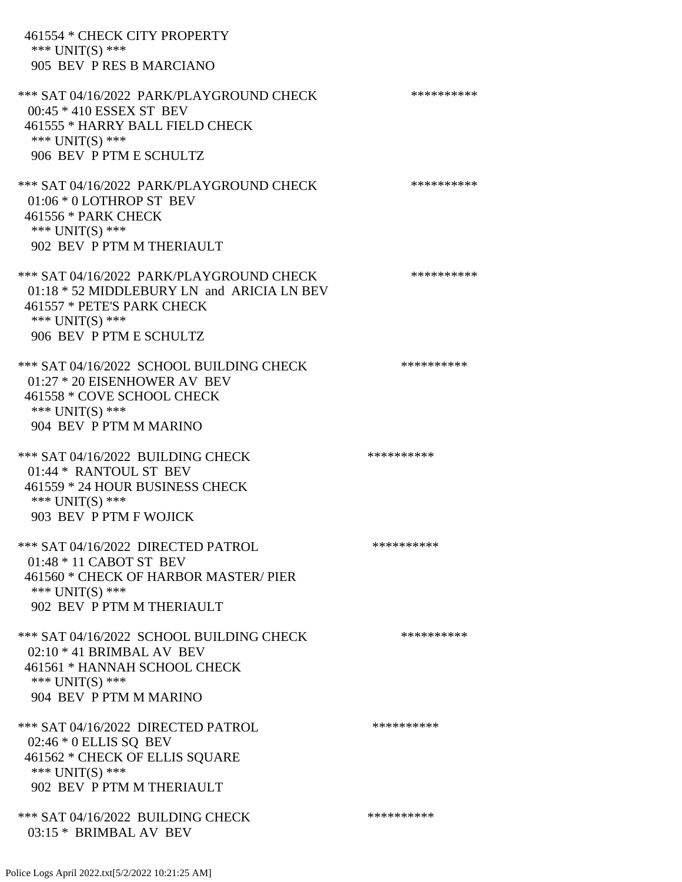| 461554 * CHECK CITY PROPERTY<br>*** $UNIT(S)$ ***<br>905 BEV PRES B MARCIANO                                                                                         |            |
|----------------------------------------------------------------------------------------------------------------------------------------------------------------------|------------|
| *** SAT 04/16/2022 PARK/PLAYGROUND CHECK<br>00:45 * 410 ESSEX ST BEV<br>461555 * HARRY BALL FIELD CHECK<br>*** $UNIT(S)$ ***<br>906 BEV P PTM E SCHULTZ              | ********** |
| *** SAT 04/16/2022 PARK/PLAYGROUND CHECK<br>01:06 * 0 LOTHROP ST BEV<br>461556 * PARK CHECK<br>*** $UNIT(S)$ ***<br>902 BEV P PTM M THERIAULT                        | ********** |
| *** SAT 04/16/2022 PARK/PLAYGROUND CHECK<br>01:18 * 52 MIDDLEBURY LN and ARICIA LN BEV<br>461557 * PETE'S PARK CHECK<br>*** $UNIT(S)$ ***<br>906 BEV P PTM E SCHULTZ | ********** |
| *** SAT 04/16/2022 SCHOOL BUILDING CHECK<br>$01:27 * 20$ EISENHOWER AV BEV<br>461558 * COVE SCHOOL CHECK<br>*** UNIT(S) ***<br>904 BEV P PTM M MARINO                | ********** |
| *** SAT 04/16/2022 BUILDING CHECK<br>01:44 * RANTOUL ST BEV<br>461559 * 24 HOUR BUSINESS CHECK<br>*** $UNIT(S)$ ***<br>903 BEV P PTM F WOJICK                        | ********** |
| *** SAT 04/16/2022 DIRECTED PATROL<br>01:48 * 11 CABOT ST BEV<br>461560 * CHECK OF HARBOR MASTER/ PIER<br>*** UNIT(S) ***<br>902 BEV P PTM M THERIAULT               | ********** |
| *** SAT 04/16/2022 SCHOOL BUILDING CHECK<br>$02:10 * 41$ BRIMBAL AV BEV<br>461561 * HANNAH SCHOOL CHECK<br>*** $UNIT(S)$ ***<br>904 BEV P PTM M MARINO               | ********** |
| *** SAT 04/16/2022 DIRECTED PATROL<br>$02:46 * 0$ ELLIS SQ BEV<br>461562 * CHECK OF ELLIS SQUARE<br>*** $UNIT(S)$ ***<br>902 BEV P PTM M THERIAULT                   | ********** |
| *** SAT 04/16/2022 BUILDING CHECK<br>03:15 * BRIMBAL AV BEV                                                                                                          | ********** |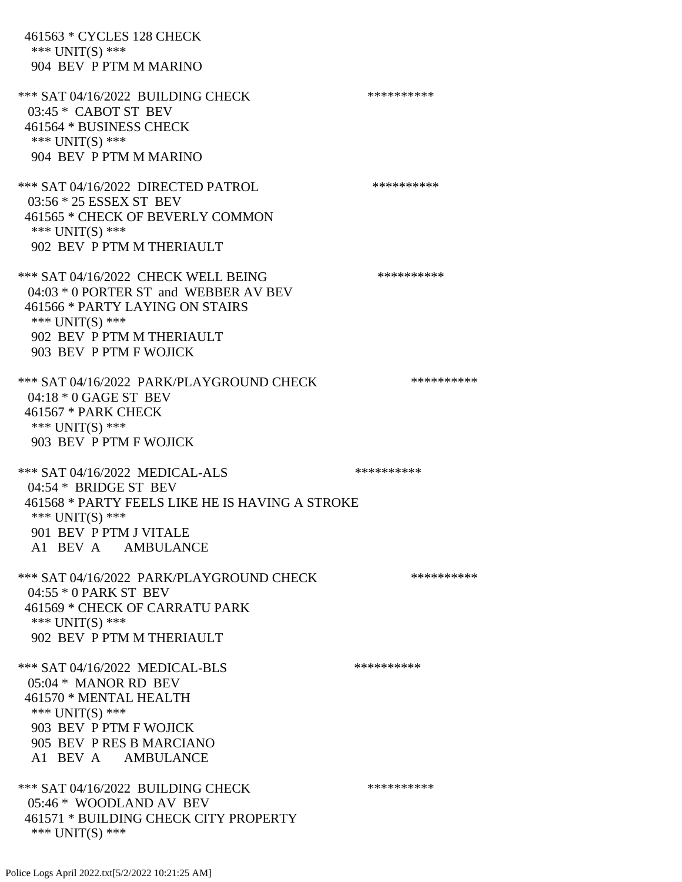461563 \* CYCLES 128 CHECK \*\*\* UNIT(S) \*\*\* 904 BEV P PTM M MARINO \*\*\* SAT 04/16/2022 BUILDING CHECK \*\*\*\*\*\*\*\*\*\*\*\* 03:45 \* CABOT ST BEV 461564 \* BUSINESS CHECK \*\*\* UNIT(S) \*\*\* 904 BEV P PTM M MARINO \*\*\* SAT 04/16/2022 DIRECTED PATROL \*\*\*\*\*\*\*\*\*\* 03:56 \* 25 ESSEX ST BEV 461565 \* CHECK OF BEVERLY COMMON \*\*\* UNIT(S) \*\*\* 902 BEV P PTM M THERIAULT \*\*\* SAT 04/16/2022 CHECK WELL BEING \*\*\*\*\*\*\*\*\*\* 04:03 \* 0 PORTER ST and WEBBER AV BEV 461566 \* PARTY LAYING ON STAIRS \*\*\* UNIT(S) \*\*\* 902 BEV P PTM M THERIAULT 903 BEV P PTM F WOJICK \*\*\* SAT 04/16/2022 PARK/PLAYGROUND CHECK \*\*\*\*\*\*\*\*\*\*\*\* 04:18 \* 0 GAGE ST BEV 461567 \* PARK CHECK \*\*\* UNIT(S) \*\*\* 903 BEV P PTM F WOJICK \*\*\* SAT 04/16/2022 MEDICAL-ALS \*\*\*\*\*\*\*\*\*\* 04:54 \* BRIDGE ST BEV 461568 \* PARTY FEELS LIKE HE IS HAVING A STROKE \*\*\* UNIT(S) \*\*\* 901 BEV P PTM J VITALE A1 BEV A AMBULANCE \*\*\* SAT 04/16/2022 PARK/PLAYGROUND CHECK \*\*\*\*\*\*\*\*\*\*\*\* 04:55 \* 0 PARK ST BEV 461569 \* CHECK OF CARRATU PARK \*\*\* UNIT(S) \*\*\* 902 BEV P PTM M THERIAULT \*\*\* SAT 04/16/2022 MEDICAL-BLS \*\*\*\*\*\*\*\*\*\* 05:04 \* MANOR RD BEV 461570 \* MENTAL HEALTH \*\*\* UNIT(S) \*\*\* 903 BEV P PTM F WOJICK 905 BEV P RES B MARCIANO A1 BEV A AMBULANCE \*\*\* SAT 04/16/2022 BUILDING CHECK \*\*\*\*\*\*\*\*\*\*\*\*\* 05:46 \* WOODLAND AV BEV 461571 \* BUILDING CHECK CITY PROPERTY \*\*\* UNIT(S) \*\*\*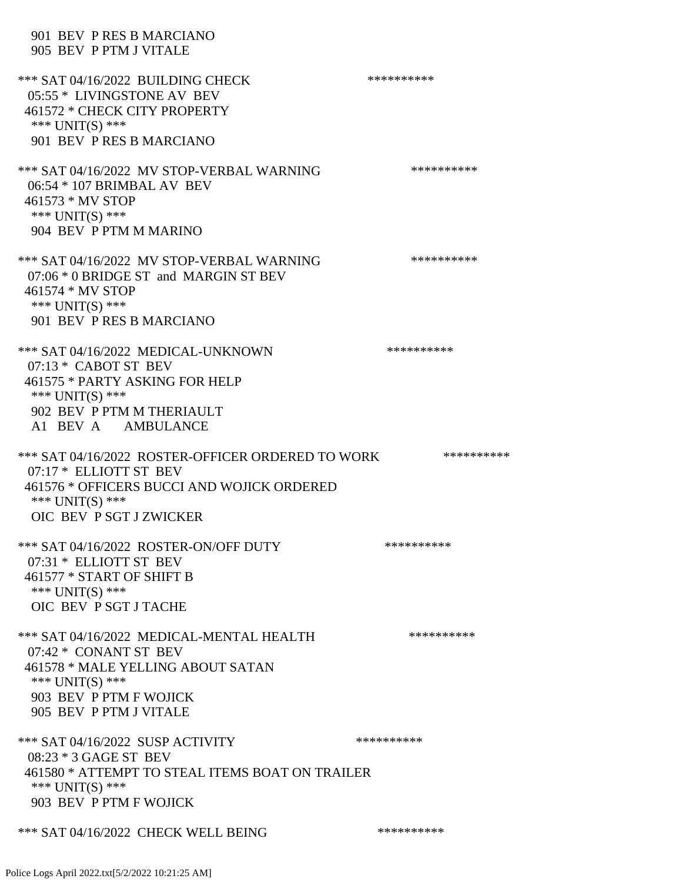| 901 BEV PRES B MARCIANO<br>905 BEV P PTM J VITALE                                                                                                                               |            |
|---------------------------------------------------------------------------------------------------------------------------------------------------------------------------------|------------|
| *** SAT 04/16/2022 BUILDING CHECK<br>05:55 * LIVINGSTONE AV BEV<br>461572 * CHECK CITY PROPERTY<br>*** $UNIT(S)$ ***<br>901 BEV PRES B MARCIANO                                 | ********** |
| *** SAT 04/16/2022 MV STOP-VERBAL WARNING<br>06:54 * 107 BRIMBAL AV BEV<br>461573 * MV STOP<br>*** $UNIT(S)$ ***<br>904 BEV P PTM M MARINO                                      | ********** |
| *** SAT 04/16/2022 MV STOP-VERBAL WARNING<br>07:06 * 0 BRIDGE ST and MARGIN ST BEV<br>461574 * MV STOP<br>*** UNIT(S) ***<br>901 BEV P RES B MARCIANO                           | ********** |
| *** SAT 04/16/2022 MEDICAL-UNKNOWN<br>$07:13 *$ CABOT ST BEV<br>461575 * PARTY ASKING FOR HELP<br>*** $UNIT(S)$ ***<br>902 BEV P PTM M THERIAULT<br>A1 BEV A AMBULANCE          | ********** |
| *** SAT 04/16/2022 ROSTER-OFFICER ORDERED TO WORK                                                                                                                               | ********** |
| 07:17 * ELLIOTT ST BEV<br>461576 * OFFICERS BUCCI AND WOJICK ORDERED<br>*** UNIT(S) ***<br>OIC BEV P SGT J ZWICKER                                                              |            |
| *** SAT 04/16/2022 ROSTER-ON/OFF DUTY<br>07:31 * ELLIOTT ST BEV<br>461577 * START OF SHIFT B<br>*** $UNIT(S)$ ***<br>OIC BEV P SGT J TACHE                                      | ********** |
| *** SAT 04/16/2022 MEDICAL-MENTAL HEALTH<br>07:42 * CONANT ST BEV<br>461578 * MALE YELLING ABOUT SATAN<br>*** $UNIT(S)$ ***<br>903 BEV P PTM F WOJICK<br>905 BEV P PTM J VITALE | ********** |
| *** SAT 04/16/2022 SUSP ACTIVITY<br>08:23 * 3 GAGE ST BEV<br>461580 * ATTEMPT TO STEAL ITEMS BOAT ON TRAILER<br>*** $UNIT(S)$ ***<br>903 BEV P PTM F WOJICK                     | ********** |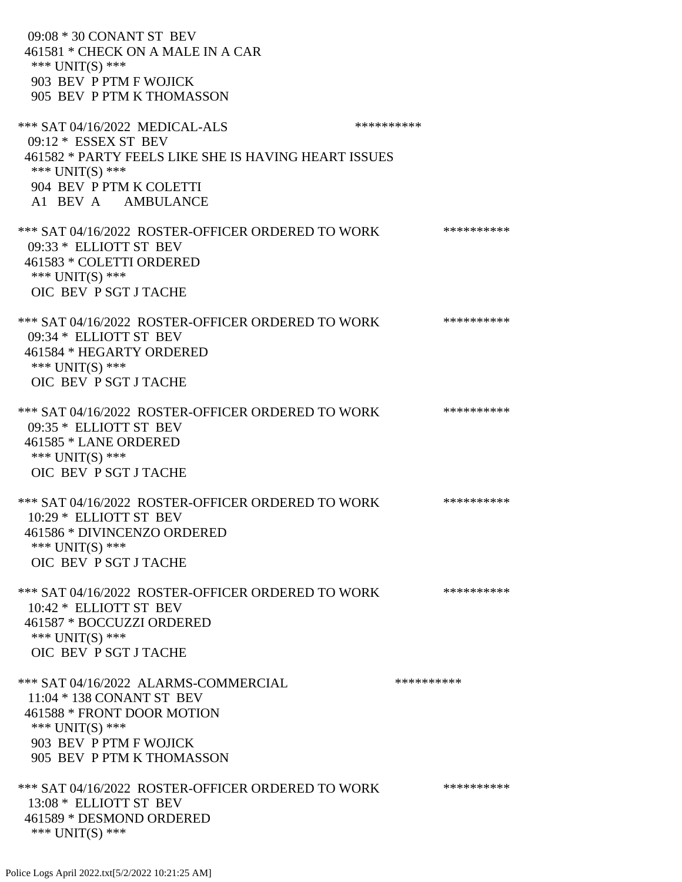09:08 \* 30 CONANT ST BEV 461581 \* CHECK ON A MALE IN A CAR \*\*\* UNIT(S) \*\*\* 903 BEV P PTM F WOJICK 905 BEV P PTM K THOMASSON \*\*\* SAT 04/16/2022 MEDICAL-ALS \*\*\*\*\*\*\*\*\*\* 09:12 \* ESSEX ST BEV 461582 \* PARTY FEELS LIKE SHE IS HAVING HEART ISSUES \*\*\* UNIT(S) \*\*\* 904 BEV P PTM K COLETTI A1 BEV A AMBULANCE \*\*\* SAT 04/16/2022 ROSTER-OFFICER ORDERED TO WORK \*\*\*\*\*\*\*\*\*\*\* 09:33 \* ELLIOTT ST BEV 461583 \* COLETTI ORDERED \*\*\* UNIT(S) \*\*\* OIC BEV P SGT J TACHE \*\*\* SAT 04/16/2022 ROSTER-OFFICER ORDERED TO WORK \*\*\*\*\*\*\*\*\*\*\*\* 09:34 \* ELLIOTT ST BEV 461584 \* HEGARTY ORDERED \*\*\* UNIT(S) \*\*\* OIC BEV P SGT J TACHE \*\*\* SAT 04/16/2022 ROSTER-OFFICER ORDERED TO WORK \*\*\*\*\*\*\*\*\*\*\*\* 09:35 \* ELLIOTT ST BEV 461585 \* LANE ORDERED \*\*\* UNIT(S) \*\*\* OIC BEV P SGT J TACHE \*\*\* SAT 04/16/2022 ROSTER-OFFICER ORDERED TO WORK \*\*\*\*\*\*\*\*\*\*\* 10:29 \* ELLIOTT ST BEV 461586 \* DIVINCENZO ORDERED \*\*\* UNIT(S) \*\*\* OIC BEV P SGT J TACHE \*\*\* SAT 04/16/2022 ROSTER-OFFICER ORDERED TO WORK \*\*\*\*\*\*\*\*\*\*\* 10:42 \* ELLIOTT ST BEV 461587 \* BOCCUZZI ORDERED \*\*\* UNIT(S) \*\*\* OIC BEV P SGT J TACHE \*\*\* SAT 04/16/2022 ALARMS-COMMERCIAL \*\*\*\*\*\*\*\*\*\* 11:04 \* 138 CONANT ST BEV 461588 \* FRONT DOOR MOTION \*\*\* UNIT(S) \*\*\* 903 BEV P PTM F WOJICK 905 BEV P PTM K THOMASSON \*\*\* SAT 04/16/2022 ROSTER-OFFICER ORDERED TO WORK \*\*\*\*\*\*\*\*\*\*\*\* 13:08 \* ELLIOTT ST BEV 461589 \* DESMOND ORDERED \*\*\* UNIT(S) \*\*\*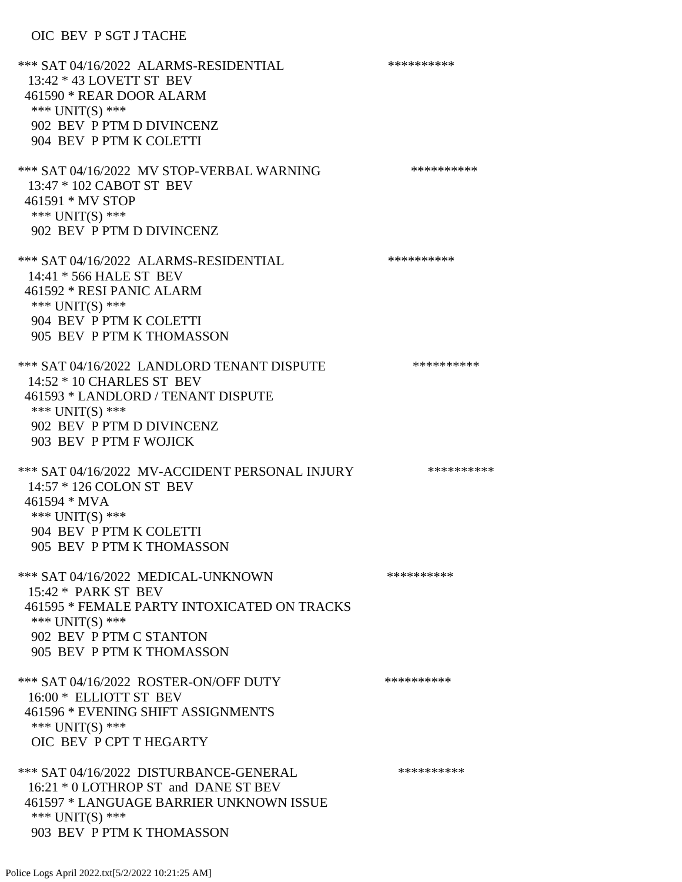## OIC BEV P SGT J TACHE

| *** SAT 04/16/2022 ALARMS-RESIDENTIAL<br>13:42 * 43 LOVETT ST BEV<br>461590 * REAR DOOR ALARM<br>*** $UNIT(S)$ ***<br>902 BEV P PTM D DIVINCENZ<br>904 BEV P PTM K COLETTI                | ********** |
|-------------------------------------------------------------------------------------------------------------------------------------------------------------------------------------------|------------|
| *** SAT 04/16/2022 MV STOP-VERBAL WARNING<br>13:47 * 102 CABOT ST BEV<br>461591 * MV STOP<br>*** UNIT(S) ***<br>902 BEV P PTM D DIVINCENZ                                                 | ********** |
| *** SAT 04/16/2022 ALARMS-RESIDENTIAL<br>14:41 * 566 HALE ST BEV<br>461592 * RESI PANIC ALARM<br>*** UNIT(S) ***<br>904 BEV P PTM K COLETTI<br>905 BEV P PTM K THOMASSON                  | ********** |
| *** SAT 04/16/2022 LANDLORD TENANT DISPUTE<br>14:52 * 10 CHARLES ST BEV<br>461593 * LANDLORD / TENANT DISPUTE<br>*** $UNIT(S)$ ***<br>902 BEV P PTM D DIVINCENZ<br>903 BEV P PTM F WOJICK | ********** |
| *** SAT 04/16/2022 MV-ACCIDENT PERSONAL INJURY<br>14:57 * 126 COLON ST BEV<br>461594 * MVA<br>*** UNIT(S) ***<br>904 BEV P PTM K COLETTI<br>905 BEV P PTM K THOMASSON                     | ********** |
| *** SAT 04/16/2022 MEDICAL-UNKNOWN<br>15:42 * PARK ST BEV<br>461595 * FEMALE PARTY INTOXICATED ON TRACKS<br>*** UNIT(S) ***<br>902 BEV P PTM C STANTON<br>905 BEV P PTM K THOMASSON       | ********** |
| *** SAT 04/16/2022 ROSTER-ON/OFF DUTY<br>16:00 * ELLIOTT ST BEV<br>461596 * EVENING SHIFT ASSIGNMENTS<br>*** UNIT(S) ***<br>OIC BEV P CPT T HEGARTY                                       | ********** |
| *** SAT 04/16/2022 DISTURBANCE-GENERAL<br>16:21 * 0 LOTHROP ST and DANE ST BEV<br>461597 * LANGUAGE BARRIER UNKNOWN ISSUE<br>*** $UNIT(S)$ ***<br>903 BEV P PTM K THOMASSON               | ********** |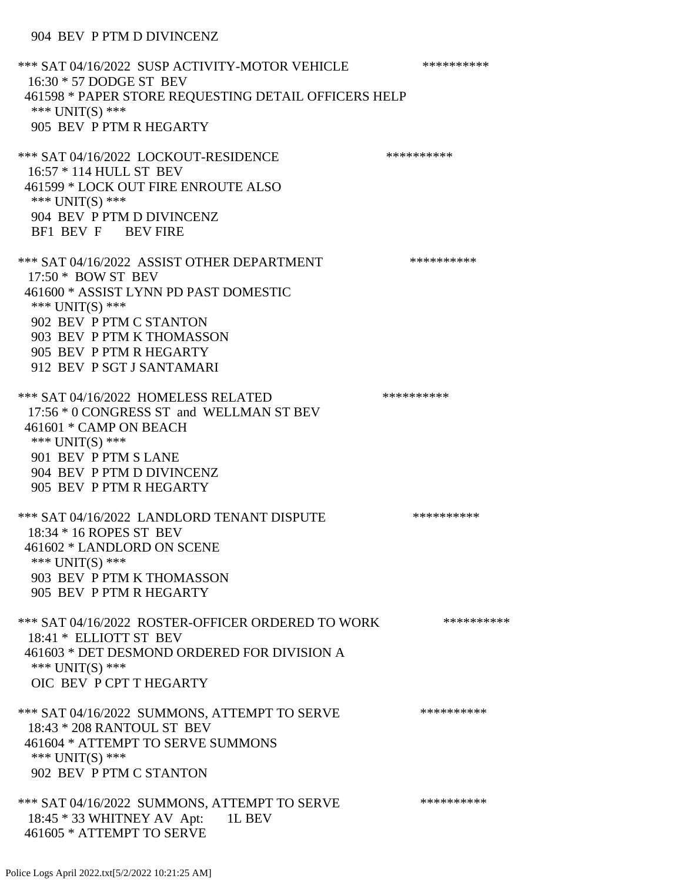\*\*\* SAT 04/16/2022 SUSP ACTIVITY-MOTOR VEHICLE \*\*\*\*\*\*\*\*\*\*\*\* 16:30 \* 57 DODGE ST BEV 461598 \* PAPER STORE REQUESTING DETAIL OFFICERS HELP \*\*\* UNIT(S) \*\*\* 905 BEV P PTM R HEGARTY \*\*\* SAT 04/16/2022 LOCKOUT-RESIDENCE \*\*\*\*\*\*\*\*\*\* 16:57 \* 114 HULL ST BEV 461599 \* LOCK OUT FIRE ENROUTE ALSO \*\*\* UNIT(S) \*\*\* 904 BEV P PTM D DIVINCENZ BF1 BEV F BEV FIRE \*\*\* SAT 04/16/2022 ASSIST OTHER DEPARTMENT \*\*\*\*\*\*\*\*\*\*\*\*\*\* 17:50 \* BOW ST BEV 461600 \* ASSIST LYNN PD PAST DOMESTIC \*\*\* UNIT(S) \*\*\* 902 BEV P PTM C STANTON 903 BEV P PTM K THOMASSON 905 BEV P PTM R HEGARTY 912 BEV P SGT J SANTAMARI \*\*\* SAT 04/16/2022 HOMELESS RELATED \*\*\*\*\*\*\*\*\*\* 17:56 \* 0 CONGRESS ST and WELLMAN ST BEV 461601 \* CAMP ON BEACH \*\*\* UNIT(S) \*\*\* 901 BEV P PTM S LANE 904 BEV P PTM D DIVINCENZ 905 BEV P PTM R HEGARTY \*\*\* SAT 04/16/2022 LANDLORD TENANT DISPUTE \*\*\*\*\*\*\*\*\*\* 18:34 \* 16 ROPES ST BEV 461602 \* LANDLORD ON SCENE \*\*\* UNIT(S) \*\*\* 903 BEV P PTM K THOMASSON 905 BEV P PTM R HEGARTY \*\*\* SAT 04/16/2022 ROSTER-OFFICER ORDERED TO WORK \*\*\*\*\*\*\*\*\*\*\*\* 18:41 \* ELLIOTT ST BEV 461603 \* DET DESMOND ORDERED FOR DIVISION A \*\*\* UNIT(S) \*\*\* OIC BEV P CPT T HEGARTY \*\*\* SAT 04/16/2022 SUMMONS, ATTEMPT TO SERVE \*\*\*\*\*\*\*\*\*\*\*\*\* 18:43 \* 208 RANTOUL ST BEV 461604 \* ATTEMPT TO SERVE SUMMONS \*\*\* UNIT(S) \*\*\* 902 BEV P PTM C STANTON \*\*\* SAT 04/16/2022 SUMMONS, ATTEMPT TO SERVE \*\*\*\*\*\*\*\*\*\* 18:45 \* 33 WHITNEY AV Apt: 1L BEV 461605 \* ATTEMPT TO SERVE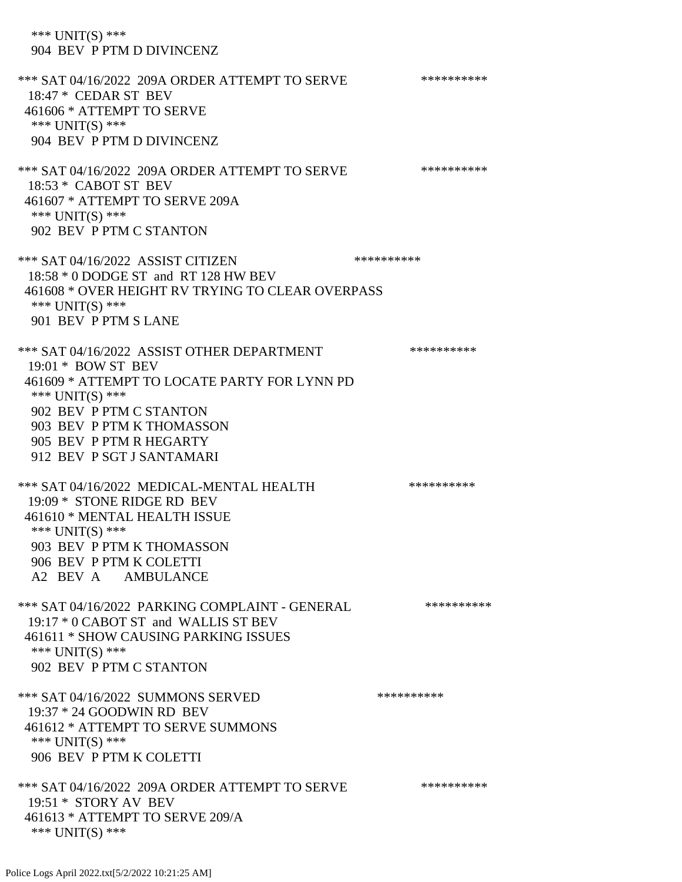\*\*\* UNIT(S) \*\*\* 904 BEV P PTM D DIVINCENZ \*\*\* SAT 04/16/2022 209A ORDER ATTEMPT TO SERVE \*\*\*\*\*\*\*\*\*\* 18:47 \* CEDAR ST BEV 461606 \* ATTEMPT TO SERVE \*\*\* UNIT(S) \*\*\* 904 BEV P PTM D DIVINCENZ \*\*\* SAT 04/16/2022 209A ORDER ATTEMPT TO SERVE \*\*\*\*\*\*\*\*\*\* 18:53 \* CABOT ST BEV 461607 \* ATTEMPT TO SERVE 209A \*\*\* UNIT(S) \*\*\* 902 BEV P PTM C STANTON \*\*\* SAT 04/16/2022 ASSIST CITIZEN \*\*\*\*\*\*\*\*\*\* 18:58 \* 0 DODGE ST and RT 128 HW BEV 461608 \* OVER HEIGHT RV TRYING TO CLEAR OVERPASS \*\*\* UNIT(S) \*\*\* 901 BEV P PTM S LANE \*\*\* SAT 04/16/2022 ASSIST OTHER DEPARTMENT \*\*\*\*\*\*\*\*\*\*\*\*\* 19:01 \* BOW ST BEV 461609 \* ATTEMPT TO LOCATE PARTY FOR LYNN PD \*\*\* UNIT(S) \*\*\* 902 BEV P PTM C STANTON 903 BEV P PTM K THOMASSON 905 BEV P PTM R HEGARTY 912 BEV P SGT J SANTAMARI \*\*\* SAT 04/16/2022 MEDICAL-MENTAL HEALTH \*\*\*\*\*\*\*\*\*\*\*\* 19:09 \* STONE RIDGE RD BEV 461610 \* MENTAL HEALTH ISSUE \*\*\* UNIT(S) \*\*\* 903 BEV P PTM K THOMASSON 906 BEV P PTM K COLETTI A2 BEV A AMBULANCE \*\*\* SAT 04/16/2022 PARKING COMPLAINT - GENERAL \*\*\*\*\*\*\*\*\*\*\*\* 19:17 \* 0 CABOT ST and WALLIS ST BEV 461611 \* SHOW CAUSING PARKING ISSUES \*\*\* UNIT(S) \*\*\* 902 BEV P PTM C STANTON \*\*\* SAT 04/16/2022 SUMMONS SERVED \*\*\*\*\*\*\*\*\*\*\*\*\*\*\*\* 19:37 \* 24 GOODWIN RD BEV 461612 \* ATTEMPT TO SERVE SUMMONS \*\*\* UNIT(S) \*\*\* 906 BEV P PTM K COLETTI \*\*\* SAT 04/16/2022 209A ORDER ATTEMPT TO SERVE \*\*\*\*\*\*\*\*\*\* 19:51 \* STORY AV BEV 461613 \* ATTEMPT TO SERVE 209/A \*\*\* UNIT(S) \*\*\*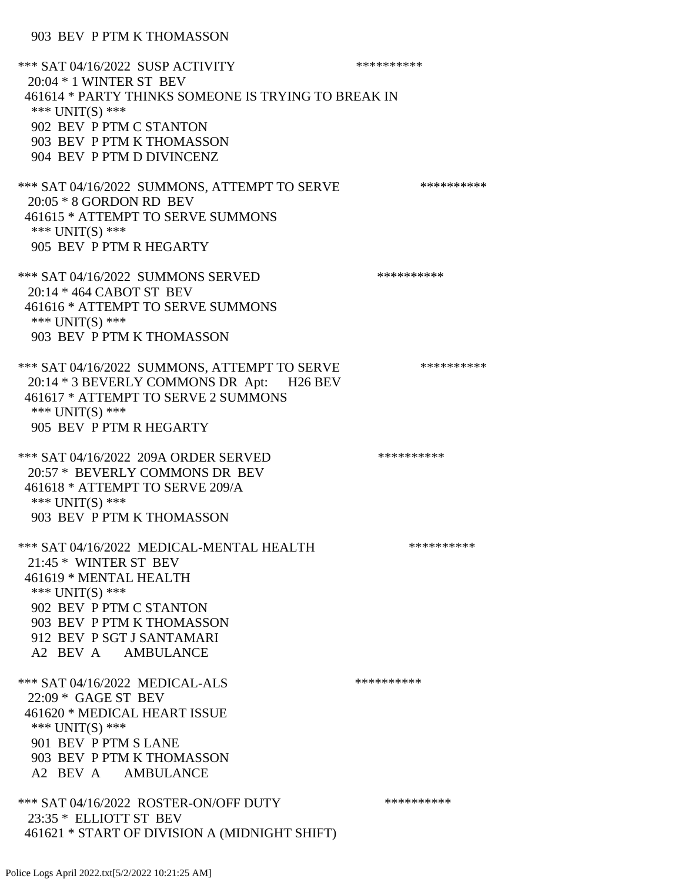903 BEV P PTM K THOMASSON

\*\*\* SAT 04/16/2022 SUSP ACTIVITY \*\*\*\*\*\*\*\*\*\*\*\*\* 20:04 \* 1 WINTER ST BEV 461614 \* PARTY THINKS SOMEONE IS TRYING TO BREAK IN \*\*\* UNIT(S) \*\*\* 902 BEV P PTM C STANTON 903 BEV P PTM K THOMASSON 904 BEV P PTM D DIVINCENZ \*\*\* SAT 04/16/2022 SUMMONS, ATTEMPT TO SERVE \*\*\*\*\*\*\*\*\*\* 20:05 \* 8 GORDON RD BEV 461615 \* ATTEMPT TO SERVE SUMMONS \*\*\* UNIT(S) \*\*\* 905 BEV P PTM R HEGARTY \*\*\* SAT 04/16/2022 SUMMONS SERVED \*\*\*\*\*\*\*\*\*\* 20:14 \* 464 CABOT ST BEV 461616 \* ATTEMPT TO SERVE SUMMONS \*\*\* UNIT(S) \*\*\* 903 BEV P PTM K THOMASSON \*\*\* SAT 04/16/2022 SUMMONS, ATTEMPT TO SERVE \*\*\*\*\*\*\*\*\*\* 20:14 \* 3 BEVERLY COMMONS DR Apt: H26 BEV 461617 \* ATTEMPT TO SERVE 2 SUMMONS \*\*\* UNIT(S) \*\*\* 905 BEV P PTM R HEGARTY \*\*\* SAT 04/16/2022 209A ORDER SERVED \*\*\*\*\*\*\*\*\*\* 20:57 \* BEVERLY COMMONS DR BEV 461618 \* ATTEMPT TO SERVE 209/A \*\*\* UNIT(S) \*\*\* 903 BEV P PTM K THOMASSON \*\*\* SAT 04/16/2022 MEDICAL-MENTAL HEALTH \*\*\*\*\*\*\*\*\*\* 21:45 \* WINTER ST BEV 461619 \* MENTAL HEALTH \*\*\* UNIT(S) \*\*\* 902 BEV P PTM C STANTON 903 BEV P PTM K THOMASSON 912 BEV P SGT J SANTAMARI A2 BEV A AMBULANCE \*\*\* SAT 04/16/2022 MEDICAL-ALS \*\*\*\*\*\*\*\*\*\*\*\*\* 22:09 \* GAGE ST BEV 461620 \* MEDICAL HEART ISSUE \*\*\* UNIT(S) \*\*\* 901 BEV P PTM S LANE 903 BEV P PTM K THOMASSON A2 BEV A AMBULANCE \*\*\* SAT 04/16/2022 ROSTER-ON/OFF DUTY \*\*\*\*\*\*\*\*\*\* 23:35 \* ELLIOTT ST BEV 461621 \* START OF DIVISION A (MIDNIGHT SHIFT)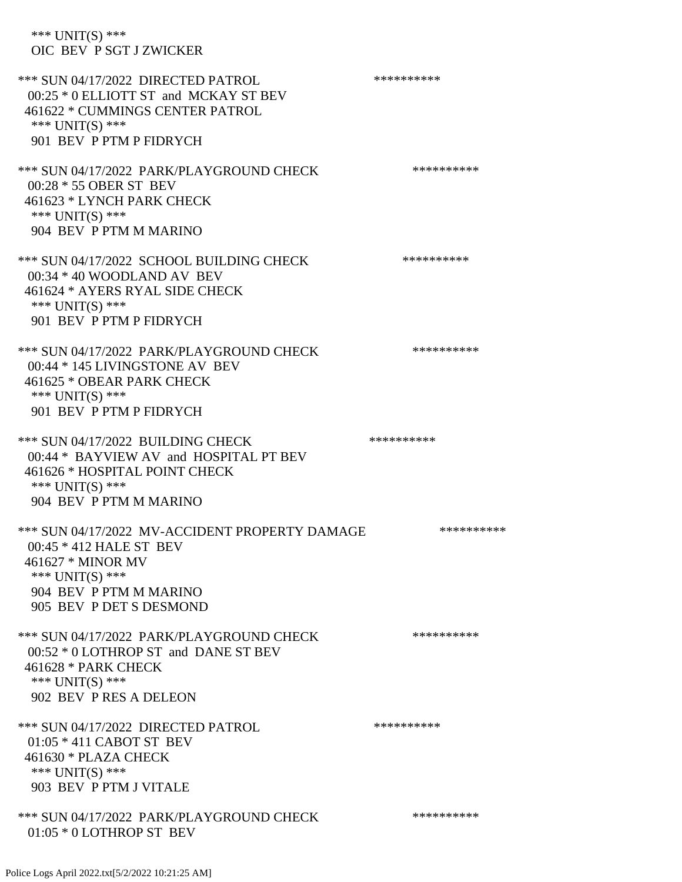\*\*\* UNIT(S) \*\*\* OIC BEV P SGT J ZWICKER

\*\*\* SUN 04/17/2022 DIRECTED PATROL \*\*\*\*\*\*\*\*\*\* 00:25 \* 0 ELLIOTT ST and MCKAY ST BEV 461622 \* CUMMINGS CENTER PATROL \*\*\* UNIT(S) \*\*\* 901 BEV P PTM P FIDRYCH \*\*\* SUN 04/17/2022 PARK/PLAYGROUND CHECK \*\*\*\*\*\*\*\*\*\*\*\* 00:28 \* 55 OBER ST BEV 461623 \* LYNCH PARK CHECK \*\*\* UNIT(S) \*\*\* 904 BEV P PTM M MARINO \*\*\* SUN 04/17/2022 SCHOOL BUILDING CHECK \*\*\*\*\*\*\*\*\*\*\* 00:34 \* 40 WOODLAND AV BEV 461624 \* AYERS RYAL SIDE CHECK \*\*\* UNIT(S) \*\*\* 901 BEV P PTM P FIDRYCH \*\*\* SUN 04/17/2022 PARK/PLAYGROUND CHECK \*\*\*\*\*\*\*\*\*\*\*\* 00:44 \* 145 LIVINGSTONE AV BEV 461625 \* OBEAR PARK CHECK \*\*\* UNIT(S) \*\*\* 901 BEV P PTM P FIDRYCH \*\*\* SUN 04/17/2022 BUILDING CHECK \*\*\*\*\*\*\*\*\*\*\* 00:44 \* BAYVIEW AV and HOSPITAL PT BEV 461626 \* HOSPITAL POINT CHECK \*\*\* UNIT(S) \*\*\* 904 BEV P PTM M MARINO \*\*\* SUN 04/17/2022 MV-ACCIDENT PROPERTY DAMAGE \*\*\*\*\*\*\*\*\*\*\*\* 00:45 \* 412 HALE ST BEV 461627 \* MINOR MV \*\*\* UNIT(S) \*\*\* 904 BEV P PTM M MARINO 905 BEV P DET S DESMOND \*\*\* SUN 04/17/2022 PARK/PLAYGROUND CHECK \*\*\*\*\*\*\*\*\*\*\*\* 00:52 \* 0 LOTHROP ST and DANE ST BEV 461628 \* PARK CHECK \*\*\* UNIT(S) \*\*\* 902 BEV P RES A DELEON \*\*\* SUN 04/17/2022 DIRECTED PATROL \*\*\*\*\*\*\*\*\*\* 01:05 \* 411 CABOT ST BEV 461630 \* PLAZA CHECK \*\*\* UNIT(S) \*\*\* 903 BEV P PTM J VITALE \*\*\* SUN 04/17/2022 PARK/PLAYGROUND CHECK \*\*\*\*\*\*\*\*\*\* 01:05 \* 0 LOTHROP ST BEV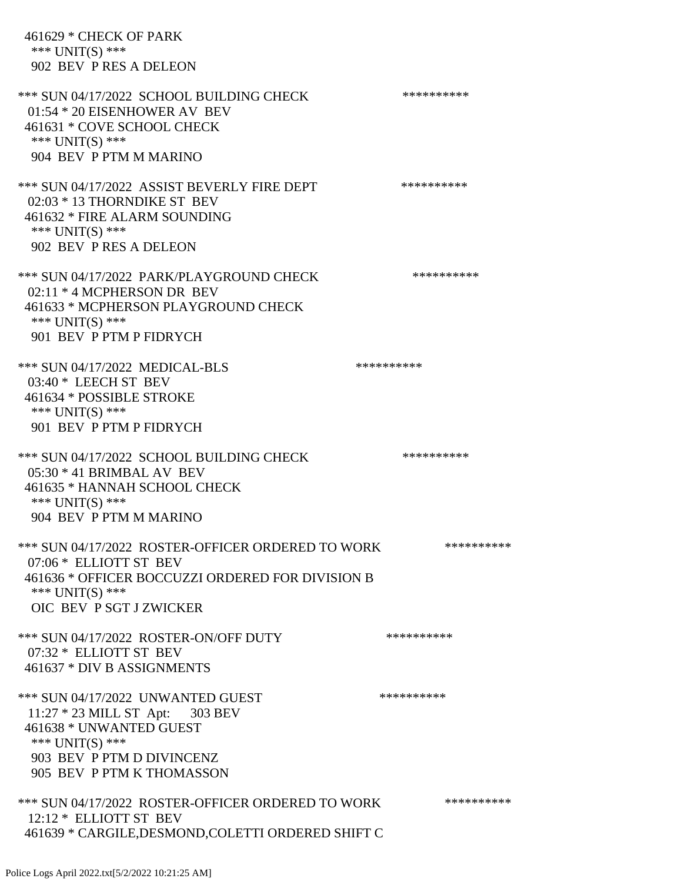461629 \* CHECK OF PARK \*\*\* UNIT(S) \*\*\* 902 BEV P RES A DELEON \*\*\* SUN 04/17/2022 SCHOOL BUILDING CHECK \*\*\*\*\*\*\*\*\*\*\* 01:54 \* 20 EISENHOWER AV BEV 461631 \* COVE SCHOOL CHECK \*\*\* UNIT(S) \*\*\* 904 BEV P PTM M MARINO \*\*\* SUN 04/17/2022 ASSIST BEVERLY FIRE DEPT \*\*\*\*\*\*\*\*\*\*\*\* 02:03 \* 13 THORNDIKE ST BEV 461632 \* FIRE ALARM SOUNDING \*\*\* UNIT(S) \*\*\* 902 BEV P RES A DELEON \*\*\* SUN 04/17/2022 PARK/PLAYGROUND CHECK \*\*\*\*\*\*\*\*\*\*\*\* 02:11 \* 4 MCPHERSON DR BEV 461633 \* MCPHERSON PLAYGROUND CHECK \*\*\* UNIT(S) \*\*\* 901 BEV P PTM P FIDRYCH \*\*\* SUN 04/17/2022 MEDICAL-BLS \*\*\*\*\*\*\*\*\*\*\*\*\* 03:40 \* LEECH ST BEV 461634 \* POSSIBLE STROKE \*\*\* UNIT(S) \*\*\* 901 BEV P PTM P FIDRYCH \*\*\* SUN 04/17/2022 SCHOOL BUILDING CHECK \*\*\*\*\*\*\*\*\*\*\* 05:30 \* 41 BRIMBAL AV BEV 461635 \* HANNAH SCHOOL CHECK \*\*\* UNIT(S) \*\*\* 904 BEV P PTM M MARINO \*\*\* SUN 04/17/2022 ROSTER-OFFICER ORDERED TO WORK \*\*\*\*\*\*\*\*\*\*\*\* 07:06 \* ELLIOTT ST BEV 461636 \* OFFICER BOCCUZZI ORDERED FOR DIVISION B \*\*\* UNIT(S) \*\*\* OIC BEV P SGT J ZWICKER \*\*\* SUN 04/17/2022 ROSTER-ON/OFF DUTY \*\*\*\*\*\*\*\*\*\* 07:32 \* ELLIOTT ST BEV 461637 \* DIV B ASSIGNMENTS \*\*\* SUN 04/17/2022 UNWANTED GUEST \*\*\*\*\*\*\*\*\*\*\*\* 11:27 \* 23 MILL ST Apt: 303 BEV 461638 \* UNWANTED GUEST \*\*\* UNIT(S) \*\*\* 903 BEV P PTM D DIVINCENZ 905 BEV P PTM K THOMASSON \*\*\* SUN 04/17/2022 ROSTER-OFFICER ORDERED TO WORK \*\*\*\*\*\*\*\*\*\*\* 12:12 \* ELLIOTT ST BEV 461639 \* CARGILE,DESMOND,COLETTI ORDERED SHIFT C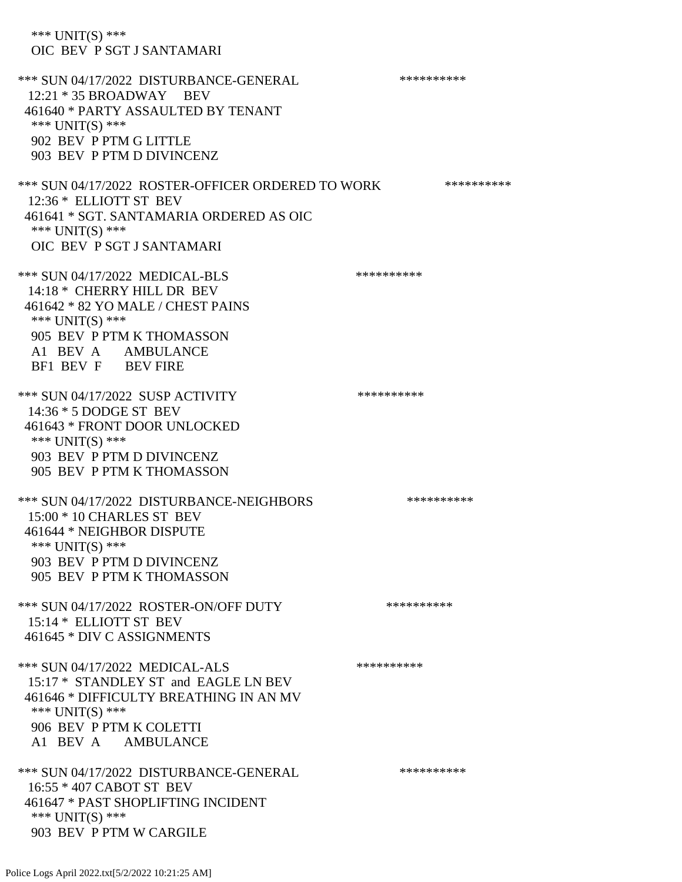\*\*\* UNIT(S) \*\*\* OIC BEV P SGT J SANTAMARI \*\*\* SUN 04/17/2022 DISTURBANCE-GENERAL \*\*\*\*\*\*\*\*\*\* 12:21 \* 35 BROADWAY BEV 461640 \* PARTY ASSAULTED BY TENANT \*\*\* UNIT(S) \*\*\* 902 BEV P PTM G LITTLE 903 BEV P PTM D DIVINCENZ \*\*\* SUN 04/17/2022 ROSTER-OFFICER ORDERED TO WORK \*\*\*\*\*\*\*\*\*\*\* 12:36 \* ELLIOTT ST BEV 461641 \* SGT. SANTAMARIA ORDERED AS OIC \*\*\* UNIT(S) \*\*\* OIC BEV P SGT J SANTAMARI \*\*\* SUN 04/17/2022 MEDICAL-BLS \*\*\*\*\*\*\*\*\*\*\*\*\* 14:18 \* CHERRY HILL DR BEV 461642 \* 82 YO MALE / CHEST PAINS \*\*\* UNIT(S) \*\*\* 905 BEV P PTM K THOMASSON A1 BEV A AMBULANCE BF1 BEV F BEV FIRE \*\*\* SUN 04/17/2022 SUSP ACTIVITY \*\*\*\*\*\*\*\*\*\*\*\* 14:36 \* 5 DODGE ST BEV 461643 \* FRONT DOOR UNLOCKED \*\*\* UNIT(S) \*\*\* 903 BEV P PTM D DIVINCENZ 905 BEV P PTM K THOMASSON \*\*\* SUN 04/17/2022 DISTURBANCE-NEIGHBORS \*\*\*\*\*\*\*\*\*\*\*\*\* 15:00 \* 10 CHARLES ST BEV 461644 \* NEIGHBOR DISPUTE \*\*\* UNIT(S) \*\*\* 903 BEV P PTM D DIVINCENZ 905 BEV P PTM K THOMASSON \*\*\* SUN 04/17/2022 ROSTER-ON/OFF DUTY \*\*\*\*\*\*\*\*\*\* 15:14 \* ELLIOTT ST BEV 461645 \* DIV C ASSIGNMENTS \*\*\* SUN 04/17/2022 MEDICAL-ALS \*\*\*\*\*\*\*\*\*\* 15:17 \* STANDLEY ST and EAGLE LN BEV 461646 \* DIFFICULTY BREATHING IN AN MV \*\*\* UNIT(S) \*\*\* 906 BEV P PTM K COLETTI A1 BEV A AMBULANCE \*\*\* SUN 04/17/2022 DISTURBANCE-GENERAL \*\*\*\*\*\*\*\*\*\* 16:55 \* 407 CABOT ST BEV 461647 \* PAST SHOPLIFTING INCIDENT \*\*\* UNIT(S) \*\*\* 903 BEV P PTM W CARGILE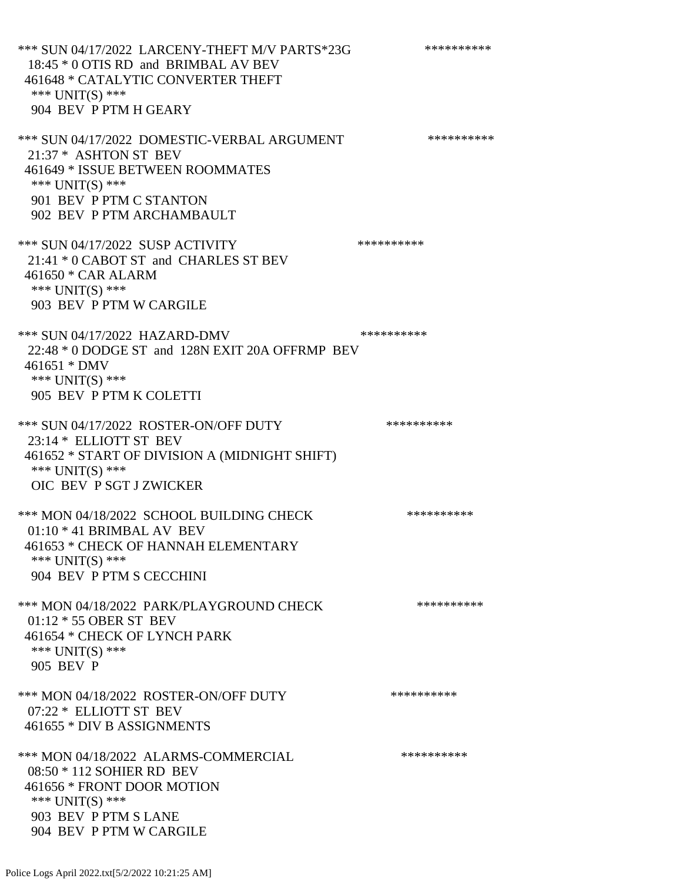\*\*\* SUN 04/17/2022 LARCENY-THEFT M/V PARTS\*23G \*\*\*\*\*\*\*\*\*\*\*\* 18:45 \* 0 OTIS RD and BRIMBAL AV BEV 461648 \* CATALYTIC CONVERTER THEFT \*\*\* UNIT(S) \*\*\* 904 BEV P PTM H GEARY \*\*\* SUN 04/17/2022 DOMESTIC-VERBAL ARGUMENT \*\*\*\*\*\*\*\*\*\*\*\*\* 21:37 \* ASHTON ST BEV 461649 \* ISSUE BETWEEN ROOMMATES \*\*\* UNIT(S) \*\*\* 901 BEV P PTM C STANTON 902 BEV P PTM ARCHAMBAULT \*\*\* SUN 04/17/2022 SUSP ACTIVITY \*\*\*\*\*\*\*\*\*\*\*\* 21:41 \* 0 CABOT ST and CHARLES ST BEV 461650 \* CAR ALARM \*\*\* UNIT(S) \*\*\* 903 BEV P PTM W CARGILE \*\*\* SUN 04/17/2022 HAZARD-DMV \*\*\*\*\*\*\*\*\*\* 22:48 \* 0 DODGE ST and 128N EXIT 20A OFFRMP BEV 461651 \* DMV \*\*\* UNIT(S) \*\*\* 905 BEV P PTM K COLETTI \*\*\* SUN 04/17/2022 ROSTER-ON/OFF DUTY \*\*\*\*\*\*\*\*\*\* 23:14 \* ELLIOTT ST BEV 461652 \* START OF DIVISION A (MIDNIGHT SHIFT) \*\*\* UNIT(S) \*\*\* OIC BEV P SGT J ZWICKER \*\*\* MON 04/18/2022 SCHOOL BUILDING CHECK \*\*\*\*\*\*\*\*\*\*\* 01:10 \* 41 BRIMBAL AV BEV 461653 \* CHECK OF HANNAH ELEMENTARY \*\*\* UNIT(S) \*\*\* 904 BEV P PTM S CECCHINI \*\*\* MON 04/18/2022 PARK/PLAYGROUND CHECK \*\*\*\*\*\*\*\*\*\*\* 01:12 \* 55 OBER ST BEV 461654 \* CHECK OF LYNCH PARK \*\*\* UNIT(S) \*\*\* 905 BEV P \*\*\* MON 04/18/2022 ROSTER-ON/OFF DUTY \*\*\*\*\*\*\*\*\*\* 07:22 \* ELLIOTT ST BEV 461655 \* DIV B ASSIGNMENTS \*\*\* MON 04/18/2022 ALARMS-COMMERCIAL \*\*\*\*\*\*\*\*\*\* 08:50 \* 112 SOHIER RD BEV 461656 \* FRONT DOOR MOTION \*\*\* UNIT(S) \*\*\* 903 BEV P PTM S LANE

904 BEV P PTM W CARGILE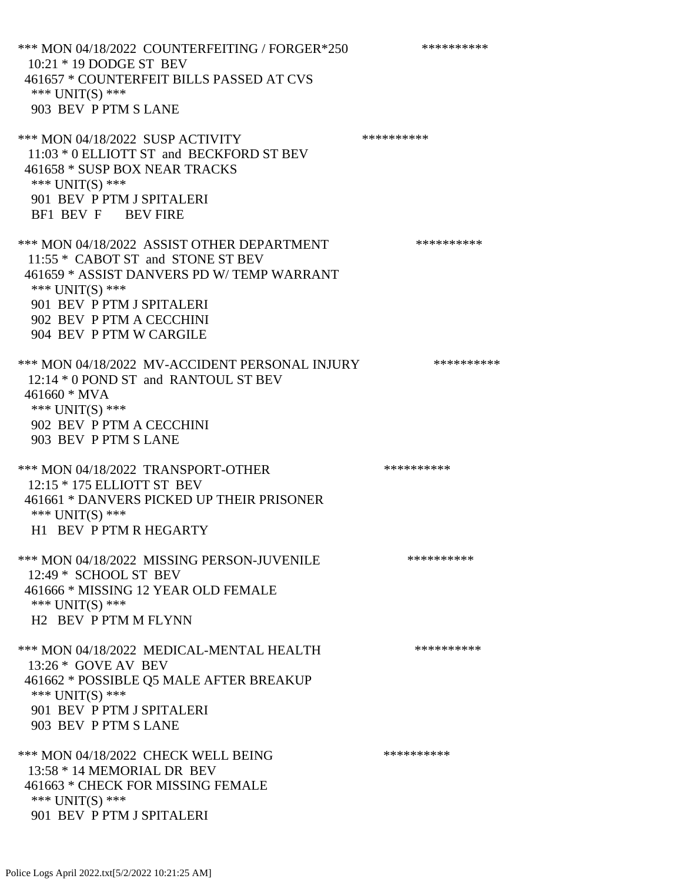\*\*\* MON 04/18/2022 COUNTERFEITING / FORGER\*250 \*\*\*\*\*\*\*\*\*\*\*\* 10:21 \* 19 DODGE ST BEV 461657 \* COUNTERFEIT BILLS PASSED AT CVS \*\*\* UNIT(S) \*\*\* 903 BEV P PTM S LANE \*\*\* MON 04/18/2022 SUSP ACTIVITY \*\*\*\*\*\*\*\*\*\*\*\* 11:03 \* 0 ELLIOTT ST and BECKFORD ST BEV 461658 \* SUSP BOX NEAR TRACKS \*\*\* UNIT(S) \*\*\* 901 BEV P PTM J SPITALERI BF1 BEV F BEV FIRE \*\*\* MON 04/18/2022 ASSIST OTHER DEPARTMENT \*\*\*\*\*\*\*\*\*\*\*\*\* 11:55 \* CABOT ST and STONE ST BEV 461659 \* ASSIST DANVERS PD W/ TEMP WARRANT \*\*\* UNIT(S) \*\*\* 901 BEV P PTM J SPITALERI 902 BEV P PTM A CECCHINI 904 BEV P PTM W CARGILE \*\*\* MON 04/18/2022 MV-ACCIDENT PERSONAL INJURY \*\*\*\*\*\*\*\*\*\* 12:14 \* 0 POND ST and RANTOUL ST BEV 461660 \* MVA \*\*\* UNIT(S) \*\*\* 902 BEV P PTM A CECCHINI 903 BEV P PTM S LANE \*\*\* MON 04/18/2022 TRANSPORT-OTHER \*\*\*\*\*\*\*\*\*\* 12:15 \* 175 ELLIOTT ST BEV 461661 \* DANVERS PICKED UP THEIR PRISONER \*\*\* UNIT(S) \*\*\* H1 BEV P PTM R HEGARTY \*\*\* MON 04/18/2022 MISSING PERSON-JUVENILE \*\*\*\*\*\*\*\*\*\*\*\* 12:49 \* SCHOOL ST BEV 461666 \* MISSING 12 YEAR OLD FEMALE \*\*\* UNIT(S) \*\*\* H2 BEV P PTM M FLYNN \*\*\* MON 04/18/2022 MEDICAL-MENTAL HEALTH \*\*\*\*\*\*\*\*\*\* 13:26 \* GOVE AV BEV 461662 \* POSSIBLE Q5 MALE AFTER BREAKUP \*\*\* UNIT(S) \*\*\* 901 BEV P PTM J SPITALERI 903 BEV P PTM S LANE \*\*\* MON 04/18/2022 CHECK WELL BEING \*\*\*\*\*\*\*\*\*\* 13:58 \* 14 MEMORIAL DR BEV 461663 \* CHECK FOR MISSING FEMALE \*\*\* UNIT(S) \*\*\* 901 BEV P PTM J SPITALERI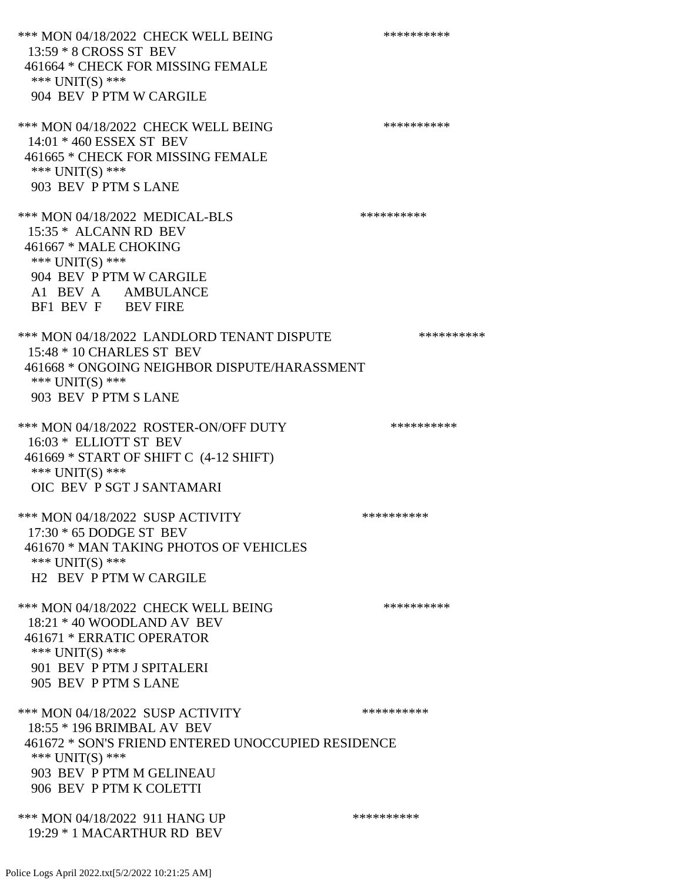\*\*\* MON 04/18/2022 CHECK WELL BEING \*\*\*\*\*\*\*\*\*\*\*\*\* 13:59 \* 8 CROSS ST BEV 461664 \* CHECK FOR MISSING FEMALE \*\*\* UNIT(S) \*\*\* 904 BEV P PTM W CARGILE \*\*\* MON 04/18/2022 CHECK WELL BEING \*\*\*\*\*\*\*\*\*\*\*\*\*\* 14:01 \* 460 ESSEX ST BEV 461665 \* CHECK FOR MISSING FEMALE \*\*\* UNIT(S) \*\*\* 903 BEV P PTM S LANE \*\*\* MON 04/18/2022 MEDICAL-BLS \*\*\*\*\*\*\*\*\*\*\*\* 15:35 \* ALCANN RD BEV 461667 \* MALE CHOKING \*\*\* UNIT(S) \*\*\* 904 BEV P PTM W CARGILE A1 BEV A AMBULANCE BF1 BEV F BEV FIRE \*\*\* MON 04/18/2022 LANDLORD TENANT DISPUTE \*\*\*\*\*\*\*\*\*\* 15:48 \* 10 CHARLES ST BEV 461668 \* ONGOING NEIGHBOR DISPUTE/HARASSMENT \*\*\* UNIT(S) \*\*\* 903 BEV P PTM S LANE \*\*\* MON 04/18/2022 ROSTER-ON/OFF DUTY \*\*\*\*\*\*\*\*\*\*\*\* 16:03 \* ELLIOTT ST BEV 461669 \* START OF SHIFT C (4-12 SHIFT) \*\*\* UNIT(S) \*\*\* OIC BEV P SGT J SANTAMARI \*\*\* MON 04/18/2022 SUSP ACTIVITY \*\*\*\*\*\*\*\*\*\*\*\*\*\* 17:30 \* 65 DODGE ST BEV 461670 \* MAN TAKING PHOTOS OF VEHICLES \*\*\* UNIT(S) \*\*\* H2 BEV P PTM W CARGILE \*\*\* MON 04/18/2022 CHECK WELL BEING \*\*\*\*\*\*\*\*\*\*\*\*\* 18:21 \* 40 WOODLAND AV BEV 461671 \* ERRATIC OPERATOR \*\*\* UNIT(S) \*\*\* 901 BEV P PTM J SPITALERI 905 BEV P PTM S LANE \*\*\* MON 04/18/2022 SUSP ACTIVITY \*\*\*\*\*\*\*\*\*\*\*\* 18:55 \* 196 BRIMBAL AV BEV 461672 \* SON'S FRIEND ENTERED UNOCCUPIED RESIDENCE \*\*\* UNIT(S) \*\*\* 903 BEV P PTM M GELINEAU 906 BEV P PTM K COLETTI \*\*\* MON 04/18/2022 911 HANG UP \*\*\*\*\*\*\*\*\*\*\*\*\* 19:29 \* 1 MACARTHUR RD BEV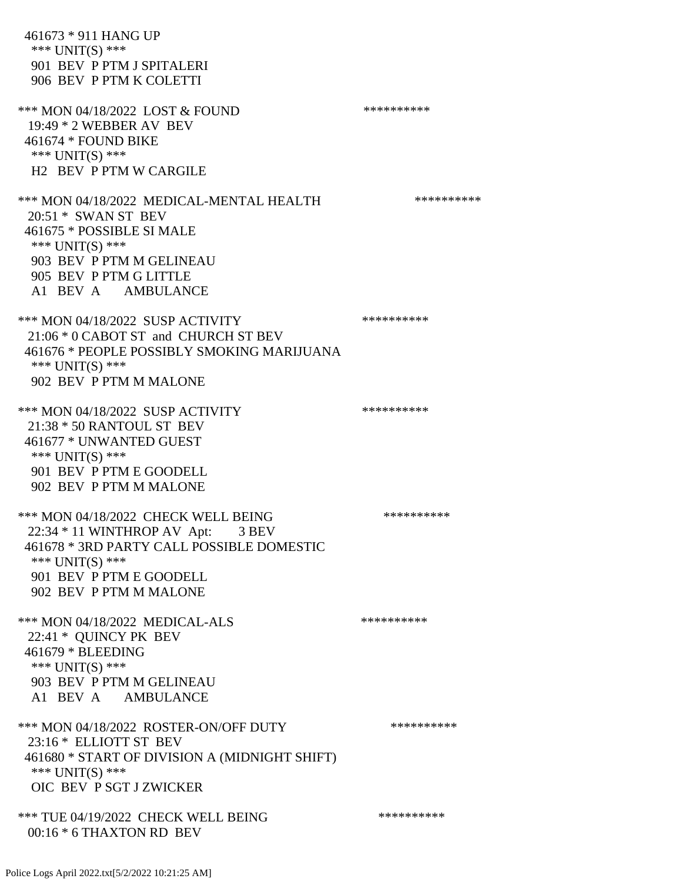461673 \* 911 HANG UP \*\*\* UNIT(S) \*\*\* 901 BEV P PTM J SPITALERI 906 BEV P PTM K COLETTI \*\*\* MON 04/18/2022 LOST & FOUND \*\*\*\*\*\*\*\*\*\* 19:49 \* 2 WEBBER AV BEV 461674 \* FOUND BIKE \*\*\* UNIT(S) \*\*\* H2 BEV P PTM W CARGILE \*\*\* MON 04/18/2022 MEDICAL-MENTAL HEALTH \*\*\*\*\*\*\*\*\*\* 20:51 \* SWAN ST BEV 461675 \* POSSIBLE SI MALE \*\*\* UNIT(S) \*\*\* 903 BEV P PTM M GELINEAU 905 BEV P PTM G LITTLE A1 BEV A AMBULANCE \*\*\* MON 04/18/2022 SUSP ACTIVITY \*\*\*\*\*\*\*\*\*\* 21:06 \* 0 CABOT ST and CHURCH ST BEV 461676 \* PEOPLE POSSIBLY SMOKING MARIJUANA \*\*\* UNIT(S) \*\*\* 902 BEV P PTM M MALONE \*\*\* MON 04/18/2022 SUSP ACTIVITY \*\*\*\*\*\*\*\*\*\*\*\* 21:38 \* 50 RANTOUL ST BEV 461677 \* UNWANTED GUEST \*\*\* UNIT(S) \*\*\* 901 BEV P PTM E GOODELL 902 BEV P PTM M MALONE \*\*\* MON 04/18/2022 CHECK WELL BEING \*\*\*\*\*\*\*\*\*\*\*\*\* 22:34 \* 11 WINTHROP AV Apt: 3 BEV 461678 \* 3RD PARTY CALL POSSIBLE DOMESTIC \*\*\* UNIT(S) \*\*\* 901 BEV P PTM E GOODELL 902 BEV P PTM M MALONE \*\*\* MON 04/18/2022 MEDICAL-ALS \*\*\*\*\*\*\*\*\*\* 22:41 \* QUINCY PK BEV 461679 \* BLEEDING \*\*\* UNIT(S) \*\*\* 903 BEV P PTM M GELINEAU A1 BEV A AMBULANCE \*\*\* MON 04/18/2022 ROSTER-ON/OFF DUTY \*\*\*\*\*\*\*\*\*\* 23:16 \* ELLIOTT ST BEV 461680 \* START OF DIVISION A (MIDNIGHT SHIFT) \*\*\* UNIT(S) \*\*\* OIC BEV P SGT J ZWICKER \*\*\* TUE 04/19/2022 CHECK WELL BEING \*\*\*\*\*\*\*\*\*\*\*\*\*\*\*\*\* 00:16 \* 6 THAXTON RD BEV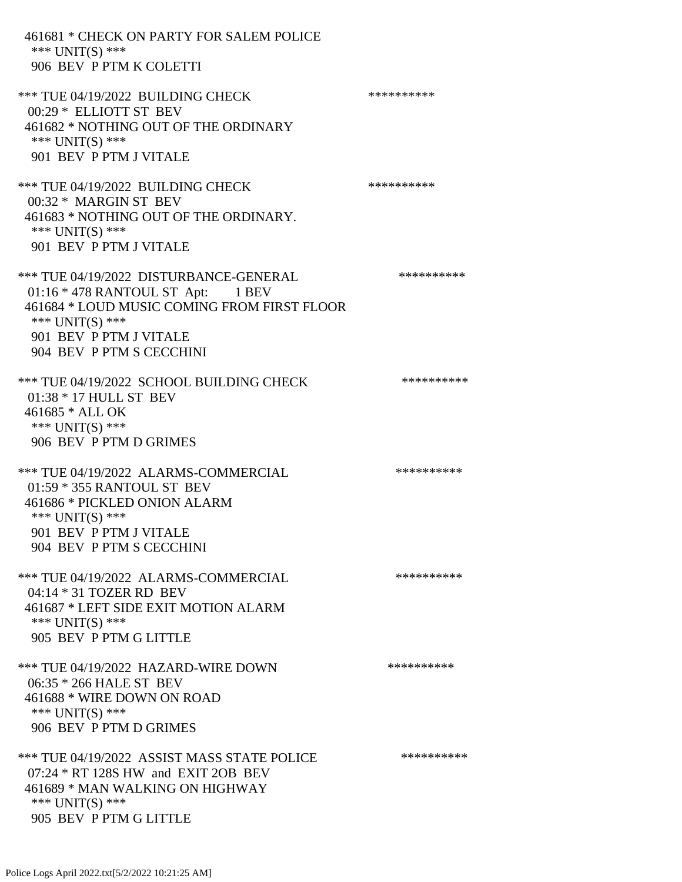| 461681 * CHECK ON PARTY FOR SALEM POLICE<br>*** $UNIT(S)$ ***<br>906 BEV P PTM K COLETTI                                                                                                            |            |
|-----------------------------------------------------------------------------------------------------------------------------------------------------------------------------------------------------|------------|
| *** TUE 04/19/2022 BUILDING CHECK<br>00:29 * ELLIOTT ST BEV<br>461682 * NOTHING OUT OF THE ORDINARY<br>*** $UNIT(S)$ ***<br>901 BEV P PTM J VITALE                                                  | ********** |
| *** TUE 04/19/2022 BUILDING CHECK<br>00:32 * MARGIN ST BEV<br>461683 * NOTHING OUT OF THE ORDINARY.<br>*** $UNIT(S)$ ***<br>901 BEV P PTM J VITALE                                                  | ********** |
| *** TUE 04/19/2022 DISTURBANCE-GENERAL<br>01:16 * 478 RANTOUL ST Apt: 1 BEV<br>461684 * LOUD MUSIC COMING FROM FIRST FLOOR<br>*** UNIT(S) ***<br>901 BEV P PTM J VITALE<br>904 BEV P PTM S CECCHINI | ********** |
| *** TUE 04/19/2022 SCHOOL BUILDING CHECK<br>01:38 * 17 HULL ST BEV<br>461685 * ALL OK<br>*** UNIT(S) ***<br>906 BEV P PTM D GRIMES                                                                  | ********** |
| *** TUE 04/19/2022 ALARMS-COMMERCIAL<br>01:59 * 355 RANTOUL ST BEV<br>461686 * PICKLED ONION ALARM<br>*** $UNIT(S)$ ***<br>901 BEV P PTM J VITALE<br>904 BEV P PTM S CECCHINI                       | ********** |
| *** TUE 04/19/2022 ALARMS-COMMERCIAL<br>04:14 * 31 TOZER RD BEV<br>461687 * LEFT SIDE EXIT MOTION ALARM<br>*** UNIT(S) ***<br>905 BEV P PTM G LITTLE                                                | ********** |
| *** TUE 04/19/2022 HAZARD-WIRE DOWN<br>06:35 * 266 HALE ST BEV<br>461688 * WIRE DOWN ON ROAD<br>*** UNIT(S) ***<br>906 BEV P PTM D GRIMES                                                           | ********** |
| *** TUE 04/19/2022 ASSIST MASS STATE POLICE<br>07:24 * RT 128S HW and EXIT 2OB BEV<br>461689 * MAN WALKING ON HIGHWAY<br>*** UNIT(S) ***<br>905 BEV P PTM G LITTLE                                  | ********** |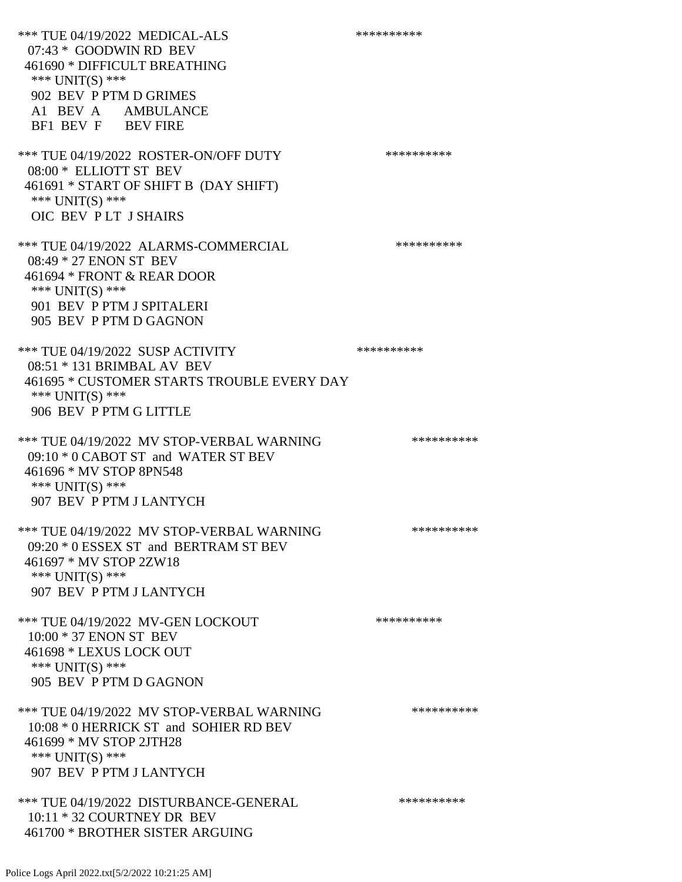\*\*\* TUE 04/19/2022 MEDICAL-ALS \*\*\*\*\*\*\*\*\*\*\*\* 07:43 \* GOODWIN RD BEV 461690 \* DIFFICULT BREATHING \*\*\* UNIT(S) \*\*\* 902 BEV P PTM D GRIMES A1 BEV A AMBULANCE BF1 BEV F BEV FIRE \*\*\* TUE 04/19/2022 ROSTER-ON/OFF DUTY \*\*\*\*\*\*\*\*\*\* 08:00 \* ELLIOTT ST BEV 461691 \* START OF SHIFT B (DAY SHIFT) \*\*\* UNIT(S) \*\*\* OIC BEV P LT J SHAIRS \*\*\* TUE 04/19/2022 ALARMS-COMMERCIAL \*\*\*\*\*\*\*\*\*\* 08:49 \* 27 ENON ST BEV 461694 \* FRONT & REAR DOOR \*\*\* UNIT(S) \*\*\* 901 BEV P PTM J SPITALERI 905 BEV P PTM D GAGNON \*\*\* TUE 04/19/2022 SUSP ACTIVITY \*\*\*\*\*\*\*\*\*\*\*\* 08:51 \* 131 BRIMBAL AV BEV 461695 \* CUSTOMER STARTS TROUBLE EVERY DAY \*\*\* UNIT(S) \*\*\* 906 BEV P PTM G LITTLE \*\*\* TUE 04/19/2022 MV STOP-VERBAL WARNING \*\*\*\*\*\*\*\*\*\*\*\* 09:10 \* 0 CABOT ST and WATER ST BEV 461696 \* MV STOP 8PN548 \*\*\* UNIT(S) \*\*\* 907 BEV P PTM J LANTYCH \*\*\* TUE 04/19/2022 MV STOP-VERBAL WARNING \*\*\*\*\*\*\*\*\*\*\*\*\* 09:20 \* 0 ESSEX ST and BERTRAM ST BEV 461697 \* MV STOP 2ZW18 \*\*\* UNIT(S) \*\*\* 907 BEV P PTM J LANTYCH \*\*\* TUE 04/19/2022 MV-GEN LOCKOUT \*\*\*\*\*\*\*\*\*\* 10:00 \* 37 ENON ST BEV 461698 \* LEXUS LOCK OUT \*\*\* UNIT(S) \*\*\* 905 BEV P PTM D GAGNON \*\*\* TUE 04/19/2022 MV STOP-VERBAL WARNING \*\*\*\*\*\*\*\*\*\*\*\*\* 10:08 \* 0 HERRICK ST and SOHIER RD BEV 461699 \* MV STOP 2JTH28 \*\*\* UNIT(S) \*\*\* 907 BEV P PTM J LANTYCH \*\*\* TUE 04/19/2022 DISTURBANCE-GENERAL \*\*\*\*\*\*\*\*\*\* 10:11 \* 32 COURTNEY DR BEV 461700 \* BROTHER SISTER ARGUING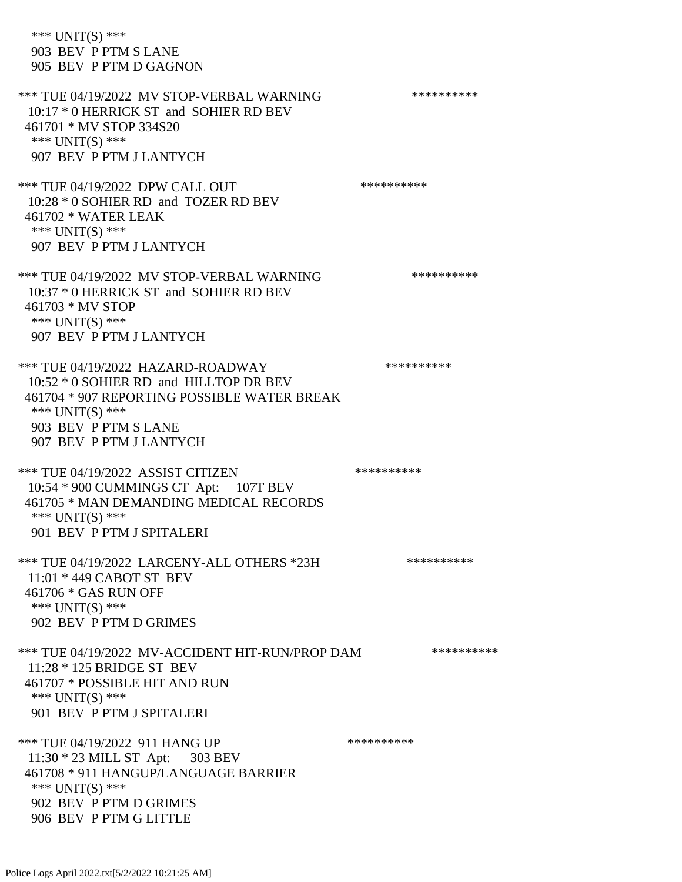\*\*\* UNIT(S) \*\*\* 903 BEV P PTM S LANE 905 BEV P PTM D GAGNON \*\*\* TUE 04/19/2022 MV STOP-VERBAL WARNING \*\*\*\*\*\*\*\*\*\*\*\*\* 10:17 \* 0 HERRICK ST and SOHIER RD BEV 461701 \* MV STOP 334S20 \*\*\* UNIT(S) \*\*\* 907 BEV P PTM J LANTYCH \*\*\* TUE 04/19/2022 DPW CALL OUT \*\*\*\*\*\*\*\*\*\*\*\* 10:28 \* 0 SOHIER RD and TOZER RD BEV 461702 \* WATER LEAK \*\*\* UNIT(S) \*\*\* 907 BEV P PTM J LANTYCH \*\*\* TUE 04/19/2022 MV STOP-VERBAL WARNING \*\*\*\*\*\*\*\*\*\*\*\*\* 10:37 \* 0 HERRICK ST and SOHIER RD BEV 461703 \* MV STOP \*\*\* UNIT(S) \*\*\* 907 BEV P PTM J LANTYCH \*\*\* TUE 04/19/2022 HAZARD-ROADWAY \*\*\*\*\*\*\*\*\*\* 10:52 \* 0 SOHIER RD and HILLTOP DR BEV 461704 \* 907 REPORTING POSSIBLE WATER BREAK \*\*\* UNIT(S) \*\*\* 903 BEV P PTM S LANE 907 BEV P PTM J LANTYCH \*\*\* TUE 04/19/2022 ASSIST CITIZEN \*\*\*\*\*\*\*\*\*\*\* 10:54 \* 900 CUMMINGS CT Apt: 107T BEV 461705 \* MAN DEMANDING MEDICAL RECORDS \*\*\* UNIT(S) \*\*\* 901 BEV P PTM J SPITALERI \*\*\* TUE 04/19/2022 LARCENY-ALL OTHERS \*23H \*\*\*\*\*\*\*\*\*\*\* 11:01 \* 449 CABOT ST BEV 461706 \* GAS RUN OFF \*\*\* UNIT(S) \*\*\* 902 BEV P PTM D GRIMES \*\*\* TUE 04/19/2022 MV-ACCIDENT HIT-RUN/PROP DAM \*\*\*\*\*\*\*\*\*\* 11:28 \* 125 BRIDGE ST BEV 461707 \* POSSIBLE HIT AND RUN \*\*\* UNIT(S) \*\*\* 901 BEV P PTM J SPITALERI \*\*\* TUE 04/19/2022 911 HANG UP \*\*\*\*\*\*\*\*\*\*\*\* 11:30 \* 23 MILL ST Apt: 303 BEV 461708 \* 911 HANGUP/LANGUAGE BARRIER \*\*\* UNIT(S) \*\*\* 902 BEV P PTM D GRIMES 906 BEV P PTM G LITTLE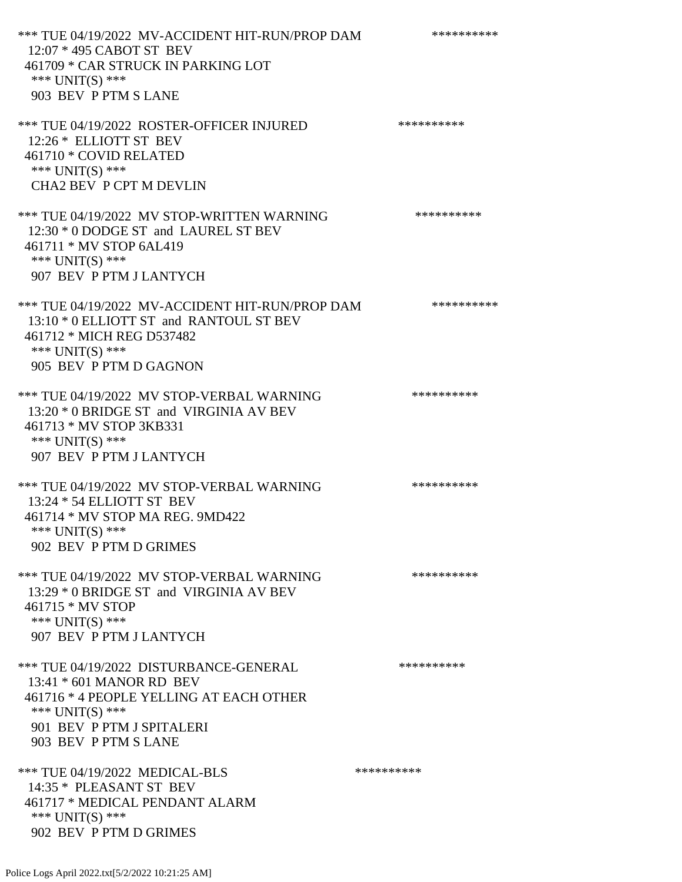\*\*\* TUE 04/19/2022 MV-ACCIDENT HIT-RUN/PROP DAM \*\*\*\*\*\*\*\*\*\* 12:07 \* 495 CABOT ST BEV 461709 \* CAR STRUCK IN PARKING LOT \*\*\* UNIT(S) \*\*\* 903 BEV P PTM S LANE \*\*\* TUE 04/19/2022 ROSTER-OFFICER INJURED \*\*\*\*\*\*\*\*\*\* 12:26 \* ELLIOTT ST BEV 461710 \* COVID RELATED \*\*\* UNIT(S) \*\*\* CHA2 BEV P CPT M DEVLIN \*\*\* TUE 04/19/2022 MV STOP-WRITTEN WARNING \*\*\*\*\*\*\*\*\*\*\*\*\* 12:30 \* 0 DODGE ST and LAUREL ST BEV 461711 \* MV STOP 6AL419 \*\*\* UNIT(S) \*\*\* 907 BEV P PTM J LANTYCH \*\*\* TUE 04/19/2022 MV-ACCIDENT HIT-RUN/PROP DAM \*\*\*\*\*\*\*\*\*\* 13:10 \* 0 ELLIOTT ST and RANTOUL ST BEV 461712 \* MICH REG D537482 \*\*\* UNIT(S) \*\*\* 905 BEV P PTM D GAGNON \*\*\* TUE 04/19/2022 MV STOP-VERBAL WARNING \*\*\*\*\*\*\*\*\*\*\*\*\* 13:20 \* 0 BRIDGE ST and VIRGINIA AV BEV 461713 \* MV STOP 3KB331 \*\*\* UNIT(S) \*\*\* 907 BEV P PTM J LANTYCH \*\*\* TUE 04/19/2022 MV STOP-VERBAL WARNING \*\*\*\*\*\*\*\*\*\*\*\*\*\* 13:24 \* 54 ELLIOTT ST BEV 461714 \* MV STOP MA REG. 9MD422 \*\*\* UNIT(S) \*\*\* 902 BEV P PTM D GRIMES \*\*\* TUE 04/19/2022 MV STOP-VERBAL WARNING \*\*\*\*\*\*\*\*\*\*\*\*\* 13:29 \* 0 BRIDGE ST and VIRGINIA AV BEV 461715 \* MV STOP \*\*\* UNIT(S) \*\*\* 907 BEV P PTM J LANTYCH \*\*\* TUE 04/19/2022 DISTURBANCE-GENERAL \*\*\*\*\*\*\*\*\*\* 13:41 \* 601 MANOR RD BEV 461716 \* 4 PEOPLE YELLING AT EACH OTHER \*\*\* UNIT(S) \*\*\* 901 BEV P PTM J SPITALERI 903 BEV P PTM S LANE \*\*\* TUE 04/19/2022 MEDICAL-BLS \*\*\*\*\*\*\*\*\*\*\*\*\* 14:35 \* PLEASANT ST BEV 461717 \* MEDICAL PENDANT ALARM \*\*\* UNIT(S) \*\*\* 902 BEV P PTM D GRIMES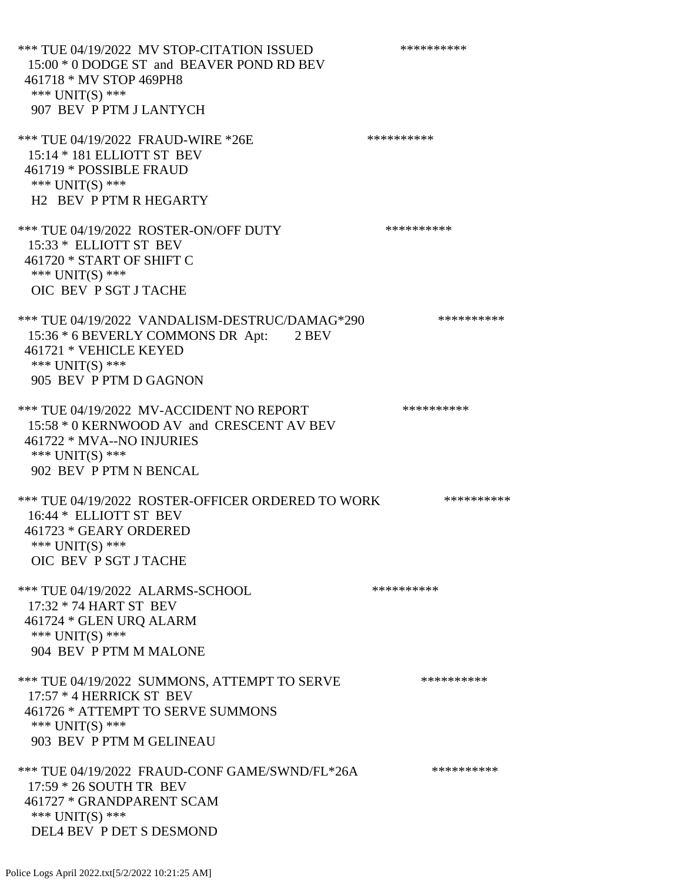\*\*\* TUE 04/19/2022 MV STOP-CITATION ISSUED \*\*\*\*\*\*\*\*\*\* 15:00 \* 0 DODGE ST and BEAVER POND RD BEV 461718 \* MV STOP 469PH8 \*\*\* UNIT(S) \*\*\* 907 BEV P PTM J LANTYCH \*\*\* TUE 04/19/2022 FRAUD-WIRE \*26E \*\*\*\*\*\*\*\*\*\*\*\*\*\*\*\*\*\*\*\*\*\* 15:14 \* 181 ELLIOTT ST BEV 461719 \* POSSIBLE FRAUD \*\*\* UNIT(S) \*\*\* H2 BEV P PTM R HEGARTY \*\*\* TUE 04/19/2022 ROSTER-ON/OFF DUTY \*\*\*\*\*\*\*\*\*\* 15:33 \* ELLIOTT ST BEV 461720 \* START OF SHIFT C \*\*\* UNIT(S) \*\*\* OIC BEV P SGT J TACHE \*\*\* TUE 04/19/2022 VANDALISM-DESTRUC/DAMAG\*290 \*\*\*\*\*\*\*\*\*\* 15:36 \* 6 BEVERLY COMMONS DR Apt: 2 BEV 461721 \* VEHICLE KEYED \*\*\* UNIT(S) \*\*\* 905 BEV P PTM D GAGNON \*\*\* TUE 04/19/2022 MV-ACCIDENT NO REPORT \*\*\*\*\*\*\*\*\*\*\*\* 15:58 \* 0 KERNWOOD AV and CRESCENT AV BEV 461722 \* MVA--NO INJURIES \*\*\* UNIT(S) \*\*\* 902 BEV P PTM N BENCAL \*\*\* TUE 04/19/2022 ROSTER-OFFICER ORDERED TO WORK \*\*\*\*\*\*\*\*\*\*\* 16:44 \* ELLIOTT ST BEV 461723 \* GEARY ORDERED \*\*\* UNIT(S) \*\*\* OIC BEV P SGT J TACHE \*\*\* TUE 04/19/2022 ALARMS-SCHOOL \*\*\*\*\*\*\*\*\*\*\*\*\*\*\*\*\* 17:32 \* 74 HART ST BEV 461724 \* GLEN URQ ALARM \*\*\* UNIT(S) \*\*\* 904 BEV P PTM M MALONE \*\*\* TUE 04/19/2022 SUMMONS, ATTEMPT TO SERVE \*\*\*\*\*\*\*\*\*\* 17:57 \* 4 HERRICK ST BEV 461726 \* ATTEMPT TO SERVE SUMMONS \*\*\* UNIT(S) \*\*\* 903 BEV P PTM M GELINEAU \*\*\* TUE 04/19/2022 FRAUD-CONF GAME/SWND/FL\*26A \*\*\*\*\*\*\*\*\*\*\* 17:59 \* 26 SOUTH TR BEV 461727 \* GRANDPARENT SCAM \*\*\* UNIT(S) \*\*\* DEL4 BEV P DET S DESMOND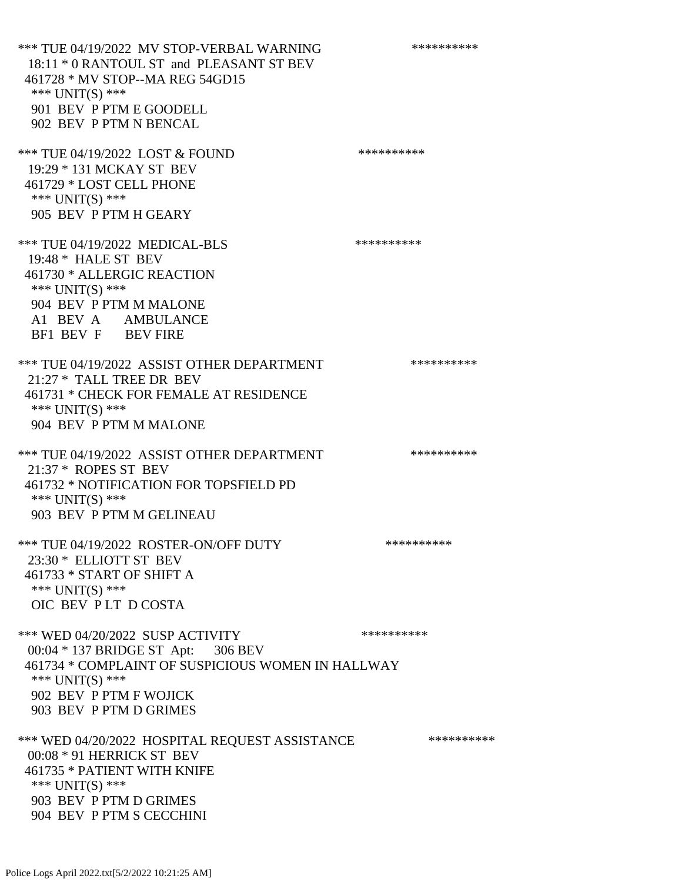\*\*\* TUE 04/19/2022 MV STOP-VERBAL WARNING \*\*\*\*\*\*\*\*\*\*\*\*\* 18:11 \* 0 RANTOUL ST and PLEASANT ST BEV 461728 \* MV STOP--MA REG 54GD15 \*\*\* UNIT(S) \*\*\* 901 BEV P PTM E GOODELL 902 BEV P PTM N BENCAL \*\*\* TUE 04/19/2022 LOST & FOUND \*\*\*\*\*\*\*\*\*\* 19:29 \* 131 MCKAY ST BEV 461729 \* LOST CELL PHONE \*\*\* UNIT(S) \*\*\* 905 BEV P PTM H GEARY \*\*\* TUE 04/19/2022 MEDICAL-BLS \*\*\*\*\*\*\*\*\*\*\*\* 19:48 \* HALE ST BEV 461730 \* ALLERGIC REACTION \*\*\* UNIT(S) \*\*\* 904 BEV P PTM M MALONE A1 BEV A AMBULANCE BF1 BEV F BEV FIRE \*\*\* TUE 04/19/2022 ASSIST OTHER DEPARTMENT \*\*\*\*\*\*\*\*\*\*\*\*\* 21:27 \* TALL TREE DR BEV 461731 \* CHECK FOR FEMALE AT RESIDENCE \*\*\* UNIT(S) \*\*\* 904 BEV P PTM M MALONE \*\*\* TUE 04/19/2022 ASSIST OTHER DEPARTMENT \*\*\*\*\*\*\*\*\*\*\*\*\* 21:37 \* ROPES ST BEV 461732 \* NOTIFICATION FOR TOPSFIELD PD \*\*\* UNIT(S) \*\*\* 903 BEV P PTM M GELINEAU \*\*\* TUE 04/19/2022 ROSTER-ON/OFF DUTY \*\*\*\*\*\*\*\*\*\* 23:30 \* ELLIOTT ST BEV 461733 \* START OF SHIFT A \*\*\* UNIT(S) \*\*\* OIC BEV P LT D COSTA \*\*\* WED 04/20/2022 SUSP ACTIVITY \*\*\*\*\*\*\*\*\*\*\*\* 00:04 \* 137 BRIDGE ST Apt: 306 BEV 461734 \* COMPLAINT OF SUSPICIOUS WOMEN IN HALLWAY \*\*\* UNIT(S) \*\*\* 902 BEV P PTM F WOJICK 903 BEV P PTM D GRIMES \*\*\* WED 04/20/2022 HOSPITAL REQUEST ASSISTANCE \*\*\*\*\*\*\*\*\*\* 00:08 \* 91 HERRICK ST BEV 461735 \* PATIENT WITH KNIFE \*\*\* UNIT(S) \*\*\* 903 BEV P PTM D GRIMES 904 BEV P PTM S CECCHINI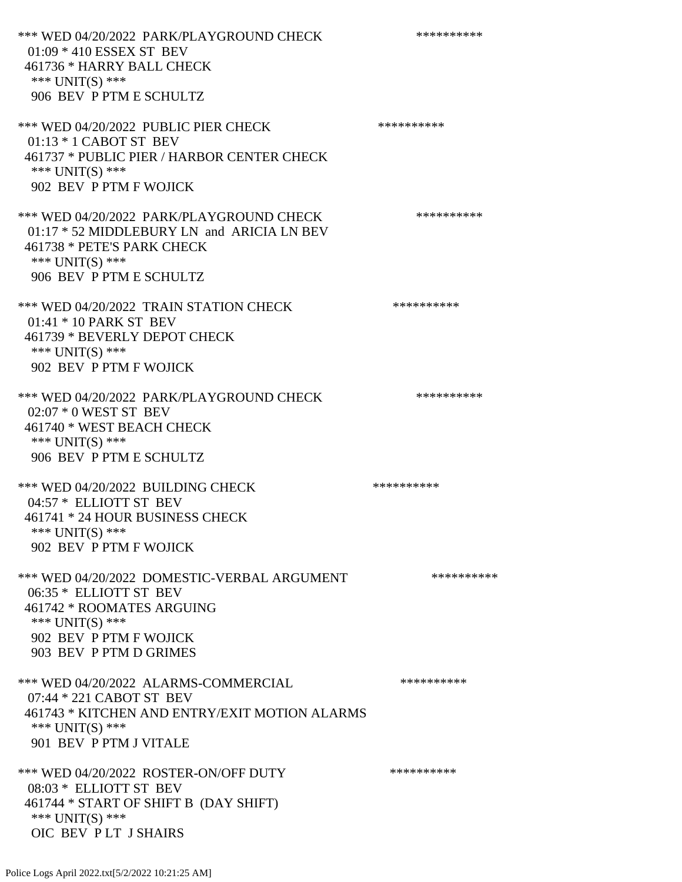\*\*\* WED 04/20/2022 PARK/PLAYGROUND CHECK \*\*\*\*\*\*\*\*\*\*\*\* 01:09 \* 410 ESSEX ST BEV 461736 \* HARRY BALL CHECK \*\*\* UNIT(S) \*\*\* 906 BEV P PTM E SCHULTZ \*\*\* WED 04/20/2022 PUBLIC PIER CHECK \*\*\*\*\*\*\*\*\*\*\*\* 01:13 \* 1 CABOT ST BEV 461737 \* PUBLIC PIER / HARBOR CENTER CHECK \*\*\* UNIT(S) \*\*\* 902 BEV P PTM F WOJICK \*\*\* WED 04/20/2022 PARK/PLAYGROUND CHECK \*\*\*\*\*\*\*\*\*\*\* 01:17 \* 52 MIDDLEBURY LN and ARICIA LN BEV 461738 \* PETE'S PARK CHECK \*\*\* UNIT(S) \*\*\* 906 BEV P PTM E SCHULTZ \*\*\* WED 04/20/2022 TRAIN STATION CHECK \*\*\*\*\*\*\*\*\*\*\*\* 01:41 \* 10 PARK ST BEV 461739 \* BEVERLY DEPOT CHECK \*\*\* UNIT(S) \*\*\* 902 BEV P PTM F WOJICK \*\*\* WED 04/20/2022 PARK/PLAYGROUND CHECK \*\*\*\*\*\*\*\*\*\*\* 02:07 \* 0 WEST ST BEV 461740 \* WEST BEACH CHECK \*\*\* UNIT(S) \*\*\* 906 BEV P PTM E SCHULTZ \*\*\* WED 04/20/2022 BUILDING CHECK \*\*\*\*\*\*\*\*\*\*\*\* 04:57 \* ELLIOTT ST BEV 461741 \* 24 HOUR BUSINESS CHECK \*\*\* UNIT(S) \*\*\* 902 BEV P PTM F WOJICK \*\*\* WED 04/20/2022 DOMESTIC-VERBAL ARGUMENT \*\*\*\*\*\*\*\*\*\*\*\* 06:35 \* ELLIOTT ST BEV 461742 \* ROOMATES ARGUING \*\*\* UNIT(S) \*\*\* 902 BEV P PTM F WOJICK 903 BEV P PTM D GRIMES \*\*\* WED 04/20/2022 ALARMS-COMMERCIAL \*\*\*\*\*\*\*\*\*\* 07:44 \* 221 CABOT ST BEV 461743 \* KITCHEN AND ENTRY/EXIT MOTION ALARMS \*\*\* UNIT(S) \*\*\* 901 BEV P PTM J VITALE \*\*\* WED 04/20/2022 ROSTER-ON/OFF DUTY \*\*\*\*\*\*\*\*\*\* 08:03 \* ELLIOTT ST BEV 461744 \* START OF SHIFT B (DAY SHIFT) \*\*\* UNIT(S) \*\*\*

OIC BEV P LT J SHAIRS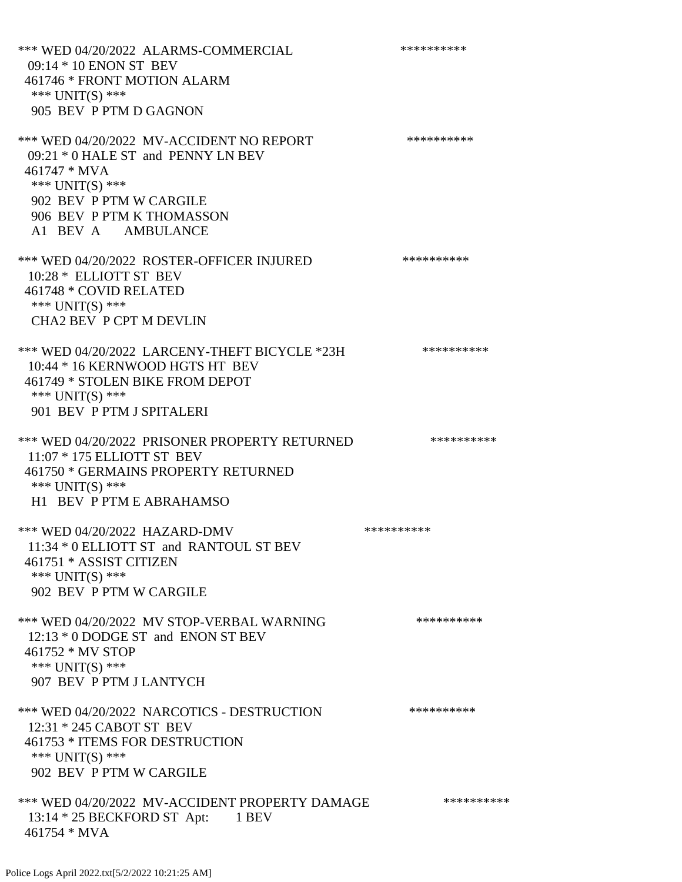\*\*\* WED 04/20/2022 ALARMS-COMMERCIAL \*\*\*\*\*\*\*\*\*\* 09:14 \* 10 ENON ST BEV 461746 \* FRONT MOTION ALARM \*\*\* UNIT(S) \*\*\* 905 BEV P PTM D GAGNON \*\*\* WED 04/20/2022 MV-ACCIDENT NO REPORT \*\*\*\*\*\*\*\*\*\*\*\* 09:21 \* 0 HALE ST and PENNY LN BEV 461747 \* MVA \*\*\* UNIT(S) \*\*\* 902 BEV P PTM W CARGILE 906 BEV P PTM K THOMASSON A1 BEV A AMBULANCE \*\*\* WED 04/20/2022 ROSTER-OFFICER INJURED \*\*\*\*\*\*\*\*\*\* 10:28 \* ELLIOTT ST BEV 461748 \* COVID RELATED \*\*\* UNIT(S) \*\*\* CHA2 BEV P CPT M DEVLIN \*\*\* WED 04/20/2022 LARCENY-THEFT BICYCLE \*23H \*\*\*\*\*\*\*\*\*\*\* 10:44 \* 16 KERNWOOD HGTS HT BEV 461749 \* STOLEN BIKE FROM DEPOT \*\*\* UNIT(S) \*\*\* 901 BEV P PTM J SPITALERI \*\*\* WED 04/20/2022 PRISONER PROPERTY RETURNED \*\*\*\*\*\*\*\*\*\* 11:07 \* 175 ELLIOTT ST BEV 461750 \* GERMAINS PROPERTY RETURNED \*\*\* UNIT(S) \*\*\* H1 BEV P PTM E ABRAHAMSO \*\*\* WED 04/20/2022 HAZARD-DMV \*\*\*\*\*\*\*\*\*\* 11:34 \* 0 ELLIOTT ST and RANTOUL ST BEV 461751 \* ASSIST CITIZEN \*\*\* UNIT(S) \*\*\* 902 BEV P PTM W CARGILE \*\*\* WED 04/20/2022 MV STOP-VERBAL WARNING \*\*\*\*\*\*\*\*\*\*\*\* 12:13 \* 0 DODGE ST and ENON ST BEV 461752 \* MV STOP \*\*\* UNIT(S) \*\*\* 907 BEV P PTM J LANTYCH \*\*\* WED 04/20/2022 NARCOTICS - DESTRUCTION \*\*\*\*\*\*\*\*\*\* 12:31 \* 245 CABOT ST BEV 461753 \* ITEMS FOR DESTRUCTION \*\*\* UNIT(S) \*\*\* 902 BEV P PTM W CARGILE \*\*\* WED 04/20/2022 MV-ACCIDENT PROPERTY DAMAGE \*\*\*\*\*\*\*\*\*\*\*\* 13:14 \* 25 BECKFORD ST Apt: 1 BEV 461754 \* MVA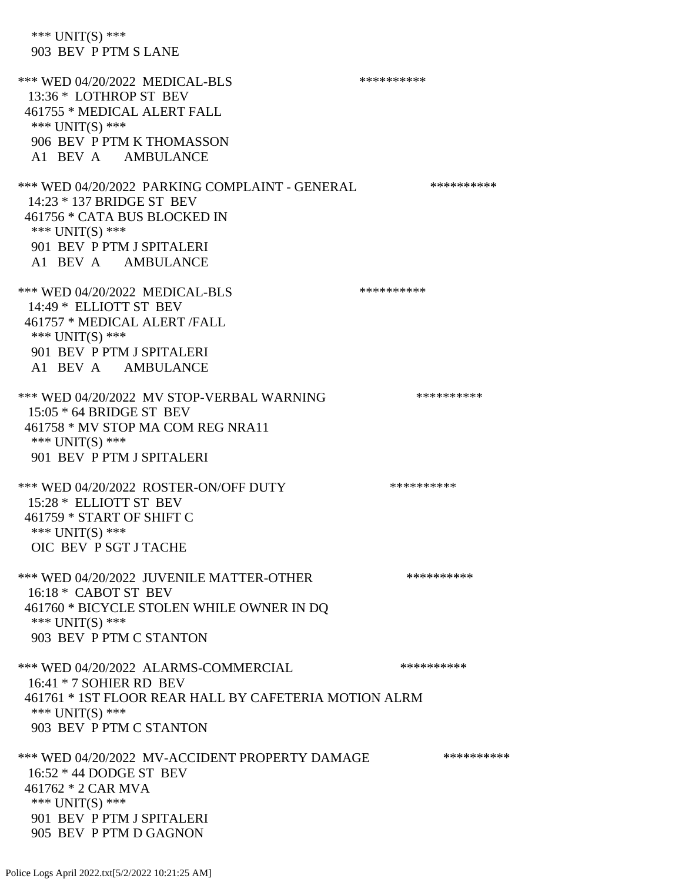\*\*\* UNIT(S) \*\*\* 903 BEV P PTM S LANE \*\*\* WED 04/20/2022 MEDICAL-BLS \*\*\*\*\*\*\*\*\*\*\*\* 13:36 \* LOTHROP ST BEV 461755 \* MEDICAL ALERT FALL \*\*\* UNIT(S) \*\*\* 906 BEV P PTM K THOMASSON A1 BEV A AMBULANCE \*\*\* WED 04/20/2022 PARKING COMPLAINT - GENERAL \*\*\*\*\*\*\*\*\*\* 14:23 \* 137 BRIDGE ST BEV 461756 \* CATA BUS BLOCKED IN \*\*\* UNIT(S) \*\*\* 901 BEV P PTM J SPITALERI A1 BEV A AMBULANCE \*\*\* WED 04/20/2022 MEDICAL-BLS \*\*\*\*\*\*\*\*\*\* 14:49 \* ELLIOTT ST BEV 461757 \* MEDICAL ALERT /FALL \*\*\* UNIT(S) \*\*\* 901 BEV P PTM J SPITALERI A1 BEV A AMBULANCE \*\*\* WED 04/20/2022 MV STOP-VERBAL WARNING \*\*\*\*\*\*\*\*\*\*\*\* 15:05 \* 64 BRIDGE ST BEV 461758 \* MV STOP MA COM REG NRA11 \*\*\* UNIT(S) \*\*\* 901 BEV P PTM J SPITALERI \*\*\* WED 04/20/2022 ROSTER-ON/OFF DUTY \*\*\*\*\*\*\*\*\*\* 15:28 \* ELLIOTT ST BEV 461759 \* START OF SHIFT C \*\*\* UNIT(S) \*\*\* OIC BEV P SGT J TACHE \*\*\* WED 04/20/2022 JUVENILE MATTER-OTHER \*\*\*\*\*\*\*\*\*\*\*\* 16:18 \* CABOT ST BEV 461760 \* BICYCLE STOLEN WHILE OWNER IN DQ \*\*\* UNIT(S) \*\*\* 903 BEV P PTM C STANTON \*\*\* WED 04/20/2022 ALARMS-COMMERCIAL \*\*\*\*\*\*\*\*\*\* 16:41 \* 7 SOHIER RD BEV 461761 \* 1ST FLOOR REAR HALL BY CAFETERIA MOTION ALRM \*\*\* UNIT(S) \*\*\* 903 BEV P PTM C STANTON \*\*\* WED 04/20/2022 MV-ACCIDENT PROPERTY DAMAGE \*\*\*\*\*\*\*\*\*\*\*\* 16:52 \* 44 DODGE ST BEV 461762 \* 2 CAR MVA \*\*\* UNIT(S) \*\*\* 901 BEV P PTM J SPITALERI 905 BEV P PTM D GAGNON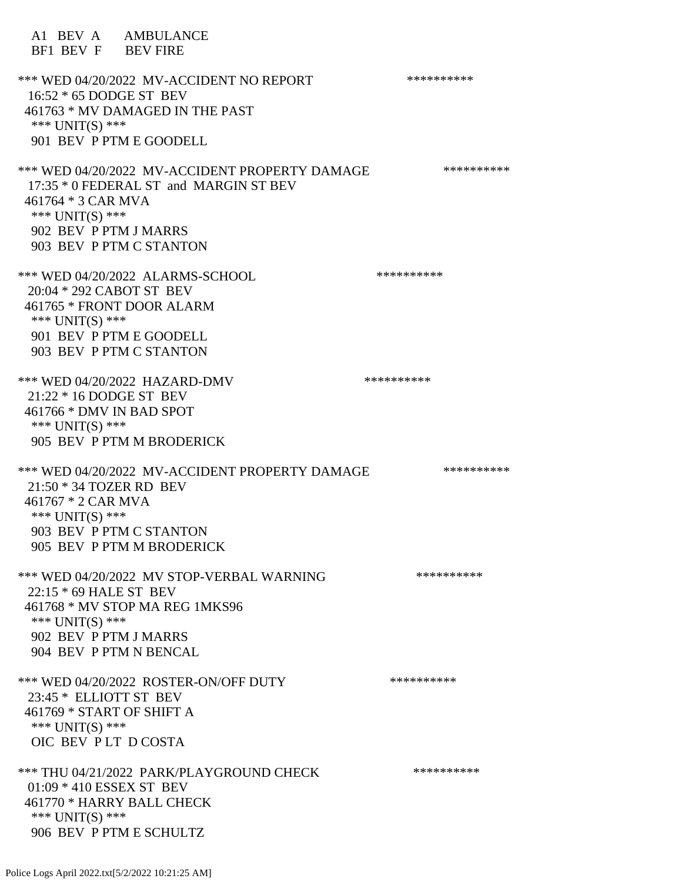A1 BEV A AMBULANCE BF1 BEV F BEV FIRE \*\*\* WED 04/20/2022 MV-ACCIDENT NO REPORT \*\*\*\*\*\*\*\*\*\*\*\* 16:52 \* 65 DODGE ST BEV 461763 \* MV DAMAGED IN THE PAST \*\*\* UNIT(S) \*\*\* 901 BEV P PTM E GOODELL \*\*\* WED 04/20/2022 MV-ACCIDENT PROPERTY DAMAGE \*\*\*\*\*\*\*\*\*\*\*\*\* 17:35 \* 0 FEDERAL ST and MARGIN ST BEV 461764 \* 3 CAR MVA \*\*\* UNIT(S) \*\*\* 902 BEV P PTM J MARRS 903 BEV P PTM C STANTON \*\*\* WED 04/20/2022 ALARMS-SCHOOL \*\*\*\*\*\*\*\*\*\*\*\*\* 20:04 \* 292 CABOT ST BEV 461765 \* FRONT DOOR ALARM \*\*\* UNIT(S) \*\*\* 901 BEV P PTM E GOODELL 903 BEV P PTM C STANTON \*\*\* WED 04/20/2022 HAZARD-DMV \*\*\*\*\*\*\*\*\*\*\*\* 21:22 \* 16 DODGE ST BEV 461766 \* DMV IN BAD SPOT \*\*\* UNIT(S) \*\*\* 905 BEV P PTM M BRODERICK \*\*\* WED 04/20/2022 MV-ACCIDENT PROPERTY DAMAGE \*\*\*\*\*\*\*\*\*\*\* 21:50 \* 34 TOZER RD BEV 461767 \* 2 CAR MVA \*\*\* UNIT(S) \*\*\* 903 BEV P PTM C STANTON 905 BEV P PTM M BRODERICK \*\*\* WED 04/20/2022 MV STOP-VERBAL WARNING \*\*\*\*\*\*\*\*\*\*\*\* 22:15 \* 69 HALE ST BEV 461768 \* MV STOP MA REG 1MKS96 \*\*\* UNIT(S) \*\*\* 902 BEV P PTM J MARRS 904 BEV P PTM N BENCAL \*\*\* WED 04/20/2022 ROSTER-ON/OFF DUTY \*\*\*\*\*\*\*\*\*\* 23:45 \* ELLIOTT ST BEV 461769 \* START OF SHIFT A \*\*\* UNIT(S) \*\*\* OIC BEV P LT D COSTA \*\*\* THU 04/21/2022 PARK/PLAYGROUND CHECK \*\*\*\*\*\*\*\*\*\*\*\* 01:09 \* 410 ESSEX ST BEV 461770 \* HARRY BALL CHECK \*\*\* UNIT(S) \*\*\* 906 BEV P PTM E SCHULTZ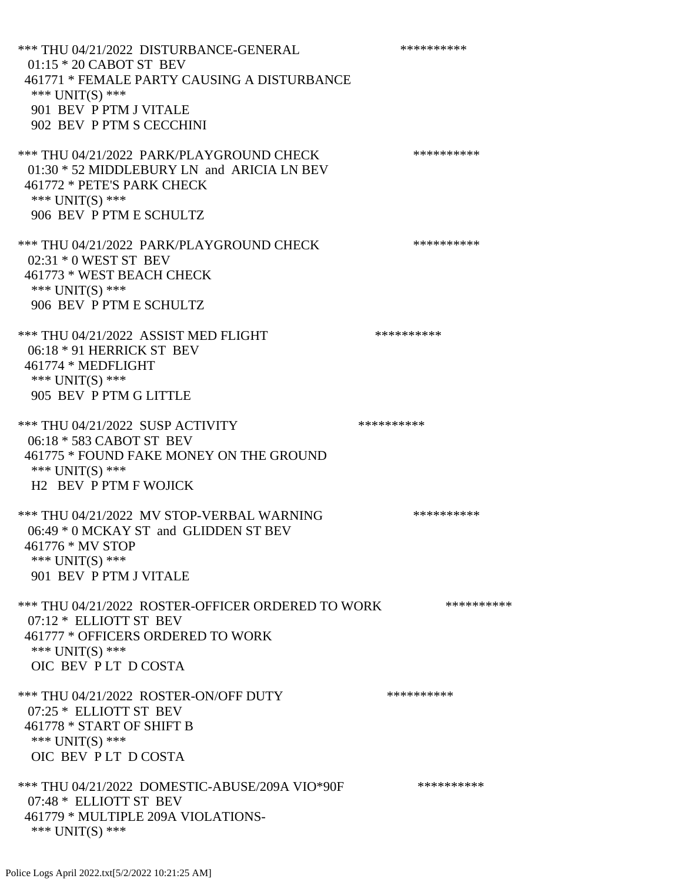\*\*\* THU 04/21/2022 DISTURBANCE-GENERAL \*\*\*\*\*\*\*\*\*\* 01:15 \* 20 CABOT ST BEV 461771 \* FEMALE PARTY CAUSING A DISTURBANCE \*\*\* UNIT(S) \*\*\* 901 BEV P PTM J VITALE 902 BEV P PTM S CECCHINI \*\*\* THU 04/21/2022 PARK/PLAYGROUND CHECK \*\*\*\*\*\*\*\*\*\*\*\* 01:30 \* 52 MIDDLEBURY LN and ARICIA LN BEV 461772 \* PETE'S PARK CHECK \*\*\* UNIT(S) \*\*\* 906 BEV P PTM E SCHULTZ \*\*\* THU 04/21/2022 PARK/PLAYGROUND CHECK \*\*\*\*\*\*\*\*\*\*\*\* 02:31 \* 0 WEST ST BEV 461773 \* WEST BEACH CHECK \*\*\* UNIT(S) \*\*\* 906 BEV P PTM E SCHULTZ \*\*\* THU 04/21/2022 ASSIST MED FLIGHT \*\*\*\*\*\*\*\*\*\*\*\*\*\*\* 06:18 \* 91 HERRICK ST BEV 461774 \* MEDFLIGHT \*\*\* UNIT(S) \*\*\* 905 BEV P PTM G LITTLE \*\*\* THU 04/21/2022 SUSP ACTIVITY \*\*\*\*\*\*\*\*\*\*\*\* 06:18 \* 583 CABOT ST BEV 461775 \* FOUND FAKE MONEY ON THE GROUND \*\*\* UNIT(S) \*\*\* H2 BEV P PTM F WOJICK \*\*\* THU 04/21/2022 MV STOP-VERBAL WARNING \*\*\*\*\*\*\*\*\*\*\*\*\* 06:49 \* 0 MCKAY ST and GLIDDEN ST BEV 461776 \* MV STOP \*\*\* UNIT(S) \*\*\* 901 BEV P PTM J VITALE \*\*\* THU 04/21/2022 ROSTER-OFFICER ORDERED TO WORK \*\*\*\*\*\*\*\*\*\*\* 07:12 \* ELLIOTT ST BEV 461777 \* OFFICERS ORDERED TO WORK \*\*\* UNIT(S) \*\*\* OIC BEV P LT D COSTA \*\*\* THU 04/21/2022 ROSTER-ON/OFF DUTY \*\*\*\*\*\*\*\*\*\* 07:25 \* ELLIOTT ST BEV 461778 \* START OF SHIFT B \*\*\* UNIT(S) \*\*\* OIC BEV P LT D COSTA \*\*\* THU 04/21/2022 DOMESTIC-ABUSE/209A VIO\*90F \*\*\*\*\*\*\*\*\*\* 07:48 \* ELLIOTT ST BEV 461779 \* MULTIPLE 209A VIOLATIONS- \*\*\* UNIT(S) \*\*\*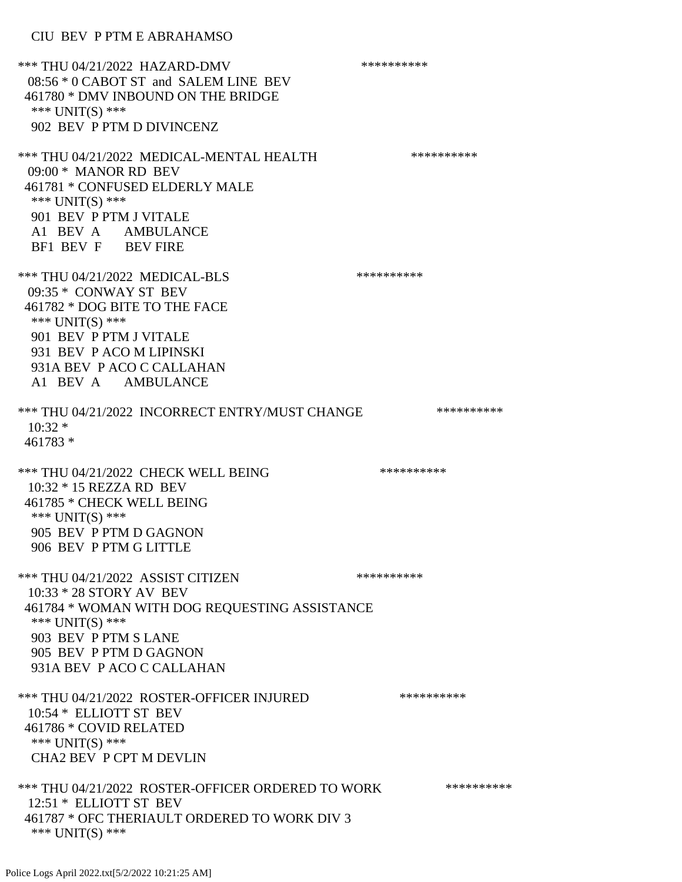## CIU BEV P PTM E ABRAHAMSO

\*\*\* THU 04/21/2022 HAZARD-DMV \*\*\*\*\*\*\*\*\*\* 08:56 \* 0 CABOT ST and SALEM LINE BEV 461780 \* DMV INBOUND ON THE BRIDGE \*\*\* UNIT(S) \*\*\* 902 BEV P PTM D DIVINCENZ \*\*\* THU 04/21/2022 MEDICAL-MENTAL HEALTH \*\*\*\*\*\*\*\*\*\* 09:00 \* MANOR RD BEV 461781 \* CONFUSED ELDERLY MALE \*\*\* UNIT(S) \*\*\* 901 BEV P PTM J VITALE A1 BEV A AMBULANCE BF1 BEV F BEV FIRE \*\*\* THU 04/21/2022 MEDICAL-BLS \*\*\*\*\*\*\*\*\*\* 09:35 \* CONWAY ST BEV 461782 \* DOG BITE TO THE FACE \*\*\* UNIT(S) \*\*\* 901 BEV P PTM J VITALE 931 BEV P ACO M LIPINSKI 931A BEV P ACO C CALLAHAN A1 BEV A AMBULANCE \*\*\* THU 04/21/2022 INCORRECT ENTRY/MUST CHANGE \*\*\*\*\*\*\*\*\*\*  $10:32$  \* 461783 \* \*\*\* THU 04/21/2022 CHECK WELL BEING \*\*\*\*\*\*\*\*\*\*\*\* 10:32 \* 15 REZZA RD BEV 461785 \* CHECK WELL BEING \*\*\* UNIT(S) \*\*\* 905 BEV P PTM D GAGNON 906 BEV P PTM G LITTLE \*\*\* THU 04/21/2022 ASSIST CITIZEN \*\*\*\*\*\*\*\*\*\*\* 10:33 \* 28 STORY AV BEV 461784 \* WOMAN WITH DOG REQUESTING ASSISTANCE \*\*\* UNIT(S) \*\*\* 903 BEV P PTM S LANE 905 BEV P PTM D GAGNON 931A BEV P ACO C CALLAHAN \*\*\* THU 04/21/2022 ROSTER-OFFICER INJURED \*\*\*\*\*\*\*\*\*\* 10:54 \* ELLIOTT ST BEV 461786 \* COVID RELATED \*\*\* UNIT(S) \*\*\* CHA2 BEV P CPT M DEVLIN \*\*\* THU 04/21/2022 ROSTER-OFFICER ORDERED TO WORK \*\*\*\*\*\*\*\*\*\*\*\* 12:51 \* ELLIOTT ST BEV 461787 \* OFC THERIAULT ORDERED TO WORK DIV 3 \*\*\* UNIT(S) \*\*\*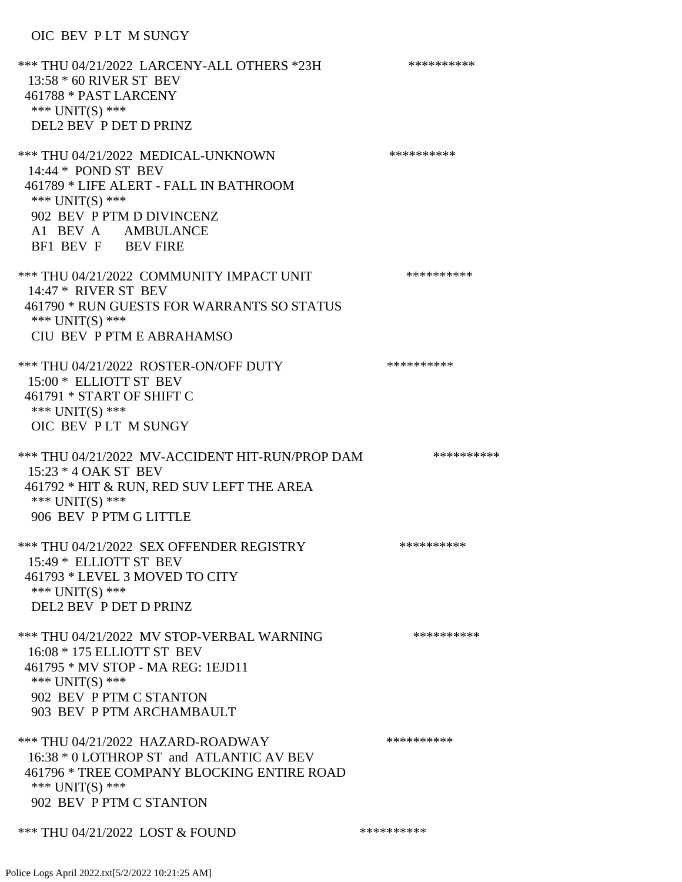## OIC BEV P LT M SUNGY

\*\*\* THU 04/21/2022 LARCENY-ALL OTHERS \*23H \*\*\*\*\*\*\*\*\*\* 13:58 \* 60 RIVER ST BEV 461788 \* PAST LARCENY \*\*\* UNIT(S) \*\*\* DEL2 BEV P DET D PRINZ \*\*\* THU 04/21/2022 MEDICAL-UNKNOWN \*\*\*\*\*\*\*\*\*\* 14:44 \* POND ST BEV 461789 \* LIFE ALERT - FALL IN BATHROOM \*\*\* UNIT(S) \*\*\* 902 BEV P PTM D DIVINCENZ A1 BEV A AMBULANCE BF1 BEV F BEV FIRE \*\*\* THU 04/21/2022 COMMUNITY IMPACT UNIT \*\*\*\*\*\*\*\*\*\*\*\*\* 14:47 \* RIVER ST BEV 461790 \* RUN GUESTS FOR WARRANTS SO STATUS \*\*\* UNIT(S) \*\*\* CIU BEV P PTM E ABRAHAMSO \*\*\* THU 04/21/2022 ROSTER-ON/OFF DUTY \*\*\*\*\*\*\*\*\*\* 15:00 \* ELLIOTT ST BEV 461791 \* START OF SHIFT C \*\*\* UNIT(S) \*\*\* OIC BEV P LT M SUNGY \*\*\* THU 04/21/2022 MV-ACCIDENT HIT-RUN/PROP DAM \*\*\*\*\*\*\*\*\*\* 15:23 \* 4 OAK ST BEV 461792 \* HIT & RUN, RED SUV LEFT THE AREA \*\*\* UNIT(S) \*\*\* 906 BEV P PTM G LITTLE \*\*\* THU 04/21/2022 SEX OFFENDER REGISTRY \*\*\*\*\*\*\*\*\*\*\*\*\* 15:49 \* ELLIOTT ST BEV 461793 \* LEVEL 3 MOVED TO CITY \*\*\* UNIT(S) \*\*\* DEL2 BEV P DET D PRINZ \*\*\* THU 04/21/2022 MV STOP-VERBAL WARNING \*\*\*\*\*\*\*\*\*\*\*\*\* 16:08 \* 175 ELLIOTT ST BEV 461795 \* MV STOP - MA REG: 1EJD11 \*\*\* UNIT(S) \*\*\* 902 BEV P PTM C STANTON 903 BEV P PTM ARCHAMBAULT \*\*\* THU 04/21/2022 HAZARD-ROADWAY \*\*\*\*\*\*\*\*\*\* 16:38 \* 0 LOTHROP ST and ATLANTIC AV BEV 461796 \* TREE COMPANY BLOCKING ENTIRE ROAD \*\*\* UNIT(S) \*\*\* 902 BEV P PTM C STANTON \*\*\* THU 04/21/2022 LOST & FOUND \*\*\*\*\*\*\*\*\*\*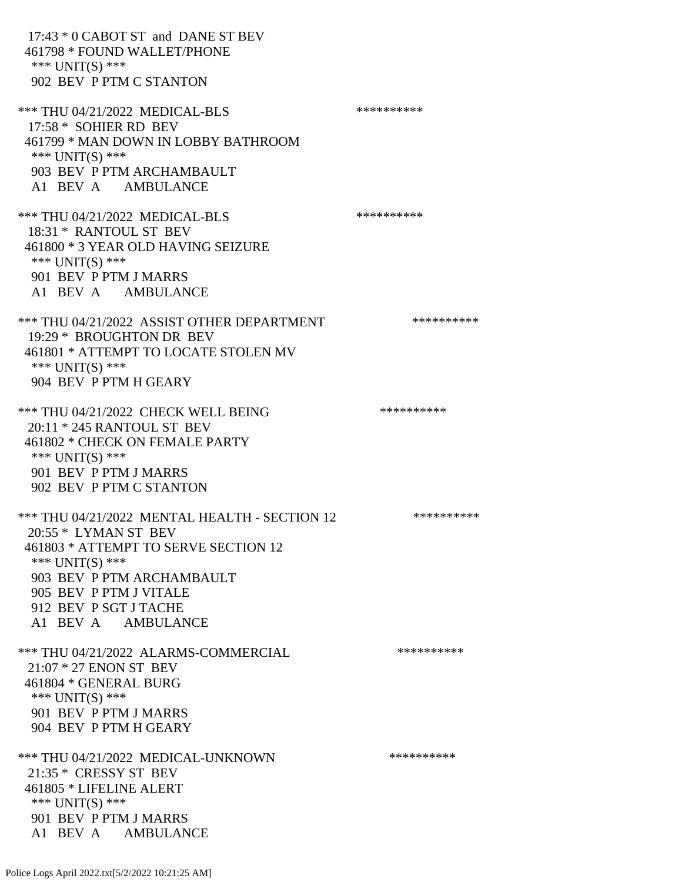17:43 \* 0 CABOT ST and DANE ST BEV 461798 \* FOUND WALLET/PHONE \*\*\* UNIT(S) \*\*\* 902 BEV P PTM C STANTON \*\*\* THU 04/21/2022 MEDICAL-BLS \*\*\*\*\*\*\*\*\*\* 17:58 \* SOHIER RD BEV 461799 \* MAN DOWN IN LOBBY BATHROOM \*\*\* UNIT(S) \*\*\* 903 BEV P PTM ARCHAMBAULT A1 BEV A AMBULANCE \*\*\* THU 04/21/2022 MEDICAL-BLS \*\*\*\*\*\*\*\*\*\*\*\*\* 18:31 \* RANTOUL ST BEV 461800 \* 3 YEAR OLD HAVING SEIZURE \*\*\* UNIT(S) \*\*\* 901 BEV P PTM J MARRS A1 BEV A AMBULANCE \*\*\* THU 04/21/2022 ASSIST OTHER DEPARTMENT \*\*\*\*\*\*\*\*\*\*\*\*\*\* 19:29 \* BROUGHTON DR BEV 461801 \* ATTEMPT TO LOCATE STOLEN MV \*\*\* UNIT(S) \*\*\* 904 BEV P PTM H GEARY \*\*\* THU 04/21/2022 CHECK WELL BEING \*\*\*\*\*\*\*\*\*\* 20:11 \* 245 RANTOUL ST BEV 461802 \* CHECK ON FEMALE PARTY \*\*\* UNIT(S) \*\*\* 901 BEV P PTM J MARRS 902 BEV P PTM C STANTON \*\*\* THU 04/21/2022 MENTAL HEALTH - SECTION 12 \*\*\*\*\*\*\*\*\*\* 20:55 \* LYMAN ST BEV 461803 \* ATTEMPT TO SERVE SECTION 12 \*\*\* UNIT(S) \*\*\* 903 BEV P PTM ARCHAMBAULT 905 BEV P PTM J VITALE 912 BEV P SGT J TACHE A1 BEV A AMBULANCE \*\*\* THU 04/21/2022 ALARMS-COMMERCIAL \*\*\*\*\*\*\*\*\*\* 21:07 \* 27 ENON ST BEV 461804 \* GENERAL BURG \*\*\* UNIT(S) \*\*\* 901 BEV P PTM J MARRS 904 BEV P PTM H GEARY \*\*\* THU 04/21/2022 MEDICAL-UNKNOWN \*\*\*\*\*\*\*\*\*\* 21:35 \* CRESSY ST BEV 461805 \* LIFELINE ALERT \*\*\* UNIT(S) \*\*\* 901 BEV P PTM J MARRS A1 BEV A AMBULANCE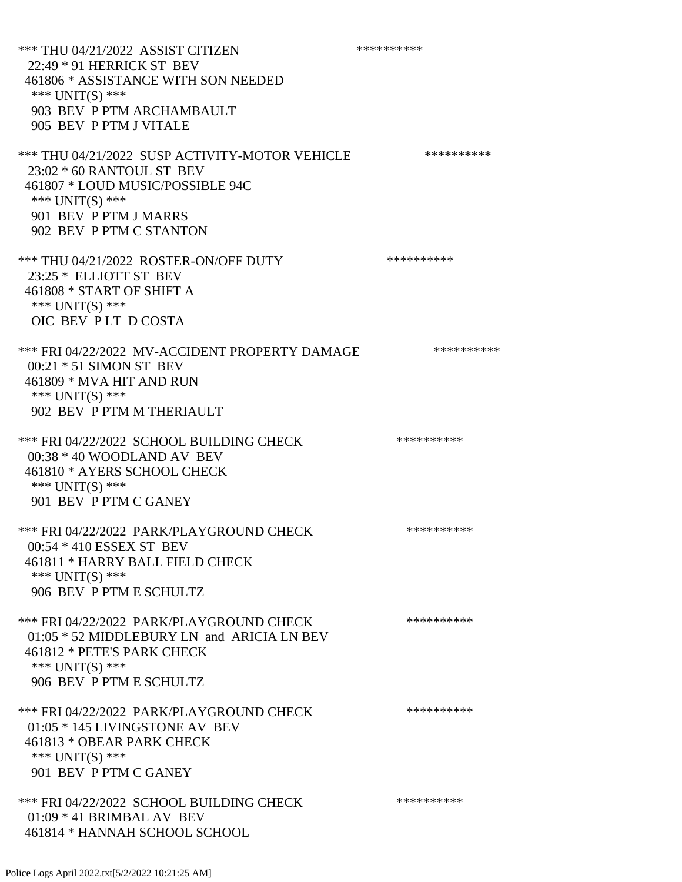\*\*\* THU 04/21/2022 ASSIST CITIZEN \*\*\*\*\*\*\*\*\*\* 22:49 \* 91 HERRICK ST BEV 461806 \* ASSISTANCE WITH SON NEEDED \*\*\* UNIT(S) \*\*\* 903 BEV P PTM ARCHAMBAULT 905 BEV P PTM J VITALE \*\*\* THU 04/21/2022 SUSP ACTIVITY-MOTOR VEHICLE \*\*\*\*\*\*\*\*\*\*\*\* 23:02 \* 60 RANTOUL ST BEV 461807 \* LOUD MUSIC/POSSIBLE 94C \*\*\* UNIT(S) \*\*\* 901 BEV P PTM J MARRS 902 BEV P PTM C STANTON \*\*\* THU 04/21/2022 ROSTER-ON/OFF DUTY \*\*\*\*\*\*\*\*\*\* 23:25 \* ELLIOTT ST BEV 461808 \* START OF SHIFT A \*\*\* UNIT(S) \*\*\* OIC BEV P LT D COSTA \*\*\* FRI 04/22/2022 MV-ACCIDENT PROPERTY DAMAGE \*\*\*\*\*\*\*\*\*\*\* 00:21 \* 51 SIMON ST BEV 461809 \* MVA HIT AND RUN \*\*\* UNIT(S) \*\*\* 902 BEV P PTM M THERIAULT \*\*\* FRI 04/22/2022 SCHOOL BUILDING CHECK \*\*\*\*\*\*\*\*\*\* 00:38 \* 40 WOODLAND AV BEV 461810 \* AYERS SCHOOL CHECK \*\*\* UNIT(S) \*\*\* 901 BEV P PTM C GANEY \*\*\* FRI 04/22/2022 PARK/PLAYGROUND CHECK \*\*\*\*\*\*\*\*\*\* 00:54 \* 410 ESSEX ST BEV 461811 \* HARRY BALL FIELD CHECK \*\*\* UNIT(S) \*\*\* 906 BEV P PTM E SCHULTZ \*\*\* FRI 04/22/2022 PARK/PLAYGROUND CHECK \*\*\*\*\*\*\*\*\*\* 01:05 \* 52 MIDDLEBURY LN and ARICIA LN BEV 461812 \* PETE'S PARK CHECK \*\*\* UNIT(S) \*\*\* 906 BEV P PTM E SCHULTZ \*\*\* FRI 04/22/2022 PARK/PLAYGROUND CHECK \*\*\*\*\*\*\*\*\*\*\*\* 01:05 \* 145 LIVINGSTONE AV BEV 461813 \* OBEAR PARK CHECK \*\*\* UNIT(S) \*\*\* 901 BEV P PTM C GANEY \*\*\* FRI 04/22/2022 SCHOOL BUILDING CHECK \*\*\*\*\*\*\*\*\*\* 01:09 \* 41 BRIMBAL AV BEV 461814 \* HANNAH SCHOOL SCHOOL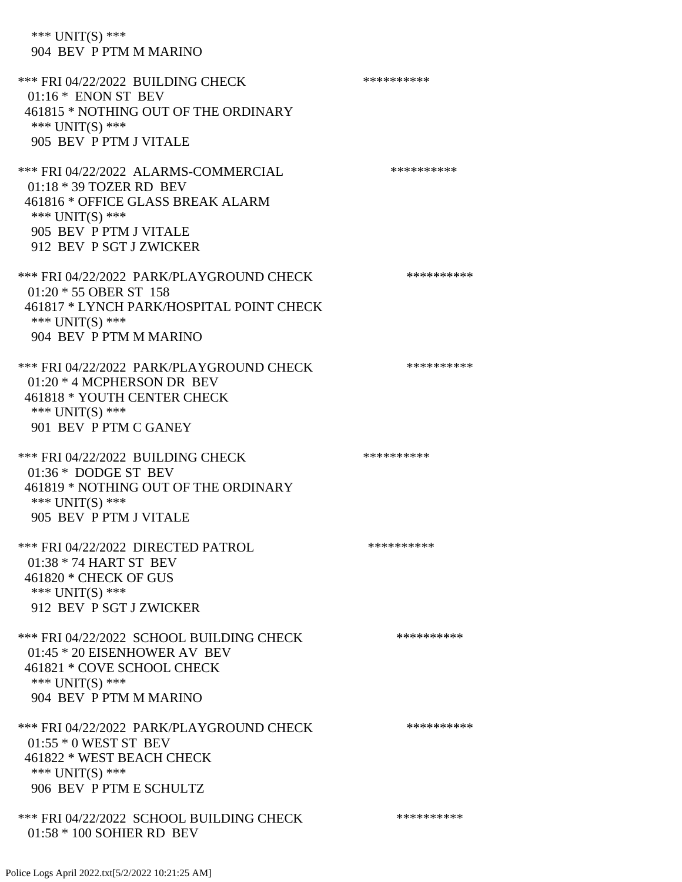\*\*\* UNIT(S) \*\*\* 904 BEV P PTM M MARINO \*\*\* FRI 04/22/2022 BUILDING CHECK \*\*\*\*\*\*\*\*\*\*\*\* 01:16 \* ENON ST BEV 461815 \* NOTHING OUT OF THE ORDINARY \*\*\* UNIT(S) \*\*\* 905 BEV P PTM J VITALE \*\*\* FRI 04/22/2022 ALARMS-COMMERCIAL \*\*\*\*\*\*\*\*\*\* 01:18 \* 39 TOZER RD BEV 461816 \* OFFICE GLASS BREAK ALARM \*\*\* UNIT(S) \*\*\* 905 BEV P PTM J VITALE 912 BEV P SGT J ZWICKER \*\*\* FRI 04/22/2022 PARK/PLAYGROUND CHECK \*\*\*\*\*\*\*\*\*\*\*\* 01:20 \* 55 OBER ST 158 461817 \* LYNCH PARK/HOSPITAL POINT CHECK \*\*\* UNIT(S) \*\*\* 904 BEV P PTM M MARINO \*\*\* FRI 04/22/2022 PARK/PLAYGROUND CHECK \*\*\*\*\*\*\*\*\*\*\*\* 01:20 \* 4 MCPHERSON DR BEV 461818 \* YOUTH CENTER CHECK \*\*\* UNIT(S) \*\*\* 901 BEV P PTM C GANEY \*\*\* FRI 04/22/2022 BUILDING CHECK \*\*\*\*\*\*\*\*\*\* 01:36 \* DODGE ST BEV 461819 \* NOTHING OUT OF THE ORDINARY \*\*\* UNIT(S) \*\*\* 905 BEV P PTM J VITALE \*\*\* FRI 04/22/2022 DIRECTED PATROL \*\*\*\*\*\*\*\*\*\* 01:38 \* 74 HART ST BEV 461820 \* CHECK OF GUS \*\*\* UNIT(S) \*\*\* 912 BEV P SGT J ZWICKER \*\*\* FRI 04/22/2022 SCHOOL BUILDING CHECK \*\*\*\*\*\*\*\*\*\*\* 01:45 \* 20 EISENHOWER AV BEV 461821 \* COVE SCHOOL CHECK \*\*\* UNIT(S) \*\*\* 904 BEV P PTM M MARINO \*\*\* FRI 04/22/2022 PARK/PLAYGROUND CHECK \*\*\*\*\*\*\*\*\*\* 01:55 \* 0 WEST ST BEV 461822 \* WEST BEACH CHECK \*\*\* UNIT(S) \*\*\*

\*\*\* FRI 04/22/2022 SCHOOL BUILDING CHECK \*\*\*\*\*\*\*\*\*\*

Police Logs April 2022.txt[5/2/2022 10:21:25 AM]

01:58 \* 100 SOHIER RD BEV

906 BEV P PTM E SCHULTZ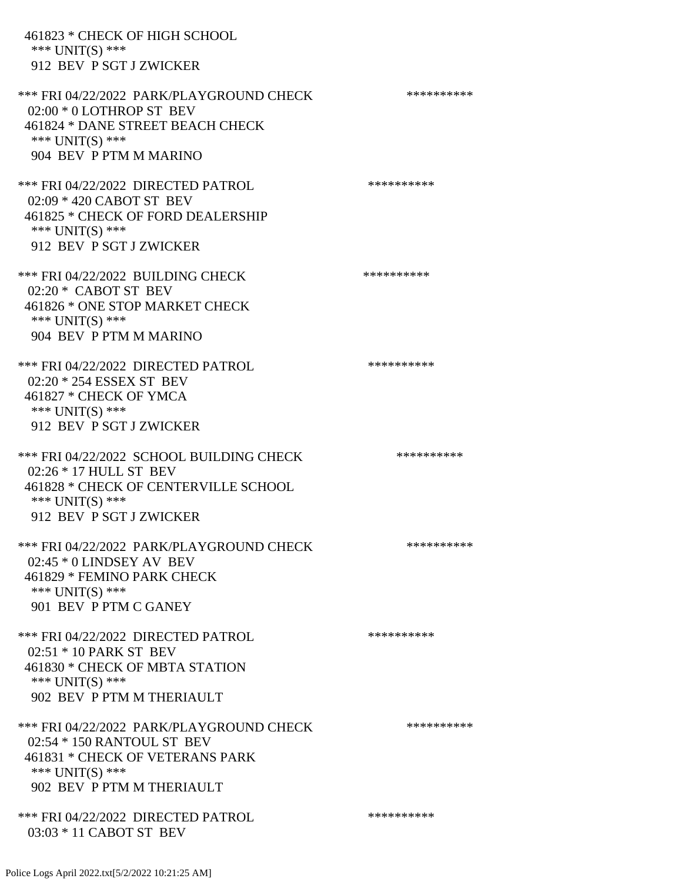461823 \* CHECK OF HIGH SCHOOL \*\*\* UNIT(S) \*\*\* 912 BEV P SGT J ZWICKER \*\*\* FRI 04/22/2022 PARK/PLAYGROUND CHECK \*\*\*\*\*\*\*\*\*\* 02:00 \* 0 LOTHROP ST BEV 461824 \* DANE STREET BEACH CHECK \*\*\* UNIT(S) \*\*\* 904 BEV P PTM M MARINO \*\*\* FRI 04/22/2022 DIRECTED PATROL \*\*\*\*\*\*\*\*\*\* 02:09 \* 420 CABOT ST BEV 461825 \* CHECK OF FORD DEALERSHIP \*\*\* UNIT(S) \*\*\* 912 BEV P SGT J ZWICKER \*\*\* FRI 04/22/2022 BUILDING CHECK \*\*\*\*\*\*\*\*\*\*\*\* 02:20 \* CABOT ST BEV 461826 \* ONE STOP MARKET CHECK \*\*\* UNIT(S) \*\*\* 904 BEV P PTM M MARINO \*\*\* FRI 04/22/2022 DIRECTED PATROL \*\*\*\*\*\*\*\*\*\* 02:20 \* 254 ESSEX ST BEV 461827 \* CHECK OF YMCA \*\*\* UNIT(S) \*\*\* 912 BEV P SGT J ZWICKER \*\*\* FRI 04/22/2022 SCHOOL BUILDING CHECK \*\*\*\*\*\*\*\*\*\* 02:26 \* 17 HULL ST BEV 461828 \* CHECK OF CENTERVILLE SCHOOL \*\*\* UNIT(S) \*\*\* 912 BEV P SGT J ZWICKER \*\*\* FRI 04/22/2022 PARK/PLAYGROUND CHECK \*\*\*\*\*\*\*\*\*\* 02:45 \* 0 LINDSEY AV BEV 461829 \* FEMINO PARK CHECK \*\*\* UNIT(S) \*\*\* 901 BEV P PTM C GANEY \*\*\* FRI 04/22/2022 DIRECTED PATROL \*\*\*\*\*\*\*\*\*\*\*\* 02:51 \* 10 PARK ST BEV 461830 \* CHECK OF MBTA STATION \*\*\* UNIT(S) \*\*\* 902 BEV P PTM M THERIAULT \*\*\* FRI 04/22/2022 PARK/PLAYGROUND CHECK \*\*\*\*\*\*\*\*\*\*\*\* 02:54 \* 150 RANTOUL ST BEV 461831 \* CHECK OF VETERANS PARK \*\*\* UNIT(S) \*\*\* 902 BEV P PTM M THERIAULT \*\*\* FRI 04/22/2022 DIRECTED PATROL \*\*\*\*\*\*\*\*\*\* 03:03 \* 11 CABOT ST BEV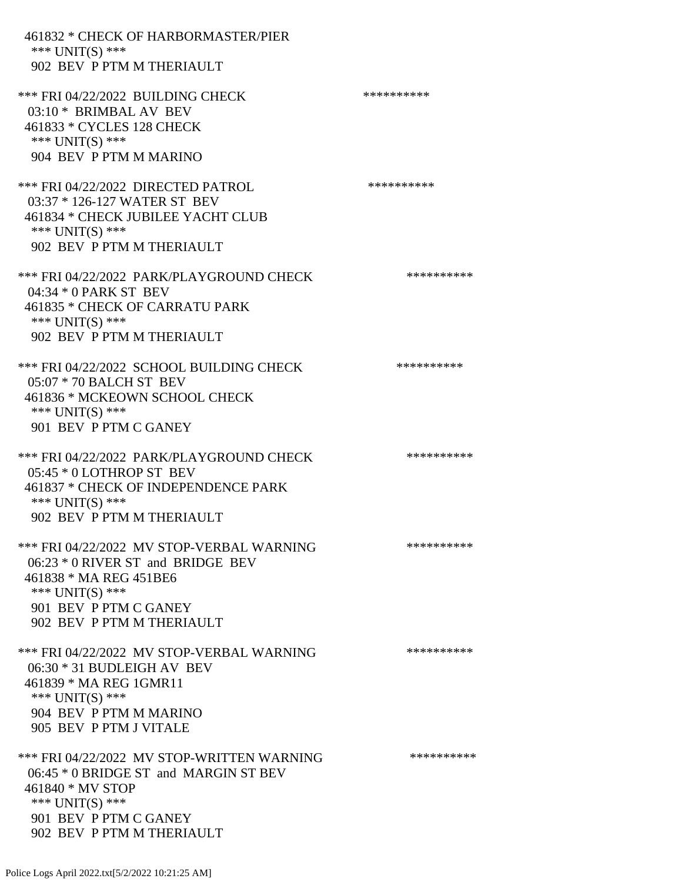| 461832 * CHECK OF HARBORMASTER/PIER<br>*** UNIT(S) ***<br>902 BEV P PTM M THERIAULT                                                                                                 |            |
|-------------------------------------------------------------------------------------------------------------------------------------------------------------------------------------|------------|
| *** FRI 04/22/2022 BUILDING CHECK<br>03:10 * BRIMBAL AV BEV<br>461833 * CYCLES 128 CHECK<br>*** $UNIT(S)$ ***<br>904 BEV P PTM M MARINO                                             | ********** |
| *** FRI 04/22/2022 DIRECTED PATROL<br>03:37 * 126-127 WATER ST BEV<br>461834 * CHECK JUBILEE YACHT CLUB<br>*** $UNIT(S)$ ***<br>902 BEV P PTM M THERIAULT                           | ********** |
| *** FRI 04/22/2022 PARK/PLAYGROUND CHECK<br>04:34 * 0 PARK ST BEV<br>461835 * CHECK OF CARRATU PARK<br>*** UNIT(S) ***<br>902 BEV P PTM M THERIAULT                                 | ********** |
| *** FRI 04/22/2022 SCHOOL BUILDING CHECK<br>05:07 * 70 BALCH ST BEV<br>461836 * MCKEOWN SCHOOL CHECK<br>*** UNIT(S) ***<br>901 BEV P PTM C GANEY                                    | ********** |
| *** FRI 04/22/2022 PARK/PLAYGROUND CHECK<br>05:45 * 0 LOTHROP ST BEV<br>461837 * CHECK OF INDEPENDENCE PARK<br>*** UNIT(S) ***<br>902 BEV P PTM M THERIAULT                         | ********** |
| *** FRI 04/22/2022 MV STOP-VERBAL WARNING<br>$06:23 * 0$ RIVER ST and BRIDGE BEV<br>461838 * MA REG 451BE6<br>*** UNIT(S) ***<br>901 BEV P PTM C GANEY<br>902 BEV P PTM M THERIAULT | ********** |
| *** FRI 04/22/2022 MV STOP-VERBAL WARNING<br>$06:30 * 31$ BUDLEIGH AV BEV<br>461839 * MA REG 1GMR11<br>*** UNIT(S) ***<br>904 BEV P PTM M MARINO<br>905 BEV P PTM J VITALE          | ********** |
| *** FRI 04/22/2022 MV STOP-WRITTEN WARNING<br>06:45 * 0 BRIDGE ST and MARGIN ST BEV<br>461840 * MV STOP<br>*** $UNIT(S)$ ***<br>901 BEV P PTM C GANEY<br>902 BEV P PTM M THERIAULT  | ********** |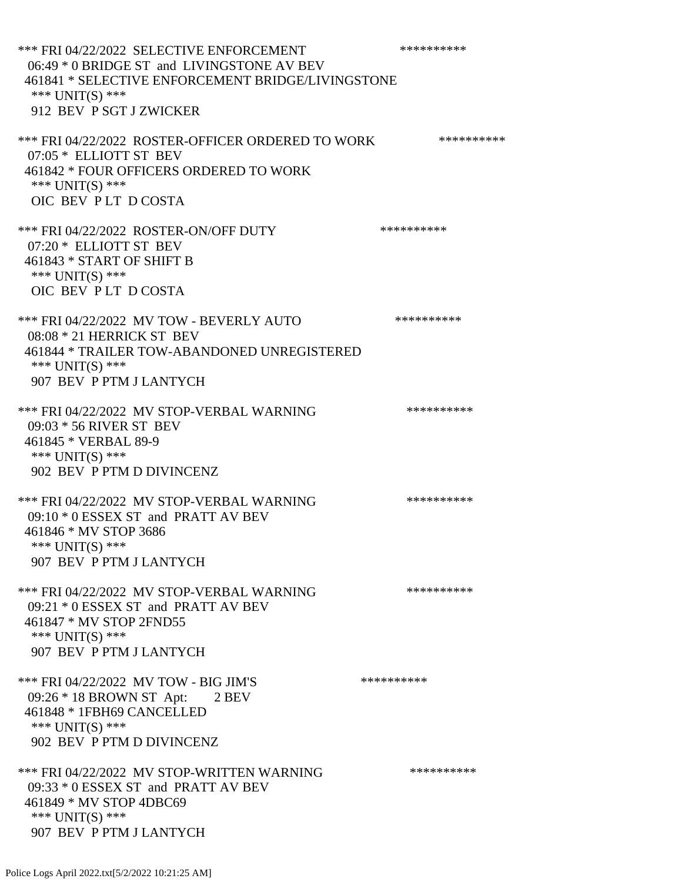\*\*\* FRI 04/22/2022 SELECTIVE ENFORCEMENT \*\*\*\*\*\*\*\*\*\*\*\* 06:49 \* 0 BRIDGE ST and LIVINGSTONE AV BEV 461841 \* SELECTIVE ENFORCEMENT BRIDGE/LIVINGSTONE \*\*\* UNIT(S) \*\*\* 912 BEV P SGT J ZWICKER \*\*\* FRI 04/22/2022 ROSTER-OFFICER ORDERED TO WORK \*\*\*\*\*\*\*\*\*\*\* 07:05 \* ELLIOTT ST BEV 461842 \* FOUR OFFICERS ORDERED TO WORK \*\*\* UNIT(S) \*\*\* OIC BEV P LT D COSTA \*\*\* FRI 04/22/2022 ROSTER-ON/OFF DUTY \*\*\*\*\*\*\*\*\*\* 07:20 \* ELLIOTT ST BEV 461843 \* START OF SHIFT B \*\*\* UNIT(S) \*\*\* OIC BEV P LT D COSTA \*\*\* FRI 04/22/2022 MV TOW - BEVERLY AUTO \*\*\*\*\*\*\*\*\*\*\*\* 08:08 \* 21 HERRICK ST BEV 461844 \* TRAILER TOW-ABANDONED UNREGISTERED \*\*\* UNIT(S) \*\*\* 907 BEV P PTM J LANTYCH \*\*\* FRI 04/22/2022 MV STOP-VERBAL WARNING \*\*\*\*\*\*\*\*\*\*\*\*\* 09:03 \* 56 RIVER ST BEV 461845 \* VERBAL 89-9 \*\*\* UNIT(S) \*\*\* 902 BEV P PTM D DIVINCENZ \*\*\* FRI 04/22/2022 MV STOP-VERBAL WARNING \*\*\*\*\*\*\*\*\*\*\*\* 09:10 \* 0 ESSEX ST and PRATT AV BEV 461846 \* MV STOP 3686 \*\*\* UNIT(S) \*\*\* 907 BEV P PTM J LANTYCH \*\*\* FRI 04/22/2022 MV STOP-VERBAL WARNING \*\*\*\*\*\*\*\*\*\*\*\*\* 09:21 \* 0 ESSEX ST and PRATT AV BEV 461847 \* MV STOP 2FND55 \*\*\* UNIT(S) \*\*\* 907 BEV P PTM J LANTYCH \*\*\* FRI 04/22/2022 MV TOW - BIG JIM'S \*\*\*\*\*\*\*\*\*\*\*\* 09:26 \* 18 BROWN ST Apt: 2 BEV 461848 \* 1FBH69 CANCELLED \*\*\* UNIT(S) \*\*\* 902 BEV P PTM D DIVINCENZ \*\*\* FRI 04/22/2022 MV STOP-WRITTEN WARNING \*\*\*\*\*\*\*\*\*\*\*\* 09:33 \* 0 ESSEX ST and PRATT AV BEV 461849 \* MV STOP 4DBC69 \*\*\* UNIT(S) \*\*\* 907 BEV P PTM J LANTYCH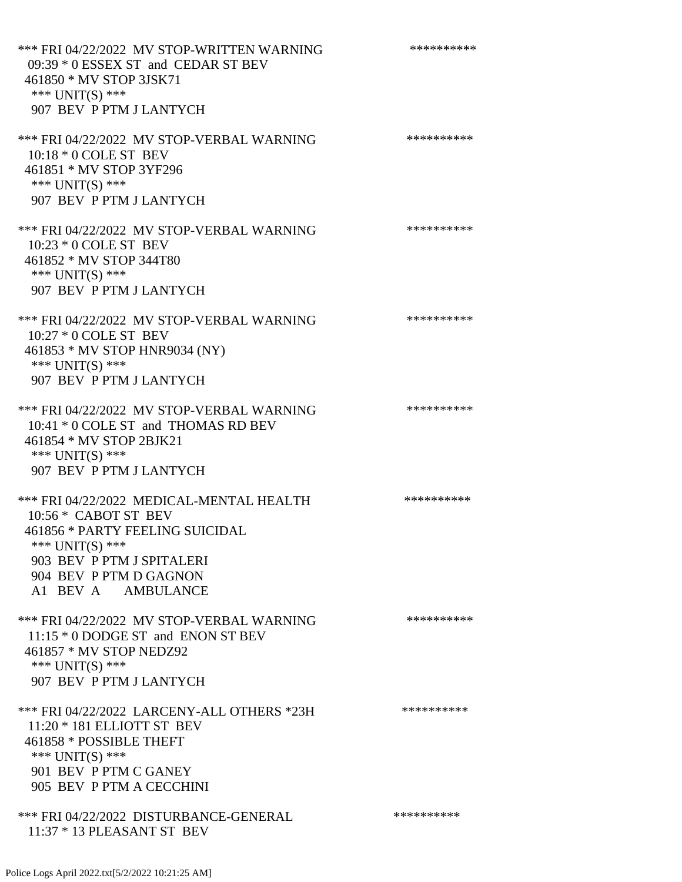\*\*\* FRI 04/22/2022 MV STOP-WRITTEN WARNING \*\*\*\*\*\*\*\*\*\*\*\* 09:39 \* 0 ESSEX ST and CEDAR ST BEV 461850 \* MV STOP 3JSK71 \*\*\* UNIT(S) \*\*\* 907 BEV P PTM J LANTYCH \*\*\* FRI 04/22/2022 MV STOP-VERBAL WARNING \*\*\*\*\*\*\*\*\*\*\*\* 10:18 \* 0 COLE ST BEV 461851 \* MV STOP 3YF296 \*\*\* UNIT(S) \*\*\* 907 BEV P PTM J LANTYCH \*\*\* FRI 04/22/2022 MV STOP-VERBAL WARNING \*\*\*\*\*\*\*\*\*\*\*\* 10:23 \* 0 COLE ST BEV 461852 \* MV STOP 344T80 \*\*\* UNIT(S) \*\*\* 907 BEV P PTM J LANTYCH \*\*\* FRI 04/22/2022 MV STOP-VERBAL WARNING \*\*\*\*\*\*\*\*\*\*\*\* 10:27 \* 0 COLE ST BEV 461853 \* MV STOP HNR9034 (NY) \*\*\* UNIT(S) \*\*\* 907 BEV P PTM J LANTYCH \*\*\* FRI 04/22/2022 MV STOP-VERBAL WARNING \*\*\*\*\*\*\*\*\*\*\*\* 10:41 \* 0 COLE ST and THOMAS RD BEV 461854 \* MV STOP 2BJK21 \*\*\* UNIT(S) \*\*\* 907 BEV P PTM J LANTYCH \*\*\* FRI 04/22/2022 MEDICAL-MENTAL HEALTH \*\*\*\*\*\*\*\*\*\* 10:56 \* CABOT ST BEV 461856 \* PARTY FEELING SUICIDAL \*\*\* UNIT(S) \*\*\* 903 BEV P PTM J SPITALERI 904 BEV P PTM D GAGNON A1 BEV A AMBULANCE \*\*\* FRI 04/22/2022 MV STOP-VERBAL WARNING \*\*\*\*\*\*\*\*\*\*\*\*\* 11:15 \* 0 DODGE ST and ENON ST BEV 461857 \* MV STOP NEDZ92 \*\*\* UNIT(S) \*\*\* 907 BEV P PTM J LANTYCH \*\*\* FRI 04/22/2022 LARCENY-ALL OTHERS \*23H \*\*\*\*\*\*\*\*\*\*\*\* 11:20 \* 181 ELLIOTT ST BEV 461858 \* POSSIBLE THEFT \*\*\* UNIT(S) \*\*\* 901 BEV P PTM C GANEY 905 BEV P PTM A CECCHINI \*\*\* FRI 04/22/2022 DISTURBANCE-GENERAL \*\*\*\*\*\*\*\*\*\* 11:37 \* 13 PLEASANT ST BEV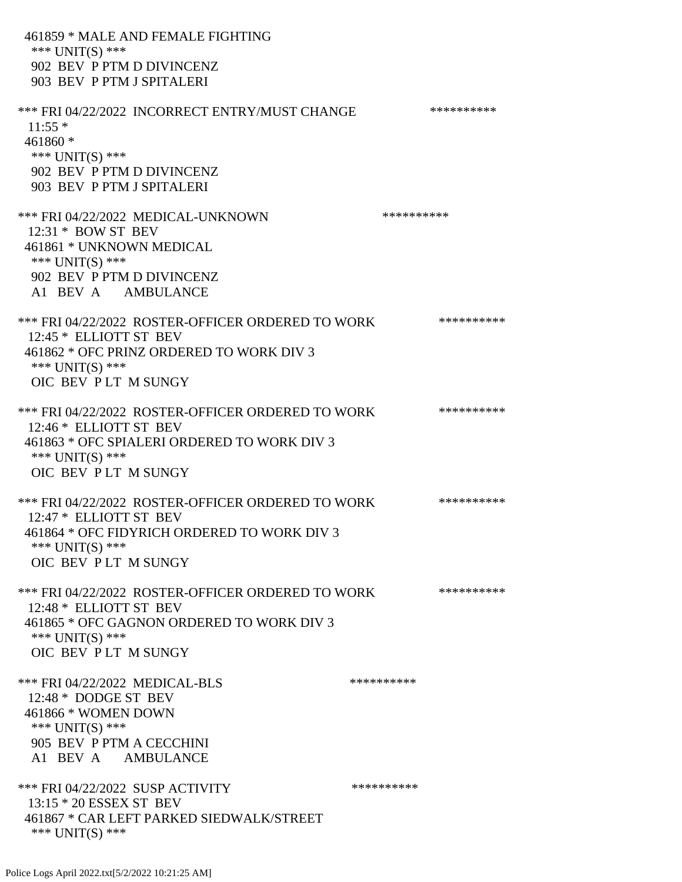461859 \* MALE AND FEMALE FIGHTING \*\*\* UNIT(S) \*\*\* 902 BEV P PTM D DIVINCENZ 903 BEV P PTM J SPITALERI \*\*\* FRI 04/22/2022 INCORRECT ENTRY/MUST CHANGE \*\*\*\*\*\*\*\*\*\*\*\*  $11:55$  \* 461860 \* \*\*\* UNIT(S) \*\*\* 902 BEV P PTM D DIVINCENZ 903 BEV P PTM J SPITALERI \*\*\* FRI 04/22/2022 MEDICAL-UNKNOWN \*\*\*\*\*\*\*\*\*\* 12:31 \* BOW ST BEV 461861 \* UNKNOWN MEDICAL \*\*\* UNIT(S) \*\*\* 902 BEV P PTM D DIVINCENZ A1 BEV A AMBULANCE \*\*\* FRI 04/22/2022 ROSTER-OFFICER ORDERED TO WORK \*\*\*\*\*\*\*\*\*\*\* 12:45 \* ELLIOTT ST BEV 461862 \* OFC PRINZ ORDERED TO WORK DIV 3 \*\*\* UNIT(S) \*\*\* OIC BEV P LT M SUNGY \*\*\* FRI 04/22/2022 ROSTER-OFFICER ORDERED TO WORK \*\*\*\*\*\*\*\*\*\*\* 12:46 \* ELLIOTT ST BEV 461863 \* OFC SPIALERI ORDERED TO WORK DIV 3 \*\*\* UNIT(S) \*\*\* OIC BEV P LT M SUNGY \*\*\* FRI 04/22/2022 ROSTER-OFFICER ORDERED TO WORK \*\*\*\*\*\*\*\*\*\*\* 12:47 \* ELLIOTT ST BEV 461864 \* OFC FIDYRICH ORDERED TO WORK DIV 3 \*\*\* UNIT(S) \*\*\* OIC BEV P LT M SUNGY \*\*\* FRI 04/22/2022 ROSTER-OFFICER ORDERED TO WORK \*\*\*\*\*\*\*\*\*\*\*\* 12:48 \* ELLIOTT ST BEV 461865 \* OFC GAGNON ORDERED TO WORK DIV 3 \*\*\* UNIT(S) \*\*\* OIC BEV P LT M SUNGY \*\*\* FRI 04/22/2022 MEDICAL-BLS \*\*\*\*\*\*\*\*\*\*\*\*\* 12:48 \* DODGE ST BEV 461866 \* WOMEN DOWN \*\*\* UNIT(S) \*\*\* 905 BEV P PTM A CECCHINI A1 BEV A AMBULANCE \*\*\* FRI 04/22/2022 SUSP ACTIVITY \*\*\*\*\*\*\*\*\*\*\*\*\* 13:15 \* 20 ESSEX ST BEV 461867 \* CAR LEFT PARKED SIEDWALK/STREET \*\*\* UNIT(S) \*\*\*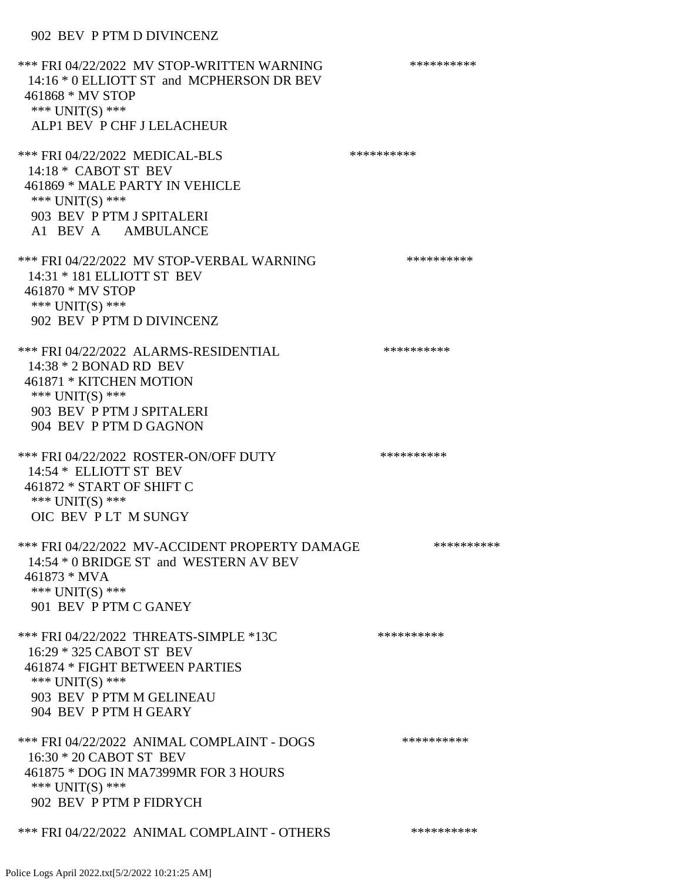### 902 BEV P PTM D DIVINCENZ

\*\*\* FRI 04/22/2022 MV STOP-WRITTEN WARNING \*\*\*\*\*\*\*\*\*\*\*\* 14:16 \* 0 ELLIOTT ST and MCPHERSON DR BEV 461868 \* MV STOP \*\*\* UNIT(S) \*\*\* ALP1 BEV P CHF J LELACHEUR \*\*\* FRI 04/22/2022 MEDICAL-BLS \*\*\*\*\*\*\*\*\*\* 14:18 \* CABOT ST BEV 461869 \* MALE PARTY IN VEHICLE \*\*\* UNIT(S) \*\*\* 903 BEV P PTM J SPITALERI A1 BEV A AMBULANCE \*\*\* FRI 04/22/2022 MV STOP-VERBAL WARNING \*\*\*\*\*\*\*\*\*\*\*\* 14:31 \* 181 ELLIOTT ST BEV 461870 \* MV STOP \*\*\* UNIT(S) \*\*\* 902 BEV P PTM D DIVINCENZ \*\*\* FRI 04/22/2022 ALARMS-RESIDENTIAL \*\*\*\*\*\*\*\*\*\* 14:38 \* 2 BONAD RD BEV 461871 \* KITCHEN MOTION \*\*\* UNIT(S) \*\*\* 903 BEV P PTM J SPITALERI 904 BEV P PTM D GAGNON \*\*\* FRI 04/22/2022 ROSTER-ON/OFF DUTY \*\*\*\*\*\*\*\*\*\*\*\*\* 14:54 \* ELLIOTT ST BEV 461872 \* START OF SHIFT C \*\*\* UNIT(S) \*\*\* OIC BEV P LT M SUNGY \*\*\* FRI 04/22/2022 MV-ACCIDENT PROPERTY DAMAGE \*\*\*\*\*\*\*\*\*\* 14:54 \* 0 BRIDGE ST and WESTERN AV BEV 461873 \* MVA \*\*\* UNIT(S) \*\*\* 901 BEV P PTM C GANEY \*\*\* FRI 04/22/2022 THREATS-SIMPLE \*13C \*\*\*\*\*\*\*\*\*\* 16:29 \* 325 CABOT ST BEV 461874 \* FIGHT BETWEEN PARTIES \*\*\* UNIT(S) \*\*\* 903 BEV P PTM M GELINEAU 904 BEV P PTM H GEARY \*\*\* FRI 04/22/2022 ANIMAL COMPLAINT - DOGS \*\*\*\*\*\*\*\*\*\*\*\* 16:30 \* 20 CABOT ST BEV 461875 \* DOG IN MA7399MR FOR 3 HOURS \*\*\* UNIT(S) \*\*\* 902 BEV P PTM P FIDRYCH \*\*\* FRI 04/22/2022 ANIMAL COMPLAINT - OTHERS \*\*\*\*\*\*\*\*\*\*\*\*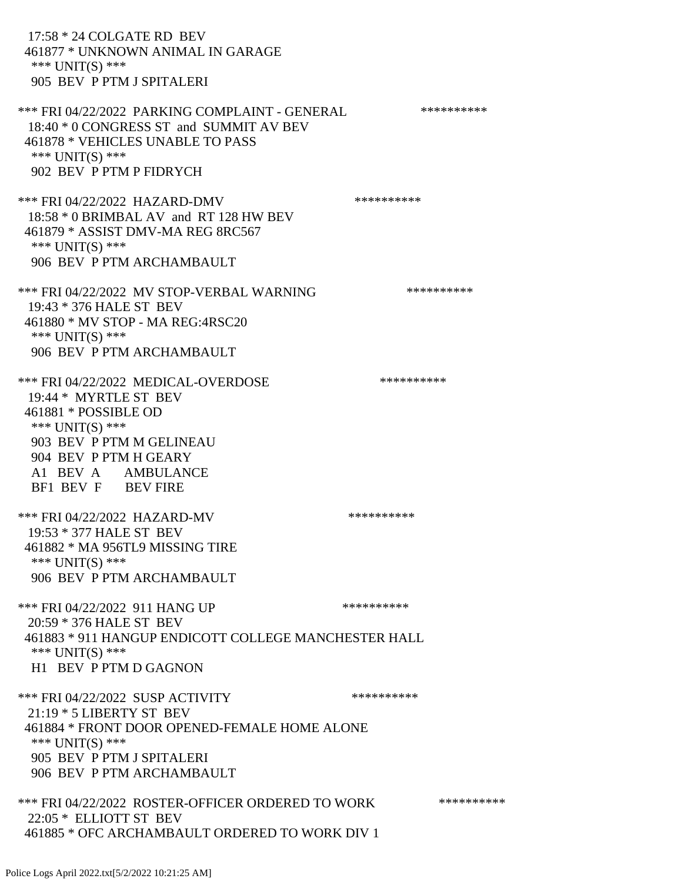17:58 \* 24 COLGATE RD BEV 461877 \* UNKNOWN ANIMAL IN GARAGE \*\*\* UNIT(S) \*\*\* 905 BEV P PTM J SPITALERI \*\*\* FRI 04/22/2022 PARKING COMPLAINT - GENERAL \*\*\*\*\*\*\*\*\*\* 18:40 \* 0 CONGRESS ST and SUMMIT AV BEV 461878 \* VEHICLES UNABLE TO PASS \*\*\* UNIT(S) \*\*\* 902 BEV P PTM P FIDRYCH \*\*\* FRI 04/22/2022 HAZARD-DMV \*\*\*\*\*\*\*\*\*\*\*\* 18:58 \* 0 BRIMBAL AV and RT 128 HW BEV 461879 \* ASSIST DMV-MA REG 8RC567 \*\*\* UNIT(S) \*\*\* 906 BEV P PTM ARCHAMBAULT \*\*\* FRI 04/22/2022 MV STOP-VERBAL WARNING \*\*\*\*\*\*\*\*\*\*\*\*\* 19:43 \* 376 HALE ST BEV 461880 \* MV STOP - MA REG:4RSC20 \*\*\* UNIT(S) \*\*\* 906 BEV P PTM ARCHAMBAULT \*\*\* FRI 04/22/2022 MEDICAL-OVERDOSE \*\*\*\*\*\*\*\*\*\* 19:44 \* MYRTLE ST BEV 461881 \* POSSIBLE OD \*\*\* UNIT(S) \*\*\* 903 BEV P PTM M GELINEAU 904 BEV P PTM H GEARY A1 BEV A AMBULANCE BF1 BEV F BEV FIRE \*\*\* FRI 04/22/2022 HAZARD-MV \*\*\*\*\*\*\*\*\*\* 19:53 \* 377 HALE ST BEV 461882 \* MA 956TL9 MISSING TIRE \*\*\* UNIT(S) \*\*\* 906 BEV P PTM ARCHAMBAULT \*\*\* FRI 04/22/2022 911 HANG UP \*\*\*\*\*\*\*\*\*\*\*\* 20:59 \* 376 HALE ST BEV 461883 \* 911 HANGUP ENDICOTT COLLEGE MANCHESTER HALL \*\*\* UNIT(S) \*\*\* H1 BEV P PTM D GAGNON \*\*\* FRI 04/22/2022 SUSP ACTIVITY \*\*\*\*\*\*\*\*\*\*\*\*\* 21:19 \* 5 LIBERTY ST BEV 461884 \* FRONT DOOR OPENED-FEMALE HOME ALONE \*\*\* UNIT(S) \*\*\* 905 BEV P PTM J SPITALERI 906 BEV P PTM ARCHAMBAULT \*\*\* FRI 04/22/2022 ROSTER-OFFICER ORDERED TO WORK \*\*\*\*\*\*\*\*\*\*\* 22:05 \* ELLIOTT ST BEV 461885 \* OFC ARCHAMBAULT ORDERED TO WORK DIV 1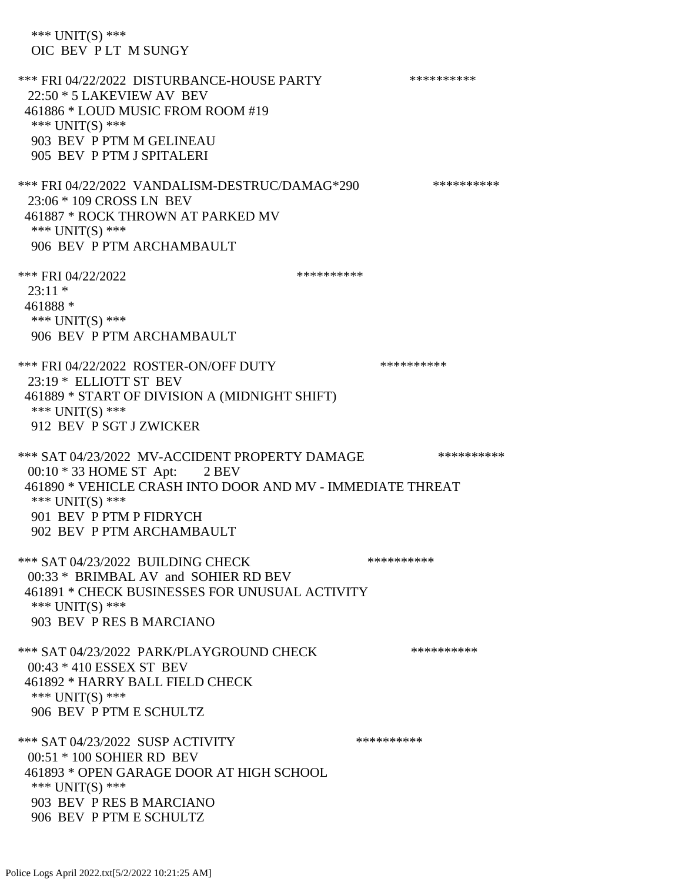\*\*\* UNIT(S) \*\*\* OIC BEV P LT M SUNGY \*\*\* FRI 04/22/2022 DISTURBANCE-HOUSE PARTY \*\*\*\*\*\*\*\*\*\*\*\* 22:50 \* 5 LAKEVIEW AV BEV 461886 \* LOUD MUSIC FROM ROOM #19 \*\*\* UNIT(S) \*\*\* 903 BEV P PTM M GELINEAU 905 BEV P PTM J SPITALERI \*\*\* FRI 04/22/2022 VANDALISM-DESTRUC/DAMAG\*290 \*\*\*\*\*\*\*\*\*\* 23:06 \* 109 CROSS LN BEV 461887 \* ROCK THROWN AT PARKED MV \*\*\* UNIT(S) \*\*\* 906 BEV P PTM ARCHAMBAULT \*\*\* FRI 04/22/2022 \*\*\*\*\*\*\*\*\*\*  $23:11*$  461888 \* \*\*\* UNIT(S) \*\*\* 906 BEV P PTM ARCHAMBAULT \*\*\* FRI 04/22/2022 ROSTER-ON/OFF DUTY \*\*\*\*\*\*\*\*\*\* 23:19 \* ELLIOTT ST BEV 461889 \* START OF DIVISION A (MIDNIGHT SHIFT) \*\*\* UNIT(S) \*\*\* 912 BEV P SGT J ZWICKER \*\*\* SAT 04/23/2022 MV-ACCIDENT PROPERTY DAMAGE \*\*\*\*\*\*\*\*\*\* 00:10 \* 33 HOME ST Apt: 2 BEV 461890 \* VEHICLE CRASH INTO DOOR AND MV - IMMEDIATE THREAT \*\*\* UNIT(S) \*\*\* 901 BEV P PTM P FIDRYCH 902 BEV P PTM ARCHAMBAULT \*\*\* SAT 04/23/2022 BUILDING CHECK \*\*\*\*\*\*\*\*\*\*\*\*\* 00:33 \* BRIMBAL AV and SOHIER RD BEV 461891 \* CHECK BUSINESSES FOR UNUSUAL ACTIVITY \*\*\* UNIT(S) \*\*\* 903 BEV P RES B MARCIANO \*\*\* SAT 04/23/2022 PARK/PLAYGROUND CHECK \*\*\*\*\*\*\*\*\*\*\*\* 00:43 \* 410 ESSEX ST BEV 461892 \* HARRY BALL FIELD CHECK \*\*\* UNIT(S) \*\*\* 906 BEV P PTM E SCHULTZ \*\*\* SAT 04/23/2022 SUSP ACTIVITY \*\*\*\*\*\*\*\*\*\*\*\*\* 00:51 \* 100 SOHIER RD BEV 461893 \* OPEN GARAGE DOOR AT HIGH SCHOOL \*\*\* UNIT(S) \*\*\* 903 BEV P RES B MARCIANO 906 BEV P PTM E SCHULTZ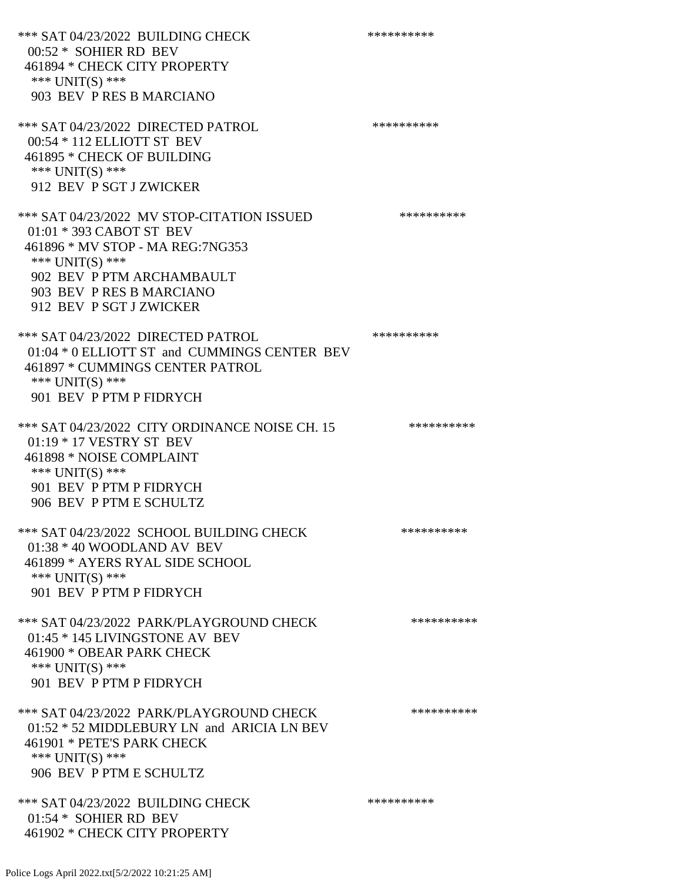\*\*\* SAT 04/23/2022 BUILDING CHECK \*\*\*\*\*\*\*\*\*\*\*\* 00:52 \* SOHIER RD BEV 461894 \* CHECK CITY PROPERTY \*\*\* UNIT(S) \*\*\* 903 BEV P RES B MARCIANO \*\*\* SAT 04/23/2022 DIRECTED PATROL \*\*\*\*\*\*\*\*\*\*\*\*\*\* 00:54 \* 112 ELLIOTT ST BEV 461895 \* CHECK OF BUILDING \*\*\* UNIT(S) \*\*\* 912 BEV P SGT J ZWICKER \*\*\* SAT 04/23/2022 MV STOP-CITATION ISSUED \*\*\*\*\*\*\*\*\*\* 01:01 \* 393 CABOT ST BEV 461896 \* MV STOP - MA REG:7NG353 \*\*\* UNIT(S) \*\*\* 902 BEV P PTM ARCHAMBAULT 903 BEV P RES B MARCIANO 912 BEV P SGT J ZWICKER \*\*\* SAT 04/23/2022 DIRECTED PATROL \*\*\*\*\*\*\*\*\*\* 01:04 \* 0 ELLIOTT ST and CUMMINGS CENTER BEV 461897 \* CUMMINGS CENTER PATROL \*\*\* UNIT(S) \*\*\* 901 BEV P PTM P FIDRYCH \*\*\* SAT 04/23/2022 CITY ORDINANCE NOISE CH. 15 \*\*\*\*\*\*\*\*\*\* 01:19 \* 17 VESTRY ST BEV 461898 \* NOISE COMPLAINT \*\*\* UNIT(S) \*\*\* 901 BEV P PTM P FIDRYCH 906 BEV P PTM E SCHULTZ \*\*\* SAT 04/23/2022 SCHOOL BUILDING CHECK \*\*\*\*\*\*\*\*\*\*\* 01:38 \* 40 WOODLAND AV BEV 461899 \* AYERS RYAL SIDE SCHOOL \*\*\* UNIT(S) \*\*\* 901 BEV P PTM P FIDRYCH \*\*\* SAT 04/23/2022 PARK/PLAYGROUND CHECK \*\*\*\*\*\*\*\*\*\*\*\* 01:45 \* 145 LIVINGSTONE AV BEV 461900 \* OBEAR PARK CHECK \*\*\* UNIT(S) \*\*\* 901 BEV P PTM P FIDRYCH \*\*\* SAT 04/23/2022 PARK/PLAYGROUND CHECK \*\*\*\*\*\*\*\*\*\*\*\* 01:52 \* 52 MIDDLEBURY LN and ARICIA LN BEV 461901 \* PETE'S PARK CHECK \*\*\* UNIT(S) \*\*\* 906 BEV P PTM E SCHULTZ \*\*\* SAT 04/23/2022 BUILDING CHECK \*\*\*\*\*\*\*\*\*\*\*\*\* 01:54 \* SOHIER RD BEV 461902 \* CHECK CITY PROPERTY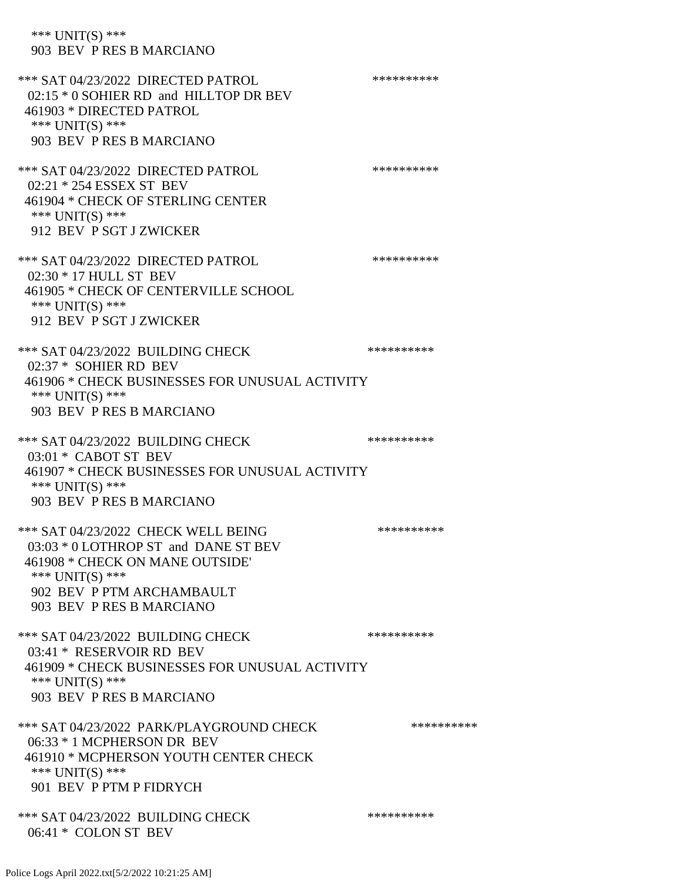\*\*\* UNIT(S) \*\*\* 903 BEV P RES B MARCIANO \*\*\* SAT 04/23/2022 DIRECTED PATROL \*\*\*\*\*\*\*\*\*\* 02:15 \* 0 SOHIER RD and HILLTOP DR BEV 461903 \* DIRECTED PATROL \*\*\* UNIT(S) \*\*\* 903 BEV P RES B MARCIANO \*\*\* SAT 04/23/2022 DIRECTED PATROL \*\*\*\*\*\*\*\*\*\*\*\*\*\*\* 02:21 \* 254 ESSEX ST BEV 461904 \* CHECK OF STERLING CENTER \*\*\* UNIT(S) \*\*\* 912 BEV P SGT J ZWICKER \*\*\* SAT 04/23/2022 DIRECTED PATROL \*\*\*\*\*\*\*\*\*\* 02:30 \* 17 HULL ST BEV 461905 \* CHECK OF CENTERVILLE SCHOOL \*\*\* UNIT(S) \*\*\* 912 BEV P SGT J ZWICKER \*\*\* SAT 04/23/2022 BUILDING CHECK \*\*\*\*\*\*\*\*\*\* 02:37 \* SOHIER RD BEV 461906 \* CHECK BUSINESSES FOR UNUSUAL ACTIVITY \*\*\* UNIT(S) \*\*\* 903 BEV P RES B MARCIANO \*\*\* SAT 04/23/2022 BUILDING CHECK \*\*\*\*\*\*\*\*\*\* 03:01 \* CABOT ST BEV 461907 \* CHECK BUSINESSES FOR UNUSUAL ACTIVITY \*\*\* UNIT(S) \*\*\* 903 BEV P RES B MARCIANO \*\*\* SAT 04/23/2022 CHECK WELL BEING \*\*\*\*\*\*\*\*\*\* 03:03 \* 0 LOTHROP ST and DANE ST BEV 461908 \* CHECK ON MANE OUTSIDE' \*\*\* UNIT(S) \*\*\* 902 BEV P PTM ARCHAMBAULT 903 BEV P RES B MARCIANO \*\*\* SAT 04/23/2022 BUILDING CHECK \*\*\*\*\*\*\*\*\*\*\*\* 03:41 \* RESERVOIR RD BEV 461909 \* CHECK BUSINESSES FOR UNUSUAL ACTIVITY \*\*\* UNIT(S) \*\*\* 903 BEV P RES B MARCIANO \*\*\* SAT 04/23/2022 PARK/PLAYGROUND CHECK \*\*\*\*\*\*\*\*\*\* 06:33 \* 1 MCPHERSON DR BEV 461910 \* MCPHERSON YOUTH CENTER CHECK \*\*\* UNIT(S) \*\*\* 901 BEV P PTM P FIDRYCH \*\*\* SAT 04/23/2022 BUILDING CHECK \*\*\*\*\*\*\*\*\*\*\*\*\* 06:41 \* COLON ST BEV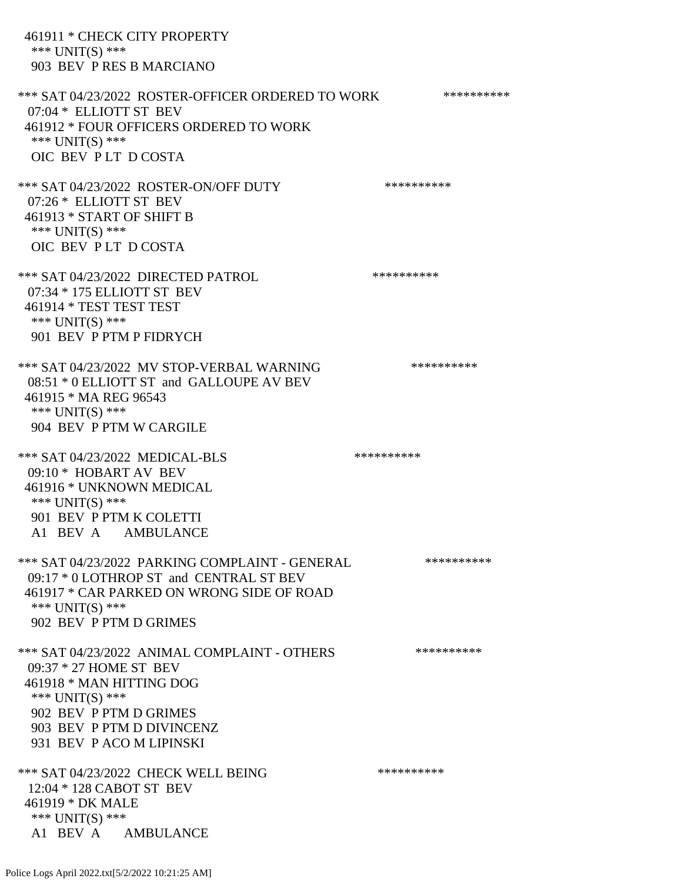461911 \* CHECK CITY PROPERTY \*\*\* UNIT(S) \*\*\* 903 BEV P RES B MARCIANO \*\*\* SAT 04/23/2022 ROSTER-OFFICER ORDERED TO WORK \*\*\*\*\*\*\*\*\*\*\*\* 07:04 \* ELLIOTT ST BEV 461912 \* FOUR OFFICERS ORDERED TO WORK \*\*\* UNIT(S) \*\*\* OIC BEV P LT D COSTA \*\*\* SAT 04/23/2022 ROSTER-ON/OFF DUTY \*\*\*\*\*\*\*\*\*\* 07:26 \* ELLIOTT ST BEV 461913 \* START OF SHIFT B \*\*\* UNIT(S) \*\*\* OIC BEV P LT D COSTA \*\*\* SAT 04/23/2022 DIRECTED PATROL \*\*\*\*\*\*\*\*\*\* 07:34 \* 175 ELLIOTT ST BEV 461914 \* TEST TEST TEST \*\*\* UNIT(S) \*\*\* 901 BEV P PTM P FIDRYCH \*\*\* SAT 04/23/2022 MV STOP-VERBAL WARNING \*\*\*\*\*\*\*\*\*\*\*\*\* 08:51 \* 0 ELLIOTT ST and GALLOUPE AV BEV 461915 \* MA REG 96543 \*\*\* UNIT(S) \*\*\* 904 BEV P PTM W CARGILE \*\*\* SAT 04/23/2022 MEDICAL-BLS \*\*\*\*\*\*\*\*\*\* 09:10 \* HOBART AV BEV 461916 \* UNKNOWN MEDICAL \*\*\* UNIT(S) \*\*\* 901 BEV P PTM K COLETTI A1 BEV A AMBULANCE \*\*\* SAT 04/23/2022 PARKING COMPLAINT - GENERAL \*\*\*\*\*\*\*\*\*\* 09:17 \* 0 LOTHROP ST and CENTRAL ST BEV 461917 \* CAR PARKED ON WRONG SIDE OF ROAD \*\*\* UNIT(S) \*\*\* 902 BEV P PTM D GRIMES \*\*\* SAT 04/23/2022 ANIMAL COMPLAINT - OTHERS \*\*\*\*\*\*\*\*\*\* 09:37 \* 27 HOME ST BEV 461918 \* MAN HITTING DOG \*\*\* UNIT(S) \*\*\* 902 BEV P PTM D GRIMES 903 BEV P PTM D DIVINCENZ 931 BEV P ACO M LIPINSKI \*\*\* SAT 04/23/2022 CHECK WELL BEING \*\*\*\*\*\*\*\*\*\*\*\*\* 12:04 \* 128 CABOT ST BEV 461919 \* DK MALE \*\*\* UNIT(S) \*\*\* A1 BEV A AMBULANCE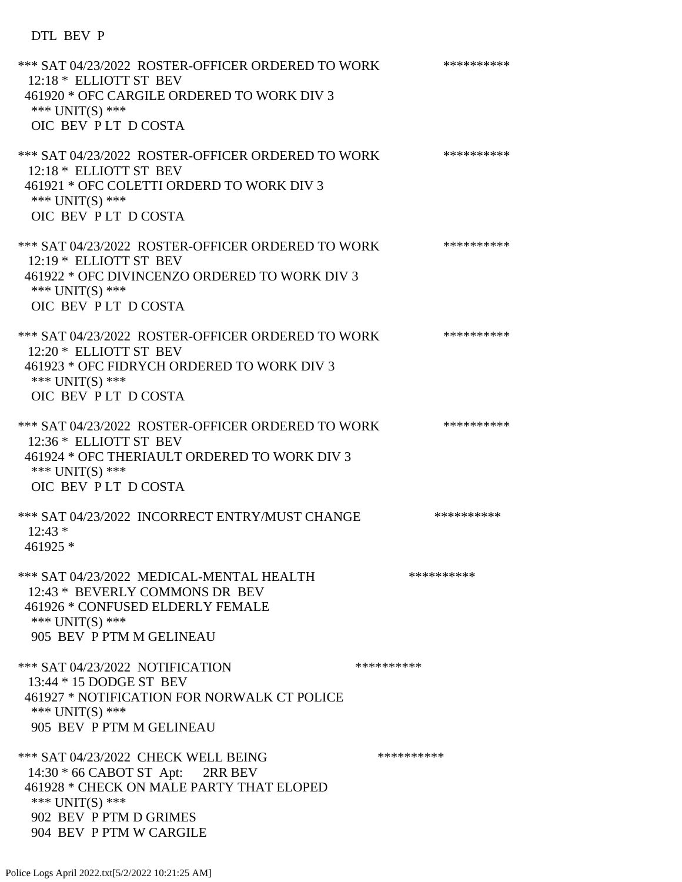## DTL BEV P

| *** SAT 04/23/2022 ROSTER-OFFICER ORDERED TO WORK<br>12:18 * ELLIOTT ST BEV<br>461920 * OFC CARGILE ORDERED TO WORK DIV 3<br>*** $UNIT(S)$ ***<br>OIC BEV PLT DCOSTA                        | ********** |
|---------------------------------------------------------------------------------------------------------------------------------------------------------------------------------------------|------------|
| *** SAT 04/23/2022 ROSTER-OFFICER ORDERED TO WORK<br>12:18 * ELLIOTT ST BEV<br>461921 * OFC COLETTI ORDERD TO WORK DIV 3<br>*** UNIT(S) ***<br>OIC BEV PLT DCOSTA                           | ********** |
| *** SAT 04/23/2022 ROSTER-OFFICER ORDERED TO WORK<br>12:19 * ELLIOTT ST BEV<br>461922 * OFC DIVINCENZO ORDERED TO WORK DIV 3<br>*** UNIT(S) ***<br>OIC BEV PLT DCOSTA                       | ********** |
| *** SAT 04/23/2022 ROSTER-OFFICER ORDERED TO WORK<br>12:20 * ELLIOTT ST BEV<br>461923 * OFC FIDRYCH ORDERED TO WORK DIV 3<br>*** UNIT(S) ***<br>OIC BEV PLT DCOSTA                          | ********** |
| *** SAT 04/23/2022 ROSTER-OFFICER ORDERED TO WORK<br>12:36 * ELLIOTT ST BEV<br>461924 * OFC THERIAULT ORDERED TO WORK DIV 3<br>*** $UNIT(S)$ ***<br>OIC BEV PLT DCOSTA                      | ********** |
| *** SAT 04/23/2022 INCORRECT ENTRY/MUST CHANGE<br>$12:43*$<br>461925 *                                                                                                                      | ********** |
| *** SAT 04/23/2022 MEDICAL-MENTAL HEALTH<br>12:43 * BEVERLY COMMONS DR BEV<br>461926 * CONFUSED ELDERLY FEMALE<br>*** UNIT(S) ***<br>905 BEV P PTM M GELINEAU                               | ********** |
| *** SAT 04/23/2022 NOTIFICATION<br>13:44 * 15 DODGE ST BEV<br>461927 * NOTIFICATION FOR NORWALK CT POLICE<br>*** $UNIT(S)$ ***<br>905 BEV P PTM M GELINEAU                                  | ********** |
| *** SAT 04/23/2022 CHECK WELL BEING<br>14:30 * 66 CABOT ST Apt: 2RR BEV<br>461928 * CHECK ON MALE PARTY THAT ELOPED<br>*** UNIT(S) ***<br>902 BEV P PTM D GRIMES<br>904 BEV P PTM W CARGILE | ********** |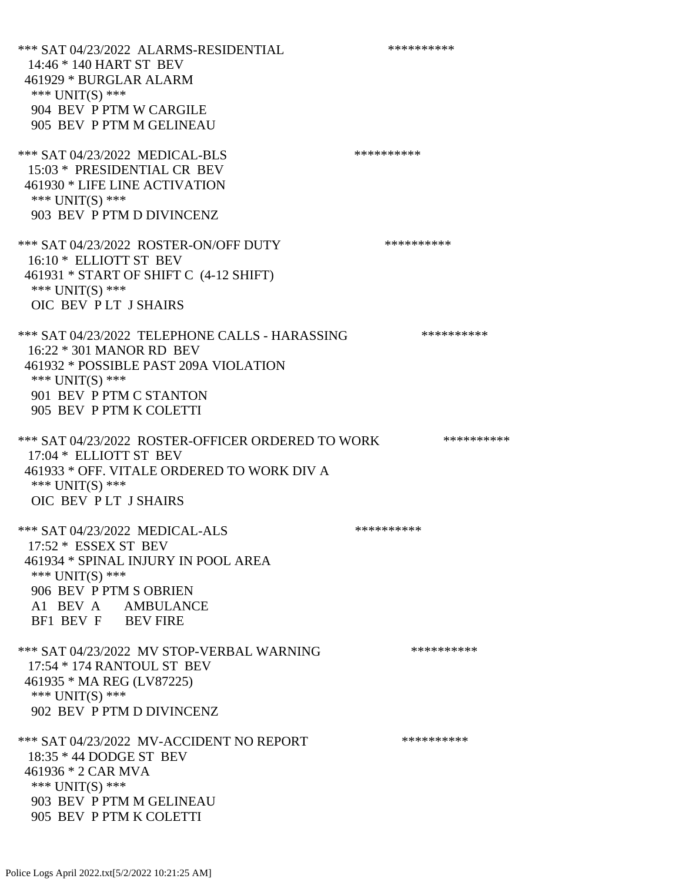\*\*\* SAT 04/23/2022 ALARMS-RESIDENTIAL \*\*\*\*\*\*\*\*\*\* 14:46 \* 140 HART ST BEV 461929 \* BURGLAR ALARM \*\*\* UNIT(S) \*\*\* 904 BEV P PTM W CARGILE 905 BEV P PTM M GELINEAU \*\*\* SAT 04/23/2022 MEDICAL-BLS \*\*\*\*\*\*\*\*\*\* 15:03 \* PRESIDENTIAL CR BEV 461930 \* LIFE LINE ACTIVATION \*\*\* UNIT(S) \*\*\* 903 BEV P PTM D DIVINCENZ \*\*\* SAT 04/23/2022 ROSTER-ON/OFF DUTY \*\*\*\*\*\*\*\*\*\* 16:10 \* ELLIOTT ST BEV 461931 \* START OF SHIFT C (4-12 SHIFT) \*\*\* UNIT(S) \*\*\* OIC BEV P LT J SHAIRS \*\*\* SAT 04/23/2022 TELEPHONE CALLS - HARASSING \*\*\*\*\*\*\*\*\*\*\*\* 16:22 \* 301 MANOR RD BEV 461932 \* POSSIBLE PAST 209A VIOLATION \*\*\* UNIT(S) \*\*\* 901 BEV P PTM C STANTON 905 BEV P PTM K COLETTI \*\*\* SAT 04/23/2022 ROSTER-OFFICER ORDERED TO WORK \*\*\*\*\*\*\*\*\*\*\* 17:04 \* ELLIOTT ST BEV 461933 \* OFF. VITALE ORDERED TO WORK DIV A \*\*\* UNIT(S) \*\*\* OIC BEV P LT J SHAIRS \*\*\* SAT 04/23/2022 MEDICAL-ALS \*\*\*\*\*\*\*\*\*\* 17:52 \* ESSEX ST BEV 461934 \* SPINAL INJURY IN POOL AREA \*\*\* UNIT(S) \*\*\* 906 BEV P PTM S OBRIEN A1 BEV A AMBULANCE BF1 BEV F BEV FIRE \*\*\* SAT 04/23/2022 MV STOP-VERBAL WARNING \*\*\*\*\*\*\*\*\*\*\*\*\* 17:54 \* 174 RANTOUL ST BEV 461935 \* MA REG (LV87225) \*\*\* UNIT(S) \*\*\* 902 BEV P PTM D DIVINCENZ \*\*\* SAT 04/23/2022 MV-ACCIDENT NO REPORT \*\*\*\*\*\*\*\*\*\*\*\* 18:35 \* 44 DODGE ST BEV 461936 \* 2 CAR MVA \*\*\* UNIT(S) \*\*\* 903 BEV P PTM M GELINEAU 905 BEV P PTM K COLETTI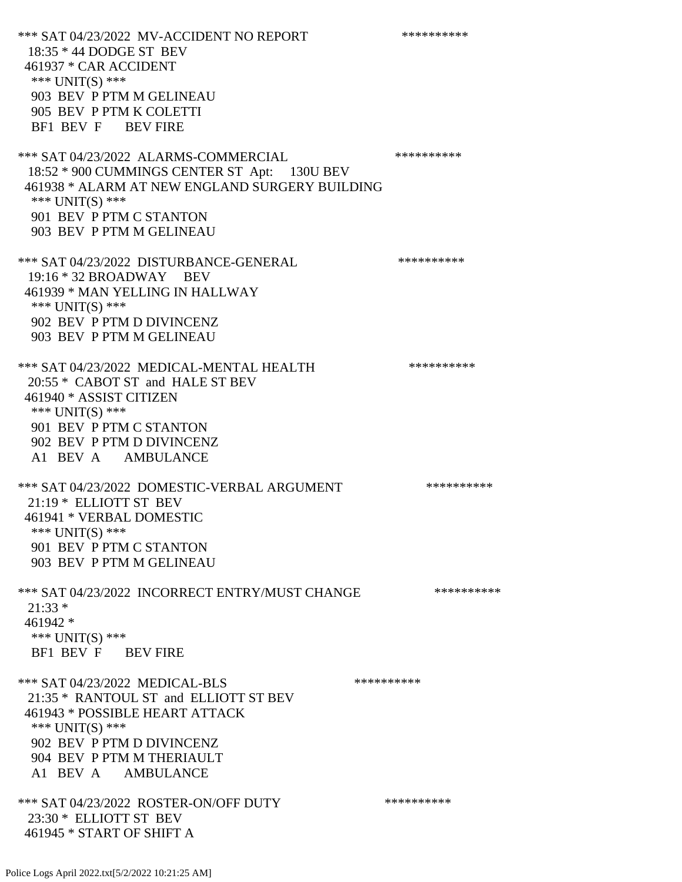\*\*\* SAT 04/23/2022 MV-ACCIDENT NO REPORT \*\*\*\*\*\*\*\*\*\*\*\* 18:35 \* 44 DODGE ST BEV 461937 \* CAR ACCIDENT \*\*\* UNIT(S) \*\*\* 903 BEV P PTM M GELINEAU 905 BEV P PTM K COLETTI BF1 BEV F BEV FIRE \*\*\* SAT 04/23/2022 ALARMS-COMMERCIAL \*\*\*\*\*\*\*\*\*\* 18:52 \* 900 CUMMINGS CENTER ST Apt: 130U BEV 461938 \* ALARM AT NEW ENGLAND SURGERY BUILDING \*\*\* UNIT(S) \*\*\* 901 BEV P PTM C STANTON 903 BEV P PTM M GELINEAU \*\*\* SAT 04/23/2022 DISTURBANCE-GENERAL \*\*\*\*\*\*\*\*\*\* 19:16 \* 32 BROADWAY BEV 461939 \* MAN YELLING IN HALLWAY \*\*\* UNIT(S) \*\*\* 902 BEV P PTM D DIVINCENZ 903 BEV P PTM M GELINEAU \*\*\* SAT 04/23/2022 MEDICAL-MENTAL HEALTH \*\*\*\*\*\*\*\*\*\*\*\* 20:55 \* CABOT ST and HALE ST BEV 461940 \* ASSIST CITIZEN \*\*\* UNIT(S) \*\*\* 901 BEV P PTM C STANTON 902 BEV P PTM D DIVINCENZ A1 BEV A AMBULANCE \*\*\* SAT 04/23/2022 DOMESTIC-VERBAL ARGUMENT \*\*\*\*\*\*\*\*\*\*\*\*\*\* 21:19 \* ELLIOTT ST BEV 461941 \* VERBAL DOMESTIC \*\*\* UNIT(S) \*\*\* 901 BEV P PTM C STANTON 903 BEV P PTM M GELINEAU \*\*\* SAT 04/23/2022 INCORRECT ENTRY/MUST CHANGE \*\*\*\*\*\*\*\*\*\* 21:33 \* 461942 \* \*\*\* UNIT(S) \*\*\* BF1 BEV F BEV FIRE \*\*\* SAT 04/23/2022 MEDICAL-BLS \*\*\*\*\*\*\*\*\*\*\*\*\* 21:35 \* RANTOUL ST and ELLIOTT ST BEV 461943 \* POSSIBLE HEART ATTACK \*\*\* UNIT(S) \*\*\* 902 BEV P PTM D DIVINCENZ 904 BEV P PTM M THERIAULT A1 BEV A AMBULANCE \*\*\* SAT 04/23/2022 ROSTER-ON/OFF DUTY \*\*\*\*\*\*\*\*\*\* 23:30 \* ELLIOTT ST BEV 461945 \* START OF SHIFT A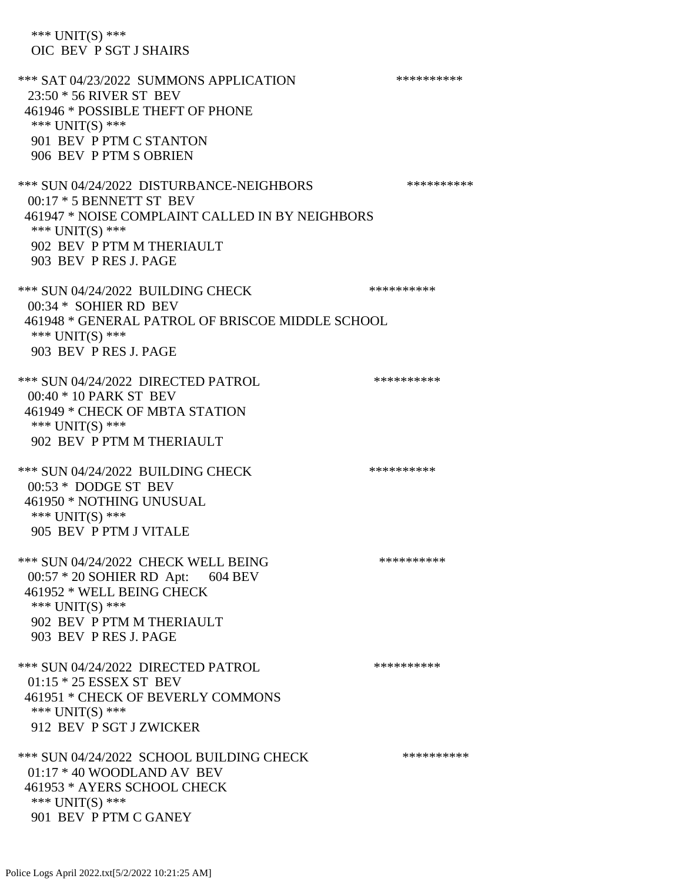\*\*\* UNIT(S) \*\*\* OIC BEV P SGT J SHAIRS \*\*\* SAT 04/23/2022 SUMMONS APPLICATION \*\*\*\*\*\*\*\*\*\* 23:50 \* 56 RIVER ST BEV 461946 \* POSSIBLE THEFT OF PHONE \*\*\* UNIT(S) \*\*\* 901 BEV P PTM C STANTON 906 BEV P PTM S OBRIEN \*\*\* SUN 04/24/2022 DISTURBANCE-NEIGHBORS \*\*\*\*\*\*\*\*\*\*\*\* 00:17 \* 5 BENNETT ST BEV 461947 \* NOISE COMPLAINT CALLED IN BY NEIGHBORS \*\*\* UNIT(S) \*\*\* 902 BEV P PTM M THERIAULT 903 BEV P RES J. PAGE \*\*\* SUN 04/24/2022 BUILDING CHECK \*\*\*\*\*\*\*\*\*\*\*\*\* 00:34 \* SOHIER RD BEV 461948 \* GENERAL PATROL OF BRISCOE MIDDLE SCHOOL \*\*\* UNIT(S) \*\*\* 903 BEV P RES J. PAGE \*\*\* SUN 04/24/2022 DIRECTED PATROL \*\*\*\*\*\*\*\*\*\* 00:40 \* 10 PARK ST BEV 461949 \* CHECK OF MBTA STATION \*\*\* UNIT(S) \*\*\* 902 BEV P PTM M THERIAULT \*\*\* SUN 04/24/2022 BUILDING CHECK \*\*\*\*\*\*\*\*\*\*\*\* 00:53 \* DODGE ST BEV 461950 \* NOTHING UNUSUAL \*\*\* UNIT(S) \*\*\* 905 BEV P PTM J VITALE \*\*\* SUN 04/24/2022 CHECK WELL BEING \*\*\*\*\*\*\*\*\*\* 00:57 \* 20 SOHIER RD Apt: 604 BEV 461952 \* WELL BEING CHECK \*\*\* UNIT(S) \*\*\* 902 BEV P PTM M THERIAULT 903 BEV P RES J. PAGE \*\*\* SUN 04/24/2022 DIRECTED PATROL \*\*\*\*\*\*\*\*\*\* 01:15 \* 25 ESSEX ST BEV 461951 \* CHECK OF BEVERLY COMMONS \*\*\* UNIT(S) \*\*\* 912 BEV P SGT J ZWICKER \*\*\* SUN 04/24/2022 SCHOOL BUILDING CHECK \*\*\*\*\*\*\*\*\*\*\*\* 01:17 \* 40 WOODLAND AV BEV 461953 \* AYERS SCHOOL CHECK \*\*\* UNIT(S) \*\*\* 901 BEV P PTM C GANEY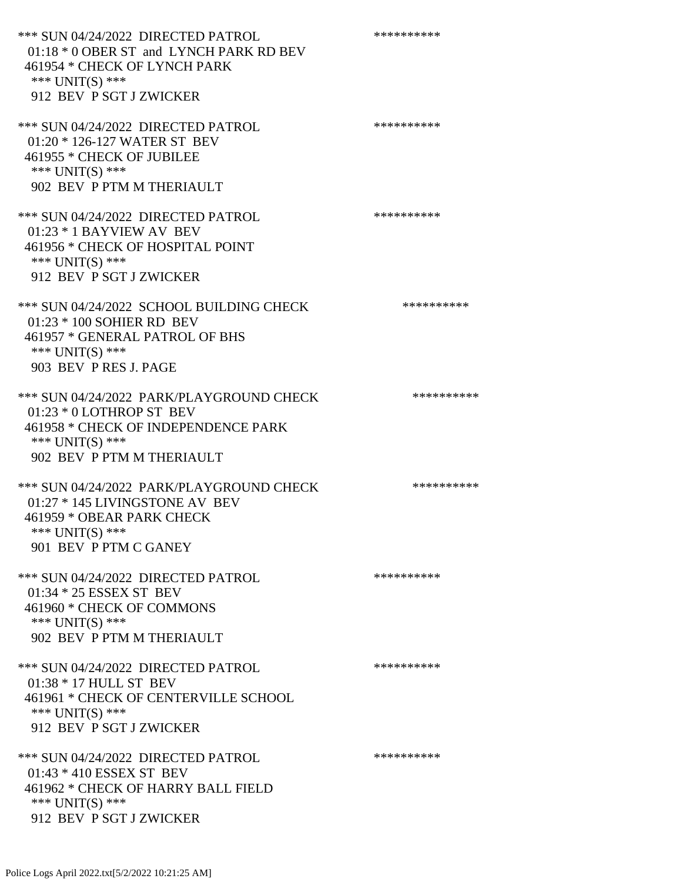\*\*\* SUN 04/24/2022 DIRECTED PATROL \*\*\*\*\*\*\*\*\*\* 01:18 \* 0 OBER ST and LYNCH PARK RD BEV 461954 \* CHECK OF LYNCH PARK \*\*\* UNIT(S) \*\*\* 912 BEV P SGT J ZWICKER \*\*\* SUN 04/24/2022 DIRECTED PATROL \*\*\*\*\*\*\*\*\*\* 01:20 \* 126-127 WATER ST BEV 461955 \* CHECK OF JUBILEE \*\*\* UNIT(S) \*\*\* 902 BEV P PTM M THERIAULT \*\*\* SUN 04/24/2022 DIRECTED PATROL \*\*\*\*\*\*\*\*\*\* 01:23 \* 1 BAYVIEW AV BEV 461956 \* CHECK OF HOSPITAL POINT \*\*\* UNIT(S) \*\*\* 912 BEV P SGT J ZWICKER \*\*\* SUN 04/24/2022 SCHOOL BUILDING CHECK \*\*\*\*\*\*\*\*\*\*\* 01:23 \* 100 SOHIER RD BEV 461957 \* GENERAL PATROL OF BHS \*\*\* UNIT(S) \*\*\* 903 BEV P RES J. PAGE \*\*\* SUN 04/24/2022 PARK/PLAYGROUND CHECK \*\*\*\*\*\*\*\*\*\*\*\* 01:23 \* 0 LOTHROP ST BEV 461958 \* CHECK OF INDEPENDENCE PARK \*\*\* UNIT(S) \*\*\* 902 BEV P PTM M THERIAULT \*\*\* SUN 04/24/2022 PARK/PLAYGROUND CHECK \*\*\*\*\*\*\*\*\*\*\*\* 01:27 \* 145 LIVINGSTONE AV BEV 461959 \* OBEAR PARK CHECK \*\*\* UNIT(S) \*\*\* 901 BEV P PTM C GANEY \*\*\* SUN 04/24/2022 DIRECTED PATROL \*\*\*\*\*\*\*\*\*\* 01:34 \* 25 ESSEX ST BEV 461960 \* CHECK OF COMMONS \*\*\* UNIT(S) \*\*\* 902 BEV P PTM M THERIAULT \*\*\* SUN 04/24/2022 DIRECTED PATROL \*\*\*\*\*\*\*\*\*\* 01:38 \* 17 HULL ST BEV 461961 \* CHECK OF CENTERVILLE SCHOOL \*\*\* UNIT(S) \*\*\* 912 BEV P SGT J ZWICKER \*\*\* SUN 04/24/2022 DIRECTED PATROL \*\*\*\*\*\*\*\*\*\* 01:43 \* 410 ESSEX ST BEV 461962 \* CHECK OF HARRY BALL FIELD \*\*\* UNIT(S) \*\*\* 912 BEV P SGT J ZWICKER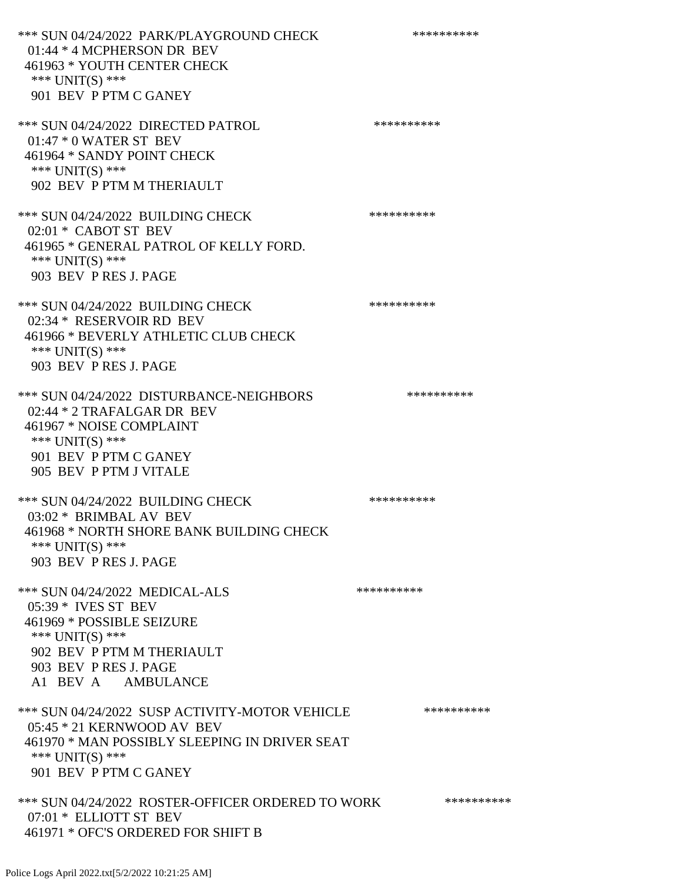\*\*\* SUN 04/24/2022 PARK/PLAYGROUND CHECK \*\*\*\*\*\*\*\*\*\*\*\* 01:44 \* 4 MCPHERSON DR BEV 461963 \* YOUTH CENTER CHECK \*\*\* UNIT(S) \*\*\* 901 BEV P PTM C GANEY \*\*\* SUN 04/24/2022 DIRECTED PATROL \*\*\*\*\*\*\*\*\*\* 01:47 \* 0 WATER ST BEV 461964 \* SANDY POINT CHECK \*\*\* UNIT(S) \*\*\* 902 BEV P PTM M THERIAULT \*\*\* SUN 04/24/2022 BUILDING CHECK \*\*\*\*\*\*\*\*\*\*\*\* 02:01 \* CABOT ST BEV 461965 \* GENERAL PATROL OF KELLY FORD. \*\*\* UNIT(S) \*\*\* 903 BEV P RES J. PAGE \*\*\* SUN 04/24/2022 BUILDING CHECK \*\*\*\*\*\*\*\*\*\*\* 02:34 \* RESERVOIR RD BEV 461966 \* BEVERLY ATHLETIC CLUB CHECK \*\*\* UNIT(S) \*\*\* 903 BEV P RES J. PAGE \*\*\* SUN 04/24/2022 DISTURBANCE-NEIGHBORS \*\*\*\*\*\*\*\*\*\* 02:44 \* 2 TRAFALGAR DR BEV 461967 \* NOISE COMPLAINT \*\*\* UNIT(S) \*\*\* 901 BEV P PTM C GANEY 905 BEV P PTM J VITALE \*\*\* SUN 04/24/2022 BUILDING CHECK \*\*\*\*\*\*\*\*\*\*\*\* 03:02 \* BRIMBAL AV BEV 461968 \* NORTH SHORE BANK BUILDING CHECK \*\*\* UNIT(S) \*\*\* 903 BEV P RES J. PAGE \*\*\* SUN 04/24/2022 MEDICAL-ALS \*\*\*\*\*\*\*\*\*\*\*\*\* 05:39 \* IVES ST BEV 461969 \* POSSIBLE SEIZURE \*\*\* UNIT(S) \*\*\* 902 BEV P PTM M THERIAULT 903 BEV P RES J. PAGE A1 BEV A AMBULANCE \*\*\* SUN 04/24/2022 SUSP ACTIVITY-MOTOR VEHICLE \*\*\*\*\*\*\*\*\*\*\*\* 05:45 \* 21 KERNWOOD AV BEV 461970 \* MAN POSSIBLY SLEEPING IN DRIVER SEAT \*\*\* UNIT(S) \*\*\* 901 BEV P PTM C GANEY \*\*\* SUN 04/24/2022 ROSTER-OFFICER ORDERED TO WORK \*\*\*\*\*\*\*\*\*\*\* 07:01 \* ELLIOTT ST BEV 461971 \* OFC'S ORDERED FOR SHIFT B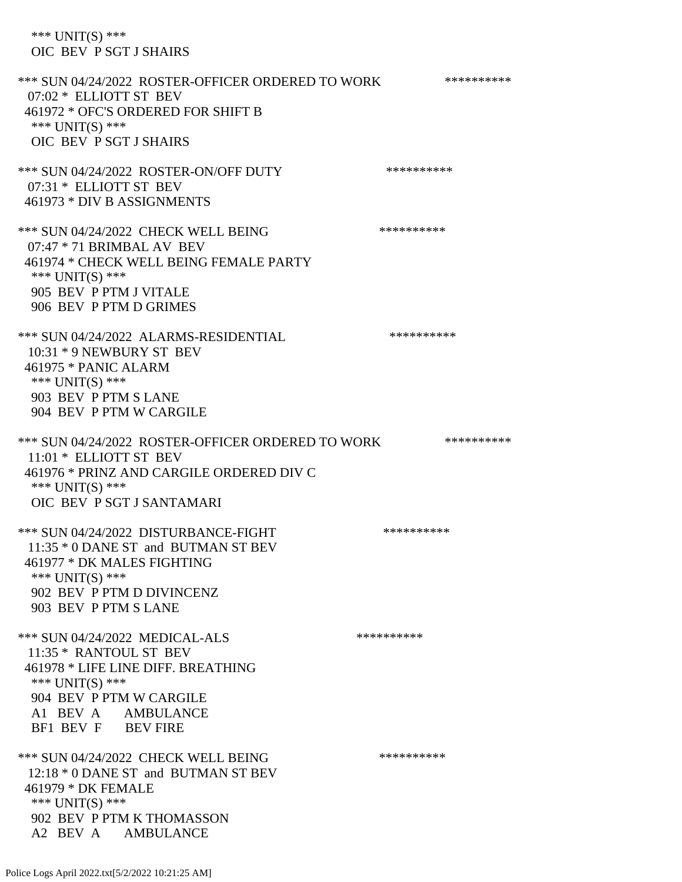\*\*\* UNIT(S) \*\*\* OIC BEV P SGT J SHAIRS

\*\*\* SUN 04/24/2022 ROSTER-OFFICER ORDERED TO WORK \*\*\*\*\*\*\*\*\*\*\* 07:02 \* ELLIOTT ST BEV 461972 \* OFC'S ORDERED FOR SHIFT B \*\*\* UNIT(S) \*\*\* OIC BEV P SGT J SHAIRS \*\*\* SUN 04/24/2022 ROSTER-ON/OFF DUTY \*\*\*\*\*\*\*\*\*\* 07:31 \* ELLIOTT ST BEV 461973 \* DIV B ASSIGNMENTS \*\*\* SUN 04/24/2022 CHECK WELL BEING \*\*\*\*\*\*\*\*\*\* 07:47 \* 71 BRIMBAL AV BEV 461974 \* CHECK WELL BEING FEMALE PARTY \*\*\* UNIT(S) \*\*\* 905 BEV P PTM J VITALE 906 BEV P PTM D GRIMES \*\*\* SUN 04/24/2022 ALARMS-RESIDENTIAL \*\*\*\*\*\*\*\*\*\* 10:31 \* 9 NEWBURY ST BEV 461975 \* PANIC ALARM \*\*\* UNIT(S) \*\*\* 903 BEV P PTM S LANE 904 BEV P PTM W CARGILE \*\*\* SUN 04/24/2022 ROSTER-OFFICER ORDERED TO WORK \*\*\*\*\*\*\*\*\*\*\* 11:01 \* ELLIOTT ST BEV 461976 \* PRINZ AND CARGILE ORDERED DIV C \*\*\* UNIT(S) \*\*\* OIC BEV P SGT J SANTAMARI \*\*\* SUN 04/24/2022 DISTURBANCE-FIGHT \*\*\*\*\*\*\*\*\*\* 11:35 \* 0 DANE ST and BUTMAN ST BEV 461977 \* DK MALES FIGHTING \*\*\* UNIT(S) \*\*\* 902 BEV P PTM D DIVINCENZ 903 BEV P PTM S LANE \*\*\* SUN 04/24/2022 MEDICAL-ALS \*\*\*\*\*\*\*\*\*\*\*\*\* 11:35 \* RANTOUL ST BEV 461978 \* LIFE LINE DIFF. BREATHING \*\*\* UNIT(S) \*\*\* 904 BEV P PTM W CARGILE A1 BEV A AMBULANCE BF1 BEV F BEV FIRE \*\*\* SUN 04/24/2022 CHECK WELL BEING \*\*\*\*\*\*\*\*\*\*\*\*\* 12:18 \* 0 DANE ST and BUTMAN ST BEV 461979 \* DK FEMALE \*\*\* UNIT(S) \*\*\* 902 BEV P PTM K THOMASSON A2 BEV A AMBULANCE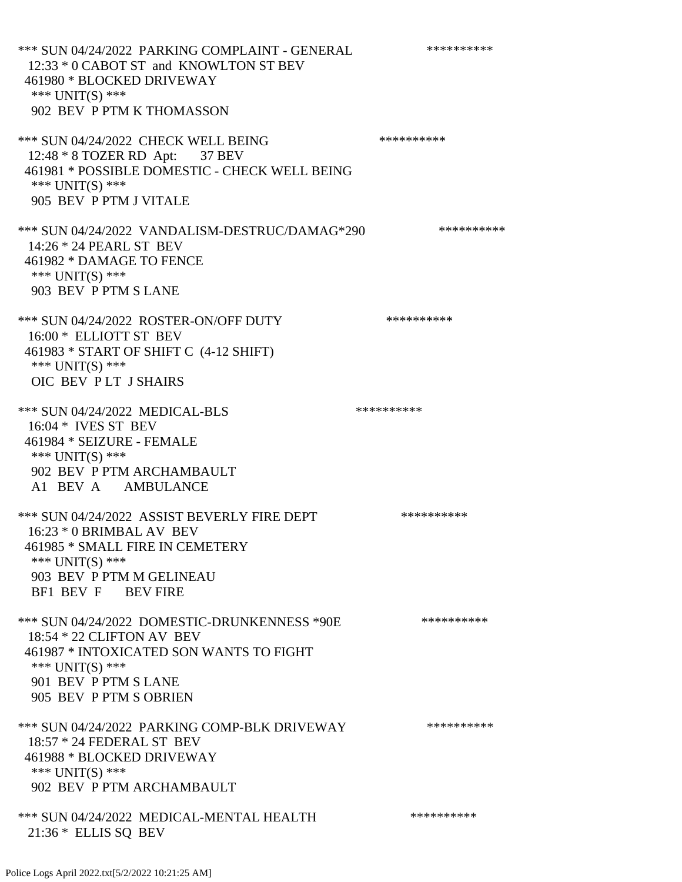\*\*\* SUN 04/24/2022 PARKING COMPLAINT - GENERAL \*\*\*\*\*\*\*\*\*\* 12:33 \* 0 CABOT ST and KNOWLTON ST BEV 461980 \* BLOCKED DRIVEWAY \*\*\* UNIT(S) \*\*\* 902 BEV P PTM K THOMASSON \*\*\* SUN 04/24/2022 CHECK WELL BEING \*\*\*\*\*\*\*\*\*\*\*\*\* 12:48 \* 8 TOZER RD Apt: 37 BEV 461981 \* POSSIBLE DOMESTIC - CHECK WELL BEING \*\*\* UNIT(S) \*\*\* 905 BEV P PTM J VITALE \*\*\* SUN 04/24/2022 VANDALISM-DESTRUC/DAMAG\*290 \*\*\*\*\*\*\*\*\*\* 14:26 \* 24 PEARL ST BEV 461982 \* DAMAGE TO FENCE \*\*\* UNIT(S) \*\*\* 903 BEV P PTM S LANE \*\*\* SUN 04/24/2022 ROSTER-ON/OFF DUTY \*\*\*\*\*\*\*\*\*\*\*\* 16:00 \* ELLIOTT ST BEV 461983 \* START OF SHIFT C (4-12 SHIFT) \*\*\* UNIT(S) \*\*\* OIC BEV P LT J SHAIRS \*\*\* SUN 04/24/2022 MEDICAL-BLS \*\*\*\*\*\*\*\*\*\*\*\* 16:04 \* IVES ST BEV 461984 \* SEIZURE - FEMALE \*\*\* UNIT(S) \*\*\* 902 BEV P PTM ARCHAMBAULT A1 BEV A AMBULANCE \*\*\* SUN 04/24/2022 ASSIST BEVERLY FIRE DEPT \*\*\*\*\*\*\*\*\*\*\*\* 16:23 \* 0 BRIMBAL AV BEV 461985 \* SMALL FIRE IN CEMETERY \*\*\* UNIT(S) \*\*\* 903 BEV P PTM M GELINEAU BF1 BEV F BEV FIRE \*\*\* SUN 04/24/2022 DOMESTIC-DRUNKENNESS \*90E \*\*\*\*\*\*\*\*\*\* 18:54 \* 22 CLIFTON AV BEV 461987 \* INTOXICATED SON WANTS TO FIGHT \*\*\* UNIT(S) \*\*\* 901 BEV P PTM S LANE 905 BEV P PTM S OBRIEN \*\*\* SUN 04/24/2022 PARKING COMP-BLK DRIVEWAY \*\*\*\*\*\*\*\*\*\* 18:57 \* 24 FEDERAL ST BEV 461988 \* BLOCKED DRIVEWAY \*\*\* UNIT(S) \*\*\* 902 BEV P PTM ARCHAMBAULT \*\*\* SUN 04/24/2022 MEDICAL-MENTAL HEALTH \*\*\*\*\*\*\*\*\*\* 21:36 \* ELLIS SQ BEV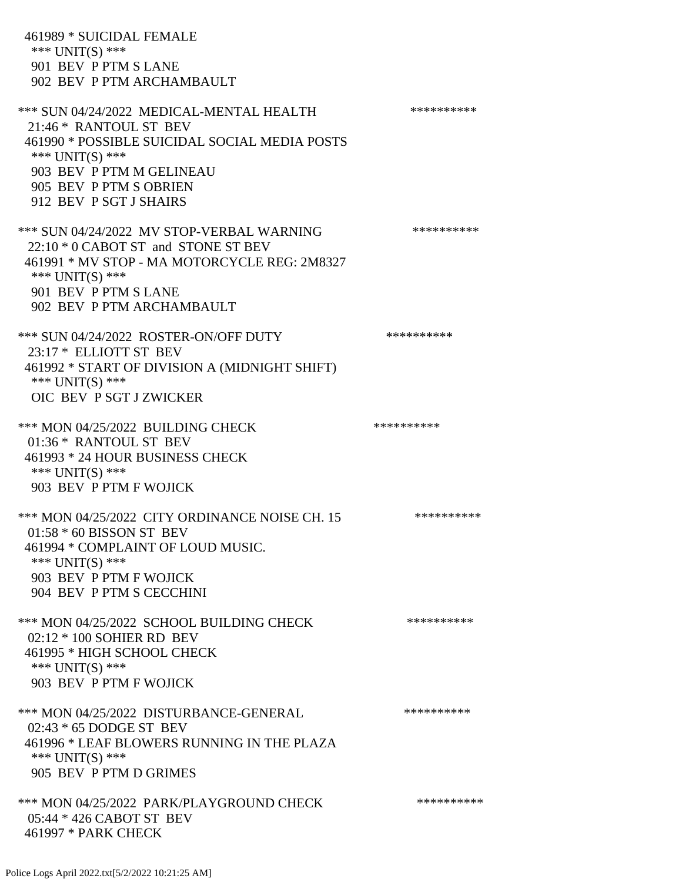461989 \* SUICIDAL FEMALE \*\*\* UNIT(S) \*\*\* 901 BEV P PTM S LANE 902 BEV P PTM ARCHAMBAULT \*\*\* SUN 04/24/2022 MEDICAL-MENTAL HEALTH \*\*\*\*\*\*\*\*\*\* 21:46 \* RANTOUL ST BEV 461990 \* POSSIBLE SUICIDAL SOCIAL MEDIA POSTS \*\*\* UNIT(S) \*\*\* 903 BEV P PTM M GELINEAU 905 BEV P PTM S OBRIEN 912 BEV P SGT J SHAIRS \*\*\* SUN 04/24/2022 MV STOP-VERBAL WARNING \*\*\*\*\*\*\*\*\*\*\*\* 22:10 \* 0 CABOT ST and STONE ST BEV 461991 \* MV STOP - MA MOTORCYCLE REG: 2M8327 \*\*\* UNIT(S) \*\*\* 901 BEV P PTM S LANE 902 BEV P PTM ARCHAMBAULT \*\*\* SUN 04/24/2022 ROSTER-ON/OFF DUTY \*\*\*\*\*\*\*\*\*\* 23:17 \* ELLIOTT ST BEV 461992 \* START OF DIVISION A (MIDNIGHT SHIFT) \*\*\* UNIT(S) \*\*\* OIC BEV P SGT J ZWICKER \*\*\* MON 04/25/2022 BUILDING CHECK \*\*\*\*\*\*\*\*\*\* 01:36 \* RANTOUL ST BEV 461993 \* 24 HOUR BUSINESS CHECK \*\*\* UNIT(S) \*\*\* 903 BEV P PTM F WOJICK \*\*\* MON 04/25/2022 CITY ORDINANCE NOISE CH. 15 \*\*\*\*\*\*\*\*\*\* 01:58 \* 60 BISSON ST BEV 461994 \* COMPLAINT OF LOUD MUSIC. \*\*\* UNIT(S) \*\*\* 903 BEV P PTM F WOJICK 904 BEV P PTM S CECCHINI \*\*\* MON 04/25/2022 SCHOOL BUILDING CHECK \*\*\*\*\*\*\*\*\*\* 02:12 \* 100 SOHIER RD BEV 461995 \* HIGH SCHOOL CHECK \*\*\* UNIT(S) \*\*\* 903 BEV P PTM F WOJICK \*\*\* MON 04/25/2022 DISTURBANCE-GENERAL \*\*\*\*\*\*\*\*\*\* 02:43 \* 65 DODGE ST BEV 461996 \* LEAF BLOWERS RUNNING IN THE PLAZA \*\*\* UNIT(S) \*\*\* 905 BEV P PTM D GRIMES \*\*\* MON 04/25/2022 PARK/PLAYGROUND CHECK \*\*\*\*\*\*\*\*\*\*\*\* 05:44 \* 426 CABOT ST BEV 461997 \* PARK CHECK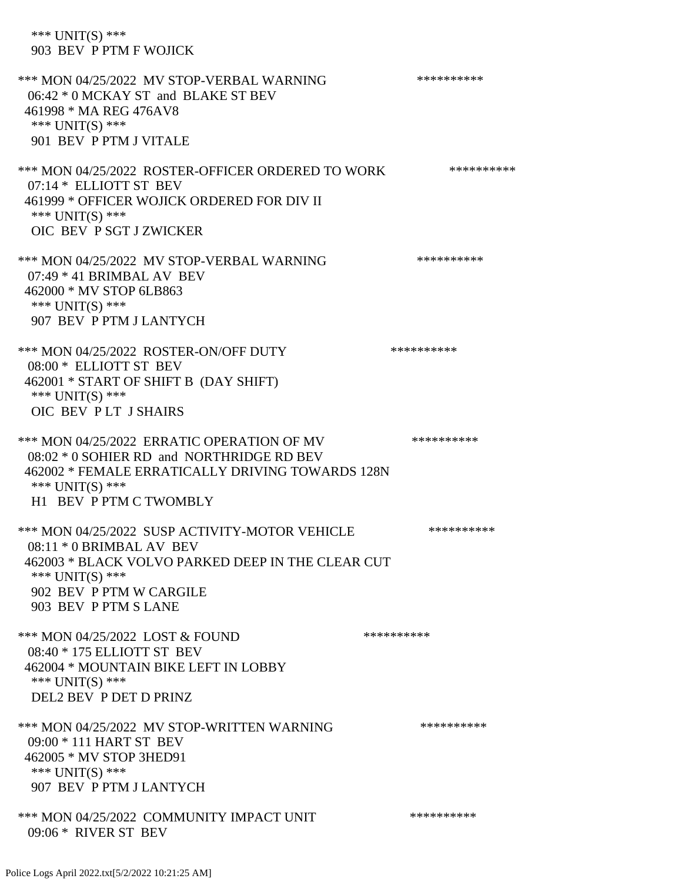\*\*\* UNIT(S) \*\*\* 903 BEV P PTM F WOJICK \*\*\* MON 04/25/2022 MV STOP-VERBAL WARNING \*\*\*\*\*\*\*\*\*\*\*\* 06:42 \* 0 MCKAY ST and BLAKE ST BEV 461998 \* MA REG 476AV8 \*\*\* UNIT(S) \*\*\* 901 BEV P PTM J VITALE \*\*\* MON 04/25/2022 ROSTER-OFFICER ORDERED TO WORK \*\*\*\*\*\*\*\*\*\*\*\* 07:14 \* ELLIOTT ST BEV 461999 \* OFFICER WOJICK ORDERED FOR DIV II \*\*\* UNIT(S) \*\*\* OIC BEV P SGT J ZWICKER \*\*\* MON 04/25/2022 MV STOP-VERBAL WARNING \*\*\*\*\*\*\*\*\*\*\*\* 07:49 \* 41 BRIMBAL AV BEV 462000 \* MV STOP 6LB863 \*\*\* UNIT(S) \*\*\* 907 BEV P PTM J LANTYCH \*\*\* MON 04/25/2022 ROSTER-ON/OFF DUTY \*\*\*\*\*\*\*\*\*\* 08:00 \* ELLIOTT ST BEV 462001 \* START OF SHIFT B (DAY SHIFT) \*\*\* UNIT(S) \*\*\* OIC BEV P LT J SHAIRS \*\*\* MON 04/25/2022 ERRATIC OPERATION OF MV \*\*\*\*\*\*\*\*\*\* 08:02 \* 0 SOHIER RD and NORTHRIDGE RD BEV 462002 \* FEMALE ERRATICALLY DRIVING TOWARDS 128N \*\*\* UNIT(S) \*\*\* H1 BEV P PTM C TWOMBLY \*\*\* MON 04/25/2022 SUSP ACTIVITY-MOTOR VEHICLE \*\*\*\*\*\*\*\*\*\*\*\* 08:11 \* 0 BRIMBAL AV BEV 462003 \* BLACK VOLVO PARKED DEEP IN THE CLEAR CUT \*\*\* UNIT(S) \*\*\* 902 BEV P PTM W CARGILE 903 BEV P PTM S LANE \*\*\* MON 04/25/2022 LOST & FOUND \*\*\*\*\*\*\*\*\*\*\*\* 08:40 \* 175 ELLIOTT ST BEV 462004 \* MOUNTAIN BIKE LEFT IN LOBBY \*\*\* UNIT(S) \*\*\* DEL2 BEV P DET D PRINZ \*\*\* MON 04/25/2022 MV STOP-WRITTEN WARNING \*\*\*\*\*\*\*\*\*\*\*\* 09:00 \* 111 HART ST BEV 462005 \* MV STOP 3HED91 \*\*\* UNIT(S) \*\*\* 907 BEV P PTM J LANTYCH \*\*\* MON 04/25/2022 COMMUNITY IMPACT UNIT \*\*\*\*\*\*\*\*\*\*\*\* 09:06 \* RIVER ST BEV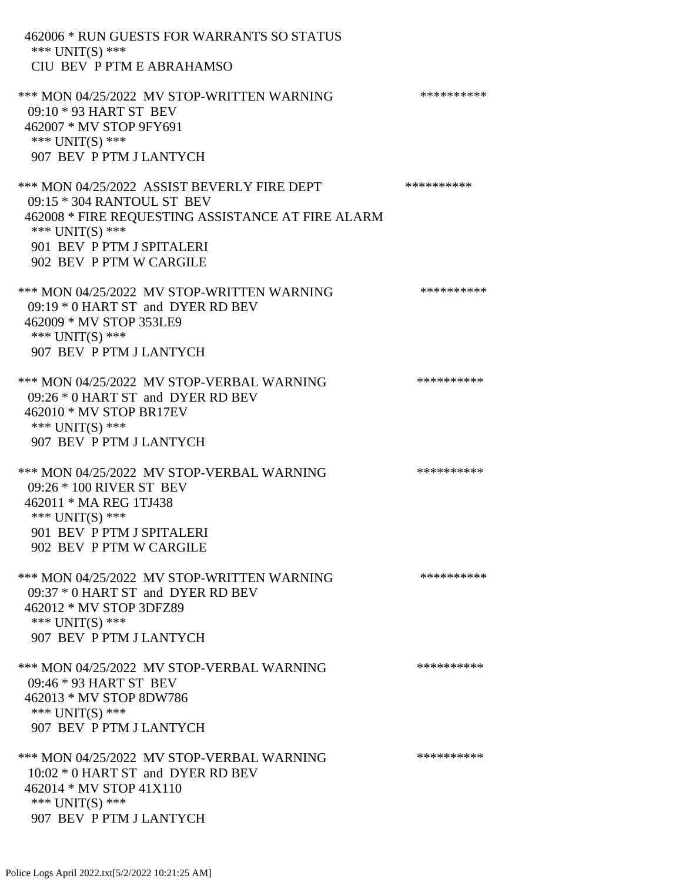462006 \* RUN GUESTS FOR WARRANTS SO STATUS \*\*\* UNIT(S) \*\*\* CIU BEV P PTM E ABRAHAMSO \*\*\* MON 04/25/2022 MV STOP-WRITTEN WARNING \*\*\*\*\*\*\*\*\*\*\*\* 09:10 \* 93 HART ST BEV 462007 \* MV STOP 9FY691 \*\*\* UNIT(S) \*\*\* 907 BEV P PTM J LANTYCH \*\*\* MON 04/25/2022 ASSIST BEVERLY FIRE DEPT \*\*\*\*\*\*\*\*\*\*\*\* 09:15 \* 304 RANTOUL ST BEV 462008 \* FIRE REQUESTING ASSISTANCE AT FIRE ALARM \*\*\* UNIT(S) \*\*\* 901 BEV P PTM J SPITALERI 902 BEV P PTM W CARGILE \*\*\* MON 04/25/2022 MV STOP-WRITTEN WARNING \*\*\*\*\*\*\*\*\*\*\*\* 09:19 \* 0 HART ST and DYER RD BEV 462009 \* MV STOP 353LE9 \*\*\* UNIT(S) \*\*\* 907 BEV P PTM J LANTYCH \*\*\* MON 04/25/2022 MV STOP-VERBAL WARNING \*\*\*\*\*\*\*\*\*\*\*\*\* 09:26 \* 0 HART ST and DYER RD BEV 462010 \* MV STOP BR17EV \*\*\* UNIT(S) \*\*\* 907 BEV P PTM J LANTYCH \*\*\* MON 04/25/2022 MV STOP-VERBAL WARNING \*\*\*\*\*\*\*\*\*\*\*\* 09:26 \* 100 RIVER ST BEV 462011 \* MA REG 1TJ438 \*\*\* UNIT(S) \*\*\* 901 BEV P PTM J SPITALERI 902 BEV P PTM W CARGILE \*\*\* MON 04/25/2022 MV STOP-WRITTEN WARNING \*\*\*\*\*\*\*\*\*\*\*\* 09:37 \* 0 HART ST and DYER RD BEV 462012 \* MV STOP 3DFZ89 \*\*\* UNIT(S) \*\*\* 907 BEV P PTM J LANTYCH \*\*\* MON 04/25/2022 MV STOP-VERBAL WARNING \*\*\*\*\*\*\*\*\*\*\*\* 09:46 \* 93 HART ST BEV 462013 \* MV STOP 8DW786 \*\*\* UNIT(S) \*\*\* 907 BEV P PTM J LANTYCH \*\*\* MON 04/25/2022 MV STOP-VERBAL WARNING \*\*\*\*\*\*\*\*\*\*\*\*\* 10:02 \* 0 HART ST and DYER RD BEV 462014 \* MV STOP 41X110 \*\*\* UNIT(S) \*\*\* 907 BEV P PTM J LANTYCH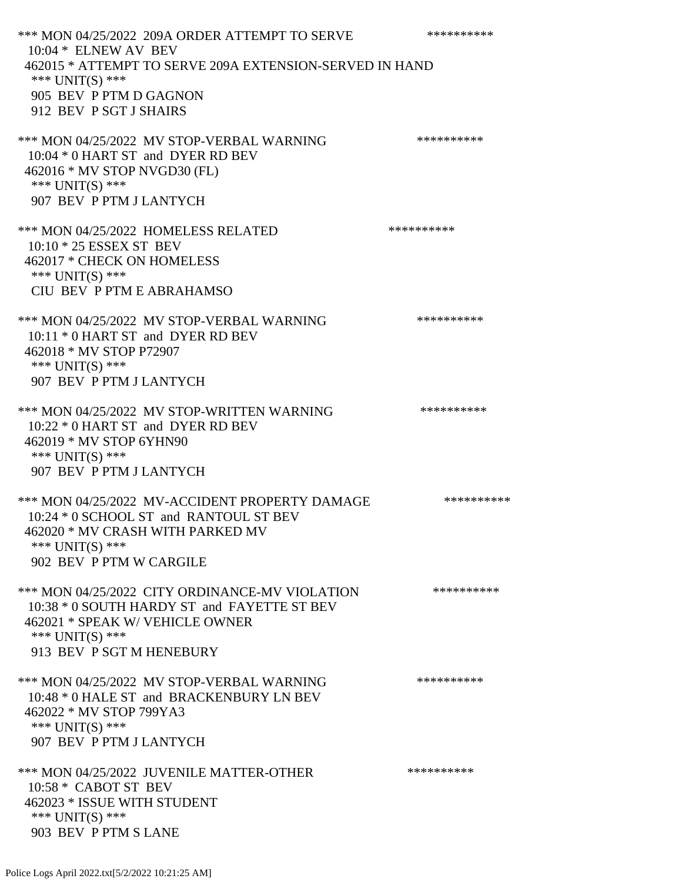\*\*\* MON 04/25/2022 209A ORDER ATTEMPT TO SERVE \*\*\*\*\*\*\*\*\*\* 10:04 \* ELNEW AV BEV 462015 \* ATTEMPT TO SERVE 209A EXTENSION-SERVED IN HAND \*\*\* UNIT(S) \*\*\* 905 BEV P PTM D GAGNON 912 BEV P SGT J SHAIRS \*\*\* MON 04/25/2022 MV STOP-VERBAL WARNING \*\*\*\*\*\*\*\*\*\*\*\* 10:04 \* 0 HART ST and DYER RD BEV 462016 \* MV STOP NVGD30 (FL) \*\*\* UNIT(S) \*\*\* 907 BEV P PTM J LANTYCH \*\*\* MON 04/25/2022 HOMELESS RELATED \*\*\*\*\*\*\*\*\*\* 10:10 \* 25 ESSEX ST BEV 462017 \* CHECK ON HOMELESS \*\*\* UNIT(S) \*\*\* CIU BEV P PTM E ABRAHAMSO \*\*\* MON 04/25/2022 MV STOP-VERBAL WARNING \*\*\*\*\*\*\*\*\*\*\*\*\*\* 10:11 \* 0 HART ST and DYER RD BEV 462018 \* MV STOP P72907 \*\*\* UNIT(S) \*\*\* 907 BEV P PTM J LANTYCH \*\*\* MON 04/25/2022 MV STOP-WRITTEN WARNING \*\*\*\*\*\*\*\*\*\*\*\* 10:22 \* 0 HART ST and DYER RD BEV 462019 \* MV STOP 6YHN90 \*\*\* UNIT(S) \*\*\* 907 BEV P PTM J LANTYCH \*\*\* MON 04/25/2022 MV-ACCIDENT PROPERTY DAMAGE \*\*\*\*\*\*\*\*\*\*\*\* 10:24 \* 0 SCHOOL ST and RANTOUL ST BEV 462020 \* MV CRASH WITH PARKED MV \*\*\* UNIT(S) \*\*\* 902 BEV P PTM W CARGILE \*\*\* MON 04/25/2022 CITY ORDINANCE-MV VIOLATION \*\*\*\*\*\*\*\*\*\* 10:38 \* 0 SOUTH HARDY ST and FAYETTE ST BEV 462021 \* SPEAK W/ VEHICLE OWNER \*\*\* UNIT(S) \*\*\* 913 BEV P SGT M HENEBURY \*\*\* MON 04/25/2022 MV STOP-VERBAL WARNING \*\*\*\*\*\*\*\*\*\*\*\*\* 10:48 \* 0 HALE ST and BRACKENBURY LN BEV 462022 \* MV STOP 799YA3 \*\*\* UNIT(S) \*\*\* 907 BEV P PTM J LANTYCH \*\*\* MON 04/25/2022 JUVENILE MATTER-OTHER \*\*\*\*\*\*\*\*\*\*\*\* 10:58 \* CABOT ST BEV 462023 \* ISSUE WITH STUDENT \*\*\* UNIT(S) \*\*\* 903 BEV P PTM S LANE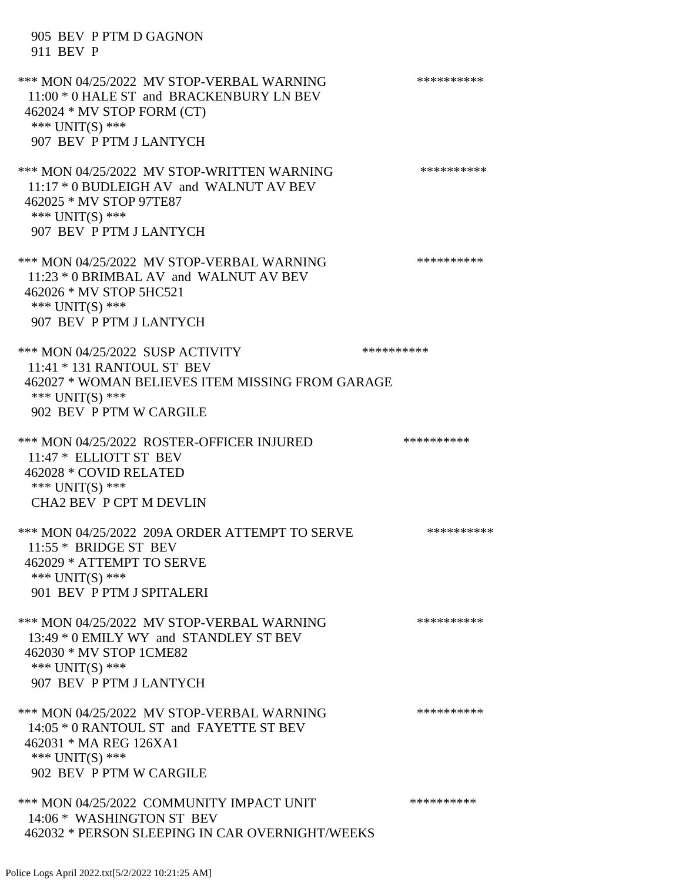905 BEV P PTM D GAGNON 911 BEV P \*\*\* MON 04/25/2022 MV STOP-VERBAL WARNING \*\*\*\*\*\*\*\*\*\*\*\* 11:00 \* 0 HALE ST and BRACKENBURY LN BEV 462024 \* MV STOP FORM (CT) \*\*\* UNIT(S) \*\*\* 907 BEV P PTM J LANTYCH \*\*\* MON 04/25/2022 MV STOP-WRITTEN WARNING \*\*\*\*\*\*\*\*\*\*\*\* 11:17 \* 0 BUDLEIGH AV and WALNUT AV BEV 462025 \* MV STOP 97TE87 \*\*\* UNIT(S) \*\*\* 907 BEV P PTM J LANTYCH \*\*\* MON 04/25/2022 MV STOP-VERBAL WARNING \*\*\*\*\*\*\*\*\*\*\*\* 11:23 \* 0 BRIMBAL AV and WALNUT AV BEV 462026 \* MV STOP 5HC521 \*\*\* UNIT(S) \*\*\* 907 BEV P PTM J LANTYCH \*\*\* MON 04/25/2022 SUSP ACTIVITY \*\*\*\*\*\*\*\*\*\*\*\* 11:41 \* 131 RANTOUL ST BEV 462027 \* WOMAN BELIEVES ITEM MISSING FROM GARAGE \*\*\* UNIT(S) \*\*\* 902 BEV P PTM W CARGILE \*\*\* MON 04/25/2022 ROSTER-OFFICER INJURED \*\*\*\*\*\*\*\*\*\*\* 11:47 \* ELLIOTT ST BEV 462028 \* COVID RELATED \*\*\* UNIT(S) \*\*\* CHA2 BEV P CPT M DEVLIN \*\*\* MON 04/25/2022 209A ORDER ATTEMPT TO SERVE \*\*\*\*\*\*\*\*\*\* 11:55 \* BRIDGE ST BEV 462029 \* ATTEMPT TO SERVE \*\*\* UNIT(S) \*\*\* 901 BEV P PTM J SPITALERI \*\*\* MON 04/25/2022 MV STOP-VERBAL WARNING \*\*\*\*\*\*\*\*\*\*\*\*\* 13:49 \* 0 EMILY WY and STANDLEY ST BEV 462030 \* MV STOP 1CME82 \*\*\* UNIT(S) \*\*\* 907 BEV P PTM J LANTYCH \*\*\* MON 04/25/2022 MV STOP-VERBAL WARNING \*\*\*\*\*\*\*\*\*\*\*\* 14:05 \* 0 RANTOUL ST and FAYETTE ST BEV 462031 \* MA REG 126XA1 \*\*\* UNIT(S) \*\*\* 902 BEV P PTM W CARGILE \*\*\* MON 04/25/2022 COMMUNITY IMPACT UNIT \*\*\*\*\*\*\*\*\*\*\*\* 14:06 \* WASHINGTON ST BEV 462032 \* PERSON SLEEPING IN CAR OVERNIGHT/WEEKS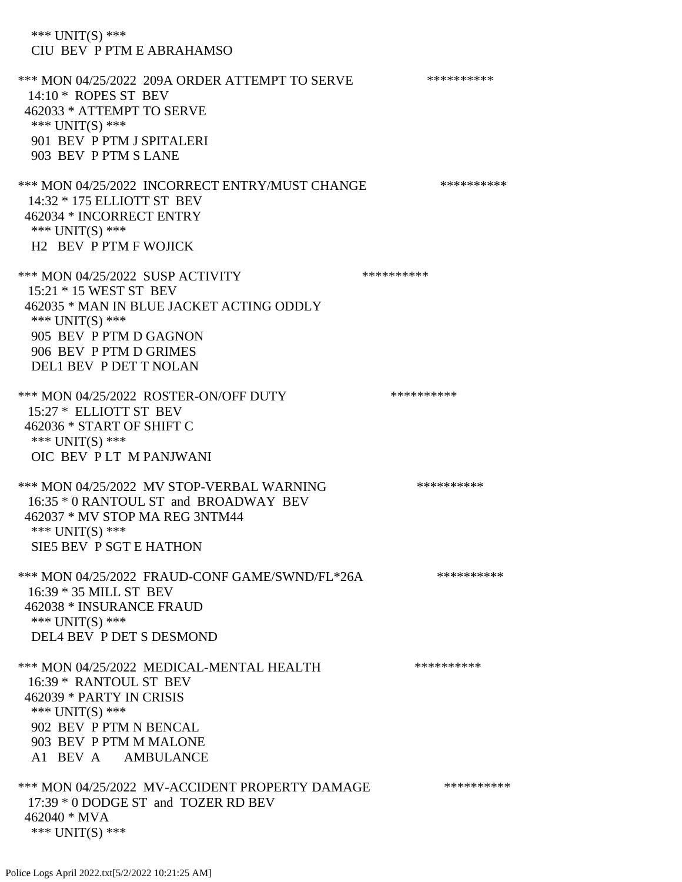\*\*\* UNIT(S) \*\*\* CIU BEV P PTM E ABRAHAMSO \*\*\* MON 04/25/2022 209A ORDER ATTEMPT TO SERVE \*\*\*\*\*\*\*\*\*\* 14:10 \* ROPES ST BEV 462033 \* ATTEMPT TO SERVE \*\*\* UNIT(S) \*\*\* 901 BEV P PTM J SPITALERI 903 BEV P PTM S LANE \*\*\* MON 04/25/2022 INCORRECT ENTRY/MUST CHANGE \*\*\*\*\*\*\*\*\*\* 14:32 \* 175 ELLIOTT ST BEV 462034 \* INCORRECT ENTRY \*\*\* UNIT(S) \*\*\* H2 BEV P PTM F WOJICK \*\*\* MON 04/25/2022 SUSP ACTIVITY \*\*\*\*\*\*\*\*\*\*\*\* 15:21 \* 15 WEST ST BEV 462035 \* MAN IN BLUE JACKET ACTING ODDLY \*\*\* UNIT(S) \*\*\* 905 BEV P PTM D GAGNON 906 BEV P PTM D GRIMES DEL1 BEV P DET T NOLAN \*\*\* MON 04/25/2022 ROSTER-ON/OFF DUTY \*\*\*\*\*\*\*\*\*\* 15:27 \* ELLIOTT ST BEV 462036 \* START OF SHIFT C \*\*\* UNIT(S) \*\*\* OIC BEV P LT M PANJWANI \*\*\* MON 04/25/2022 MV STOP-VERBAL WARNING \*\*\*\*\*\*\*\*\*\*\*\* 16:35 \* 0 RANTOUL ST and BROADWAY BEV 462037 \* MV STOP MA REG 3NTM44 \*\*\* UNIT(S) \*\*\* SIE5 BEV P SGT E HATHON \*\*\* MON 04/25/2022 FRAUD-CONF GAME/SWND/FL\*26A \*\*\*\*\*\*\*\*\*\* 16:39 \* 35 MILL ST BEV 462038 \* INSURANCE FRAUD \*\*\* UNIT(S) \*\*\* DEL4 BEV P DET S DESMOND \*\*\* MON 04/25/2022 MEDICAL-MENTAL HEALTH \*\*\*\*\*\*\*\*\*\* 16:39 \* RANTOUL ST BEV 462039 \* PARTY IN CRISIS \*\*\* UNIT(S) \*\*\* 902 BEV P PTM N BENCAL 903 BEV P PTM M MALONE A1 BEV A AMBULANCE \*\*\* MON 04/25/2022 MV-ACCIDENT PROPERTY DAMAGE \*\*\*\*\*\*\*\*\*\*\*\* 17:39 \* 0 DODGE ST and TOZER RD BEV 462040 \* MVA \*\*\* UNIT(S) \*\*\*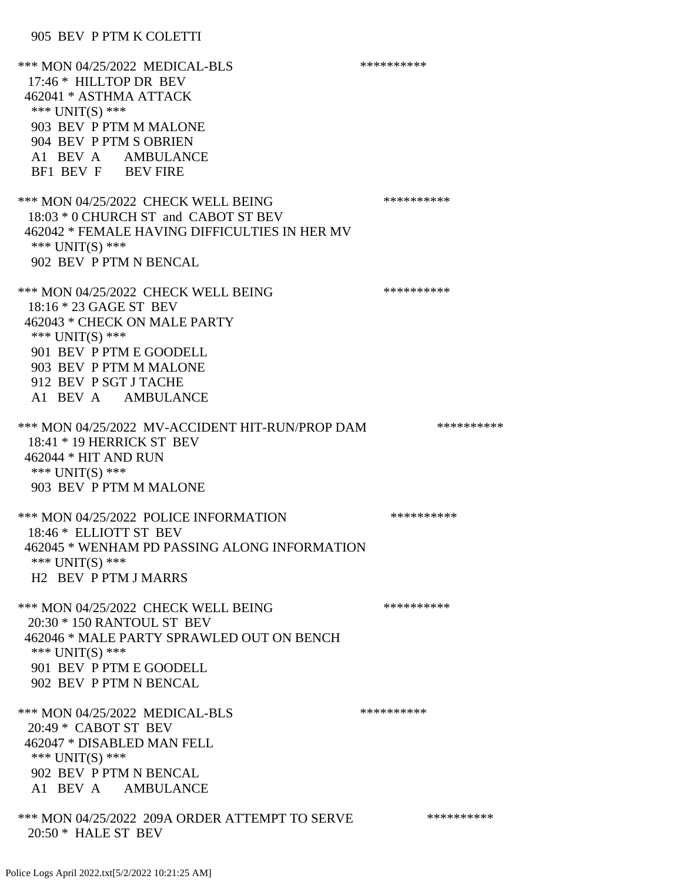### 905 BEV P PTM K COLETTI

\*\*\* MON 04/25/2022 MEDICAL-BLS \*\*\*\*\*\*\*\*\*\*\*\* 17:46 \* HILLTOP DR BEV 462041 \* ASTHMA ATTACK \*\*\* UNIT(S) \*\*\* 903 BEV P PTM M MALONE 904 BEV P PTM S OBRIEN A1 BEV A AMBULANCE BF1 BEV F BEV FIRE \*\*\* MON 04/25/2022 CHECK WELL BEING \*\*\*\*\*\*\*\*\*\* 18:03 \* 0 CHURCH ST and CABOT ST BEV 462042 \* FEMALE HAVING DIFFICULTIES IN HER MV \*\*\* UNIT(S) \*\*\* 902 BEV P PTM N BENCAL \*\*\* MON 04/25/2022 CHECK WELL BEING \*\*\*\*\*\*\*\*\*\* 18:16 \* 23 GAGE ST BEV 462043 \* CHECK ON MALE PARTY \*\*\* UNIT(S) \*\*\* 901 BEV P PTM E GOODELL 903 BEV P PTM M MALONE 912 BEV P SGT J TACHE A1 BEV A AMBULANCE \*\*\* MON 04/25/2022 MV-ACCIDENT HIT-RUN/PROP DAM \*\*\*\*\*\*\*\*\*\* 18:41 \* 19 HERRICK ST BEV 462044 \* HIT AND RUN \*\*\* UNIT(S) \*\*\* 903 BEV P PTM M MALONE \*\*\* MON 04/25/2022 POLICE INFORMATION \*\*\*\*\*\*\*\*\*\* 18:46 \* ELLIOTT ST BEV 462045 \* WENHAM PD PASSING ALONG INFORMATION \*\*\* UNIT(S) \*\*\* H2 BEV P PTM J MARRS \*\*\* MON 04/25/2022 CHECK WELL BEING \*\*\*\*\*\*\*\*\*\*\*\*\* 20:30 \* 150 RANTOUL ST BEV 462046 \* MALE PARTY SPRAWLED OUT ON BENCH \*\*\* UNIT(S) \*\*\* 901 BEV P PTM E GOODELL 902 BEV P PTM N BENCAL \*\*\* MON 04/25/2022 MEDICAL-BLS \*\*\*\*\*\*\*\*\*\*\*\* 20:49 \* CABOT ST BEV 462047 \* DISABLED MAN FELL \*\*\* UNIT(S) \*\*\* 902 BEV P PTM N BENCAL A1 BEV A AMBULANCE \*\*\* MON 04/25/2022 209A ORDER ATTEMPT TO SERVE \*\*\*\*\*\*\*\*\*\* 20:50 \* HALE ST BEV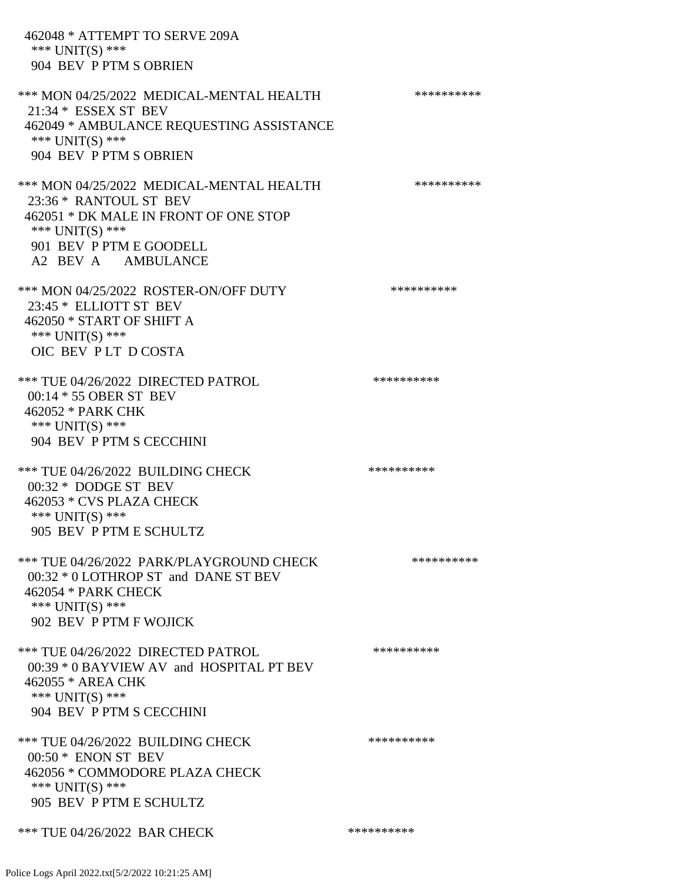462048 \* ATTEMPT TO SERVE 209A \*\*\* UNIT(S) \*\*\* 904 BEV P PTM S OBRIEN \*\*\* MON 04/25/2022 MEDICAL-MENTAL HEALTH \*\*\*\*\*\*\*\*\*\*\*\* 21:34 \* ESSEX ST BEV 462049 \* AMBULANCE REQUESTING ASSISTANCE \*\*\* UNIT(S) \*\*\* 904 BEV P PTM S OBRIEN \*\*\* MON 04/25/2022 MEDICAL-MENTAL HEALTH \*\*\*\*\*\*\*\*\*\* 23:36 \* RANTOUL ST BEV 462051 \* DK MALE IN FRONT OF ONE STOP \*\*\* UNIT(S) \*\*\* 901 BEV P PTM E GOODELL A2 BEV A AMBULANCE \*\*\* MON 04/25/2022 ROSTER-ON/OFF DUTY \*\*\*\*\*\*\*\*\*\* 23:45 \* ELLIOTT ST BEV 462050 \* START OF SHIFT A \*\*\* UNIT(S) \*\*\* OIC BEV P LT D COSTA \*\*\* TUE 04/26/2022 DIRECTED PATROL \*\*\*\*\*\*\*\*\*\* 00:14 \* 55 OBER ST BEV 462052 \* PARK CHK \*\*\* UNIT(S) \*\*\* 904 BEV P PTM S CECCHINI \*\*\* TUE 04/26/2022 BUILDING CHECK \*\*\*\*\*\*\*\*\*\*\*\* 00:32 \* DODGE ST BEV 462053 \* CVS PLAZA CHECK \*\*\* UNIT(S) \*\*\* 905 BEV P PTM E SCHULTZ \*\*\* TUE 04/26/2022 PARK/PLAYGROUND CHECK \*\*\*\*\*\*\*\*\*\* 00:32 \* 0 LOTHROP ST and DANE ST BEV 462054 \* PARK CHECK \*\*\* UNIT(S) \*\*\* 902 BEV P PTM F WOJICK \*\*\* TUE 04/26/2022 DIRECTED PATROL \*\*\*\*\*\*\*\*\*\* 00:39 \* 0 BAYVIEW AV and HOSPITAL PT BEV 462055 \* AREA CHK \*\*\* UNIT(S) \*\*\* 904 BEV P PTM S CECCHINI \*\*\* TUE 04/26/2022 BUILDING CHECK \*\*\*\*\*\*\*\*\*\*\*\* 00:50 \* ENON ST BEV 462056 \* COMMODORE PLAZA CHECK \*\*\* UNIT(S) \*\*\* 905 BEV P PTM E SCHULTZ \*\*\* TUE 04/26/2022 BAR CHECK \*\*\*\*\*\*\*\*\*\*\*\*\*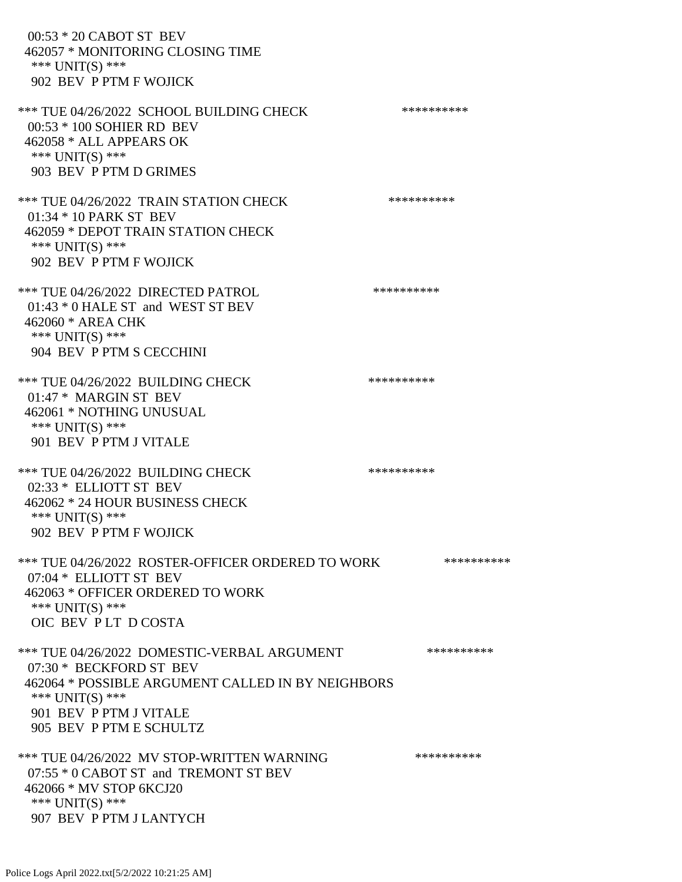00:53 \* 20 CABOT ST BEV 462057 \* MONITORING CLOSING TIME \*\*\* UNIT(S) \*\*\* 902 BEV P PTM F WOJICK \*\*\* TUE 04/26/2022 SCHOOL BUILDING CHECK \*\*\*\*\*\*\*\*\*\*\*\* 00:53 \* 100 SOHIER RD BEV 462058 \* ALL APPEARS OK \*\*\* UNIT(S) \*\*\* 903 BEV P PTM D GRIMES \*\*\* TUE 04/26/2022 TRAIN STATION CHECK \*\*\*\*\*\*\*\*\*\* 01:34 \* 10 PARK ST BEV 462059 \* DEPOT TRAIN STATION CHECK \*\*\* UNIT(S) \*\*\* 902 BEV P PTM F WOJICK \*\*\* TUE 04/26/2022 DIRECTED PATROL \*\*\*\*\*\*\*\*\*\* 01:43 \* 0 HALE ST and WEST ST BEV 462060 \* AREA CHK \*\*\* UNIT(S) \*\*\* 904 BEV P PTM S CECCHINI \*\*\* TUE 04/26/2022 BUILDING CHECK \*\*\*\*\*\*\*\*\*\* 01:47 \* MARGIN ST BEV 462061 \* NOTHING UNUSUAL \*\*\* UNIT(S) \*\*\* 901 BEV P PTM J VITALE \*\*\* TUE 04/26/2022 BUILDING CHECK \*\*\*\*\*\*\*\*\*\*\*\* 02:33 \* ELLIOTT ST BEV 462062 \* 24 HOUR BUSINESS CHECK \*\*\* UNIT(S) \*\*\* 902 BEV P PTM F WOJICK \*\*\* TUE 04/26/2022 ROSTER-OFFICER ORDERED TO WORK \*\*\*\*\*\*\*\*\*\*\* 07:04 \* ELLIOTT ST BEV 462063 \* OFFICER ORDERED TO WORK \*\*\* UNIT(S) \*\*\* OIC BEV P LT D COSTA \*\*\* TUE 04/26/2022 DOMESTIC-VERBAL ARGUMENT \*\*\*\*\*\*\*\*\*\* 07:30 \* BECKFORD ST BEV 462064 \* POSSIBLE ARGUMENT CALLED IN BY NEIGHBORS \*\*\* UNIT(S) \*\*\* 901 BEV P PTM J VITALE 905 BEV P PTM E SCHULTZ \*\*\* TUE 04/26/2022 MV STOP-WRITTEN WARNING \*\*\*\*\*\*\*\*\*\*\*\*\* 07:55 \* 0 CABOT ST and TREMONT ST BEV 462066 \* MV STOP 6KCJ20 \*\*\* UNIT(S) \*\*\* 907 BEV P PTM J LANTYCH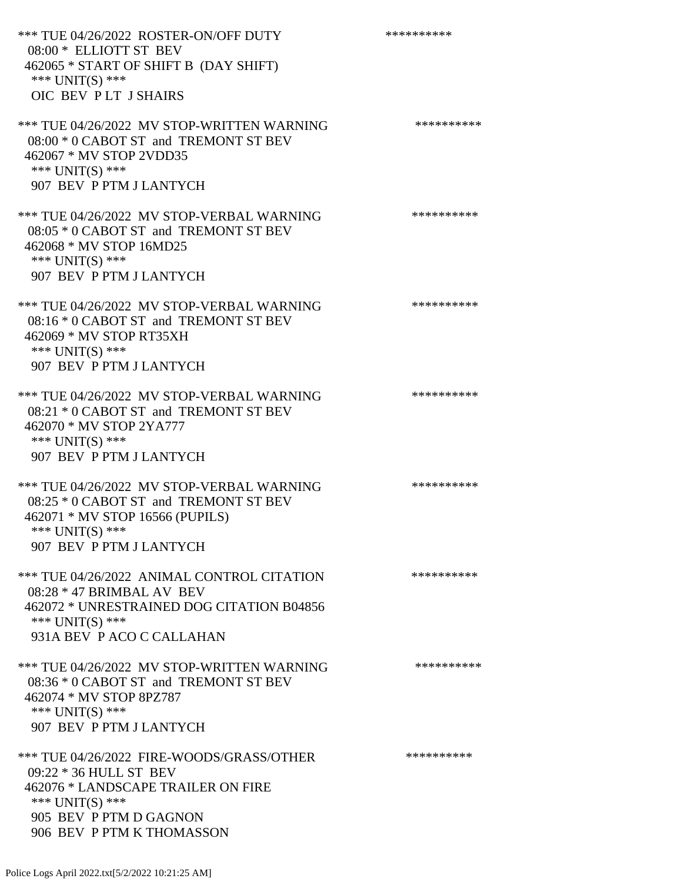\*\*\* TUE 04/26/2022 ROSTER-ON/OFF DUTY \*\*\*\*\*\*\*\*\*\* 08:00 \* ELLIOTT ST BEV 462065 \* START OF SHIFT B (DAY SHIFT) \*\*\* UNIT(S) \*\*\* OIC BEV P LT J SHAIRS \*\*\* TUE 04/26/2022 MV STOP-WRITTEN WARNING \*\*\*\*\*\*\*\*\*\*\*\*\* 08:00 \* 0 CABOT ST and TREMONT ST BEV 462067 \* MV STOP 2VDD35 \*\*\* UNIT(S) \*\*\* 907 BEV P PTM J LANTYCH \*\*\* TUE 04/26/2022 MV STOP-VERBAL WARNING \*\*\*\*\*\*\*\*\*\* 08:05 \* 0 CABOT ST and TREMONT ST BEV 462068 \* MV STOP 16MD25 \*\*\* UNIT(S) \*\*\* 907 BEV P PTM J LANTYCH \*\*\* TUE 04/26/2022 MV STOP-VERBAL WARNING \*\*\*\*\*\*\*\*\*\*\*\* 08:16 \* 0 CABOT ST and TREMONT ST BEV 462069 \* MV STOP RT35XH \*\*\* UNIT(S) \*\*\* 907 BEV P PTM J LANTYCH \*\*\* TUE 04/26/2022 MV STOP-VERBAL WARNING \*\*\*\*\*\*\*\*\*\*\*\*\* 08:21 \* 0 CABOT ST and TREMONT ST BEV 462070 \* MV STOP 2YA777 \*\*\* UNIT(S) \*\*\* 907 BEV P PTM J LANTYCH \*\*\* TUE 04/26/2022 MV STOP-VERBAL WARNING \*\*\*\*\*\*\*\*\*\*\*\*\* 08:25 \* 0 CABOT ST and TREMONT ST BEV 462071 \* MV STOP 16566 (PUPILS) \*\*\* UNIT(S) \*\*\* 907 BEV P PTM J LANTYCH \*\*\* TUE 04/26/2022 ANIMAL CONTROL CITATION \*\*\*\*\*\*\*\*\*\* 08:28 \* 47 BRIMBAL AV BEV 462072 \* UNRESTRAINED DOG CITATION B04856 \*\*\* UNIT(S) \*\*\* 931A BEV P ACO C CALLAHAN \*\*\* TUE 04/26/2022 MV STOP-WRITTEN WARNING \*\*\*\*\*\*\*\*\*\*\*\*\* 08:36 \* 0 CABOT ST and TREMONT ST BEV 462074 \* MV STOP 8PZ787 \*\*\* UNIT(S) \*\*\* 907 BEV P PTM J LANTYCH \*\*\* TUE 04/26/2022 FIRE-WOODS/GRASS/OTHER \*\*\*\*\*\*\*\*\*\* 09:22 \* 36 HULL ST BEV 462076 \* LANDSCAPE TRAILER ON FIRE \*\*\* UNIT(S) \*\*\* 905 BEV P PTM D GAGNON

906 BEV P PTM K THOMASSON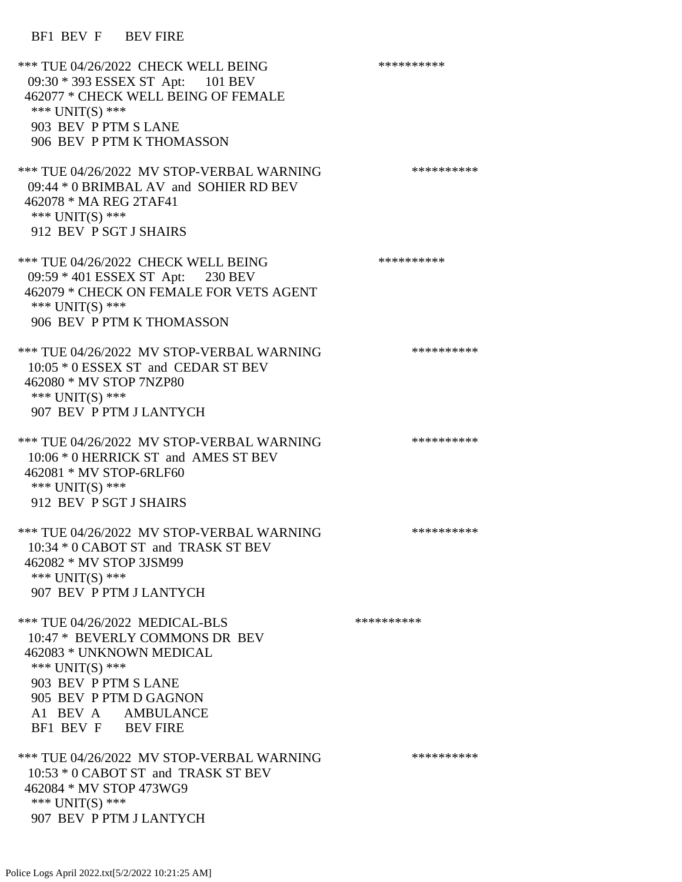# BF1 BEV F BEV FIRE

| *** TUE 04/26/2022 CHECK WELL BEING<br>09:30 * 393 ESSEX ST Apt: 101 BEV<br>462077 * CHECK WELL BEING OF FEMALE<br>*** $UNIT(S)$ ***<br>903 BEV P PTM S LANE<br>906 BEV P PTM K THOMASSON                     | ********** |
|---------------------------------------------------------------------------------------------------------------------------------------------------------------------------------------------------------------|------------|
| *** TUE 04/26/2022 MV STOP-VERBAL WARNING<br>09:44 * 0 BRIMBAL AV and SOHIER RD BEV<br>462078 * MA REG 2TAF41<br>*** UNIT(S) ***<br>912 BEV P SGT J SHAIRS                                                    | ********** |
| *** TUE 04/26/2022 CHECK WELL BEING<br>09:59 * 401 ESSEX ST Apt: 230 BEV<br>462079 * CHECK ON FEMALE FOR VETS AGENT<br>*** UNIT(S) ***<br>906 BEV P PTM K THOMASSON                                           | ********** |
| *** TUE 04/26/2022 MV STOP-VERBAL WARNING<br>10:05 * 0 ESSEX ST and CEDAR ST BEV<br>462080 * MV STOP 7NZP80<br>*** $UNIT(S)$ ***<br>907 BEV P PTM J LANTYCH                                                   | ********** |
| *** TUE 04/26/2022 MV STOP-VERBAL WARNING<br>10:06 * 0 HERRICK ST and AMES ST BEV<br>462081 * MV STOP-6RLF60<br>*** $UNIT(S)$ ***<br>912 BEV P SGT J SHAIRS                                                   | ********** |
| *** TUE 04/26/2022 MV STOP-VERBAL WARNING<br>10:34 * 0 CABOT ST and TRASK ST BEV<br>462082 * MV STOP 3JSM99<br>*** UNIT(S) ***<br>907 BEV P PTM J LANTYCH                                                     | ********** |
| *** TUE 04/26/2022 MEDICAL-BLS<br>10:47 * BEVERLY COMMONS DR BEV<br>462083 * UNKNOWN MEDICAL<br>*** UNIT(S) ***<br>903 BEV P PTM S LANE<br>905 BEV P PTM D GAGNON<br>A1 BEV A AMBULANCE<br>BF1 BEV F BEV FIRE | ********** |
| *** TUE 04/26/2022 MV STOP-VERBAL WARNING<br>10:53 * 0 CABOT ST and TRASK ST BEV<br>462084 * MV STOP 473WG9<br>*** $UNIT(S)$ ***<br>907 BEV P PTM J LANTYCH                                                   | ********** |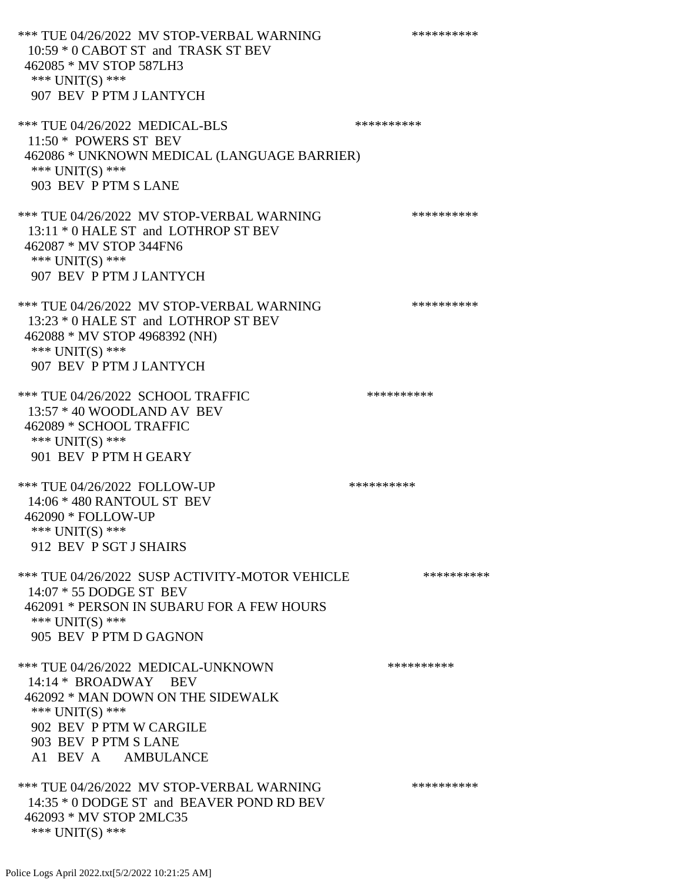\*\*\* TUE 04/26/2022 MV STOP-VERBAL WARNING \*\*\*\*\*\*\*\*\*\*\*\*\* 10:59 \* 0 CABOT ST and TRASK ST BEV 462085 \* MV STOP 587LH3 \*\*\* UNIT(S) \*\*\* 907 BEV P PTM J LANTYCH \*\*\* TUE 04/26/2022 MEDICAL-BLS \*\*\*\*\*\*\*\*\*\*\*\*\* 11:50 \* POWERS ST BEV 462086 \* UNKNOWN MEDICAL (LANGUAGE BARRIER) \*\*\* UNIT(S) \*\*\* 903 BEV P PTM S LANE \*\*\* TUE 04/26/2022 MV STOP-VERBAL WARNING \*\*\*\*\*\*\*\*\*\*\*\*\* 13:11 \* 0 HALE ST and LOTHROP ST BEV 462087 \* MV STOP 344FN6 \*\*\* UNIT(S) \*\*\* 907 BEV P PTM J LANTYCH \*\*\* TUE 04/26/2022 MV STOP-VERBAL WARNING \*\*\*\*\*\*\*\*\*\*\*\* 13:23 \* 0 HALE ST and LOTHROP ST BEV 462088 \* MV STOP 4968392 (NH) \*\*\* UNIT(S) \*\*\* 907 BEV P PTM J LANTYCH \*\*\* TUE 04/26/2022 SCHOOL TRAFFIC \*\*\*\*\*\*\*\*\*\*\*\*\*\*\* 13:57 \* 40 WOODLAND AV BEV 462089 \* SCHOOL TRAFFIC \*\*\* UNIT(S) \*\*\* 901 BEV P PTM H GEARY \*\*\* TUE 04/26/2022 FOLLOW-UP \*\*\*\*\*\*\*\*\*\*\*\* 14:06 \* 480 RANTOUL ST BEV 462090 \* FOLLOW-UP \*\*\* UNIT(S) \*\*\* 912 BEV P SGT J SHAIRS \*\*\* TUE 04/26/2022 SUSP ACTIVITY-MOTOR VEHICLE \*\*\*\*\*\*\*\*\*\* 14:07 \* 55 DODGE ST BEV 462091 \* PERSON IN SUBARU FOR A FEW HOURS \*\*\* UNIT(S) \*\*\* 905 BEV P PTM D GAGNON \*\*\* TUE 04/26/2022 MEDICAL-UNKNOWN \*\*\*\*\*\*\*\*\*\* 14:14 \* BROADWAY BEV 462092 \* MAN DOWN ON THE SIDEWALK \*\*\* UNIT(S) \*\*\* 902 BEV P PTM W CARGILE 903 BEV P PTM S LANE A1 BEV A AMBULANCE \*\*\* TUE 04/26/2022 MV STOP-VERBAL WARNING \*\*\*\*\*\*\*\*\*\*\*\*\* 14:35 \* 0 DODGE ST and BEAVER POND RD BEV 462093 \* MV STOP 2MLC35 \*\*\* UNIT(S) \*\*\*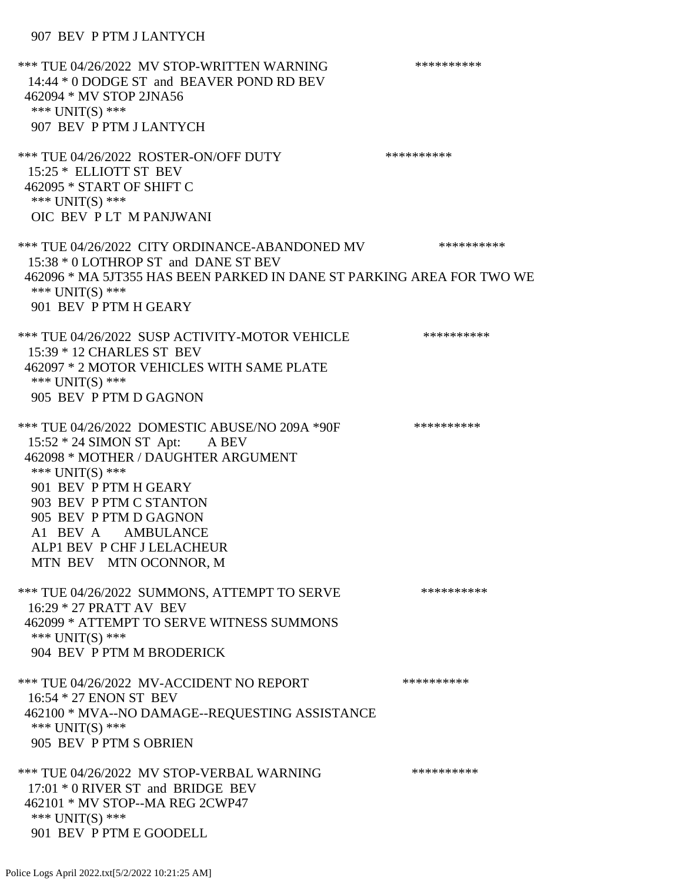## 907 BEV P PTM J LANTYCH

\*\*\* TUE 04/26/2022 MV STOP-WRITTEN WARNING \*\*\*\*\*\*\*\*\*\*\*\*\* 14:44 \* 0 DODGE ST and BEAVER POND RD BEV 462094 \* MV STOP 2JNA56 \*\*\* UNIT(S) \*\*\* 907 BEV P PTM J LANTYCH \*\*\* TUE 04/26/2022 ROSTER-ON/OFF DUTY \*\*\*\*\*\*\*\*\*\*\*\*\* 15:25 \* ELLIOTT ST BEV 462095 \* START OF SHIFT C \*\*\* UNIT(S) \*\*\* OIC BEV P LT M PANJWANI \*\*\* TUE 04/26/2022 CITY ORDINANCE-ABANDONED MV \*\*\*\*\*\*\*\*\*\* 15:38 \* 0 LOTHROP ST and DANE ST BEV 462096 \* MA 5JT355 HAS BEEN PARKED IN DANE ST PARKING AREA FOR TWO WE \*\*\* UNIT(S) \*\*\* 901 BEV P PTM H GEARY \*\*\* TUE 04/26/2022 SUSP ACTIVITY-MOTOR VEHICLE \*\*\*\*\*\*\*\*\*\*\*\* 15:39 \* 12 CHARLES ST BEV 462097 \* 2 MOTOR VEHICLES WITH SAME PLATE \*\*\* UNIT(S) \*\*\* 905 BEV P PTM D GAGNON \*\*\* TUE 04/26/2022 DOMESTIC ABUSE/NO 209A \*90F \*\*\*\*\*\*\*\*\*\*\*\* 15:52 \* 24 SIMON ST Apt: A BEV 462098 \* MOTHER / DAUGHTER ARGUMENT \*\*\* UNIT(S) \*\*\* 901 BEV P PTM H GEARY 903 BEV P PTM C STANTON 905 BEV P PTM D GAGNON A1 BEV A AMBULANCE ALP1 BEV P CHF J LELACHEUR MTN BEV MTN OCONNOR, M \*\*\* TUE 04/26/2022 SUMMONS, ATTEMPT TO SERVE \*\*\*\*\*\*\*\*\*\* 16:29 \* 27 PRATT AV BEV 462099 \* ATTEMPT TO SERVE WITNESS SUMMONS \*\*\* UNIT(S) \*\*\* 904 BEV P PTM M BRODERICK \*\*\* TUE 04/26/2022 MV-ACCIDENT NO REPORT \*\*\*\*\*\*\*\*\*\*\*\* 16:54 \* 27 ENON ST BEV 462100 \* MVA--NO DAMAGE--REQUESTING ASSISTANCE \*\*\* UNIT(S) \*\*\* 905 BEV P PTM S OBRIEN \*\*\* TUE 04/26/2022 MV STOP-VERBAL WARNING \*\*\*\*\*\*\*\*\*\*\*\*\* 17:01 \* 0 RIVER ST and BRIDGE BEV 462101 \* MV STOP--MA REG 2CWP47 \*\*\* UNIT(S) \*\*\* 901 BEV P PTM E GOODELL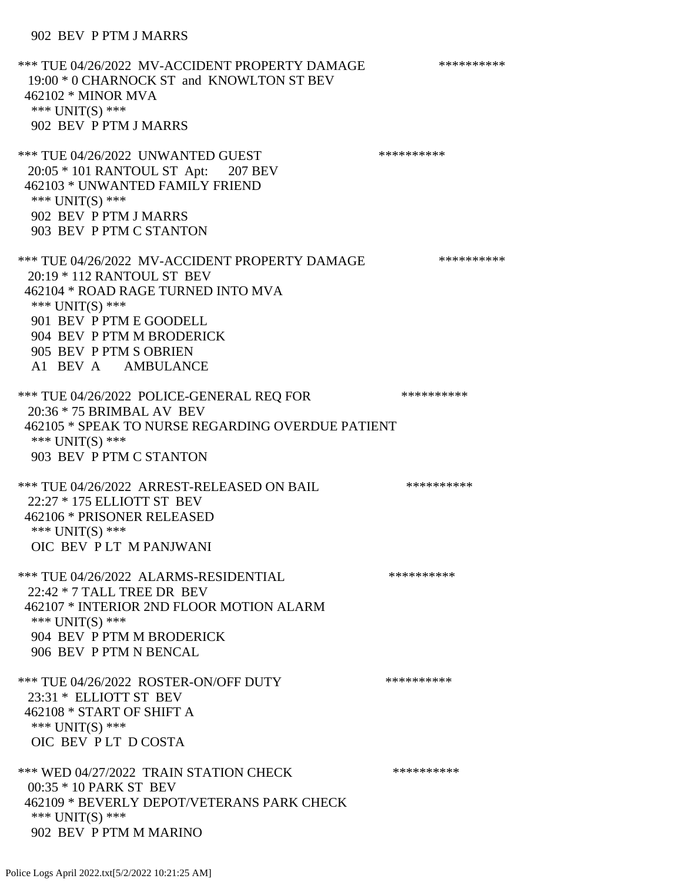### 902 BEV P PTM J MARRS

\*\*\* TUE 04/26/2022 MV-ACCIDENT PROPERTY DAMAGE \*\*\*\*\*\*\*\*\*\*\*\* 19:00 \* 0 CHARNOCK ST and KNOWLTON ST BEV 462102 \* MINOR MVA \*\*\* UNIT(S) \*\*\* 902 BEV P PTM J MARRS \*\*\* TUE 04/26/2022 UNWANTED GUEST \*\*\*\*\*\*\*\*\*\*\*\*\*\*\* 20:05 \* 101 RANTOUL ST Apt: 207 BEV 462103 \* UNWANTED FAMILY FRIEND \*\*\* UNIT(S) \*\*\* 902 BEV P PTM J MARRS 903 BEV P PTM C STANTON \*\*\* TUE 04/26/2022 MV-ACCIDENT PROPERTY DAMAGE \*\*\*\*\*\*\*\*\*\* 20:19 \* 112 RANTOUL ST BEV 462104 \* ROAD RAGE TURNED INTO MVA \*\*\* UNIT(S) \*\*\* 901 BEV P PTM E GOODELL 904 BEV P PTM M BRODERICK 905 BEV P PTM S OBRIEN A1 BEV A AMBULANCE \*\*\* TUE 04/26/2022 POLICE-GENERAL REQ FOR \*\*\*\*\*\*\*\*\*\*\* 20:36 \* 75 BRIMBAL AV BEV 462105 \* SPEAK TO NURSE REGARDING OVERDUE PATIENT \*\*\* UNIT(S) \*\*\* 903 BEV P PTM C STANTON \*\*\* TUE 04/26/2022 ARREST-RELEASED ON BAIL \*\*\*\*\*\*\*\*\*\*\*\* 22:27 \* 175 ELLIOTT ST BEV 462106 \* PRISONER RELEASED \*\*\* UNIT(S) \*\*\* OIC BEV P LT M PANJWANI \*\*\* TUE 04/26/2022 ALARMS-RESIDENTIAL \*\*\*\*\*\*\*\*\*\* 22:42 \* 7 TALL TREE DR BEV 462107 \* INTERIOR 2ND FLOOR MOTION ALARM \*\*\* UNIT(S) \*\*\* 904 BEV P PTM M BRODERICK 906 BEV P PTM N BENCAL \*\*\* TUE 04/26/2022 ROSTER-ON/OFF DUTY \*\*\*\*\*\*\*\*\*\* 23:31 \* ELLIOTT ST BEV 462108 \* START OF SHIFT A \*\*\* UNIT(S) \*\*\* OIC BEV P LT D COSTA \*\*\* WED 04/27/2022 TRAIN STATION CHECK \*\*\*\*\*\*\*\*\*\*\*\* 00:35 \* 10 PARK ST BEV 462109 \* BEVERLY DEPOT/VETERANS PARK CHECK \*\*\* UNIT(S) \*\*\* 902 BEV P PTM M MARINO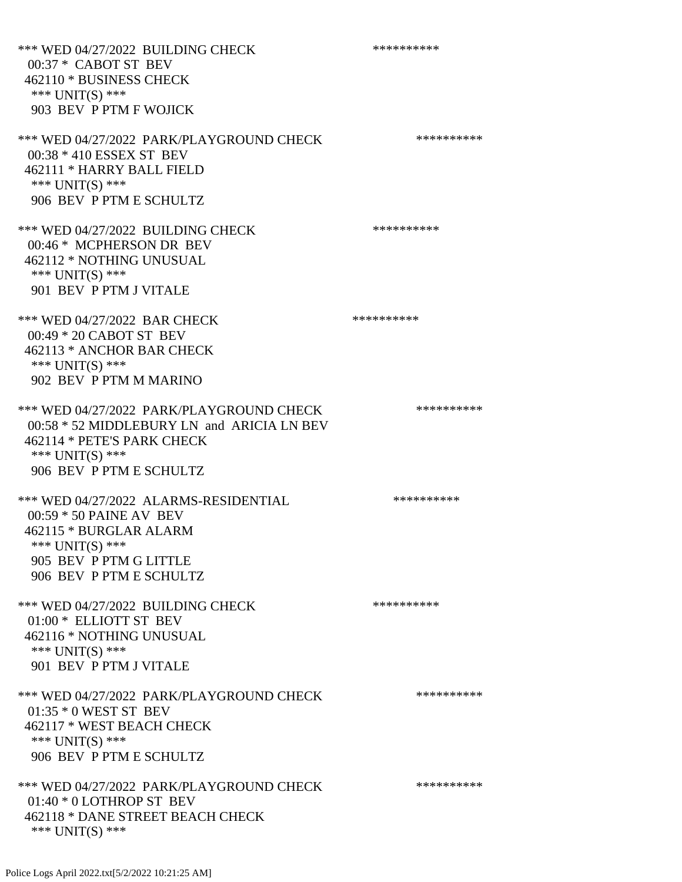\*\*\* WED 04/27/2022 BUILDING CHECK \*\*\*\*\*\*\*\*\*\*\* 00:37 \* CABOT ST BEV 462110 \* BUSINESS CHECK \*\*\* UNIT(S) \*\*\* 903 BEV P PTM F WOJICK \*\*\* WED 04/27/2022 PARK/PLAYGROUND CHECK \*\*\*\*\*\*\*\*\*\*\*\* 00:38 \* 410 ESSEX ST BEV 462111 \* HARRY BALL FIELD \*\*\* UNIT(S) \*\*\* 906 BEV P PTM E SCHULTZ \*\*\* WED 04/27/2022 BUILDING CHECK \*\*\*\*\*\*\*\*\*\*\*\* 00:46 \* MCPHERSON DR BEV 462112 \* NOTHING UNUSUAL \*\*\* UNIT(S) \*\*\* 901 BEV P PTM J VITALE \*\*\* WED 04/27/2022 BAR CHECK \*\*\*\*\*\*\*\*\*\*\*\* 00:49 \* 20 CABOT ST BEV 462113 \* ANCHOR BAR CHECK \*\*\* UNIT(S) \*\*\* 902 BEV P PTM M MARINO \*\*\* WED 04/27/2022 PARK/PLAYGROUND CHECK \*\*\*\*\*\*\*\*\*\*\*\* 00:58 \* 52 MIDDLEBURY LN and ARICIA LN BEV 462114 \* PETE'S PARK CHECK \*\*\* UNIT(S) \*\*\* 906 BEV P PTM E SCHULTZ \*\*\* WED 04/27/2022 ALARMS-RESIDENTIAL \*\*\*\*\*\*\*\*\*\* 00:59 \* 50 PAINE AV BEV 462115 \* BURGLAR ALARM \*\*\* UNIT(S) \*\*\* 905 BEV P PTM G LITTLE 906 BEV P PTM E SCHULTZ \*\*\* WED 04/27/2022 BUILDING CHECK \*\*\*\*\*\*\*\*\*\*\*\* 01:00 \* ELLIOTT ST BEV 462116 \* NOTHING UNUSUAL \*\*\* UNIT(S) \*\*\* 901 BEV P PTM J VITALE \*\*\* WED 04/27/2022 PARK/PLAYGROUND CHECK \*\*\*\*\*\*\*\*\*\*\*\* 01:35 \* 0 WEST ST BEV 462117 \* WEST BEACH CHECK \*\*\* UNIT(S) \*\*\* 906 BEV P PTM E SCHULTZ \*\*\* WED 04/27/2022 PARK/PLAYGROUND CHECK \*\*\*\*\*\*\*\*\*\*\*\* 01:40 \* 0 LOTHROP ST BEV 462118 \* DANE STREET BEACH CHECK \*\*\* UNIT(S) \*\*\*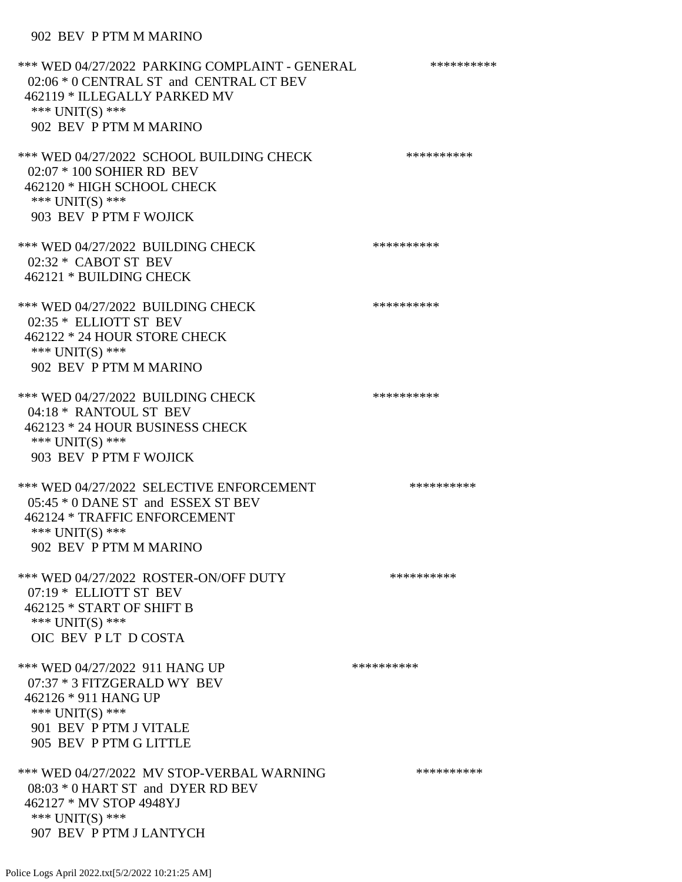## 902 BEV P PTM M MARINO

\*\*\* WED 04/27/2022 PARKING COMPLAINT - GENERAL \*\*\*\*\*\*\*\*\*\* 02:06 \* 0 CENTRAL ST and CENTRAL CT BEV 462119 \* ILLEGALLY PARKED MV \*\*\* UNIT(S) \*\*\* 902 BEV P PTM M MARINO \*\*\* WED 04/27/2022 SCHOOL BUILDING CHECK \*\*\*\*\*\*\*\*\*\*\*\* 02:07 \* 100 SOHIER RD BEV 462120 \* HIGH SCHOOL CHECK \*\*\* UNIT(S) \*\*\* 903 BEV P PTM F WOJICK \*\*\* WED 04/27/2022 BUILDING CHECK \*\*\*\*\*\*\*\*\*\* 02:32 \* CABOT ST BEV 462121 \* BUILDING CHECK \*\*\* WED 04/27/2022 BUILDING CHECK \*\*\*\*\*\*\*\*\*\*\* 02:35 \* ELLIOTT ST BEV 462122 \* 24 HOUR STORE CHECK \*\*\* UNIT(S) \*\*\* 902 BEV P PTM M MARINO \*\*\* WED 04/27/2022 BUILDING CHECK \*\*\*\*\*\*\*\*\*\*\*\*\* 04:18 \* RANTOUL ST BEV 462123 \* 24 HOUR BUSINESS CHECK \*\*\* UNIT(S) \*\*\* 903 BEV P PTM F WOJICK \*\*\* WED 04/27/2022 SELECTIVE ENFORCEMENT \*\*\*\*\*\*\*\*\*\*\*\*\* 05:45 \* 0 DANE ST and ESSEX ST BEV 462124 \* TRAFFIC ENFORCEMENT \*\*\* UNIT(S) \*\*\* 902 BEV P PTM M MARINO \*\*\* WED 04/27/2022 ROSTER-ON/OFF DUTY \*\*\*\*\*\*\*\*\*\* 07:19 \* ELLIOTT ST BEV 462125 \* START OF SHIFT B \*\*\* UNIT(S) \*\*\* OIC BEV P LT D COSTA \*\*\* WED 04/27/2022 911 HANG UP \*\*\*\*\*\*\*\*\*\*\*\*\* 07:37 \* 3 FITZGERALD WY BEV 462126 \* 911 HANG UP \*\*\* UNIT(S) \*\*\* 901 BEV P PTM J VITALE 905 BEV P PTM G LITTLE \*\*\* WED 04/27/2022 MV STOP-VERBAL WARNING \*\*\*\*\*\*\*\*\*\*\*\* 08:03 \* 0 HART ST and DYER RD BEV 462127 \* MV STOP 4948YJ \*\*\* UNIT(S) \*\*\* 907 BEV P PTM J LANTYCH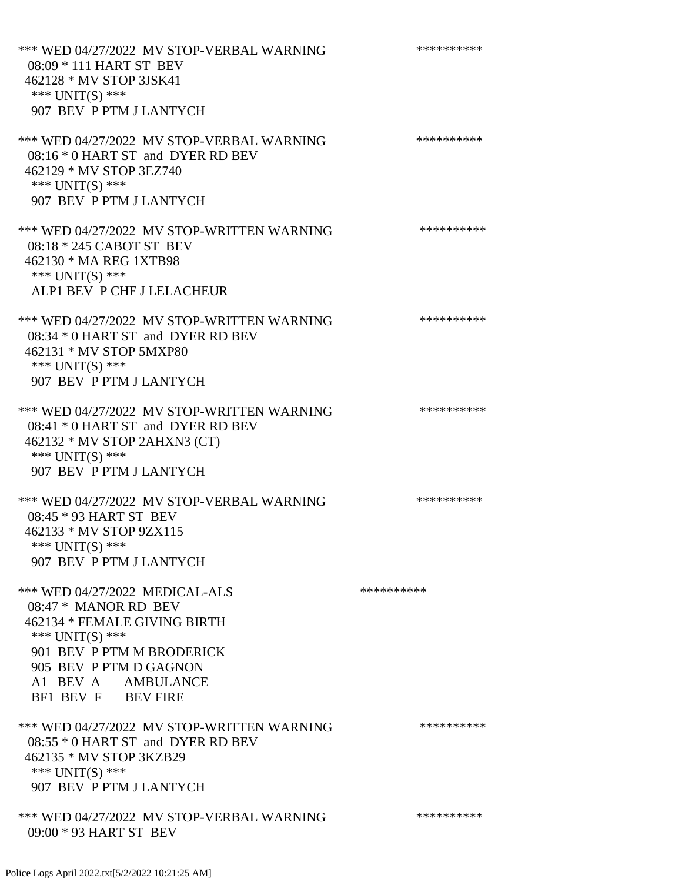\*\*\* WED 04/27/2022 MV STOP-VERBAL WARNING \*\*\*\*\*\*\*\*\*\*\*\* 08:09 \* 111 HART ST BEV 462128 \* MV STOP 3JSK41 \*\*\* UNIT(S) \*\*\* 907 BEV P PTM J LANTYCH \*\*\* WED 04/27/2022 MV STOP-VERBAL WARNING \*\*\*\*\*\*\*\*\*\*\*\* 08:16 \* 0 HART ST and DYER RD BEV 462129 \* MV STOP 3EZ740 \*\*\* UNIT(S) \*\*\* 907 BEV P PTM J LANTYCH \*\*\* WED 04/27/2022 MV STOP-WRITTEN WARNING \*\*\*\*\*\*\*\*\*\*\*\* 08:18 \* 245 CABOT ST BEV 462130 \* MA REG 1XTB98 \*\*\* UNIT(S) \*\*\* ALP1 BEV P CHF J LELACHEUR \*\*\* WED 04/27/2022 MV STOP-WRITTEN WARNING \*\*\*\*\*\*\*\*\*\*\*\*\* 08:34 \* 0 HART ST and DYER RD BEV 462131 \* MV STOP 5MXP80 \*\*\* UNIT(S) \*\*\* 907 BEV P PTM J LANTYCH \*\*\* WED 04/27/2022 MV STOP-WRITTEN WARNING \*\*\*\*\*\*\*\*\*\*\*\* 08:41 \* 0 HART ST and DYER RD BEV 462132 \* MV STOP 2AHXN3 (CT) \*\*\* UNIT(S) \*\*\* 907 BEV P PTM J LANTYCH \*\*\* WED 04/27/2022 MV STOP-VERBAL WARNING \*\*\*\*\*\*\*\*\*\*\*\* 08:45 \* 93 HART ST BEV 462133 \* MV STOP 9ZX115 \*\*\* UNIT(S) \*\*\* 907 BEV P PTM J LANTYCH \*\*\* WED 04/27/2022 MEDICAL-ALS \*\*\*\*\*\*\*\*\*\*\*\*\* 08:47 \* MANOR RD BEV 462134 \* FEMALE GIVING BIRTH \*\*\* UNIT(S) \*\*\* 901 BEV P PTM M BRODERICK 905 BEV P PTM D GAGNON A1 BEV A AMBULANCE BF1 BEV F BEV FIRE \*\*\* WED 04/27/2022 MV STOP-WRITTEN WARNING \*\*\*\*\*\*\*\*\*\*\*\* 08:55 \* 0 HART ST and DYER RD BEV 462135 \* MV STOP 3KZB29 \*\*\* UNIT(S) \*\*\* 907 BEV P PTM J LANTYCH \*\*\* WED 04/27/2022 MV STOP-VERBAL WARNING \*\*\*\*\*\*\*\*\*\*\*\* 09:00 \* 93 HART ST BEV

Police Logs April 2022.txt[5/2/2022 10:21:25 AM]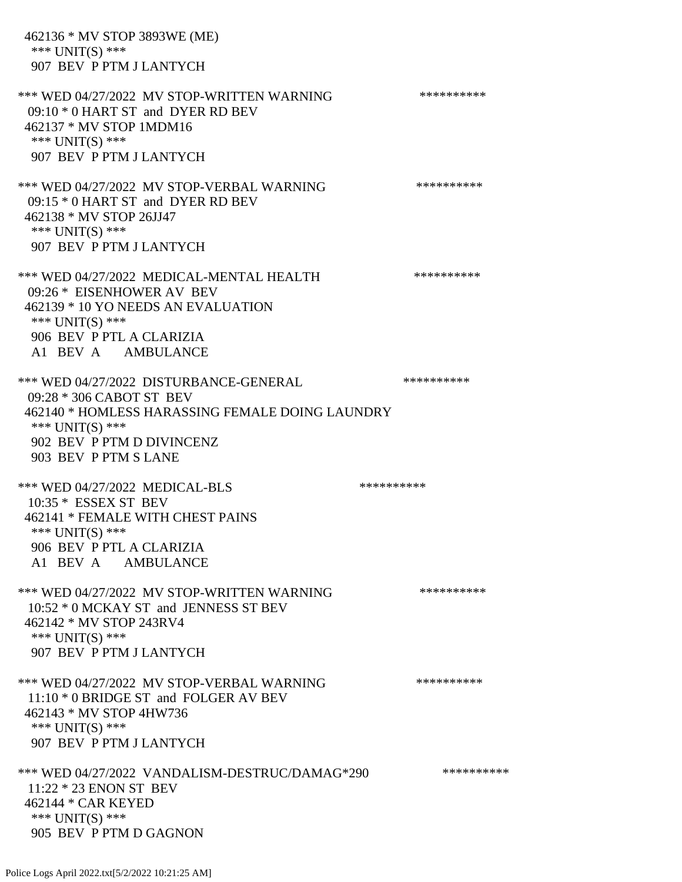462136 \* MV STOP 3893WE (ME) \*\*\* UNIT(S) \*\*\* 907 BEV P PTM J LANTYCH \*\*\* WED 04/27/2022 MV STOP-WRITTEN WARNING \*\*\*\*\*\*\*\*\*\*\*\* 09:10 \* 0 HART ST and DYER RD BEV 462137 \* MV STOP 1MDM16 \*\*\* UNIT(S) \*\*\* 907 BEV P PTM J LANTYCH \*\*\* WED 04/27/2022 MV STOP-VERBAL WARNING \*\*\*\*\*\*\*\*\*\*\*\* 09:15 \* 0 HART ST and DYER RD BEV 462138 \* MV STOP 26JJ47 \*\*\* UNIT(S) \*\*\* 907 BEV P PTM J LANTYCH \*\*\* WED 04/27/2022 MEDICAL-MENTAL HEALTH \*\*\*\*\*\*\*\*\*\* 09:26 \* EISENHOWER AV BEV 462139 \* 10 YO NEEDS AN EVALUATION \*\*\* UNIT(S) \*\*\* 906 BEV P PTL A CLARIZIA A1 BEV A AMBULANCE \*\*\* WED 04/27/2022 DISTURBANCE-GENERAL \*\*\*\*\*\*\*\*\*\* 09:28 \* 306 CABOT ST BEV 462140 \* HOMLESS HARASSING FEMALE DOING LAUNDRY \*\*\* UNIT(S) \*\*\* 902 BEV P PTM D DIVINCENZ 903 BEV P PTM S LANE \*\*\* WED 04/27/2022 MEDICAL-BLS \*\*\*\*\*\*\*\*\*\*\*\* 10:35 \* ESSEX ST BEV 462141 \* FEMALE WITH CHEST PAINS \*\*\* UNIT(S) \*\*\* 906 BEV P PTL A CLARIZIA A1 BEV A AMBULANCE \*\*\* WED 04/27/2022 MV STOP-WRITTEN WARNING \*\*\*\*\*\*\*\*\*\*\*\* 10:52 \* 0 MCKAY ST and JENNESS ST BEV 462142 \* MV STOP 243RV4 \*\*\* UNIT(S) \*\*\* 907 BEV P PTM J LANTYCH \*\*\* WED 04/27/2022 MV STOP-VERBAL WARNING \*\*\*\*\*\*\*\*\*\*\*\* 11:10 \* 0 BRIDGE ST and FOLGER AV BEV 462143 \* MV STOP 4HW736 \*\*\* UNIT(S) \*\*\* 907 BEV P PTM J LANTYCH \*\*\* WED 04/27/2022 VANDALISM-DESTRUC/DAMAG\*290 \*\*\*\*\*\*\*\*\*\* 11:22 \* 23 ENON ST BEV 462144 \* CAR KEYED \*\*\* UNIT(S) \*\*\* 905 BEV P PTM D GAGNON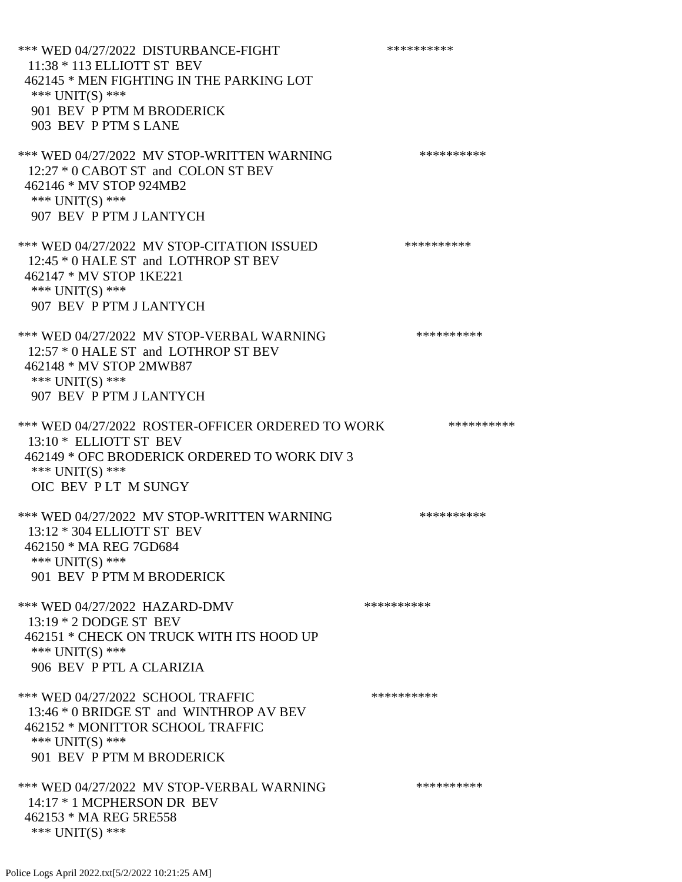\*\*\* WED 04/27/2022 DISTURBANCE-FIGHT \*\*\*\*\*\*\*\*\*\*\*\*\* 11:38 \* 113 ELLIOTT ST BEV 462145 \* MEN FIGHTING IN THE PARKING LOT \*\*\* UNIT(S) \*\*\* 901 BEV P PTM M BRODERICK 903 BEV P PTM S LANE \*\*\* WED 04/27/2022 MV STOP-WRITTEN WARNING \*\*\*\*\*\*\*\*\*\*\*\* 12:27 \* 0 CABOT ST and COLON ST BEV 462146 \* MV STOP 924MB2 \*\*\* UNIT(S) \*\*\* 907 BEV P PTM J LANTYCH \*\*\* WED 04/27/2022 MV STOP-CITATION ISSUED \*\*\*\*\*\*\*\*\*\* 12:45  $*$  0 HALE ST and LOTHROP ST BEV 462147 \* MV STOP 1KE221 \*\*\* UNIT(S) \*\*\* 907 BEV P PTM J LANTYCH \*\*\* WED 04/27/2022 MV STOP-VERBAL WARNING \*\*\*\*\*\*\*\*\*\*\*\* 12:57  $*$  0 HALE ST and LOTHROP ST BEV 462148 \* MV STOP 2MWB87 \*\*\* UNIT(S) \*\*\* 907 BEV P PTM J LANTYCH \*\*\* WED 04/27/2022 ROSTER-OFFICER ORDERED TO WORK \*\*\*\*\*\*\*\*\*\*\*\* 13:10 \* ELLIOTT ST BEV 462149 \* OFC BRODERICK ORDERED TO WORK DIV 3 \*\*\* UNIT(S) \*\*\* OIC BEV P LT M SUNGY \*\*\* WED 04/27/2022 MV STOP-WRITTEN WARNING \*\*\*\*\*\*\*\*\*\*\*\* 13:12 \* 304 ELLIOTT ST BEV 462150 \* MA REG 7GD684 \*\*\* UNIT(S) \*\*\* 901 BEV P PTM M BRODERICK \*\*\* WED 04/27/2022 HAZARD-DMV \*\*\*\*\*\*\*\*\*\*\*\* 13:19 \* 2 DODGE ST BEV 462151 \* CHECK ON TRUCK WITH ITS HOOD UP \*\*\* UNIT(S) \*\*\* 906 BEV P PTL A CLARIZIA \*\*\* WED 04/27/2022 SCHOOL TRAFFIC \*\*\*\*\*\*\*\*\*\*\*\*\*\* 13:46 \* 0 BRIDGE ST and WINTHROP AV BEV 462152 \* MONITTOR SCHOOL TRAFFIC \*\*\* UNIT(S) \*\*\* 901 BEV P PTM M BRODERICK \*\*\* WED 04/27/2022 MV STOP-VERBAL WARNING \*\*\*\*\*\*\*\*\*\*\*\* 14:17 \* 1 MCPHERSON DR BEV 462153 \* MA REG 5RE558 \*\*\* UNIT(S) \*\*\*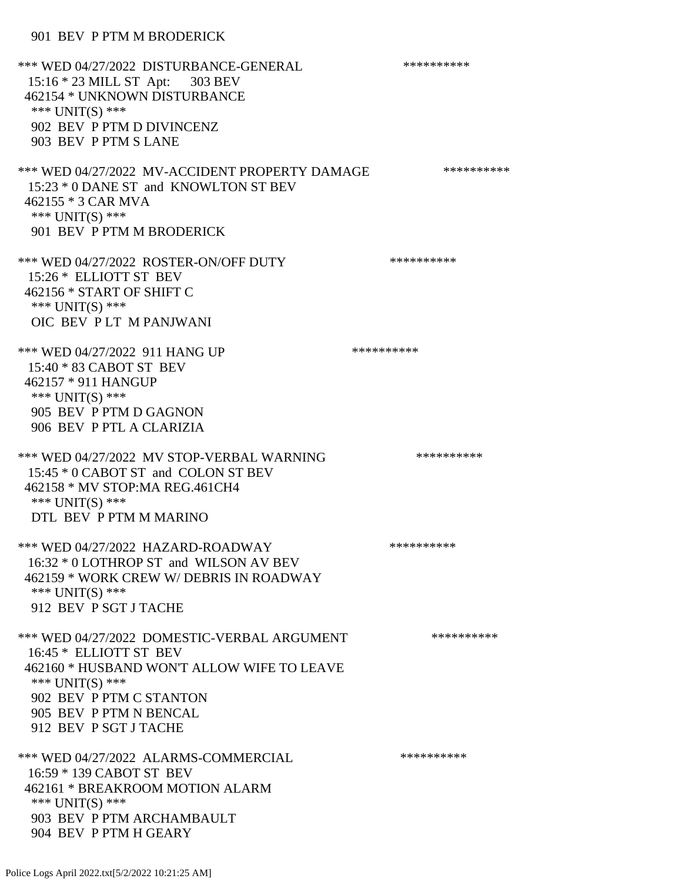\*\*\* WED 04/27/2022 DISTURBANCE-GENERAL \*\*\*\*\*\*\*\*\*\* 15:16 \* 23 MILL ST Apt: 303 BEV 462154 \* UNKNOWN DISTURBANCE \*\*\* UNIT(S) \*\*\* 902 BEV P PTM D DIVINCENZ 903 BEV P PTM S LANE \*\*\* WED 04/27/2022 MV-ACCIDENT PROPERTY DAMAGE \*\*\*\*\*\*\*\*\*\*\*\* 15:23 \* 0 DANE ST and KNOWLTON ST BEV 462155 \* 3 CAR MVA \*\*\* UNIT(S) \*\*\* 901 BEV P PTM M BRODERICK \*\*\* WED 04/27/2022 ROSTER-ON/OFF DUTY \*\*\*\*\*\*\*\*\*\* 15:26 \* ELLIOTT ST BEV 462156 \* START OF SHIFT C \*\*\* UNIT(S) \*\*\* OIC BEV P LT M PANJWANI \*\*\* WED 04/27/2022 911 HANG UP \*\*\*\*\*\*\*\*\*\*\*\* 15:40 \* 83 CABOT ST BEV 462157 \* 911 HANGUP \*\*\* UNIT(S) \*\*\* 905 BEV P PTM D GAGNON 906 BEV P PTL A CLARIZIA \*\*\* WED 04/27/2022 MV STOP-VERBAL WARNING \*\*\*\*\*\*\*\*\*\*\*\*\* 15:45 \* 0 CABOT ST and COLON ST BEV 462158 \* MV STOP:MA REG.461CH4 \*\*\* UNIT(S) \*\*\* DTL BEV P PTM M MARINO \*\*\* WED 04/27/2022 HAZARD-ROADWAY \*\*\*\*\*\*\*\*\*\* 16:32 \* 0 LOTHROP ST and WILSON AV BEV 462159 \* WORK CREW W/ DEBRIS IN ROADWAY \*\*\* UNIT(S) \*\*\* 912 BEV P SGT J TACHE \*\*\* WED 04/27/2022 DOMESTIC-VERBAL ARGUMENT \*\*\*\*\*\*\*\*\*\*\*\*\* 16:45 \* ELLIOTT ST BEV 462160 \* HUSBAND WON'T ALLOW WIFE TO LEAVE \*\*\* UNIT(S) \*\*\* 902 BEV P PTM C STANTON 905 BEV P PTM N BENCAL 912 BEV P SGT J TACHE \*\*\* WED 04/27/2022 ALARMS-COMMERCIAL \*\*\*\*\*\*\*\*\*\* 16:59 \* 139 CABOT ST BEV 462161 \* BREAKROOM MOTION ALARM \*\*\* UNIT(S) \*\*\* 903 BEV P PTM ARCHAMBAULT 904 BEV P PTM H GEARY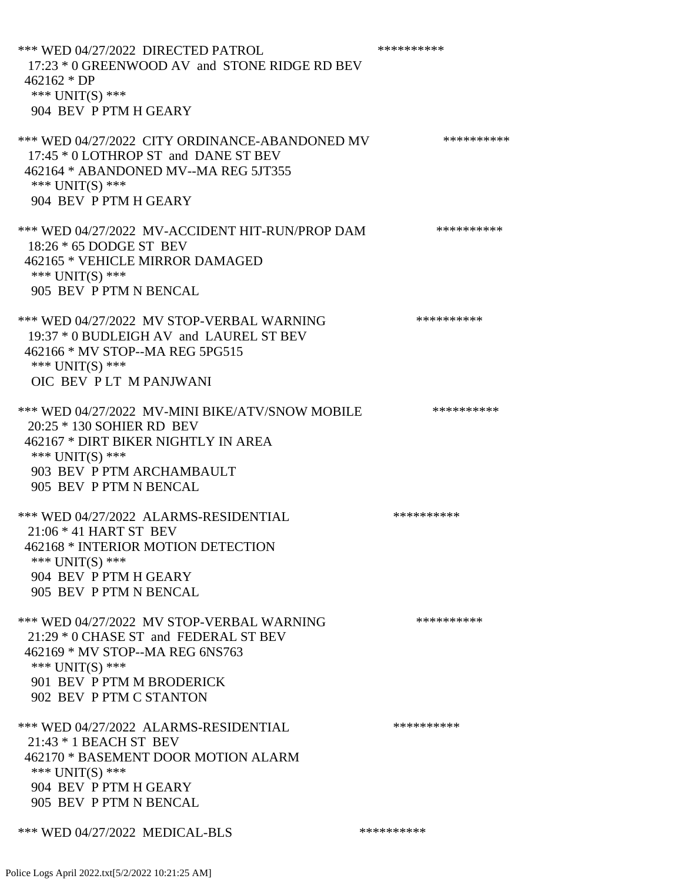\*\*\* WED 04/27/2022 DIRECTED PATROL \*\*\*\*\*\*\*\*\*\* 17:23 \* 0 GREENWOOD AV and STONE RIDGE RD BEV 462162 \* DP \*\*\* UNIT(S) \*\*\* 904 BEV P PTM H GEARY \*\*\* WED 04/27/2022 CITY ORDINANCE-ABANDONED MV \*\*\*\*\*\*\*\*\*\* 17:45 \* 0 LOTHROP ST and DANE ST BEV 462164 \* ABANDONED MV--MA REG 5JT355 \*\*\* UNIT(S) \*\*\* 904 BEV P PTM H GEARY \*\*\* WED 04/27/2022 MV-ACCIDENT HIT-RUN/PROP DAM \*\*\*\*\*\*\*\*\*\* 18:26 \* 65 DODGE ST BEV 462165 \* VEHICLE MIRROR DAMAGED \*\*\* UNIT(S) \*\*\* 905 BEV P PTM N BENCAL \*\*\* WED 04/27/2022 MV STOP-VERBAL WARNING \*\*\*\*\*\*\*\*\*\*\*\*\* 19:37 \* 0 BUDLEIGH AV and LAUREL ST BEV 462166 \* MV STOP--MA REG 5PG515 \*\*\* UNIT(S) \*\*\* OIC BEV P LT M PANJWANI \*\*\* WED 04/27/2022 MV-MINI BIKE/ATV/SNOW MOBILE \*\*\*\*\*\*\*\*\*\* 20:25 \* 130 SOHIER RD BEV 462167 \* DIRT BIKER NIGHTLY IN AREA \*\*\* UNIT(S) \*\*\* 903 BEV P PTM ARCHAMBAULT 905 BEV P PTM N BENCAL \*\*\* WED 04/27/2022 ALARMS-RESIDENTIAL \*\*\*\*\*\*\*\*\*\*\*\* 21:06 \* 41 HART ST BEV 462168 \* INTERIOR MOTION DETECTION \*\*\* UNIT(S) \*\*\* 904 BEV P PTM H GEARY 905 BEV P PTM N BENCAL \*\*\* WED 04/27/2022 MV STOP-VERBAL WARNING \*\*\*\*\*\*\*\*\*\*\*\*\* 21:29 \* 0 CHASE ST and FEDERAL ST BEV 462169 \* MV STOP--MA REG 6NS763 \*\*\* UNIT(S) \*\*\* 901 BEV P PTM M BRODERICK 902 BEV P PTM C STANTON \*\*\* WED 04/27/2022 ALARMS-RESIDENTIAL \*\*\*\*\*\*\*\*\*\* 21:43 \* 1 BEACH ST BEV 462170 \* BASEMENT DOOR MOTION ALARM \*\*\* UNIT(S) \*\*\* 904 BEV P PTM H GEARY 905 BEV P PTM N BENCAL \*\*\* WED 04/27/2022 MEDICAL-BLS \*\*\*\*\*\*\*\*\*\*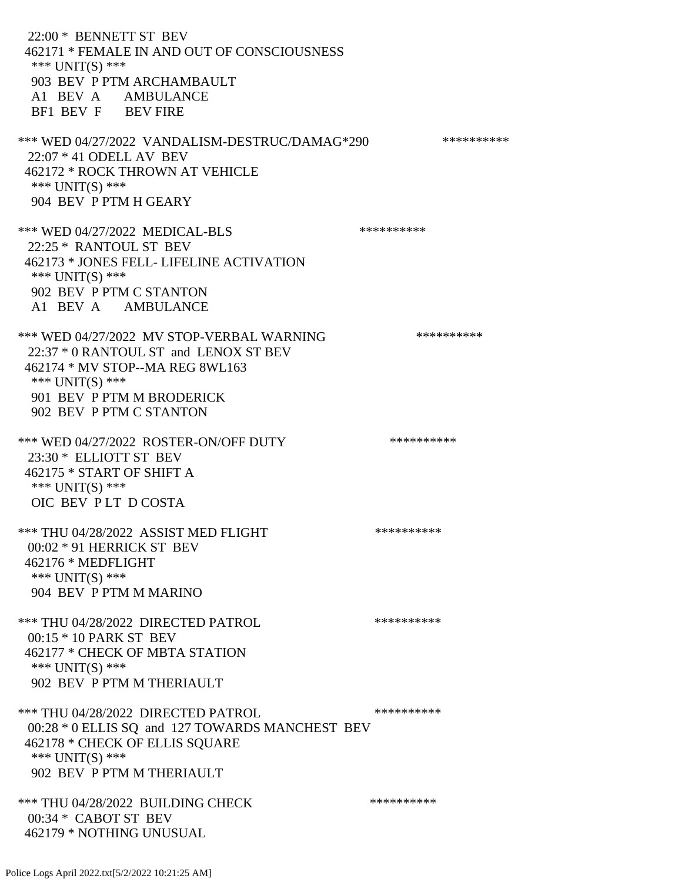22:00 \* BENNETT ST BEV 462171 \* FEMALE IN AND OUT OF CONSCIOUSNESS \*\*\* UNIT(S) \*\*\* 903 BEV P PTM ARCHAMBAULT A1 BEV A AMBULANCE BF1 BEV F BEV FIRE \*\*\* WED 04/27/2022 VANDALISM-DESTRUC/DAMAG\*290 \*\*\*\*\*\*\*\*\*\* 22:07 \* 41 ODELL AV BEV 462172 \* ROCK THROWN AT VEHICLE \*\*\* UNIT(S) \*\*\* 904 BEV P PTM H GEARY \*\*\* WED 04/27/2022 MEDICAL-BLS \*\*\*\*\*\*\*\*\*\* 22:25 \* RANTOUL ST BEV 462173 \* JONES FELL- LIFELINE ACTIVATION \*\*\* UNIT(S) \*\*\* 902 BEV P PTM C STANTON A1 BEV A AMBULANCE \*\*\* WED 04/27/2022 MV STOP-VERBAL WARNING \*\*\*\*\*\*\*\*\*\*\*\* 22:37 \* 0 RANTOUL ST and LENOX ST BEV 462174 \* MV STOP--MA REG 8WL163 \*\*\* UNIT(S) \*\*\* 901 BEV P PTM M BRODERICK 902 BEV P PTM C STANTON \*\*\* WED 04/27/2022 ROSTER-ON/OFF DUTY \*\*\*\*\*\*\*\*\*\* 23:30 \* ELLIOTT ST BEV 462175 \* START OF SHIFT A \*\*\* UNIT(S) \*\*\* OIC BEV P LT D COSTA \*\*\* THU 04/28/2022 ASSIST MED FLIGHT \*\*\*\*\*\*\*\*\*\*\*\*\*\*\*\* 00:02 \* 91 HERRICK ST BEV 462176 \* MEDFLIGHT \*\*\* UNIT(S) \*\*\* 904 BEV P PTM M MARINO \*\*\* THU 04/28/2022 DIRECTED PATROL \*\*\*\*\*\*\*\*\*\* 00:15 \* 10 PARK ST BEV 462177 \* CHECK OF MBTA STATION \*\*\* UNIT(S) \*\*\* 902 BEV P PTM M THERIAULT \*\*\* THU 04/28/2022 DIRECTED PATROL \*\*\*\*\*\*\*\*\*\* 00:28 \* 0 ELLIS SQ and 127 TOWARDS MANCHEST BEV 462178 \* CHECK OF ELLIS SQUARE \*\*\* UNIT(S) \*\*\* 902 BEV P PTM M THERIAULT \*\*\* THU 04/28/2022 BUILDING CHECK \*\*\*\*\*\*\*\*\*\*\*\*\*\* 00:34 \* CABOT ST BEV 462179 \* NOTHING UNUSUAL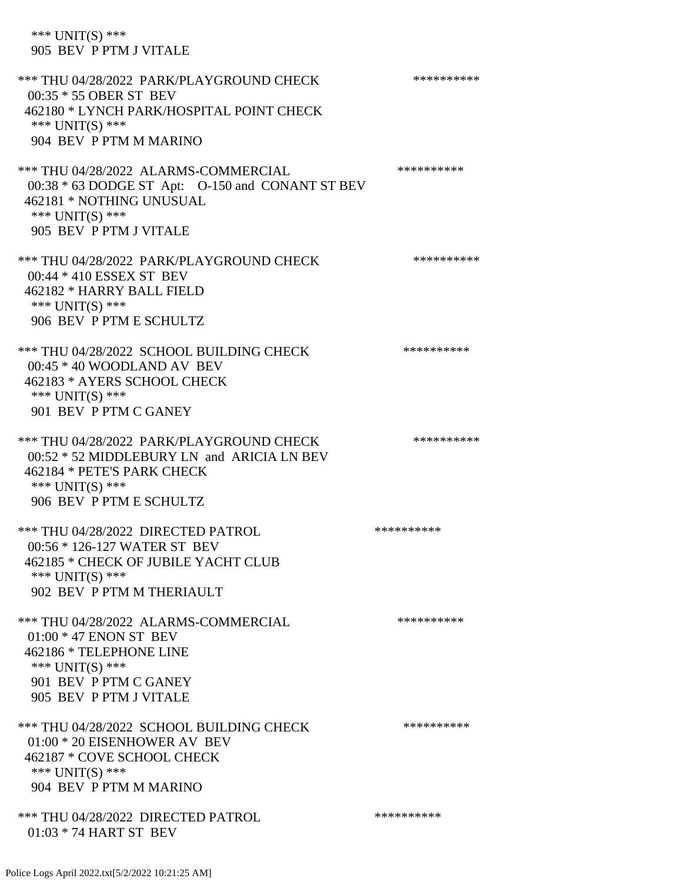# \*\*\* UNIT(S) \*\*\* 905 BEV P PTM J VITALE

\*\*\* THU 04/28/2022 PARK/PLAYGROUND CHECK \*\*\*\*\*\*\*\*\*\*\*\* 00:35 \* 55 OBER ST BEV 462180 \* LYNCH PARK/HOSPITAL POINT CHECK \*\*\* UNIT(S) \*\*\* 904 BEV P PTM M MARINO \*\*\* THU 04/28/2022 ALARMS-COMMERCIAL \*\*\*\*\*\*\*\*\*\* 00:38 \* 63 DODGE ST Apt: O-150 and CONANT ST BEV 462181 \* NOTHING UNUSUAL \*\*\* UNIT(S) \*\*\* 905 BEV P PTM J VITALE \*\*\* THU 04/28/2022 PARK/PLAYGROUND CHECK \*\*\*\*\*\*\*\*\*\*\*\* 00:44 \* 410 ESSEX ST BEV 462182 \* HARRY BALL FIELD \*\*\* UNIT(S) \*\*\* 906 BEV P PTM E SCHULTZ \*\*\* THU 04/28/2022 SCHOOL BUILDING CHECK \*\*\*\*\*\*\*\*\*\*\* 00:45 \* 40 WOODLAND AV BEV 462183 \* AYERS SCHOOL CHECK \*\*\* UNIT(S) \*\*\* 901 BEV P PTM C GANEY \*\*\* THU 04/28/2022 PARK/PLAYGROUND CHECK \*\*\*\*\*\*\*\*\*\*\*\* 00:52 \* 52 MIDDLEBURY LN and ARICIA LN BEV 462184 \* PETE'S PARK CHECK \*\*\* UNIT(S) \*\*\* 906 BEV P PTM E SCHULTZ \*\*\* THU 04/28/2022 DIRECTED PATROL \*\*\*\*\*\*\*\*\*\* 00:56 \* 126-127 WATER ST BEV 462185 \* CHECK OF JUBILE YACHT CLUB \*\*\* UNIT(S) \*\*\* 902 BEV P PTM M THERIAULT \*\*\* THU 04/28/2022 ALARMS-COMMERCIAL \*\*\*\*\*\*\*\*\*\* 01:00 \* 47 ENON ST BEV 462186 \* TELEPHONE LINE \*\*\* UNIT(S) \*\*\* 901 BEV P PTM C GANEY 905 BEV P PTM J VITALE \*\*\* THU 04/28/2022 SCHOOL BUILDING CHECK \*\*\*\*\*\*\*\*\*\*\* 01:00 \* 20 EISENHOWER AV BEV 462187 \* COVE SCHOOL CHECK \*\*\* UNIT(S) \*\*\* 904 BEV P PTM M MARINO \*\*\* THU 04/28/2022 DIRECTED PATROL \*\*\*\*\*\*\*\*\*\* 01:03 \* 74 HART ST BEV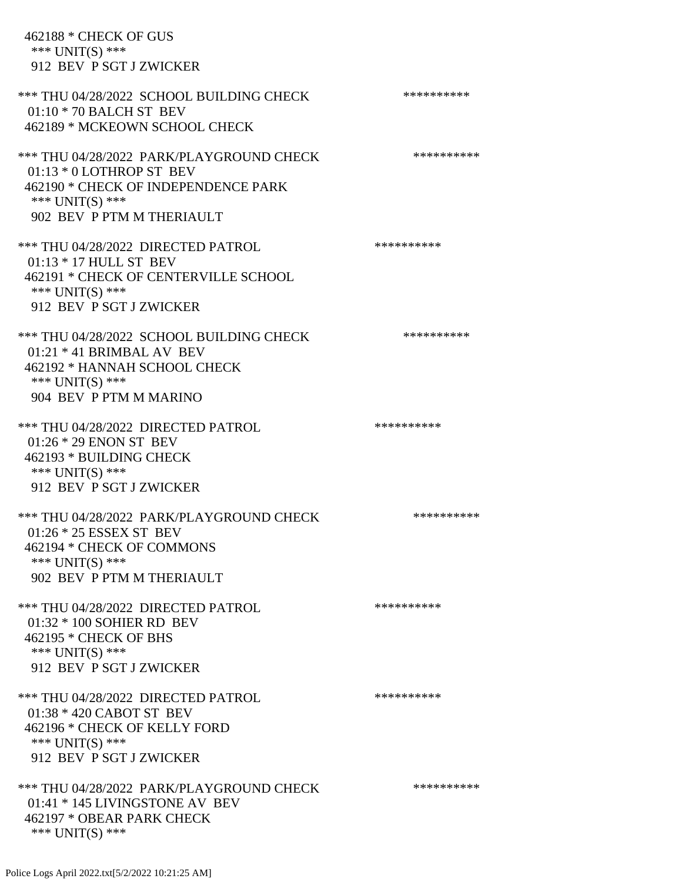462188 \* CHECK OF GUS \*\*\* UNIT(S) \*\*\* 912 BEV P SGT J ZWICKER \*\*\* THU 04/28/2022 SCHOOL BUILDING CHECK \*\*\*\*\*\*\*\*\*\*\* 01:10 \* 70 BALCH ST BEV 462189 \* MCKEOWN SCHOOL CHECK \*\*\* THU 04/28/2022 PARK/PLAYGROUND CHECK \*\*\*\*\*\*\*\*\*\* 01:13 \* 0 LOTHROP ST BEV 462190 \* CHECK OF INDEPENDENCE PARK \*\*\* UNIT(S) \*\*\* 902 BEV P PTM M THERIAULT \*\*\* THU 04/28/2022 DIRECTED PATROL \*\*\*\*\*\*\*\*\*\* 01:13 \* 17 HULL ST BEV 462191 \* CHECK OF CENTERVILLE SCHOOL \*\*\* UNIT(S) \*\*\* 912 BEV P SGT J ZWICKER \*\*\* THU 04/28/2022 SCHOOL BUILDING CHECK \*\*\*\*\*\*\*\*\*\*\* 01:21 \* 41 BRIMBAL AV BEV 462192 \* HANNAH SCHOOL CHECK \*\*\* UNIT(S) \*\*\* 904 BEV P PTM M MARINO \*\*\* THU 04/28/2022 DIRECTED PATROL \*\*\*\*\*\*\*\*\*\*\*\*\*\*\* 01:26 \* 29 ENON ST BEV 462193 \* BUILDING CHECK \*\*\* UNIT(S) \*\*\* 912 BEV P SGT J ZWICKER \*\*\* THU 04/28/2022 PARK/PLAYGROUND CHECK \*\*\*\*\*\*\*\*\*\* 01:26 \* 25 ESSEX ST BEV 462194 \* CHECK OF COMMONS \*\*\* UNIT(S) \*\*\* 902 BEV P PTM M THERIAULT \*\*\* THU 04/28/2022 DIRECTED PATROL \*\*\*\*\*\*\*\*\*\* 01:32 \* 100 SOHIER RD BEV 462195 \* CHECK OF BHS \*\*\* UNIT(S) \*\*\* 912 BEV P SGT J ZWICKER \*\*\* THU 04/28/2022 DIRECTED PATROL \*\*\*\*\*\*\*\*\*\* 01:38 \* 420 CABOT ST BEV 462196 \* CHECK OF KELLY FORD \*\*\* UNIT(S) \*\*\* 912 BEV P SGT J ZWICKER \*\*\* THU 04/28/2022 PARK/PLAYGROUND CHECK \*\*\*\*\*\*\*\*\*\*\*\*\* 01:41 \* 145 LIVINGSTONE AV BEV 462197 \* OBEAR PARK CHECK \*\*\* UNIT(S) \*\*\*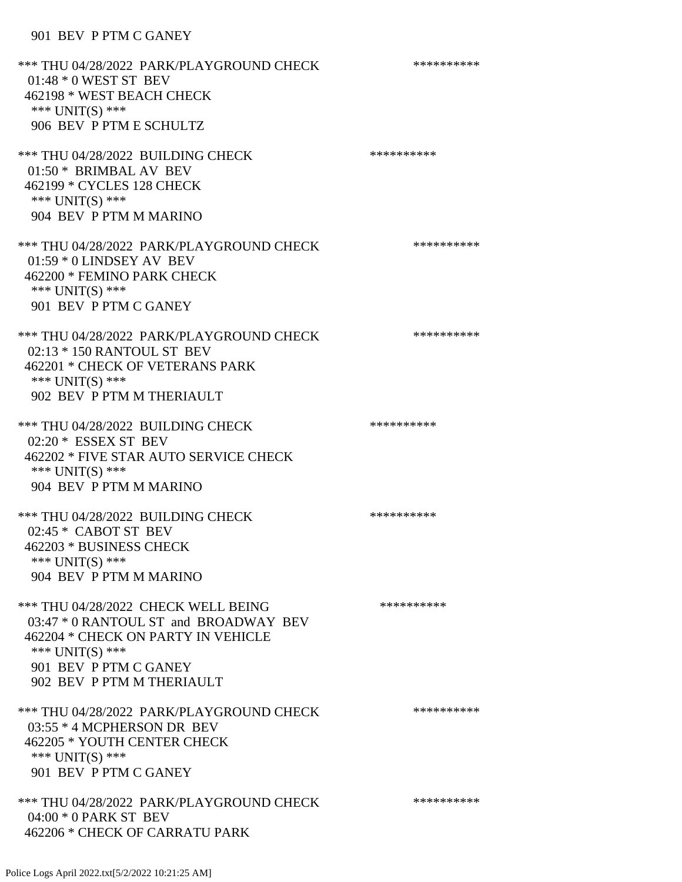#### 901 BEV P PTM C GANEY

\*\*\* THU 04/28/2022 PARK/PLAYGROUND CHECK \*\*\*\*\*\*\*\*\*\*\*\* 01:48 \* 0 WEST ST BEV 462198 \* WEST BEACH CHECK \*\*\* UNIT(S) \*\*\* 906 BEV P PTM E SCHULTZ \*\*\* THU 04/28/2022 BUILDING CHECK \*\*\*\*\*\*\*\*\*\*\*\*\*\* 01:50 \* BRIMBAL AV BEV 462199 \* CYCLES 128 CHECK \*\*\* UNIT(S) \*\*\* 904 BEV P PTM M MARINO \*\*\* THU 04/28/2022 PARK/PLAYGROUND CHECK \*\*\*\*\*\*\*\*\*\*\*\* 01:59 \* 0 LINDSEY AV BEV 462200 \* FEMINO PARK CHECK \*\*\* UNIT(S) \*\*\* 901 BEV P PTM C GANEY \*\*\* THU 04/28/2022 PARK/PLAYGROUND CHECK \*\*\*\*\*\*\*\*\*\*\*\* 02:13 \* 150 RANTOUL ST BEV 462201 \* CHECK OF VETERANS PARK \*\*\* UNIT(S) \*\*\* 902 BEV P PTM M THERIAULT \*\*\* THU 04/28/2022 BUILDING CHECK \*\*\*\*\*\*\*\*\*\*\*\*\*\* 02:20 \* ESSEX ST BEV 462202 \* FIVE STAR AUTO SERVICE CHECK \*\*\* UNIT(S) \*\*\* 904 BEV P PTM M MARINO \*\*\* THU 04/28/2022 BUILDING CHECK \*\*\*\*\*\*\*\*\*\*\*\* 02:45 \* CABOT ST BEV 462203 \* BUSINESS CHECK \*\*\* UNIT(S) \*\*\* 904 BEV P PTM M MARINO \*\*\* THU 04/28/2022 CHECK WELL BEING \*\*\*\*\*\*\*\*\*\*\*\*\* 03:47 \* 0 RANTOUL ST and BROADWAY BEV 462204 \* CHECK ON PARTY IN VEHICLE \*\*\* UNIT(S) \*\*\* 901 BEV P PTM C GANEY 902 BEV P PTM M THERIAULT \*\*\* THU 04/28/2022 PARK/PLAYGROUND CHECK \*\*\*\*\*\*\*\*\*\*\*\* 03:55 \* 4 MCPHERSON DR BEV 462205 \* YOUTH CENTER CHECK \*\*\* UNIT(S) \*\*\* 901 BEV P PTM C GANEY \*\*\* THU 04/28/2022 PARK/PLAYGROUND CHECK \*\*\*\*\*\*\*\*\*\*\*\* 04:00 \* 0 PARK ST BEV 462206 \* CHECK OF CARRATU PARK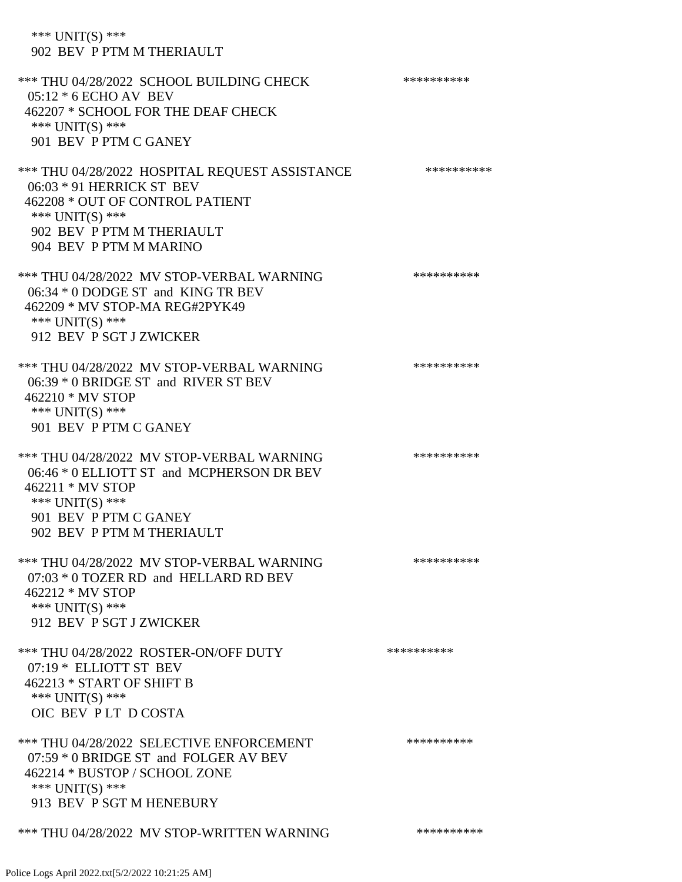Police Logs April 2022.txt[5/2/2022 10:21:25 AM]

\*\*\* UNIT(S) \*\*\*

902 BEV P PTM M THERIAULT

| *** THU 04/28/2022 SCHOOL BUILDING CHECK<br>$05:12 * 6$ ECHO AV BEV | ********** |
|---------------------------------------------------------------------|------------|
| 462207 * SCHOOL FOR THE DEAF CHECK                                  |            |
| *** UNIT(S) ***<br>901 BEV P PTM C GANEY                            |            |
| *** THU 04/28/2022 HOSPITAL REQUEST ASSISTANCE                      | ********** |
| 06:03 * 91 HERRICK ST BEV                                           |            |
| 462208 * OUT OF CONTROL PATIENT<br>*** UNIT(S) ***                  |            |
| 902 BEV P PTM M THERIAULT                                           |            |
| 904 BEV P PTM M MARINO                                              |            |
| *** THU 04/28/2022 MV STOP-VERBAL WARNING                           | ********** |
| 06:34 * 0 DODGE ST and KING TR BEV                                  |            |
| 462209 * MV STOP-MA REG#2PYK49<br>*** UNIT(S) ***                   |            |
| 912 BEV P SGT J ZWICKER                                             |            |
| *** THU 04/28/2022 MV STOP-VERBAL WARNING                           | ********** |
| 06:39 * 0 BRIDGE ST and RIVER ST BEV                                |            |
| 462210 * MV STOP<br>*** UNIT(S) ***                                 |            |
| 901 BEV P PTM C GANEY                                               |            |
| *** THU 04/28/2022 MV STOP-VERBAL WARNING                           | ********** |
| 06:46 * 0 ELLIOTT ST and MCPHERSON DR BEV                           |            |
| 462211 * MV STOP                                                    |            |
| *** UNIT(S) ***<br>901 BEV P PTM C GANEY                            |            |
| 902 BEV P PTM M THERIAULT                                           |            |
| *** THU 04/28/2022 MV STOP-VERBAL WARNING                           | ********** |
| 07:03 * 0 TOZER RD and HELLARD RD BEV                               |            |
| 462212 * MV STOP<br>*** UNIT(S) ***                                 |            |
| 912 BEV P SGT J ZWICKER                                             |            |
| *** THU 04/28/2022 ROSTER-ON/OFF DUTY                               | ********** |
| 07:19 * ELLIOTT ST BEV                                              |            |
| 462213 * START OF SHIFT B<br>*** UNIT(S) ***                        |            |
| OIC BEV PLT DCOSTA                                                  |            |
| *** THU 04/28/2022 SELECTIVE ENFORCEMENT                            | ********** |
| 07:59 * 0 BRIDGE ST and FOLGER AV BEV                               |            |
| 462214 * BUSTOP / SCHOOL ZONE<br>*** $UNIT(S)$ ***                  |            |
| 913 BEV P SGT M HENEBURY                                            |            |
| *** THU 04/28/2022 MV STOP-WRITTEN WARNING                          | ********** |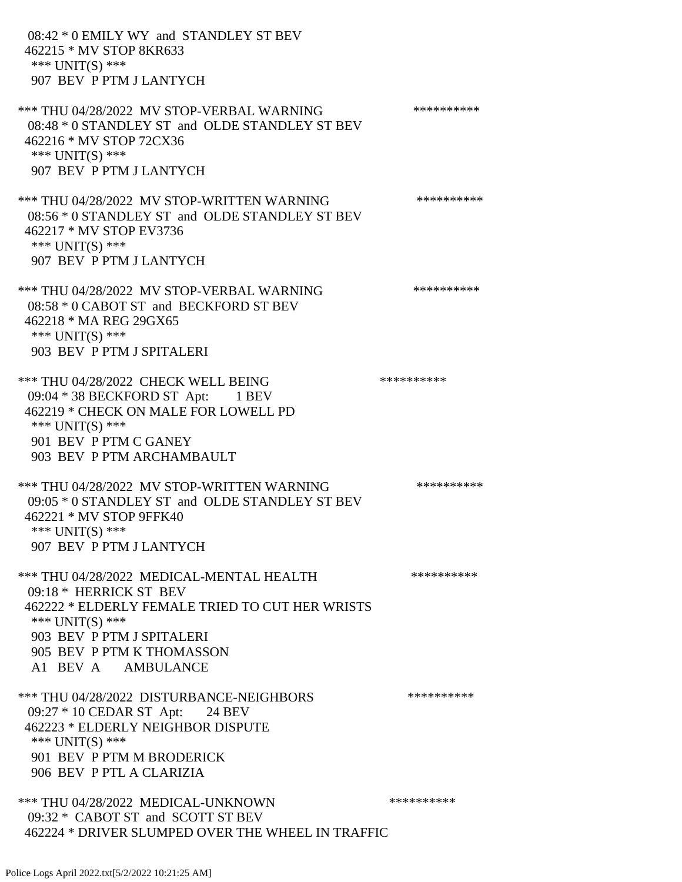08:42 \* 0 EMILY WY and STANDLEY ST BEV 462215 \* MV STOP 8KR633 \*\*\* UNIT(S) \*\*\* 907 BEV P PTM J LANTYCH \*\*\* THU 04/28/2022 MV STOP-VERBAL WARNING \*\*\*\*\*\*\*\*\*\*\*\*\* 08:48 \* 0 STANDLEY ST and OLDE STANDLEY ST BEV 462216 \* MV STOP 72CX36 \*\*\* UNIT(S) \*\*\* 907 BEV P PTM J LANTYCH \*\*\* THU 04/28/2022 MV STOP-WRITTEN WARNING \*\*\*\*\*\*\*\*\*\*\*\*\* 08:56 \* 0 STANDLEY ST and OLDE STANDLEY ST BEV 462217 \* MV STOP EV3736 \*\*\* UNIT(S) \*\*\* 907 BEV P PTM J LANTYCH \*\*\* THU 04/28/2022 MV STOP-VERBAL WARNING \*\*\*\*\*\*\*\*\*\*\*\*\*\*\* 08:58 \* 0 CABOT ST and BECKFORD ST BEV 462218 \* MA REG 29GX65 \*\*\* UNIT(S) \*\*\* 903 BEV P PTM J SPITALERI \*\*\* THU 04/28/2022 CHECK WELL BEING \*\*\*\*\*\*\*\*\*\*\*\*\* 09:04 \* 38 BECKFORD ST Apt: 1 BEV 462219 \* CHECK ON MALE FOR LOWELL PD \*\*\* UNIT(S) \*\*\* 901 BEV P PTM C GANEY 903 BEV P PTM ARCHAMBAULT \*\*\* THU 04/28/2022 MV STOP-WRITTEN WARNING \*\*\*\*\*\*\*\*\*\* 09:05 \* 0 STANDLEY ST and OLDE STANDLEY ST BEV 462221 \* MV STOP 9FFK40 \*\*\* UNIT(S) \*\*\* 907 BEV P PTM J LANTYCH \*\*\* THU 04/28/2022 MEDICAL-MENTAL HEALTH \*\*\*\*\*\*\*\*\*\* 09:18 \* HERRICK ST BEV 462222 \* ELDERLY FEMALE TRIED TO CUT HER WRISTS \*\*\* UNIT(S) \*\*\* 903 BEV P PTM J SPITALERI 905 BEV P PTM K THOMASSON A1 BEV A AMBULANCE \*\*\* THU 04/28/2022 DISTURBANCE-NEIGHBORS \*\*\*\*\*\*\*\*\*\*\*\*\* 09:27 \* 10 CEDAR ST Apt: 24 BEV 462223 \* ELDERLY NEIGHBOR DISPUTE \*\*\* UNIT(S) \*\*\* 901 BEV P PTM M BRODERICK 906 BEV P PTL A CLARIZIA \*\*\* THU 04/28/2022 MEDICAL-UNKNOWN \*\*\*\*\*\*\*\*\*\* 09:32 \* CABOT ST and SCOTT ST BEV 462224 \* DRIVER SLUMPED OVER THE WHEEL IN TRAFFIC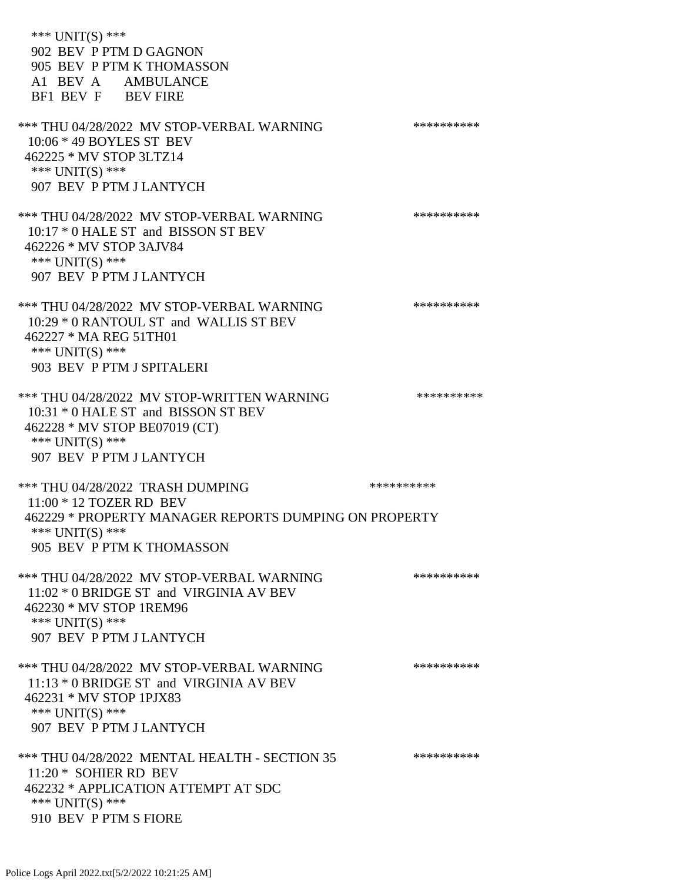\*\*\* UNIT(S) \*\*\* 902 BEV P PTM D GAGNON 905 BEV P PTM K THOMASSON A1 BEV A AMBULANCE BF1 BEV F BEV FIRE \*\*\* THU 04/28/2022 MV STOP-VERBAL WARNING \*\*\*\*\*\*\*\*\*\*\*\*\*\*\* 10:06 \* 49 BOYLES ST BEV 462225 \* MV STOP 3LTZ14 \*\*\* UNIT(S) \*\*\* 907 BEV P PTM J LANTYCH \*\*\* THU 04/28/2022 MV STOP-VERBAL WARNING \*\*\*\*\*\*\*\*\*\*\*\*\* 10:17 \* 0 HALE ST and BISSON ST BEV 462226 \* MV STOP 3AJV84 \*\*\* UNIT(S) \*\*\* 907 BEV P PTM J LANTYCH \*\*\* THU 04/28/2022 MV STOP-VERBAL WARNING \*\*\*\*\*\*\*\*\*\*\*\*\* 10:29 \* 0 RANTOUL ST and WALLIS ST BEV 462227 \* MA REG 51TH01 \*\*\* UNIT(S) \*\*\* 903 BEV P PTM J SPITALERI \*\*\* THU 04/28/2022 MV STOP-WRITTEN WARNING \*\*\*\*\*\*\*\*\*\*\*\*\* 10:31 \* 0 HALE ST and BISSON ST BEV 462228 \* MV STOP BE07019 (CT) \*\*\* UNIT(S) \*\*\* 907 BEV P PTM J LANTYCH \*\*\* THU 04/28/2022 TRASH DUMPING \*\*\*\*\*\*\*\*\*\* 11:00 \* 12 TOZER RD BEV 462229 \* PROPERTY MANAGER REPORTS DUMPING ON PROPERTY \*\*\* UNIT(S) \*\*\* 905 BEV P PTM K THOMASSON \*\*\* THU 04/28/2022 MV STOP-VERBAL WARNING \*\*\*\*\*\*\*\*\*\*\*\*\* 11:02 \* 0 BRIDGE ST and VIRGINIA AV BEV 462230 \* MV STOP 1REM96 \*\*\* UNIT(S) \*\*\* 907 BEV P PTM J LANTYCH \*\*\* THU 04/28/2022 MV STOP-VERBAL WARNING \*\*\*\*\*\*\*\*\*\*\*\*\* 11:13 \* 0 BRIDGE ST and VIRGINIA AV BEV 462231 \* MV STOP 1PJX83 \*\*\* UNIT(S) \*\*\* 907 BEV P PTM J LANTYCH \*\*\* THU 04/28/2022 MENTAL HEALTH - SECTION 35 \*\*\*\*\*\*\*\*\*\*\*\* 11:20 \* SOHIER RD BEV 462232 \* APPLICATION ATTEMPT AT SDC \*\*\* UNIT(S) \*\*\* 910 BEV P PTM S FIORE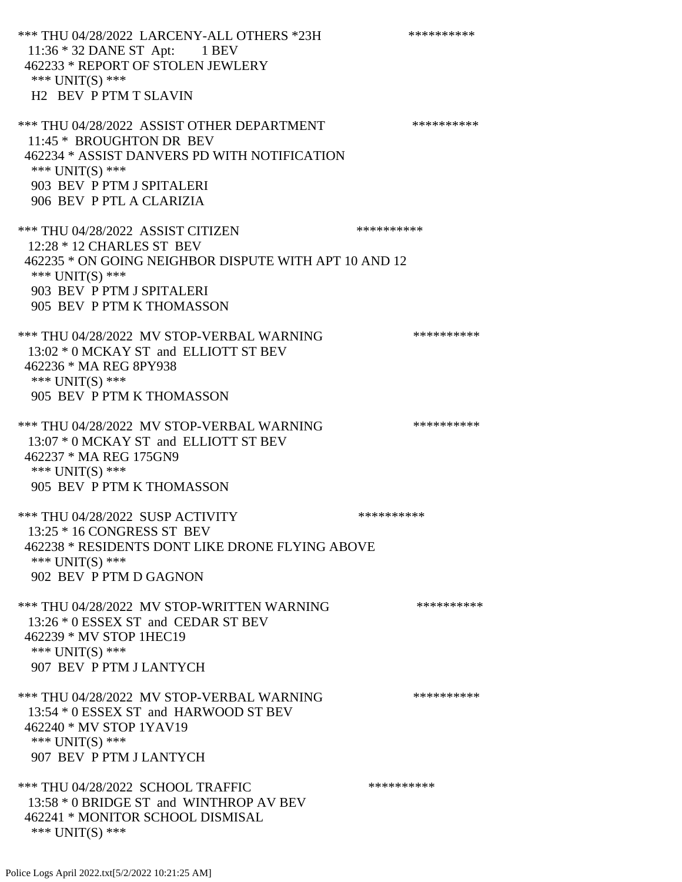\*\*\* THU 04/28/2022 LARCENY-ALL OTHERS \*23H \*\*\*\*\*\*\*\*\*\* 11:36 \* 32 DANE ST Apt: 1 BEV 462233 \* REPORT OF STOLEN JEWLERY \*\*\* UNIT(S) \*\*\* H2 BEV P PTM T SLAVIN \*\*\* THU 04/28/2022 ASSIST OTHER DEPARTMENT \*\*\*\*\*\*\*\*\*\*\*\*\* 11:45 \* BROUGHTON DR BEV 462234 \* ASSIST DANVERS PD WITH NOTIFICATION \*\*\* UNIT(S) \*\*\* 903 BEV P PTM J SPITALERI 906 BEV P PTL A CLARIZIA \*\*\* THU 04/28/2022 ASSIST CITIZEN \*\*\*\*\*\*\*\*\*\* 12:28 \* 12 CHARLES ST BEV 462235 \* ON GOING NEIGHBOR DISPUTE WITH APT 10 AND 12 \*\*\* UNIT(S) \*\*\* 903 BEV P PTM J SPITALERI 905 BEV P PTM K THOMASSON \*\*\* THU 04/28/2022 MV STOP-VERBAL WARNING \*\*\*\*\*\*\*\*\*\*\*\* 13:02 \* 0 MCKAY ST and ELLIOTT ST BEV 462236 \* MA REG 8PY938 \*\*\* UNIT(S) \*\*\* 905 BEV P PTM K THOMASSON \*\*\* THU 04/28/2022 MV STOP-VERBAL WARNING \*\*\*\*\*\*\*\*\*\*\*\*\*\*\* 13:07 \* 0 MCKAY ST and ELLIOTT ST BEV 462237 \* MA REG 175GN9 \*\*\* UNIT(S) \*\*\* 905 BEV P PTM K THOMASSON \*\*\* THU 04/28/2022 SUSP ACTIVITY \*\*\*\*\*\*\*\*\*\*\*\*\*\*\*\*\* 13:25 \* 16 CONGRESS ST BEV 462238 \* RESIDENTS DONT LIKE DRONE FLYING ABOVE \*\*\* UNIT(S) \*\*\* 902 BEV P PTM D GAGNON \*\*\* THU 04/28/2022 MV STOP-WRITTEN WARNING \*\*\*\*\*\*\*\*\*\*\*\*\* 13:26 \* 0 ESSEX ST and CEDAR ST BEV 462239 \* MV STOP 1HEC19 \*\*\* UNIT(S) \*\*\* 907 BEV P PTM J LANTYCH \*\*\* THU 04/28/2022 MV STOP-VERBAL WARNING \*\*\*\*\*\*\*\*\*\*\*\*\*\* 13:54 \* 0 ESSEX ST and HARWOOD ST BEV 462240 \* MV STOP 1YAV19 \*\*\* UNIT(S) \*\*\* 907 BEV P PTM J LANTYCH \*\*\* THU 04/28/2022 SCHOOL TRAFFIC \*\*\*\*\*\*\*\*\*\* 13:58 \* 0 BRIDGE ST and WINTHROP AV BEV 462241 \* MONITOR SCHOOL DISMISAL \*\*\* UNIT(S) \*\*\*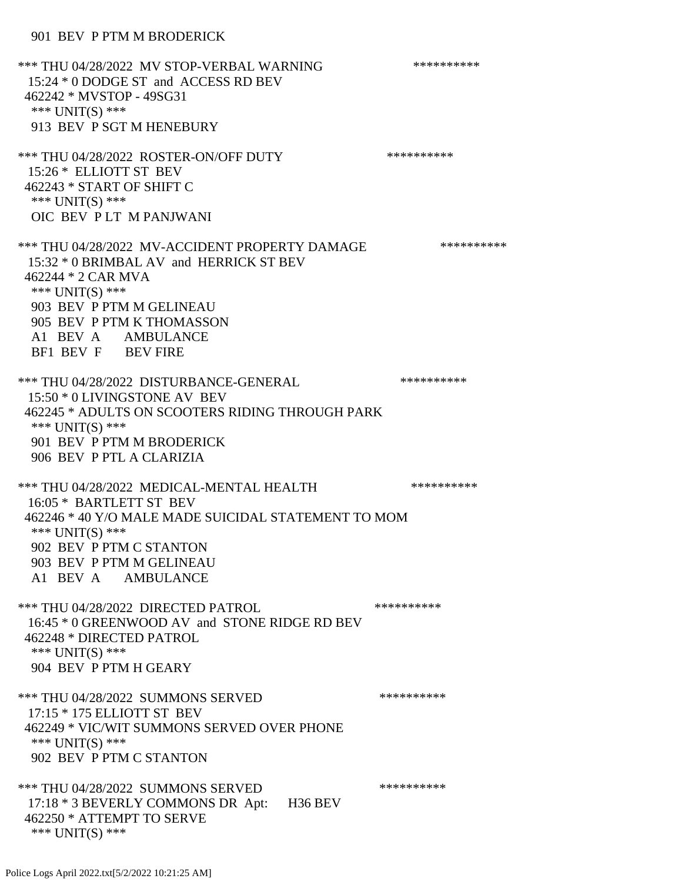\*\*\* THU 04/28/2022 MV STOP-VERBAL WARNING \*\*\*\*\*\*\*\*\*\*\*\*\* 15:24 \* 0 DODGE ST and ACCESS RD BEV 462242 \* MVSTOP - 49SG31 \*\*\* UNIT(S) \*\*\* 913 BEV P SGT M HENEBURY \*\*\* THU 04/28/2022 ROSTER-ON/OFF DUTY \*\*\*\*\*\*\*\*\*\* 15:26 \* ELLIOTT ST BEV 462243 \* START OF SHIFT C \*\*\* UNIT(S) \*\*\* OIC BEV P LT M PANJWANI \*\*\* THU 04/28/2022 MV-ACCIDENT PROPERTY DAMAGE \*\*\*\*\*\*\*\*\*\* 15:32 \* 0 BRIMBAL AV and HERRICK ST BEV 462244 \* 2 CAR MVA \*\*\* UNIT(S) \*\*\* 903 BEV P PTM M GELINEAU 905 BEV P PTM K THOMASSON A1 BEV A AMBULANCE BF1 BEV F BEV FIRE \*\*\* THU 04/28/2022 DISTURBANCE-GENERAL \*\*\*\*\*\*\*\*\*\* 15:50 \* 0 LIVINGSTONE AV BEV 462245 \* ADULTS ON SCOOTERS RIDING THROUGH PARK \*\*\* UNIT(S) \*\*\* 901 BEV P PTM M BRODERICK 906 BEV P PTL A CLARIZIA \*\*\* THU 04/28/2022 MEDICAL-MENTAL HEALTH \*\*\*\*\*\*\*\*\*\* 16:05 \* BARTLETT ST BEV 462246 \* 40 Y/O MALE MADE SUICIDAL STATEMENT TO MOM \*\*\* UNIT(S) \*\*\* 902 BEV P PTM C STANTON 903 BEV P PTM M GELINEAU A1 BEV A AMBULANCE \*\*\* THU 04/28/2022 DIRECTED PATROL \*\*\*\*\*\*\*\*\*\* 16:45 \* 0 GREENWOOD AV and STONE RIDGE RD BEV 462248 \* DIRECTED PATROL \*\*\* UNIT(S) \*\*\* 904 BEV P PTM H GEARY \*\*\* THU 04/28/2022 SUMMONS SERVED \*\*\*\*\*\*\*\*\*\* 17:15 \* 175 ELLIOTT ST BEV 462249 \* VIC/WIT SUMMONS SERVED OVER PHONE \*\*\* UNIT(S) \*\*\* 902 BEV P PTM C STANTON \*\*\* THU 04/28/2022 SUMMONS SERVED \*\*\*\*\*\*\*\*\*\* 17:18 \* 3 BEVERLY COMMONS DR Apt: H36 BEV 462250 \* ATTEMPT TO SERVE \*\*\* UNIT(S) \*\*\*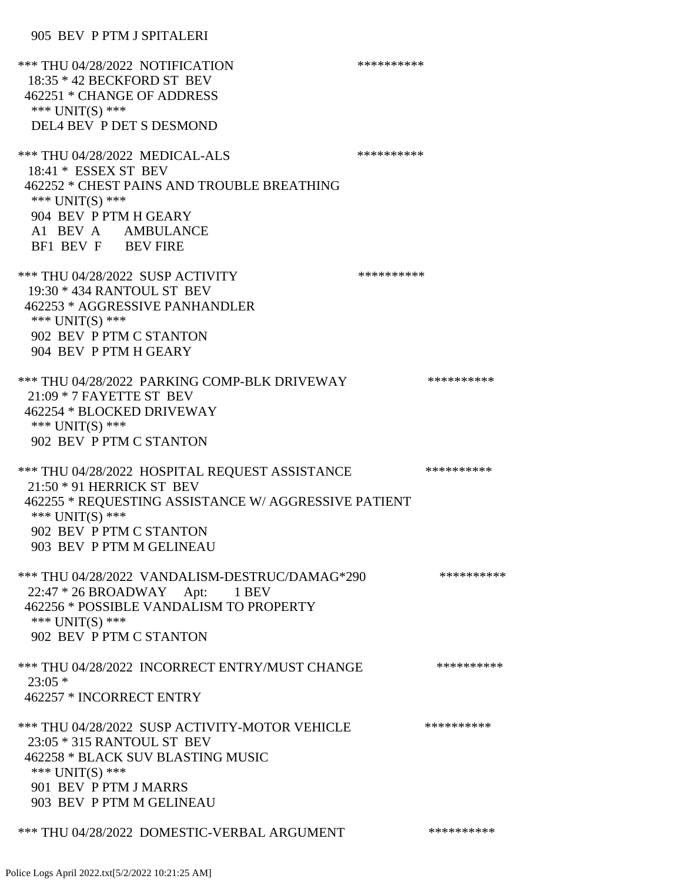| *** THU 04/28/2022 NOTIFICATION<br>18:35 * 42 BECKFORD ST BEV<br>462251 * CHANGE OF ADDRESS<br>*** UNIT(S) ***<br>DEL4 BEV P DET S DESMOND                                                                      | ********** |            |
|-----------------------------------------------------------------------------------------------------------------------------------------------------------------------------------------------------------------|------------|------------|
| *** THU 04/28/2022 MEDICAL-ALS<br>18:41 * ESSEX ST BEV<br>462252 * CHEST PAINS AND TROUBLE BREATHING<br>*** UNIT(S) ***<br>904 BEV P PTM H GEARY<br>A1 BEV A AMBULANCE<br>BF1 BEV F BEV FIRE                    | ********** |            |
| *** THU 04/28/2022 SUSP ACTIVITY<br>19:30 * 434 RANTOUL ST BEV<br>462253 * AGGRESSIVE PANHANDLER<br>*** $UNIT(S)$ ***<br>902 BEV P PTM C STANTON<br>904 BEV P PTM H GEARY                                       | ********** |            |
| *** THU 04/28/2022 PARKING COMP-BLK DRIVEWAY<br>$21:09 * 7$ FAYETTE ST BEV<br>462254 * BLOCKED DRIVEWAY<br>*** $UNIT(S)$ ***<br>902 BEV P PTM C STANTON                                                         |            | ********** |
| *** THU 04/28/2022 HOSPITAL REQUEST ASSISTANCE<br>$21:50 * 91$ HERRICK ST BEV<br>462255 * REQUESTING ASSISTANCE W/ AGGRESSIVE PATIENT<br>*** UNIT(S) ***<br>902 BEV P PTM C STANTON<br>903 BEV P PTM M GELINEAU |            | ********** |
| *** THU 04/28/2022 VANDALISM-DESTRUC/DAMAG*290<br>22:47 * 26 BROADWAY Apt: 1 BEV<br>462256 * POSSIBLE VANDALISM TO PROPERTY<br>*** UNIT(S) ***<br>902 BEV P PTM C STANTON                                       |            | ********** |
| *** THU 04/28/2022 INCORRECT ENTRY/MUST CHANGE<br>$23:05*$<br>462257 * INCORRECT ENTRY                                                                                                                          |            | ********** |
| *** THU 04/28/2022 SUSP ACTIVITY-MOTOR VEHICLE<br>23:05 * 315 RANTOUL ST BEV<br>462258 * BLACK SUV BLASTING MUSIC<br>*** UNIT(S) ***<br>901 BEV P PTM J MARRS<br>903 BEV P PTM M GELINEAU                       |            | ********** |
| *** THU 04/28/2022 DOMESTIC-VERBAL ARGUMENT                                                                                                                                                                     |            | ********** |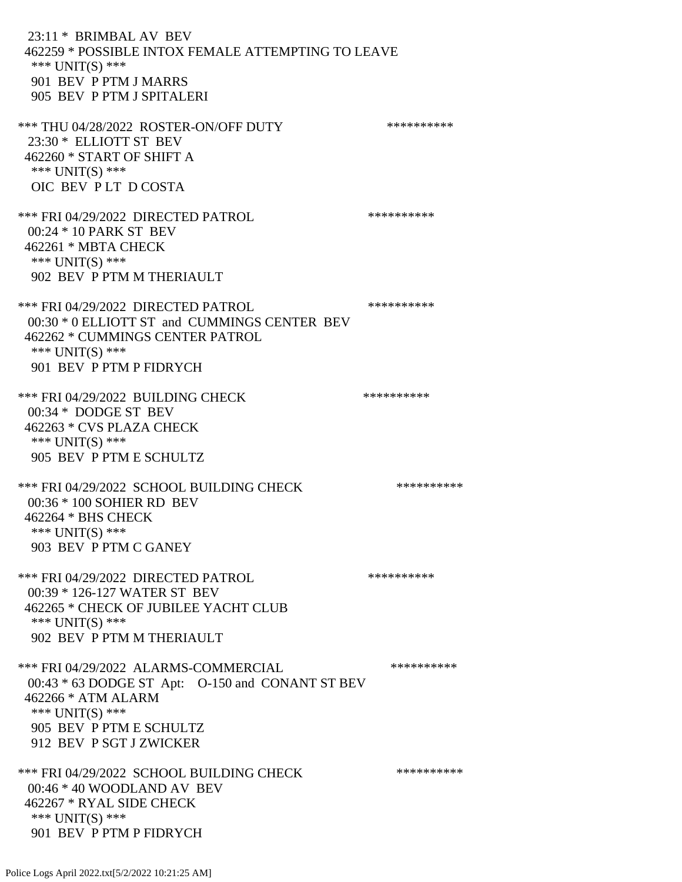23:11 \* BRIMBAL AV BEV 462259 \* POSSIBLE INTOX FEMALE ATTEMPTING TO LEAVE \*\*\* UNIT(S) \*\*\* 901 BEV P PTM J MARRS 905 BEV P PTM J SPITALERI \*\*\* THU 04/28/2022 ROSTER-ON/OFF DUTY \*\*\*\*\*\*\*\*\*\* 23:30 \* ELLIOTT ST BEV 462260 \* START OF SHIFT A \*\*\* UNIT(S) \*\*\* OIC BEV P LT D COSTA \*\*\* FRI 04/29/2022 DIRECTED PATROL \*\*\*\*\*\*\*\*\*\* 00:24 \* 10 PARK ST BEV 462261 \* MBTA CHECK \*\*\* UNIT(S) \*\*\* 902 BEV P PTM M THERIAULT \*\*\* FRI 04/29/2022 DIRECTED PATROL \*\*\*\*\*\*\*\*\*\* 00:30 \* 0 ELLIOTT ST and CUMMINGS CENTER BEV 462262 \* CUMMINGS CENTER PATROL \*\*\* UNIT(S) \*\*\* 901 BEV P PTM P FIDRYCH \*\*\* FRI 04/29/2022 BUILDING CHECK \*\*\*\*\*\*\*\*\*\*\*\*\*\* 00:34 \* DODGE ST BEV 462263 \* CVS PLAZA CHECK \*\*\* UNIT(S) \*\*\* 905 BEV P PTM E SCHULTZ \*\*\* FRI 04/29/2022 SCHOOL BUILDING CHECK \*\*\*\*\*\*\*\*\*\*\* 00:36 \* 100 SOHIER RD BEV 462264 \* BHS CHECK \*\*\* UNIT(S) \*\*\* 903 BEV P PTM C GANEY \*\*\* FRI 04/29/2022 DIRECTED PATROL \*\*\*\*\*\*\*\*\*\* 00:39 \* 126-127 WATER ST BEV 462265 \* CHECK OF JUBILEE YACHT CLUB \*\*\* UNIT(S) \*\*\* 902 BEV P PTM M THERIAULT \*\*\* FRI 04/29/2022 ALARMS-COMMERCIAL \*\*\*\*\*\*\*\*\*\* 00:43 \* 63 DODGE ST Apt: O-150 and CONANT ST BEV 462266 \* ATM ALARM \*\*\* UNIT(S) \*\*\* 905 BEV P PTM E SCHULTZ 912 BEV P SGT J ZWICKER \*\*\* FRI 04/29/2022 SCHOOL BUILDING CHECK \*\*\*\*\*\*\*\*\*\*\* 00:46 \* 40 WOODLAND AV BEV 462267 \* RYAL SIDE CHECK \*\*\* UNIT(S) \*\*\* 901 BEV P PTM P FIDRYCH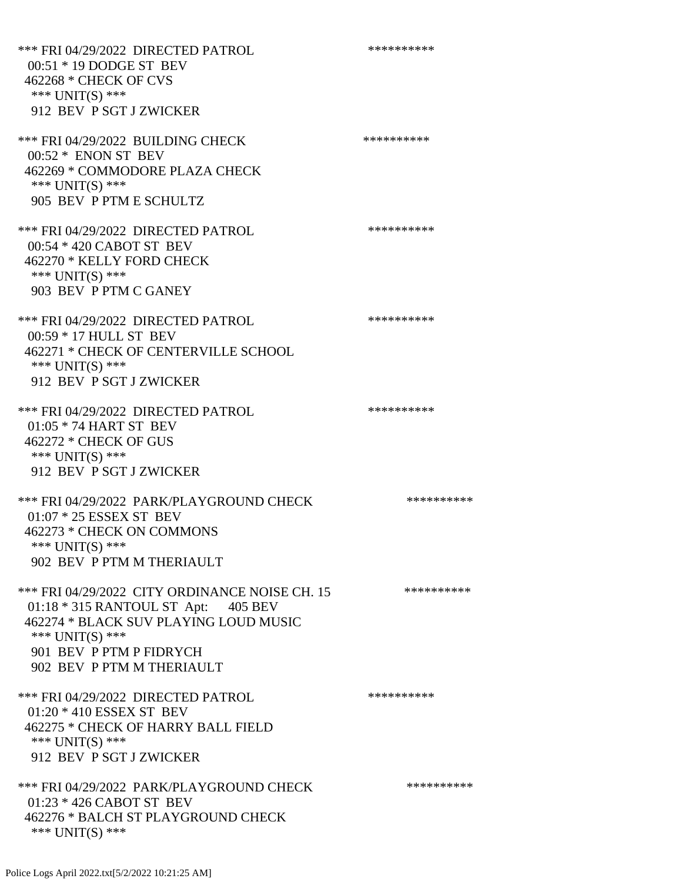\*\*\* FRI 04/29/2022 DIRECTED PATROL \*\*\*\*\*\*\*\*\*\* 00:51 \* 19 DODGE ST BEV 462268 \* CHECK OF CVS \*\*\* UNIT(S) \*\*\* 912 BEV P SGT J ZWICKER \*\*\* FRI 04/29/2022 BUILDING CHECK \*\*\*\*\*\*\*\*\*\*\*\* 00:52 \* ENON ST BEV 462269 \* COMMODORE PLAZA CHECK \*\*\* UNIT(S) \*\*\* 905 BEV P PTM E SCHULTZ \*\*\* FRI 04/29/2022 DIRECTED PATROL \*\*\*\*\*\*\*\*\*\* 00:54 \* 420 CABOT ST BEV 462270 \* KELLY FORD CHECK \*\*\* UNIT(S) \*\*\* 903 BEV P PTM C GANEY \*\*\* FRI 04/29/2022 DIRECTED PATROL \*\*\*\*\*\*\*\*\*\* 00:59 \* 17 HULL ST BEV 462271 \* CHECK OF CENTERVILLE SCHOOL \*\*\* UNIT(S) \*\*\* 912 BEV P SGT J ZWICKER \*\*\* FRI 04/29/2022 DIRECTED PATROL \*\*\*\*\*\*\*\*\*\*\*\* 01:05 \* 74 HART ST BEV 462272 \* CHECK OF GUS \*\*\* UNIT(S) \*\*\* 912 BEV P SGT J ZWICKER \*\*\* FRI 04/29/2022 PARK/PLAYGROUND CHECK \*\*\*\*\*\*\*\*\*\* 01:07 \* 25 ESSEX ST BEV 462273 \* CHECK ON COMMONS \*\*\* UNIT(S) \*\*\* 902 BEV P PTM M THERIAULT \*\*\* FRI 04/29/2022 CITY ORDINANCE NOISE CH. 15 \*\*\*\*\*\*\*\*\*\*\* 01:18 \* 315 RANTOUL ST Apt: 405 BEV 462274 \* BLACK SUV PLAYING LOUD MUSIC \*\*\* UNIT(S) \*\*\* 901 BEV P PTM P FIDRYCH 902 BEV P PTM M THERIAULT \*\*\* FRI 04/29/2022 DIRECTED PATROL \*\*\*\*\*\*\*\*\*\* 01:20 \* 410 ESSEX ST BEV 462275 \* CHECK OF HARRY BALL FIELD \*\*\* UNIT(S) \*\*\* 912 BEV P SGT J ZWICKER \*\*\* FRI 04/29/2022 PARK/PLAYGROUND CHECK \*\*\*\*\*\*\*\*\*\* 01:23 \* 426 CABOT ST BEV 462276 \* BALCH ST PLAYGROUND CHECK \*\*\* UNIT(S) \*\*\*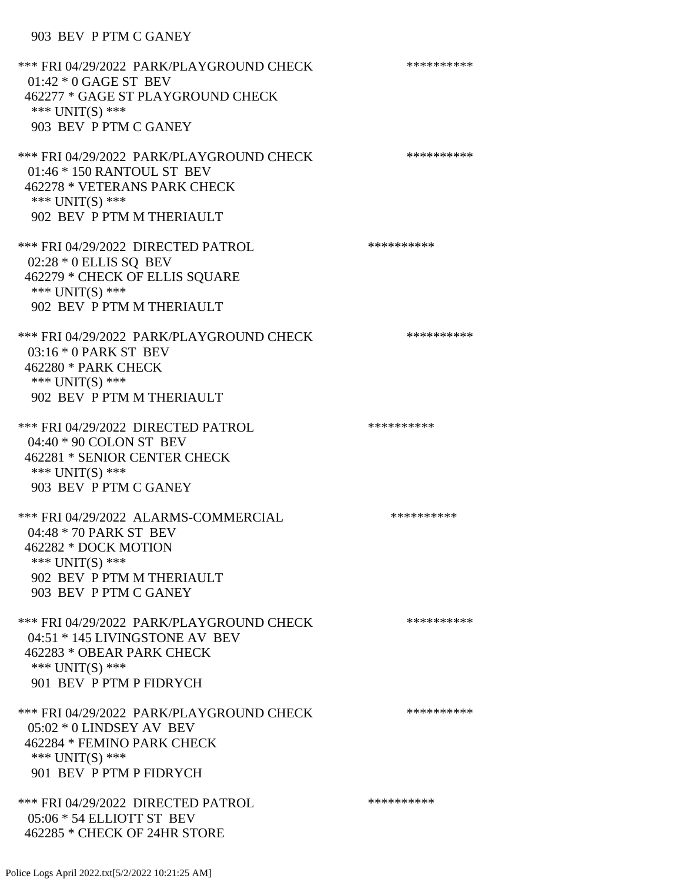# 903 BEV P PTM C GANEY

| *** FRI 04/29/2022 PARK/PLAYGROUND CHECK<br>$01:42 * 0$ GAGE ST BEV<br>462277 * GAGE ST PLAYGROUND CHECK<br>*** $UNIT(S)$ ***<br>903 BEV P PTM C GANEY          | ********** |
|-----------------------------------------------------------------------------------------------------------------------------------------------------------------|------------|
| *** FRI 04/29/2022 PARK/PLAYGROUND CHECK<br>01:46 * 150 RANTOUL ST BEV<br>462278 * VETERANS PARK CHECK<br>*** UNIT(S) ***<br>902 BEV P PTM M THERIAULT          | ********** |
| *** FRI 04/29/2022 DIRECTED PATROL<br>02:28 * 0 ELLIS SQ BEV<br>462279 * CHECK OF ELLIS SQUARE<br>*** $UNIT(S)$ ***<br>902 BEV P PTM M THERIAULT                | ********** |
| *** FRI 04/29/2022 PARK/PLAYGROUND CHECK<br>03:16 * 0 PARK ST BEV<br>462280 * PARK CHECK<br>*** $UNIT(S)$ ***<br>902 BEV P PTM M THERIAULT                      | ********** |
| *** FRI 04/29/2022 DIRECTED PATROL<br>04:40 * 90 COLON ST BEV<br>462281 * SENIOR CENTER CHECK<br>*** $UNIT(S)$ ***<br>903 BEV P PTM C GANEY                     | ********** |
| *** FRI 04/29/2022 ALARMS-COMMERCIAL<br>04:48 * 70 PARK ST BEV<br>462282 * DOCK MOTION<br>*** UNIT(S) ***<br>902 BEV P PTM M THERIAULT<br>903 BEV P PTM C GANEY | ********** |
| *** FRI 04/29/2022 PARK/PLAYGROUND CHECK<br>04:51 * 145 LIVINGSTONE AV BEV<br>462283 * OBEAR PARK CHECK<br>*** $UNIT(S)$ ***<br>901 BEV P PTM P FIDRYCH         | ********** |
| *** FRI 04/29/2022 PARK/PLAYGROUND CHECK<br>05:02 * 0 LINDSEY AV BEV<br>462284 * FEMINO PARK CHECK<br>*** $UNIT(S)$ ***<br>901 BEV P PTM P FIDRYCH              | ********** |
| *** FRI 04/29/2022 DIRECTED PATROL<br>05:06 * 54 ELLIOTT ST BEV<br>462285 * CHECK OF 24HR STORE                                                                 | ********** |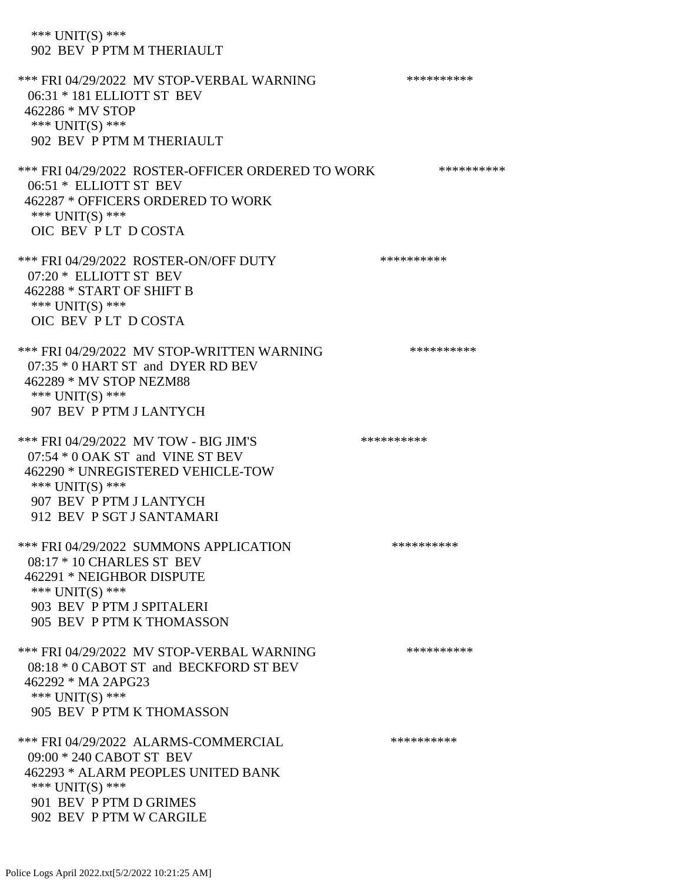\*\*\* UNIT(S) \*\*\* 902 BEV P PTM M THERIAULT \*\*\* FRI 04/29/2022 MV STOP-VERBAL WARNING \*\*\*\*\*\*\*\*\*\*\*\* 06:31 \* 181 ELLIOTT ST BEV 462286 \* MV STOP \*\*\* UNIT(S) \*\*\* 902 BEV P PTM M THERIAULT \*\*\* FRI 04/29/2022 ROSTER-OFFICER ORDERED TO WORK \*\*\*\*\*\*\*\*\*\*\*\* 06:51 \* ELLIOTT ST BEV 462287 \* OFFICERS ORDERED TO WORK \*\*\* UNIT(S) \*\*\* OIC BEV P LT D COSTA \*\*\* FRI 04/29/2022 ROSTER-ON/OFF DUTY \*\*\*\*\*\*\*\*\*\* 07:20 \* ELLIOTT ST BEV 462288 \* START OF SHIFT B \*\*\* UNIT(S) \*\*\* OIC BEV P LT D COSTA \*\*\* FRI 04/29/2022 MV STOP-WRITTEN WARNING \*\*\*\*\*\*\*\*\*\*\*\* 07:35 \* 0 HART ST and DYER RD BEV 462289 \* MV STOP NEZM88 \*\*\* UNIT(S) \*\*\* 907 BEV P PTM J LANTYCH \*\*\* FRI 04/29/2022 MV TOW - BIG JIM'S \*\*\*\*\*\*\*\*\*\*\*\* 07:54 \* 0 OAK ST and VINE ST BEV 462290 \* UNREGISTERED VEHICLE-TOW \*\*\* UNIT(S) \*\*\* 907 BEV P PTM J LANTYCH 912 BEV P SGT J SANTAMARI \*\*\* FRI 04/29/2022 SUMMONS APPLICATION \*\*\*\*\*\*\*\*\*\* 08:17 \* 10 CHARLES ST BEV 462291 \* NEIGHBOR DISPUTE \*\*\* UNIT(S) \*\*\* 903 BEV P PTM J SPITALERI 905 BEV P PTM K THOMASSON \*\*\* FRI 04/29/2022 MV STOP-VERBAL WARNING \*\*\*\*\*\*\*\*\*\*\*\* 08:18 \* 0 CABOT ST and BECKFORD ST BEV 462292 \* MA 2APG23 \*\*\* UNIT(S) \*\*\* 905 BEV P PTM K THOMASSON \*\*\* FRI 04/29/2022 ALARMS-COMMERCIAL \*\*\*\*\*\*\*\*\*\* 09:00 \* 240 CABOT ST BEV 462293 \* ALARM PEOPLES UNITED BANK \*\*\* UNIT(S) \*\*\* 901 BEV P PTM D GRIMES

902 BEV P PTM W CARGILE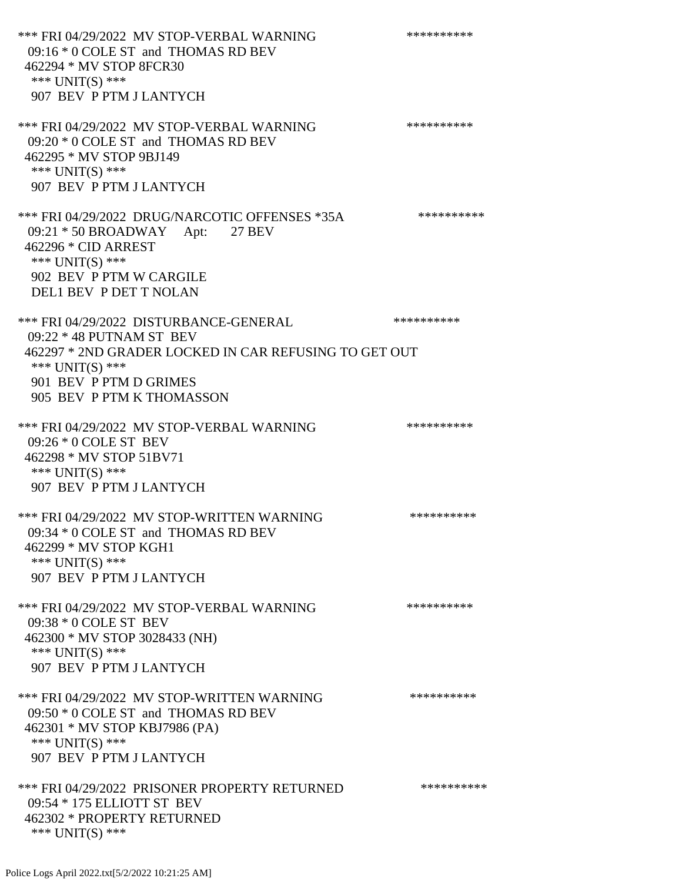\*\*\* FRI 04/29/2022 MV STOP-VERBAL WARNING \*\*\*\*\*\*\*\*\*\*\*\* 09:16 \* 0 COLE ST and THOMAS RD BEV 462294 \* MV STOP 8FCR30 \*\*\* UNIT(S) \*\*\* 907 BEV P PTM J LANTYCH \*\*\* FRI 04/29/2022 MV STOP-VERBAL WARNING \*\*\*\*\*\*\*\*\*\*\*\*\*\* 09:20 \* 0 COLE ST and THOMAS RD BEV 462295 \* MV STOP 9BJ149 \*\*\* UNIT(S) \*\*\* 907 BEV P PTM J LANTYCH \*\*\* FRI 04/29/2022 DRUG/NARCOTIC OFFENSES \*35A \*\*\*\*\*\*\*\*\*\*\*\* 09:21 \* 50 BROADWAY Apt: 27 BEV 462296 \* CID ARREST \*\*\*  $UNIT(S)$  \*\*\* 902 BEV P PTM W CARGILE DEL1 BEV P DET T NOLAN \*\*\* FRI 04/29/2022 DISTURBANCE-GENERAL \*\*\*\*\*\*\*\*\*\* 09:22 \* 48 PUTNAM ST BEV 462297 \* 2ND GRADER LOCKED IN CAR REFUSING TO GET OUT \*\*\* UNIT(S) \*\*\* 901 BEV P PTM D GRIMES 905 BEV P PTM K THOMASSON \*\*\* FRI 04/29/2022 MV STOP-VERBAL WARNING \*\*\*\*\*\*\*\*\*\*\*\*\* 09:26 \* 0 COLE ST BEV 462298 \* MV STOP 51BV71 \*\*\* UNIT(S) \*\*\* 907 BEV P PTM J LANTYCH \*\*\* FRI 04/29/2022 MV STOP-WRITTEN WARNING \*\*\*\*\*\*\*\*\*\*\*\*\* 09:34 \* 0 COLE ST and THOMAS RD BEV 462299 \* MV STOP KGH1 \*\*\* UNIT(S) \*\*\* 907 BEV P PTM J LANTYCH \*\*\* FRI 04/29/2022 MV STOP-VERBAL WARNING \*\*\*\*\*\*\*\*\*\*\*\* 09:38 \* 0 COLE ST BEV 462300 \* MV STOP 3028433 (NH) \*\*\* UNIT(S) \*\*\* 907 BEV P PTM J LANTYCH \*\*\* FRI 04/29/2022 MV STOP-WRITTEN WARNING \*\*\*\*\*\*\*\*\*\*\*\* 09:50 \* 0 COLE ST and THOMAS RD BEV 462301 \* MV STOP KBJ7986 (PA) \*\*\* UNIT(S) \*\*\* 907 BEV P PTM J LANTYCH \*\*\* FRI 04/29/2022 PRISONER PROPERTY RETURNED \*\*\*\*\*\*\*\*\*\* 09:54 \* 175 ELLIOTT ST BEV 462302 \* PROPERTY RETURNED \*\*\* UNIT(S) \*\*\*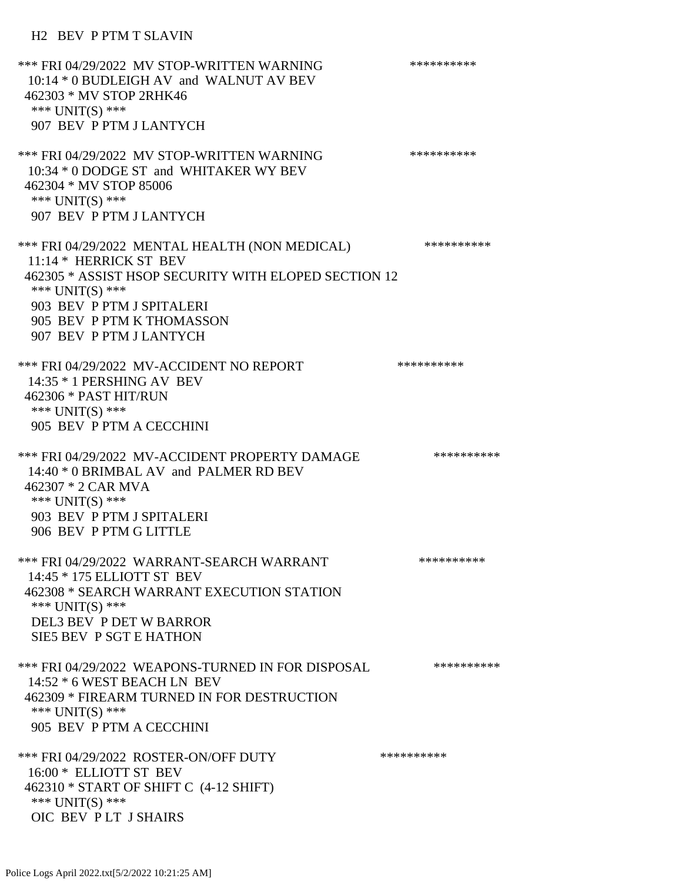#### H2 BEV P PTM T SLAVIN

\*\*\* FRI 04/29/2022 MV STOP-WRITTEN WARNING \*\*\*\*\*\*\*\*\*\*\*\* 10:14 \* 0 BUDLEIGH AV and WALNUT AV BEV 462303 \* MV STOP 2RHK46 \*\*\* UNIT(S) \*\*\* 907 BEV P PTM J LANTYCH \*\*\* FRI 04/29/2022 MV STOP-WRITTEN WARNING \*\*\*\*\*\*\*\*\*\*\*\*\* 10:34 \* 0 DODGE ST and WHITAKER WY BEV 462304 \* MV STOP 85006 \*\*\* UNIT(S) \*\*\* 907 BEV P PTM J LANTYCH \*\*\* FRI 04/29/2022 MENTAL HEALTH (NON MEDICAL) \*\*\*\*\*\*\*\*\*\* 11:14 \* HERRICK ST BEV 462305 \* ASSIST HSOP SECURITY WITH ELOPED SECTION 12 \*\*\* UNIT(S) \*\*\* 903 BEV P PTM J SPITALERI 905 BEV P PTM K THOMASSON 907 BEV P PTM J LANTYCH \*\*\* FRI 04/29/2022 MV-ACCIDENT NO REPORT \*\*\*\*\*\*\*\*\*\*\*\*\* 14:35 \* 1 PERSHING AV BEV 462306 \* PAST HIT/RUN \*\*\* UNIT(S) \*\*\* 905 BEV P PTM A CECCHINI \*\*\* FRI 04/29/2022 MV-ACCIDENT PROPERTY DAMAGE \*\*\*\*\*\*\*\*\*\* 14:40 \* 0 BRIMBAL AV and PALMER RD BEV 462307 \* 2 CAR MVA \*\*\* UNIT(S) \*\*\* 903 BEV P PTM J SPITALERI 906 BEV P PTM G LITTLE \*\*\* FRI 04/29/2022 WARRANT-SEARCH WARRANT \*\*\*\*\*\*\*\*\*\*\*\*\* 14:45 \* 175 ELLIOTT ST BEV 462308 \* SEARCH WARRANT EXECUTION STATION \*\*\* UNIT(S) \*\*\* DEL3 BEV P DET W BARROR SIE5 BEV P SGT E HATHON \*\*\* FRI 04/29/2022 WEAPONS-TURNED IN FOR DISPOSAL \*\*\*\*\*\*\*\*\*\* 14:52 \* 6 WEST BEACH LN BEV 462309 \* FIREARM TURNED IN FOR DESTRUCTION \*\*\* UNIT(S) \*\*\* 905 BEV P PTM A CECCHINI \*\*\* FRI 04/29/2022 ROSTER-ON/OFF DUTY \*\*\*\*\*\*\*\*\*\* 16:00 \* ELLIOTT ST BEV 462310 \* START OF SHIFT C (4-12 SHIFT) \*\*\* UNIT(S) \*\*\* OIC BEV P LT J SHAIRS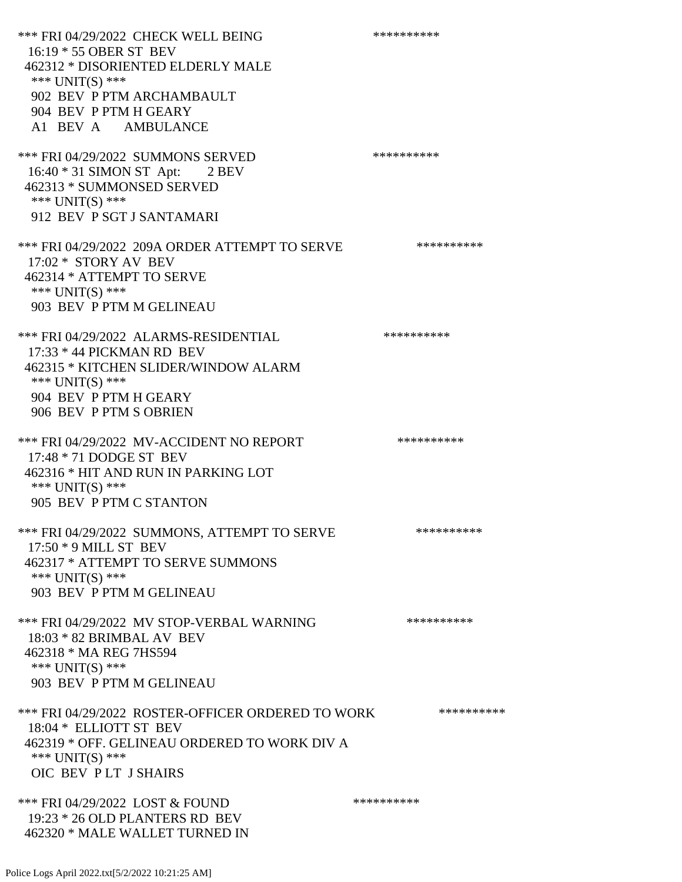\*\*\* FRI 04/29/2022 CHECK WELL BEING \*\*\*\*\*\*\*\*\*\* 16:19 \* 55 OBER ST BEV 462312 \* DISORIENTED ELDERLY MALE \*\*\* UNIT(S) \*\*\* 902 BEV P PTM ARCHAMBAULT 904 BEV P PTM H GEARY A1 BEV A AMBULANCE \*\*\* FRI 04/29/2022 SUMMONS SERVED \*\*\*\*\*\*\*\*\*\* 16:40 \* 31 SIMON ST Apt: 2 BEV 462313 \* SUMMONSED SERVED \*\*\* UNIT(S) \*\*\* 912 BEV P SGT J SANTAMARI \*\*\* FRI 04/29/2022 209A ORDER ATTEMPT TO SERVE \*\*\*\*\*\*\*\*\*\* 17:02 \* STORY AV BEV 462314 \* ATTEMPT TO SERVE \*\*\* UNIT(S) \*\*\* 903 BEV P PTM M GELINEAU \*\*\* FRI 04/29/2022 ALARMS-RESIDENTIAL \*\*\*\*\*\*\*\*\*\* 17:33 \* 44 PICKMAN RD BEV 462315 \* KITCHEN SLIDER/WINDOW ALARM \*\*\* UNIT(S) \*\*\* 904 BEV P PTM H GEARY 906 BEV P PTM S OBRIEN \*\*\* FRI 04/29/2022 MV-ACCIDENT NO REPORT \*\*\*\*\*\*\*\*\*\*\*\* 17:48 \* 71 DODGE ST BEV 462316 \* HIT AND RUN IN PARKING LOT \*\*\* UNIT(S) \*\*\* 905 BEV P PTM C STANTON \*\*\* FRI 04/29/2022 SUMMONS, ATTEMPT TO SERVE \*\*\*\*\*\*\*\*\*\* 17:50 \* 9 MILL ST BEV 462317 \* ATTEMPT TO SERVE SUMMONS \*\*\* UNIT(S) \*\*\* 903 BEV P PTM M GELINEAU \*\*\* FRI 04/29/2022 MV STOP-VERBAL WARNING \*\*\*\*\*\*\*\*\*\*\*\*\* 18:03 \* 82 BRIMBAL AV BEV 462318 \* MA REG 7HS594 \*\*\* UNIT(S) \*\*\* 903 BEV P PTM M GELINEAU \*\*\* FRI 04/29/2022 ROSTER-OFFICER ORDERED TO WORK \*\*\*\*\*\*\*\*\*\*\*\* 18:04 \* ELLIOTT ST BEV 462319 \* OFF. GELINEAU ORDERED TO WORK DIV A \*\*\* UNIT(S) \*\*\* OIC BEV P LT J SHAIRS \*\*\* FRI 04/29/2022 LOST & FOUND \*\*\*\*\*\*\*\*\*\* 19:23 \* 26 OLD PLANTERS RD BEV 462320 \* MALE WALLET TURNED IN

Police Logs April 2022.txt[5/2/2022 10:21:25 AM]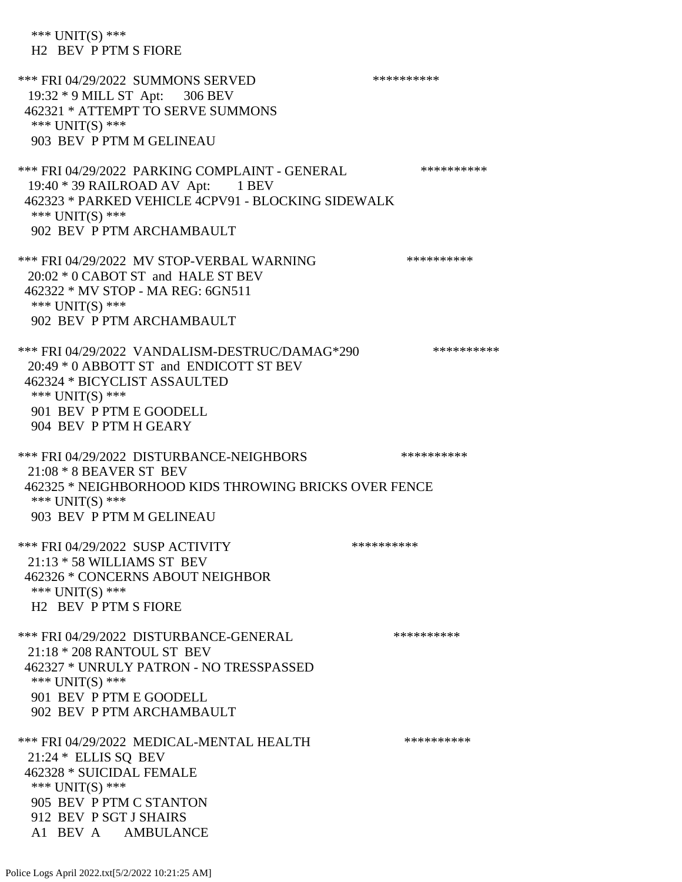\*\*\* UNIT(S) \*\*\* H2 BEV P PTM S FIORE \*\*\* FRI 04/29/2022 SUMMONS SERVED \*\*\*\*\*\*\*\*\*\* 19:32 \* 9 MILL ST Apt: 306 BEV 462321 \* ATTEMPT TO SERVE SUMMONS \*\*\* UNIT(S) \*\*\* 903 BEV P PTM M GELINEAU \*\*\* FRI 04/29/2022 PARKING COMPLAINT - GENERAL \*\*\*\*\*\*\*\*\*\* 19:40 \* 39 RAILROAD AV Apt: 1 BEV 462323 \* PARKED VEHICLE 4CPV91 - BLOCKING SIDEWALK \*\*\* UNIT(S) \*\*\* 902 BEV P PTM ARCHAMBAULT \*\*\* FRI 04/29/2022 MV STOP-VERBAL WARNING \*\*\*\*\*\*\*\*\*\*\*\* 20:02 \* 0 CABOT ST and HALE ST BEV 462322 \* MV STOP - MA REG: 6GN511 \*\*\* UNIT(S) \*\*\* 902 BEV P PTM ARCHAMBAULT \*\*\* FRI 04/29/2022 VANDALISM-DESTRUC/DAMAG\*290 \*\*\*\*\*\*\*\*\*\* 20:49 \* 0 ABBOTT ST and ENDICOTT ST BEV 462324 \* BICYCLIST ASSAULTED \*\*\* UNIT(S) \*\*\* 901 BEV P PTM E GOODELL 904 BEV P PTM H GEARY \*\*\* FRI 04/29/2022 DISTURBANCE-NEIGHBORS \*\*\*\*\*\*\*\*\*\* 21:08 \* 8 BEAVER ST BEV 462325 \* NEIGHBORHOOD KIDS THROWING BRICKS OVER FENCE \*\*\* UNIT(S) \*\*\* 903 BEV P PTM M GELINEAU \*\*\* FRI 04/29/2022 SUSP ACTIVITY \*\*\*\*\*\*\*\*\*\*\*\* 21:13 \* 58 WILLIAMS ST BEV 462326 \* CONCERNS ABOUT NEIGHBOR \*\*\* UNIT(S) \*\*\* H2 BEV P PTM S FIORE \*\*\* FRI 04/29/2022 DISTURBANCE-GENERAL \*\*\*\*\*\*\*\*\*\* 21:18 \* 208 RANTOUL ST BEV 462327 \* UNRULY PATRON - NO TRESSPASSED \*\*\* UNIT(S) \*\*\* 901 BEV P PTM E GOODELL 902 BEV P PTM ARCHAMBAULT \*\*\* FRI 04/29/2022 MEDICAL-MENTAL HEALTH \*\*\*\*\*\*\*\*\*\* 21:24 \* ELLIS SQ BEV 462328 \* SUICIDAL FEMALE \*\*\* UNIT(S) \*\*\* 905 BEV P PTM C STANTON 912 BEV P SGT J SHAIRS A1 BEV A AMBULANCE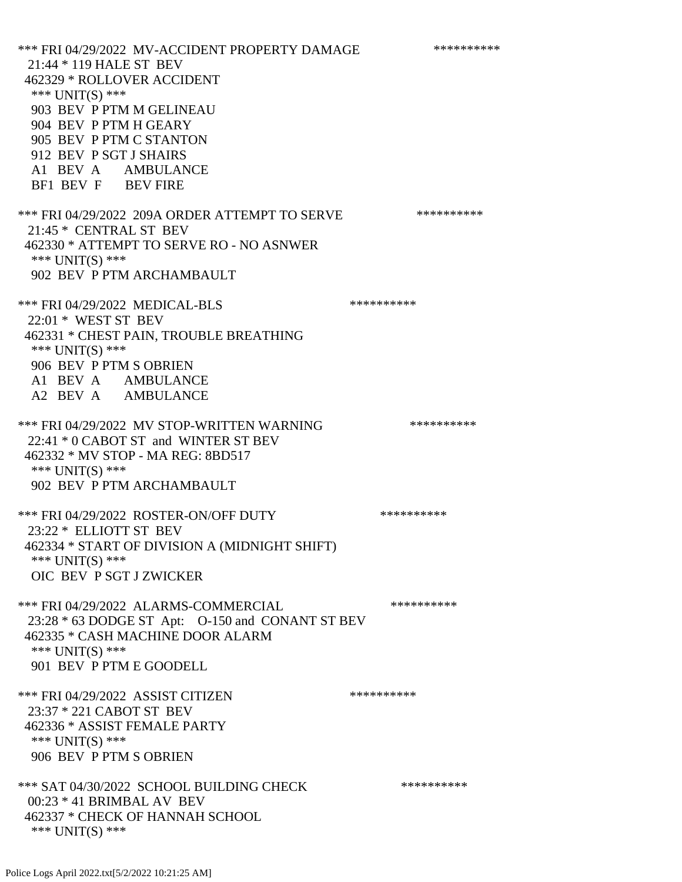\*\*\* FRI 04/29/2022 MV-ACCIDENT PROPERTY DAMAGE \*\*\*\*\*\*\*\*\*\* 21:44 \* 119 HALE ST BEV 462329 \* ROLLOVER ACCIDENT \*\*\* UNIT(S) \*\*\* 903 BEV P PTM M GELINEAU 904 BEV P PTM H GEARY 905 BEV P PTM C STANTON 912 BEV P SGT J SHAIRS A1 BEV A AMBULANCE BF1 BEV F BEV FIRE \*\*\* FRI 04/29/2022 209A ORDER ATTEMPT TO SERVE \*\*\*\*\*\*\*\*\*\* 21:45 \* CENTRAL ST BEV 462330 \* ATTEMPT TO SERVE RO - NO ASNWER \*\*\* UNIT(S) \*\*\* 902 BEV P PTM ARCHAMBAULT \*\*\* FRI 04/29/2022 MEDICAL-BLS \*\*\*\*\*\*\*\*\*\*\*\*\* 22:01 \* WEST ST BEV 462331 \* CHEST PAIN, TROUBLE BREATHING \*\*\* UNIT(S) \*\*\* 906 BEV P PTM S OBRIEN A1 BEV A AMBULANCE A2 BEV A AMBULANCE \*\*\* FRI 04/29/2022 MV STOP-WRITTEN WARNING \*\*\*\*\*\*\*\*\*\*\*\* 22:41 \* 0 CABOT ST and WINTER ST BEV 462332 \* MV STOP - MA REG: 8BD517 \*\*\* UNIT(S) \*\*\* 902 BEV P PTM ARCHAMBAULT \*\*\* FRI 04/29/2022 ROSTER-ON/OFF DUTY \*\*\*\*\*\*\*\*\*\* 23:22 \* ELLIOTT ST BEV 462334 \* START OF DIVISION A (MIDNIGHT SHIFT) \*\*\* UNIT(S) \*\*\* OIC BEV P SGT J ZWICKER \*\*\* FRI 04/29/2022 ALARMS-COMMERCIAL \*\*\*\*\*\*\*\*\*\* 23:28 \* 63 DODGE ST Apt: O-150 and CONANT ST BEV 462335 \* CASH MACHINE DOOR ALARM \*\*\* UNIT(S) \*\*\* 901 BEV P PTM E GOODELL \*\*\* FRI 04/29/2022 ASSIST CITIZEN \*\*\*\*\*\*\*\*\*\* 23:37 \* 221 CABOT ST BEV 462336 \* ASSIST FEMALE PARTY \*\*\* UNIT(S) \*\*\* 906 BEV P PTM S OBRIEN \*\*\* SAT 04/30/2022 SCHOOL BUILDING CHECK \*\*\*\*\*\*\*\*\*\*\*\* 00:23 \* 41 BRIMBAL AV BEV 462337 \* CHECK OF HANNAH SCHOOL \*\*\* UNIT(S) \*\*\*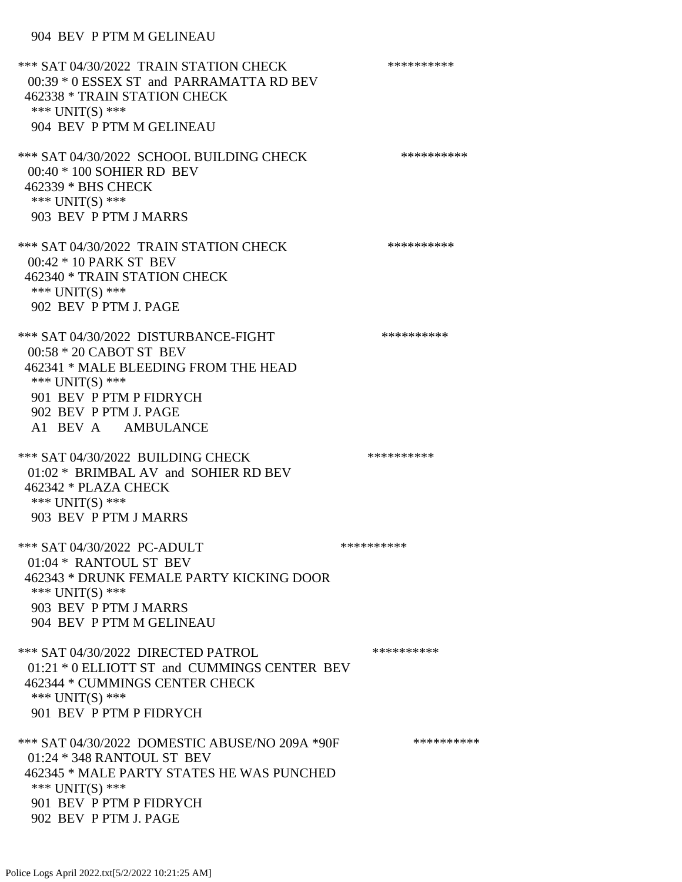### 904 BEV P PTM M GELINEAU

\*\*\* SAT 04/30/2022 TRAIN STATION CHECK \*\*\*\*\*\*\*\*\*\*\*\* 00:39 \* 0 ESSEX ST and PARRAMATTA RD BEV 462338 \* TRAIN STATION CHECK \*\*\* UNIT(S) \*\*\* 904 BEV P PTM M GELINEAU \*\*\* SAT 04/30/2022 SCHOOL BUILDING CHECK \*\*\*\*\*\*\*\*\*\*\*\* 00:40 \* 100 SOHIER RD BEV 462339 \* BHS CHECK \*\*\* UNIT(S) \*\*\* 903 BEV P PTM J MARRS \*\*\* SAT 04/30/2022 TRAIN STATION CHECK \*\*\*\*\*\*\*\*\*\*\*\* 00:42 \* 10 PARK ST BEV 462340 \* TRAIN STATION CHECK \*\*\* UNIT(S) \*\*\* 902 BEV P PTM J. PAGE \*\*\* SAT 04/30/2022 DISTURBANCE-FIGHT \*\*\*\*\*\*\*\*\*\*\*\*\*\*\* 00:58 \* 20 CABOT ST BEV 462341 \* MALE BLEEDING FROM THE HEAD \*\*\* UNIT(S) \*\*\* 901 BEV P PTM P FIDRYCH 902 BEV P PTM J. PAGE A1 BEV A AMBULANCE \*\*\* SAT 04/30/2022 BUILDING CHECK \*\*\*\*\*\*\*\*\*\* 01:02 \* BRIMBAL AV and SOHIER RD BEV 462342 \* PLAZA CHECK \*\*\* UNIT(S) \*\*\* 903 BEV P PTM J MARRS \*\*\* SAT 04/30/2022 PC-ADULT \*\*\*\*\*\*\*\*\*\*\*\*\*\* 01:04 \* RANTOUL ST BEV 462343 \* DRUNK FEMALE PARTY KICKING DOOR \*\*\* UNIT(S) \*\*\* 903 BEV P PTM J MARRS 904 BEV P PTM M GELINEAU \*\*\* SAT 04/30/2022 DIRECTED PATROL \*\*\*\*\*\*\*\*\*\* 01:21 \* 0 ELLIOTT ST and CUMMINGS CENTER BEV 462344 \* CUMMINGS CENTER CHECK \*\*\* UNIT(S) \*\*\* 901 BEV P PTM P FIDRYCH \*\*\* SAT 04/30/2022 DOMESTIC ABUSE/NO 209A \*90F \*\*\*\*\*\*\*\*\*\*\*\* 01:24 \* 348 RANTOUL ST BEV 462345 \* MALE PARTY STATES HE WAS PUNCHED \*\*\* UNIT(S) \*\*\* 901 BEV P PTM P FIDRYCH 902 BEV P PTM J. PAGE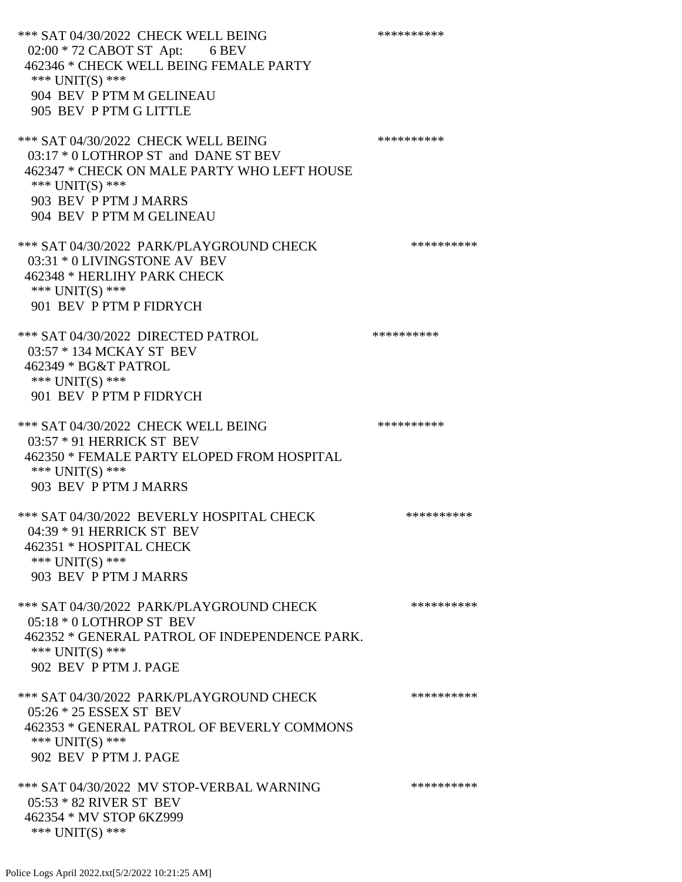\*\*\* SAT 04/30/2022 CHECK WELL BEING \*\*\*\*\*\*\*\*\*\* 02:00 \* 72 CABOT ST Apt: 6 BEV 462346 \* CHECK WELL BEING FEMALE PARTY \*\*\* UNIT(S) \*\*\* 904 BEV P PTM M GELINEAU 905 BEV P PTM G LITTLE \*\*\* SAT 04/30/2022 CHECK WELL BEING \*\*\*\*\*\*\*\*\*\*\*\*\*\* 03:17 \* 0 LOTHROP ST and DANE ST BEV 462347 \* CHECK ON MALE PARTY WHO LEFT HOUSE \*\*\* UNIT(S) \*\*\* 903 BEV P PTM J MARRS 904 BEV P PTM M GELINEAU \*\*\* SAT 04/30/2022 PARK/PLAYGROUND CHECK \*\*\*\*\*\*\*\*\*\*\*\* 03:31 \* 0 LIVINGSTONE AV BEV 462348 \* HERLIHY PARK CHECK \*\*\* UNIT(S) \*\*\* 901 BEV P PTM P FIDRYCH \*\*\* SAT 04/30/2022 DIRECTED PATROL \*\*\*\*\*\*\*\*\*\* 03:57 \* 134 MCKAY ST BEV 462349 \* BG&T PATROL \*\*\* UNIT(S) \*\*\* 901 BEV P PTM P FIDRYCH \*\*\* SAT 04/30/2022 CHECK WELL BEING \*\*\*\*\*\*\*\*\*\* 03:57 \* 91 HERRICK ST BEV 462350 \* FEMALE PARTY ELOPED FROM HOSPITAL \*\*\* UNIT(S) \*\*\* 903 BEV P PTM J MARRS \*\*\* SAT 04/30/2022 BEVERLY HOSPITAL CHECK \*\*\*\*\*\*\*\*\*\*\*\* 04:39 \* 91 HERRICK ST BEV 462351 \* HOSPITAL CHECK \*\*\* UNIT(S) \*\*\* 903 BEV P PTM J MARRS \*\*\* SAT 04/30/2022 PARK/PLAYGROUND CHECK \*\*\*\*\*\*\*\*\*\*\*\* 05:18 \* 0 LOTHROP ST BEV 462352 \* GENERAL PATROL OF INDEPENDENCE PARK. \*\*\* UNIT(S) \*\*\* 902 BEV P PTM J. PAGE \*\*\* SAT 04/30/2022 PARK/PLAYGROUND CHECK \*\*\*\*\*\*\*\*\*\* 05:26 \* 25 ESSEX ST BEV 462353 \* GENERAL PATROL OF BEVERLY COMMONS \*\*\* UNIT(S) \*\*\* 902 BEV P PTM J. PAGE \*\*\* SAT 04/30/2022 MV STOP-VERBAL WARNING \*\*\*\*\*\*\*\*\*\*\*\*\* 05:53 \* 82 RIVER ST BEV 462354 \* MV STOP 6KZ999 \*\*\* UNIT(S) \*\*\*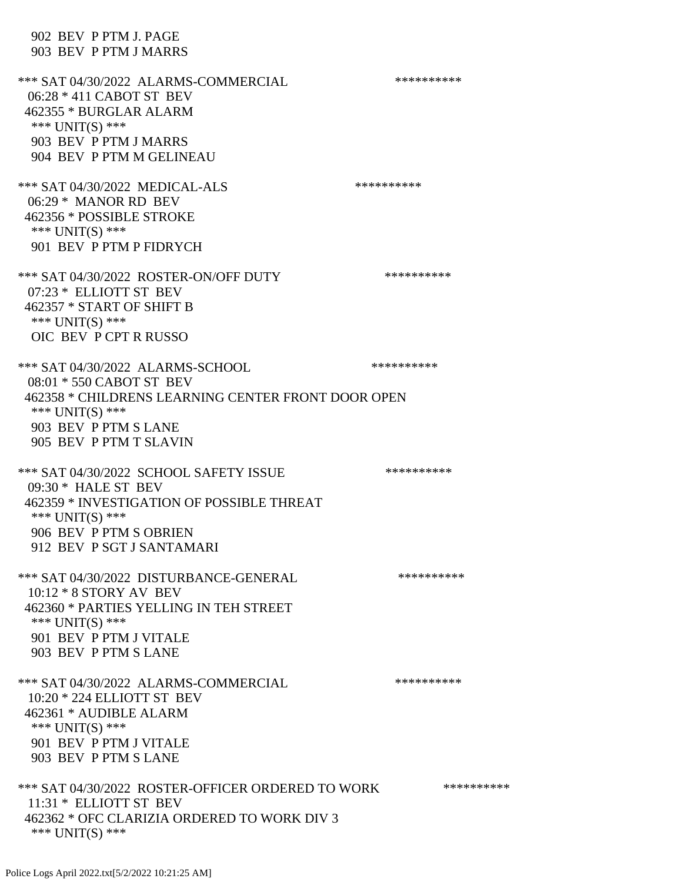902 BEV P PTM J. PAGE 903 BEV P PTM J MARRS \*\*\* SAT 04/30/2022 ALARMS-COMMERCIAL \*\*\*\*\*\*\*\*\*\* 06:28 \* 411 CABOT ST BEV 462355 \* BURGLAR ALARM \*\*\* UNIT(S) \*\*\* 903 BEV P PTM J MARRS 904 BEV P PTM M GELINEAU \*\*\* SAT 04/30/2022 MEDICAL-ALS \*\*\*\*\*\*\*\*\*\* 06:29 \* MANOR RD BEV 462356 \* POSSIBLE STROKE \*\*\* UNIT(S) \*\*\* 901 BEV P PTM P FIDRYCH \*\*\* SAT 04/30/2022 ROSTER-ON/OFF DUTY \*\*\*\*\*\*\*\*\*\* 07:23 \* ELLIOTT ST BEV 462357 \* START OF SHIFT B \*\*\* UNIT(S) \*\*\* OIC BEV P CPT R RUSSO \*\*\* SAT 04/30/2022 ALARMS-SCHOOL \*\*\*\*\*\*\*\*\*\* 08:01 \* 550 CABOT ST BEV 462358 \* CHILDRENS LEARNING CENTER FRONT DOOR OPEN \*\*\* UNIT(S) \*\*\* 903 BEV P PTM S LANE 905 BEV P PTM T SLAVIN \*\*\* SAT 04/30/2022 SCHOOL SAFETY ISSUE \*\*\*\*\*\*\*\*\*\*\*\* 09:30 \* HALE ST BEV 462359 \* INVESTIGATION OF POSSIBLE THREAT \*\*\* UNIT(S) \*\*\* 906 BEV P PTM S OBRIEN 912 BEV P SGT J SANTAMARI \*\*\* SAT 04/30/2022 DISTURBANCE-GENERAL \*\*\*\*\*\*\*\*\*\* 10:12 \* 8 STORY AV BEV 462360 \* PARTIES YELLING IN TEH STREET \*\*\* UNIT(S) \*\*\* 901 BEV P PTM J VITALE 903 BEV P PTM S LANE \*\*\* SAT 04/30/2022 ALARMS-COMMERCIAL \*\*\*\*\*\*\*\*\*\* 10:20 \* 224 ELLIOTT ST BEV 462361 \* AUDIBLE ALARM \*\*\* UNIT(S) \*\*\* 901 BEV P PTM J VITALE 903 BEV P PTM S LANE \*\*\* SAT 04/30/2022 ROSTER-OFFICER ORDERED TO WORK \*\*\*\*\*\*\*\*\*\*\* 11:31 \* ELLIOTT ST BEV 462362 \* OFC CLARIZIA ORDERED TO WORK DIV 3 \*\*\* UNIT(S) \*\*\*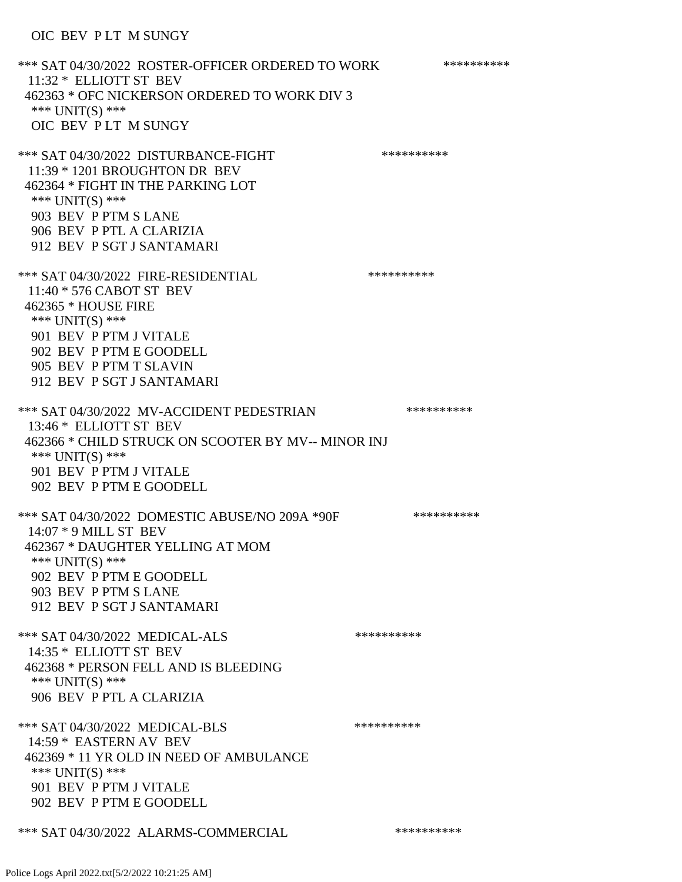\*\*\* SAT 04/30/2022 ROSTER-OFFICER ORDERED TO WORK \*\*\*\*\*\*\*\*\*\*\* 11:32 \* ELLIOTT ST BEV 462363 \* OFC NICKERSON ORDERED TO WORK DIV 3 \*\*\* UNIT(S) \*\*\* OIC BEV P LT M SUNGY \*\*\* SAT 04/30/2022 DISTURBANCE-FIGHT \*\*\*\*\*\*\*\*\*\*\*\*\*\*\* 11:39 \* 1201 BROUGHTON DR BEV 462364 \* FIGHT IN THE PARKING LOT \*\*\* UNIT(S) \*\*\* 903 BEV P PTM S LANE 906 BEV P PTL A CLARIZIA 912 BEV P SGT J SANTAMARI \*\*\* SAT 04/30/2022 FIRE-RESIDENTIAL \*\*\*\*\*\*\*\*\*\*\*\*\* 11:40 \* 576 CABOT ST BEV 462365 \* HOUSE FIRE \*\*\* UNIT(S) \*\*\* 901 BEV P PTM J VITALE 902 BEV P PTM E GOODELL 905 BEV P PTM T SLAVIN 912 BEV P SGT J SANTAMARI \*\*\* SAT 04/30/2022 MV-ACCIDENT PEDESTRIAN \*\*\*\*\*\*\*\*\*\* 13:46 \* ELLIOTT ST BEV 462366 \* CHILD STRUCK ON SCOOTER BY MV-- MINOR INJ \*\*\* UNIT(S) \*\*\* 901 BEV P PTM J VITALE 902 BEV P PTM E GOODELL \*\*\* SAT 04/30/2022 DOMESTIC ABUSE/NO 209A \*90F \*\*\*\*\*\*\*\*\*\*\*\* 14:07 \* 9 MILL ST BEV 462367 \* DAUGHTER YELLING AT MOM \*\*\* UNIT(S) \*\*\* 902 BEV P PTM E GOODELL 903 BEV P PTM S LANE 912 BEV P SGT J SANTAMARI \*\*\* SAT 04/30/2022 MEDICAL-ALS \*\*\*\*\*\*\*\*\*\* 14:35 \* ELLIOTT ST BEV 462368 \* PERSON FELL AND IS BLEEDING \*\*\* UNIT(S) \*\*\* 906 BEV P PTL A CLARIZIA \*\*\* SAT 04/30/2022 MEDICAL-BLS \*\*\*\*\*\*\*\*\*\* 14:59 \* EASTERN AV BEV 462369 \* 11 YR OLD IN NEED OF AMBULANCE \*\*\* UNIT(S) \*\*\* 901 BEV P PTM J VITALE 902 BEV P PTM E GOODELL \*\*\* SAT 04/30/2022 ALARMS-COMMERCIAL \*\*\*\*\*\*\*\*\*\*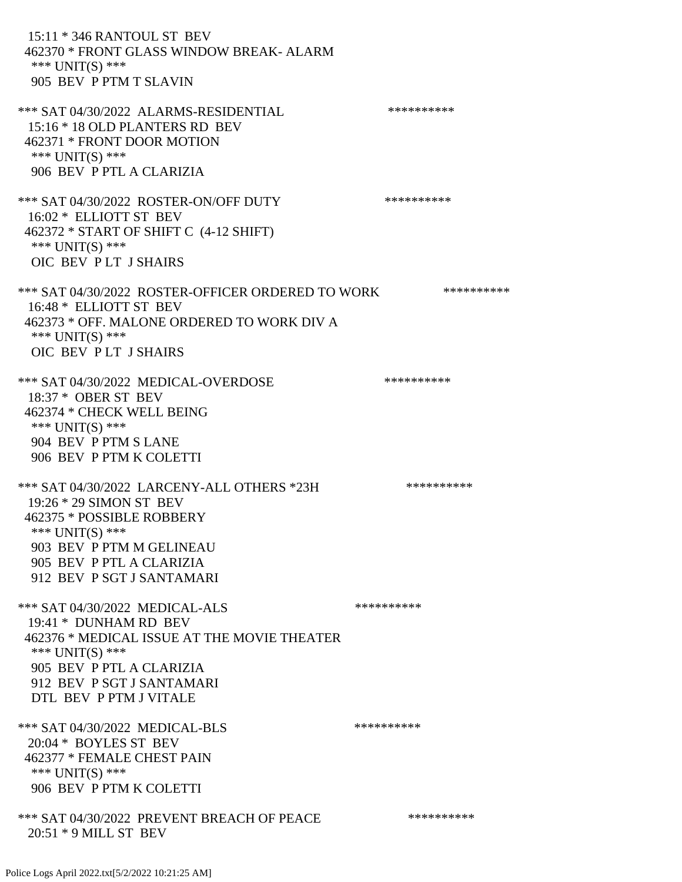15:11 \* 346 RANTOUL ST BEV 462370 \* FRONT GLASS WINDOW BREAK- ALARM \*\*\* UNIT(S) \*\*\* 905 BEV P PTM T SLAVIN \*\*\* SAT 04/30/2022 ALARMS-RESIDENTIAL \*\*\*\*\*\*\*\*\*\* 15:16 \* 18 OLD PLANTERS RD BEV 462371 \* FRONT DOOR MOTION \*\*\* UNIT(S) \*\*\* 906 BEV P PTL A CLARIZIA \*\*\* SAT 04/30/2022 ROSTER-ON/OFF DUTY \*\*\*\*\*\*\*\*\*\* 16:02 \* ELLIOTT ST BEV 462372 \* START OF SHIFT C (4-12 SHIFT) \*\*\* UNIT(S) \*\*\* OIC BEV P LT J SHAIRS \*\*\* SAT 04/30/2022 ROSTER-OFFICER ORDERED TO WORK \*\*\*\*\*\*\*\*\*\*\* 16:48 \* ELLIOTT ST BEV 462373 \* OFF. MALONE ORDERED TO WORK DIV A \*\*\* UNIT(S) \*\*\* OIC BEV P LT J SHAIRS \*\*\* SAT 04/30/2022 MEDICAL-OVERDOSE \*\*\*\*\*\*\*\*\*\* 18:37 \* OBER ST BEV 462374 \* CHECK WELL BEING \*\*\* UNIT(S) \*\*\* 904 BEV P PTM S LANE 906 BEV P PTM K COLETTI \*\*\* SAT 04/30/2022 LARCENY-ALL OTHERS \*23H \*\*\*\*\*\*\*\*\*\*\*\* 19:26 \* 29 SIMON ST BEV 462375 \* POSSIBLE ROBBERY \*\*\* UNIT(S) \*\*\* 903 BEV P PTM M GELINEAU 905 BEV P PTL A CLARIZIA 912 BEV P SGT J SANTAMARI \*\*\* SAT 04/30/2022 MEDICAL-ALS \*\*\*\*\*\*\*\*\*\* 19:41 \* DUNHAM RD BEV 462376 \* MEDICAL ISSUE AT THE MOVIE THEATER \*\*\* UNIT(S) \*\*\* 905 BEV P PTL A CLARIZIA 912 BEV P SGT J SANTAMARI DTL BEV P PTM J VITALE \*\*\* SAT 04/30/2022 MEDICAL-BLS \*\*\*\*\*\*\*\*\*\* 20:04 \* BOYLES ST BEV 462377 \* FEMALE CHEST PAIN \*\*\* UNIT(S) \*\*\* 906 BEV P PTM K COLETTI \*\*\* SAT 04/30/2022 PREVENT BREACH OF PEACE \*\*\*\*\*\*\*\*\*\* 20:51 \* 9 MILL ST BEV